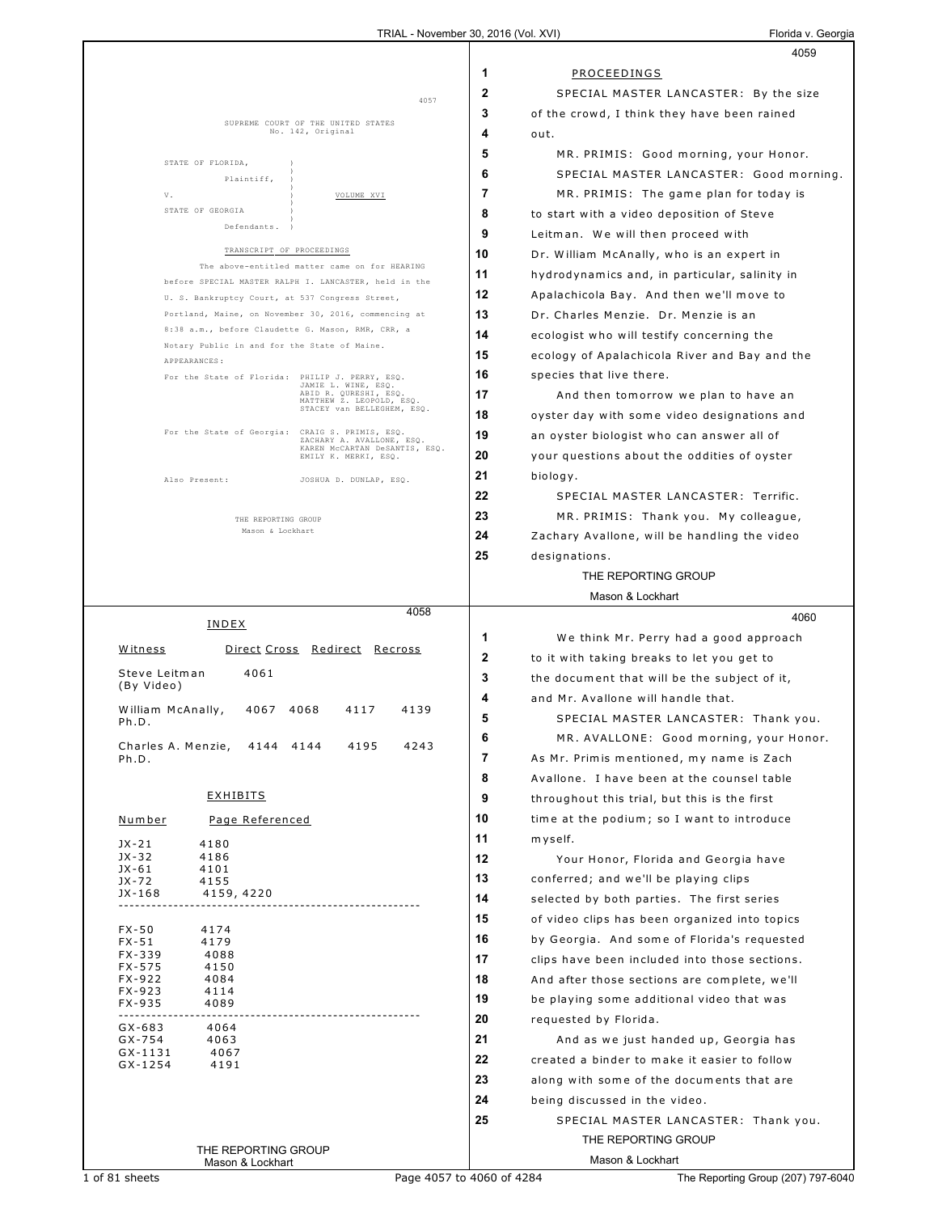|                                                                                                         | 4059                                                |
|---------------------------------------------------------------------------------------------------------|-----------------------------------------------------|
|                                                                                                         | 1<br>PROCEEDINGS                                    |
| 4057                                                                                                    | 2<br>SPECIAL MASTER LANCASTER: By the size          |
|                                                                                                         | 3<br>of the crowd, I think they have been rained    |
| SUPREME COURT OF THE UNITED STATES<br>No. 142, Original                                                 | 4<br>out.                                           |
|                                                                                                         | 5<br>MR. PRIMIS: Good morning, your Honor.          |
| STATE OF FLORIDA,<br>Plaintiff.                                                                         | 6<br>SPECIAL MASTER LANCASTER: Good morning.        |
| V.<br>VOLUME XVI                                                                                        | 7<br>MR. PRIMIS: The game plan for today is         |
| STATE OF GEORGIA                                                                                        | 8<br>to start with a video deposition of Steve      |
| Defendants.                                                                                             | 9<br>Leitman. We will then proceed with             |
| TRANSCRIPT OF PROCEEDINGS                                                                               | 10<br>Dr. William McAnally, who is an expert in     |
| The above-entitled matter came on for HEARING                                                           | 11<br>hydrodynamics and, in particular, salinity in |
| before SPECIAL MASTER RALPH I. LANCASTER, held in the                                                   | 12<br>Apalachicola Bay. And then we'll move to      |
| U. S. Bankruptcy Court, at 537 Congress Street,<br>Portland, Maine, on November 30, 2016, commencing at | 13<br>Dr. Charles Menzie. Dr. Menzie is an          |
| 8:38 a.m., before Claudette G. Mason, RMR, CRR, a                                                       | 14<br>ecologist who will testify concerning the     |
| Notary Public in and for the State of Maine.                                                            | 15                                                  |
| APPEARANCES:                                                                                            | ecology of Apalachicola River and Bay and the       |
| For the State of Florida: PHILIP J. PERRY, ESQ.<br>JAMIE L. WINE, ESQ.<br>ABID R. QURESHI, ESQ.         | 16<br>species that live there.                      |
| MATTHEW Z. LEOPOLD, ESQ.<br>STACEY van BELLEGHEM, ESQ.                                                  | 17<br>And then tomorrow we plan to have an          |
| CRAIG S. PRIMIS, ESQ.                                                                                   | 18<br>oyster day with some video designations and   |
| For the State of Georgia:<br>ZACHARY A. AVALLONE, ESQ.<br>KAREN MCCARTAN DeSANTIS, ESQ.                 | 19<br>an oyster biologist who can answer all of     |
| EMILY K. MERKI, ESQ.                                                                                    | 20<br>your questions about the oddities of oyster   |
| Also Present:<br>JOSHUA D. DUNLAP, ESQ.                                                                 | 21<br>biology.                                      |
|                                                                                                         | 22<br>SPECIAL MASTER LANCASTER: Terrific.           |
| THE REPORTING GROUP                                                                                     | 23<br>MR. PRIMIS: Thank you. My colleague,          |
| Mason & Lockhart                                                                                        | 24<br>Zachary Avallone, will be handling the video  |
|                                                                                                         | 25<br>designations.                                 |
|                                                                                                         | THE REPORTING GROUP                                 |
|                                                                                                         | Mason & Lockhart                                    |
| 4058<br><b>INDEX</b>                                                                                    | 4060                                                |
| Direct Cross Redirect Recross<br>Witness                                                                | 1<br>We think Mr. Perry had a good approach         |
|                                                                                                         | 2<br>to it with taking breaks to let you get to     |
| Steve Leitman<br>4061<br>(By Video)                                                                     | 3<br>the document that will be the subject of it,   |
|                                                                                                         | 4<br>and Mr. Avallone will handle that.             |
| William McAnally,<br>4067<br>4068<br>4117<br>4139<br>Ph.D.                                              | 5<br>SPECIAL MASTER LANCASTER: Thank you.           |
| 4195<br>Charles A. Menzie,<br>4243<br>4144 4144                                                         | MR. AVALLONE: Good morning, your Honor.<br>6        |
| Ph.D.                                                                                                   | 7<br>As Mr. Primis mentioned, my name is Zach       |
|                                                                                                         | 8<br>Avallone. I have been at the counsel table     |
| <b>EXHIBITS</b>                                                                                         | 9<br>throughout this trial, but this is the first   |
| <u>Number</u><br>Page Referenced                                                                        | 10<br>time at the podium; so I want to introduce    |
| $JX-21$<br>4180                                                                                         | 11<br>myself.                                       |
| JX-32<br>4186                                                                                           | 12<br>Your Honor, Florida and Georgia have          |
| JX-61<br>4101<br>JX-72<br>4155                                                                          | 13<br>conferred; and we'll be playing clips         |
| JX-168<br>4159, 4220<br>-------------------------                                                       | 14<br>selected by both parties. The first series    |
|                                                                                                         | 15<br>of video clips has been organized into topics |
| $FX - 50$<br>4174<br>4179<br>$FX - 51$                                                                  | 16<br>by Georgia. And some of Florida's requested   |
| FX-339<br>4088                                                                                          | 17<br>clips have been included into those sections. |
| FX-575<br>4150<br>FX-922<br>4084                                                                        | 18<br>And after those sections are complete, we'll  |
| FX-923<br>4114                                                                                          | 19<br>be playing some additional video that was     |
| FX-935<br>4089                                                                                          | 20<br>requested by Florida.                         |
| $GX-683$<br>4064<br>GX-754<br>4063                                                                      | 21<br>And as we just handed up, Georgia has         |
| GX-1131<br>4067                                                                                         | 22<br>created a binder to make it easier to follow  |
| GX-1254<br>4191                                                                                         | 23<br>along with some of the documents that are     |
|                                                                                                         | 24<br>being discussed in the video.                 |
|                                                                                                         | 25<br>SPECIAL MASTER LANCASTER: Thank you.          |
|                                                                                                         | THE REPORTING GROUP                                 |
| THE REPORTING GROUP                                                                                     |                                                     |
| Mason & Lockhart                                                                                        | Mason & Lockhart                                    |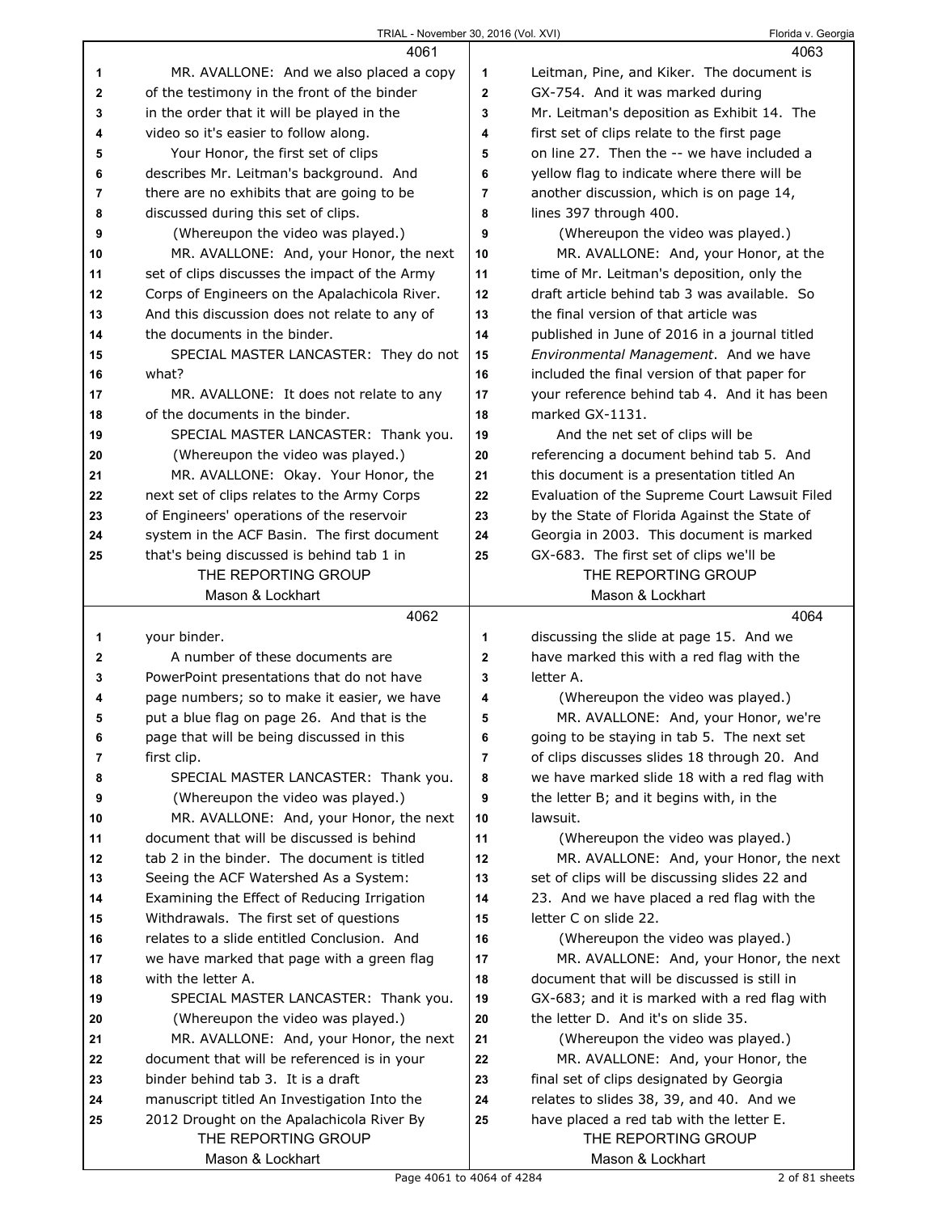|              | 4061                                                                                     |                | 4063                                                                                 |
|--------------|------------------------------------------------------------------------------------------|----------------|--------------------------------------------------------------------------------------|
| 1            | MR. AVALLONE: And we also placed a copy                                                  | 1              | Leitman, Pine, and Kiker. The document is                                            |
| $\mathbf{2}$ | of the testimony in the front of the binder                                              | $\mathbf{2}$   | GX-754. And it was marked during                                                     |
| 3            | in the order that it will be played in the                                               | 3              | Mr. Leitman's deposition as Exhibit 14. The                                          |
| 4            | video so it's easier to follow along.                                                    | 4              | first set of clips relate to the first page                                          |
| 5            | Your Honor, the first set of clips                                                       | 5              | on line 27. Then the -- we have included a                                           |
| 6            | describes Mr. Leitman's background. And                                                  | 6              | yellow flag to indicate where there will be                                          |
| 7            | there are no exhibits that are going to be                                               | 7              | another discussion, which is on page 14,                                             |
| 8            | discussed during this set of clips.                                                      | 8              | lines 397 through 400.                                                               |
| 9            | (Whereupon the video was played.)                                                        | 9              | (Whereupon the video was played.)                                                    |
| 10           | MR. AVALLONE: And, your Honor, the next                                                  | 10             | MR. AVALLONE: And, your Honor, at the                                                |
| 11           | set of clips discusses the impact of the Army                                            | 11             | time of Mr. Leitman's deposition, only the                                           |
| 12           | Corps of Engineers on the Apalachicola River.                                            | 12             | draft article behind tab 3 was available. So                                         |
| 13           | And this discussion does not relate to any of                                            | 13             | the final version of that article was                                                |
| 14           | the documents in the binder.                                                             | 14             | published in June of 2016 in a journal titled                                        |
| 15           | SPECIAL MASTER LANCASTER: They do not                                                    | 15             | Environmental Management. And we have                                                |
| 16           | what?                                                                                    | 16             | included the final version of that paper for                                         |
| 17           | MR. AVALLONE: It does not relate to any                                                  | 17             | your reference behind tab 4. And it has been                                         |
| 18           | of the documents in the binder.                                                          | 18             | marked GX-1131.                                                                      |
| 19           | SPECIAL MASTER LANCASTER: Thank you.                                                     | 19             | And the net set of clips will be                                                     |
| 20           | (Whereupon the video was played.)                                                        | 20             | referencing a document behind tab 5. And                                             |
| 21           | MR. AVALLONE: Okay. Your Honor, the                                                      | 21             | this document is a presentation titled An                                            |
| 22           | next set of clips relates to the Army Corps                                              | 22             | Evaluation of the Supreme Court Lawsuit Filed                                        |
| 23           | of Engineers' operations of the reservoir                                                | 23             | by the State of Florida Against the State of                                         |
| 24           | system in the ACF Basin. The first document                                              | 24             | Georgia in 2003. This document is marked                                             |
| 25           | that's being discussed is behind tab 1 in                                                | 25             | GX-683. The first set of clips we'll be                                              |
|              | THE REPORTING GROUP                                                                      |                | THE REPORTING GROUP                                                                  |
|              | Mason & Lockhart                                                                         |                | Mason & Lockhart                                                                     |
|              |                                                                                          |                |                                                                                      |
|              | 4062                                                                                     |                | 4064                                                                                 |
| 1            | your binder.                                                                             | 1              | discussing the slide at page 15. And we                                              |
| 2            | A number of these documents are                                                          | $\mathbf{2}$   | have marked this with a red flag with the                                            |
| 3            | PowerPoint presentations that do not have                                                | 3              | letter A.                                                                            |
| 4            | page numbers; so to make it easier, we have                                              | 4              | (Whereupon the video was played.)                                                    |
| 5            | put a blue flag on page 26. And that is the                                              | 5              | MR. AVALLONE: And, your Honor, we're                                                 |
| 6            | page that will be being discussed in this                                                | 6              | going to be staying in tab 5. The next set                                           |
| 7            | first clip.                                                                              | $\overline{7}$ | of clips discusses slides 18 through 20. And                                         |
| 8            | SPECIAL MASTER LANCASTER: Thank you.                                                     | 8              | we have marked slide 18 with a red flag with                                         |
| 9            | (Whereupon the video was played.)                                                        | 9              | the letter B; and it begins with, in the                                             |
| 10           | MR. AVALLONE: And, your Honor, the next                                                  | 10             | lawsuit.                                                                             |
| 11           | document that will be discussed is behind                                                | 11             | (Whereupon the video was played.)                                                    |
| 12           | tab 2 in the binder. The document is titled                                              | 12             | MR. AVALLONE: And, your Honor, the next                                              |
| 13           | Seeing the ACF Watershed As a System:                                                    | 13             | set of clips will be discussing slides 22 and                                        |
| 14           | Examining the Effect of Reducing Irrigation                                              | 14             | 23. And we have placed a red flag with the                                           |
| 15           | Withdrawals. The first set of questions                                                  | 15             | letter C on slide 22.                                                                |
| 16           | relates to a slide entitled Conclusion. And                                              | 16             | (Whereupon the video was played.)                                                    |
| 17           | we have marked that page with a green flag                                               | 17             | MR. AVALLONE: And, your Honor, the next                                              |
| 18           | with the letter A.                                                                       | 18             | document that will be discussed is still in                                          |
| 19           | SPECIAL MASTER LANCASTER: Thank you.                                                     | 19             | GX-683; and it is marked with a red flag with                                        |
| 20           | (Whereupon the video was played.)                                                        | 20             | the letter D. And it's on slide 35.                                                  |
| 21<br>22     | MR. AVALLONE: And, your Honor, the next                                                  | 21<br>22       | (Whereupon the video was played.)                                                    |
| 23           | document that will be referenced is in your<br>binder behind tab 3. It is a draft        | 23             | MR. AVALLONE: And, your Honor, the                                                   |
| 24           |                                                                                          | 24             | final set of clips designated by Georgia                                             |
| 25           | manuscript titled An Investigation Into the<br>2012 Drought on the Apalachicola River By | 25             | relates to slides 38, 39, and 40. And we<br>have placed a red tab with the letter E. |
|              | THE REPORTING GROUP                                                                      |                | THE REPORTING GROUP                                                                  |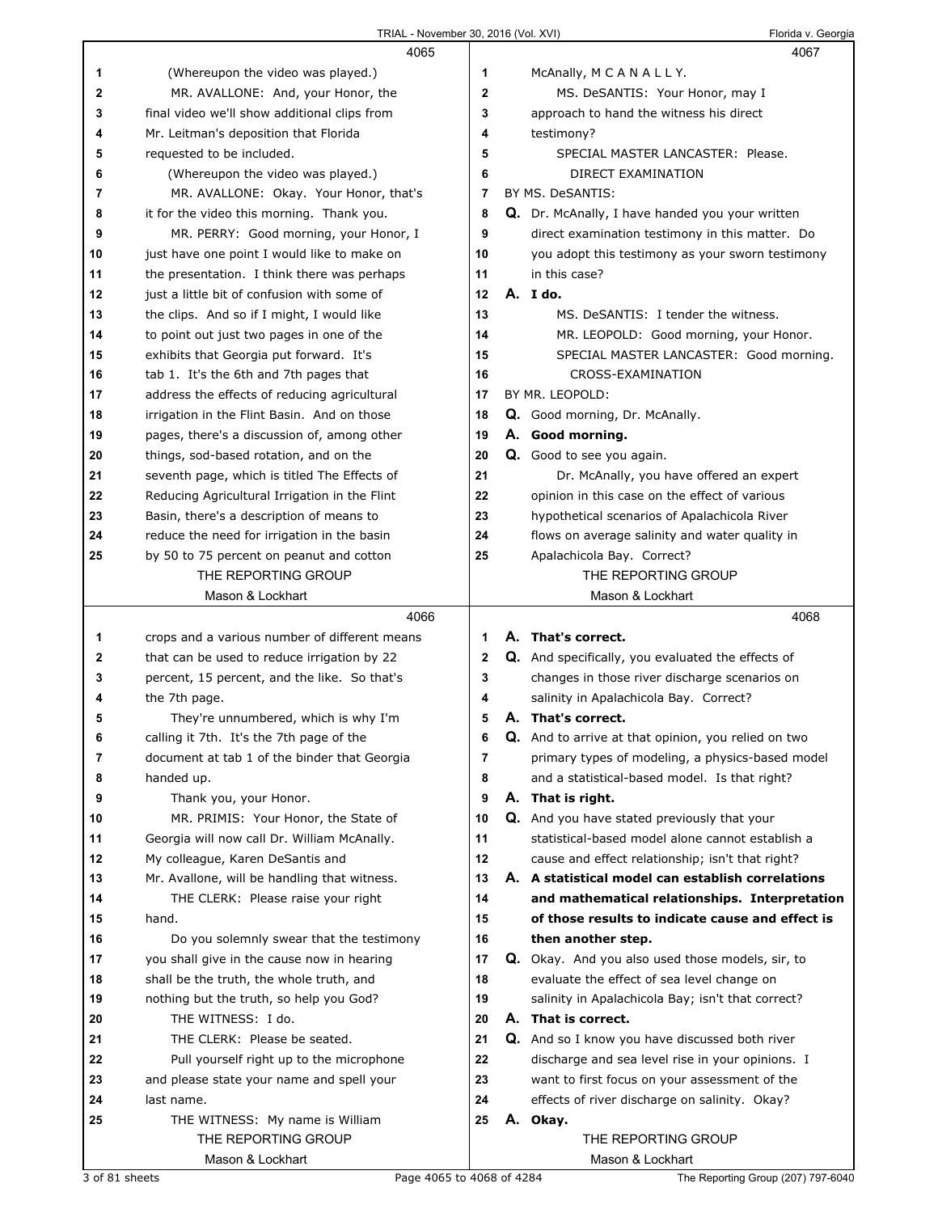|    | 4065                                          |              |         | 4067                                                     |
|----|-----------------------------------------------|--------------|---------|----------------------------------------------------------|
| 1  | (Whereupon the video was played.)             | 1            |         | McAnally, M C A N A L L Y.                               |
| 2  | MR. AVALLONE: And, your Honor, the            | $\mathbf{2}$ |         | MS. DeSANTIS: Your Honor, may I                          |
| 3  | final video we'll show additional clips from  | 3            |         | approach to hand the witness his direct                  |
| 4  | Mr. Leitman's deposition that Florida         | 4            |         | testimony?                                               |
| 5  | requested to be included.                     | 5            |         | SPECIAL MASTER LANCASTER: Please.                        |
| 6  | (Whereupon the video was played.)             | 6            |         | DIRECT EXAMINATION                                       |
| 7  | MR. AVALLONE: Okay. Your Honor, that's        | 7            |         | BY MS. DeSANTIS:                                         |
| 8  | it for the video this morning. Thank you.     | 8            |         | Q. Dr. McAnally, I have handed you your written          |
| 9  | MR. PERRY: Good morning, your Honor, I        | 9            |         | direct examination testimony in this matter. Do          |
| 10 | just have one point I would like to make on   | 10           |         | you adopt this testimony as your sworn testimony         |
| 11 | the presentation. I think there was perhaps   | 11           |         | in this case?                                            |
| 12 | just a little bit of confusion with some of   | 12           | A. Ido. |                                                          |
| 13 | the clips. And so if I might, I would like    | 13           |         | MS. DeSANTIS: I tender the witness.                      |
| 14 | to point out just two pages in one of the     | 14           |         | MR. LEOPOLD: Good morning, your Honor.                   |
| 15 | exhibits that Georgia put forward. It's       | 15           |         | SPECIAL MASTER LANCASTER: Good morning.                  |
| 16 | tab 1. It's the 6th and 7th pages that        | 16           |         | CROSS-EXAMINATION                                        |
| 17 | address the effects of reducing agricultural  | 17           |         | BY MR. LEOPOLD:                                          |
| 18 | irrigation in the Flint Basin. And on those   | 18           |         | Q. Good morning, Dr. McAnally.                           |
| 19 | pages, there's a discussion of, among other   | 19           |         | A. Good morning.                                         |
| 20 | things, sod-based rotation, and on the        | 20           |         | Q. Good to see you again.                                |
| 21 | seventh page, which is titled The Effects of  | 21           |         | Dr. McAnally, you have offered an expert                 |
| 22 | Reducing Agricultural Irrigation in the Flint | 22           |         | opinion in this case on the effect of various            |
| 23 | Basin, there's a description of means to      | 23           |         | hypothetical scenarios of Apalachicola River             |
| 24 | reduce the need for irrigation in the basin   | 24           |         | flows on average salinity and water quality in           |
| 25 | by 50 to 75 percent on peanut and cotton      | 25           |         | Apalachicola Bay. Correct?                               |
|    | THE REPORTING GROUP                           |              |         | THE REPORTING GROUP                                      |
|    | Mason & Lockhart                              |              |         | Mason & Lockhart                                         |
|    |                                               |              |         |                                                          |
|    | 4066                                          |              |         | 4068                                                     |
| 1  | crops and a various number of different means | 1            |         | A. That's correct.                                       |
| 2  | that can be used to reduce irrigation by 22   | 2            |         | <b>Q.</b> And specifically, you evaluated the effects of |
| 3  | percent, 15 percent, and the like. So that's  | 3            |         | changes in those river discharge scenarios on            |
| 4  | the 7th page.                                 | 4            |         | salinity in Apalachicola Bay. Correct?                   |
| 5  | They're unnumbered, which is why I'm          | 5            |         | A. That's correct.                                       |
| 6  | calling it 7th. It's the 7th page of the      | 6            |         | Q. And to arrive at that opinion, you relied on two      |
| 7  | document at tab 1 of the binder that Georgia  | 7            |         | primary types of modeling, a physics-based model         |
| 8  | handed up.                                    | 8            |         | and a statistical-based model. Is that right?            |
| 9  | Thank you, your Honor.                        | 9            |         | A. That is right.                                        |
| 10 | MR. PRIMIS: Your Honor, the State of          | 10           |         | Q. And you have stated previously that your              |
| 11 | Georgia will now call Dr. William McAnally.   | 11           |         | statistical-based model alone cannot establish a         |
| 12 | My colleague, Karen DeSantis and              | 12           |         | cause and effect relationship; isn't that right?         |
| 13 | Mr. Avallone, will be handling that witness.  | 13           |         | A. A statistical model can establish correlations        |
| 14 | THE CLERK: Please raise your right            | 14           |         | and mathematical relationships. Interpretation           |
| 15 | hand.                                         | 15           |         | of those results to indicate cause and effect is         |
| 16 | Do you solemnly swear that the testimony      | 16           |         | then another step.                                       |
| 17 | you shall give in the cause now in hearing    | 17           |         | Q. Okay. And you also used those models, sir, to         |
| 18 | shall be the truth, the whole truth, and      | 18           |         | evaluate the effect of sea level change on               |
| 19 | nothing but the truth, so help you God?       | 19           |         | salinity in Apalachicola Bay; isn't that correct?        |
| 20 | THE WITNESS: I do.                            | 20           |         | A. That is correct.                                      |
| 21 | THE CLERK: Please be seated.                  | 21           |         | Q. And so I know you have discussed both river           |
| 22 | Pull yourself right up to the microphone      | 22           |         | discharge and sea level rise in your opinions. I         |
| 23 | and please state your name and spell your     | 23           |         | want to first focus on your assessment of the            |
| 24 | last name.                                    | 24           |         | effects of river discharge on salinity. Okay?            |
| 25 | THE WITNESS: My name is William               | 25           |         | A. Okay.                                                 |
|    | THE REPORTING GROUP<br>Mason & Lockhart       |              |         | THE REPORTING GROUP<br>Mason & Lockhart                  |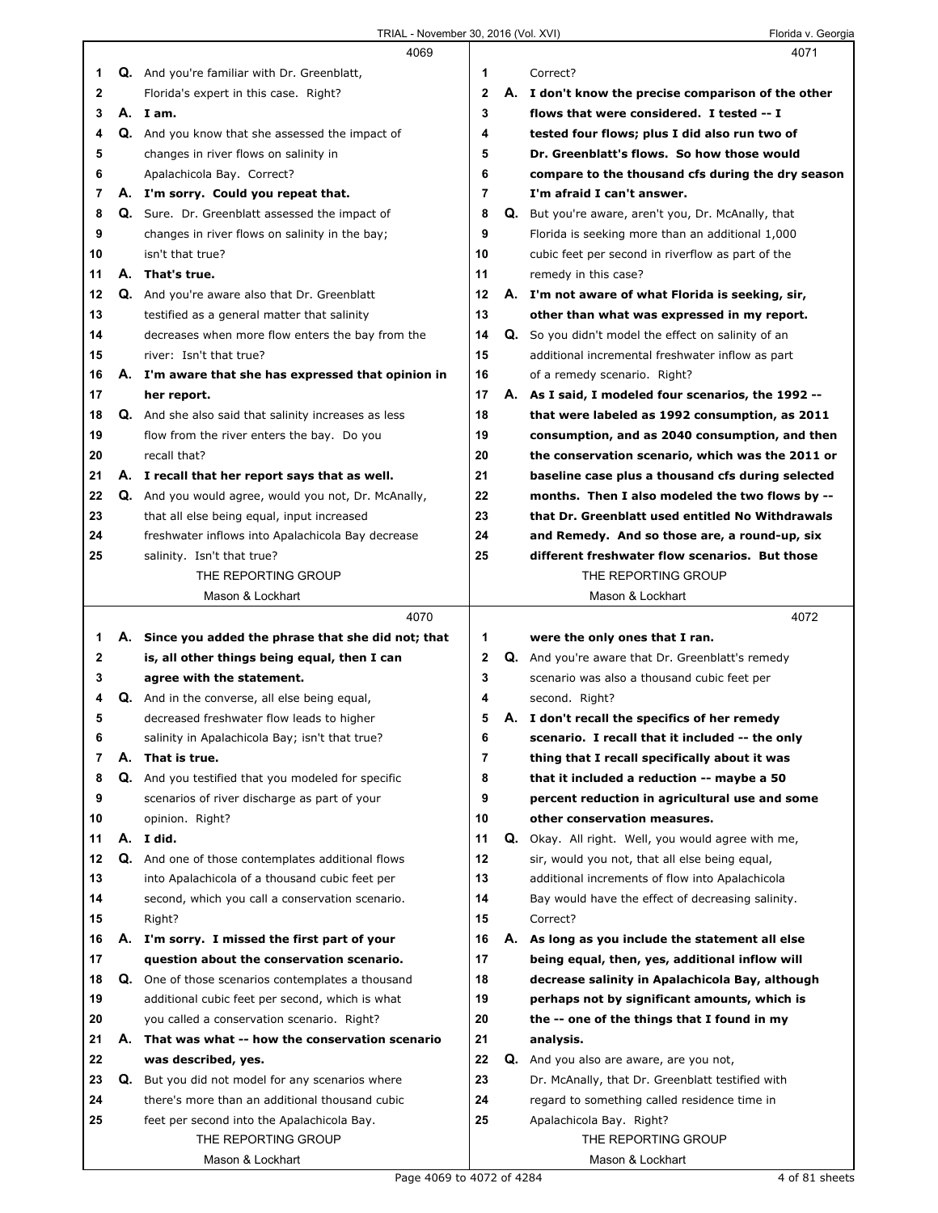|        |    | 4069                                                                                       |                |    | 4071                                                                                                   |
|--------|----|--------------------------------------------------------------------------------------------|----------------|----|--------------------------------------------------------------------------------------------------------|
| 1      |    | Q. And you're familiar with Dr. Greenblatt,                                                | 1              |    | Correct?                                                                                               |
| 2      |    | Florida's expert in this case. Right?                                                      | $\overline{2}$ |    | A. I don't know the precise comparison of the other                                                    |
| 3      |    | A. I am.                                                                                   | 3              |    | flows that were considered. I tested -- I                                                              |
| 4      |    | Q. And you know that she assessed the impact of                                            | 4              |    | tested four flows: plus I did also run two of                                                          |
| 5      |    | changes in river flows on salinity in                                                      | 5              |    | Dr. Greenblatt's flows. So how those would                                                             |
| 6      |    | Apalachicola Bay. Correct?                                                                 | 6              |    | compare to the thousand cfs during the dry season                                                      |
| 7      |    | A. I'm sorry. Could you repeat that.                                                       | $\overline{7}$ |    | I'm afraid I can't answer.                                                                             |
| 8      |    | Q. Sure. Dr. Greenblatt assessed the impact of                                             | 8              | Q. | But you're aware, aren't you, Dr. McAnally, that                                                       |
| 9      |    | changes in river flows on salinity in the bay;                                             | 9              |    | Florida is seeking more than an additional 1,000                                                       |
| 10     |    | isn't that true?                                                                           | 10             |    | cubic feet per second in riverflow as part of the                                                      |
| 11     |    | A. That's true.                                                                            | 11             |    | remedy in this case?                                                                                   |
| 12     |    | Q. And you're aware also that Dr. Greenblatt                                               | 12             |    | A. I'm not aware of what Florida is seeking, sir,                                                      |
| 13     |    | testified as a general matter that salinity                                                | 13             |    | other than what was expressed in my report.                                                            |
| 14     |    | decreases when more flow enters the bay from the                                           | 14             | Q. | So you didn't model the effect on salinity of an                                                       |
| 15     |    | river: Isn't that true?                                                                    | 15             |    | additional incremental freshwater inflow as part                                                       |
| 16     |    | A. I'm aware that she has expressed that opinion in                                        | 16             |    | of a remedy scenario. Right?                                                                           |
| 17     |    | her report.                                                                                | 17             |    | A. As I said, I modeled four scenarios, the 1992 --                                                    |
| 18     |    | <b>Q.</b> And she also said that salinity increases as less                                | 18             |    | that were labeled as 1992 consumption, as 2011                                                         |
| 19     |    | flow from the river enters the bay. Do you                                                 | 19             |    | consumption, and as 2040 consumption, and then                                                         |
| 20     |    | recall that?                                                                               | 20             |    | the conservation scenario, which was the 2011 or                                                       |
| 21     |    | A. I recall that her report says that as well.                                             | 21             |    | baseline case plus a thousand cfs during selected                                                      |
| 22     |    | Q. And you would agree, would you not, Dr. McAnally,                                       | 22             |    | months. Then I also modeled the two flows by --                                                        |
| 23     |    | that all else being equal, input increased                                                 | 23             |    | that Dr. Greenblatt used entitled No Withdrawals                                                       |
| 24     |    | freshwater inflows into Apalachicola Bay decrease                                          | 24             |    | and Remedy. And so those are, a round-up, six                                                          |
| 25     |    | salinity. Isn't that true?                                                                 | 25             |    | different freshwater flow scenarios. But those                                                         |
|        |    | THE REPORTING GROUP                                                                        |                |    | THE REPORTING GROUP                                                                                    |
|        |    | Mason & Lockhart                                                                           |                |    | Mason & Lockhart                                                                                       |
|        |    |                                                                                            |                |    |                                                                                                        |
|        |    |                                                                                            |                |    |                                                                                                        |
|        |    | 4070                                                                                       | 1              |    | 4072                                                                                                   |
| 1<br>2 |    | A. Since you added the phrase that she did not; that                                       | $\mathbf{2}$   |    | were the only ones that I ran.                                                                         |
| 3      |    | is, all other things being equal, then I can                                               | 3              |    | <b>Q.</b> And you're aware that Dr. Greenblatt's remedy<br>scenario was also a thousand cubic feet per |
| 4      |    | agree with the statement.                                                                  | 4              |    | second. Right?                                                                                         |
| 5      |    | Q. And in the converse, all else being equal,<br>decreased freshwater flow leads to higher | 5              |    |                                                                                                        |
| 6      |    |                                                                                            | 6              |    | A. I don't recall the specifics of her remedy                                                          |
| 7      | А. | salinity in Apalachicola Bay; isn't that true?<br>That is true.                            | 7              |    | scenario. I recall that it included -- the only<br>thing that I recall specifically about it was       |
| 8      |    | Q. And you testified that you modeled for specific                                         | 8              |    | that it included a reduction -- maybe a 50                                                             |
| 9      |    | scenarios of river discharge as part of your                                               | 9              |    | percent reduction in agricultural use and some                                                         |
| 10     |    | opinion. Right?                                                                            | 10             |    | other conservation measures.                                                                           |
| 11     |    | A. I did.                                                                                  | 11             | Q. | Okay. All right. Well, you would agree with me,                                                        |
| 12     |    | <b>Q.</b> And one of those contemplates additional flows                                   | 12             |    | sir, would you not, that all else being equal,                                                         |
| 13     |    | into Apalachicola of a thousand cubic feet per                                             | 13             |    | additional increments of flow into Apalachicola                                                        |
| 14     |    | second, which you call a conservation scenario.                                            | 14             |    | Bay would have the effect of decreasing salinity.                                                      |
| 15     |    | Right?                                                                                     | 15             |    | Correct?                                                                                               |
| 16     |    | A. I'm sorry. I missed the first part of your                                              | 16             | А. | As long as you include the statement all else                                                          |
| 17     |    | question about the conservation scenario.                                                  | 17             |    | being equal, then, yes, additional inflow will                                                         |
| 18     |    | Q. One of those scenarios contemplates a thousand                                          | 18             |    | decrease salinity in Apalachicola Bay, although                                                        |
| 19     |    | additional cubic feet per second, which is what                                            | 19             |    | perhaps not by significant amounts, which is                                                           |
| 20     |    | you called a conservation scenario. Right?                                                 | 20             |    | the -- one of the things that I found in my                                                            |
| 21     | А. | That was what -- how the conservation scenario                                             | 21             |    | analysis.                                                                                              |
| 22     |    | was described, yes.                                                                        | 22             | Q. | And you also are aware, are you not,                                                                   |
| 23     | Q. | But you did not model for any scenarios where                                              | 23             |    | Dr. McAnally, that Dr. Greenblatt testified with                                                       |
| 24     |    | there's more than an additional thousand cubic                                             | 24             |    | regard to something called residence time in                                                           |
| 25     |    | feet per second into the Apalachicola Bay.                                                 | 25             |    | Apalachicola Bay. Right?                                                                               |
|        |    | THE REPORTING GROUP                                                                        |                |    | THE REPORTING GROUP                                                                                    |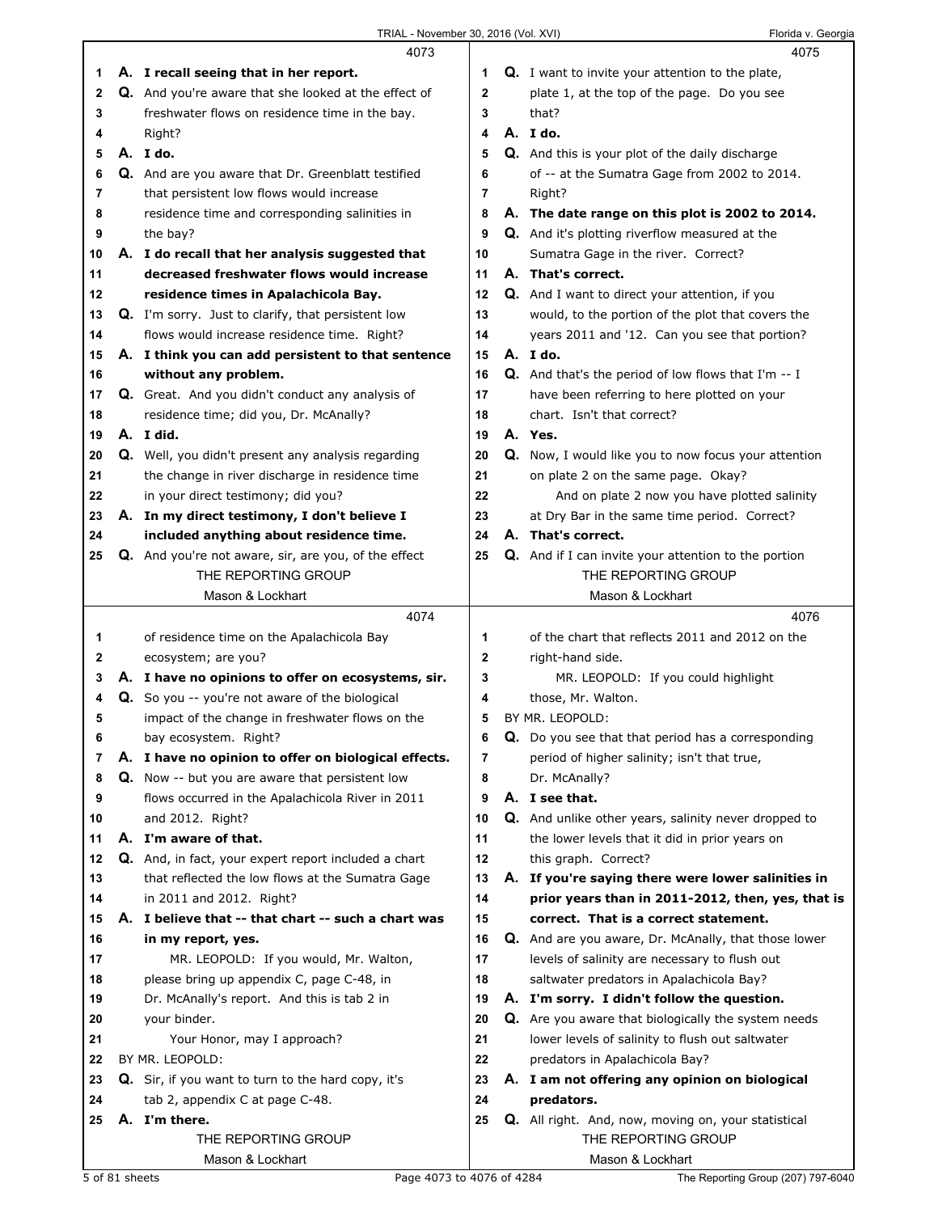|    |                | 4073                                                      |              | 4075                                                        |
|----|----------------|-----------------------------------------------------------|--------------|-------------------------------------------------------------|
| 1. |                | A. I recall seeing that in her report.                    | 1            | <b>Q.</b> I want to invite your attention to the plate,     |
| 2  |                | Q. And you're aware that she looked at the effect of      | $\mathbf 2$  | plate 1, at the top of the page. Do you see                 |
| 3  |                | freshwater flows on residence time in the bay.            | 3            | that?                                                       |
| 4  |                | Right?                                                    | 4            | A.Ido.                                                      |
| 5  |                | A. I do.                                                  | 5            | Q. And this is your plot of the daily discharge             |
| 6  |                | Q. And are you aware that Dr. Greenblatt testified        | 6            | of -- at the Sumatra Gage from 2002 to 2014.                |
| 7  |                | that persistent low flows would increase                  | 7            | Right?                                                      |
| 8  |                | residence time and corresponding salinities in            | 8            | A. The date range on this plot is 2002 to 2014.             |
| 9  |                | the bay?                                                  | 9            | Q. And it's plotting riverflow measured at the              |
| 10 |                | A. I do recall that her analysis suggested that           | 10           | Sumatra Gage in the river. Correct?                         |
| 11 |                | decreased freshwater flows would increase                 | 11           | A. That's correct.                                          |
| 12 |                | residence times in Apalachicola Bay.                      | 12           | Q. And I want to direct your attention, if you              |
| 13 |                | <b>Q.</b> I'm sorry. Just to clarify, that persistent low | 13           | would, to the portion of the plot that covers the           |
| 14 |                | flows would increase residence time. Right?               | 14           | years 2011 and '12. Can you see that portion?               |
| 15 |                | A. I think you can add persistent to that sentence        | 15           | A. Ido.                                                     |
| 16 |                | without any problem.                                      | 16           | <b>Q.</b> And that's the period of low flows that I'm $-1$  |
| 17 |                | Q. Great. And you didn't conduct any analysis of          | 17           | have been referring to here plotted on your                 |
| 18 |                | residence time; did you, Dr. McAnally?                    | 18           | chart. Isn't that correct?                                  |
| 19 |                | A. I did.                                                 | 19           | A. Yes.                                                     |
| 20 |                | <b>Q.</b> Well, you didn't present any analysis regarding | 20           | Q. Now, I would like you to now focus your attention        |
| 21 |                | the change in river discharge in residence time           | 21           | on plate 2 on the same page. Okay?                          |
| 22 |                | in your direct testimony; did you?                        | 22           | And on plate 2 now you have plotted salinity                |
| 23 |                | A. In my direct testimony, I don't believe I              | 23           | at Dry Bar in the same time period. Correct?                |
| 24 |                | included anything about residence time.                   | 24           | A. That's correct.                                          |
| 25 |                | Q. And you're not aware, sir, are you, of the effect      | 25           | <b>Q.</b> And if I can invite your attention to the portion |
|    |                | THE REPORTING GROUP<br>Mason & Lockhart                   |              | THE REPORTING GROUP<br>Mason & Lockhart                     |
|    |                | 4074                                                      |              | 4076                                                        |
| 1  |                | of residence time on the Apalachicola Bay                 | 1            | of the chart that reflects 2011 and 2012 on the             |
| 2  |                | ecosystem; are you?                                       | $\mathbf{2}$ | right-hand side.                                            |
| 3  |                | A. I have no opinions to offer on ecosystems, sir.        | 3            | MR. LEOPOLD: If you could highlight                         |
| 4  |                | Q. So you -- you're not aware of the biological           | 4            | those, Mr. Walton.                                          |
| 5  |                | impact of the change in freshwater flows on the           | 5            | BY MR. LEOPOLD:                                             |
| 6  |                | bay ecosystem. Right?                                     | 6            | Q. Do you see that that period has a corresponding          |
| 7  |                | A. I have no opinion to offer on biological effects.      | 7            | period of higher salinity; isn't that true,                 |
| 8  |                | Q. Now -- but you are aware that persistent low           | 8            | Dr. McAnally?                                               |
| 9  |                | flows occurred in the Apalachicola River in 2011          | 9            | A. I see that.                                              |
| 10 |                | and 2012. Right?                                          | 10           | Q. And unlike other years, salinity never dropped to        |
| 11 |                | A. I'm aware of that.                                     | 11           | the lower levels that it did in prior years on              |
| 12 |                | Q. And, in fact, your expert report included a chart      | 12           | this graph. Correct?                                        |
| 13 |                | that reflected the low flows at the Sumatra Gage          | 13           | A. If you're saying there were lower salinities in          |
| 14 |                | in 2011 and 2012. Right?                                  | 14           | prior years than in 2011-2012, then, yes, that is           |
| 15 |                | A. I believe that -- that chart -- such a chart was       | 15           | correct. That is a correct statement.                       |
| 16 |                | in my report, yes.                                        | 16           | Q. And are you aware, Dr. McAnally, that those lower        |
| 17 |                | MR. LEOPOLD: If you would, Mr. Walton,                    | 17           | levels of salinity are necessary to flush out               |
| 18 |                | please bring up appendix C, page C-48, in                 | 18           | saltwater predators in Apalachicola Bay?                    |
| 19 |                | Dr. McAnally's report. And this is tab 2 in               | 19           | A. I'm sorry. I didn't follow the question.                 |
| 20 |                | your binder.                                              | 20           | Q. Are you aware that biologically the system needs         |
| 21 |                | Your Honor, may I approach?                               | 21           | lower levels of salinity to flush out saltwater             |
| 22 |                | BY MR. LEOPOLD:                                           | 22           | predators in Apalachicola Bay?                              |
| 23 |                | Q. Sir, if you want to turn to the hard copy, it's        | 23           | A. I am not offering any opinion on biological              |
| 24 |                | tab 2, appendix C at page C-48.                           | 24           | predators.                                                  |
| 25 |                | A. I'm there.                                             | 25           | Q. All right. And, now, moving on, your statistical         |
|    |                | THE REPORTING GROUP                                       |              | THE REPORTING GROUP                                         |
|    | 5 of 81 sheets | Mason & Lockhart                                          |              | Mason & Lockhart                                            |
|    |                | Page 4073 to 4076 of 4284                                 |              | The Reporting Group (207) 797-6040                          |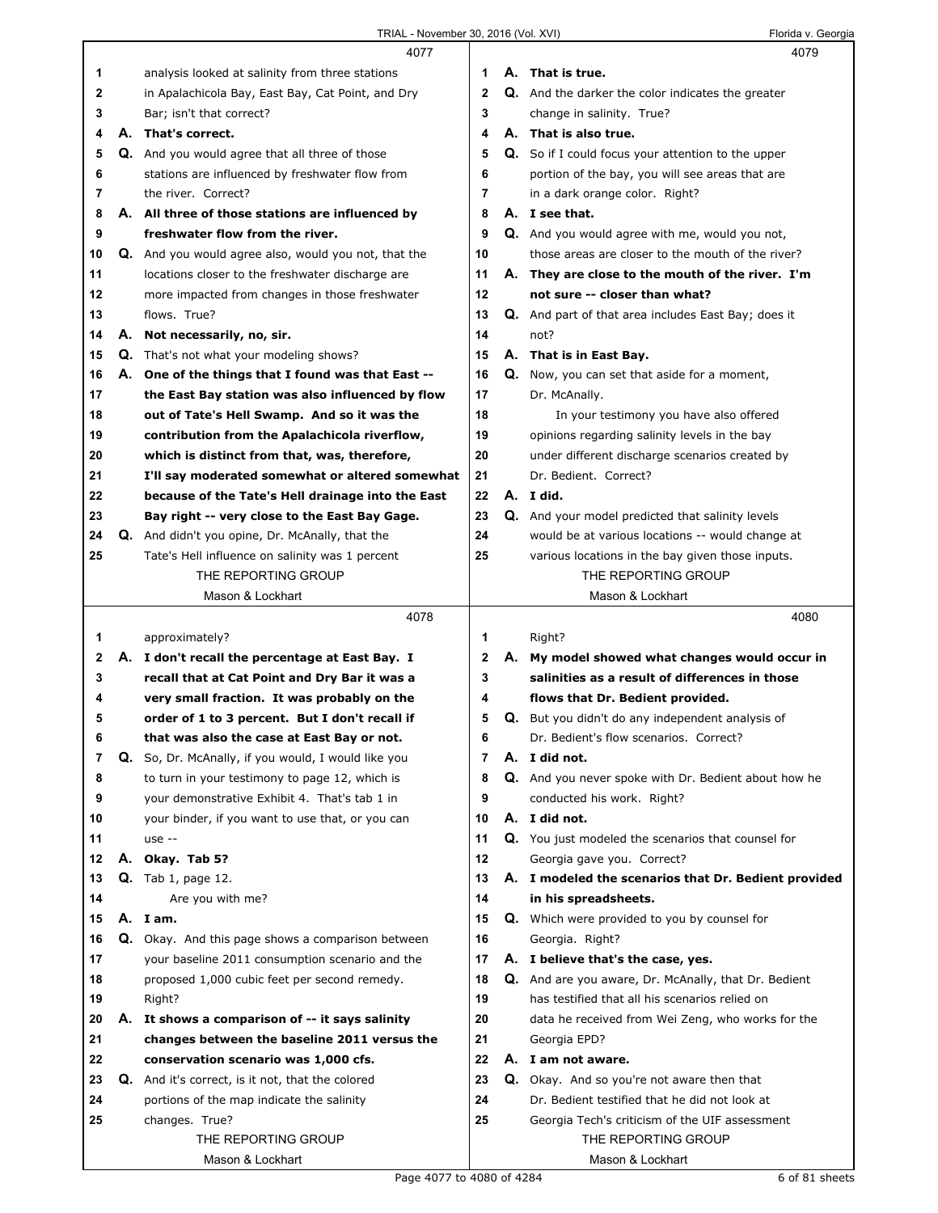|    | 4077                                                    |                | 4079                                                        |
|----|---------------------------------------------------------|----------------|-------------------------------------------------------------|
| 1  | analysis looked at salinity from three stations         | 1              | A. That is true.                                            |
| 2  | in Apalachicola Bay, East Bay, Cat Point, and Dry       | $\mathbf{2}$   | Q. And the darker the color indicates the greater           |
| 3  | Bar; isn't that correct?                                | 3              | change in salinity. True?                                   |
| 4  | A. That's correct.                                      | 4              | A. That is also true.                                       |
| 5  | Q. And you would agree that all three of those          | 5              | <b>Q.</b> So if I could focus your attention to the upper   |
| 6  | stations are influenced by freshwater flow from         | 6              | portion of the bay, you will see areas that are             |
| 7  | the river. Correct?                                     | $\overline{7}$ | in a dark orange color. Right?                              |
| 8  | A. All three of those stations are influenced by        | 8              | A. I see that.                                              |
| 9  | freshwater flow from the river.                         | 9              | Q. And you would agree with me, would you not,              |
| 10 | Q. And you would agree also, would you not, that the    | 10             | those areas are closer to the mouth of the river?           |
| 11 | locations closer to the freshwater discharge are        | 11             | A. They are close to the mouth of the river. I'm            |
| 12 | more impacted from changes in those freshwater          | 12             | not sure -- closer than what?                               |
| 13 | flows. True?                                            | 13             | <b>Q.</b> And part of that area includes East Bay; does it  |
| 14 | A. Not necessarily, no, sir.                            | 14             | not?                                                        |
| 15 | <b>Q.</b> That's not what your modeling shows?          | 15             | A. That is in East Bay.                                     |
| 16 | A. One of the things that I found was that East --      | 16             | Q. Now, you can set that aside for a moment,                |
| 17 | the East Bay station was also influenced by flow        | 17             | Dr. McAnally.                                               |
| 18 | out of Tate's Hell Swamp. And so it was the             | 18             | In your testimony you have also offered                     |
| 19 | contribution from the Apalachicola riverflow,           | 19             | opinions regarding salinity levels in the bay               |
| 20 | which is distinct from that, was, therefore,            | 20             | under different discharge scenarios created by              |
| 21 | I'll say moderated somewhat or altered somewhat         | 21             | Dr. Bedient. Correct?                                       |
| 22 | because of the Tate's Hell drainage into the East       | 22             | A. I did.                                                   |
| 23 | Bay right -- very close to the East Bay Gage.           | 23             | Q. And your model predicted that salinity levels            |
| 24 | Q. And didn't you opine, Dr. McAnally, that the         | 24             | would be at various locations -- would change at            |
| 25 | Tate's Hell influence on salinity was 1 percent         | 25             | various locations in the bay given those inputs.            |
|    | THE REPORTING GROUP                                     |                | THE REPORTING GROUP                                         |
|    | Mason & Lockhart                                        |                | Mason & Lockhart                                            |
|    |                                                         |                |                                                             |
|    |                                                         |                |                                                             |
|    | 4078                                                    |                | 4080                                                        |
| 1  | approximately?                                          | 1              | Right?                                                      |
| 2  | A. I don't recall the percentage at East Bay. I         | 2              | A. My model showed what changes would occur in              |
| 3  | recall that at Cat Point and Dry Bar it was a           | 3              | salinities as a result of differences in those              |
| 4  | very small fraction. It was probably on the             | 4              | flows that Dr. Bedient provided.                            |
| 5  | order of 1 to 3 percent. But I don't recall if          | 5              | Q. But you didn't do any independent analysis of            |
| 6  | that was also the case at East Bay or not.              | 6              | Dr. Bedient's flow scenarios. Correct?                      |
| 7  | Q. So, Dr. McAnally, if you would, I would like you     | $\overline{7}$ | A. I did not.                                               |
| 8  | to turn in your testimony to page 12, which is          | 8              | <b>Q.</b> And you never spoke with Dr. Bedient about how he |
| 9  | your demonstrative Exhibit 4. That's tab 1 in           | 9              | conducted his work. Right?                                  |
| 10 | your binder, if you want to use that, or you can        | 10             | A. I did not.                                               |
| 11 | $use -$                                                 | 11             | Q. You just modeled the scenarios that counsel for          |
| 12 | A. Okay. Tab 5?                                         | 12             | Georgia gave you. Correct?                                  |
| 13 | <b>Q.</b> Tab 1, page 12.                               | 13             | A. I modeled the scenarios that Dr. Bedient provided        |
| 14 | Are you with me?                                        | 14             | in his spreadsheets.                                        |
| 15 | A. I am.                                                | 15             | <b>Q.</b> Which were provided to you by counsel for         |
| 16 | Q. Okay. And this page shows a comparison between       | 16             | Georgia. Right?                                             |
| 17 | your baseline 2011 consumption scenario and the         | 17             | A. I believe that's the case, yes.                          |
| 18 | proposed 1,000 cubic feet per second remedy.            | 18             | Q. And are you aware, Dr. McAnally, that Dr. Bedient        |
| 19 | Right?                                                  | 19             | has testified that all his scenarios relied on              |
| 20 | A. It shows a comparison of -- it says salinity         | 20             | data he received from Wei Zeng, who works for the           |
| 21 | changes between the baseline 2011 versus the            | 21             | Georgia EPD?                                                |
| 22 | conservation scenario was 1,000 cfs.                    | 22             | A. I am not aware.                                          |
| 23 | <b>Q.</b> And it's correct, is it not, that the colored | 23             | <b>Q.</b> Okay. And so you're not aware then that           |
| 24 | portions of the map indicate the salinity               | 24             | Dr. Bedient testified that he did not look at               |
| 25 | changes. True?                                          | 25             | Georgia Tech's criticism of the UIF assessment              |
|    | THE REPORTING GROUP<br>Mason & Lockhart                 |                | THE REPORTING GROUP<br>Mason & Lockhart                     |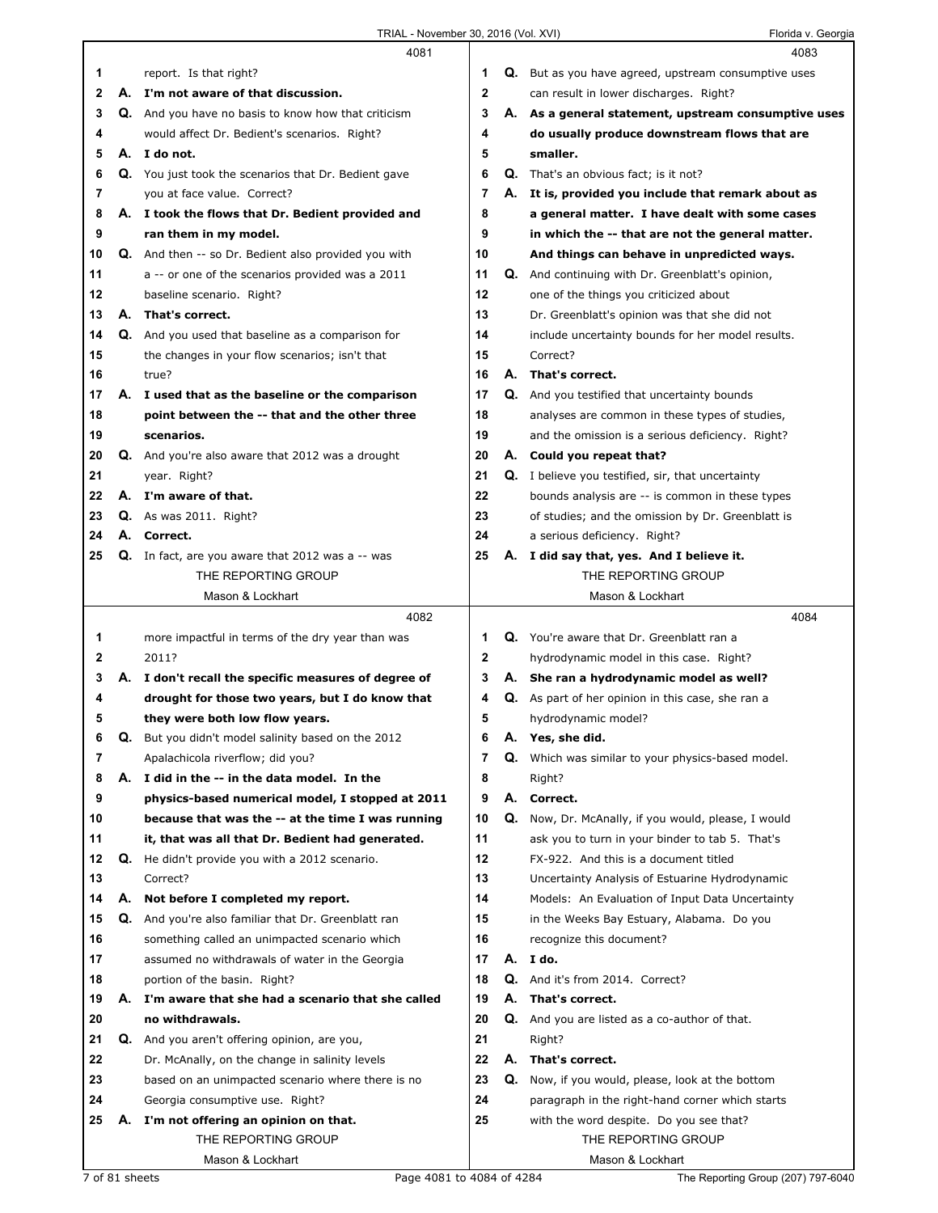|    |    | 4081                                                        |             |    | 4083                                                        |
|----|----|-------------------------------------------------------------|-------------|----|-------------------------------------------------------------|
| 1  |    | report. Is that right?                                      | 1           |    | <b>Q.</b> But as you have agreed, upstream consumptive uses |
| 2  |    | A. I'm not aware of that discussion.                        | 2           |    | can result in lower discharges. Right?                      |
| 3  |    | Q. And you have no basis to know how that criticism         | 3           |    | A. As a general statement, upstream consumptive uses        |
| 4  |    | would affect Dr. Bedient's scenarios. Right?                | 4           |    | do usually produce downstream flows that are                |
| 5  |    | A. I do not.                                                | 5           |    | smaller.                                                    |
| 6  |    | Q. You just took the scenarios that Dr. Bedient gave        | 6           |    | <b>Q.</b> That's an obvious fact; is it not?                |
| 7  |    | you at face value. Correct?                                 | 7           |    | A. It is, provided you include that remark about as         |
| 8  |    | A. I took the flows that Dr. Bedient provided and           | 8           |    | a general matter. I have dealt with some cases              |
| 9  |    | ran them in my model.                                       | 9           |    | in which the -- that are not the general matter.            |
| 10 |    | <b>Q.</b> And then -- so Dr. Bedient also provided you with | 10          |    | And things can behave in unpredicted ways.                  |
| 11 |    | a -- or one of the scenarios provided was a 2011            | 11          |    | Q. And continuing with Dr. Greenblatt's opinion,            |
| 12 |    | baseline scenario. Right?                                   | 12          |    | one of the things you criticized about                      |
| 13 | А. | That's correct.                                             | 13          |    | Dr. Greenblatt's opinion was that she did not               |
| 14 |    | Q. And you used that baseline as a comparison for           | 14          |    | include uncertainty bounds for her model results.           |
| 15 |    | the changes in your flow scenarios; isn't that              | 15          |    | Correct?                                                    |
| 16 |    | true?                                                       | 16          |    | A. That's correct.                                          |
| 17 |    | A. I used that as the baseline or the comparison            | 17          |    | <b>Q.</b> And you testified that uncertainty bounds         |
| 18 |    | point between the -- that and the other three               | 18          |    | analyses are common in these types of studies,              |
| 19 |    | scenarios.                                                  | 19          |    | and the omission is a serious deficiency. Right?            |
| 20 |    | <b>Q.</b> And you're also aware that 2012 was a drought     | 20          |    | A. Could you repeat that?                                   |
| 21 |    | year. Right?                                                | 21          | Q. | I believe you testified, sir, that uncertainty              |
| 22 |    | A. I'm aware of that.                                       | 22          |    | bounds analysis are -- is common in these types             |
| 23 |    | <b>Q.</b> As was 2011. Right?                               | 23          |    | of studies; and the omission by Dr. Greenblatt is           |
| 24 | А. | Correct.                                                    | 24          |    | a serious deficiency. Right?                                |
| 25 |    | <b>Q.</b> In fact, are you aware that 2012 was a $-$ was    | 25          |    | A. I did say that, yes. And I believe it.                   |
|    |    | THE REPORTING GROUP                                         |             |    | THE REPORTING GROUP                                         |
|    |    | Mason & Lockhart                                            |             |    | Mason & Lockhart                                            |
|    |    |                                                             |             |    |                                                             |
|    |    |                                                             |             |    |                                                             |
|    |    | 4082                                                        |             |    | 4084                                                        |
| 1  |    | more impactful in terms of the dry year than was            | 1           |    | Q. You're aware that Dr. Greenblatt ran a                   |
| 2  |    | 2011?                                                       | $\mathbf 2$ |    | hydrodynamic model in this case. Right?                     |
| 3  | А. | I don't recall the specific measures of degree of           | 3           |    | A. She ran a hydrodynamic model as well?                    |
| 4  |    | drought for those two years, but I do know that             | 4           | Q. | As part of her opinion in this case, she ran a              |
| 5  |    | they were both low flow years.                              | 5           |    | hydrodynamic model?                                         |
| 6  | Q. | But you didn't model salinity based on the 2012             | 6           | Α. | Yes, she did.                                               |
| 7  |    | Apalachicola riverflow; did you?                            | 7           | Q. | Which was similar to your physics-based model.              |
| 8  | А. | I did in the -- in the data model. In the                   | 8           |    | Right?                                                      |
| 9  |    | physics-based numerical model, I stopped at 2011            | 9           |    | A. Correct.                                                 |
| 10 |    | because that was the -- at the time I was running           | 10          |    | Q. Now, Dr. McAnally, if you would, please, I would         |
| 11 |    | it, that was all that Dr. Bedient had generated.            | 11          |    | ask you to turn in your binder to tab 5. That's             |
| 12 | Q. | He didn't provide you with a 2012 scenario.                 | 12          |    | FX-922. And this is a document titled                       |
| 13 |    | Correct?                                                    | 13          |    | Uncertainty Analysis of Estuarine Hydrodynamic              |
| 14 | А. | Not before I completed my report.                           | 14          |    | Models: An Evaluation of Input Data Uncertainty             |
| 15 | Q. | And you're also familiar that Dr. Greenblatt ran            | 15          |    | in the Weeks Bay Estuary, Alabama. Do you                   |
| 16 |    | something called an unimpacted scenario which               | 16          |    | recognize this document?                                    |
| 17 |    | assumed no withdrawals of water in the Georgia              | 17          |    | A. I do.                                                    |
| 18 |    | portion of the basin. Right?                                | 18          |    | Q. And it's from 2014. Correct?                             |
| 19 | А. | I'm aware that she had a scenario that she called           | 19          | А. | That's correct.                                             |
| 20 |    | no withdrawals.                                             | 20          | Q. | And you are listed as a co-author of that.                  |
| 21 |    | Q. And you aren't offering opinion, are you,                | 21          |    | Right?                                                      |
| 22 |    | Dr. McAnally, on the change in salinity levels              | 22          | А. | That's correct.                                             |
| 23 |    | based on an unimpacted scenario where there is no           | 23          | Q. | Now, if you would, please, look at the bottom               |
| 24 |    | Georgia consumptive use. Right?                             | 24          |    | paragraph in the right-hand corner which starts             |
| 25 | Α. | I'm not offering an opinion on that.                        | 25          |    | with the word despite. Do you see that?                     |
|    |    | THE REPORTING GROUP<br>Mason & Lockhart                     |             |    | THE REPORTING GROUP<br>Mason & Lockhart                     |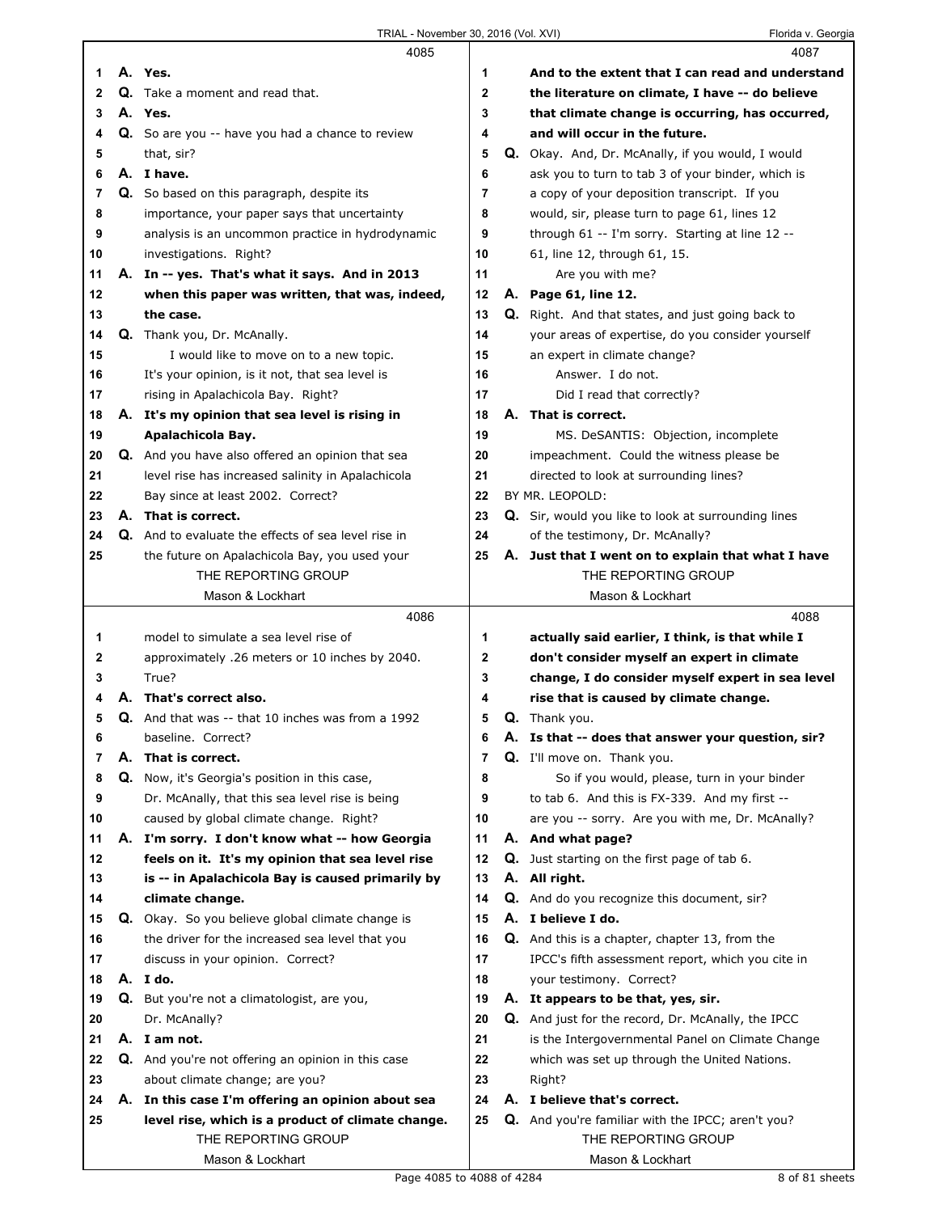|          |    | 4085                                                     |             |    | 4087                                                     |
|----------|----|----------------------------------------------------------|-------------|----|----------------------------------------------------------|
| 1        |    | A. Yes.                                                  | 1           |    | And to the extent that I can read and understand         |
| 2        |    | Q. Take a moment and read that.                          | $\mathbf 2$ |    | the literature on climate, I have -- do believe          |
| 3        |    | A. Yes.                                                  | 3           |    | that climate change is occurring, has occurred,          |
| 4        |    | Q. So are you -- have you had a chance to review         | 4           |    | and will occur in the future.                            |
| 5        |    | that, sir?                                               | 5           |    | Q. Okay. And, Dr. McAnally, if you would, I would        |
| 6        |    | A. I have.                                               | 6           |    | ask you to turn to tab 3 of your binder, which is        |
| 7        |    | Q. So based on this paragraph, despite its               | 7           |    | a copy of your deposition transcript. If you             |
| 8        |    | importance, your paper says that uncertainty             | 8           |    | would, sir, please turn to page 61, lines 12             |
| 9        |    | analysis is an uncommon practice in hydrodynamic         | 9           |    | through 61 -- I'm sorry. Starting at line 12 --          |
| 10       |    | investigations. Right?                                   | 10          |    | 61, line 12, through 61, 15.                             |
| 11       |    | A. In -- yes. That's what it says. And in 2013           | 11          |    | Are you with me?                                         |
| 12       |    | when this paper was written, that was, indeed,           | 12          |    | A. Page 61, line 12.                                     |
| 13       |    | the case.                                                | 13          |    | <b>Q.</b> Right. And that states, and just going back to |
| 14       |    | Q. Thank you, Dr. McAnally.                              | 14          |    | your areas of expertise, do you consider yourself        |
| 15       |    | I would like to move on to a new topic.                  | 15          |    | an expert in climate change?                             |
| 16       |    | It's your opinion, is it not, that sea level is          | 16          |    | Answer. I do not.                                        |
| 17       |    | rising in Apalachicola Bay. Right?                       | 17          |    | Did I read that correctly?                               |
| 18       |    | A. It's my opinion that sea level is rising in           | 18          |    | A. That is correct.                                      |
| 19       |    | Apalachicola Bay.                                        | 19          |    | MS. DeSANTIS: Objection, incomplete                      |
| 20       |    | Q. And you have also offered an opinion that sea         | 20          |    | impeachment. Could the witness please be                 |
| 21       |    | level rise has increased salinity in Apalachicola        | 21          |    | directed to look at surrounding lines?                   |
| 22       |    | Bay since at least 2002. Correct?                        | 22          |    | BY MR. LEOPOLD:                                          |
|          |    | A. That is correct.                                      | 23          |    | Q. Sir, would you like to look at surrounding lines      |
| 23<br>24 |    | Q. And to evaluate the effects of sea level rise in      | 24          |    | of the testimony, Dr. McAnally?                          |
| 25       |    | the future on Apalachicola Bay, you used your            | 25          |    | A. Just that I went on to explain that what I have       |
|          |    | THE REPORTING GROUP                                      |             |    | THE REPORTING GROUP                                      |
|          |    | Mason & Lockhart                                         |             |    | Mason & Lockhart                                         |
|          |    |                                                          |             |    |                                                          |
|          |    |                                                          |             |    |                                                          |
|          |    | 4086                                                     |             |    | 4088                                                     |
| 1        |    | model to simulate a sea level rise of                    | 1           |    | actually said earlier, I think, is that while I          |
| 2        |    | approximately .26 meters or 10 inches by 2040.           | 2           |    | don't consider myself an expert in climate               |
| 3        |    | True?                                                    | 3           |    | change, I do consider myself expert in sea level         |
| 4        |    | A. That's correct also.                                  | 4           |    | rise that is caused by climate change.                   |
| 5        |    | <b>Q.</b> And that was -- that 10 inches was from a 1992 | 5           |    | <b>Q.</b> Thank you.                                     |
| 6        |    | baseline. Correct?                                       | 6           | Α. | Is that -- does that answer your question, sir?          |
| 7        | А. | That is correct.                                         | 7           |    | <b>Q.</b> I'll move on. Thank you.                       |
| 8        |    | Q. Now, it's Georgia's position in this case,            | 8           |    | So if you would, please, turn in your binder             |
| 9        |    | Dr. McAnally, that this sea level rise is being          | 9           |    | to tab 6. And this is FX-339. And my first --            |
| 10       |    | caused by global climate change. Right?                  | 10          |    | are you -- sorry. Are you with me, Dr. McAnally?         |
| 11       |    | A. I'm sorry. I don't know what -- how Georgia           | 11          |    | A. And what page?                                        |
| 12       |    | feels on it. It's my opinion that sea level rise         | 12          |    | <b>Q.</b> Just starting on the first page of tab 6.      |
| 13       |    | is -- in Apalachicola Bay is caused primarily by         | 13          |    | A. All right.                                            |
| 14       |    | climate change.                                          | 14          |    | Q. And do you recognize this document, sir?              |
| 15       |    | Q. Okay. So you believe global climate change is         | 15          |    | A. I believe I do.                                       |
| 16       |    | the driver for the increased sea level that you          | 16          |    | <b>Q.</b> And this is a chapter, chapter 13, from the    |
| 17       |    | discuss in your opinion. Correct?                        | 17          |    | IPCC's fifth assessment report, which you cite in        |
| 18       |    | A. I do.                                                 | 18          |    | your testimony. Correct?                                 |
| 19       |    | Q. But you're not a climatologist, are you,              | 19          |    | A. It appears to be that, yes, sir.                      |
| 20       |    | Dr. McAnally?                                            | 20          |    | Q. And just for the record, Dr. McAnally, the IPCC       |
| 21       |    | A. I am not.                                             | 21          |    | is the Intergovernmental Panel on Climate Change         |
| 22       |    | Q. And you're not offering an opinion in this case       | 22          |    | which was set up through the United Nations.             |
| 23       |    | about climate change; are you?                           | 23          |    | Right?                                                   |
| 24       |    | A. In this case I'm offering an opinion about sea        | 24          |    | A. I believe that's correct.                             |
| 25       |    | level rise, which is a product of climate change.        | 25          |    | Q. And you're familiar with the IPCC; aren't you?        |
|          |    | THE REPORTING GROUP<br>Mason & Lockhart                  |             |    | THE REPORTING GROUP<br>Mason & Lockhart                  |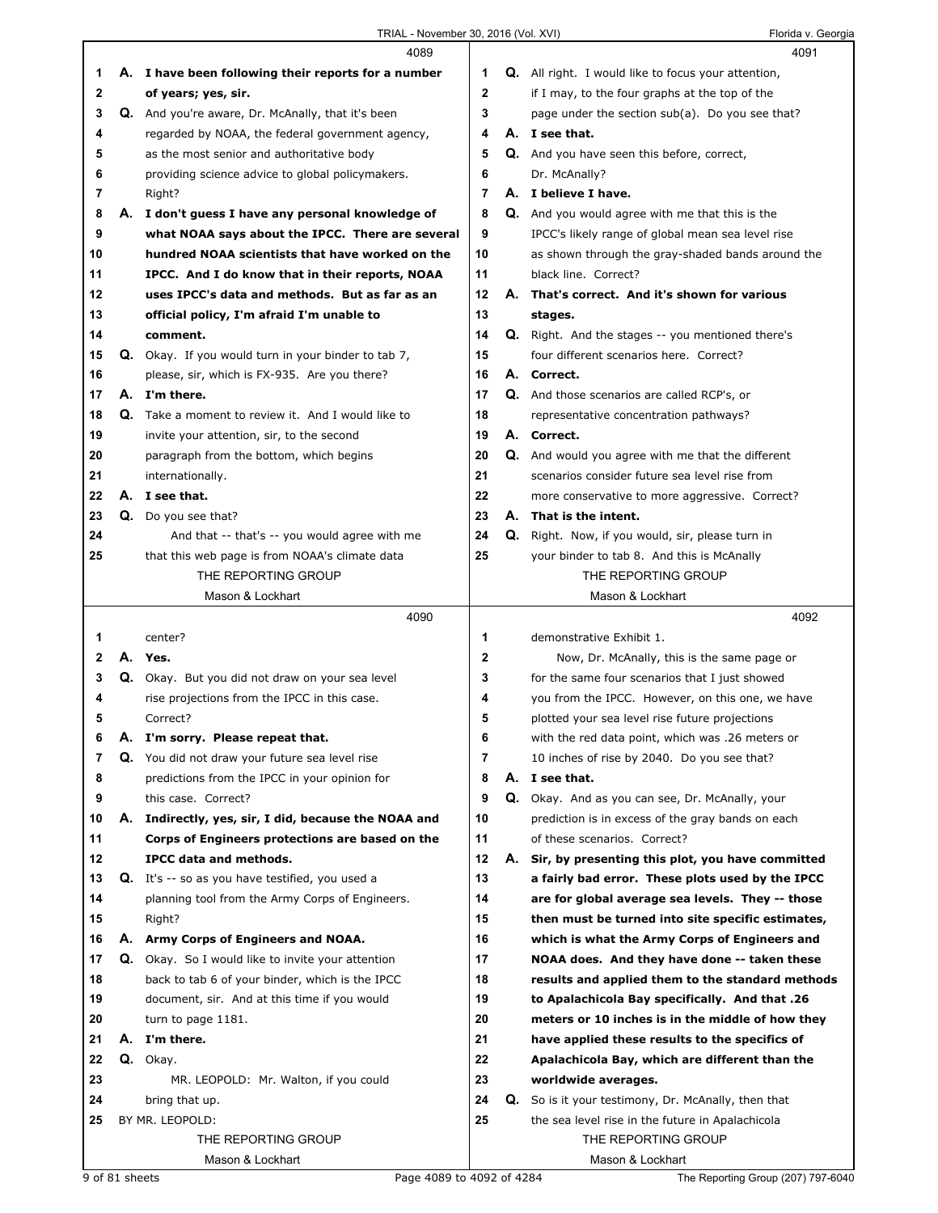|              |    | 4089                                                       |             |    | 4091                                                       |
|--------------|----|------------------------------------------------------------|-------------|----|------------------------------------------------------------|
| 1            |    | A. I have been following their reports for a number        | 1           |    | <b>Q.</b> All right. I would like to focus your attention, |
| 2            |    | of years; yes, sir.                                        | $\mathbf 2$ |    | if I may, to the four graphs at the top of the             |
| 3            |    | Q. And you're aware, Dr. McAnally, that it's been          | 3           |    | page under the section sub(a). Do you see that?            |
| 4            |    | regarded by NOAA, the federal government agency,           | 4           |    | A. I see that.                                             |
| 5            |    | as the most senior and authoritative body                  | 5           |    | Q. And you have seen this before, correct,                 |
| 6            |    | providing science advice to global policymakers.           | 6           |    | Dr. McAnally?                                              |
| 7            |    | Right?                                                     | 7           |    | A. I believe I have.                                       |
| 8            | А. | I don't guess I have any personal knowledge of             | 8           |    | Q. And you would agree with me that this is the            |
| 9            |    | what NOAA says about the IPCC. There are several           | 9           |    | IPCC's likely range of global mean sea level rise          |
| 10           |    | hundred NOAA scientists that have worked on the            | 10          |    | as shown through the gray-shaded bands around the          |
| 11           |    | IPCC. And I do know that in their reports, NOAA            | 11          |    | black line. Correct?                                       |
| 12           |    | uses IPCC's data and methods. But as far as an             | 12          |    | A. That's correct. And it's shown for various              |
| 13           |    | official policy, I'm afraid I'm unable to                  | 13          |    | stages.                                                    |
| 14           |    | comment.                                                   | 14          |    | Q. Right. And the stages -- you mentioned there's          |
| 15           |    | <b>Q.</b> Okay. If you would turn in your binder to tab 7, | 15          |    | four different scenarios here. Correct?                    |
| 16           |    | please, sir, which is FX-935. Are you there?               | 16          |    | A. Correct.                                                |
| 17           |    | A. I'm there.                                              | 17          |    | <b>Q.</b> And those scenarios are called RCP's, or         |
| 18           | Q. | Take a moment to review it. And I would like to            | 18          |    | representative concentration pathways?                     |
| 19           |    | invite your attention, sir, to the second                  | 19          |    | A. Correct.                                                |
| 20           |    | paragraph from the bottom, which begins                    | 20          |    | Q. And would you agree with me that the different          |
| 21           |    | internationally.                                           | 21          |    | scenarios consider future sea level rise from              |
| 22           |    | A. I see that.                                             | 22          |    | more conservative to more aggressive. Correct?             |
| 23           |    | Q. Do you see that?                                        | 23          |    | A. That is the intent.                                     |
| 24           |    | And that -- that's -- you would agree with me              | 24          |    | Q. Right. Now, if you would, sir, please turn in           |
| 25           |    | that this web page is from NOAA's climate data             | 25          |    | your binder to tab 8. And this is McAnally                 |
|              |    | THE REPORTING GROUP                                        |             |    | THE REPORTING GROUP                                        |
|              |    | Mason & Lockhart                                           |             |    | Mason & Lockhart                                           |
|              |    |                                                            |             |    |                                                            |
|              |    | 4090                                                       |             |    | 4092                                                       |
| 1            |    | center?                                                    | 1           |    | demonstrative Exhibit 1.                                   |
| $\mathbf{2}$ |    | A. Yes.                                                    | $\mathbf 2$ |    | Now, Dr. McAnally, this is the same page or                |
| 3            |    | Q. Okay. But you did not draw on your sea level            | 3           |    | for the same four scenarios that I just showed             |
| 4            |    | rise projections from the IPCC in this case.               | 4           |    | you from the IPCC. However, on this one, we have           |
| 5            |    | Correct?                                                   | 5           |    | plotted your sea level rise future projections             |
| 6            | Α. | I'm sorry. Please repeat that.                             | 6           |    | with the red data point, which was .26 meters or           |
| 7            | Q. | You did not draw your future sea level rise                | 7           |    | 10 inches of rise by 2040. Do you see that?                |
| 8            |    | predictions from the IPCC in your opinion for              | 8           |    | A. I see that.                                             |
| 9            |    | this case. Correct?                                        | 9           | Q. | Okay. And as you can see, Dr. McAnally, your               |
| 10           |    | A. Indirectly, yes, sir, I did, because the NOAA and       | 10          |    | prediction is in excess of the gray bands on each          |
| 11           |    | Corps of Engineers protections are based on the            | 11          |    | of these scenarios. Correct?                               |
| 12           |    | IPCC data and methods.                                     | 12          | А. | Sir, by presenting this plot, you have committed           |
| 13           |    | Q. It's -- so as you have testified, you used a            | 13          |    | a fairly bad error. These plots used by the IPCC           |
| 14           |    | planning tool from the Army Corps of Engineers.            | 14          |    | are for global average sea levels. They -- those           |
| 15           |    | Right?                                                     | 15          |    | then must be turned into site specific estimates,          |
| 16           |    | A. Army Corps of Engineers and NOAA.                       | 16          |    | which is what the Army Corps of Engineers and              |
| 17           |    | <b>Q.</b> Okay. So I would like to invite your attention   | 17          |    | NOAA does. And they have done -- taken these               |
| 18           |    | back to tab 6 of your binder, which is the IPCC            | 18          |    | results and applied them to the standard methods           |
| 19           |    | document, sir. And at this time if you would               | 19          |    | to Apalachicola Bay specifically. And that .26             |
| 20           |    | turn to page 1181.                                         | 20          |    | meters or 10 inches is in the middle of how they           |
| 21           |    | A. I'm there.                                              | 21          |    | have applied these results to the specifics of             |
| 22           |    | Q. Okay.                                                   | 22          |    | Apalachicola Bay, which are different than the             |
| 23           |    | MR. LEOPOLD: Mr. Walton, if you could                      | 23          |    | worldwide averages.                                        |
| 24           |    | bring that up.                                             | 24          |    | Q. So is it your testimony, Dr. McAnally, then that        |
| 25           |    | BY MR. LEOPOLD:                                            | 25          |    | the sea level rise in the future in Apalachicola           |
|              |    | THE REPORTING GROUP<br>Mason & Lockhart                    |             |    | THE REPORTING GROUP<br>Mason & Lockhart                    |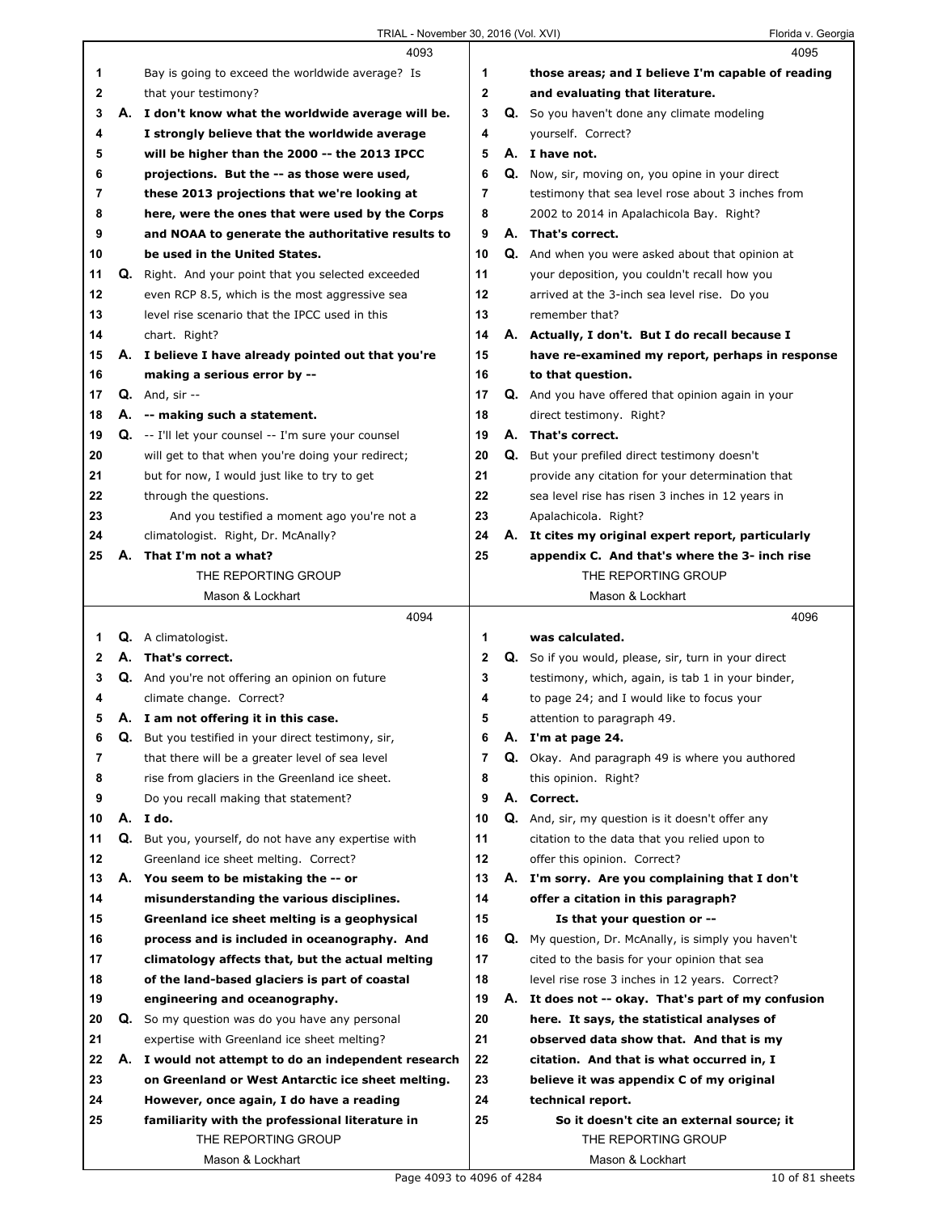|    |    | 4093                                                                           |              |    | 4095                                                 |
|----|----|--------------------------------------------------------------------------------|--------------|----|------------------------------------------------------|
| 1  |    | Bay is going to exceed the worldwide average? Is                               | 1            |    | those areas; and I believe I'm capable of reading    |
| 2  |    | that your testimony?                                                           | $\mathbf{2}$ |    | and evaluating that literature.                      |
| 3  |    | A. I don't know what the worldwide average will be.                            | 3            |    | Q. So you haven't done any climate modeling          |
| 4  |    | I strongly believe that the worldwide average                                  | 4            |    | yourself. Correct?                                   |
| 5  |    | will be higher than the 2000 -- the 2013 IPCC                                  | 5            |    | A. I have not.                                       |
| 6  |    | projections. But the -- as those were used,                                    | 6            |    | Q. Now, sir, moving on, you opine in your direct     |
| 7  |    | these 2013 projections that we're looking at                                   | 7            |    | testimony that sea level rose about 3 inches from    |
| 8  |    | here, were the ones that were used by the Corps                                | 8            |    | 2002 to 2014 in Apalachicola Bay. Right?             |
| 9  |    | and NOAA to generate the authoritative results to                              | 9            |    | A. That's correct.                                   |
| 10 |    | be used in the United States.                                                  | 10           |    | Q. And when you were asked about that opinion at     |
| 11 |    | Q. Right. And your point that you selected exceeded                            | 11           |    | your deposition, you couldn't recall how you         |
| 12 |    | even RCP 8.5, which is the most aggressive sea                                 | 12           |    | arrived at the 3-inch sea level rise. Do you         |
| 13 |    | level rise scenario that the IPCC used in this                                 | 13           |    | remember that?                                       |
| 14 |    |                                                                                | 14           |    |                                                      |
|    |    | chart. Right?                                                                  |              |    | A. Actually, I don't. But I do recall because I      |
| 15 |    | A. I believe I have already pointed out that you're                            | 15           |    | have re-examined my report, perhaps in response      |
| 16 |    | making a serious error by --                                                   | 16           |    | to that question.                                    |
| 17 |    | $Q.$ And, sir $-$                                                              | 17           |    | Q. And you have offered that opinion again in your   |
| 18 |    | A. -- making such a statement.                                                 | 18           |    | direct testimony. Right?                             |
| 19 |    | $Q.$ -- I'll let your counsel -- I'm sure your counsel                         | 19           |    | A. That's correct.                                   |
| 20 |    | will get to that when you're doing your redirect;                              | 20           |    | Q. But your prefiled direct testimony doesn't        |
| 21 |    | but for now, I would just like to try to get                                   | 21           |    | provide any citation for your determination that     |
| 22 |    | through the questions.                                                         | 22           |    | sea level rise has risen 3 inches in 12 years in     |
| 23 |    | And you testified a moment ago you're not a                                    | 23           |    | Apalachicola. Right?                                 |
| 24 |    | climatologist. Right, Dr. McAnally?                                            | 24           |    | A. It cites my original expert report, particularly  |
| 25 | А. | That I'm not a what?                                                           | 25           |    | appendix C. And that's where the 3- inch rise        |
|    |    | THE REPORTING GROUP                                                            |              |    | THE REPORTING GROUP                                  |
|    |    | Mason & Lockhart                                                               |              |    | Mason & Lockhart                                     |
|    |    |                                                                                |              |    |                                                      |
|    |    | 4094                                                                           |              |    | 4096                                                 |
| 1  |    | Q. A climatologist.                                                            | 1            |    | was calculated.                                      |
| 2  |    | A. That's correct.                                                             | 2            |    | Q. So if you would, please, sir, turn in your direct |
| 3  |    | Q. And you're not offering an opinion on future                                | 3            |    | testimony, which, again, is tab 1 in your binder,    |
| 4  |    | climate change. Correct?                                                       | 4            |    | to page 24; and I would like to focus your           |
| 5  |    | A. I am not offering it in this case.                                          | 5            |    | attention to paragraph 49.                           |
| 6  | Q. | But you testified in your direct testimony, sir,                               | 6            | Α. | I'm at page 24.                                      |
| 7  |    | that there will be a greater level of sea level                                | 7            |    | Q. Okay. And paragraph 49 is where you authored      |
| 8  |    | rise from glaciers in the Greenland ice sheet.                                 | 8            |    | this opinion. Right?                                 |
| 9  |    | Do you recall making that statement?                                           | 9            |    | A. Correct.                                          |
| 10 |    | A. I do.                                                                       | 10           |    | Q. And, sir, my question is it doesn't offer any     |
| 11 |    | Q. But you, yourself, do not have any expertise with                           | 11           |    | citation to the data that you relied upon to         |
| 12 |    | Greenland ice sheet melting. Correct?                                          | 12           |    | offer this opinion. Correct?                         |
| 13 |    | A. You seem to be mistaking the -- or                                          | 13           |    | A. I'm sorry. Are you complaining that I don't       |
| 14 |    | misunderstanding the various disciplines.                                      | 14           |    | offer a citation in this paragraph?                  |
| 15 |    | Greenland ice sheet melting is a geophysical                                   | 15           |    | Is that your question or --                          |
| 16 |    | process and is included in oceanography. And                                   | 16           |    | Q. My question, Dr. McAnally, is simply you haven't  |
| 17 |    | climatology affects that, but the actual melting                               | 17           |    | cited to the basis for your opinion that sea         |
| 18 |    |                                                                                | 18           |    | level rise rose 3 inches in 12 years. Correct?       |
| 19 |    | of the land-based glaciers is part of coastal<br>engineering and oceanography. | 19           |    | A. It does not -- okay. That's part of my confusion  |
| 20 |    | <b>Q.</b> So my question was do you have any personal                          | 20           |    | here. It says, the statistical analyses of           |
| 21 |    |                                                                                | 21           |    |                                                      |
| 22 | А. | expertise with Greenland ice sheet melting?                                    | 22           |    | observed data show that. And that is my              |
|    |    | I would not attempt to do an independent research                              |              |    | citation. And that is what occurred in, I            |
| 23 |    | on Greenland or West Antarctic ice sheet melting.                              | 23           |    | believe it was appendix C of my original             |
| 24 |    | However, once again, I do have a reading                                       | 24           |    | technical report.                                    |
| 25 |    | familiarity with the professional literature in                                | 25           |    | So it doesn't cite an external source; it            |
|    |    | THE REPORTING GROUP<br>Mason & Lockhart                                        |              |    | THE REPORTING GROUP<br>Mason & Lockhart              |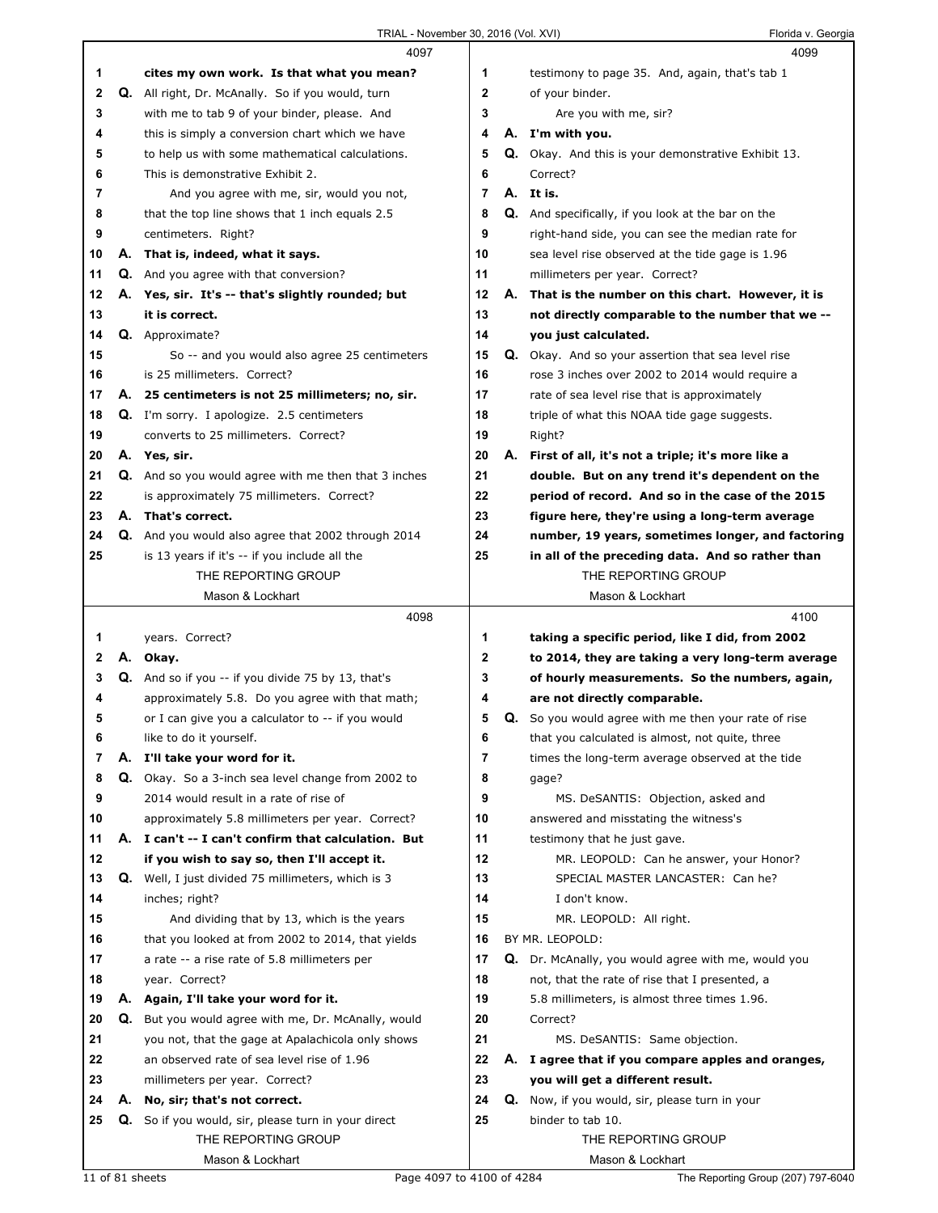|              |    | 4097                                                       |                |    | 4099                                                       |
|--------------|----|------------------------------------------------------------|----------------|----|------------------------------------------------------------|
| 1            |    | cites my own work. Is that what you mean?                  | 1              |    | testimony to page 35. And, again, that's tab 1             |
| $\mathbf{2}$ | Q. | All right, Dr. McAnally. So if you would, turn             | $\mathbf{2}$   |    | of your binder.                                            |
| 3            |    | with me to tab 9 of your binder, please. And               | 3              |    | Are you with me, sir?                                      |
| 4            |    | this is simply a conversion chart which we have            | 4              |    | A. I'm with you.                                           |
| 5            |    | to help us with some mathematical calculations.            | 5              |    | <b>Q.</b> Okay. And this is your demonstrative Exhibit 13. |
| 6            |    | This is demonstrative Exhibit 2.                           | 6              |    | Correct?                                                   |
| 7            |    | And you agree with me, sir, would you not,                 | $\overline{7}$ |    | A. It is.                                                  |
| 8            |    | that the top line shows that 1 inch equals 2.5             | 8              |    | Q. And specifically, if you look at the bar on the         |
| 9            |    | centimeters. Right?                                        | 9              |    | right-hand side, you can see the median rate for           |
| 10           | А. | That is, indeed, what it says.                             | 10             |    | sea level rise observed at the tide gage is 1.96           |
| 11           |    | <b>Q.</b> And you agree with that conversion?              | 11             |    | millimeters per year. Correct?                             |
| 12           |    | A. Yes, sir. It's -- that's slightly rounded; but          | $12 \,$        |    | A. That is the number on this chart. However, it is        |
| 13           |    | it is correct.                                             | 13             |    | not directly comparable to the number that we --           |
| 14           |    | Q. Approximate?                                            | 14             |    | you just calculated.                                       |
| 15           |    | So -- and you would also agree 25 centimeters              | 15             |    | <b>Q.</b> Okay. And so your assertion that sea level rise  |
| 16           |    | is 25 millimeters. Correct?                                | 16             |    | rose 3 inches over 2002 to 2014 would require a            |
| 17           |    | A. 25 centimeters is not 25 millimeters; no, sir.          | 17             |    | rate of sea level rise that is approximately               |
| 18           |    | <b>Q.</b> I'm sorry. I apologize. 2.5 centimeters          | 18             |    | triple of what this NOAA tide gage suggests.               |
| 19           |    | converts to 25 millimeters. Correct?                       | 19             |    | Right?                                                     |
| 20           |    | A. Yes, sir.                                               | 20             |    | A. First of all, it's not a triple; it's more like a       |
| 21           |    | Q. And so you would agree with me then that 3 inches       | 21             |    | double. But on any trend it's dependent on the             |
| 22           |    | is approximately 75 millimeters. Correct?                  | 22             |    | period of record. And so in the case of the 2015           |
| 23           |    | A. That's correct.                                         | 23             |    | figure here, they're using a long-term average             |
| 24           |    | Q. And you would also agree that 2002 through 2014         | 24             |    | number, 19 years, sometimes longer, and factoring          |
| 25           |    | is 13 years if it's -- if you include all the              | 25             |    | in all of the preceding data. And so rather than           |
|              |    | THE REPORTING GROUP                                        |                |    | THE REPORTING GROUP                                        |
|              |    | Mason & Lockhart                                           |                |    | Mason & Lockhart                                           |
|              |    |                                                            |                |    |                                                            |
|              |    | 4098                                                       |                |    | 4100                                                       |
| 1            |    | years. Correct?                                            | 1              |    | taking a specific period, like I did, from 2002            |
| $\mathbf{2}$ |    | A. Okay.                                                   | $\mathbf{2}$   |    | to 2014, they are taking a very long-term average          |
| 3            |    | Q. And so if you -- if you divide 75 by 13, that's         | 3              |    | of hourly measurements. So the numbers, again,             |
| 4            |    | approximately 5.8. Do you agree with that math;            | 4              |    | are not directly comparable.                               |
| 5            |    | or I can give you a calculator to -- if you would          | 5              |    | Q. So you would agree with me then your rate of rise       |
| 6            |    | like to do it yourself.                                    | 6              |    | that you calculated is almost, not quite, three            |
| 7            | А. | I'll take your word for it.                                | 7              |    | times the long-term average observed at the tide           |
| 8            |    | <b>Q.</b> Okay. So a 3-inch sea level change from 2002 to  | 8              |    | qaqe?                                                      |
| 9            |    | 2014 would result in a rate of rise of                     | 9              |    | MS. DeSANTIS: Objection, asked and                         |
| 10           |    | approximately 5.8 millimeters per year. Correct?           | 10             |    | answered and misstating the witness's                      |
| 11           |    | A. I can't -- I can't confirm that calculation. But        | 11             |    | testimony that he just gave.                               |
| 12           |    | if you wish to say so, then I'll accept it.                | 12             |    | MR. LEOPOLD: Can he answer, your Honor?                    |
| 13           |    | Q. Well, I just divided 75 millimeters, which is 3         | 13             |    | SPECIAL MASTER LANCASTER: Can he?                          |
| 14           |    | inches; right?                                             | 14             |    | I don't know.                                              |
| 15           |    | And dividing that by 13, which is the years                | 15             |    | MR. LEOPOLD: All right.                                    |
| 16           |    | that you looked at from 2002 to 2014, that yields          | 16             |    | BY MR. LEOPOLD:                                            |
| 17           |    | a rate -- a rise rate of 5.8 millimeters per               | 17             |    | Q. Dr. McAnally, you would agree with me, would you        |
| 18           |    | year. Correct?                                             | 18             |    | not, that the rate of rise that I presented, a             |
| 19           |    | A. Again, I'll take your word for it.                      | 19             |    | 5.8 millimeters, is almost three times 1.96.               |
| 20           |    | <b>Q.</b> But you would agree with me, Dr. McAnally, would | 20             |    | Correct?                                                   |
| 21           |    | you not, that the gage at Apalachicola only shows          | 21             |    | MS. DeSANTIS: Same objection.                              |
| 22           |    | an observed rate of sea level rise of 1.96                 | 22             |    | A. I agree that if you compare apples and oranges,         |
| 23           |    | millimeters per year. Correct?                             | 23             |    | you will get a different result.                           |
| 24           |    | A. No, sir; that's not correct.                            | 24             | Q. | Now, if you would, sir, please turn in your                |
| 25           |    | Q. So if you would, sir, please turn in your direct        | 25             |    | binder to tab 10.                                          |
|              |    | THE REPORTING GROUP                                        |                |    | THE REPORTING GROUP                                        |

11 of 81 sheets Page 4097 to 4100 of 4284 The Reporting Group (207) 797-6040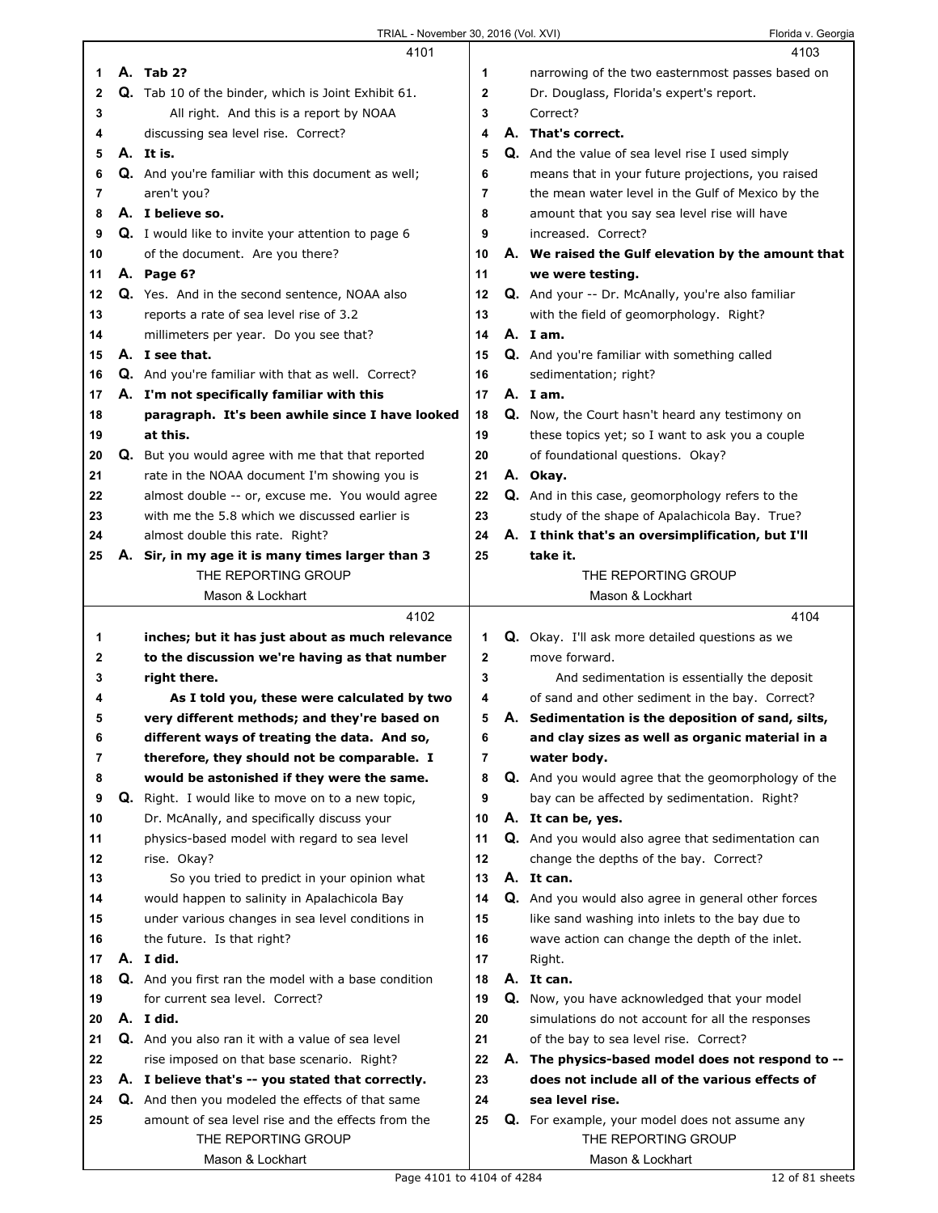|    |    | 4101                                                      |                | 4103                                                    |
|----|----|-----------------------------------------------------------|----------------|---------------------------------------------------------|
| 1  |    | A. Tab 2?                                                 | 1              | narrowing of the two easternmost passes based on        |
| 2  |    | Q. Tab 10 of the binder, which is Joint Exhibit 61.       | 2              | Dr. Douglass, Florida's expert's report.                |
| 3  |    | All right. And this is a report by NOAA                   | 3              | Correct?                                                |
| 4  |    | discussing sea level rise. Correct?                       | 4              | A. That's correct.                                      |
| 5  |    | A. It is.                                                 | 5              | Q. And the value of sea level rise I used simply        |
| 6  |    | <b>Q.</b> And you're familiar with this document as well; | 6              | means that in your future projections, you raised       |
| 7  |    | aren't you?                                               | $\overline{7}$ | the mean water level in the Gulf of Mexico by the       |
| 8  |    | A. I believe so.                                          | 8              | amount that you say sea level rise will have            |
| 9  |    | <b>Q.</b> I would like to invite your attention to page 6 | 9              | increased. Correct?                                     |
| 10 |    | of the document. Are you there?                           | 10             | A. We raised the Gulf elevation by the amount that      |
| 11 |    | A. Page 6?                                                | 11             | we were testing.                                        |
| 12 |    | Q. Yes. And in the second sentence, NOAA also             | 12             | Q. And your -- Dr. McAnally, you're also familiar       |
| 13 |    | reports a rate of sea level rise of 3.2                   | 13             | with the field of geomorphology. Right?                 |
| 14 |    | millimeters per year. Do you see that?                    | 14             | A. Iam.                                                 |
| 15 |    | A. I see that.                                            | 15             | Q. And you're familiar with something called            |
| 16 |    | Q. And you're familiar with that as well. Correct?        | 16             | sedimentation; right?                                   |
| 17 |    | A. I'm not specifically familiar with this                | 17             | A. Iam.                                                 |
| 18 |    | paragraph. It's been awhile since I have looked           | 18             | Q. Now, the Court hasn't heard any testimony on         |
| 19 |    | at this.                                                  | 19             | these topics yet; so I want to ask you a couple         |
| 20 |    | Q. But you would agree with me that that reported         | 20             | of foundational questions. Okay?                        |
| 21 |    | rate in the NOAA document I'm showing you is              | 21             | A. Okay.                                                |
| 22 |    | almost double -- or, excuse me. You would agree           | 22             | <b>Q.</b> And in this case, geomorphology refers to the |
| 23 |    | with me the 5.8 which we discussed earlier is             | 23             | study of the shape of Apalachicola Bay. True?           |
| 24 |    | almost double this rate. Right?                           | 24             | A. I think that's an oversimplification, but I'll       |
| 25 | Α. | Sir, in my age it is many times larger than 3             | 25             | take it.                                                |
|    |    | THE REPORTING GROUP                                       |                | THE REPORTING GROUP                                     |
|    |    | Mason & Lockhart                                          |                | Mason & Lockhart                                        |
|    |    | 4102                                                      |                | 4104                                                    |
|    |    |                                                           |                |                                                         |
| 1  |    | inches; but it has just about as much relevance           | 1              | Q. Okay. I'll ask more detailed questions as we         |
| 2  |    | to the discussion we're having as that number             | 2              | move forward.                                           |
| 3  |    | right there.                                              | 3              | And sedimentation is essentially the deposit            |
| 4  |    | As I told you, these were calculated by two               | 4              | of sand and other sediment in the bay. Correct?         |
| 5  |    | very different methods; and they're based on              | 5              | A. Sedimentation is the deposition of sand, silts,      |
| 6  |    | different ways of treating the data. And so,              | 6              | and clay sizes as well as organic material in a         |
| 7  |    | therefore, they should not be comparable. I               | 7              | water body.                                             |
| 8  |    | would be astonished if they were the same.                | 8              | Q. And you would agree that the geomorphology of the    |
| 9  | Q. | Right. I would like to move on to a new topic,            | 9              | bay can be affected by sedimentation. Right?            |
| 10 |    | Dr. McAnally, and specifically discuss your               | 10             | A. It can be, yes.                                      |
| 11 |    | physics-based model with regard to sea level              | 11             | Q. And you would also agree that sedimentation can      |
| 12 |    | rise. Okay?                                               | 12             | change the depths of the bay. Correct?                  |
| 13 |    | So you tried to predict in your opinion what              | 13             | A. It can.                                              |
| 14 |    | would happen to salinity in Apalachicola Bay              | 14             | Q. And you would also agree in general other forces     |
| 15 |    | under various changes in sea level conditions in          | 15             | like sand washing into inlets to the bay due to         |
| 16 |    | the future. Is that right?                                | 16             | wave action can change the depth of the inlet.          |
| 17 |    | A. I did.                                                 | 17             | Right.                                                  |
| 18 |    | Q. And you first ran the model with a base condition      | 18             | A. It can.                                              |
| 19 |    | for current sea level. Correct?                           | 19             | Q. Now, you have acknowledged that your model           |
| 20 |    | A. I did.                                                 | 20             | simulations do not account for all the responses        |
| 21 |    | Q. And you also ran it with a value of sea level          | 21             | of the bay to sea level rise. Correct?                  |
| 22 |    | rise imposed on that base scenario. Right?                | 22             | A. The physics-based model does not respond to --       |
| 23 |    | A. I believe that's -- you stated that correctly.         | 23             | does not include all of the various effects of          |
| 24 |    | Q. And then you modeled the effects of that same          | 24             | sea level rise.                                         |
| 25 |    | amount of sea level rise and the effects from the         | 25             | Q. For example, your model does not assume any          |
|    |    | THE REPORTING GROUP<br>Mason & Lockhart                   |                | THE REPORTING GROUP<br>Mason & Lockhart                 |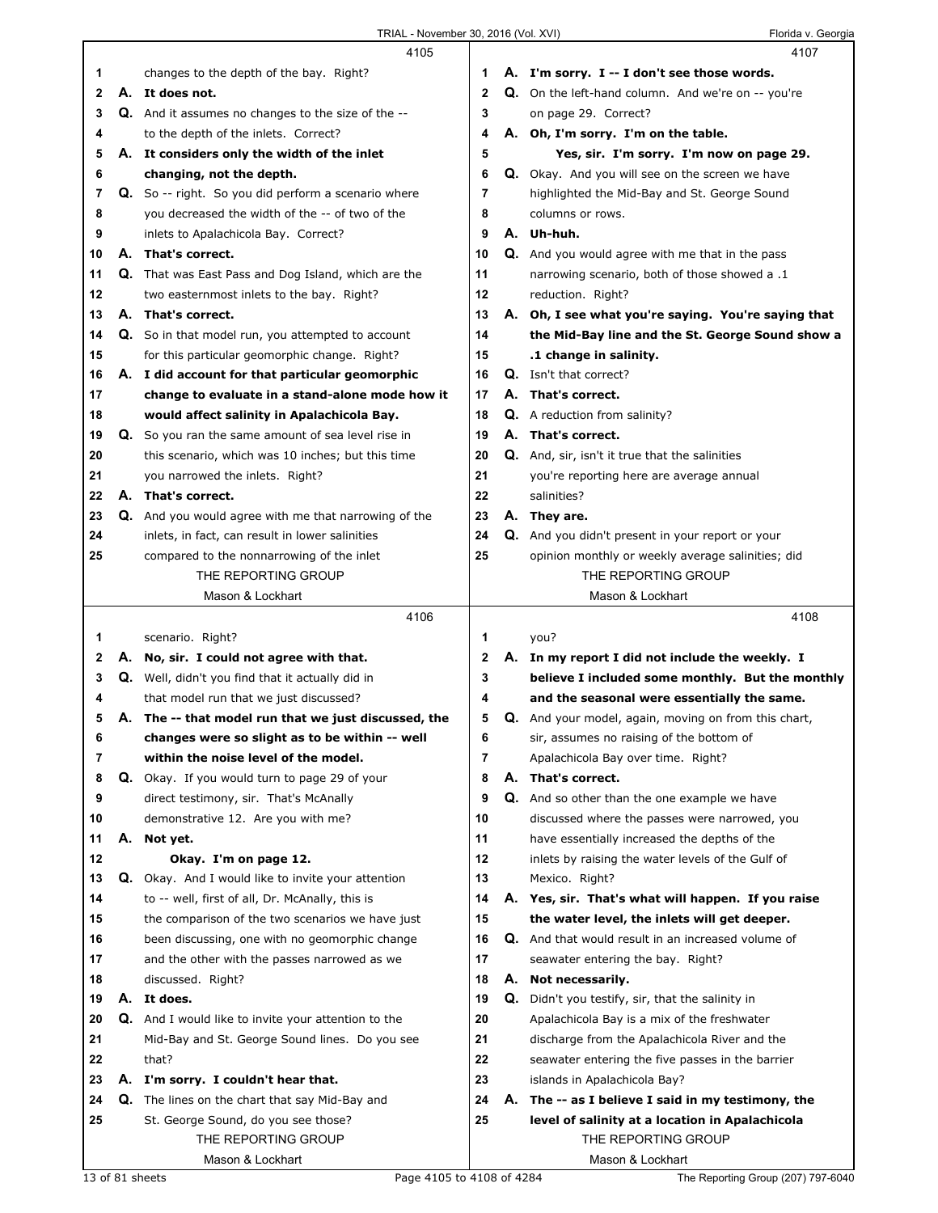|    |    | 4105                                                        |                | 4107                                                 |
|----|----|-------------------------------------------------------------|----------------|------------------------------------------------------|
| 1. |    | changes to the depth of the bay. Right?                     | 1              | A. I'm sorry. I -- I don't see those words.          |
| 2  |    | A. It does not.                                             | $\mathbf{2}$   | Q. On the left-hand column. And we're on -- you're   |
| 3  |    | Q. And it assumes no changes to the size of the --          | 3              | on page 29. Correct?                                 |
| 4  |    | to the depth of the inlets. Correct?                        | 4              | A. Oh, I'm sorry. I'm on the table.                  |
| 5  |    | A. It considers only the width of the inlet                 | 5              | Yes, sir. I'm sorry. I'm now on page 29.             |
| 6  |    | changing, not the depth.                                    | 6              | Q. Okay. And you will see on the screen we have      |
| 7  |    | Q. So -- right. So you did perform a scenario where         | 7              | highlighted the Mid-Bay and St. George Sound         |
| 8  |    | you decreased the width of the -- of two of the             | 8              | columns or rows.                                     |
| 9  |    | inlets to Apalachicola Bay. Correct?                        | 9              | A. Uh-huh.                                           |
| 10 | А. | That's correct.                                             | 10             | Q. And you would agree with me that in the pass      |
| 11 | Q. | That was East Pass and Dog Island, which are the            | 11             | narrowing scenario, both of those showed a .1        |
| 12 |    | two easternmost inlets to the bay. Right?                   | 12             | reduction. Right?                                    |
| 13 |    | A. That's correct.                                          | 13             | A. Oh, I see what you're saying. You're saying that  |
| 14 |    | Q. So in that model run, you attempted to account           | 14             | the Mid-Bay line and the St. George Sound show a     |
| 15 |    | for this particular geomorphic change. Right?               | 15             | .1 change in salinity.                               |
| 16 |    | A. I did account for that particular geomorphic             | 16             | Q. Isn't that correct?                               |
| 17 |    | change to evaluate in a stand-alone mode how it             | 17             | A. That's correct.                                   |
| 18 |    | would affect salinity in Apalachicola Bay.                  | 18             | <b>Q.</b> A reduction from salinity?                 |
| 19 |    | Q. So you ran the same amount of sea level rise in          | 19             | A. That's correct.                                   |
| 20 |    | this scenario, which was 10 inches; but this time           | 20             | Q. And, sir, isn't it true that the salinities       |
| 21 |    | you narrowed the inlets. Right?                             | 21             | you're reporting here are average annual             |
| 22 |    | A. That's correct.                                          | 22             | salinities?                                          |
| 23 |    | <b>Q.</b> And you would agree with me that narrowing of the | 23             | A. They are.                                         |
| 24 |    | inlets, in fact, can result in lower salinities             | 24             | Q. And you didn't present in your report or your     |
| 25 |    | compared to the nonnarrowing of the inlet                   | 25             | opinion monthly or weekly average salinities; did    |
|    |    | THE REPORTING GROUP                                         |                | THE REPORTING GROUP                                  |
|    |    | Mason & Lockhart                                            |                | Mason & Lockhart                                     |
|    |    |                                                             |                |                                                      |
|    |    | 4106                                                        |                | 4108                                                 |
| 1. |    | scenario. Right?                                            | 1              | you?                                                 |
| 2  |    | A. No, sir. I could not agree with that.                    | 2              | A. In my report I did not include the weekly. I      |
| 3  | Q. | Well, didn't you find that it actually did in               | 3              | believe I included some monthly. But the monthly     |
| 4  |    | that model run that we just discussed?                      | 4              | and the seasonal were essentially the same.          |
| 5  |    | A. The -- that model run that we just discussed, the        | 5              | Q. And your model, again, moving on from this chart, |
| 6  |    | changes were so slight as to be within -- well              | 6              | sir, assumes no raising of the bottom of             |
| 7  |    | within the noise level of the model.                        | $\overline{7}$ | Apalachicola Bay over time. Right?                   |
| 8  | Q. | Okay. If you would turn to page 29 of your                  | 8              | A. That's correct.                                   |
| 9  |    | direct testimony, sir. That's McAnally                      | 9              | Q. And so other than the one example we have         |
| 10 |    | demonstrative 12. Are you with me?                          | 10             | discussed where the passes were narrowed, you        |
| 11 | А. | Not yet.                                                    | 11             | have essentially increased the depths of the         |
| 12 |    | Okay. I'm on page 12.                                       | 12             | inlets by raising the water levels of the Gulf of    |
| 13 | Q. | Okay. And I would like to invite your attention             | 13             | Mexico. Right?                                       |
| 14 |    | to -- well, first of all, Dr. McAnally, this is             | 14             | A. Yes, sir. That's what will happen. If you raise   |
| 15 |    | the comparison of the two scenarios we have just            | 15             | the water level, the inlets will get deeper.         |
| 16 |    | been discussing, one with no geomorphic change              | 16             | Q. And that would result in an increased volume of   |
| 17 |    | and the other with the passes narrowed as we                | 17             | seawater entering the bay. Right?                    |
| 18 |    | discussed. Right?                                           | 18             | A. Not necessarily.                                  |
| 19 |    | A. It does.                                                 | 19             | Q. Didn't you testify, sir, that the salinity in     |
| 20 | Q. | And I would like to invite your attention to the            | 20             | Apalachicola Bay is a mix of the freshwater          |
| 21 |    | Mid-Bay and St. George Sound lines. Do you see              | 21             | discharge from the Apalachicola River and the        |
| 22 |    | that?                                                       | 22             | seawater entering the five passes in the barrier     |
| 23 |    | A. I'm sorry. I couldn't hear that.                         | 23             | islands in Apalachicola Bay?                         |
| 24 | Q. | The lines on the chart that say Mid-Bay and                 | 24             | A. The -- as I believe I said in my testimony, the   |
| 25 |    | St. George Sound, do you see those?                         | 25             | level of salinity at a location in Apalachicola      |
|    |    | THE REPORTING GROUP<br>Mason & Lockhart                     |                | THE REPORTING GROUP<br>Mason & Lockhart              |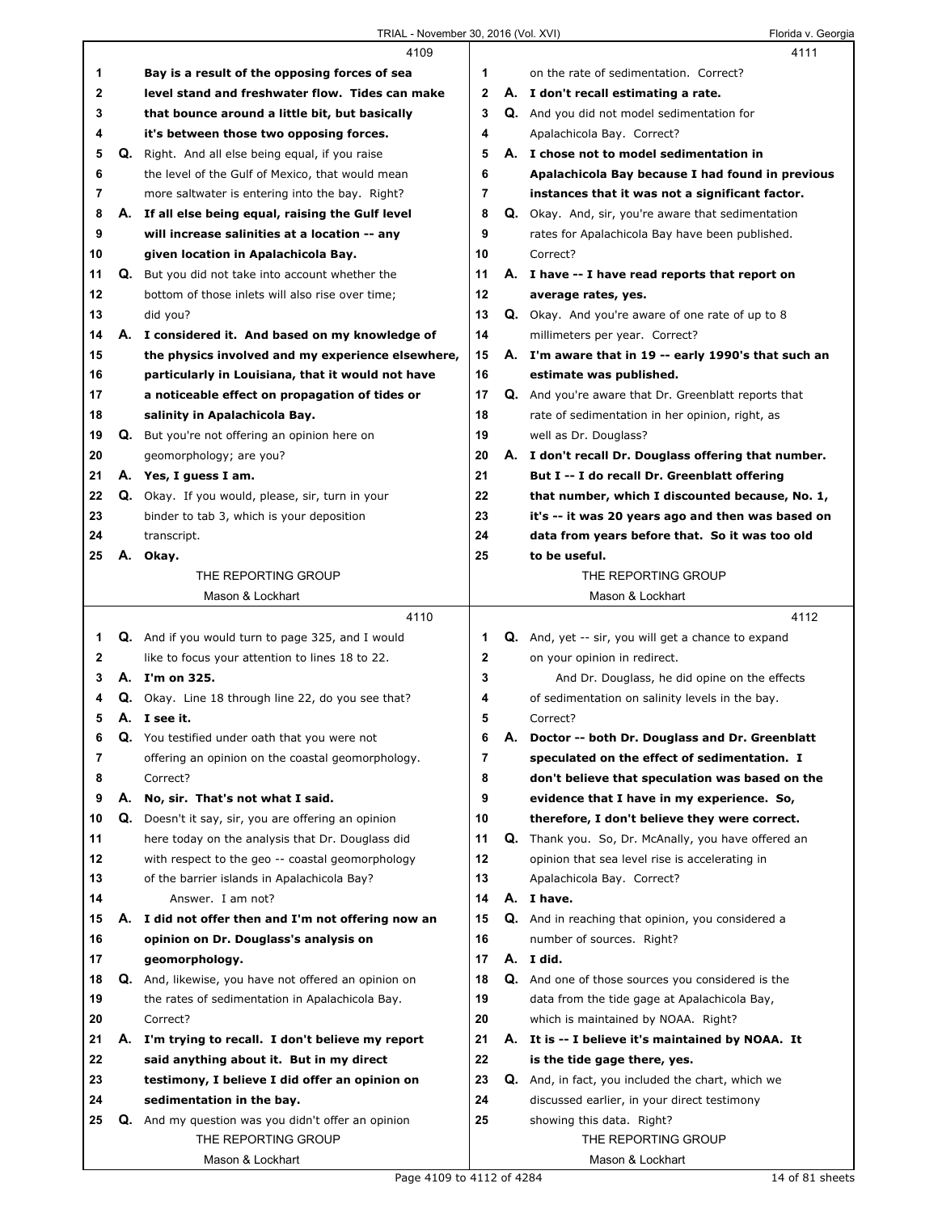|    |    | 4109                                                                             |              |    | 4111                                                        |
|----|----|----------------------------------------------------------------------------------|--------------|----|-------------------------------------------------------------|
| 1  |    | Bay is a result of the opposing forces of sea                                    | 1            |    | on the rate of sedimentation. Correct?                      |
| 2  |    | level stand and freshwater flow. Tides can make                                  | $\mathbf{2}$ |    | A. I don't recall estimating a rate.                        |
| 3  |    | that bounce around a little bit, but basically                                   | 3            |    | Q. And you did not model sedimentation for                  |
| 4  |    | it's between those two opposing forces.                                          | 4            |    | Apalachicola Bay. Correct?                                  |
| 5  |    | <b>Q.</b> Right. And all else being equal, if you raise                          | 5            |    | A. I chose not to model sedimentation in                    |
| 6  |    | the level of the Gulf of Mexico, that would mean                                 | 6            |    | Apalachicola Bay because I had found in previous            |
| 7  |    | more saltwater is entering into the bay. Right?                                  | 7            |    | instances that it was not a significant factor.             |
| 8  |    | A. If all else being equal, raising the Gulf level                               | 8            |    | <b>Q.</b> Okay. And, sir, you're aware that sedimentation   |
| 9  |    | will increase salinities at a location -- any                                    | 9            |    | rates for Apalachicola Bay have been published.             |
| 10 |    | given location in Apalachicola Bay.                                              | 10           |    | Correct?                                                    |
| 11 |    | Q. But you did not take into account whether the                                 | 11           |    | A. I have -- I have read reports that report on             |
| 12 |    | bottom of those inlets will also rise over time;                                 | 12           |    | average rates, yes.                                         |
| 13 |    | did you?                                                                         | 13           |    | Q. Okay. And you're aware of one rate of up to 8            |
| 14 |    | A. I considered it. And based on my knowledge of                                 | 14           |    | millimeters per year. Correct?                              |
| 15 |    | the physics involved and my experience elsewhere,                                | 15           |    | A. I'm aware that in 19 -- early 1990's that such an        |
| 16 |    | particularly in Louisiana, that it would not have                                | 16           |    | estimate was published.                                     |
| 17 |    | a noticeable effect on propagation of tides or                                   | 17           |    | <b>Q.</b> And you're aware that Dr. Greenblatt reports that |
| 18 |    | salinity in Apalachicola Bay.                                                    | 18           |    | rate of sedimentation in her opinion, right, as             |
| 19 |    | <b>Q.</b> But you're not offering an opinion here on                             | 19           |    | well as Dr. Douglass?                                       |
| 20 |    | geomorphology; are you?                                                          | 20           |    | A. I don't recall Dr. Douglass offering that number.        |
| 21 |    | A. Yes, I quess I am.                                                            | 21           |    | But I -- I do recall Dr. Greenblatt offering                |
| 22 |    | Q. Okay. If you would, please, sir, turn in your                                 | 22           |    | that number, which I discounted because, No. 1,             |
| 23 |    | binder to tab 3, which is your deposition                                        | 23           |    | it's -- it was 20 years ago and then was based on           |
| 24 |    | transcript.                                                                      | 24           |    | data from years before that. So it was too old              |
| 25 |    | A. Okay.                                                                         | 25           |    | to be useful.                                               |
|    |    | THE REPORTING GROUP                                                              |              |    | THE REPORTING GROUP                                         |
|    |    | Mason & Lockhart                                                                 |              |    | Mason & Lockhart                                            |
|    |    |                                                                                  |              |    |                                                             |
|    |    | 4110                                                                             |              |    | 4112                                                        |
| 1  |    | Q. And if you would turn to page 325, and I would                                | 1            |    | Q. And, yet -- sir, you will get a chance to expand         |
| 2  |    | like to focus your attention to lines 18 to 22.                                  | $\mathbf 2$  |    | on your opinion in redirect.                                |
| 3  |    | A. I'm on 325.                                                                   | 3            |    | And Dr. Douglass, he did opine on the effects               |
| 4  |    | Q. Okay. Line 18 through line 22, do you see that?                               | 4            |    | of sedimentation on salinity levels in the bay.             |
| 5  |    | A. I see it.                                                                     | 5            |    | Correct?                                                    |
| 6  | Q. | You testified under oath that you were not                                       | 6            | Α. | Doctor -- both Dr. Douglass and Dr. Greenblatt              |
| 7  |    | offering an opinion on the coastal geomorphology.                                | 7            |    | speculated on the effect of sedimentation. I                |
| 8  |    | Correct?                                                                         | 8            |    | don't believe that speculation was based on the             |
| 9  | А. | No, sir. That's not what I said.                                                 | 9            |    | evidence that I have in my experience. So,                  |
| 10 |    | Q. Doesn't it say, sir, you are offering an opinion                              | 10           |    | therefore, I don't believe they were correct.               |
| 11 |    | here today on the analysis that Dr. Douglass did                                 | 11           |    | Q. Thank you. So, Dr. McAnally, you have offered an         |
| 12 |    | with respect to the geo -- coastal geomorphology                                 | 12           |    | opinion that sea level rise is accelerating in              |
| 13 |    | of the barrier islands in Apalachicola Bay?                                      | 13           |    | Apalachicola Bay. Correct?                                  |
| 14 |    | Answer. I am not?                                                                | 14           |    | A. I have.                                                  |
| 15 | А. | I did not offer then and I'm not offering now an                                 | 15           |    | Q. And in reaching that opinion, you considered a           |
| 16 |    | opinion on Dr. Douglass's analysis on                                            | 16           |    | number of sources. Right?                                   |
| 17 |    | geomorphology.                                                                   | 17           |    | A. I did.                                                   |
| 18 |    | Q. And, likewise, you have not offered an opinion on                             | 18           |    | Q. And one of those sources you considered is the           |
| 19 |    | the rates of sedimentation in Apalachicola Bay.                                  | 19           |    | data from the tide gage at Apalachicola Bay,                |
| 20 |    | Correct?                                                                         | 20           |    | which is maintained by NOAA. Right?                         |
| 21 |    | A. I'm trying to recall. I don't believe my report                               | 21           |    | A. It is -- I believe it's maintained by NOAA. It           |
| 22 |    | said anything about it. But in my direct                                         | 22           |    | is the tide gage there, yes.                                |
| 23 |    | testimony, I believe I did offer an opinion on                                   | 23           |    | Q. And, in fact, you included the chart, which we           |
| 24 |    | sedimentation in the bay.                                                        | 24           |    | discussed earlier, in your direct testimony                 |
| 25 |    | <b>Q.</b> And my question was you didn't offer an opinion<br>THE REPORTING GROUP | 25           |    | showing this data. Right?<br>THE REPORTING GROUP            |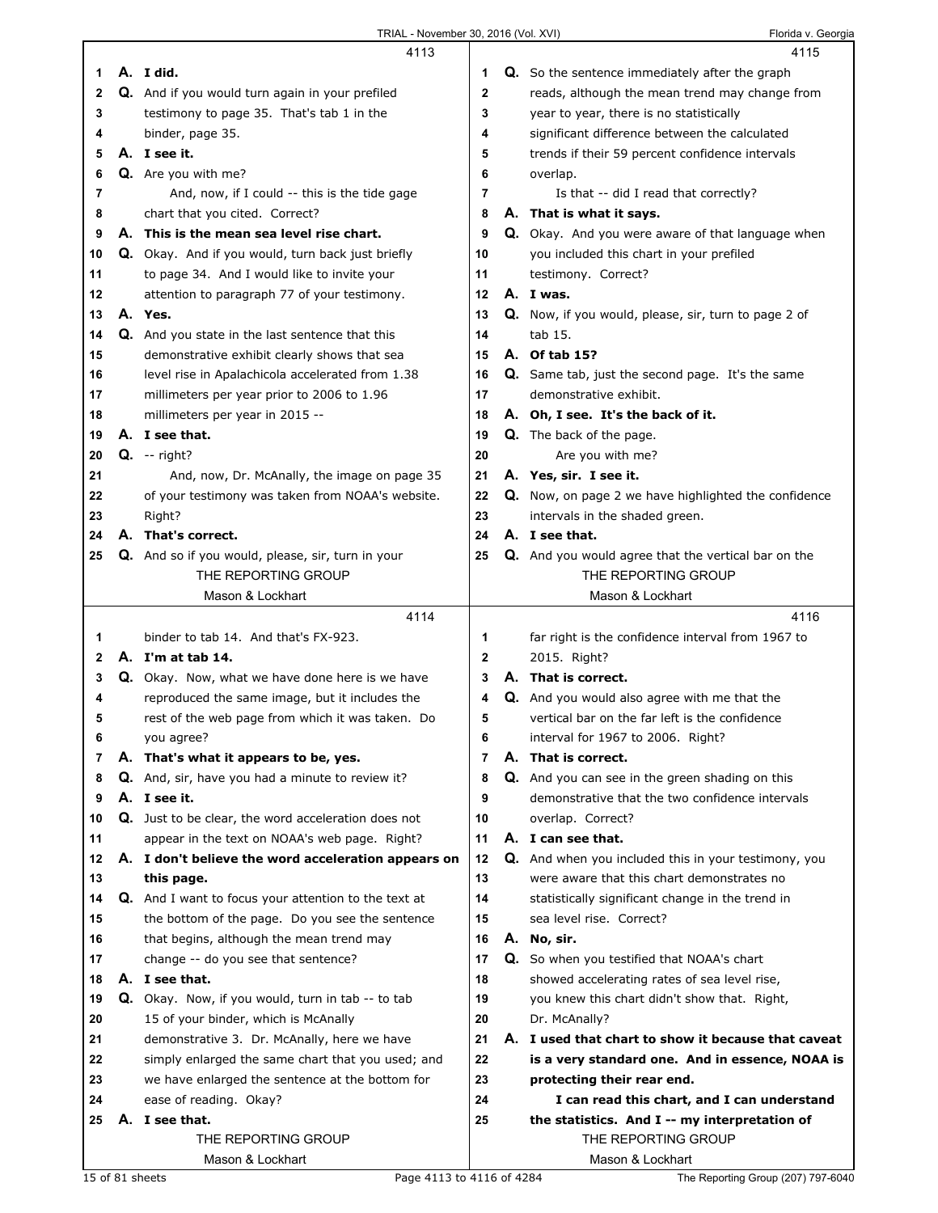|    | 4113                                                        |                | 4115                                                        |
|----|-------------------------------------------------------------|----------------|-------------------------------------------------------------|
| 1  | A. I did.                                                   | 1              | <b>Q.</b> So the sentence immediately after the graph       |
| 2  | Q. And if you would turn again in your prefiled             | $\mathbf{2}$   | reads, although the mean trend may change from              |
| 3  | testimony to page 35. That's tab 1 in the                   | 3              | year to year, there is no statistically                     |
| 4  | binder, page 35.                                            | 4              | significant difference between the calculated               |
| 5  | A. I see it.                                                | 5              | trends if their 59 percent confidence intervals             |
| 6  | Q. Are you with me?                                         | 6              | overlap.                                                    |
| 7  | And, now, if I could -- this is the tide gage               | 7              | Is that -- did I read that correctly?                       |
| 8  | chart that you cited. Correct?                              | 8              | A. That is what it says.                                    |
| 9  | A. This is the mean sea level rise chart.                   | 9              | Q. Okay. And you were aware of that language when           |
| 10 | Q. Okay. And if you would, turn back just briefly           | 10             | you included this chart in your prefiled                    |
| 11 | to page 34. And I would like to invite your                 | 11             | testimony. Correct?                                         |
| 12 | attention to paragraph 77 of your testimony.                | 12             | A. I was.                                                   |
| 13 | A. Yes.                                                     | 13             | <b>Q.</b> Now, if you would, please, sir, turn to page 2 of |
| 14 | Q. And you state in the last sentence that this             | 14             | tab 15.                                                     |
| 15 | demonstrative exhibit clearly shows that sea                | 15             | A. Of tab 15?                                               |
| 16 | level rise in Apalachicola accelerated from 1.38            | 16             | Q. Same tab, just the second page. It's the same            |
| 17 | millimeters per year prior to 2006 to 1.96                  | 17             | demonstrative exhibit.                                      |
| 18 | millimeters per year in 2015 --                             | 18             | A. Oh, I see. It's the back of it.                          |
| 19 | A. I see that.                                              | 19             | Q. The back of the page.                                    |
| 20 | $Q. - right?$                                               | 20             | Are you with me?                                            |
| 21 | And, now, Dr. McAnally, the image on page 35                | 21             | A. Yes, sir. I see it.                                      |
| 22 | of your testimony was taken from NOAA's website.            | 22             | <b>Q.</b> Now, on page 2 we have highlighted the confidence |
| 23 | Right?                                                      | 23             | intervals in the shaded green.                              |
| 24 | A. That's correct.                                          | 24             | A. I see that.                                              |
| 25 | Q. And so if you would, please, sir, turn in your           | 25             | Q. And you would agree that the vertical bar on the         |
|    | THE REPORTING GROUP                                         |                | THE REPORTING GROUP                                         |
|    | Mason & Lockhart                                            |                | Mason & Lockhart                                            |
|    |                                                             |                |                                                             |
|    | 4114                                                        |                | 4116                                                        |
| 1  | binder to tab 14. And that's FX-923.                        | 1              | far right is the confidence interval from 1967 to           |
| 2  | A. I'm at tab 14.                                           | $\mathbf{2}$   | 2015. Right?                                                |
| 3  | Q. Okay. Now, what we have done here is we have             | 3              | A. That is correct.                                         |
| 4  | reproduced the same image, but it includes the              | 4              | Q. And you would also agree with me that the                |
| 5  | rest of the web page from which it was taken. Do            | 5              | vertical bar on the far left is the confidence              |
| 6  | you agree?                                                  | 6              | interval for 1967 to 2006. Right?                           |
| 7  | A. That's what it appears to be, yes.                       | $\overline{7}$ | A. That is correct.                                         |
| 8  | Q. And, sir, have you had a minute to review it?            | 8              | Q. And you can see in the green shading on this             |
| 9  | A. I see it.                                                | 9              | demonstrative that the two confidence intervals             |
| 10 | Q. Just to be clear, the word acceleration does not         | 10             | overlap. Correct?                                           |
| 11 | appear in the text on NOAA's web page. Right?               | 11             | A. I can see that.                                          |
| 12 | A. I don't believe the word acceleration appears on         | 12             | Q. And when you included this in your testimony, you        |
| 13 | this page.                                                  | 13             | were aware that this chart demonstrates no                  |
| 14 | <b>Q.</b> And I want to focus your attention to the text at | 14             | statistically significant change in the trend in            |
| 15 | the bottom of the page. Do you see the sentence             | 15             | sea level rise. Correct?                                    |
| 16 | that begins, although the mean trend may                    | 16             | A. No, sir.                                                 |
| 17 | change -- do you see that sentence?                         | 17             | Q. So when you testified that NOAA's chart                  |
| 18 | A. I see that.                                              | 18             | showed accelerating rates of sea level rise,                |
| 19 | Q. Okay. Now, if you would, turn in tab -- to tab           | 19             | you knew this chart didn't show that. Right,                |
| 20 | 15 of your binder, which is McAnally                        | 20             | Dr. McAnally?                                               |
| 21 | demonstrative 3. Dr. McAnally, here we have                 | 21             | A. I used that chart to show it because that caveat         |
| 22 | simply enlarged the same chart that you used; and           | 22             | is a very standard one. And in essence, NOAA is             |
| 23 | we have enlarged the sentence at the bottom for             | 23             | protecting their rear end.                                  |
| 24 | ease of reading. Okay?                                      | 24             | I can read this chart, and I can understand                 |
| 25 | A. I see that.                                              | 25             | the statistics. And I -- my interpretation of               |
|    | THE REPORTING GROUP<br>Mason & Lockhart                     |                | THE REPORTING GROUP<br>Mason & Lockhart                     |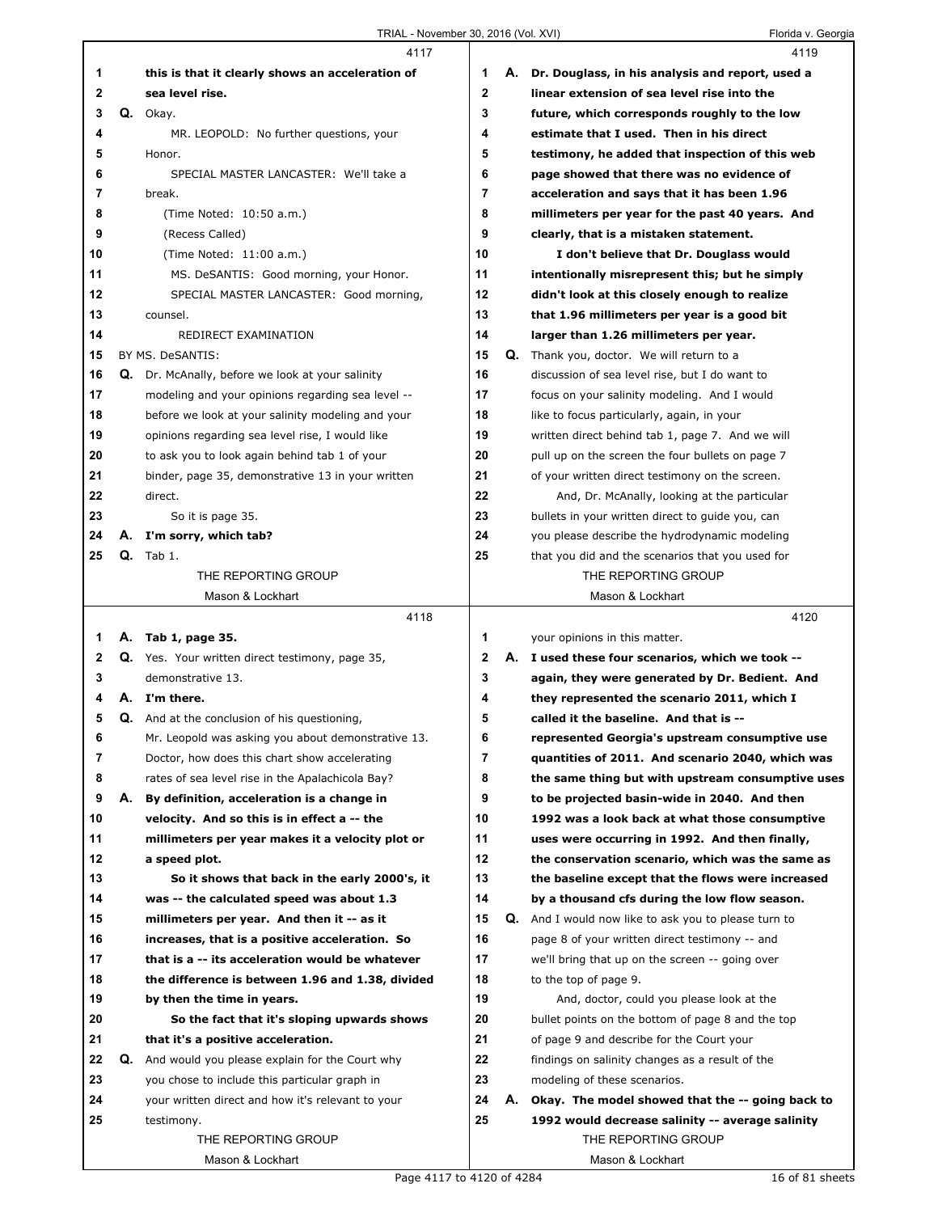|          |    | 4117                                                                                              |        | 4119                                                                                                   |
|----------|----|---------------------------------------------------------------------------------------------------|--------|--------------------------------------------------------------------------------------------------------|
| 1        |    | this is that it clearly shows an acceleration of                                                  | 1      | A. Dr. Douglass, in his analysis and report, used a                                                    |
| 2        |    | sea level rise.                                                                                   | 2      | linear extension of sea level rise into the                                                            |
| 3        |    | Q. Okay.                                                                                          | 3      | future, which corresponds roughly to the low                                                           |
| 4        |    | MR. LEOPOLD: No further questions, your                                                           | 4      | estimate that I used. Then in his direct                                                               |
| 5        |    | Honor.                                                                                            | 5      | testimony, he added that inspection of this web                                                        |
| 6        |    | SPECIAL MASTER LANCASTER: We'll take a                                                            | 6      | page showed that there was no evidence of                                                              |
| 7        |    | break.                                                                                            | 7      | acceleration and says that it has been 1.96                                                            |
| 8        |    | (Time Noted: 10:50 a.m.)                                                                          | 8      | millimeters per year for the past 40 years. And                                                        |
| 9        |    | (Recess Called)                                                                                   | 9      | clearly, that is a mistaken statement.                                                                 |
| 10       |    | (Time Noted: 11:00 a.m.)                                                                          | 10     | I don't believe that Dr. Douglass would                                                                |
| 11       |    | MS. DeSANTIS: Good morning, your Honor.                                                           | 11     | intentionally misrepresent this; but he simply                                                         |
| 12       |    | SPECIAL MASTER LANCASTER: Good morning,                                                           | 12     | didn't look at this closely enough to realize                                                          |
| 13       |    | counsel.                                                                                          | 13     | that 1.96 millimeters per year is a good bit                                                           |
| 14       |    | REDIRECT EXAMINATION                                                                              | 14     | larger than 1.26 millimeters per year.                                                                 |
| 15       |    | BY MS. DeSANTIS:                                                                                  | 15     | Q. Thank you, doctor. We will return to a                                                              |
| 16       |    | Q. Dr. McAnally, before we look at your salinity                                                  | 16     | discussion of sea level rise, but I do want to                                                         |
| 17       |    | modeling and your opinions regarding sea level --                                                 | 17     | focus on your salinity modeling. And I would                                                           |
| 18       |    | before we look at your salinity modeling and your                                                 | 18     | like to focus particularly, again, in your                                                             |
| 19       |    | opinions regarding sea level rise, I would like                                                   | 19     | written direct behind tab 1, page 7. And we will                                                       |
| 20       |    | to ask you to look again behind tab 1 of your                                                     | 20     | pull up on the screen the four bullets on page 7                                                       |
| 21       |    | binder, page 35, demonstrative 13 in your written                                                 | 21     | of your written direct testimony on the screen.                                                        |
| 22       |    | direct.                                                                                           | 22     | And, Dr. McAnally, looking at the particular                                                           |
| 23       |    | So it is page 35.                                                                                 | 23     | bullets in your written direct to guide you, can                                                       |
| 24       | А. | I'm sorry, which tab?                                                                             | 24     | you please describe the hydrodynamic modeling                                                          |
| 25       |    | $Q.$ Tab 1.                                                                                       | 25     | that you did and the scenarios that you used for                                                       |
|          |    | THE REPORTING GROUP                                                                               |        | THE REPORTING GROUP                                                                                    |
|          |    | Mason & Lockhart                                                                                  |        | Mason & Lockhart                                                                                       |
|          |    |                                                                                                   |        |                                                                                                        |
|          |    |                                                                                                   |        |                                                                                                        |
|          |    | 4118                                                                                              |        | 4120                                                                                                   |
| 1        |    | A. Tab 1, page 35.                                                                                | 1      | your opinions in this matter.                                                                          |
| 2        |    | Q. Yes. Your written direct testimony, page 35,                                                   | 2      | A. I used these four scenarios, which we took --                                                       |
| 3<br>4   |    | demonstrative 13.                                                                                 | 3      | again, they were generated by Dr. Bedient. And                                                         |
|          |    | A. I'm there.                                                                                     | 4      | they represented the scenario 2011, which I                                                            |
| 5        |    | Q. And at the conclusion of his questioning,                                                      | 5      | called it the baseline. And that is --                                                                 |
| 6        |    | Mr. Leopold was asking you about demonstrative 13.                                                | 6<br>7 | represented Georgia's upstream consumptive use                                                         |
| 7        |    | Doctor, how does this chart show accelerating<br>rates of sea level rise in the Apalachicola Bay? | 8      | quantities of 2011. And scenario 2040, which was                                                       |
| 8        |    |                                                                                                   | 9      | the same thing but with upstream consumptive uses                                                      |
| 9        |    | A. By definition, acceleration is a change in                                                     | 10     | to be projected basin-wide in 2040. And then                                                           |
| 10       |    | velocity. And so this is in effect a -- the                                                       | 11     | 1992 was a look back at what those consumptive                                                         |
| 11<br>12 |    | millimeters per year makes it a velocity plot or<br>a speed plot.                                 | 12     | uses were occurring in 1992. And then finally,<br>the conservation scenario, which was the same as     |
| 13       |    | So it shows that back in the early 2000's, it                                                     | 13     | the baseline except that the flows were increased                                                      |
| 14       |    |                                                                                                   | 14     | by a thousand cfs during the low flow season.                                                          |
| 15       |    | was -- the calculated speed was about 1.3<br>millimeters per year. And then it -- as it           | 15     |                                                                                                        |
| 16       |    | increases, that is a positive acceleration. So                                                    | 16     | Q. And I would now like to ask you to please turn to<br>page 8 of your written direct testimony -- and |
| 17       |    | that is a -- its acceleration would be whatever                                                   | 17     | we'll bring that up on the screen -- going over                                                        |
| 18       |    | the difference is between 1.96 and 1.38, divided                                                  | 18     | to the top of page 9.                                                                                  |
| 19       |    | by then the time in years.                                                                        | 19     | And, doctor, could you please look at the                                                              |
| 20       |    | So the fact that it's sloping upwards shows                                                       | 20     | bullet points on the bottom of page 8 and the top                                                      |
| 21       |    | that it's a positive acceleration.                                                                | 21     | of page 9 and describe for the Court your                                                              |
| 22       | Q. | And would you please explain for the Court why                                                    | 22     | findings on salinity changes as a result of the                                                        |
| 23       |    | you chose to include this particular graph in                                                     | 23     | modeling of these scenarios.                                                                           |
| 24       |    | your written direct and how it's relevant to your                                                 | 24     | A. Okay. The model showed that the -- going back to                                                    |
| 25       |    | testimony.                                                                                        | 25     | 1992 would decrease salinity -- average salinity                                                       |
|          |    | THE REPORTING GROUP                                                                               |        | THE REPORTING GROUP                                                                                    |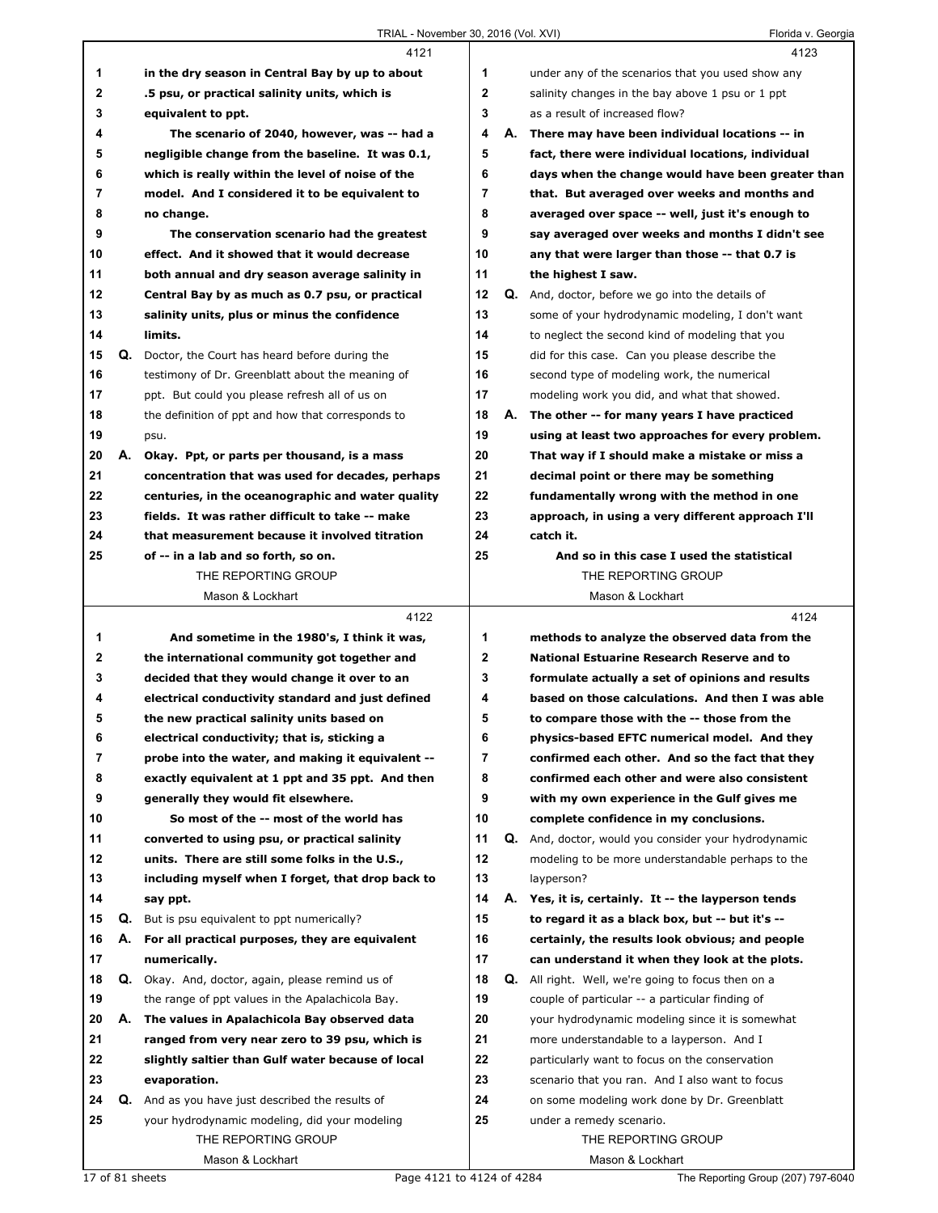|    |    | 4121                                                |    |    | 4123                                                    |
|----|----|-----------------------------------------------------|----|----|---------------------------------------------------------|
| 1  |    | in the dry season in Central Bay by up to about     | 1  |    | under any of the scenarios that you used show any       |
| 2  |    | .5 psu, or practical salinity units, which is       | 2  |    | salinity changes in the bay above 1 psu or 1 ppt        |
| 3  |    | equivalent to ppt.                                  | 3  |    | as a result of increased flow?                          |
| 4  |    | The scenario of 2040, however, was -- had a         | 4  | А. | There may have been individual locations -- in          |
| 5  |    | negligible change from the baseline. It was 0.1,    | 5  |    | fact, there were individual locations, individual       |
| 6  |    | which is really within the level of noise of the    | 6  |    | days when the change would have been greater than       |
| 7  |    | model. And I considered it to be equivalent to      | 7  |    | that. But averaged over weeks and months and            |
| 8  |    | no change.                                          | 8  |    | averaged over space -- well, just it's enough to        |
| 9  |    | The conservation scenario had the greatest          | 9  |    | say averaged over weeks and months I didn't see         |
| 10 |    | effect. And it showed that it would decrease        | 10 |    | any that were larger than those -- that 0.7 is          |
| 11 |    | both annual and dry season average salinity in      | 11 |    | the highest I saw.                                      |
| 12 |    | Central Bay by as much as 0.7 psu, or practical     | 12 |    | <b>Q.</b> And, doctor, before we go into the details of |
| 13 |    | salinity units, plus or minus the confidence        | 13 |    | some of your hydrodynamic modeling, I don't want        |
| 14 |    | limits.                                             | 14 |    | to neglect the second kind of modeling that you         |
| 15 | Q. | Doctor, the Court has heard before during the       | 15 |    | did for this case. Can you please describe the          |
| 16 |    | testimony of Dr. Greenblatt about the meaning of    | 16 |    | second type of modeling work, the numerical             |
| 17 |    | ppt. But could you please refresh all of us on      | 17 |    | modeling work you did, and what that showed.            |
| 18 |    | the definition of ppt and how that corresponds to   | 18 |    | A. The other -- for many years I have practiced         |
| 19 |    | psu.                                                | 19 |    | using at least two approaches for every problem.        |
| 20 | А. | Okay. Ppt, or parts per thousand, is a mass         | 20 |    | That way if I should make a mistake or miss a           |
| 21 |    | concentration that was used for decades, perhaps    | 21 |    | decimal point or there may be something                 |
| 22 |    | centuries, in the oceanographic and water quality   | 22 |    | fundamentally wrong with the method in one              |
| 23 |    | fields. It was rather difficult to take -- make     | 23 |    | approach, in using a very different approach I'll       |
| 24 |    | that measurement because it involved titration      | 24 |    | catch it.                                               |
| 25 |    | of -- in a lab and so forth, so on.                 | 25 |    | And so in this case I used the statistical              |
|    |    | THE REPORTING GROUP                                 |    |    | THE REPORTING GROUP                                     |
|    |    | Mason & Lockhart                                    |    |    | Mason & Lockhart                                        |
|    |    | 4122                                                |    |    | 4124                                                    |
| 1  |    | And sometime in the 1980's, I think it was,         | 1  |    | methods to analyze the observed data from the           |
|    |    |                                                     |    |    |                                                         |
|    |    |                                                     |    |    |                                                         |
| 2  |    | the international community got together and        | 2  |    | <b>National Estuarine Research Reserve and to</b>       |
| 3  |    | decided that they would change it over to an        | 3  |    | formulate actually a set of opinions and results        |
| 4  |    | electrical conductivity standard and just defined   | 4  |    | based on those calculations. And then I was able        |
| 5  |    | the new practical salinity units based on           | 5  |    | to compare those with the -- those from the             |
| 6  |    | electrical conductivity; that is, sticking a        | 6  |    | physics-based EFTC numerical model. And they            |
| 7  |    | probe into the water, and making it equivalent --   | 7  |    | confirmed each other. And so the fact that they         |
| 8  |    | exactly equivalent at 1 ppt and 35 ppt. And then    | 8  |    | confirmed each other and were also consistent           |
| 9  |    | generally they would fit elsewhere.                 | 9  |    | with my own experience in the Gulf gives me             |
| 10 |    | So most of the -- most of the world has             | 10 |    | complete confidence in my conclusions.                  |
| 11 |    | converted to using psu, or practical salinity       | 11 |    | Q. And, doctor, would you consider your hydrodynamic    |
| 12 |    | units. There are still some folks in the U.S.,      | 12 |    | modeling to be more understandable perhaps to the       |
| 13 |    | including myself when I forget, that drop back to   | 13 |    | layperson?                                              |
| 14 |    | say ppt.                                            | 14 |    | A. Yes, it is, certainly. It -- the layperson tends     |
| 15 |    | <b>Q.</b> But is psu equivalent to ppt numerically? | 15 |    | to regard it as a black box, but -- but it's --         |
| 16 | А. | For all practical purposes, they are equivalent     | 16 |    | certainly, the results look obvious; and people         |
| 17 |    | numerically.                                        | 17 |    | can understand it when they look at the plots.          |
| 18 |    | Q. Okay. And, doctor, again, please remind us of    | 18 |    | Q. All right. Well, we're going to focus then on a      |
| 19 |    | the range of ppt values in the Apalachicola Bay.    | 19 |    | couple of particular -- a particular finding of         |
| 20 | А. | The values in Apalachicola Bay observed data        | 20 |    | your hydrodynamic modeling since it is somewhat         |
| 21 |    | ranged from very near zero to 39 psu, which is      | 21 |    | more understandable to a layperson. And I               |
| 22 |    | slightly saltier than Gulf water because of local   | 22 |    | particularly want to focus on the conservation          |
| 23 |    | evaporation.                                        | 23 |    | scenario that you ran. And I also want to focus         |
| 24 | Q. | And as you have just described the results of       | 24 |    | on some modeling work done by Dr. Greenblatt            |
| 25 |    | your hydrodynamic modeling, did your modeling       | 25 |    | under a remedy scenario.                                |
|    |    | THE REPORTING GROUP<br>Mason & Lockhart             |    |    | THE REPORTING GROUP<br>Mason & Lockhart                 |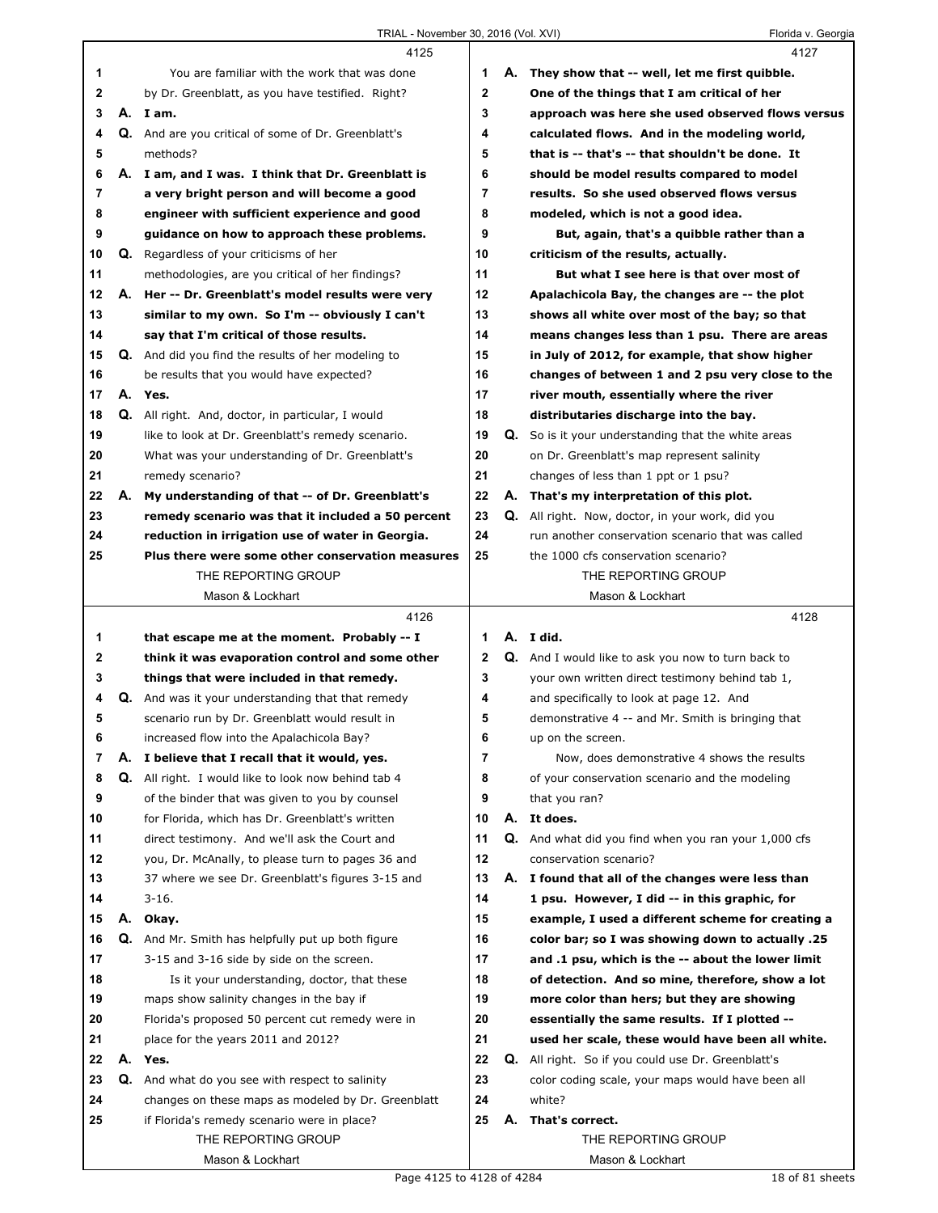|    |    | 4125                                                      |             | 4127                                                        |
|----|----|-----------------------------------------------------------|-------------|-------------------------------------------------------------|
| 1  |    | You are familiar with the work that was done              | 1           | A. They show that -- well, let me first quibble.            |
| 2  |    | by Dr. Greenblatt, as you have testified. Right?          | $\mathbf 2$ | One of the things that I am critical of her                 |
| 3  |    | A. Iam.                                                   | 3           | approach was here she used observed flows versus            |
| 4  |    | Q. And are you critical of some of Dr. Greenblatt's       | 4           | calculated flows. And in the modeling world,                |
| 5  |    | methods?                                                  | 5           | that is -- that's -- that shouldn't be done. It             |
| 6  |    | A. I am, and I was. I think that Dr. Greenblatt is        | 6           | should be model results compared to model                   |
| 7  |    | a very bright person and will become a good               | 7           | results. So she used observed flows versus                  |
| 8  |    | engineer with sufficient experience and good              | 8           | modeled, which is not a good idea.                          |
| 9  |    | guidance on how to approach these problems.               | 9           | But, again, that's a quibble rather than a                  |
| 10 | Q. | Regardless of your criticisms of her                      | 10          | criticism of the results, actually.                         |
| 11 |    | methodologies, are you critical of her findings?          | 11          | But what I see here is that over most of                    |
| 12 |    | A. Her -- Dr. Greenblatt's model results were very        | 12          | Apalachicola Bay, the changes are -- the plot               |
| 13 |    | similar to my own. So I'm -- obviously I can't            | 13          | shows all white over most of the bay; so that               |
| 14 |    | say that I'm critical of those results.                   | 14          | means changes less than 1 psu. There are areas              |
| 15 |    | <b>Q.</b> And did you find the results of her modeling to | 15          | in July of 2012, for example, that show higher              |
| 16 |    | be results that you would have expected?                  | 16          | changes of between 1 and 2 psu very close to the            |
| 17 |    | A. Yes.                                                   | 17          | river mouth, essentially where the river                    |
| 18 |    | <b>Q.</b> All right. And, doctor, in particular, I would  | 18          | distributaries discharge into the bay.                      |
| 19 |    | like to look at Dr. Greenblatt's remedy scenario.         | 19          | Q. So is it your understanding that the white areas         |
| 20 |    | What was your understanding of Dr. Greenblatt's           | 20          | on Dr. Greenblatt's map represent salinity                  |
| 21 |    | remedy scenario?                                          | 21          | changes of less than 1 ppt or 1 psu?                        |
| 22 | А. | My understanding of that -- of Dr. Greenblatt's           | 22          | A. That's my interpretation of this plot.                   |
| 23 |    | remedy scenario was that it included a 50 percent         | 23          | <b>Q.</b> All right. Now, doctor, in your work, did you     |
| 24 |    | reduction in irrigation use of water in Georgia.          | 24          | run another conservation scenario that was called           |
| 25 |    | Plus there were some other conservation measures          | 25          | the 1000 cfs conservation scenario?                         |
|    |    | THE REPORTING GROUP                                       |             | THE REPORTING GROUP                                         |
|    |    | Mason & Lockhart                                          |             | Mason & Lockhart                                            |
|    |    | 4126                                                      |             | 4128                                                        |
|    |    |                                                           |             |                                                             |
|    |    |                                                           |             |                                                             |
| 1  |    | that escape me at the moment. Probably -- I               | 1           | A. I did.                                                   |
| 2  |    | think it was evaporation control and some other           | 2           | <b>Q.</b> And I would like to ask you now to turn back to   |
| 3  |    | things that were included in that remedy.                 | 3           | your own written direct testimony behind tab 1,             |
| 4  | Q. | And was it your understanding that that remedy            | 4           | and specifically to look at page 12. And                    |
| 5  |    | scenario run by Dr. Greenblatt would result in            | 5           | demonstrative 4 -- and Mr. Smith is bringing that           |
| 6  |    | increased flow into the Apalachicola Bay?                 | 6           | up on the screen.                                           |
| 7  | А. | I believe that I recall that it would, yes.               | 7           | Now, does demonstrative 4 shows the results                 |
| 8  | Q. | All right. I would like to look now behind tab 4          | 8           | of your conservation scenario and the modeling              |
| 9  |    | of the binder that was given to you by counsel            | 9           | that you ran?                                               |
| 10 |    | for Florida, which has Dr. Greenblatt's written           | 10          | A. It does.                                                 |
| 11 |    | direct testimony. And we'll ask the Court and             | 11          | <b>Q.</b> And what did you find when you ran your 1,000 cfs |
| 12 |    | you, Dr. McAnally, to please turn to pages 36 and         | 12          | conservation scenario?                                      |
| 13 |    | 37 where we see Dr. Greenblatt's figures 3-15 and         | 13          | A. I found that all of the changes were less than           |
| 14 |    | $3-16.$                                                   | 14          | 1 psu. However, I did -- in this graphic, for               |
| 15 | А. | Okay.                                                     | 15          | example, I used a different scheme for creating a           |
| 16 |    | Q. And Mr. Smith has helpfully put up both figure         | 16          | color bar; so I was showing down to actually .25            |
| 17 |    | 3-15 and 3-16 side by side on the screen.                 | 17          | and .1 psu, which is the -- about the lower limit           |
| 18 |    | Is it your understanding, doctor, that these              | 18          | of detection. And so mine, therefore, show a lot            |
| 19 |    | maps show salinity changes in the bay if                  | 19          | more color than hers; but they are showing                  |
| 20 |    | Florida's proposed 50 percent cut remedy were in          | 20          | essentially the same results. If I plotted --               |
| 21 |    | place for the years 2011 and 2012?                        | 21          | used her scale, these would have been all white.            |
| 22 |    | A. Yes.                                                   | 22          | <b>Q.</b> All right. So if you could use Dr. Greenblatt's   |
| 23 |    | Q. And what do you see with respect to salinity           | 23          | color coding scale, your maps would have been all           |
| 24 |    | changes on these maps as modeled by Dr. Greenblatt        | 24          | white?                                                      |
| 25 |    | if Florida's remedy scenario were in place?               | 25          | A. That's correct.                                          |
|    |    | THE REPORTING GROUP<br>Mason & Lockhart                   |             | THE REPORTING GROUP<br>Mason & Lockhart                     |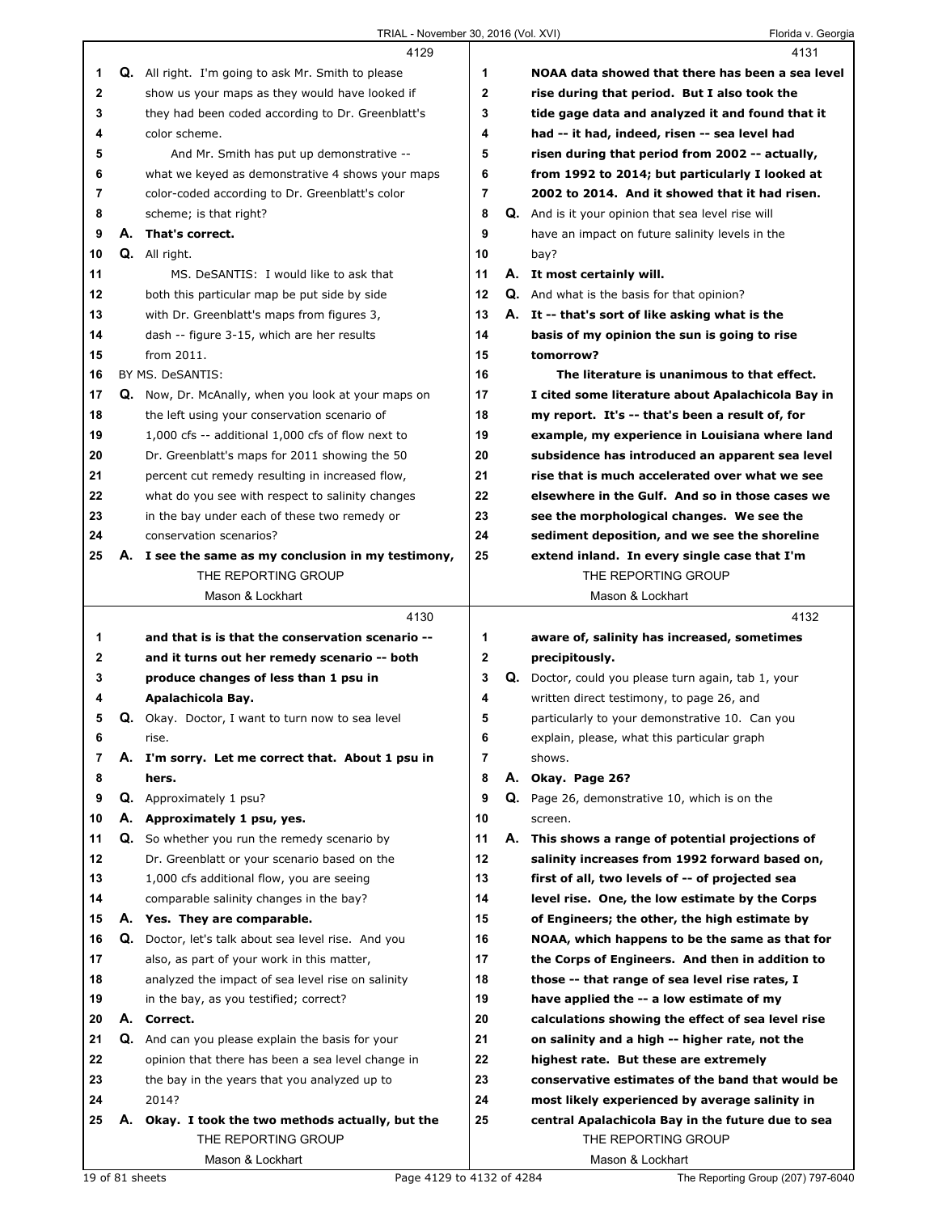|        |    | 4129                                                                                         |                  |    | 4131                                                 |
|--------|----|----------------------------------------------------------------------------------------------|------------------|----|------------------------------------------------------|
| 1      |    | Q. All right. I'm going to ask Mr. Smith to please                                           | 1                |    | NOAA data showed that there has been a sea level     |
| 2      |    | show us your maps as they would have looked if                                               | $\mathbf{2}$     |    | rise during that period. But I also took the         |
| 3      |    | they had been coded according to Dr. Greenblatt's                                            | 3                |    | tide gage data and analyzed it and found that it     |
| 4      |    | color scheme.                                                                                | 4                |    | had -- it had, indeed, risen -- sea level had        |
| 5      |    | And Mr. Smith has put up demonstrative --                                                    | 5                |    | risen during that period from 2002 -- actually,      |
| 6      |    | what we keyed as demonstrative 4 shows your maps                                             | 6                |    | from 1992 to 2014; but particularly I looked at      |
| 7      |    | color-coded according to Dr. Greenblatt's color                                              | 7                |    | 2002 to 2014. And it showed that it had risen.       |
| 8      |    | scheme; is that right?                                                                       | 8                |    | Q. And is it your opinion that sea level rise will   |
| 9      |    | A. That's correct.                                                                           | 9                |    | have an impact on future salinity levels in the      |
| 10     |    | <b>Q.</b> All right.                                                                         | 10               |    | bay?                                                 |
| 11     |    | MS. DeSANTIS: I would like to ask that                                                       | 11               |    | A. It most certainly will.                           |
| 12     |    | both this particular map be put side by side                                                 | 12               |    | <b>Q.</b> And what is the basis for that opinion?    |
| 13     |    | with Dr. Greenblatt's maps from figures 3,                                                   | 13               |    | A. It -- that's sort of like asking what is the      |
| 14     |    | dash -- figure 3-15, which are her results                                                   | 14               |    | basis of my opinion the sun is going to rise         |
| 15     |    | from 2011.                                                                                   | 15               |    | tomorrow?                                            |
| 16     |    | BY MS. DeSANTIS:                                                                             | 16               |    | The literature is unanimous to that effect.          |
| 17     |    | Q. Now, Dr. McAnally, when you look at your maps on                                          | 17               |    | I cited some literature about Apalachicola Bay in    |
| 18     |    | the left using your conservation scenario of                                                 | 18               |    | my report. It's -- that's been a result of, for      |
| 19     |    | 1,000 cfs -- additional 1,000 cfs of flow next to                                            | 19               |    | example, my experience in Louisiana where land       |
| 20     |    | Dr. Greenblatt's maps for 2011 showing the 50                                                | 20               |    | subsidence has introduced an apparent sea level      |
| 21     |    | percent cut remedy resulting in increased flow,                                              | 21               |    | rise that is much accelerated over what we see       |
| 22     |    | what do you see with respect to salinity changes                                             | 22               |    | elsewhere in the Gulf. And so in those cases we      |
| 23     |    | in the bay under each of these two remedy or                                                 | 23               |    | see the morphological changes. We see the            |
| 24     |    | conservation scenarios?                                                                      | 24               |    | sediment deposition, and we see the shoreline        |
| 25     |    | A. I see the same as my conclusion in my testimony,                                          | 25               |    | extend inland. In every single case that I'm         |
|        |    | THE REPORTING GROUP                                                                          |                  |    | THE REPORTING GROUP                                  |
|        |    | Mason & Lockhart                                                                             |                  |    | Mason & Lockhart                                     |
|        |    |                                                                                              |                  |    |                                                      |
|        |    |                                                                                              |                  |    |                                                      |
|        |    | 4130                                                                                         |                  |    | 4132                                                 |
| 1      |    | and that is is that the conservation scenario --                                             | 1                |    | aware of, salinity has increased, sometimes          |
| 2      |    | and it turns out her remedy scenario -- both                                                 | $\mathbf 2$<br>3 |    | precipitously.                                       |
| 3<br>4 |    | produce changes of less than 1 psu in                                                        | 4                |    | Q. Doctor, could you please turn again, tab 1, your  |
| 5      |    | Apalachicola Bay.                                                                            | 5                |    | written direct testimony, to page 26, and            |
|        |    | Q. Okay. Doctor, I want to turn now to sea level                                             |                  |    | particularly to your demonstrative 10. Can you       |
| 6<br>7 |    | rise.                                                                                        | 6<br>7           |    | explain, please, what this particular graph          |
| 8      |    | A. I'm sorry. Let me correct that. About 1 psu in<br>hers.                                   | 8                |    | shows.<br>A. Okay. Page 26?                          |
| 9      |    |                                                                                              | 9                |    | <b>Q.</b> Page 26, demonstrative 10, which is on the |
| 10     | А. | Q. Approximately 1 psu?                                                                      | 10               |    | screen.                                              |
| 11     |    | Approximately 1 psu, yes.                                                                    | 11               | А. | This shows a range of potential projections of       |
| 12     |    | Q. So whether you run the remedy scenario by<br>Dr. Greenblatt or your scenario based on the | 12               |    | salinity increases from 1992 forward based on,       |
| 13     |    | 1,000 cfs additional flow, you are seeing                                                    | 13               |    | first of all, two levels of -- of projected sea      |
| 14     |    | comparable salinity changes in the bay?                                                      | 14               |    | level rise. One, the low estimate by the Corps       |
| 15     |    | A. Yes. They are comparable.                                                                 | 15               |    | of Engineers; the other, the high estimate by        |
| 16     |    | Q. Doctor, let's talk about sea level rise. And you                                          | 16               |    | NOAA, which happens to be the same as that for       |
| 17     |    | also, as part of your work in this matter,                                                   | 17               |    | the Corps of Engineers. And then in addition to      |
| 18     |    | analyzed the impact of sea level rise on salinity                                            | 18               |    | those -- that range of sea level rise rates, I       |
| 19     |    | in the bay, as you testified; correct?                                                       | 19               |    | have applied the -- a low estimate of my             |
| 20     |    | A. Correct.                                                                                  | 20               |    | calculations showing the effect of sea level rise    |
| 21     |    | Q. And can you please explain the basis for your                                             | 21               |    | on salinity and a high -- higher rate, not the       |
| 22     |    | opinion that there has been a sea level change in                                            | 22               |    | highest rate. But these are extremely                |
| 23     |    | the bay in the years that you analyzed up to                                                 | 23               |    | conservative estimates of the band that would be     |
| 24     |    | 2014?                                                                                        | 24               |    | most likely experienced by average salinity in       |
| 25     | А. | Okay. I took the two methods actually, but the                                               | 25               |    | central Apalachicola Bay in the future due to sea    |
|        |    | THE REPORTING GROUP                                                                          |                  |    | THE REPORTING GROUP                                  |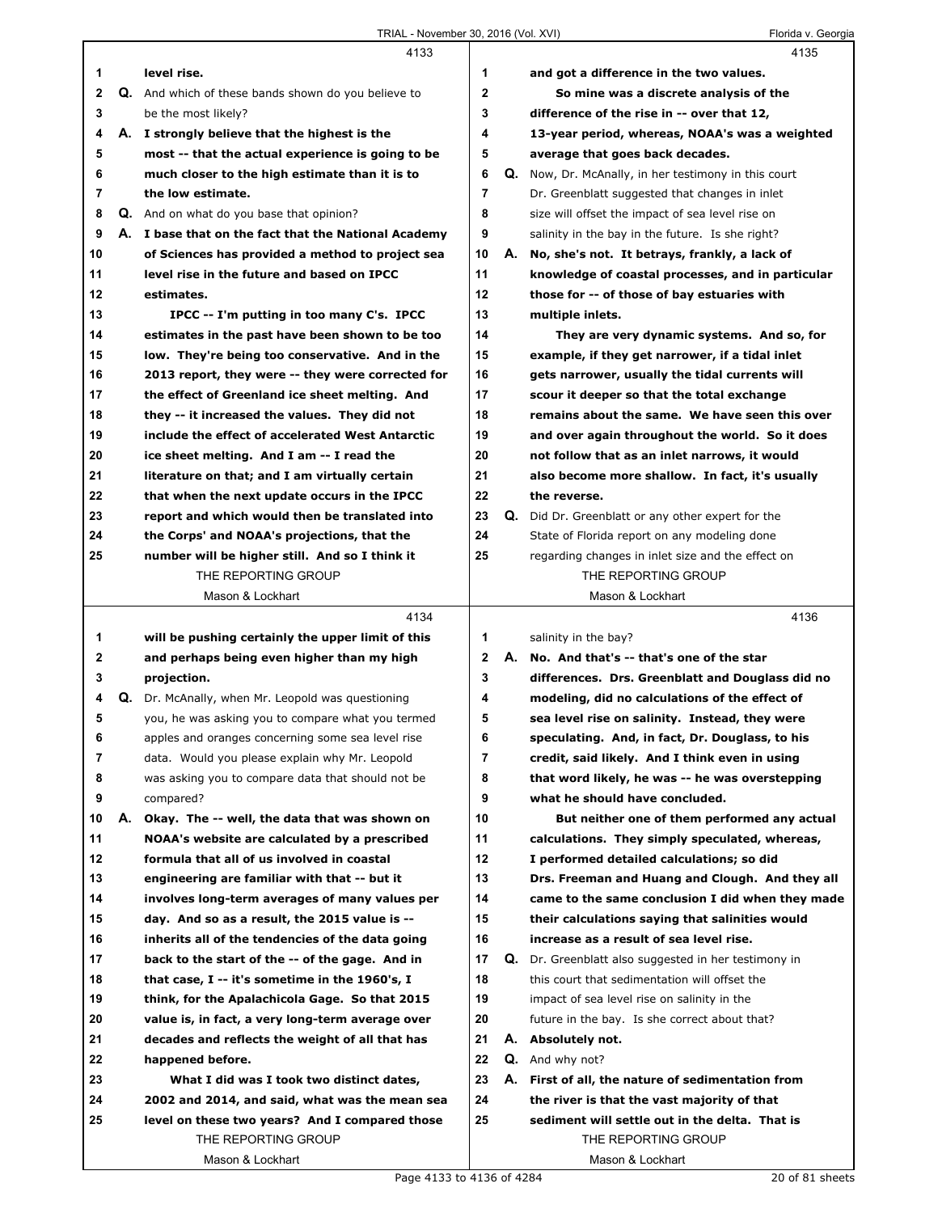|             |    | 4133                                                 |                |    | 4135                                                     |
|-------------|----|------------------------------------------------------|----------------|----|----------------------------------------------------------|
| 1           |    | level rise.                                          | 1              |    | and got a difference in the two values.                  |
| $\mathbf 2$ |    | Q. And which of these bands shown do you believe to  | $\mathbf{2}$   |    | So mine was a discrete analysis of the                   |
| 3           |    | be the most likely?                                  | 3              |    | difference of the rise in -- over that 12,               |
| 4           |    | A. I strongly believe that the highest is the        | 4              |    | 13-year period, whereas, NOAA's was a weighted           |
| 5           |    | most -- that the actual experience is going to be    | 5              |    | average that goes back decades.                          |
| 6           |    | much closer to the high estimate than it is to       | 6              | Q. | Now, Dr. McAnally, in her testimony in this court        |
| 7           |    | the low estimate.                                    | $\overline{7}$ |    | Dr. Greenblatt suggested that changes in inlet           |
| 8           |    | <b>Q.</b> And on what do you base that opinion?      | 8              |    | size will offset the impact of sea level rise on         |
| 9           |    | A. I base that on the fact that the National Academy | 9              |    | salinity in the bay in the future. Is she right?         |
| 10          |    | of Sciences has provided a method to project sea     | 10             | А. | No, she's not. It betrays, frankly, a lack of            |
| 11          |    | level rise in the future and based on IPCC           | 11             |    | knowledge of coastal processes, and in particular        |
| 12          |    | estimates.                                           | 12             |    | those for -- of those of bay estuaries with              |
| 13          |    | IPCC -- I'm putting in too many C's. IPCC            | 13             |    | multiple inlets.                                         |
| 14          |    | estimates in the past have been shown to be too      | 14             |    | They are very dynamic systems. And so, for               |
| 15          |    | low. They're being too conservative. And in the      | 15             |    | example, if they get narrower, if a tidal inlet          |
| 16          |    | 2013 report, they were -- they were corrected for    | 16             |    | gets narrower, usually the tidal currents will           |
| 17          |    | the effect of Greenland ice sheet melting. And       | 17             |    | scour it deeper so that the total exchange               |
| 18          |    | they -- it increased the values. They did not        | 18             |    | remains about the same. We have seen this over           |
| 19          |    | include the effect of accelerated West Antarctic     | 19             |    | and over again throughout the world. So it does          |
| 20          |    | ice sheet melting. And I am -- I read the            | 20             |    | not follow that as an inlet narrows, it would            |
| 21          |    | literature on that; and I am virtually certain       | 21             |    | also become more shallow. In fact, it's usually          |
| 22          |    | that when the next update occurs in the IPCC         | 22             |    | the reverse.                                             |
| 23          |    | report and which would then be translated into       | 23             |    | <b>Q.</b> Did Dr. Greenblatt or any other expert for the |
| 24          |    | the Corps' and NOAA's projections, that the          | 24             |    | State of Florida report on any modeling done             |
| 25          |    | number will be higher still. And so I think it       | 25             |    | regarding changes in inlet size and the effect on        |
|             |    | THE REPORTING GROUP                                  |                |    | THE REPORTING GROUP                                      |
|             |    | Mason & Lockhart                                     |                |    | Mason & Lockhart                                         |
|             |    | 4134                                                 |                |    | 4136                                                     |
| 1           |    | will be pushing certainly the upper limit of this    | 1              |    | salinity in the bay?                                     |
| 2           |    | and perhaps being even higher than my high           | $\mathbf{2}$   |    | A. No. And that's -- that's one of the star              |
| 3           |    | projection.                                          | 3              |    | differences. Drs. Greenblatt and Douglass did no         |
| 4           | Q. | Dr. McAnally, when Mr. Leopold was questioning       | 4              |    | modeling, did no calculations of the effect of           |
| 5           |    | you, he was asking you to compare what you termed    | 5              |    | sea level rise on salinity. Instead, they were           |
| 6           |    | apples and oranges concerning some sea level rise    | 6              |    | speculating. And, in fact, Dr. Douglass, to his          |
| 7           |    | data. Would you please explain why Mr. Leopold       | 7              |    | credit, said likely. And I think even in using           |
| 8           |    | was asking you to compare data that should not be    | 8              |    | that word likely, he was -- he was overstepping          |
| 9           |    | compared?                                            | 9              |    | what he should have concluded.                           |
| 10          | А. | Okay. The -- well, the data that was shown on        | 10             |    | But neither one of them performed any actual             |
| 11          |    | NOAA's website are calculated by a prescribed        | 11             |    | calculations. They simply speculated, whereas,           |
| 12          |    | formula that all of us involved in coastal           | 12             |    | I performed detailed calculations; so did                |
| 13          |    | engineering are familiar with that -- but it         | 13             |    | Drs. Freeman and Huang and Clough. And they all          |
| 14          |    | involves long-term averages of many values per       | 14             |    | came to the same conclusion I did when they made         |
| 15          |    | day. And so as a result, the 2015 value is --        | 15             |    | their calculations saying that salinities would          |
| 16          |    | inherits all of the tendencies of the data going     | 16             |    | increase as a result of sea level rise.                  |
| 17          |    | back to the start of the -- of the gage. And in      | 17             | Q. | Dr. Greenblatt also suggested in her testimony in        |
|             |    |                                                      | 18             |    |                                                          |
| 18          |    | that case, I -- it's sometime in the 1960's, I       |                |    | this court that sedimentation will offset the            |
| 19          |    | think, for the Apalachicola Gage. So that 2015       | 19             |    | impact of sea level rise on salinity in the              |
| 20          |    | value is, in fact, a very long-term average over     | 20             |    | future in the bay. Is she correct about that?            |
| 21          |    | decades and reflects the weight of all that has      | 21             |    | A. Absolutely not.                                       |
| 22          |    | happened before.                                     | 22             |    | <b>Q.</b> And why not?                                   |
| 23          |    | What I did was I took two distinct dates,            | 23             |    | A. First of all, the nature of sedimentation from        |
| 24          |    | 2002 and 2014, and said, what was the mean sea       | 24             |    | the river is that the vast majority of that              |
| 25          |    |                                                      |                |    |                                                          |
|             |    | level on these two years? And I compared those       | 25             |    | sediment will settle out in the delta. That is           |
|             |    | THE REPORTING GROUP<br>Mason & Lockhart              |                |    | THE REPORTING GROUP<br>Mason & Lockhart                  |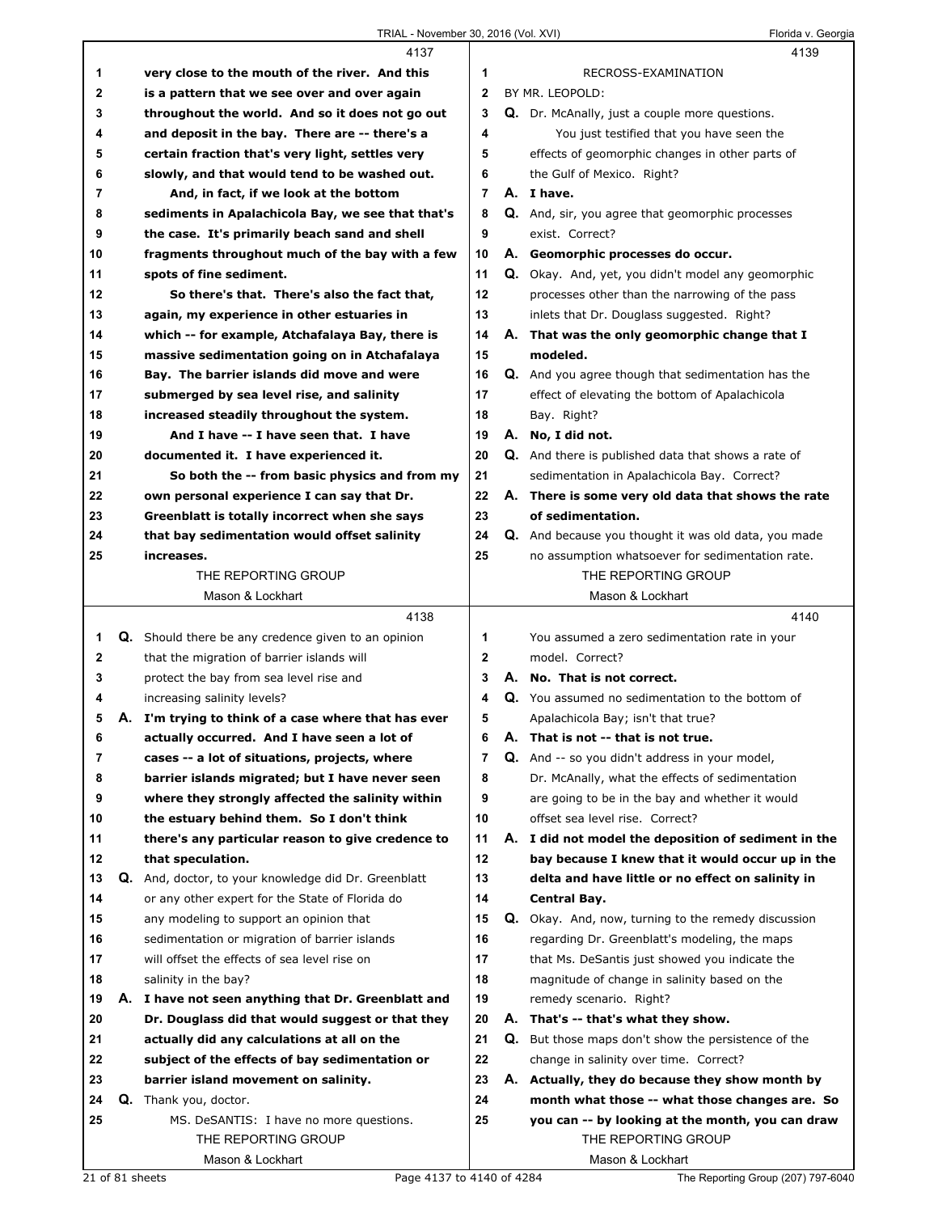## TRIAL - November 30, 2016 (Vol. XVI) Florida v. Georgia

|          |    | 4137                                                                                                     |                |    | 4139                                                                                                  |
|----------|----|----------------------------------------------------------------------------------------------------------|----------------|----|-------------------------------------------------------------------------------------------------------|
| 1        |    | very close to the mouth of the river. And this                                                           | 1              |    | RECROSS-EXAMINATION                                                                                   |
| 2        |    | is a pattern that we see over and over again                                                             | $\mathbf{2}$   |    | BY MR. LEOPOLD:                                                                                       |
| 3        |    | throughout the world. And so it does not go out                                                          | 3              |    | Q. Dr. McAnally, just a couple more questions.                                                        |
| 4        |    | and deposit in the bay. There are -- there's a                                                           | 4              |    | You just testified that you have seen the                                                             |
| 5        |    | certain fraction that's very light, settles very                                                         | 5              |    | effects of geomorphic changes in other parts of                                                       |
| 6        |    | slowly, and that would tend to be washed out.                                                            | 6              |    | the Gulf of Mexico. Right?                                                                            |
| 7        |    | And, in fact, if we look at the bottom                                                                   | $\overline{7}$ |    | A. I have.                                                                                            |
| 8        |    | sediments in Apalachicola Bay, we see that that's                                                        | 8              |    | Q. And, sir, you agree that geomorphic processes                                                      |
| 9        |    | the case. It's primarily beach sand and shell                                                            | 9              |    | exist. Correct?                                                                                       |
| 10       |    | fragments throughout much of the bay with a few                                                          | 10             |    | A. Geomorphic processes do occur.                                                                     |
| 11       |    | spots of fine sediment.                                                                                  | 11             |    | Q. Okay. And, yet, you didn't model any geomorphic                                                    |
| 12       |    | So there's that. There's also the fact that,                                                             | 12             |    | processes other than the narrowing of the pass                                                        |
| 13       |    | again, my experience in other estuaries in                                                               | 13             |    | inlets that Dr. Douglass suggested. Right?                                                            |
| 14       |    | which -- for example, Atchafalaya Bay, there is                                                          | 14             |    | A. That was the only geomorphic change that I                                                         |
| 15       |    | massive sedimentation going on in Atchafalaya                                                            | 15             |    | modeled.                                                                                              |
| 16       |    | Bay. The barrier islands did move and were                                                               | 16             |    | Q. And you agree though that sedimentation has the                                                    |
| 17       |    | submerged by sea level rise, and salinity                                                                | 17             |    | effect of elevating the bottom of Apalachicola                                                        |
| 18       |    | increased steadily throughout the system.                                                                | 18             |    | Bay. Right?                                                                                           |
| 19       |    | And I have -- I have seen that. I have                                                                   | 19             |    | A. No, I did not.                                                                                     |
| 20       |    | documented it. I have experienced it.                                                                    | 20             |    | Q. And there is published data that shows a rate of                                                   |
| 21       |    | So both the -- from basic physics and from my                                                            | 21             |    | sedimentation in Apalachicola Bay. Correct?                                                           |
| 22       |    | own personal experience I can say that Dr.                                                               | 22             |    | A. There is some very old data that shows the rate                                                    |
| 23       |    | Greenblatt is totally incorrect when she says                                                            | 23             |    | of sedimentation.                                                                                     |
| 24       |    | that bay sedimentation would offset salinity                                                             | 24             |    | Q. And because you thought it was old data, you made                                                  |
| 25       |    | increases.                                                                                               | 25             |    | no assumption whatsoever for sedimentation rate.                                                      |
|          |    | THE REPORTING GROUP                                                                                      |                |    | THE REPORTING GROUP                                                                                   |
|          |    | Mason & Lockhart                                                                                         |                |    | Mason & Lockhart                                                                                      |
|          |    |                                                                                                          |                |    |                                                                                                       |
|          |    | 4138                                                                                                     |                |    | 4140                                                                                                  |
|          |    |                                                                                                          | 1              |    |                                                                                                       |
| 1<br>2   |    | <b>Q.</b> Should there be any credence given to an opinion<br>that the migration of barrier islands will | $\mathbf{2}$   |    | You assumed a zero sedimentation rate in your<br>model. Correct?                                      |
| 3        |    |                                                                                                          | 3              |    | A. No. That is not correct.                                                                           |
| 4        |    | protect the bay from sea level rise and                                                                  | 4              |    | Q. You assumed no sedimentation to the bottom of                                                      |
| 5        |    | increasing salinity levels?<br>A. I'm trying to think of a case where that has ever                      | 5              |    | Apalachicola Bay; isn't that true?                                                                    |
| 6        |    |                                                                                                          | 6              | Α. |                                                                                                       |
| 7        |    | actually occurred. And I have seen a lot of                                                              | 7              |    | That is not -- that is not true.<br><b>Q.</b> And -- so you didn't address in your model,             |
| 8        |    | cases -- a lot of situations, projects, where<br>barrier islands migrated; but I have never seen         | 8              |    | Dr. McAnally, what the effects of sedimentation                                                       |
| 9        |    |                                                                                                          | 9              |    |                                                                                                       |
| 10       |    | where they strongly affected the salinity within                                                         | 10             |    | are going to be in the bay and whether it would<br>offset sea level rise. Correct?                    |
| 11       |    | the estuary behind them. So I don't think<br>there's any particular reason to give credence to           | 11             |    | A. I did not model the deposition of sediment in the                                                  |
| 12       |    | that speculation.                                                                                        | 12             |    |                                                                                                       |
| 13       | Q. |                                                                                                          | 13             |    | bay because I knew that it would occur up in the<br>delta and have little or no effect on salinity in |
| 14       |    | And, doctor, to your knowledge did Dr. Greenblatt                                                        | 14             |    | Central Bay.                                                                                          |
| 15       |    | or any other expert for the State of Florida do                                                          | 15             |    |                                                                                                       |
|          |    | any modeling to support an opinion that                                                                  | 16             |    | Q. Okay. And, now, turning to the remedy discussion                                                   |
| 16<br>17 |    | sedimentation or migration of barrier islands<br>will offset the effects of sea level rise on            | 17             |    | regarding Dr. Greenblatt's modeling, the maps<br>that Ms. DeSantis just showed you indicate the       |
| 18       |    | salinity in the bay?                                                                                     | 18             |    | magnitude of change in salinity based on the                                                          |
| 19       |    | A. I have not seen anything that Dr. Greenblatt and                                                      | 19             |    | remedy scenario. Right?                                                                               |
| 20       |    | Dr. Douglass did that would suggest or that they                                                         | 20             |    | A. That's -- that's what they show.                                                                   |
| 21       |    | actually did any calculations at all on the                                                              | 21             |    |                                                                                                       |
| 22       |    | subject of the effects of bay sedimentation or                                                           | 22             |    | Q. But those maps don't show the persistence of the<br>change in salinity over time. Correct?         |
| 23       |    | barrier island movement on salinity.                                                                     | 23             |    |                                                                                                       |
| 24       |    | Q. Thank you, doctor.                                                                                    | 24             |    | A. Actually, they do because they show month by<br>month what those -- what those changes are. So     |
| 25       |    | MS. DeSANTIS: I have no more questions.                                                                  | 25             |    | you can -- by looking at the month, you can draw                                                      |
|          |    | THE REPORTING GROUP                                                                                      |                |    | THE REPORTING GROUP                                                                                   |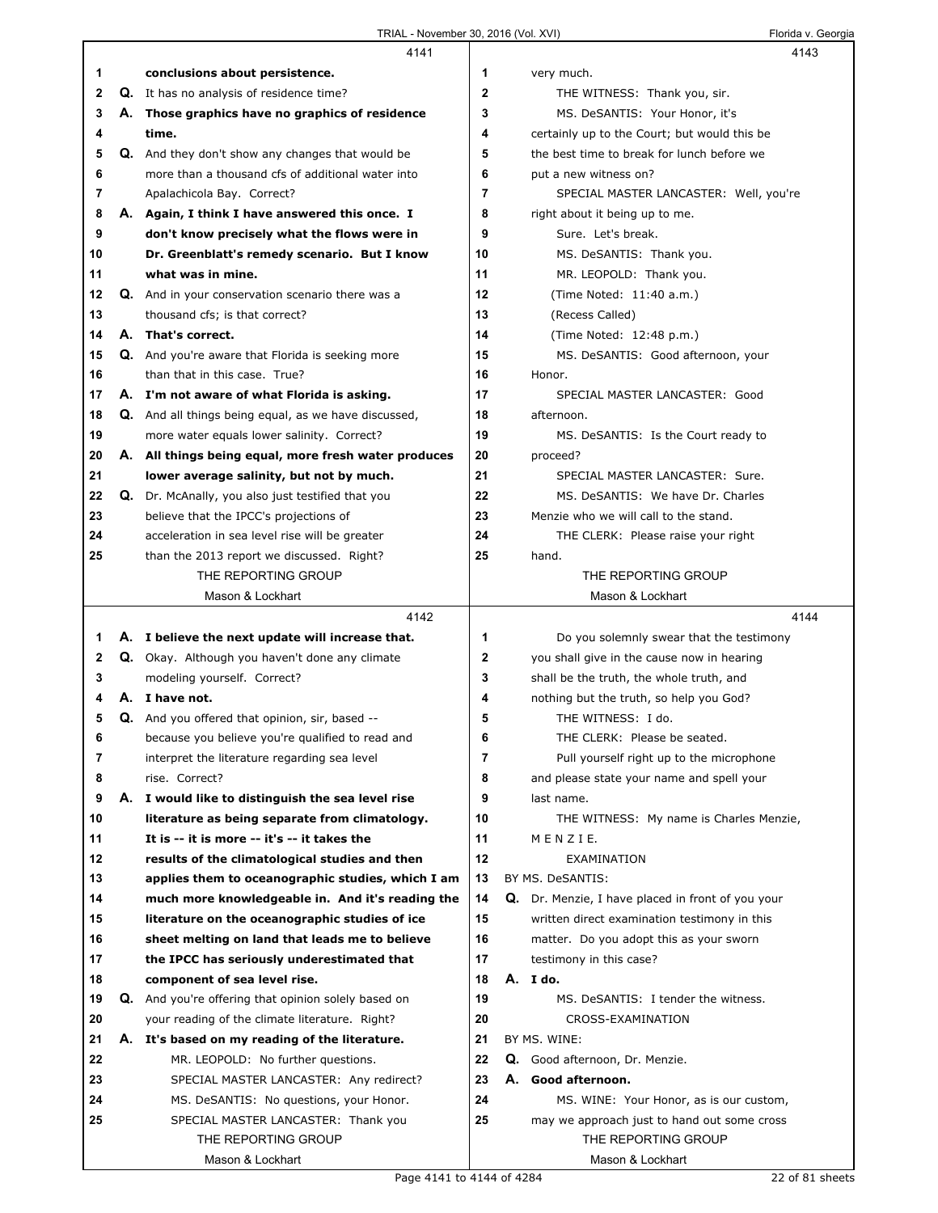|          | 4141                                                                                          |                | 4143                                                          |
|----------|-----------------------------------------------------------------------------------------------|----------------|---------------------------------------------------------------|
| 1        | conclusions about persistence.                                                                | 1              | very much.                                                    |
| 2        | <b>Q.</b> It has no analysis of residence time?                                               | $\overline{2}$ | THE WITNESS: Thank you, sir.                                  |
| 3        | A. Those graphics have no graphics of residence                                               | 3              | MS. DeSANTIS: Your Honor, it's                                |
| 4        | time.                                                                                         | 4              | certainly up to the Court; but would this be                  |
| 5        | Q. And they don't show any changes that would be                                              | 5              | the best time to break for lunch before we                    |
| 6        | more than a thousand cfs of additional water into                                             | 6              | put a new witness on?                                         |
| 7        | Apalachicola Bay. Correct?                                                                    | 7              | SPECIAL MASTER LANCASTER: Well, you're                        |
| 8        | A. Again, I think I have answered this once. I                                                | 8              | right about it being up to me.                                |
| 9        | don't know precisely what the flows were in                                                   | 9              | Sure. Let's break.                                            |
| 10       | Dr. Greenblatt's remedy scenario. But I know                                                  | 10             | MS. DeSANTIS: Thank you.                                      |
| 11       | what was in mine.                                                                             | 11             | MR. LEOPOLD: Thank you.                                       |
| 12       | Q. And in your conservation scenario there was a                                              | 12             | (Time Noted: 11:40 a.m.)                                      |
| 13       | thousand cfs; is that correct?                                                                | 13             | (Recess Called)                                               |
| 14       | A. That's correct.                                                                            | 14             | (Time Noted: 12:48 p.m.)                                      |
| 15       | Q. And you're aware that Florida is seeking more                                              | 15             | MS. DeSANTIS: Good afternoon, your                            |
| 16       | than that in this case. True?                                                                 | 16             | Honor.                                                        |
| 17       | A. I'm not aware of what Florida is asking.                                                   | 17             | SPECIAL MASTER LANCASTER: Good                                |
| 18       | Q. And all things being equal, as we have discussed,                                          | 18             | afternoon.                                                    |
| 19       | more water equals lower salinity. Correct?                                                    | 19             | MS. DeSANTIS: Is the Court ready to                           |
| 20       | A. All things being equal, more fresh water produces                                          | 20             | proceed?                                                      |
| 21       | lower average salinity, but not by much.                                                      | 21             | SPECIAL MASTER LANCASTER: Sure.                               |
| 22       | Q. Dr. McAnally, you also just testified that you                                             | 22             | MS. DeSANTIS: We have Dr. Charles                             |
| 23       | believe that the IPCC's projections of                                                        | 23             | Menzie who we will call to the stand.                         |
| 24       | acceleration in sea level rise will be greater                                                | 24             | THE CLERK: Please raise your right                            |
| 25       | than the 2013 report we discussed. Right?                                                     | 25             | hand.                                                         |
|          | THE REPORTING GROUP                                                                           |                | THE REPORTING GROUP                                           |
|          | Mason & Lockhart                                                                              |                | Mason & Lockhart                                              |
|          |                                                                                               |                |                                                               |
|          | 4142                                                                                          |                | 4144                                                          |
|          |                                                                                               | 1              |                                                               |
| 1<br>2   | A. I believe the next update will increase that.                                              | 2              | Do you solemnly swear that the testimony                      |
| 3        | Q. Okay. Although you haven't done any climate                                                | 3              | you shall give in the cause now in hearing                    |
| 4        | modeling yourself. Correct?<br>A. I have not.                                                 | 4              | shall be the truth, the whole truth, and                      |
| 5        |                                                                                               | 5              | nothing but the truth, so help you God?<br>THE WITNESS: I do. |
|          | Q. And you offered that opinion, sir, based --                                                |                | THE CLERK: Please be seated.                                  |
| 6        | because you believe you're qualified to read and                                              | 6              |                                                               |
| 7        | interpret the literature regarding sea level                                                  | 7              | Pull yourself right up to the microphone                      |
| 8<br>9   | rise. Correct?                                                                                | 8<br>9         | and please state your name and spell your<br>last name.       |
|          | A. I would like to distinguish the sea level rise                                             | 10             |                                                               |
| 10<br>11 | literature as being separate from climatology.                                                |                | THE WITNESS: My name is Charles Menzie,                       |
| 12       | It is -- it is more -- it's -- it takes the<br>results of the climatological studies and then | 11<br>12       | MENZIE.<br>EXAMINATION                                        |
|          |                                                                                               |                |                                                               |
| 13       | applies them to oceanographic studies, which I am                                             | 13             | BY MS. DeSANTIS:                                              |
| 14       | much more knowledgeable in. And it's reading the                                              | 14             | Q. Dr. Menzie, I have placed in front of you your             |
| 15       | literature on the oceanographic studies of ice                                                | 15             | written direct examination testimony in this                  |
| 16       | sheet melting on land that leads me to believe                                                | 16             | matter. Do you adopt this as your sworn                       |
| 17       | the IPCC has seriously underestimated that                                                    | 17             | testimony in this case?                                       |
| 18       | component of sea level rise.                                                                  | 18             | A. I do.                                                      |
| 19       | Q. And you're offering that opinion solely based on                                           | 19             | MS. DeSANTIS: I tender the witness.                           |
| 20       | your reading of the climate literature. Right?                                                | 20             | CROSS-EXAMINATION                                             |
| 21       | A. It's based on my reading of the literature.                                                | 21             | BY MS. WINE:                                                  |
| 22       | MR. LEOPOLD: No further questions.                                                            | 22             | Q. Good afternoon, Dr. Menzie.                                |
| 23       | SPECIAL MASTER LANCASTER: Any redirect?                                                       | 23             | А.<br>Good afternoon.                                         |
| 24       | MS. DeSANTIS: No questions, your Honor.                                                       | 24             | MS. WINE: Your Honor, as is our custom,                       |
| 25       | SPECIAL MASTER LANCASTER: Thank you                                                           | 25             | may we approach just to hand out some cross                   |
|          | THE REPORTING GROUP<br>Mason & Lockhart                                                       |                | THE REPORTING GROUP<br>Mason & Lockhart                       |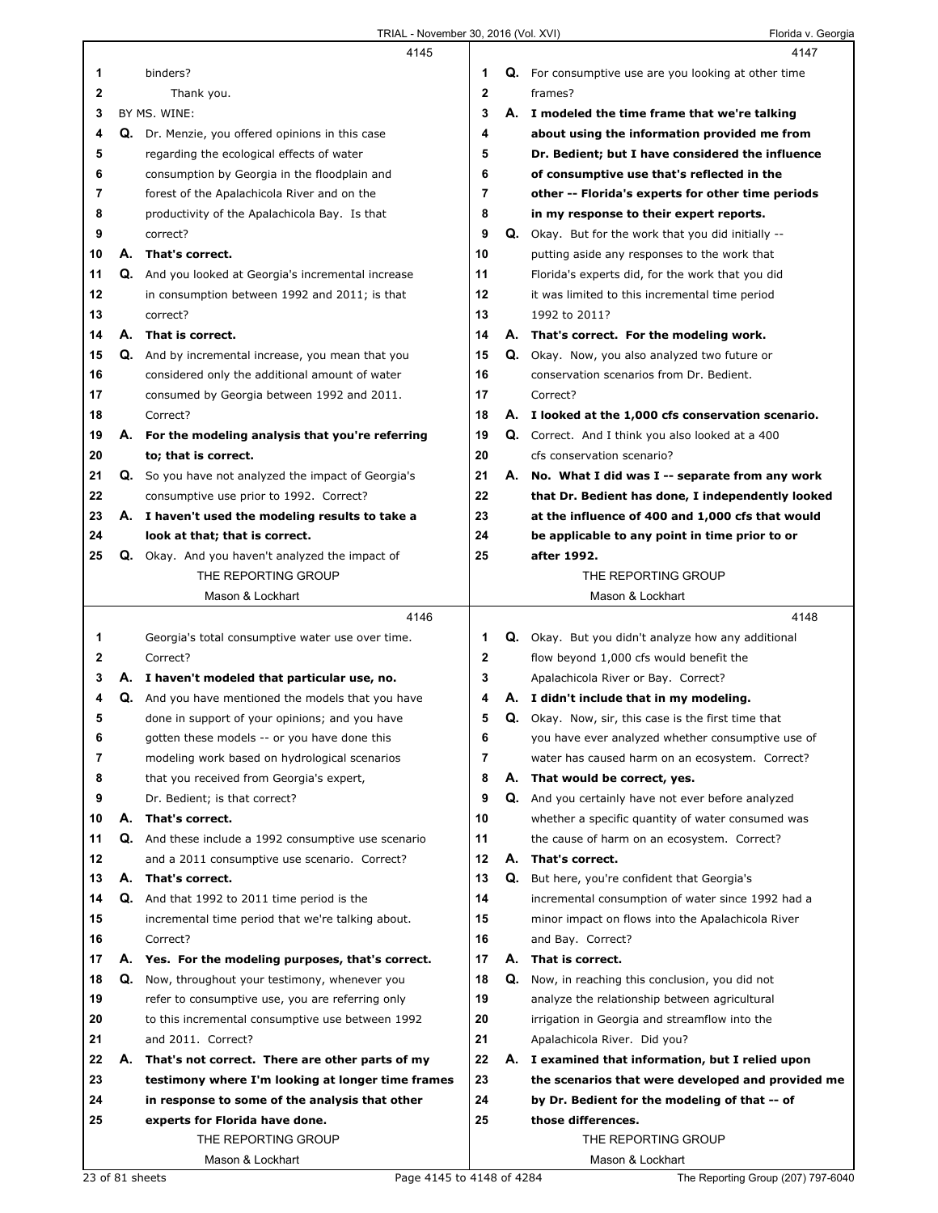|                  |    | 4145                                                   |              |    | 4147                                                        |
|------------------|----|--------------------------------------------------------|--------------|----|-------------------------------------------------------------|
| 1                |    | binders?                                               | 1            |    | <b>Q.</b> For consumptive use are you looking at other time |
| $\boldsymbol{2}$ |    | Thank you.                                             | $\mathbf{2}$ |    | frames?                                                     |
| 3                |    | BY MS. WINE:                                           | 3            |    | A. I modeled the time frame that we're talking              |
| 4                |    | Q. Dr. Menzie, you offered opinions in this case       | 4            |    | about using the information provided me from                |
| 5                |    | regarding the ecological effects of water              | 5            |    | Dr. Bedient; but I have considered the influence            |
| 6                |    | consumption by Georgia in the floodplain and           | 6            |    | of consumptive use that's reflected in the                  |
| 7                |    | forest of the Apalachicola River and on the            | 7            |    | other -- Florida's experts for other time periods           |
| 8                |    | productivity of the Apalachicola Bay. Is that          | 8            |    | in my response to their expert reports.                     |
| 9                |    | correct?                                               | 9            |    | Q. Okay. But for the work that you did initially --         |
| 10               |    | A. That's correct.                                     | 10           |    | putting aside any responses to the work that                |
| 11               |    | Q. And you looked at Georgia's incremental increase    | 11           |    | Florida's experts did, for the work that you did            |
| 12               |    | in consumption between 1992 and 2011; is that          | 12           |    | it was limited to this incremental time period              |
| 13               |    | correct?                                               | 13           |    | 1992 to 2011?                                               |
| 14               |    | A. That is correct.                                    | 14           |    | A. That's correct. For the modeling work.                   |
| 15               |    | Q. And by incremental increase, you mean that you      | 15           |    | Q. Okay. Now, you also analyzed two future or               |
| 16               |    | considered only the additional amount of water         | 16           |    | conservation scenarios from Dr. Bedient.                    |
| 17               |    | consumed by Georgia between 1992 and 2011.             | 17           |    | Correct?                                                    |
| 18               |    | Correct?                                               | 18           |    | A. I looked at the 1,000 cfs conservation scenario.         |
| 19               |    | A. For the modeling analysis that you're referring     | 19           |    | Q. Correct. And I think you also looked at a 400            |
| 20               |    | to; that is correct.                                   | 20           |    | cfs conservation scenario?                                  |
| 21               |    | Q. So you have not analyzed the impact of Georgia's    | 21           | А. | No. What I did was I -- separate from any work              |
| 22               |    | consumptive use prior to 1992. Correct?                | 22           |    | that Dr. Bedient has done, I independently looked           |
| 23               |    | A. I haven't used the modeling results to take a       | 23           |    | at the influence of 400 and 1,000 cfs that would            |
| 24               |    | look at that; that is correct.                         | 24           |    | be applicable to any point in time prior to or              |
| 25               |    | <b>Q.</b> Okay. And you haven't analyzed the impact of | 25           |    | after 1992.                                                 |
|                  |    | THE REPORTING GROUP                                    |              |    | THE REPORTING GROUP                                         |
|                  |    | Mason & Lockhart                                       |              |    | Mason & Lockhart                                            |
|                  |    | 4146                                                   |              |    |                                                             |
|                  |    |                                                        |              |    | 4148                                                        |
| 1                |    | Georgia's total consumptive water use over time.       | 1            |    | <b>Q.</b> Okay. But you didn't analyze how any additional   |
| 2                |    | Correct?                                               | $\mathbf{2}$ |    | flow beyond 1,000 cfs would benefit the                     |
| 3                |    | A. I haven't modeled that particular use, no.          | 3            |    | Apalachicola River or Bay. Correct?                         |
| 4                | Q. | And you have mentioned the models that you have        | 4            |    | A. I didn't include that in my modeling.                    |
| 5                |    | done in support of your opinions; and you have         | 5            |    | Q. Okay. Now, sir, this case is the first time that         |
| 6                |    | gotten these models -- or you have done this           | 6            |    | you have ever analyzed whether consumptive use of           |
| 7                |    | modeling work based on hydrological scenarios          | 7            |    | water has caused harm on an ecosystem. Correct?             |
| 8                |    | that you received from Georgia's expert,               | 8            | А. | That would be correct, yes.                                 |
| 9                |    | Dr. Bedient; is that correct?                          | 9            | Q. | And you certainly have not ever before analyzed             |
| 10               | А. | That's correct.                                        | 10           |    | whether a specific quantity of water consumed was           |
| 11               |    | Q. And these include a 1992 consumptive use scenario   | 11           |    | the cause of harm on an ecosystem. Correct?                 |
| 12               |    | and a 2011 consumptive use scenario. Correct?          | 12           | А. | That's correct.                                             |
| 13               |    | A. That's correct.                                     | 13           | Q. | But here, you're confident that Georgia's                   |
| 14               |    | <b>Q.</b> And that 1992 to 2011 time period is the     | 14           |    | incremental consumption of water since 1992 had a           |
| 15               |    | incremental time period that we're talking about.      | 15           |    | minor impact on flows into the Apalachicola River           |
| 16               |    | Correct?                                               | 16           |    | and Bay. Correct?                                           |
| 17               |    | A. Yes. For the modeling purposes, that's correct.     | 17           | А. | That is correct.                                            |
| 18               | Q. | Now, throughout your testimony, whenever you           | 18           | Q. | Now, in reaching this conclusion, you did not               |
| 19               |    | refer to consumptive use, you are referring only       | 19           |    | analyze the relationship between agricultural               |
| 20               |    | to this incremental consumptive use between 1992       | 20           |    | irrigation in Georgia and streamflow into the               |
| 21               |    | and 2011. Correct?                                     | 21           |    | Apalachicola River. Did you?                                |
| 22               |    | A. That's not correct. There are other parts of my     | 22           |    | A. I examined that information, but I relied upon           |
| 23               |    | testimony where I'm looking at longer time frames      | 23           |    | the scenarios that were developed and provided me           |
| 24               |    | in response to some of the analysis that other         | 24           |    | by Dr. Bedient for the modeling of that -- of               |
| 25               |    | experts for Florida have done.                         | 25           |    | those differences.                                          |
|                  |    | THE REPORTING GROUP                                    |              |    | THE REPORTING GROUP                                         |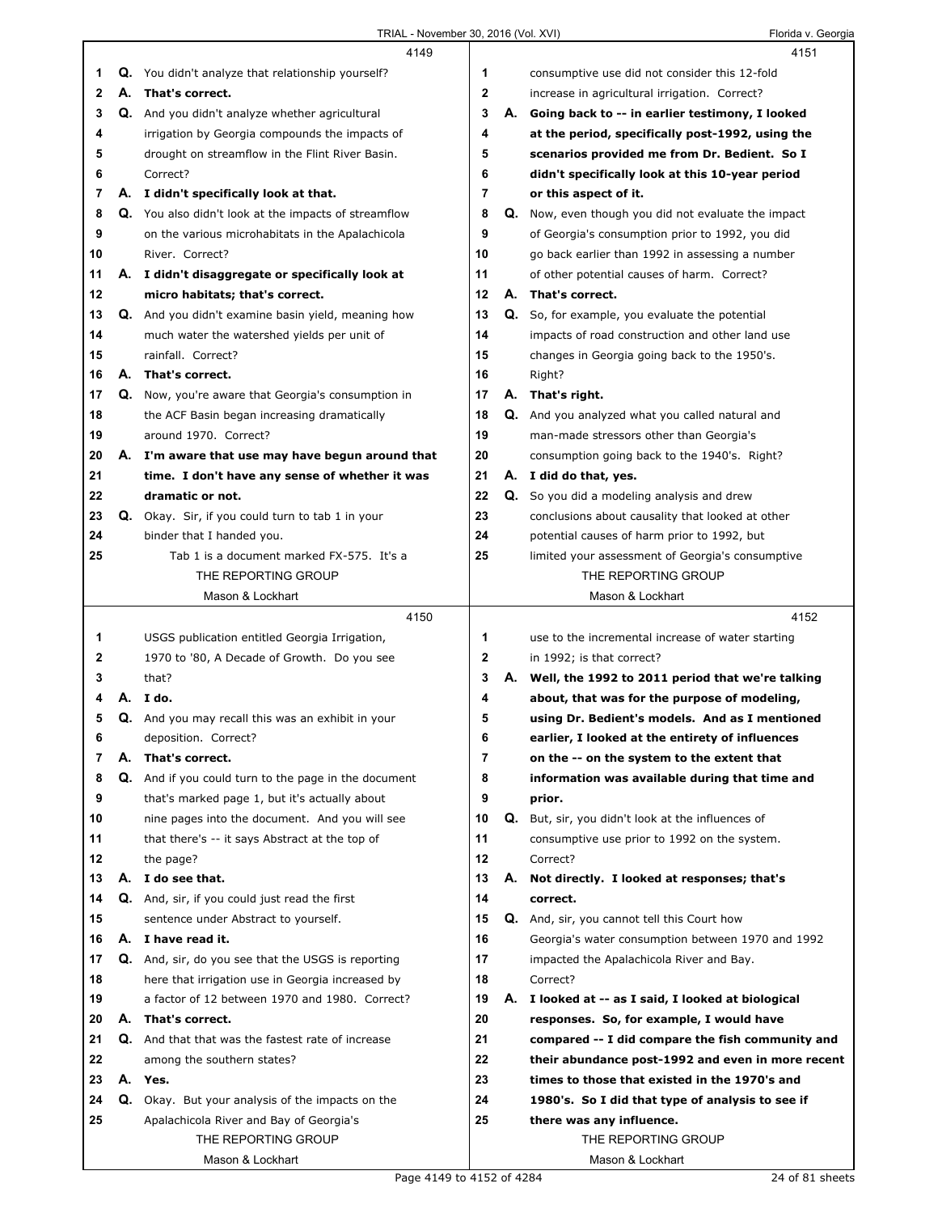|              |    | 4149                                                     |                |    | 4151                                                                                    |
|--------------|----|----------------------------------------------------------|----------------|----|-----------------------------------------------------------------------------------------|
| 1            | Q. | You didn't analyze that relationship yourself?           | 1              |    | consumptive use did not consider this 12-fold                                           |
| $\mathbf{2}$ |    | A. That's correct.                                       | $\mathbf{2}$   |    | increase in agricultural irrigation. Correct?                                           |
| 3            | Q. | And you didn't analyze whether agricultural              | 3              | А. | Going back to -- in earlier testimony, I looked                                         |
| 4            |    | irrigation by Georgia compounds the impacts of           | 4              |    | at the period, specifically post-1992, using the                                        |
| 5            |    | drought on streamflow in the Flint River Basin.          | 5              |    | scenarios provided me from Dr. Bedient. So I                                            |
| 6            |    | Correct?                                                 | 6              |    | didn't specifically look at this 10-year period                                         |
| 7            |    | A. I didn't specifically look at that.                   | $\overline{7}$ |    | or this aspect of it.                                                                   |
| 8            |    | Q. You also didn't look at the impacts of streamflow     | 8              |    | <b>Q.</b> Now, even though you did not evaluate the impact                              |
| 9            |    | on the various microhabitats in the Apalachicola         | 9              |    | of Georgia's consumption prior to 1992, you did                                         |
| 10           |    | River. Correct?                                          | 10             |    | go back earlier than 1992 in assessing a number                                         |
| 11           |    | A. I didn't disaggregate or specifically look at         | 11             |    | of other potential causes of harm. Correct?                                             |
| 12           |    | micro habitats; that's correct.                          | 12             |    | A. That's correct.                                                                      |
| 13           |    | Q. And you didn't examine basin yield, meaning how       | 13             |    | Q. So, for example, you evaluate the potential                                          |
| 14           |    | much water the watershed yields per unit of              | 14             |    | impacts of road construction and other land use                                         |
| 15           |    | rainfall. Correct?                                       | 15             |    | changes in Georgia going back to the 1950's.                                            |
| 16           | А. | That's correct.                                          | 16             |    | Right?                                                                                  |
| 17           |    | Q. Now, you're aware that Georgia's consumption in       | 17             |    | A. That's right.                                                                        |
| 18           |    | the ACF Basin began increasing dramatically              | 18             |    | Q. And you analyzed what you called natural and                                         |
| 19           |    | around 1970. Correct?                                    | 19             |    |                                                                                         |
| 20           |    | A. I'm aware that use may have begun around that         | 20             |    | man-made stressors other than Georgia's<br>consumption going back to the 1940's. Right? |
| 21           |    | time. I don't have any sense of whether it was           | 21             |    | A. I did do that, yes.                                                                  |
| 22           |    | dramatic or not.                                         | 22             |    | Q. So you did a modeling analysis and drew                                              |
| 23           |    | Q. Okay. Sir, if you could turn to tab 1 in your         | 23             |    |                                                                                         |
| 24           |    |                                                          | 24             |    | conclusions about causality that looked at other                                        |
|              |    | binder that I handed you.                                | 25             |    | potential causes of harm prior to 1992, but                                             |
| 25           |    | Tab 1 is a document marked FX-575. It's a                |                |    | limited your assessment of Georgia's consumptive<br>THE REPORTING GROUP                 |
|              |    | THE REPORTING GROUP                                      |                |    |                                                                                         |
|              |    | Mason & Lockhart                                         |                |    | Mason & Lockhart                                                                        |
|              |    | 4150                                                     |                |    |                                                                                         |
|              |    |                                                          |                |    | 4152                                                                                    |
| 1            |    | USGS publication entitled Georgia Irrigation,            | 1              |    | use to the incremental increase of water starting                                       |
| 2            |    | 1970 to '80, A Decade of Growth. Do you see              | 2              |    | in 1992; is that correct?                                                               |
| 3            |    | that?                                                    | 3              |    | A. Well, the 1992 to 2011 period that we're talking                                     |
| 4            | А. | I do.                                                    | 4              |    | about, that was for the purpose of modeling,                                            |
| 5            |    | Q. And you may recall this was an exhibit in your        | 5              |    | using Dr. Bedient's models. And as I mentioned                                          |
| 6            |    | deposition. Correct?                                     | 6              |    | earlier, I looked at the entirety of influences                                         |
| 7            | А. | That's correct.                                          | 7              |    | on the -- on the system to the extent that                                              |
| 8            | Q. | And if you could turn to the page in the document        | 8              |    | information was available during that time and                                          |
| 9            |    | that's marked page 1, but it's actually about            | 9              |    | prior.                                                                                  |
| 10           |    | nine pages into the document. And you will see           | 10             |    | Q. But, sir, you didn't look at the influences of                                       |
| 11           |    | that there's -- it says Abstract at the top of           | 11             |    | consumptive use prior to 1992 on the system.                                            |
| 12           |    | the page?                                                | 12             |    | Correct?                                                                                |
| 13           |    | A. I do see that.                                        | 13             | А. | Not directly. I looked at responses; that's                                             |
| 14           |    | Q. And, sir, if you could just read the first            | 14             |    | correct.                                                                                |
| 15           |    | sentence under Abstract to yourself.                     | 15             |    | Q. And, sir, you cannot tell this Court how                                             |
| 16           |    | A. I have read it.                                       | 16             |    | Georgia's water consumption between 1970 and 1992                                       |
| 17           |    | Q. And, sir, do you see that the USGS is reporting       | 17             |    | impacted the Apalachicola River and Bay.                                                |
| 18           |    | here that irrigation use in Georgia increased by         | 18             |    | Correct?                                                                                |
| 19           |    | a factor of 12 between 1970 and 1980. Correct?           | 19             | А. | I looked at -- as I said, I looked at biological                                        |
| 20           |    | A. That's correct.                                       | 20             |    | responses. So, for example, I would have                                                |
| 21           |    | <b>Q.</b> And that that was the fastest rate of increase | 21             |    | compared -- I did compare the fish community and                                        |
| 22           |    | among the southern states?                               | 22             |    | their abundance post-1992 and even in more recent                                       |
| 23           |    | A. Yes.                                                  | 23             |    | times to those that existed in the 1970's and                                           |
| 24           |    | Q. Okay. But your analysis of the impacts on the         | 24             |    | 1980's. So I did that type of analysis to see if                                        |
| 25           |    | Apalachicola River and Bay of Georgia's                  | 25             |    | there was any influence.                                                                |
|              |    | THE REPORTING GROUP<br>Mason & Lockhart                  |                |    | THE REPORTING GROUP<br>Mason & Lockhart                                                 |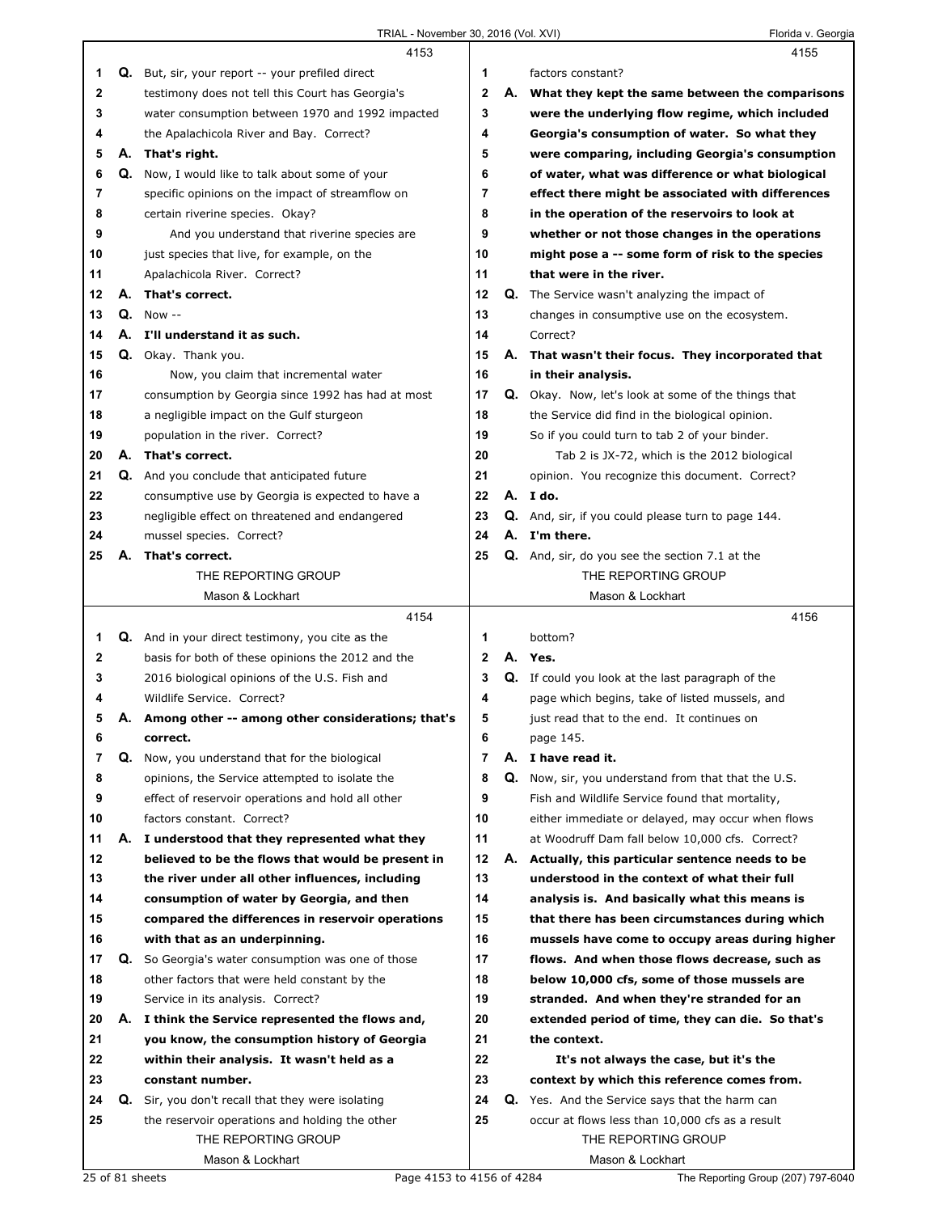|          |    | 4153                                                                                          |                     |    | 4155                                                                                                 |
|----------|----|-----------------------------------------------------------------------------------------------|---------------------|----|------------------------------------------------------------------------------------------------------|
| 1        |    | Q. But, sir, your report -- your prefiled direct                                              | 1                   |    | factors constant?                                                                                    |
| 2        |    | testimony does not tell this Court has Georgia's                                              | $\mathbf 2$         | А. | What they kept the same between the comparisons                                                      |
| 3        |    | water consumption between 1970 and 1992 impacted                                              | 3                   |    | were the underlying flow regime, which included                                                      |
| 4        |    | the Apalachicola River and Bay. Correct?                                                      | 4                   |    | Georgia's consumption of water. So what they                                                         |
| 5        | А. | That's right.                                                                                 | 5                   |    | were comparing, including Georgia's consumption                                                      |
| 6        | Q. | Now, I would like to talk about some of your                                                  | 6                   |    | of water, what was difference or what biological                                                     |
| 7        |    | specific opinions on the impact of streamflow on                                              | 7                   |    | effect there might be associated with differences                                                    |
| 8        |    | certain riverine species. Okay?                                                               | 8                   |    | in the operation of the reservoirs to look at                                                        |
| 9        |    | And you understand that riverine species are                                                  | 9                   |    | whether or not those changes in the operations                                                       |
| 10       |    | just species that live, for example, on the                                                   | 10                  |    | might pose a -- some form of risk to the species                                                     |
| 11       |    | Apalachicola River. Correct?                                                                  | 11                  |    | that were in the river.                                                                              |
| 12       | А. | That's correct.                                                                               | 12                  |    | Q. The Service wasn't analyzing the impact of                                                        |
| 13       | Q. | Now $-$                                                                                       | 13                  |    | changes in consumptive use on the ecosystem.                                                         |
| 14       | А. | I'll understand it as such.                                                                   | 14                  |    | Correct?                                                                                             |
| 15       |    | Q. Okay. Thank you.                                                                           | 15                  |    | A. That wasn't their focus. They incorporated that                                                   |
| 16       |    | Now, you claim that incremental water                                                         | 16                  |    | in their analysis.                                                                                   |
| 17       |    | consumption by Georgia since 1992 has had at most                                             | 17                  |    | Q. Okay. Now, let's look at some of the things that                                                  |
| 18       |    | a negligible impact on the Gulf sturgeon                                                      | 18                  |    | the Service did find in the biological opinion.                                                      |
| 19       |    | population in the river. Correct?                                                             | 19                  |    | So if you could turn to tab 2 of your binder.                                                        |
| 20       |    | A. That's correct.                                                                            | 20                  |    | Tab 2 is JX-72, which is the 2012 biological                                                         |
| 21       |    | <b>Q.</b> And you conclude that anticipated future                                            | 21                  |    | opinion. You recognize this document. Correct?                                                       |
| 22       |    | consumptive use by Georgia is expected to have a                                              | 22                  |    | A. I do.                                                                                             |
| 23       |    | negligible effect on threatened and endangered                                                | 23                  |    | Q. And, sir, if you could please turn to page 144.                                                   |
| 24       |    | mussel species. Correct?                                                                      | 24                  |    | A. I'm there.                                                                                        |
| 25       | А. | That's correct.                                                                               | 25                  |    | Q. And, sir, do you see the section 7.1 at the                                                       |
|          |    | THE REPORTING GROUP                                                                           |                     |    | THE REPORTING GROUP                                                                                  |
|          |    | Mason & Lockhart                                                                              |                     |    | Mason & Lockhart                                                                                     |
|          |    |                                                                                               |                     |    |                                                                                                      |
|          |    |                                                                                               |                     |    |                                                                                                      |
|          |    | 4154                                                                                          |                     |    | 4156<br>bottom?                                                                                      |
| 1        |    | Q. And in your direct testimony, you cite as the                                              | 1<br>$\mathbf{2}$   |    | A. Yes.                                                                                              |
| 2        |    | basis for both of these opinions the 2012 and the                                             | 3                   |    |                                                                                                      |
| 3<br>4   |    | 2016 biological opinions of the U.S. Fish and                                                 | 4                   |    | Q. If could you look at the last paragraph of the                                                    |
| 5        |    | Wildlife Service. Correct?                                                                    | 5                   |    | page which begins, take of listed mussels, and                                                       |
|          | Α. | Among other -- among other considerations; that's                                             |                     |    | just read that to the end. It continues on                                                           |
| 6        |    | correct.                                                                                      | 6<br>$\overline{7}$ |    | page 145.                                                                                            |
| 7        | Q. | Now, you understand that for the biological<br>opinions, the Service attempted to isolate the | 8                   |    | A. I have read it.                                                                                   |
| 8        |    |                                                                                               |                     |    | <b>Q.</b> Now, sir, you understand from that that the U.S.                                           |
| 9        |    | effect of reservoir operations and hold all other                                             | 9<br>10             |    | Fish and Wildlife Service found that mortality,                                                      |
| 10       | А. | factors constant. Correct?<br>I understood that they represented what they                    |                     |    | either immediate or delayed, may occur when flows<br>at Woodruff Dam fall below 10,000 cfs. Correct? |
| 11<br>12 |    |                                                                                               | 11<br>12            |    |                                                                                                      |
|          |    | believed to be the flows that would be present in                                             |                     |    | A. Actually, this particular sentence needs to be                                                    |
| 13<br>14 |    | the river under all other influences, including                                               | 13<br>14            |    | understood in the context of what their full<br>analysis is. And basically what this means is        |
| 15       |    | consumption of water by Georgia, and then<br>compared the differences in reservoir operations | 15                  |    | that there has been circumstances during which                                                       |
| 16       |    | with that as an underpinning.                                                                 | 16                  |    | mussels have come to occupy areas during higher                                                      |
| 17       | Q. | So Georgia's water consumption was one of those                                               | 17                  |    | flows. And when those flows decrease, such as                                                        |
| 18       |    | other factors that were held constant by the                                                  | 18                  |    | below 10,000 cfs, some of those mussels are                                                          |
| 19       |    | Service in its analysis. Correct?                                                             | 19                  |    | stranded. And when they're stranded for an                                                           |
| 20       | А. | I think the Service represented the flows and,                                                | 20                  |    | extended period of time, they can die. So that's                                                     |
| 21       |    | you know, the consumption history of Georgia                                                  | 21                  |    | the context.                                                                                         |
| 22       |    | within their analysis. It wasn't held as a                                                    | 22                  |    | It's not always the case, but it's the                                                               |
| 23       |    | constant number.                                                                              | 23                  |    | context by which this reference comes from.                                                          |
| 24       |    | <b>Q.</b> Sir, you don't recall that they were isolating                                      | 24                  |    | <b>Q.</b> Yes. And the Service says that the harm can                                                |
| 25       |    | the reservoir operations and holding the other                                                | 25                  |    | occur at flows less than 10,000 cfs as a result                                                      |
|          |    | THE REPORTING GROUP                                                                           |                     |    | THE REPORTING GROUP                                                                                  |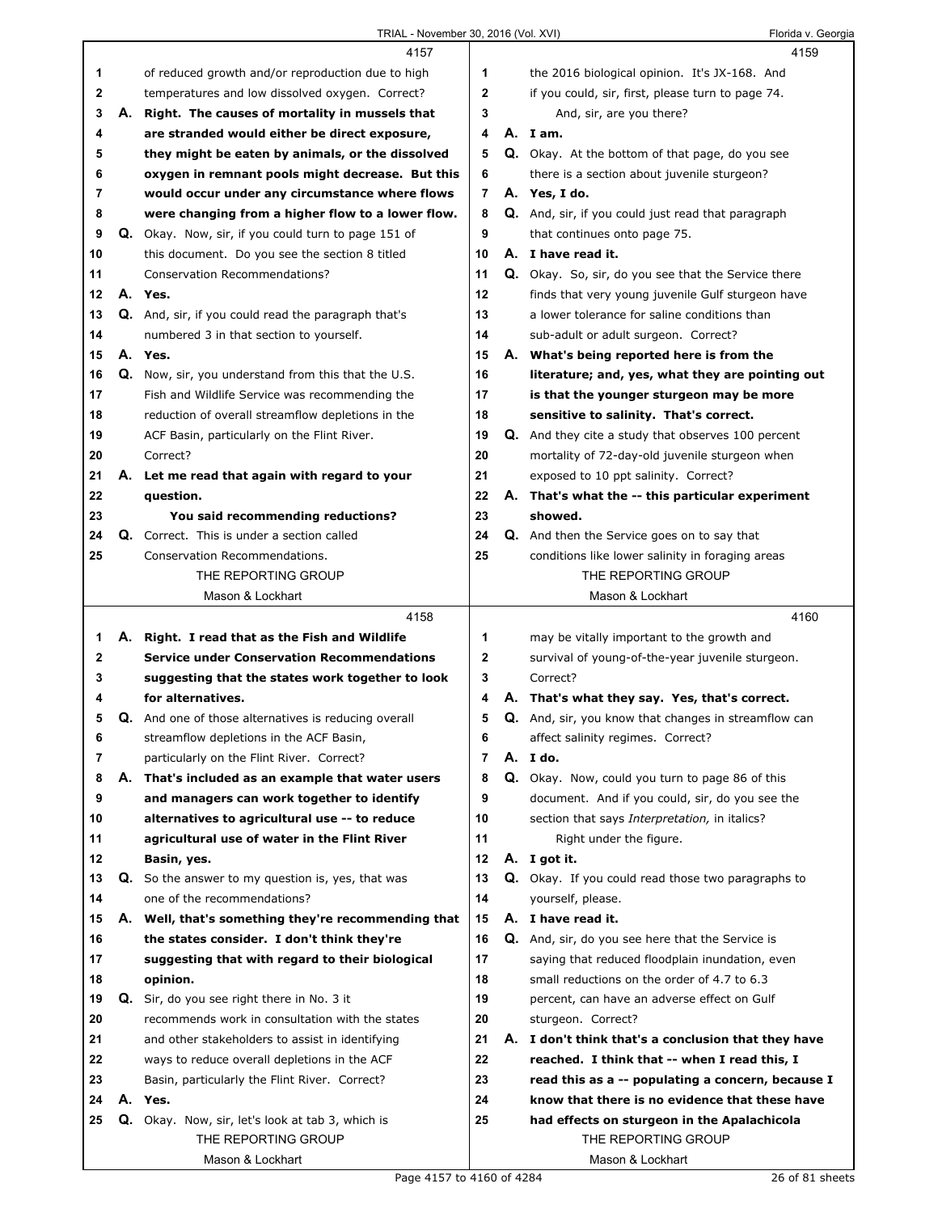## TRIAL - November 30, 2016 (Vol. XVI) Florida v. Georgia

|                  |    | 4157                                                                                                |                     | 4159                                                                                               |
|------------------|----|-----------------------------------------------------------------------------------------------------|---------------------|----------------------------------------------------------------------------------------------------|
| 1                |    | of reduced growth and/or reproduction due to high                                                   | 1                   | the 2016 biological opinion. It's JX-168. And                                                      |
| $\mathbf 2$      |    | temperatures and low dissolved oxygen. Correct?                                                     | $\mathbf{2}$        | if you could, sir, first, please turn to page 74.                                                  |
| 3                | А. | Right. The causes of mortality in mussels that                                                      | 3                   | And, sir, are you there?                                                                           |
| 4                |    | are stranded would either be direct exposure,                                                       | 4                   | A. I am.                                                                                           |
| 5                |    | they might be eaten by animals, or the dissolved                                                    | 5                   | Q. Okay. At the bottom of that page, do you see                                                    |
| 6                |    | oxygen in remnant pools might decrease. But this                                                    | 6                   | there is a section about juvenile sturgeon?                                                        |
| 7                |    | would occur under any circumstance where flows                                                      | $\overline{7}$      | A. Yes, I do.                                                                                      |
| 8                |    | were changing from a higher flow to a lower flow.                                                   | 8                   | Q. And, sir, if you could just read that paragraph                                                 |
| 9                |    | Q. Okay. Now, sir, if you could turn to page 151 of                                                 | 9                   | that continues onto page 75.                                                                       |
| 10               |    | this document. Do you see the section 8 titled                                                      | 10                  | A. I have read it.                                                                                 |
| 11               |    | <b>Conservation Recommendations?</b>                                                                | 11                  | Q. Okay. So, sir, do you see that the Service there                                                |
| 12               |    | A. Yes.                                                                                             | 12                  | finds that very young juvenile Gulf sturgeon have                                                  |
| 13               |    | <b>Q.</b> And, sir, if you could read the paragraph that's                                          | 13                  | a lower tolerance for saline conditions than                                                       |
| 14               |    | numbered 3 in that section to yourself.                                                             | 14                  | sub-adult or adult surgeon. Correct?                                                               |
| 15               |    | A. Yes.                                                                                             | 15                  | A. What's being reported here is from the                                                          |
| 16               |    | Q. Now, sir, you understand from this that the U.S.                                                 | 16                  | literature; and, yes, what they are pointing out                                                   |
| 17               |    | Fish and Wildlife Service was recommending the                                                      | 17                  | is that the younger sturgeon may be more                                                           |
| 18               |    | reduction of overall streamflow depletions in the                                                   | 18                  | sensitive to salinity. That's correct.                                                             |
| 19               |    | ACF Basin, particularly on the Flint River.                                                         | 19                  | <b>Q.</b> And they cite a study that observes 100 percent                                          |
| 20               |    | Correct?                                                                                            | 20                  | mortality of 72-day-old juvenile sturgeon when                                                     |
| 21               |    | A. Let me read that again with regard to your                                                       | 21                  | exposed to 10 ppt salinity. Correct?                                                               |
| 22               |    | question.                                                                                           | 22                  | A. That's what the -- this particular experiment                                                   |
| 23               |    | You said recommending reductions?                                                                   | 23                  | showed.                                                                                            |
| 24               |    | Q. Correct. This is under a section called                                                          | 24                  | <b>Q.</b> And then the Service goes on to say that                                                 |
| 25               |    | Conservation Recommendations.                                                                       | 25                  | conditions like lower salinity in foraging areas                                                   |
|                  |    | THE REPORTING GROUP                                                                                 |                     | THE REPORTING GROUP                                                                                |
|                  |    | Mason & Lockhart                                                                                    |                     | Mason & Lockhart                                                                                   |
|                  |    |                                                                                                     |                     |                                                                                                    |
|                  |    |                                                                                                     |                     |                                                                                                    |
|                  |    | 4158                                                                                                |                     | 4160                                                                                               |
| 1                |    | A. Right. I read that as the Fish and Wildlife<br><b>Service under Conservation Recommendations</b> | 1<br>$\mathbf{2}$   | may be vitally important to the growth and                                                         |
| $\mathbf 2$<br>3 |    |                                                                                                     | 3                   | survival of young-of-the-year juvenile sturgeon.<br>Correct?                                       |
| 4                |    | suggesting that the states work together to look<br>for alternatives.                               | 4                   |                                                                                                    |
| 5                |    |                                                                                                     | 5                   | A. That's what they say. Yes, that's correct.                                                      |
|                  |    | <b>Q.</b> And one of those alternatives is reducing overall                                         |                     | Q. And, sir, you know that changes in streamflow can                                               |
| 6<br>7           |    | streamflow depletions in the ACF Basin,<br>particularly on the Flint River. Correct?                | 6<br>$\overline{7}$ | affect salinity regimes. Correct?<br>A. I do.                                                      |
| 8                |    | A. That's included as an example that water users                                                   | 8                   |                                                                                                    |
| 9                |    | and managers can work together to identify                                                          | 9                   | Q. Okay. Now, could you turn to page 86 of this<br>document. And if you could, sir, do you see the |
| 10               |    | alternatives to agricultural use -- to reduce                                                       | 10                  | section that says Interpretation, in italics?                                                      |
| 11               |    | agricultural use of water in the Flint River                                                        | 11                  | Right under the figure.                                                                            |
| 12               |    | Basin, yes.                                                                                         | 12                  | A. I got it.                                                                                       |
| 13               |    | <b>Q.</b> So the answer to my question is, yes, that was                                            | 13                  |                                                                                                    |
| 14               |    | one of the recommendations?                                                                         | 14                  | Q. Okay. If you could read those two paragraphs to<br>yourself, please.                            |
| 15               |    | A. Well, that's something they're recommending that                                                 | 15                  | A. I have read it.                                                                                 |
| 16               |    | the states consider. I don't think they're                                                          | 16                  | <b>Q.</b> And, sir, do you see here that the Service is                                            |
| 17               |    | suggesting that with regard to their biological                                                     | 17                  | saying that reduced floodplain inundation, even                                                    |
| 18               |    | opinion.                                                                                            | 18                  | small reductions on the order of 4.7 to 6.3                                                        |
| 19               |    | Q. Sir, do you see right there in No. 3 it                                                          | 19                  | percent, can have an adverse effect on Gulf                                                        |
| 20               |    | recommends work in consultation with the states                                                     | 20                  | sturgeon. Correct?                                                                                 |
| 21               |    | and other stakeholders to assist in identifying                                                     | 21                  | A. I don't think that's a conclusion that they have                                                |
| 22               |    | ways to reduce overall depletions in the ACF                                                        | 22                  | reached. I think that -- when I read this, I                                                       |
| 23               |    | Basin, particularly the Flint River. Correct?                                                       | 23                  | read this as a -- populating a concern, because I                                                  |
| 24               | А. | Yes.                                                                                                | 24                  | know that there is no evidence that these have                                                     |
| 25               |    |                                                                                                     | 25                  | had effects on sturgeon in the Apalachicola                                                        |
|                  |    | Q. Okay. Now, sir, let's look at tab 3, which is<br>THE REPORTING GROUP                             |                     | THE REPORTING GROUP                                                                                |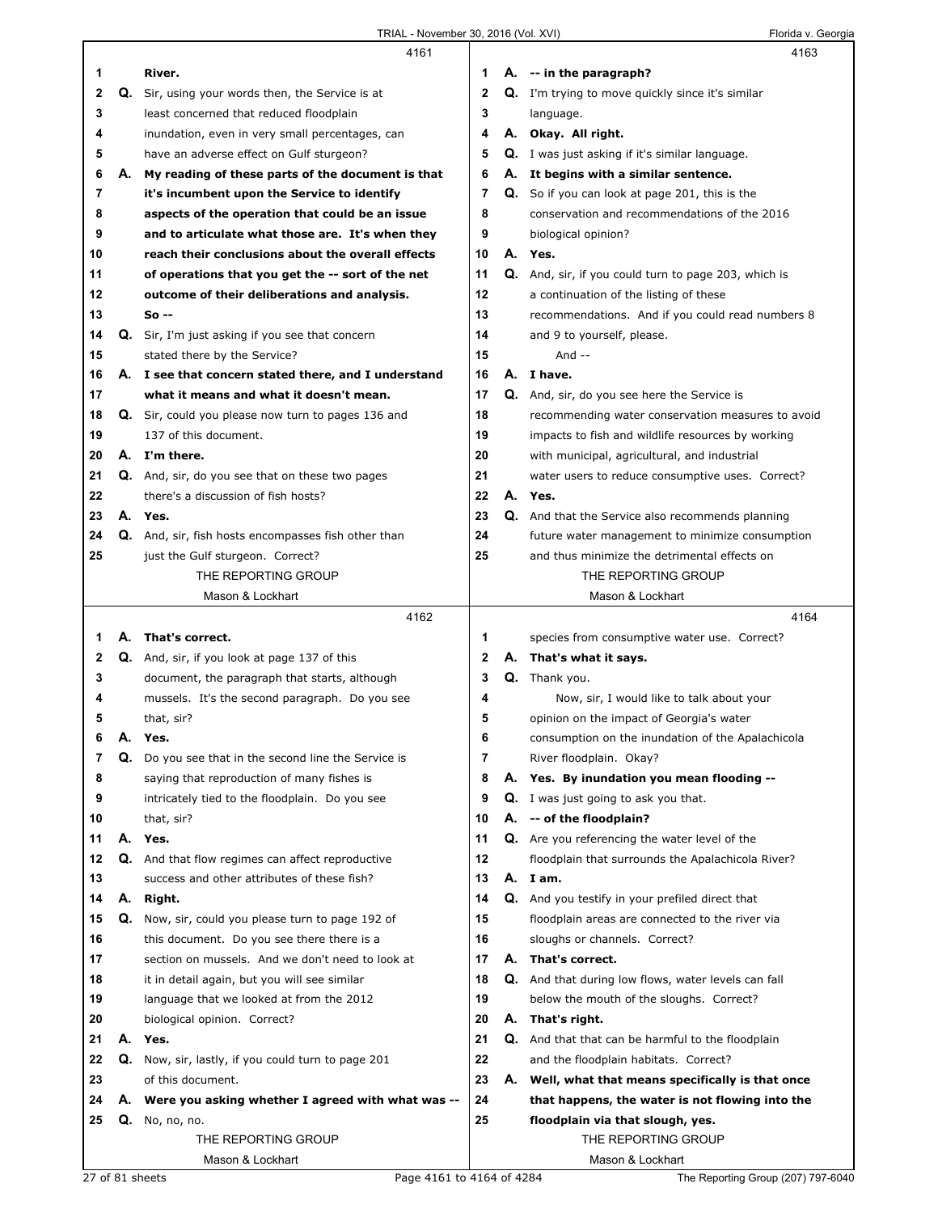|    |    | 4161                                                 |              |    | 4163                                                                    |
|----|----|------------------------------------------------------|--------------|----|-------------------------------------------------------------------------|
| 1  |    | River.                                               | 1            |    | A. -- in the paragraph?                                                 |
| 2  |    | Q. Sir, using your words then, the Service is at     | $\mathbf{2}$ |    | <b>Q.</b> I'm trying to move quickly since it's similar                 |
| 3  |    | least concerned that reduced floodplain              | 3            |    | language.                                                               |
| 4  |    | inundation, even in very small percentages, can      | 4            |    | A. Okay. All right.                                                     |
| 5  |    | have an adverse effect on Gulf sturgeon?             | 5            |    | <b>Q.</b> I was just asking if it's similar language.                   |
| 6  | А. | My reading of these parts of the document is that    | 6            | А. | It begins with a similar sentence.                                      |
| 7  |    | it's incumbent upon the Service to identify          | 7            |    | Q. So if you can look at page 201, this is the                          |
| 8  |    | aspects of the operation that could be an issue      | 8            |    | conservation and recommendations of the 2016                            |
| 9  |    | and to articulate what those are. It's when they     | 9            |    | biological opinion?                                                     |
| 10 |    | reach their conclusions about the overall effects    | 10           |    | A. Yes.                                                                 |
| 11 |    | of operations that you get the -- sort of the net    | 11           |    | <b>Q.</b> And, sir, if you could turn to page 203, which is             |
| 12 |    | outcome of their deliberations and analysis.         | 12           |    | a continuation of the listing of these                                  |
| 13 |    | So --                                                | 13           |    |                                                                         |
|    |    |                                                      |              |    | recommendations. And if you could read numbers 8                        |
| 14 |    | Q. Sir, I'm just asking if you see that concern      | 14           |    | and 9 to yourself, please.                                              |
| 15 |    | stated there by the Service?                         | 15           |    | And $-$                                                                 |
| 16 |    | A. I see that concern stated there, and I understand | 16           |    | A. I have.                                                              |
| 17 |    | what it means and what it doesn't mean.              | 17           |    | Q. And, sir, do you see here the Service is                             |
| 18 |    | Q. Sir, could you please now turn to pages 136 and   | 18           |    | recommending water conservation measures to avoid                       |
| 19 |    | 137 of this document.                                | 19           |    | impacts to fish and wildlife resources by working                       |
| 20 |    | A. I'm there.                                        | 20           |    | with municipal, agricultural, and industrial                            |
| 21 |    | Q. And, sir, do you see that on these two pages      | 21           |    | water users to reduce consumptive uses. Correct?                        |
| 22 |    | there's a discussion of fish hosts?                  | 22           | А. | Yes.                                                                    |
| 23 |    | A. Yes.                                              | 23           |    | <b>Q.</b> And that the Service also recommends planning                 |
| 24 |    | Q. And, sir, fish hosts encompasses fish other than  | 24           |    | future water management to minimize consumption                         |
| 25 |    | just the Gulf sturgeon. Correct?                     | 25           |    | and thus minimize the detrimental effects on                            |
|    |    | THE REPORTING GROUP                                  |              |    | THE REPORTING GROUP                                                     |
|    |    | Mason & Lockhart                                     |              |    | Mason & Lockhart                                                        |
|    |    | 4162                                                 |              |    | 4164                                                                    |
|    |    |                                                      |              |    |                                                                         |
| 1  | А. | That's correct.                                      | 1            |    |                                                                         |
| 2  |    |                                                      | 2            |    | species from consumptive water use. Correct?<br>A. That's what it says. |
| 3  |    | Q. And, sir, if you look at page 137 of this         | 3            |    | Q. Thank you.                                                           |
| 4  |    | document, the paragraph that starts, although        | 4            |    |                                                                         |
|    |    | mussels. It's the second paragraph. Do you see       |              |    | Now, sir, I would like to talk about your                               |
| 5  |    | that, sir?                                           | 5            |    | opinion on the impact of Georgia's water                                |
| 6  | Α. | Yes.                                                 | 6            |    | consumption on the inundation of the Apalachicola                       |
| 7  | Q. | Do you see that in the second line the Service is    | 7            |    | River floodplain. Okay?                                                 |
| 8  |    | saying that reproduction of many fishes is           | 8            |    | A. Yes. By inundation you mean flooding --                              |
| 9  |    | intricately tied to the floodplain. Do you see       | 9            |    | Q. I was just going to ask you that.                                    |
| 10 |    | that, sir?                                           | 10           |    | A. -- of the floodplain?                                                |
| 11 | А. | Yes.                                                 | 11           |    | Q. Are you referencing the water level of the                           |
| 12 | Q. | And that flow regimes can affect reproductive        | 12           |    | floodplain that surrounds the Apalachicola River?                       |
| 13 |    | success and other attributes of these fish?          | 13           |    | A. I am.                                                                |
| 14 | А. | Right.                                               | 14           |    | Q. And you testify in your prefiled direct that                         |
| 15 | Q. | Now, sir, could you please turn to page 192 of       | 15           |    | floodplain areas are connected to the river via                         |
| 16 |    | this document. Do you see there there is a           | 16           |    | sloughs or channels. Correct?                                           |
| 17 |    | section on mussels. And we don't need to look at     | 17           |    | A. That's correct.                                                      |
| 18 |    | it in detail again, but you will see similar         | 18           |    | Q. And that during low flows, water levels can fall                     |
| 19 |    | language that we looked at from the 2012             | 19           |    | below the mouth of the sloughs. Correct?                                |
| 20 |    | biological opinion. Correct?                         | 20           |    | A. That's right.                                                        |
| 21 |    | A. Yes.                                              | 21           |    | Q. And that that can be harmful to the floodplain                       |
| 22 | Q. | Now, sir, lastly, if you could turn to page 201      | 22           |    | and the floodplain habitats. Correct?                                   |
| 23 |    | of this document.                                    | 23           |    | A. Well, what that means specifically is that once                      |
| 24 |    | A. Were you asking whether I agreed with what was -- | 24           |    | that happens, the water is not flowing into the                         |
| 25 | Q. | No, no, no.                                          | 25           |    | floodplain via that slough, yes.                                        |
|    |    | THE REPORTING GROUP                                  |              |    | THE REPORTING GROUP                                                     |
|    |    | Mason & Lockhart                                     |              |    | Mason & Lockhart                                                        |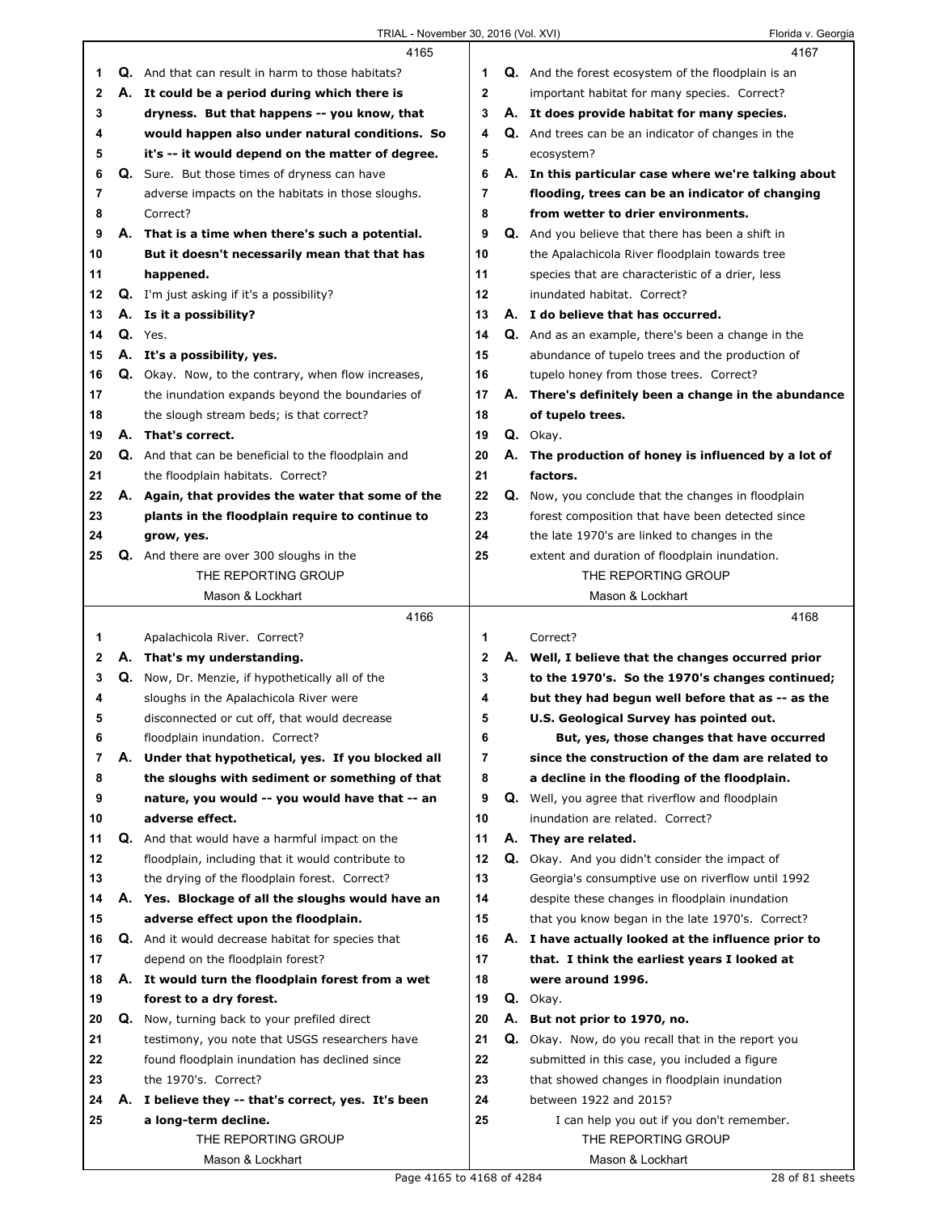|          |    | 4165                                                                                       |                |                                                          | 4167                                                                                                |
|----------|----|--------------------------------------------------------------------------------------------|----------------|----------------------------------------------------------|-----------------------------------------------------------------------------------------------------|
| 1        |    | Q. And that can result in harm to those habitats?                                          | 1              |                                                          | <b>Q.</b> And the forest ecosystem of the floodplain is an                                          |
| 2        | А. | It could be a period during which there is                                                 | $\mathbf{2}$   |                                                          | important habitat for many species. Correct?                                                        |
| 3        |    | dryness. But that happens -- you know, that                                                | 3              |                                                          | A. It does provide habitat for many species.                                                        |
| 4        |    | would happen also under natural conditions. So                                             | 4              |                                                          | <b>Q.</b> And trees can be an indicator of changes in the                                           |
| 5        |    | it's -- it would depend on the matter of degree.                                           | 5              |                                                          | ecosystem?                                                                                          |
| 6        |    | <b>Q.</b> Sure. But those times of dryness can have                                        | 6              |                                                          | A. In this particular case where we're talking about                                                |
| 7        |    | adverse impacts on the habitats in those sloughs.                                          | $\overline{7}$ |                                                          | flooding, trees can be an indicator of changing                                                     |
| 8        |    | Correct?                                                                                   | 8              | from wetter to drier environments.                       |                                                                                                     |
| 9        |    | A. That is a time when there's such a potential.                                           | 9              | <b>Q.</b> And you believe that there has been a shift in |                                                                                                     |
| 10       |    | But it doesn't necessarily mean that that has                                              | 10             |                                                          | the Apalachicola River floodplain towards tree                                                      |
| 11       |    | happened.                                                                                  | 11             |                                                          | species that are characteristic of a drier, less                                                    |
| 12       |    | Q. I'm just asking if it's a possibility?                                                  | 12             |                                                          | inundated habitat. Correct?                                                                         |
| 13       |    | A. Is it a possibility?                                                                    | 13             |                                                          | A. I do believe that has occurred.                                                                  |
| 14       |    | Q. Yes.                                                                                    | 14             |                                                          | Q. And as an example, there's been a change in the                                                  |
| 15       |    | A. It's a possibility, yes.                                                                | 15             |                                                          | abundance of tupelo trees and the production of                                                     |
| 16       |    | Q. Okay. Now, to the contrary, when flow increases,                                        | 16             |                                                          | tupelo honey from those trees. Correct?                                                             |
| 17       |    | the inundation expands beyond the boundaries of                                            | 17             |                                                          | A. There's definitely been a change in the abundance                                                |
| 18       |    | the slough stream beds; is that correct?                                                   | 18             |                                                          | of tupelo trees.                                                                                    |
| 19       |    | A. That's correct.                                                                         | 19             |                                                          | Q. Okay.                                                                                            |
| 20       |    | Q. And that can be beneficial to the floodplain and                                        | 20             |                                                          | A. The production of honey is influenced by a lot of                                                |
| 21       |    | the floodplain habitats. Correct?                                                          | 21             |                                                          | factors.                                                                                            |
| 22       |    | A. Again, that provides the water that some of the                                         | 22             |                                                          | Q. Now, you conclude that the changes in floodplain                                                 |
| 23       |    | plants in the floodplain require to continue to                                            | 23             |                                                          | forest composition that have been detected since                                                    |
| 24       |    | grow, yes.                                                                                 | 24             |                                                          | the late 1970's are linked to changes in the                                                        |
| 25       |    | <b>Q.</b> And there are over 300 sloughs in the                                            | 25             |                                                          | extent and duration of floodplain inundation.                                                       |
|          |    | THE REPORTING GROUP                                                                        |                |                                                          | THE REPORTING GROUP                                                                                 |
|          |    | Mason & Lockhart                                                                           |                |                                                          | Mason & Lockhart                                                                                    |
|          |    |                                                                                            |                |                                                          |                                                                                                     |
|          |    | 4166                                                                                       |                |                                                          | 4168                                                                                                |
| 1        |    |                                                                                            | 1              |                                                          | Correct?                                                                                            |
| 2        | Α. | Apalachicola River. Correct?<br>That's my understanding.                                   | $\mathbf{2}$   |                                                          | A. Well, I believe that the changes occurred prior                                                  |
| 3        |    |                                                                                            | 3              |                                                          | to the 1970's. So the 1970's changes continued;                                                     |
| 4        |    | Q. Now, Dr. Menzie, if hypothetically all of the<br>sloughs in the Apalachicola River were | 4              |                                                          | but they had begun well before that as -- as the                                                    |
| 5        |    | disconnected or cut off, that would decrease                                               | 5              |                                                          | U.S. Geological Survey has pointed out.                                                             |
| 6        |    | floodplain inundation. Correct?                                                            | 6              |                                                          | But, yes, those changes that have occurred                                                          |
| 7        | А. | Under that hypothetical, yes. If you blocked all                                           | 7              |                                                          | since the construction of the dam are related to                                                    |
| 8        |    | the sloughs with sediment or something of that                                             | 8              |                                                          | a decline in the flooding of the floodplain.                                                        |
| 9        |    | nature, you would -- you would have that -- an                                             | 9              |                                                          | <b>Q.</b> Well, you agree that riverflow and floodplain                                             |
| 10       |    | adverse effect.                                                                            | 10             |                                                          | inundation are related. Correct?                                                                    |
| 11       |    | Q. And that would have a harmful impact on the                                             | 11             |                                                          | A. They are related.                                                                                |
| 12       |    | floodplain, including that it would contribute to                                          | 12             |                                                          | <b>Q.</b> Okay. And you didn't consider the impact of                                               |
| 13       |    | the drying of the floodplain forest. Correct?                                              | 13             |                                                          | Georgia's consumptive use on riverflow until 1992                                                   |
| 14       |    |                                                                                            | 14             |                                                          |                                                                                                     |
| 15       |    | A. Yes. Blockage of all the sloughs would have an<br>adverse effect upon the floodplain.   | 15             |                                                          | despite these changes in floodplain inundation<br>that you know began in the late 1970's. Correct?  |
| 16       |    | <b>Q.</b> And it would decrease habitat for species that                                   | 16             |                                                          |                                                                                                     |
| 17       |    |                                                                                            | 17             |                                                          | A. I have actually looked at the influence prior to<br>that. I think the earliest years I looked at |
| 18       |    | depend on the floodplain forest?                                                           | 18             |                                                          | were around 1996.                                                                                   |
| 19       |    | A. It would turn the floodplain forest from a wet<br>forest to a dry forest.               | 19             |                                                          | Q. Okay.                                                                                            |
| 20       | Q. |                                                                                            | 20             |                                                          | A. But not prior to 1970, no.                                                                       |
| 21       |    | Now, turning back to your prefiled direct                                                  | 21             | Q.                                                       |                                                                                                     |
|          |    | testimony, you note that USGS researchers have                                             | 22             |                                                          | Okay. Now, do you recall that in the report you                                                     |
| 22       |    | found floodplain inundation has declined since<br>the 1970's. Correct?                     | 23             |                                                          | submitted in this case, you included a figure                                                       |
| 23<br>24 |    |                                                                                            | 24             |                                                          | that showed changes in floodplain inundation                                                        |
|          |    | A. I believe they -- that's correct, yes. It's been                                        | 25             |                                                          | between 1922 and 2015?                                                                              |
| 25       |    | a long-term decline.<br>THE REPORTING GROUP                                                |                |                                                          | I can help you out if you don't remember.<br>THE REPORTING GROUP                                    |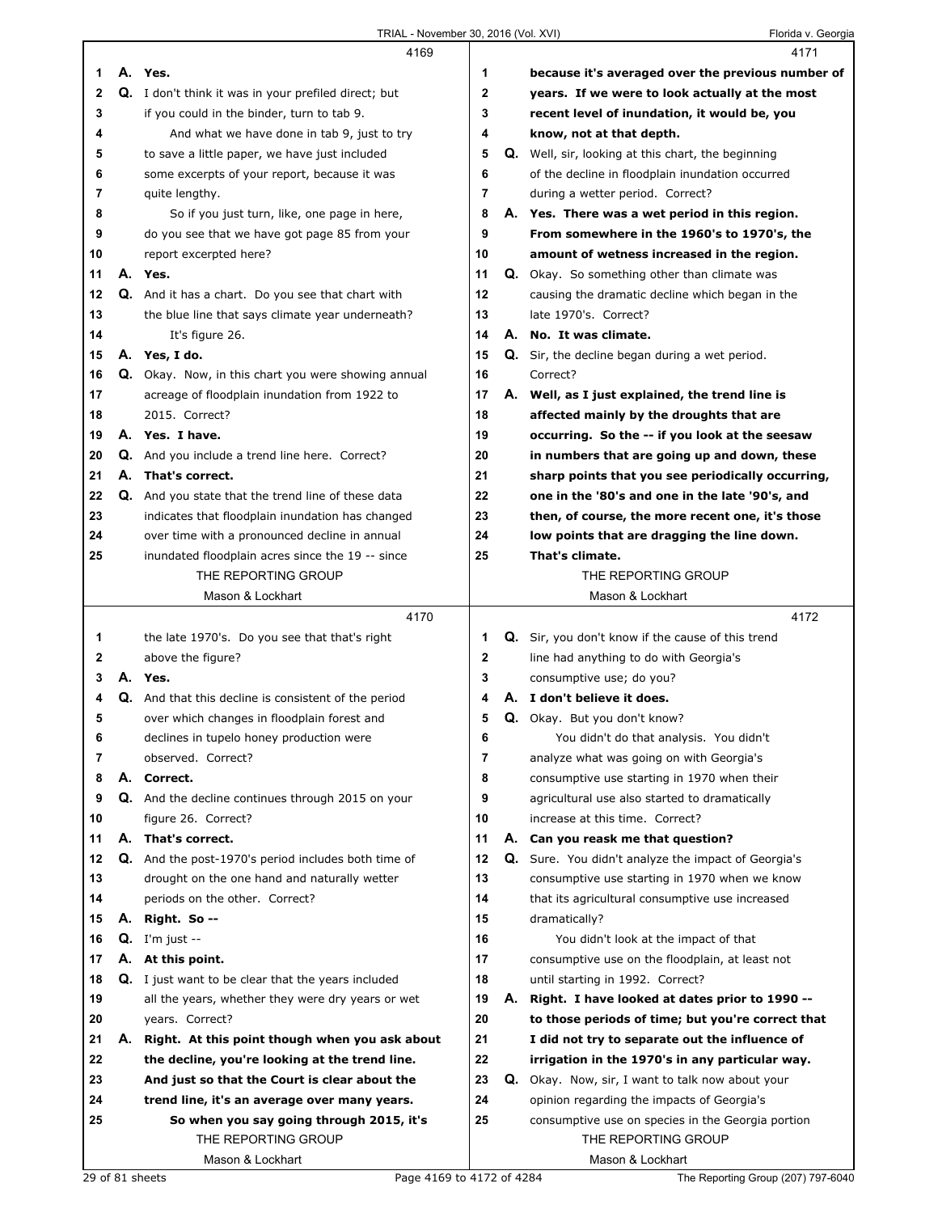|    |    | 4169                                                            |    |    | 4171                                                                     |
|----|----|-----------------------------------------------------------------|----|----|--------------------------------------------------------------------------|
| 1  |    | A. Yes.                                                         | 1  |    | because it's averaged over the previous number of                        |
| 2  |    | Q. I don't think it was in your prefiled direct; but            | 2  |    | years. If we were to look actually at the most                           |
| 3  |    | if you could in the binder, turn to tab 9.                      | 3  |    | recent level of inundation, it would be, you                             |
| 4  |    | And what we have done in tab 9, just to try                     | 4  |    | know, not at that depth.                                                 |
| 5  |    | to save a little paper, we have just included                   | 5  |    | <b>Q.</b> Well, sir, looking at this chart, the beginning                |
| 6  |    | some excerpts of your report, because it was                    | 6  |    | of the decline in floodplain inundation occurred                         |
| 7  |    | quite lengthy.                                                  | 7  |    | during a wetter period. Correct?                                         |
| 8  |    | So if you just turn, like, one page in here,                    | 8  |    | A. Yes. There was a wet period in this region.                           |
| 9  |    | do you see that we have got page 85 from your                   | 9  |    | From somewhere in the 1960's to 1970's, the                              |
| 10 |    | report excerpted here?                                          | 10 |    | amount of wetness increased in the region.                               |
| 11 |    | A. Yes.                                                         | 11 |    | <b>Q.</b> Okay. So something other than climate was                      |
| 12 |    | Q. And it has a chart. Do you see that chart with               | 12 |    | causing the dramatic decline which began in the                          |
| 13 |    | the blue line that says climate year underneath?                | 13 |    | late 1970's. Correct?                                                    |
| 14 |    | It's figure 26.                                                 | 14 |    | A. No. It was climate.                                                   |
| 15 |    | A. Yes, I do.                                                   | 15 | Q. | Sir, the decline began during a wet period.                              |
| 16 |    | Q. Okay. Now, in this chart you were showing annual             | 16 |    | Correct?                                                                 |
| 17 |    | acreage of floodplain inundation from 1922 to                   | 17 |    | A. Well, as I just explained, the trend line is                          |
| 18 |    | 2015. Correct?                                                  | 18 |    | affected mainly by the droughts that are                                 |
| 19 |    | A. Yes. I have.                                                 | 19 |    | occurring. So the -- if you look at the seesaw                           |
| 20 |    | Q. And you include a trend line here. Correct?                  | 20 |    | in numbers that are going up and down, these                             |
| 21 |    | A. That's correct.                                              | 21 |    | sharp points that you see periodically occurring,                        |
| 22 |    | Q. And you state that the trend line of these data              | 22 |    | one in the '80's and one in the late '90's, and                          |
| 23 |    | indicates that floodplain inundation has changed                | 23 |    | then, of course, the more recent one, it's those                         |
| 24 |    | over time with a pronounced decline in annual                   | 24 |    | low points that are dragging the line down.                              |
| 25 |    | inundated floodplain acres since the 19 -- since                | 25 |    | That's climate.                                                          |
|    |    | THE REPORTING GROUP                                             |    |    | THE REPORTING GROUP                                                      |
|    |    | Mason & Lockhart                                                |    |    | Mason & Lockhart                                                         |
|    |    | 4170                                                            |    |    | 4172                                                                     |
|    |    |                                                                 |    |    |                                                                          |
| 1  |    | the late 1970's. Do you see that that's right                   | 1  |    | Q. Sir, you don't know if the cause of this trend                        |
| 2  |    | above the figure?                                               | 2  |    | line had anything to do with Georgia's                                   |
| 3  |    | A. Yes.                                                         | 3  |    | consumptive use; do you?                                                 |
| 4  |    | <b>Q.</b> And that this decline is consistent of the period     | 4  |    | A. I don't believe it does.                                              |
| 5  |    | over which changes in floodplain forest and                     | 5  |    | Q. Okay. But you don't know?                                             |
| 6  |    | declines in tupelo honey production were                        | 6  |    | You didn't do that analysis. You didn't                                  |
| 7  |    | observed. Correct?                                              | 7  |    | analyze what was going on with Georgia's                                 |
| 8  | А. | Correct.                                                        | 8  |    | consumptive use starting in 1970 when their                              |
| 9  |    | Q. And the decline continues through 2015 on your               | 9  |    | agricultural use also started to dramatically                            |
| 10 |    | figure 26. Correct?                                             | 10 |    | increase at this time. Correct?                                          |
| 11 |    | A. That's correct.                                              | 11 |    | A. Can you reask me that question?                                       |
| 12 |    | <b>Q.</b> And the post-1970's period includes both time of      | 12 |    | Q. Sure. You didn't analyze the impact of Georgia's                      |
| 13 |    | drought on the one hand and naturally wetter                    | 13 |    | consumptive use starting in 1970 when we know                            |
| 14 |    | periods on the other. Correct?                                  | 14 |    | that its agricultural consumptive use increased                          |
| 15 |    | A. Right. So --                                                 | 15 |    | dramatically?                                                            |
| 16 |    | $Q.$ I'm just $-$                                               | 16 |    | You didn't look at the impact of that                                    |
| 17 |    | A. At this point.                                               | 17 |    | consumptive use on the floodplain, at least not                          |
| 18 |    | Q. I just want to be clear that the years included              | 18 |    | until starting in 1992. Correct?                                         |
| 19 |    | all the years, whether they were dry years or wet               | 19 | А. | Right. I have looked at dates prior to 1990 --                           |
| 20 |    | years. Correct?                                                 | 20 |    | to those periods of time; but you're correct that                        |
| 21 | А. | Right. At this point though when you ask about                  | 21 |    | I did not try to separate out the influence of                           |
| 22 |    | the decline, you're looking at the trend line.                  | 22 |    | irrigation in the 1970's in any particular way.                          |
| 23 |    | And just so that the Court is clear about the                   | 23 |    | <b>Q.</b> Okay. Now, sir, I want to talk now about your                  |
| 24 |    | trend line, it's an average over many years.                    | 24 |    | opinion regarding the impacts of Georgia's                               |
| 25 |    | So when you say going through 2015, it's<br>THE REPORTING GROUP | 25 |    | consumptive use on species in the Georgia portion<br>THE REPORTING GROUP |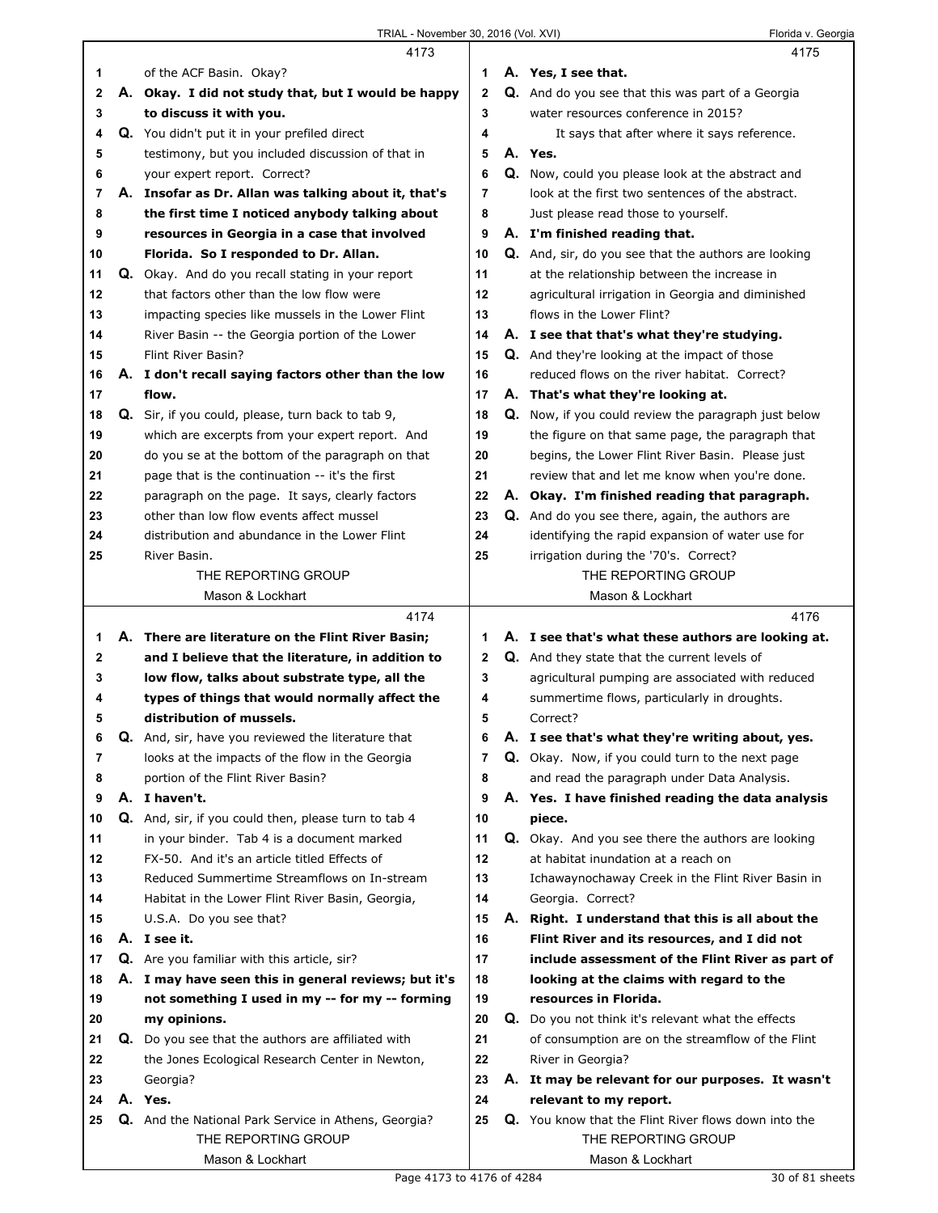|              | 4173                                                                                                    |                | 4175                                                                                             |
|--------------|---------------------------------------------------------------------------------------------------------|----------------|--------------------------------------------------------------------------------------------------|
| 1            | of the ACF Basin. Okay?                                                                                 | 1              | A. Yes, I see that.                                                                              |
| $\mathbf{2}$ | A. Okay. I did not study that, but I would be happy                                                     | $\mathbf{2}$   | Q. And do you see that this was part of a Georgia                                                |
| 3            | to discuss it with you.                                                                                 | 3              | water resources conference in 2015?                                                              |
| 4            | Q. You didn't put it in your prefiled direct                                                            | 4              | It says that after where it says reference.                                                      |
| 5            | testimony, but you included discussion of that in                                                       | 5              | A. Yes.                                                                                          |
| 6            | your expert report. Correct?                                                                            | 6              | <b>Q.</b> Now, could you please look at the abstract and                                         |
| 7            | A. Insofar as Dr. Allan was talking about it, that's                                                    | $\overline{7}$ | look at the first two sentences of the abstract.                                                 |
| 8            | the first time I noticed anybody talking about                                                          | 8              | Just please read those to yourself.                                                              |
| 9            | resources in Georgia in a case that involved                                                            | 9              | A. I'm finished reading that.                                                                    |
| 10           | Florida. So I responded to Dr. Allan.                                                                   | 10             | Q. And, sir, do you see that the authors are looking                                             |
| 11           | Q. Okay. And do you recall stating in your report                                                       | 11             | at the relationship between the increase in                                                      |
| 12           | that factors other than the low flow were                                                               | 12             | agricultural irrigation in Georgia and diminished                                                |
| 13           | impacting species like mussels in the Lower Flint                                                       | 13             | flows in the Lower Flint?                                                                        |
| 14           | River Basin -- the Georgia portion of the Lower                                                         | 14             | A. I see that that's what they're studying.                                                      |
| 15           | Flint River Basin?                                                                                      | 15             | <b>Q.</b> And they're looking at the impact of those                                             |
| 16           | A. I don't recall saying factors other than the low                                                     | 16             | reduced flows on the river habitat. Correct?                                                     |
| 17           | flow.                                                                                                   | 17             | A. That's what they're looking at.                                                               |
| 18           | Q. Sir, if you could, please, turn back to tab 9,                                                       | 18             | <b>Q.</b> Now, if you could review the paragraph just below                                      |
| 19           | which are excerpts from your expert report. And                                                         | 19             | the figure on that same page, the paragraph that                                                 |
| 20           | do you se at the bottom of the paragraph on that                                                        | 20             | begins, the Lower Flint River Basin. Please just                                                 |
| 21           | page that is the continuation -- it's the first                                                         | 21             | review that and let me know when you're done.                                                    |
| 22           | paragraph on the page. It says, clearly factors                                                         | 22             | A. Okay. I'm finished reading that paragraph.                                                    |
| 23           | other than low flow events affect mussel                                                                | 23             | Q. And do you see there, again, the authors are                                                  |
| 24           | distribution and abundance in the Lower Flint                                                           | 24             | identifying the rapid expansion of water use for                                                 |
| 25           | River Basin.                                                                                            | 25             | irrigation during the '70's. Correct?                                                            |
|              | THE REPORTING GROUP                                                                                     |                | THE REPORTING GROUP                                                                              |
|              | Mason & Lockhart                                                                                        |                | Mason & Lockhart                                                                                 |
|              |                                                                                                         |                |                                                                                                  |
|              | 4174                                                                                                    |                | 4176                                                                                             |
| 1            | A. There are literature on the Flint River Basin;                                                       | 1              |                                                                                                  |
| 2            |                                                                                                         | $\mathbf{2}$   | A. I see that's what these authors are looking at.                                               |
| 3            | and I believe that the literature, in addition to                                                       | 3              | Q. And they state that the current levels of                                                     |
| 4            | low flow, talks about substrate type, all the<br>types of things that would normally affect the         | 4              | agricultural pumping are associated with reduced<br>summertime flows, particularly in droughts.  |
| 5            | distribution of mussels.                                                                                | 5              | Correct?                                                                                         |
| 6            | <b>Q.</b> And, sir, have you reviewed the literature that                                               | 6              | A. I see that's what they're writing about, yes.                                                 |
| 7            |                                                                                                         | 7              |                                                                                                  |
| 8            | looks at the impacts of the flow in the Georgia<br>portion of the Flint River Basin?                    | 8              | <b>Q.</b> Okay. Now, if you could turn to the next page                                          |
| 9            | A. I haven't.                                                                                           | 9              | and read the paragraph under Data Analysis.<br>A. Yes. I have finished reading the data analysis |
| 10           | Q. And, sir, if you could then, please turn to tab 4                                                    | 10             | piece.                                                                                           |
| 11           | in your binder. Tab 4 is a document marked                                                              | 11             |                                                                                                  |
| 12           | FX-50. And it's an article titled Effects of                                                            | 12             | Q. Okay. And you see there the authors are looking<br>at habitat inundation at a reach on        |
| 13           | Reduced Summertime Streamflows on In-stream                                                             | 13             | Ichawaynochaway Creek in the Flint River Basin in                                                |
| 14           |                                                                                                         | 14             | Georgia. Correct?                                                                                |
| 15           | Habitat in the Lower Flint River Basin, Georgia,<br>U.S.A. Do you see that?                             | 15             |                                                                                                  |
| 16           | A. I see it.                                                                                            | 16             | A. Right. I understand that this is all about the                                                |
| 17           |                                                                                                         | 17             | Flint River and its resources, and I did not<br>include assessment of the Flint River as part of |
| 18           | Q. Are you familiar with this article, sir?                                                             | 18             |                                                                                                  |
| 19           | A. I may have seen this in general reviews; but it's<br>not something I used in my -- for my -- forming | 19             | looking at the claims with regard to the<br>resources in Florida.                                |
| 20           | my opinions.                                                                                            | 20             | <b>Q.</b> Do you not think it's relevant what the effects                                        |
| 21           |                                                                                                         | 21             |                                                                                                  |
|              | <b>Q.</b> Do you see that the authors are affiliated with                                               |                | of consumption are on the streamflow of the Flint                                                |
| 22           | the Jones Ecological Research Center in Newton,                                                         | 22             | River in Georgia?                                                                                |
| 23<br>24     | Georgia?                                                                                                | 23             | A. It may be relevant for our purposes. It wasn't                                                |
|              | A. Yes.                                                                                                 | 24             | relevant to my report.                                                                           |
| 25           | Q. And the National Park Service in Athens, Georgia?<br>THE REPORTING GROUP                             | 25             | Q. You know that the Flint River flows down into the<br>THE REPORTING GROUP                      |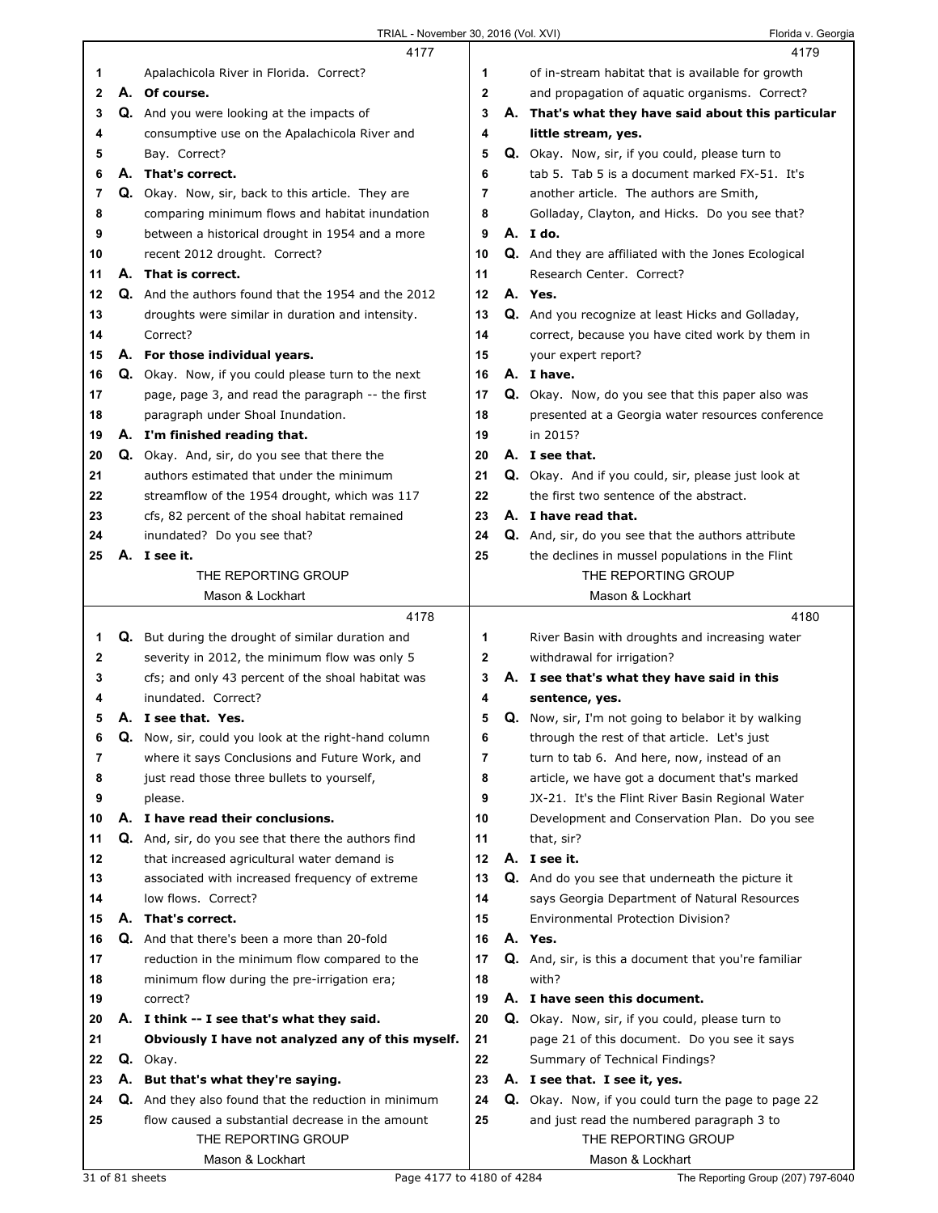|              |    | 4177                                                       |              | 4179                                                                   |
|--------------|----|------------------------------------------------------------|--------------|------------------------------------------------------------------------|
| 1            |    | Apalachicola River in Florida. Correct?                    | 1            | of in-stream habitat that is available for growth                      |
| $\mathbf{2}$ |    | A. Of course.                                              | $\mathbf{2}$ | and propagation of aquatic organisms. Correct?                         |
| 3            |    | <b>Q.</b> And you were looking at the impacts of           | 3            | A. That's what they have said about this particular                    |
| 4            |    | consumptive use on the Apalachicola River and              | 4            | little stream, yes.                                                    |
| 5            |    | Bay. Correct?                                              | 5            | Q. Okay. Now, sir, if you could, please turn to                        |
| 6            |    | A. That's correct.                                         | 6            | tab 5. Tab 5 is a document marked FX-51. It's                          |
| 7            |    | Q. Okay. Now, sir, back to this article. They are          | 7            | another article. The authors are Smith,                                |
| 8            |    | comparing minimum flows and habitat inundation             | 8            | Golladay, Clayton, and Hicks. Do you see that?                         |
| 9            |    | between a historical drought in 1954 and a more            | 9            | A. Ido.                                                                |
| 10           |    | recent 2012 drought. Correct?                              | 10           | Q. And they are affiliated with the Jones Ecological                   |
| 11           |    | A. That is correct.                                        | 11           | Research Center. Correct?                                              |
| 12           |    | <b>Q.</b> And the authors found that the 1954 and the 2012 | 12           | A. Yes.                                                                |
| 13           |    | droughts were similar in duration and intensity.           | 13           | Q. And you recognize at least Hicks and Golladay,                      |
| 14           |    | Correct?                                                   | 14           |                                                                        |
|              |    |                                                            |              | correct, because you have cited work by them in<br>your expert report? |
| 15           |    | A. For those individual years.                             | 15<br>16     | A. I have.                                                             |
| 16           |    | Q. Okay. Now, if you could please turn to the next         |              |                                                                        |
| 17           |    | page, page 3, and read the paragraph -- the first          | 17           | Q. Okay. Now, do you see that this paper also was                      |
| 18           |    | paragraph under Shoal Inundation.                          | 18           | presented at a Georgia water resources conference                      |
| 19           |    | A. I'm finished reading that.                              | 19           | in 2015?                                                               |
| 20           |    | <b>Q.</b> Okay. And, sir, do you see that there the        | 20           | A. I see that.                                                         |
| 21           |    | authors estimated that under the minimum                   | 21           | Q. Okay. And if you could, sir, please just look at                    |
| 22           |    | streamflow of the 1954 drought, which was 117              | 22           | the first two sentence of the abstract.                                |
| 23           |    | cfs, 82 percent of the shoal habitat remained              | 23           | A. I have read that.                                                   |
| 24           |    | inundated? Do you see that?                                | 24           | <b>Q.</b> And, sir, do you see that the authors attribute              |
| 25           |    | A. I see it.                                               | 25           | the declines in mussel populations in the Flint                        |
|              |    | THE REPORTING GROUP                                        |              | THE REPORTING GROUP                                                    |
|              |    | Mason & Lockhart                                           |              | Mason & Lockhart                                                       |
|              |    |                                                            |              |                                                                        |
|              |    | 4178                                                       |              | 4180                                                                   |
| 1            |    | <b>Q.</b> But during the drought of similar duration and   | 1            | River Basin with droughts and increasing water                         |
| 2            |    | severity in 2012, the minimum flow was only 5              | 2            | withdrawal for irrigation?                                             |
| 3            |    | cfs; and only 43 percent of the shoal habitat was          | 3            | A. I see that's what they have said in this                            |
| 4            |    | inundated. Correct?                                        | 4            | sentence, yes.                                                         |
| 5            |    | A. I see that. Yes.                                        | 5            | Q. Now, sir, I'm not going to belabor it by walking                    |
| 6            | Q. | Now, sir, could you look at the right-hand column          | 6            | through the rest of that article. Let's just                           |
| 7            |    | where it says Conclusions and Future Work, and             | 7            | turn to tab 6. And here, now, instead of an                            |
| 8            |    | just read those three bullets to yourself,                 | 8            | article, we have got a document that's marked                          |
| 9            |    | please.                                                    | 9            | JX-21. It's the Flint River Basin Regional Water                       |
| 10           |    | A. I have read their conclusions.                          | 10           | Development and Conservation Plan. Do you see                          |
| 11           |    | Q. And, sir, do you see that there the authors find        | 11           | that, sir?                                                             |
| 12           |    | that increased agricultural water demand is                | 12           | A. I see it.                                                           |
| 13           |    | associated with increased frequency of extreme             | 13           | <b>Q.</b> And do you see that underneath the picture it                |
| 14           |    | low flows. Correct?                                        | 14           | says Georgia Department of Natural Resources                           |
| 15           |    | A. That's correct.                                         | 15           | Environmental Protection Division?                                     |
| 16           |    | <b>Q.</b> And that there's been a more than 20-fold        | 16           | A. Yes.                                                                |
| 17           |    | reduction in the minimum flow compared to the              | 17           | <b>Q.</b> And, sir, is this a document that you're familiar            |
| 18           |    | minimum flow during the pre-irrigation era;                | 18           | with?                                                                  |
| 19           |    | correct?                                                   | 19           | A. I have seen this document.                                          |
| 20           |    | A. I think -- I see that's what they said.                 | 20           | <b>Q.</b> Okay. Now, sir, if you could, please turn to                 |
| 21           |    | Obviously I have not analyzed any of this myself.          | 21           | page 21 of this document. Do you see it says                           |
| 22           |    | Q. Okay.                                                   | 22           | Summary of Technical Findings?                                         |
| 23           |    | A. But that's what they're saying.                         | 23           | A. I see that. I see it, yes.                                          |
| 24           |    | Q. And they also found that the reduction in minimum       | 24           | Q. Okay. Now, if you could turn the page to page 22                    |
| 25           |    | flow caused a substantial decrease in the amount           | 25           | and just read the numbered paragraph 3 to                              |
|              |    | THE REPORTING GROUP<br>Mason & Lockhart                    |              | THE REPORTING GROUP<br>Mason & Lockhart                                |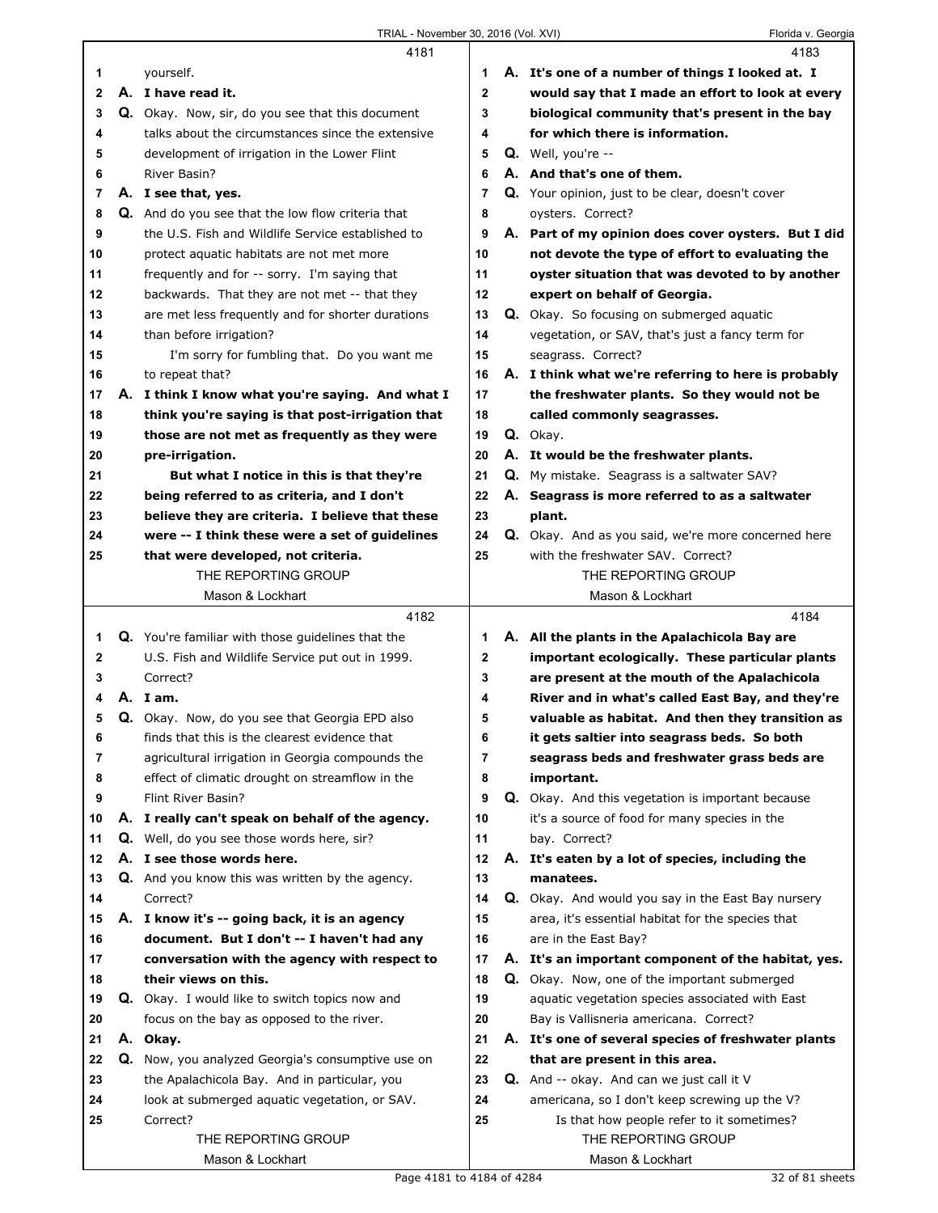|          |    | 4181                                                                  |          |                                                  | 4183                                                           |
|----------|----|-----------------------------------------------------------------------|----------|--------------------------------------------------|----------------------------------------------------------------|
| 1        |    | yourself.                                                             | 1        |                                                  | A. It's one of a number of things I looked at. I               |
| 2        |    | A. I have read it.                                                    | 2        |                                                  | would say that I made an effort to look at every               |
| 3        |    | Q. Okay. Now, sir, do you see that this document                      | 3        |                                                  | biological community that's present in the bay                 |
| 4        |    | talks about the circumstances since the extensive                     | 4        |                                                  | for which there is information.                                |
| 5        |    | development of irrigation in the Lower Flint                          | 5        |                                                  | $Q.$ Well, you're $-$                                          |
| 6        |    | River Basin?                                                          | 6        | A. And that's one of them.                       |                                                                |
| 7        |    | A. I see that, yes.                                                   | 7        | Q. Your opinion, just to be clear, doesn't cover |                                                                |
| 8        |    | Q. And do you see that the low flow criteria that                     | 8        |                                                  | oysters. Correct?                                              |
| 9        |    | the U.S. Fish and Wildlife Service established to                     | 9        |                                                  | A. Part of my opinion does cover oysters. But I did            |
| 10       |    | protect aquatic habitats are not met more                             | 10       |                                                  | not devote the type of effort to evaluating the                |
| 11       |    | frequently and for -- sorry. I'm saying that                          | 11       |                                                  | oyster situation that was devoted to by another                |
| 12       |    | backwards. That they are not met -- that they                         | 12       |                                                  | expert on behalf of Georgia.                                   |
| 13       |    | are met less frequently and for shorter durations                     | 13       |                                                  | <b>Q.</b> Okay. So focusing on submerged aquatic               |
| 14       |    | than before irrigation?                                               | 14       |                                                  | vegetation, or SAV, that's just a fancy term for               |
| 15       |    | I'm sorry for fumbling that. Do you want me                           | 15       |                                                  | seagrass. Correct?                                             |
| 16       |    | to repeat that?                                                       | 16       |                                                  | A. I think what we're referring to here is probably            |
| 17       |    | A. I think I know what you're saying. And what I                      | 17       |                                                  | the freshwater plants. So they would not be                    |
| 18       |    | think you're saying is that post-irrigation that                      | 18       |                                                  | called commonly seagrasses.                                    |
| 19       |    | those are not met as frequently as they were                          | 19       |                                                  | Q. Okay.                                                       |
| 20       |    | pre-irrigation.                                                       | 20       |                                                  | A. It would be the freshwater plants.                          |
| 21       |    | But what I notice in this is that they're                             | 21       |                                                  | <b>Q.</b> My mistake. Seagrass is a saltwater SAV?             |
| 22       |    | being referred to as criteria, and I don't                            | 22       |                                                  | A. Seagrass is more referred to as a saltwater                 |
| 23       |    | believe they are criteria. I believe that these                       | 23       |                                                  | plant.                                                         |
| 24       |    | were -- I think these were a set of guidelines                        | 24       |                                                  | <b>Q.</b> Okay. And as you said, we're more concerned here     |
| 25       |    | that were developed, not criteria.                                    | 25       |                                                  | with the freshwater SAV. Correct?                              |
|          |    | THE REPORTING GROUP                                                   |          |                                                  | THE REPORTING GROUP                                            |
|          |    | Mason & Lockhart                                                      |          |                                                  | Mason & Lockhart                                               |
|          |    |                                                                       |          |                                                  |                                                                |
|          |    | 4182                                                                  |          |                                                  | 4184                                                           |
| 1        |    |                                                                       | 1        |                                                  |                                                                |
| 2        |    | Q. You're familiar with those guidelines that the                     | 2        |                                                  | A. All the plants in the Apalachicola Bay are                  |
| 3        |    | U.S. Fish and Wildlife Service put out in 1999.<br>Correct?           | 3        |                                                  | important ecologically. These particular plants                |
| 4        |    | A. Iam.                                                               | 4        |                                                  | are present at the mouth of the Apalachicola                   |
| 5        |    |                                                                       |          |                                                  | River and in what's called East Bay, and they're               |
|          |    | <b>Q.</b> Okay. Now, do you see that Georgia EPD also                 | 5        |                                                  | valuable as habitat. And then they transition as               |
| 6<br>7   |    | finds that this is the clearest evidence that                         | 6<br>7   |                                                  | it gets saltier into seagrass beds. So both                    |
|          |    | agricultural irrigation in Georgia compounds the                      |          |                                                  | seagrass beds and freshwater grass beds are                    |
| 8        |    | effect of climatic drought on streamflow in the<br>Flint River Basin? | 8        |                                                  | important.                                                     |
| 9<br>10  |    |                                                                       | 9<br>10  |                                                  | <b>Q.</b> Okay. And this vegetation is important because       |
| 11       |    | A. I really can't speak on behalf of the agency.                      | 11       |                                                  | it's a source of food for many species in the<br>bav. Correct? |
|          | А. | Q. Well, do you see those words here, sir?                            |          |                                                  |                                                                |
| 12<br>13 |    | I see those words here.                                               | 12<br>13 |                                                  | A. It's eaten by a lot of species, including the<br>manatees.  |
| 14       |    | Q. And you know this was written by the agency.<br>Correct?           | 14       |                                                  |                                                                |
|          |    |                                                                       |          |                                                  | Q. Okay. And would you say in the East Bay nursery             |
| 15       |    | A. I know it's -- going back, it is an agency                         | 15       |                                                  | area, it's essential habitat for the species that              |
| 16<br>17 |    | document. But I don't -- I haven't had any                            | 16<br>17 |                                                  | are in the East Bay?                                           |
|          |    | conversation with the agency with respect to                          |          |                                                  | A. It's an important component of the habitat, yes.            |
| 18       |    | their views on this.                                                  | 18       |                                                  | Q. Okay. Now, one of the important submerged                   |
| 19       |    | <b>Q.</b> Okay. I would like to switch topics now and                 | 19       |                                                  | aquatic vegetation species associated with East                |
| 20       |    | focus on the bay as opposed to the river.                             | 20       |                                                  | Bay is Vallisneria americana. Correct?                         |
| 21       |    | A. Okay.                                                              | 21       |                                                  | A. It's one of several species of freshwater plants            |
| 22       |    | Q. Now, you analyzed Georgia's consumptive use on                     | 22       |                                                  | that are present in this area.                                 |
| 23       |    | the Apalachicola Bay. And in particular, you                          | 23       |                                                  | Q. And -- okay. And can we just call it V                      |
| 24       |    | look at submerged aquatic vegetation, or SAV.                         | 24       |                                                  | americana, so I don't keep screwing up the V?                  |
| 25       |    | Correct?                                                              | 25       |                                                  | Is that how people refer to it sometimes?                      |
|          |    | THE REPORTING GROUP<br>Mason & Lockhart                               |          |                                                  | THE REPORTING GROUP<br>Mason & Lockhart                        |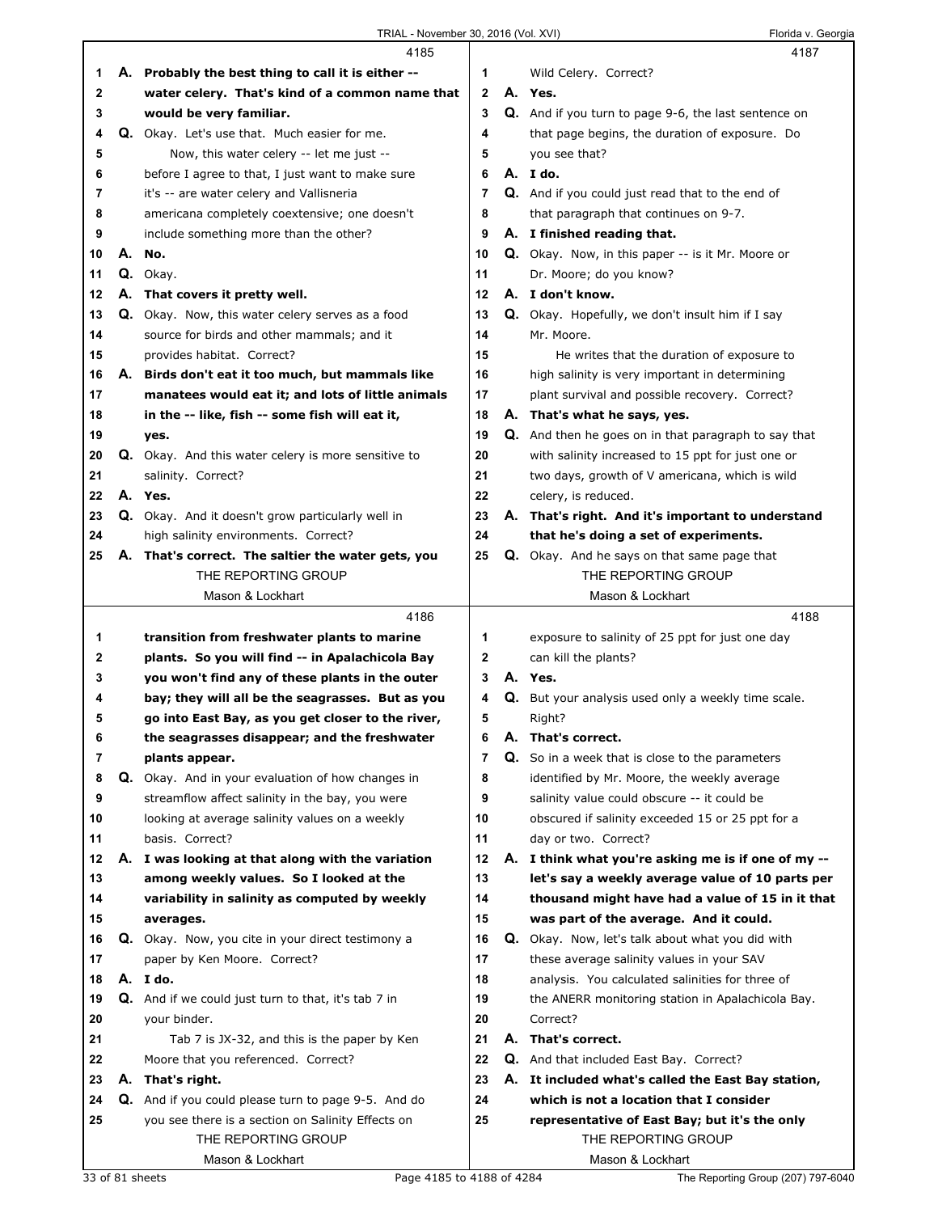|    |    | 4185                                                       |                |    | 4187                                                        |
|----|----|------------------------------------------------------------|----------------|----|-------------------------------------------------------------|
| 1  |    | A. Probably the best thing to call it is either --         | 1              |    | Wild Celery. Correct?                                       |
| 2  |    | water celery. That's kind of a common name that            | $\mathbf{2}$   |    | A. Yes.                                                     |
| 3  |    | would be very familiar.                                    | 3              |    | <b>Q.</b> And if you turn to page 9-6, the last sentence on |
| 4  |    | Q. Okay. Let's use that. Much easier for me.               | 4              |    | that page begins, the duration of exposure. Do              |
| 5  |    | Now, this water celery -- let me just --                   | 5              |    | you see that?                                               |
| 6  |    | before I agree to that, I just want to make sure           | 6              |    | A. I do.                                                    |
| 7  |    | it's -- are water celery and Vallisneria                   | $\overline{7}$ |    | <b>Q.</b> And if you could just read that to the end of     |
|    |    |                                                            |                |    |                                                             |
| 8  |    | americana completely coextensive; one doesn't              | 8              |    | that paragraph that continues on 9-7.                       |
| 9  |    | include something more than the other?                     | 9              |    | A. I finished reading that.                                 |
| 10 | А. | No.                                                        | 10             |    | <b>Q.</b> Okay. Now, in this paper -- is it Mr. Moore or    |
| 11 |    | Q. Okay.                                                   | 11             |    | Dr. Moore; do you know?                                     |
| 12 |    | A. That covers it pretty well.                             | 12             |    | A. I don't know.                                            |
| 13 |    | Q. Okay. Now, this water celery serves as a food           | 13             |    | <b>Q.</b> Okay. Hopefully, we don't insult him if I say     |
| 14 |    | source for birds and other mammals; and it                 | 14             |    | Mr. Moore.                                                  |
| 15 |    | provides habitat. Correct?                                 | 15             |    | He writes that the duration of exposure to                  |
| 16 |    | A. Birds don't eat it too much, but mammals like           | 16             |    | high salinity is very important in determining              |
| 17 |    | manatees would eat it; and lots of little animals          | 17             |    | plant survival and possible recovery. Correct?              |
| 18 |    | in the -- like, fish -- some fish will eat it,             | 18             |    | A. That's what he says, yes.                                |
| 19 |    | yes.                                                       | 19             |    | Q. And then he goes on in that paragraph to say that        |
| 20 |    | <b>Q.</b> Okay. And this water celery is more sensitive to | 20             |    | with salinity increased to 15 ppt for just one or           |
| 21 |    | salinity. Correct?                                         | 21             |    | two days, growth of V americana, which is wild              |
| 22 |    | A. Yes.                                                    | 22             |    | celery, is reduced.                                         |
| 23 |    | Q. Okay. And it doesn't grow particularly well in          | 23             |    | A. That's right. And it's important to understand           |
| 24 |    |                                                            | 24             |    | that he's doing a set of experiments.                       |
|    |    | high salinity environments. Correct?                       |                |    |                                                             |
| 25 |    | A. That's correct. The saltier the water gets, you         | 25             |    | <b>Q.</b> Okay. And he says on that same page that          |
|    |    | THE REPORTING GROUP                                        |                |    | THE REPORTING GROUP                                         |
|    |    | Mason & Lockhart                                           |                |    | Mason & Lockhart                                            |
|    |    |                                                            |                |    |                                                             |
|    |    | 4186                                                       |                |    | 4188                                                        |
| 1  |    | transition from freshwater plants to marine                | 1              |    | exposure to salinity of 25 ppt for just one day             |
| 2  |    | plants. So you will find -- in Apalachicola Bay            | $\mathbf{2}$   |    | can kill the plants?                                        |
| 3  |    | you won't find any of these plants in the outer            | 3              |    | A. Yes.                                                     |
| 4  |    | bay; they will all be the seagrasses. But as you           | 4              |    | Q. But your analysis used only a weekly time scale.         |
| 5  |    | go into East Bay, as you get closer to the river,          | 5              |    | Right?                                                      |
| 6  |    | the seagrasses disappear; and the freshwater               | 6              | Α. | That's correct.                                             |
| 7  |    | plants appear.                                             | 7              |    | Q. So in a week that is close to the parameters             |
| 8  |    | Q. Okay. And in your evaluation of how changes in          | 8              |    | identified by Mr. Moore, the weekly average                 |
| 9  |    | streamflow affect salinity in the bay, you were            | 9              |    | salinity value could obscure -- it could be                 |
| 10 |    | looking at average salinity values on a weekly             | 10             |    | obscured if salinity exceeded 15 or 25 ppt for a            |
| 11 |    | basis. Correct?                                            | 11             |    |                                                             |
|    |    |                                                            | 12             |    | day or two. Correct?                                        |
| 12 |    | A. I was looking at that along with the variation          |                |    | A. I think what you're asking me is if one of my --         |
| 13 |    | among weekly values. So I looked at the                    | 13             |    | let's say a weekly average value of 10 parts per            |
| 14 |    | variability in salinity as computed by weekly              | 14             |    | thousand might have had a value of 15 in it that            |
| 15 |    | averages.                                                  | 15             |    | was part of the average. And it could.                      |
| 16 |    | Q. Okay. Now, you cite in your direct testimony a          | 16             |    | <b>Q.</b> Okay. Now, let's talk about what you did with     |
| 17 |    | paper by Ken Moore. Correct?                               | 17             |    | these average salinity values in your SAV                   |
| 18 |    | A. I do.                                                   | 18             |    | analysis. You calculated salinities for three of            |
| 19 |    | <b>Q.</b> And if we could just turn to that, it's tab 7 in | 19             |    | the ANERR monitoring station in Apalachicola Bay.           |
| 20 |    | your binder.                                               | 20             |    | Correct?                                                    |
| 21 |    | Tab 7 is JX-32, and this is the paper by Ken               | 21             |    | A. That's correct.                                          |
| 22 |    | Moore that you referenced. Correct?                        | 22             |    | Q. And that included East Bay. Correct?                     |
| 23 |    | A. That's right.                                           | 23             |    | A. It included what's called the East Bay station,          |
| 24 |    | <b>Q.</b> And if you could please turn to page 9-5. And do | 24             |    | which is not a location that I consider                     |
| 25 |    | you see there is a section on Salinity Effects on          | 25             |    | representative of East Bay; but it's the only               |
|    |    | THE REPORTING GROUP                                        |                |    | THE REPORTING GROUP                                         |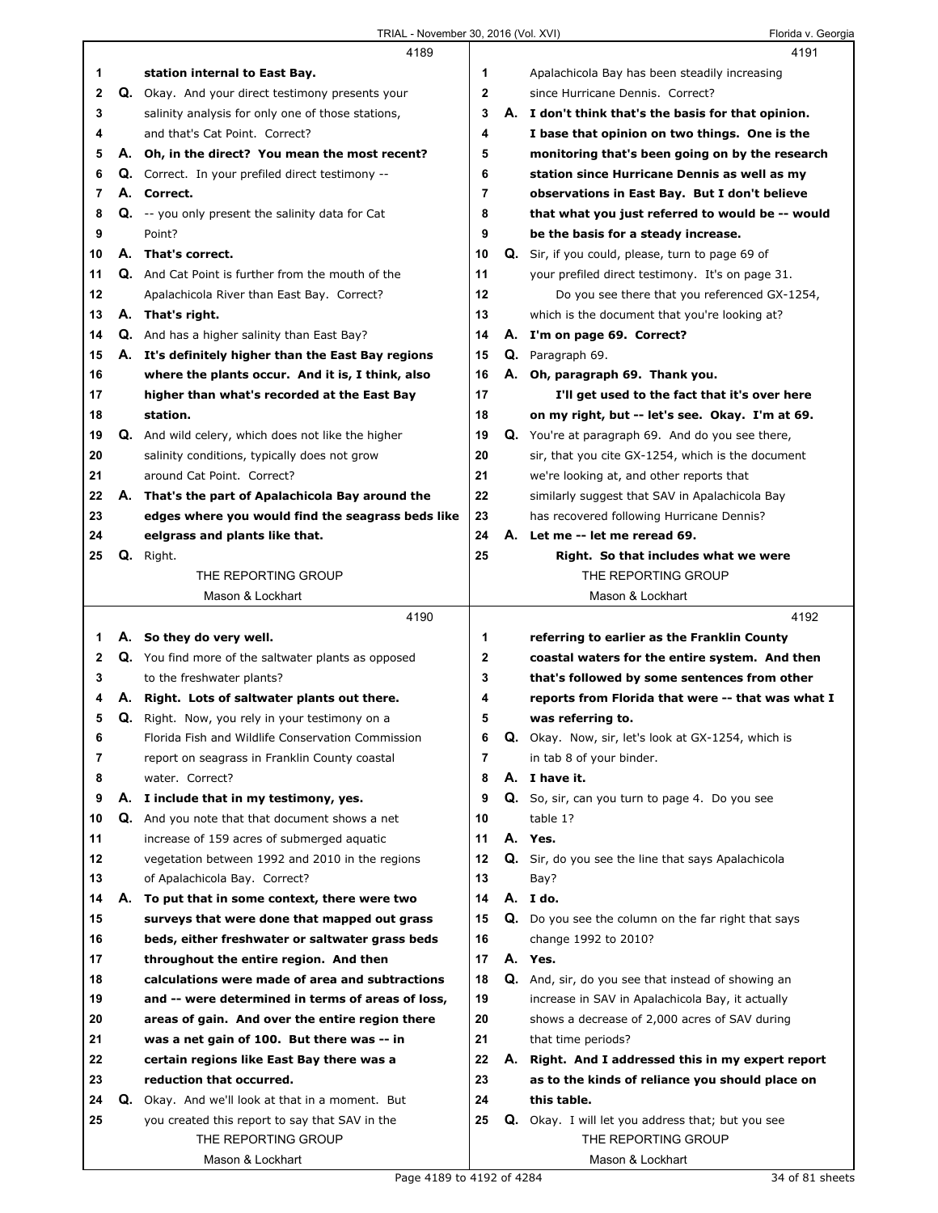|    |    | 4189                                                                                |                |                                               | 4191                                                                        |
|----|----|-------------------------------------------------------------------------------------|----------------|-----------------------------------------------|-----------------------------------------------------------------------------|
| 1  |    | station internal to East Bay.                                                       | 1              |                                               | Apalachicola Bay has been steadily increasing                               |
| 2  | Q. | Okay. And your direct testimony presents your                                       | 2              |                                               | since Hurricane Dennis. Correct?                                            |
| 3  |    | salinity analysis for only one of those stations,                                   | 3              |                                               | A. I don't think that's the basis for that opinion.                         |
| 4  |    | and that's Cat Point. Correct?                                                      | 4              |                                               | I base that opinion on two things. One is the                               |
| 5  |    | A. Oh, in the direct? You mean the most recent?                                     | 5              |                                               | monitoring that's been going on by the research                             |
| 6  |    | Q. Correct. In your prefiled direct testimony --                                    | 6              |                                               | station since Hurricane Dennis as well as my                                |
| 7  |    | A. Correct.                                                                         | $\overline{7}$ | observations in East Bay. But I don't believe |                                                                             |
| 8  |    | <b>Q.</b> -- you only present the salinity data for Cat                             | 8              |                                               | that what you just referred to would be -- would                            |
| 9  |    | Point?                                                                              | 9              |                                               | be the basis for a steady increase.                                         |
| 10 |    | A. That's correct.                                                                  | 10             |                                               | Q. Sir, if you could, please, turn to page 69 of                            |
| 11 |    | Q. And Cat Point is further from the mouth of the                                   | 11             |                                               | your prefiled direct testimony. It's on page 31.                            |
| 12 |    | Apalachicola River than East Bay. Correct?                                          | 12             |                                               | Do you see there that you referenced GX-1254,                               |
| 13 |    | A. That's right.                                                                    | 13             |                                               | which is the document that you're looking at?                               |
| 14 |    | <b>Q.</b> And has a higher salinity than East Bay?                                  | 14             |                                               | A. I'm on page 69. Correct?                                                 |
| 15 |    | A. It's definitely higher than the East Bay regions                                 | 15             |                                               | Q. Paragraph 69.                                                            |
| 16 |    | where the plants occur. And it is, I think, also                                    | 16             |                                               | A. Oh, paragraph 69. Thank you.                                             |
| 17 |    | higher than what's recorded at the East Bay                                         | 17             |                                               | I'll get used to the fact that it's over here                               |
| 18 |    | station.                                                                            | 18             |                                               | on my right, but -- let's see. Okay. I'm at 69.                             |
| 19 |    | Q. And wild celery, which does not like the higher                                  | 19             |                                               | Q. You're at paragraph 69. And do you see there,                            |
| 20 |    | salinity conditions, typically does not grow                                        | 20             |                                               | sir, that you cite GX-1254, which is the document                           |
| 21 |    | around Cat Point. Correct?                                                          | 21             |                                               | we're looking at, and other reports that                                    |
| 22 |    | A. That's the part of Apalachicola Bay around the                                   | 22             |                                               | similarly suggest that SAV in Apalachicola Bay                              |
| 23 |    |                                                                                     | 23             |                                               |                                                                             |
| 24 |    | edges where you would find the seagrass beds like<br>eelgrass and plants like that. | 24             |                                               | has recovered following Hurricane Dennis?<br>A. Let me -- let me reread 69. |
| 25 |    |                                                                                     | 25             |                                               |                                                                             |
|    |    | Q. Right.<br>THE REPORTING GROUP                                                    |                |                                               | Right. So that includes what we were<br>THE REPORTING GROUP                 |
|    |    | Mason & Lockhart                                                                    |                |                                               | Mason & Lockhart                                                            |
|    |    | 4190                                                                                |                |                                               | 4192                                                                        |
|    |    |                                                                                     |                |                                               |                                                                             |
|    |    |                                                                                     |                |                                               |                                                                             |
| 1  |    | A. So they do very well.                                                            | 1              |                                               | referring to earlier as the Franklin County                                 |
| 2  |    | <b>Q.</b> You find more of the saltwater plants as opposed                          | $\mathbf{2}$   |                                               | coastal waters for the entire system. And then                              |
| 3  |    | to the freshwater plants?                                                           | 3              |                                               | that's followed by some sentences from other                                |
| 4  |    | A. Right. Lots of saltwater plants out there.                                       | 4              |                                               | reports from Florida that were -- that was what I                           |
| 5  |    | Q. Right. Now, you rely in your testimony on a                                      | 5              |                                               | was referring to.                                                           |
| 6  |    | Florida Fish and Wildlife Conservation Commission                                   | 6              |                                               | Q. Okay. Now, sir, let's look at GX-1254, which is                          |
| 7  |    | report on seagrass in Franklin County coastal                                       | 7              |                                               | in tab 8 of your binder.                                                    |
| 8  |    | water. Correct?                                                                     | 8              |                                               | A. I have it.                                                               |
| 9  |    | A. I include that in my testimony, yes.                                             | 9              |                                               | Q. So, sir, can you turn to page 4. Do you see                              |
| 10 | Q. | And you note that that document shows a net                                         | 10             |                                               | table 1?                                                                    |
| 11 |    | increase of 159 acres of submerged aguatic                                          | 11             |                                               | A. Yes.                                                                     |
| 12 |    | vegetation between 1992 and 2010 in the regions                                     | 12             |                                               | Q. Sir, do you see the line that says Apalachicola                          |
| 13 |    | of Apalachicola Bay. Correct?                                                       | 13             |                                               | Bay?                                                                        |
| 14 | А. | To put that in some context, there were two                                         | 14             |                                               | A. I do.                                                                    |
| 15 |    | surveys that were done that mapped out grass                                        | 15             |                                               | Q. Do you see the column on the far right that says                         |
| 16 |    | beds, either freshwater or saltwater grass beds                                     | 16             |                                               | change 1992 to 2010?                                                        |
| 17 |    | throughout the entire region. And then                                              | 17             |                                               | A. Yes.                                                                     |
| 18 |    | calculations were made of area and subtractions                                     | 18             |                                               | Q. And, sir, do you see that instead of showing an                          |
| 19 |    | and -- were determined in terms of areas of loss,                                   | 19             |                                               | increase in SAV in Apalachicola Bay, it actually                            |
| 20 |    | areas of gain. And over the entire region there                                     | 20             |                                               | shows a decrease of 2,000 acres of SAV during                               |
| 21 |    | was a net gain of 100. But there was -- in                                          | 21             |                                               | that time periods?                                                          |
| 22 |    | certain regions like East Bay there was a                                           | 22             | А.                                            | Right. And I addressed this in my expert report                             |
| 23 |    | reduction that occurred.                                                            | 23             |                                               | as to the kinds of reliance you should place on                             |
| 24 |    | Q. Okay. And we'll look at that in a moment. But                                    | 24             |                                               | this table.                                                                 |
| 25 |    | you created this report to say that SAV in the                                      | 25             |                                               | Q. Okay. I will let you address that; but you see                           |
|    |    | THE REPORTING GROUP<br>Mason & Lockhart                                             |                |                                               | THE REPORTING GROUP<br>Mason & Lockhart                                     |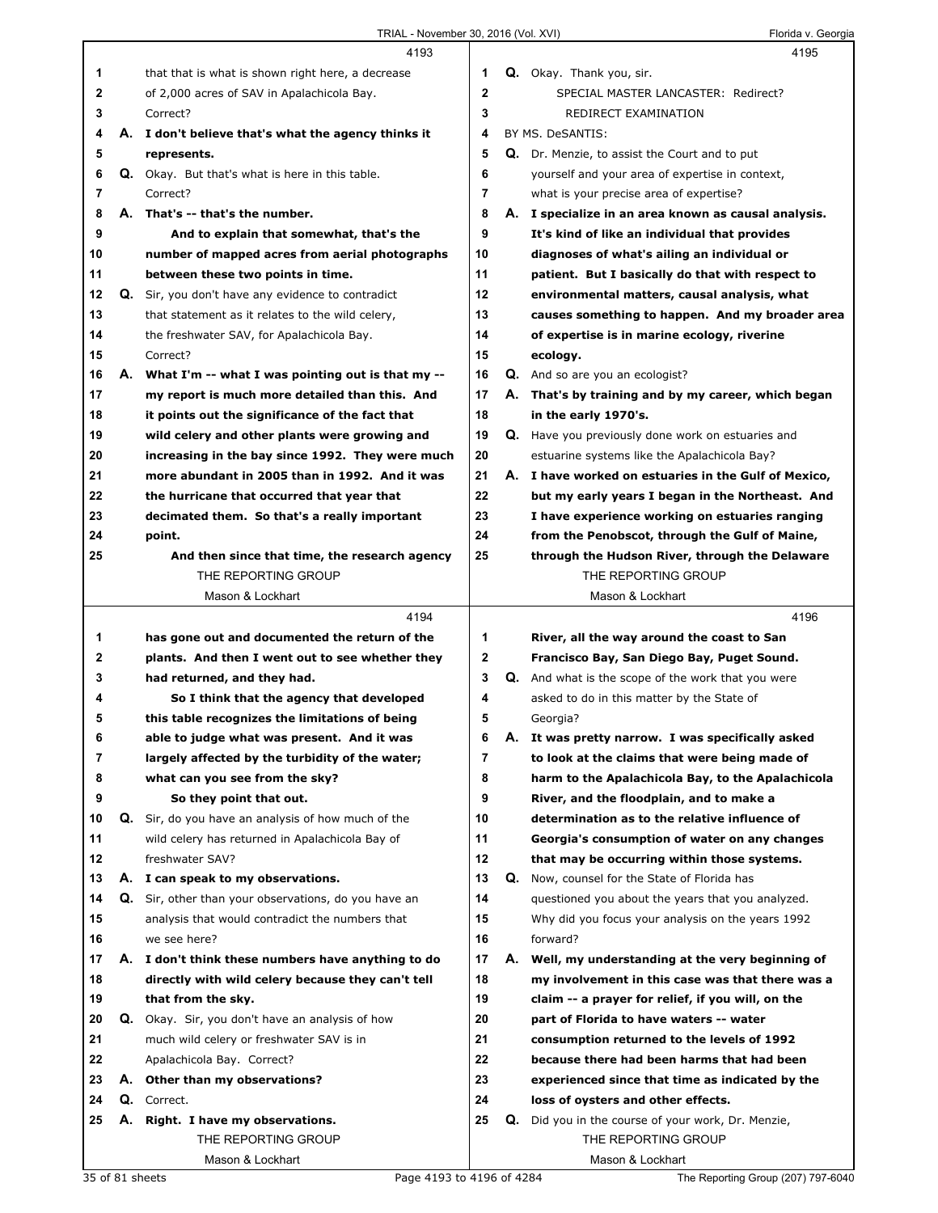|              |    | 4193                                                 |                |    | 4195                                                      |
|--------------|----|------------------------------------------------------|----------------|----|-----------------------------------------------------------|
| 1            |    | that that is what is shown right here, a decrease    | 1              |    | Q. Okay. Thank you, sir.                                  |
| $\mathbf{2}$ |    | of 2,000 acres of SAV in Apalachicola Bay.           | $\mathbf 2$    |    | SPECIAL MASTER LANCASTER: Redirect?                       |
| 3            |    | Correct?                                             | 3              |    | REDIRECT EXAMINATION                                      |
| 4            |    | A. I don't believe that's what the agency thinks it  | 4              |    | BY MS. DeSANTIS:                                          |
| 5            |    | represents.                                          | 5              |    | Q. Dr. Menzie, to assist the Court and to put             |
| 6            |    | Q. Okay. But that's what is here in this table.      | 6              |    | yourself and your area of expertise in context,           |
| 7            |    | Correct?                                             | $\overline{7}$ |    | what is your precise area of expertise?                   |
| 8            |    | A. That's -- that's the number.                      | 8              |    | A. I specialize in an area known as causal analysis.      |
| 9            |    | And to explain that somewhat, that's the             | 9              |    | It's kind of like an individual that provides             |
| 10           |    | number of mapped acres from aerial photographs       | 10             |    | diagnoses of what's ailing an individual or               |
| 11           |    | between these two points in time.                    | 11             |    | patient. But I basically do that with respect to          |
| 12           |    | Q. Sir, you don't have any evidence to contradict    | 12             |    | environmental matters, causal analysis, what              |
| 13           |    | that statement as it relates to the wild celery,     | 13             |    | causes something to happen. And my broader area           |
| 14           |    | the freshwater SAV, for Apalachicola Bay.            | 14             |    | of expertise is in marine ecology, riverine               |
| 15           |    | Correct?                                             | 15             |    | ecology.                                                  |
| 16           |    | A. What I'm -- what I was pointing out is that my -- | 16             |    | Q. And so are you an ecologist?                           |
| 17           |    | my report is much more detailed than this. And       | 17             |    | A. That's by training and by my career, which began       |
| 18           |    | it points out the significance of the fact that      | 18             |    | in the early 1970's.                                      |
| 19           |    | wild celery and other plants were growing and        | 19             |    | Q. Have you previously done work on estuaries and         |
| 20           |    | increasing in the bay since 1992. They were much     | 20             |    | estuarine systems like the Apalachicola Bay?              |
| 21           |    | more abundant in 2005 than in 1992. And it was       | 21             |    | A. I have worked on estuaries in the Gulf of Mexico,      |
| 22           |    | the hurricane that occurred that year that           | 22             |    | but my early years I began in the Northeast. And          |
| 23           |    | decimated them. So that's a really important         | 23             |    | I have experience working on estuaries ranging            |
| 24           |    | point.                                               | 24             |    | from the Penobscot, through the Gulf of Maine,            |
| 25           |    | And then since that time, the research agency        | 25             |    | through the Hudson River, through the Delaware            |
|              |    | THE REPORTING GROUP                                  |                |    | THE REPORTING GROUP                                       |
|              |    | Mason & Lockhart                                     |                |    | Mason & Lockhart                                          |
|              |    | 4194                                                 |                |    | 4196                                                      |
| 1            |    | has gone out and documented the return of the        | 1              |    | River, all the way around the coast to San                |
| $\mathbf{2}$ |    | plants. And then I went out to see whether they      | $\mathbf{2}$   |    | Francisco Bay, San Diego Bay, Puget Sound.                |
| 3            |    | had returned, and they had.                          | 3              |    | <b>Q.</b> And what is the scope of the work that you were |
| 4            |    | So I think that the agency that developed            | 4              |    | asked to do in this matter by the State of                |
| 5            |    | this table recognizes the limitations of being       | 5              |    | Georgia?                                                  |
| 6            |    | able to judge what was present. And it was           | 6              |    | A. It was pretty narrow. I was specifically asked         |
| 7            |    | largely affected by the turbidity of the water;      | 7              |    | to look at the claims that were being made of             |
| 8            |    | what can you see from the sky?                       | 8              |    | harm to the Apalachicola Bay, to the Apalachicola         |
| 9            |    | So they point that out.                              | 9              |    | River, and the floodplain, and to make a                  |
| 10           | Q. | Sir, do you have an analysis of how much of the      | 10             |    | determination as to the relative influence of             |
| 11           |    | wild celery has returned in Apalachicola Bay of      | 11             |    | Georgia's consumption of water on any changes             |
| 12           |    | freshwater SAV?                                      | 12             |    | that may be occurring within those systems.               |
| 13           |    | A. I can speak to my observations.                   | 13             | Q. | Now, counsel for the State of Florida has                 |
| 14           |    | Q. Sir, other than your observations, do you have an | 14             |    | questioned you about the years that you analyzed.         |
| 15           |    | analysis that would contradict the numbers that      | 15             |    | Why did you focus your analysis on the years 1992         |
| 16           |    | we see here?                                         | 16             |    | forward?                                                  |
| 17           |    | A. I don't think these numbers have anything to do   | 17             |    | A. Well, my understanding at the very beginning of        |
| 18           |    | directly with wild celery because they can't tell    | 18             |    | my involvement in this case was that there was a          |
| 19           |    | that from the sky.                                   | 19             |    | claim -- a prayer for relief, if you will, on the         |
| 20           |    | Q. Okay. Sir, you don't have an analysis of how      | 20             |    | part of Florida to have waters -- water                   |
| 21           |    | much wild celery or freshwater SAV is in             | 21             |    | consumption returned to the levels of 1992                |
| 22           |    | Apalachicola Bay. Correct?                           | 22             |    | because there had been harms that had been                |
| 23           | А. | Other than my observations?                          | 23             |    | experienced since that time as indicated by the           |
| 24           |    | Q. Correct.                                          | 24             |    | loss of oysters and other effects.                        |
| 25           | А. | Right. I have my observations.                       | 25             |    | Q. Did you in the course of your work, Dr. Menzie,        |
|              |    | THE REPORTING GROUP                                  |                |    | THE REPORTING GROUP                                       |
|              |    | Mason & Lockhart                                     |                |    | Mason & Lockhart                                          |
|              |    | 35 of 81 sheets<br>Page 4193 to 4196 of 4284         |                |    | The Reporting Group (207) 797-6040                        |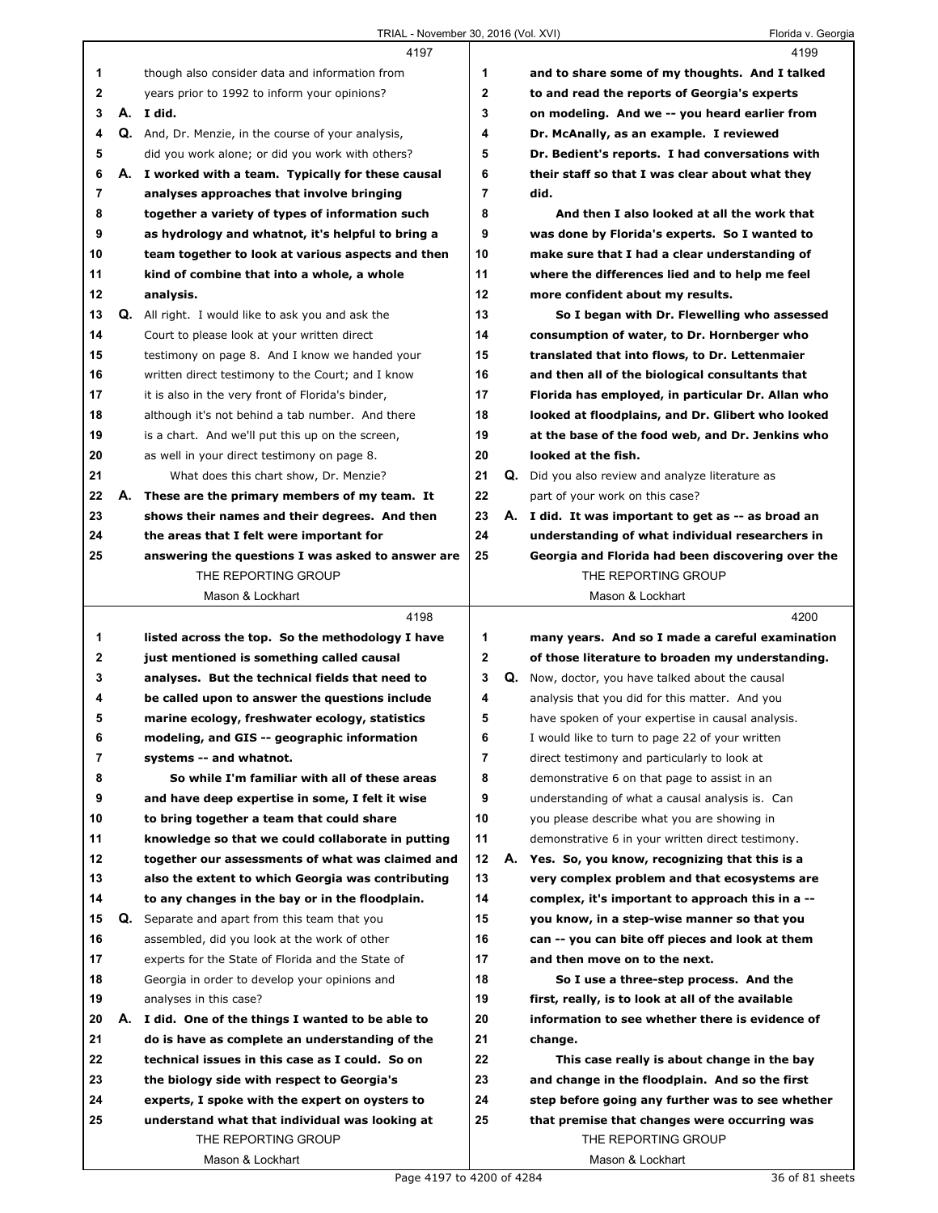| Florida v. Georgia |  |
|--------------------|--|
|                    |  |

|                | 4197                                                                                          |                |    | 4199                                                |
|----------------|-----------------------------------------------------------------------------------------------|----------------|----|-----------------------------------------------------|
| 1              | though also consider data and information from                                                | 1              |    | and to share some of my thoughts. And I talked      |
| $\mathbf{2}$   | years prior to 1992 to inform your opinions?                                                  | $\mathbf 2$    |    | to and read the reports of Georgia's experts        |
| 3              | A. I did.                                                                                     | 3              |    | on modeling. And we -- you heard earlier from       |
| 4              | Q. And, Dr. Menzie, in the course of your analysis,                                           | 4              |    | Dr. McAnally, as an example. I reviewed             |
| 5              | did you work alone; or did you work with others?                                              | 5              |    | Dr. Bedient's reports. I had conversations with     |
| 6              | A. I worked with a team. Typically for these causal                                           | 6              |    | their staff so that I was clear about what they     |
| $\overline{7}$ | analyses approaches that involve bringing                                                     | $\overline{7}$ |    | did.                                                |
| 8              | together a variety of types of information such                                               | 8              |    | And then I also looked at all the work that         |
| 9              | as hydrology and whatnot, it's helpful to bring a                                             | 9              |    | was done by Florida's experts. So I wanted to       |
| 10             | team together to look at various aspects and then                                             | 10             |    | make sure that I had a clear understanding of       |
| 11             | kind of combine that into a whole, a whole                                                    | 11             |    | where the differences lied and to help me feel      |
| 12             | analysis.                                                                                     | 12             |    | more confident about my results.                    |
| 13             | <b>Q.</b> All right. I would like to ask you and ask the                                      | 13             |    | So I began with Dr. Flewelling who assessed         |
| 14             | Court to please look at your written direct                                                   | 14             |    | consumption of water, to Dr. Hornberger who         |
| 15             | testimony on page 8. And I know we handed your                                                | 15             |    | translated that into flows, to Dr. Lettenmaier      |
| 16             | written direct testimony to the Court; and I know                                             | 16             |    | and then all of the biological consultants that     |
| 17             | it is also in the very front of Florida's binder,                                             | 17             |    | Florida has employed, in particular Dr. Allan who   |
| 18             | although it's not behind a tab number. And there                                              | 18             |    | looked at floodplains, and Dr. Glibert who looked   |
| 19             | is a chart. And we'll put this up on the screen,                                              | 19             |    | at the base of the food web, and Dr. Jenkins who    |
| 20             | as well in your direct testimony on page 8.                                                   | 20             |    | looked at the fish.                                 |
| 21             | What does this chart show, Dr. Menzie?                                                        | 21             | Q. | Did you also review and analyze literature as       |
| 22             | A. These are the primary members of my team. It                                               | 22             |    | part of your work on this case?                     |
| 23             | shows their names and their degrees. And then                                                 | 23             |    | A. I did. It was important to get as -- as broad an |
| 24             | the areas that I felt were important for                                                      | 24             |    | understanding of what individual researchers in     |
| 25             | answering the questions I was asked to answer are                                             | 25             |    | Georgia and Florida had been discovering over the   |
|                | THE REPORTING GROUP                                                                           |                |    | THE REPORTING GROUP                                 |
|                | Mason & Lockhart                                                                              |                |    | Mason & Lockhart                                    |
|                |                                                                                               |                |    |                                                     |
|                | 4198                                                                                          |                |    | 4200                                                |
| 1              |                                                                                               | 1              |    | many years. And so I made a careful examination     |
| 2              | listed across the top. So the methodology I have<br>just mentioned is something called causal | $\mathbf{2}$   |    | of those literature to broaden my understanding.    |
| 3              | analyses. But the technical fields that need to                                               | 3              | Q. | Now, doctor, you have talked about the causal       |
| 4              | be called upon to answer the questions include                                                | 4              |    | analysis that you did for this matter. And you      |
| 5              | marine ecology, freshwater ecology, statistics                                                | 5              |    | have spoken of your expertise in causal analysis.   |
| 6              | modeling, and GIS -- geographic information                                                   | 6              |    | I would like to turn to page 22 of your written     |
| 7              | systems -- and whatnot.                                                                       | 7              |    | direct testimony and particularly to look at        |
| 8              | So while I'm familiar with all of these areas                                                 | 8              |    | demonstrative 6 on that page to assist in an        |
| 9              | and have deep expertise in some, I felt it wise                                               | 9              |    | understanding of what a causal analysis is. Can     |
| 10             | to bring together a team that could share                                                     | 10             |    | you please describe what you are showing in         |
| 11             | knowledge so that we could collaborate in putting                                             | 11             |    | demonstrative 6 in your written direct testimony.   |
| 12             | together our assessments of what was claimed and                                              | 12             |    | A. Yes. So, you know, recognizing that this is a    |
| 13             | also the extent to which Georgia was contributing                                             | 13             |    | very complex problem and that ecosystems are        |
| 14             | to any changes in the bay or in the floodplain.                                               | 14             |    | complex, it's important to approach this in a --    |
| 15             | <b>Q.</b> Separate and apart from this team that you                                          | 15             |    | you know, in a step-wise manner so that you         |
| 16             | assembled, did you look at the work of other                                                  | 16             |    | can -- you can bite off pieces and look at them     |
| 17             | experts for the State of Florida and the State of                                             | 17             |    | and then move on to the next.                       |
| 18             | Georgia in order to develop your opinions and                                                 | 18             |    | So I use a three-step process. And the              |
| 19             | analyses in this case?                                                                        | 19             |    | first, really, is to look at all of the available   |
| 20             | A. I did. One of the things I wanted to be able to                                            | 20             |    | information to see whether there is evidence of     |
| 21             | do is have as complete an understanding of the                                                | 21             |    | change.                                             |
| 22             | technical issues in this case as I could. So on                                               | 22             |    | This case really is about change in the bay         |
| 23             | the biology side with respect to Georgia's                                                    | 23             |    | and change in the floodplain. And so the first      |
| 24             | experts, I spoke with the expert on oysters to                                                | 24             |    | step before going any further was to see whether    |
| 25             | understand what that individual was looking at                                                | 25             |    | that premise that changes were occurring was        |
|                | THE REPORTING GROUP                                                                           |                |    | THE REPORTING GROUP                                 |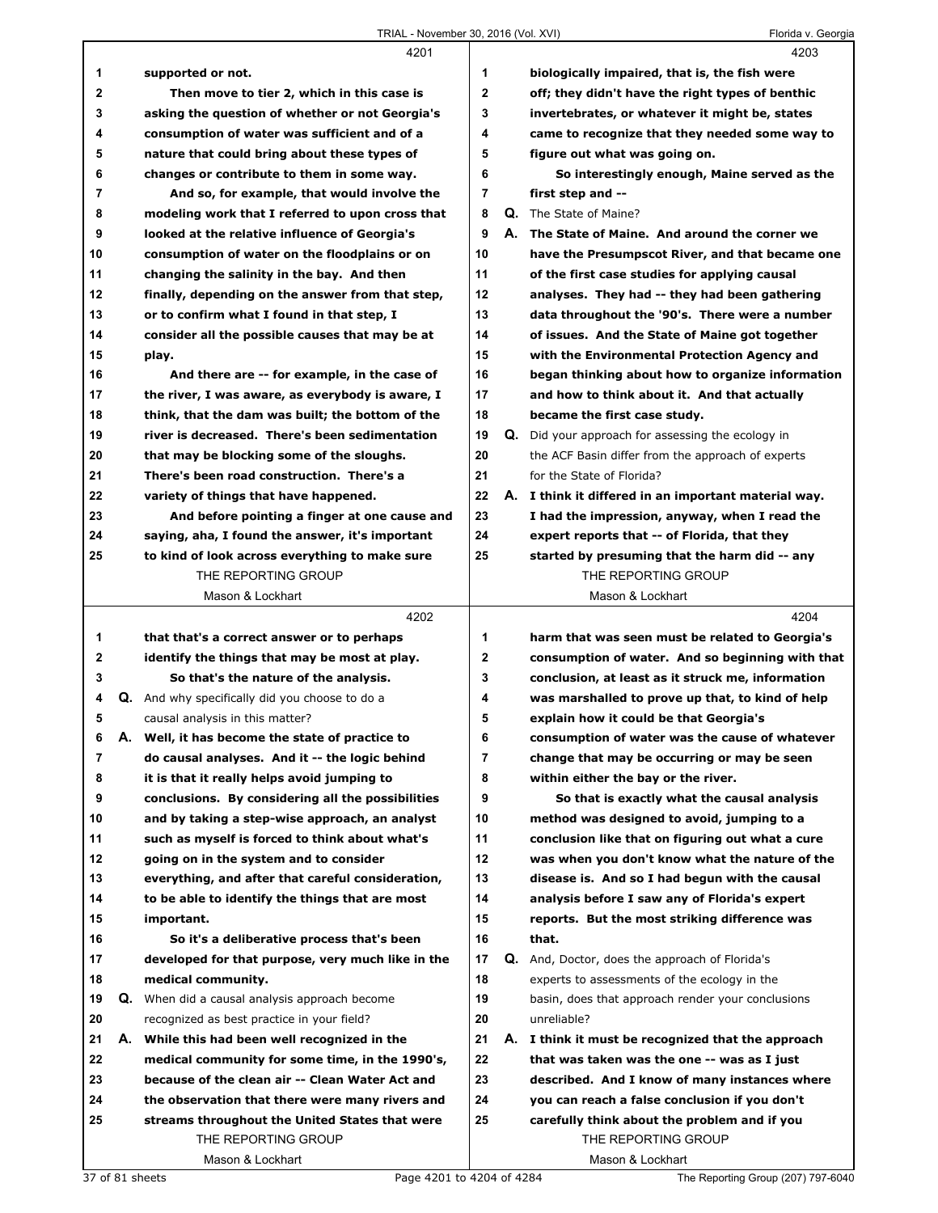|    |    | 4201                                                  |                | 4203                                                     |
|----|----|-------------------------------------------------------|----------------|----------------------------------------------------------|
| 1  |    | supported or not.                                     | 1              | biologically impaired, that is, the fish were            |
| 2  |    | Then move to tier 2, which in this case is            | $\overline{2}$ | off; they didn't have the right types of benthic         |
| 3  |    | asking the question of whether or not Georgia's       | 3              | invertebrates, or whatever it might be, states           |
| 4  |    | consumption of water was sufficient and of a          | 4              | came to recognize that they needed some way to           |
| 5  |    | nature that could bring about these types of          | 5              | figure out what was going on.                            |
| 6  |    | changes or contribute to them in some way.            | 6              | So interestingly enough, Maine served as the             |
| 7  |    | And so, for example, that would involve the           | $\overline{7}$ | first step and --                                        |
| 8  |    | modeling work that I referred to upon cross that      | 8              | <b>Q.</b> The State of Maine?                            |
| 9  |    | looked at the relative influence of Georgia's         | 9              | A. The State of Maine. And around the corner we          |
| 10 |    | consumption of water on the floodplains or on         | 10             | have the Presumpscot River, and that became one          |
| 11 |    | changing the salinity in the bay. And then            | 11             | of the first case studies for applying causal            |
| 12 |    | finally, depending on the answer from that step,      | 12             | analyses. They had -- they had been gathering            |
| 13 |    | or to confirm what I found in that step, I            | 13             | data throughout the '90's. There were a number           |
| 14 |    | consider all the possible causes that may be at       | 14             | of issues. And the State of Maine got together           |
| 15 |    | play.                                                 | 15             | with the Environmental Protection Agency and             |
| 16 |    | And there are -- for example, in the case of          | 16             | began thinking about how to organize information         |
| 17 |    | the river, I was aware, as everybody is aware, I      | 17             | and how to think about it. And that actually             |
| 18 |    | think, that the dam was built; the bottom of the      | 18             | became the first case study.                             |
| 19 |    | river is decreased. There's been sedimentation        | 19             | <b>Q.</b> Did your approach for assessing the ecology in |
| 20 |    | that may be blocking some of the sloughs.             | 20             | the ACF Basin differ from the approach of experts        |
| 21 |    | There's been road construction. There's a             | 21             | for the State of Florida?                                |
| 22 |    | variety of things that have happened.                 | 22             | A. I think it differed in an important material way.     |
| 23 |    | And before pointing a finger at one cause and         | 23             | I had the impression, anyway, when I read the            |
| 24 |    | saying, aha, I found the answer, it's important       | 24             | expert reports that -- of Florida, that they             |
| 25 |    | to kind of look across everything to make sure        | 25             | started by presuming that the harm did -- any            |
|    |    | THE REPORTING GROUP                                   |                | THE REPORTING GROUP                                      |
|    |    | Mason & Lockhart                                      |                | Mason & Lockhart                                         |
|    |    |                                                       |                |                                                          |
|    |    |                                                       |                |                                                          |
|    |    | 4202                                                  |                | 4204                                                     |
| 1  |    | that that's a correct answer or to perhaps            | 1              | harm that was seen must be related to Georgia's          |
| 2  |    | identify the things that may be most at play.         | $\mathbf{2}$   | consumption of water. And so beginning with that         |
| 3  |    | So that's the nature of the analysis.                 | 3              | conclusion, at least as it struck me, information        |
| 4  |    | <b>Q.</b> And why specifically did you choose to do a | 4              | was marshalled to prove up that, to kind of help         |
| 5  |    | causal analysis in this matter?                       | 5              | explain how it could be that Georgia's                   |
| 6  |    | A. Well, it has become the state of practice to       | 6              | consumption of water was the cause of whatever           |
| 7  |    | do causal analyses. And it -- the logic behind        | 7              | change that may be occurring or may be seen              |
| 8  |    | it is that it really helps avoid jumping to           | 8              | within either the bay or the river.                      |
| 9  |    | conclusions. By considering all the possibilities     | 9              | So that is exactly what the causal analysis              |
| 10 |    | and by taking a step-wise approach, an analyst        | 10             | method was designed to avoid, jumping to a               |
| 11 |    | such as myself is forced to think about what's        | 11             | conclusion like that on figuring out what a cure         |
| 12 |    | going on in the system and to consider                | 12             | was when you don't know what the nature of the           |
| 13 |    | everything, and after that careful consideration,     | 13             | disease is. And so I had begun with the causal           |
| 14 |    | to be able to identify the things that are most       | 14             | analysis before I saw any of Florida's expert            |
| 15 |    | important.                                            | 15             | reports. But the most striking difference was            |
| 16 |    | So it's a deliberative process that's been            | 16             | that.                                                    |
| 17 |    | developed for that purpose, very much like in the     | 17             | <b>Q.</b> And, Doctor, does the approach of Florida's    |
| 18 |    | medical community.                                    | 18             | experts to assessments of the ecology in the             |
| 19 | Q. | When did a causal analysis approach become            | 19             | basin, does that approach render your conclusions        |
| 20 |    | recognized as best practice in your field?            | 20             | unreliable?                                              |
| 21 | А. | While this had been well recognized in the            | 21             | A. I think it must be recognized that the approach       |
| 22 |    | medical community for some time, in the 1990's,       | 22             | that was taken was the one -- was as I just              |
| 23 |    | because of the clean air -- Clean Water Act and       | 23             | described. And I know of many instances where            |
| 24 |    | the observation that there were many rivers and       | 24             | you can reach a false conclusion if you don't            |
| 25 |    | streams throughout the United States that were        | 25             | carefully think about the problem and if you             |
|    |    | THE REPORTING GROUP<br>Mason & Lockhart               |                | THE REPORTING GROUP<br>Mason & Lockhart                  |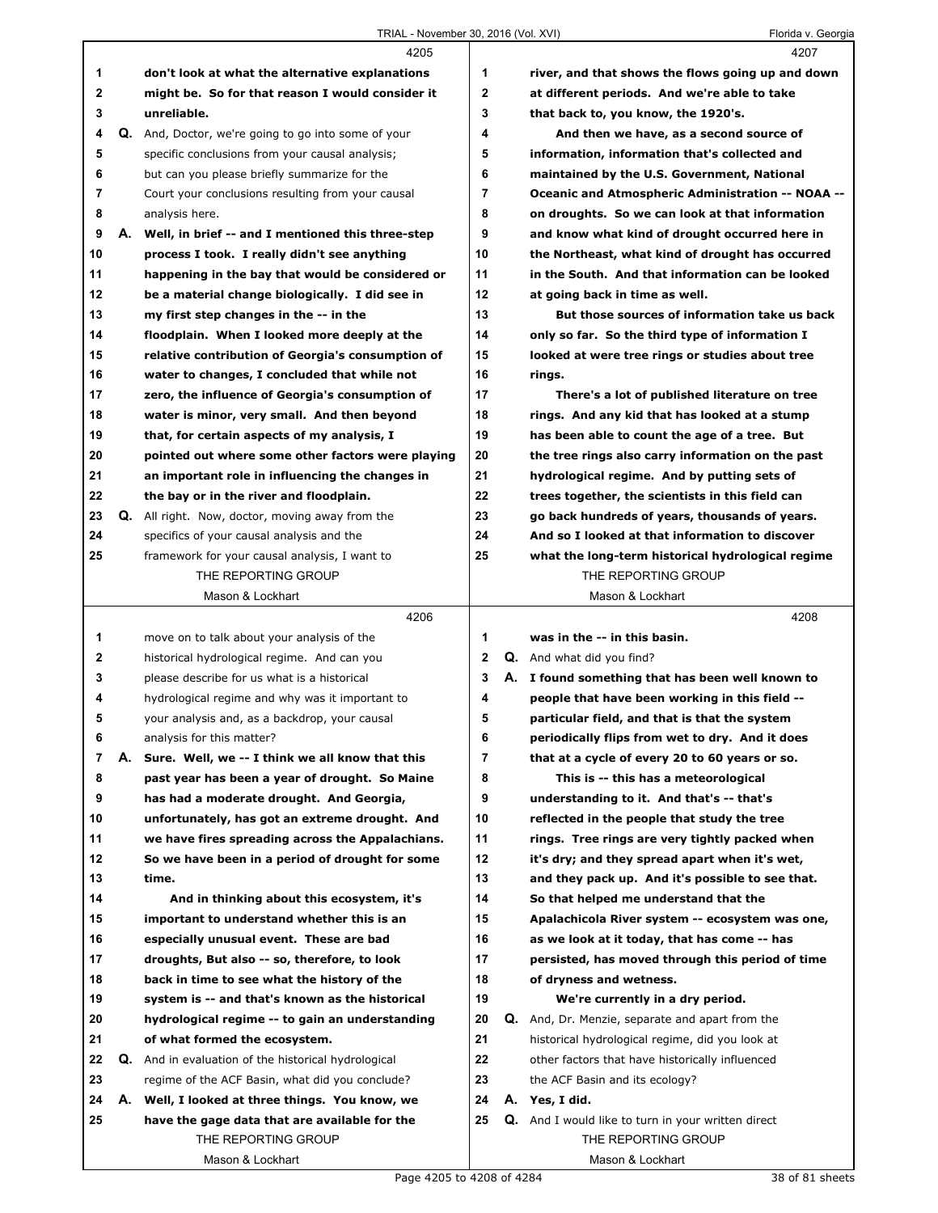|                |    | 4205                                                       |                |    | 4207                                                      |
|----------------|----|------------------------------------------------------------|----------------|----|-----------------------------------------------------------|
| 1              |    | don't look at what the alternative explanations            | 1              |    | river, and that shows the flows going up and down         |
| $\mathbf{2}$   |    | might be. So for that reason I would consider it           | $\mathbf 2$    |    | at different periods. And we're able to take              |
| 3              |    | unreliable.                                                | 3              |    | that back to, you know, the 1920's.                       |
| 4              |    | Q. And, Doctor, we're going to go into some of your        | 4              |    | And then we have, as a second source of                   |
| 5              |    | specific conclusions from your causal analysis;            | 5              |    | information, information that's collected and             |
| 6              |    | but can you please briefly summarize for the               | 6              |    | maintained by the U.S. Government, National               |
| $\overline{7}$ |    | Court your conclusions resulting from your causal          | $\overline{7}$ |    | Oceanic and Atmospheric Administration -- NOAA --         |
| 8              |    | analysis here.                                             | 8              |    | on droughts. So we can look at that information           |
| 9              |    | A. Well, in brief -- and I mentioned this three-step       | 9              |    | and know what kind of drought occurred here in            |
| 10             |    | process I took. I really didn't see anything               | 10             |    | the Northeast, what kind of drought has occurred          |
| 11             |    | happening in the bay that would be considered or           | 11             |    | in the South. And that information can be looked          |
| 12             |    | be a material change biologically. I did see in            | 12             |    | at going back in time as well.                            |
| 13             |    | my first step changes in the -- in the                     | 13             |    | But those sources of information take us back             |
| 14             |    | floodplain. When I looked more deeply at the               | 14             |    | only so far. So the third type of information I           |
| 15             |    | relative contribution of Georgia's consumption of          | 15             |    | looked at were tree rings or studies about tree           |
| 16             |    | water to changes, I concluded that while not               | 16             |    | rings.                                                    |
| 17             |    | zero, the influence of Georgia's consumption of            | 17             |    | There's a lot of published literature on tree             |
| 18             |    | water is minor, very small. And then beyond                | 18             |    | rings. And any kid that has looked at a stump             |
| 19             |    | that, for certain aspects of my analysis, I                | 19             |    | has been able to count the age of a tree. But             |
| 20             |    | pointed out where some other factors were playing          | 20             |    | the tree rings also carry information on the past         |
| 21             |    | an important role in influencing the changes in            | 21             |    | hydrological regime. And by putting sets of               |
| 22             |    | the bay or in the river and floodplain.                    | 22             |    | trees together, the scientists in this field can          |
| 23             |    | <b>Q.</b> All right. Now, doctor, moving away from the     | 23             |    | go back hundreds of years, thousands of years.            |
| 24             |    | specifics of your causal analysis and the                  | 24             |    | And so I looked at that information to discover           |
| 25             |    | framework for your causal analysis, I want to              | 25             |    | what the long-term historical hydrological regime         |
|                |    | THE REPORTING GROUP                                        |                |    | THE REPORTING GROUP                                       |
|                |    | Mason & Lockhart                                           |                |    | Mason & Lockhart                                          |
|                |    | 4206                                                       |                |    | 4208                                                      |
| 1              |    | move on to talk about your analysis of the                 | 1              |    | was in the -- in this basin.                              |
| $\mathbf{2}$   |    | historical hydrological regime. And can you                | $\mathbf{2}$   |    | <b>Q.</b> And what did you find?                          |
| 3              |    | please describe for us what is a historical                | 3              |    | A. I found something that has been well known to          |
| 4              |    | hydrological regime and why was it important to            | 4              |    | people that have been working in this field --            |
| 5              |    | your analysis and, as a backdrop, your causal              | 5              |    | particular field, and that is that the system             |
| 6              |    | analysis for this matter?                                  | 6              |    | periodically flips from wet to dry. And it does           |
| 7              | А. | Sure. Well, we -- I think we all know that this            | 7              |    | that at a cycle of every 20 to 60 years or so.            |
| 8              |    | past year has been a year of drought. So Maine             | 8              |    | This is -- this has a meteorological                      |
| 9              |    | has had a moderate drought. And Georgia,                   | 9              |    |                                                           |
| 10             |    |                                                            |                |    |                                                           |
| 11             |    |                                                            |                |    | understanding to it. And that's -- that's                 |
|                |    | unfortunately, has got an extreme drought. And             | 10             |    | reflected in the people that study the tree               |
|                |    | we have fires spreading across the Appalachians.           | 11             |    | rings. Tree rings are very tightly packed when            |
| 12             |    | So we have been in a period of drought for some            | 12             |    | it's dry; and they spread apart when it's wet,            |
| 13             |    | time.                                                      | 13             |    | and they pack up. And it's possible to see that.          |
| 14             |    | And in thinking about this ecosystem, it's                 | 14             |    | So that helped me understand that the                     |
| 15             |    | important to understand whether this is an                 | 15             |    | Apalachicola River system -- ecosystem was one,           |
| 16             |    | especially unusual event. These are bad                    | 16             |    | as we look at it today, that has come -- has              |
| 17             |    | droughts, But also -- so, therefore, to look               | 17             |    | persisted, has moved through this period of time          |
| 18             |    | back in time to see what the history of the                | 18             |    | of dryness and wetness.                                   |
| 19             |    | system is -- and that's known as the historical            | 19             |    | We're currently in a dry period.                          |
| 20             |    | hydrological regime -- to gain an understanding            | 20             | Q. | And, Dr. Menzie, separate and apart from the              |
| 21             |    | of what formed the ecosystem.                              | 21             |    | historical hydrological regime, did you look at           |
| 22             |    | <b>Q.</b> And in evaluation of the historical hydrological | 22             |    | other factors that have historically influenced           |
| 23             |    | regime of the ACF Basin, what did you conclude?            | 23             |    | the ACF Basin and its ecology?                            |
| 24             |    | A. Well, I looked at three things. You know, we            | 24             |    | A. Yes, I did.                                            |
| 25             |    | have the gage data that are available for the              | 25             |    | <b>Q.</b> And I would like to turn in your written direct |
|                |    | THE REPORTING GROUP<br>Mason & Lockhart                    |                |    | THE REPORTING GROUP<br>Mason & Lockhart                   |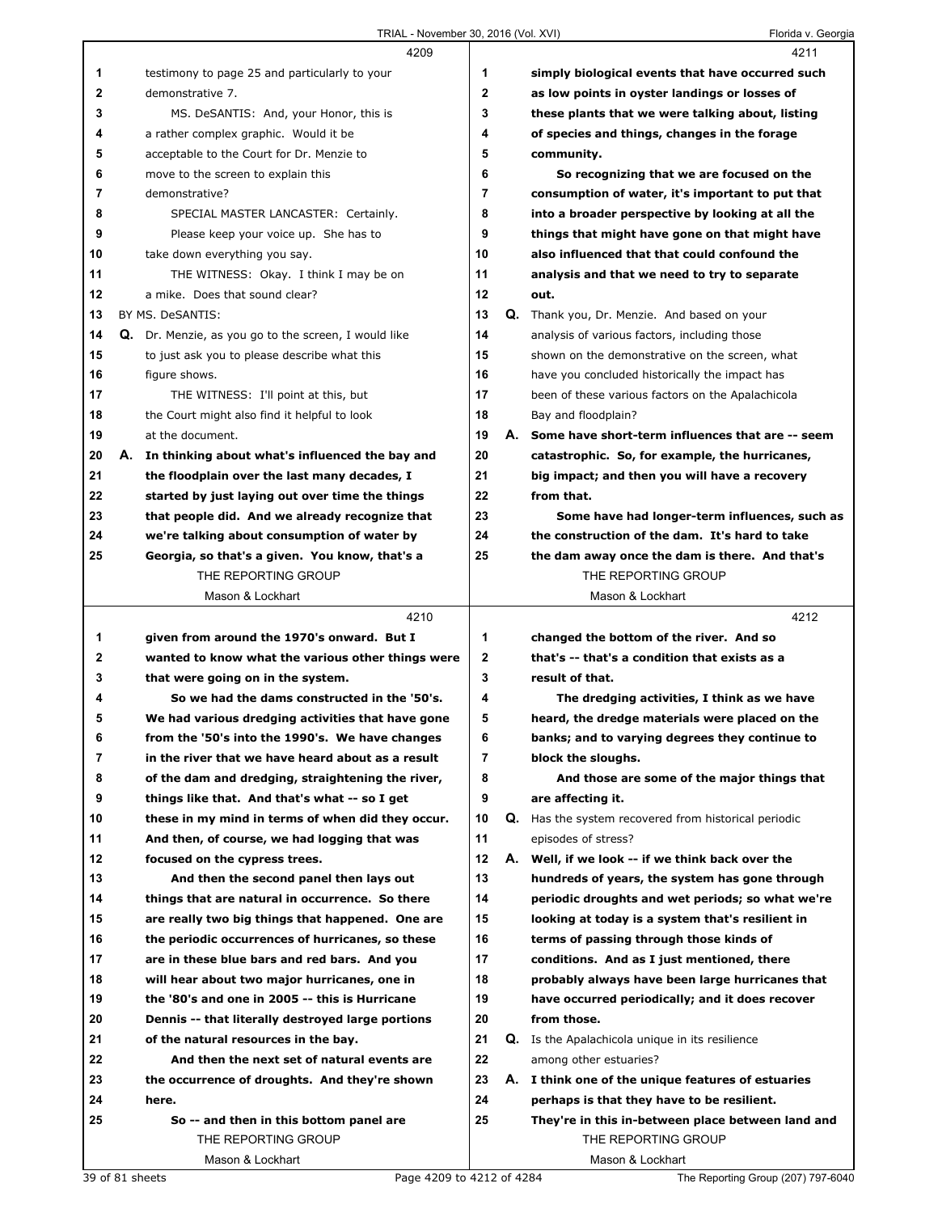|    | 4209                                                 |                |    | 4211                                                |
|----|------------------------------------------------------|----------------|----|-----------------------------------------------------|
| 1  | testimony to page 25 and particularly to your        | 1              |    | simply biological events that have occurred such    |
| 2  | demonstrative 7.                                     | $\mathbf{2}$   |    | as low points in oyster landings or losses of       |
| 3  | MS. DeSANTIS: And, your Honor, this is               | 3              |    | these plants that we were talking about, listing    |
| 4  | a rather complex graphic. Would it be                | 4              |    | of species and things, changes in the forage        |
| 5  | acceptable to the Court for Dr. Menzie to            | 5              |    | community.                                          |
| 6  | move to the screen to explain this                   | 6              |    | So recognizing that we are focused on the           |
| 7  | demonstrative?                                       | $\overline{7}$ |    | consumption of water, it's important to put that    |
| 8  | SPECIAL MASTER LANCASTER: Certainly.                 | 8              |    | into a broader perspective by looking at all the    |
| 9  | Please keep your voice up. She has to                | 9              |    | things that might have gone on that might have      |
| 10 | take down everything you say.                        | 10             |    | also influenced that that could confound the        |
| 11 | THE WITNESS: Okay. I think I may be on               | 11             |    | analysis and that we need to try to separate        |
| 12 | a mike. Does that sound clear?                       | 12             |    | out.                                                |
| 13 | BY MS. DeSANTIS:                                     | 13             |    | Q. Thank you, Dr. Menzie. And based on your         |
| 14 | Q. Dr. Menzie, as you go to the screen, I would like | 14             |    | analysis of various factors, including those        |
| 15 | to just ask you to please describe what this         | 15             |    | shown on the demonstrative on the screen, what      |
| 16 | figure shows.                                        | 16             |    | have you concluded historically the impact has      |
| 17 | THE WITNESS: I'll point at this, but                 | 17             |    | been of these various factors on the Apalachicola   |
| 18 | the Court might also find it helpful to look         | 18             |    | Bay and floodplain?                                 |
| 19 | at the document.                                     | 19             |    | A. Some have short-term influences that are -- seem |
| 20 | A. In thinking about what's influenced the bay and   | 20             |    | catastrophic. So, for example, the hurricanes,      |
| 21 | the floodplain over the last many decades, I         | 21             |    | big impact; and then you will have a recovery       |
| 22 | started by just laying out over time the things      | 22             |    | from that.                                          |
| 23 | that people did. And we already recognize that       | 23             |    | Some have had longer-term influences, such as       |
| 24 | we're talking about consumption of water by          | 24             |    | the construction of the dam. It's hard to take      |
| 25 | Georgia, so that's a given. You know, that's a       | 25             |    | the dam away once the dam is there. And that's      |
|    | THE REPORTING GROUP                                  |                |    | THE REPORTING GROUP                                 |
|    | Mason & Lockhart                                     |                |    | Mason & Lockhart                                    |
|    |                                                      |                |    |                                                     |
|    | 4210                                                 |                |    | 4212                                                |
| 1  | given from around the 1970's onward. But I           | 1              |    | changed the bottom of the river. And so             |
| 2  | wanted to know what the various other things were    | $\mathbf{2}$   |    | that's -- that's a condition that exists as a       |
| 3  | that were going on in the system.                    | 3              |    | result of that.                                     |
| 4  | So we had the dams constructed in the '50's.         | 4              |    | The dredging activities, I think as we have         |
| 5  | We had various dredging activities that have gone    | 5              |    | heard, the dredge materials were placed on the      |
| 6  | from the '50's into the 1990's. We have changes      | 6              |    | banks; and to varying degrees they continue to      |
| 7  | in the river that we have heard about as a result    | 7              |    | block the sloughs.                                  |
| 8  | of the dam and dredging, straightening the river,    | 8              |    | And those are some of the major things that         |
| 9  | things like that. And that's what -- so I get        | 9              |    | are affecting it.                                   |
| 10 | these in my mind in terms of when did they occur.    | 10             | Q. | Has the system recovered from historical periodic   |
| 11 | And then, of course, we had logging that was         | 11             |    | episodes of stress?                                 |
| 12 | focused on the cypress trees.                        | 12             | А. | Well, if we look -- if we think back over the       |
| 13 | And then the second panel then lays out              | 13             |    | hundreds of years, the system has gone through      |
| 14 | things that are natural in occurrence. So there      | 14             |    | periodic droughts and wet periods; so what we're    |
| 15 | are really two big things that happened. One are     | 15             |    | looking at today is a system that's resilient in    |
| 16 | the periodic occurrences of hurricanes, so these     | 16             |    | terms of passing through those kinds of             |
| 17 | are in these blue bars and red bars. And you         | 17             |    | conditions. And as I just mentioned, there          |
| 18 | will hear about two major hurricanes, one in         | 18             |    | probably always have been large hurricanes that     |
| 19 | the '80's and one in 2005 -- this is Hurricane       | 19             |    | have occurred periodically; and it does recover     |
| 20 | Dennis -- that literally destroyed large portions    | 20             |    | from those.                                         |
| 21 | of the natural resources in the bay.                 | 21             |    | Q. Is the Apalachicola unique in its resilience     |
| 22 | And then the next set of natural events are          | 22             |    | among other estuaries?                              |
| 23 | the occurrence of droughts. And they're shown        | 23             | А. | I think one of the unique features of estuaries     |
| 24 | here.                                                | 24             |    | perhaps is that they have to be resilient.          |
| 25 | So -- and then in this bottom panel are              | 25             |    | They're in this in-between place between land and   |
|    | THE REPORTING GROUP                                  |                |    | THE REPORTING GROUP                                 |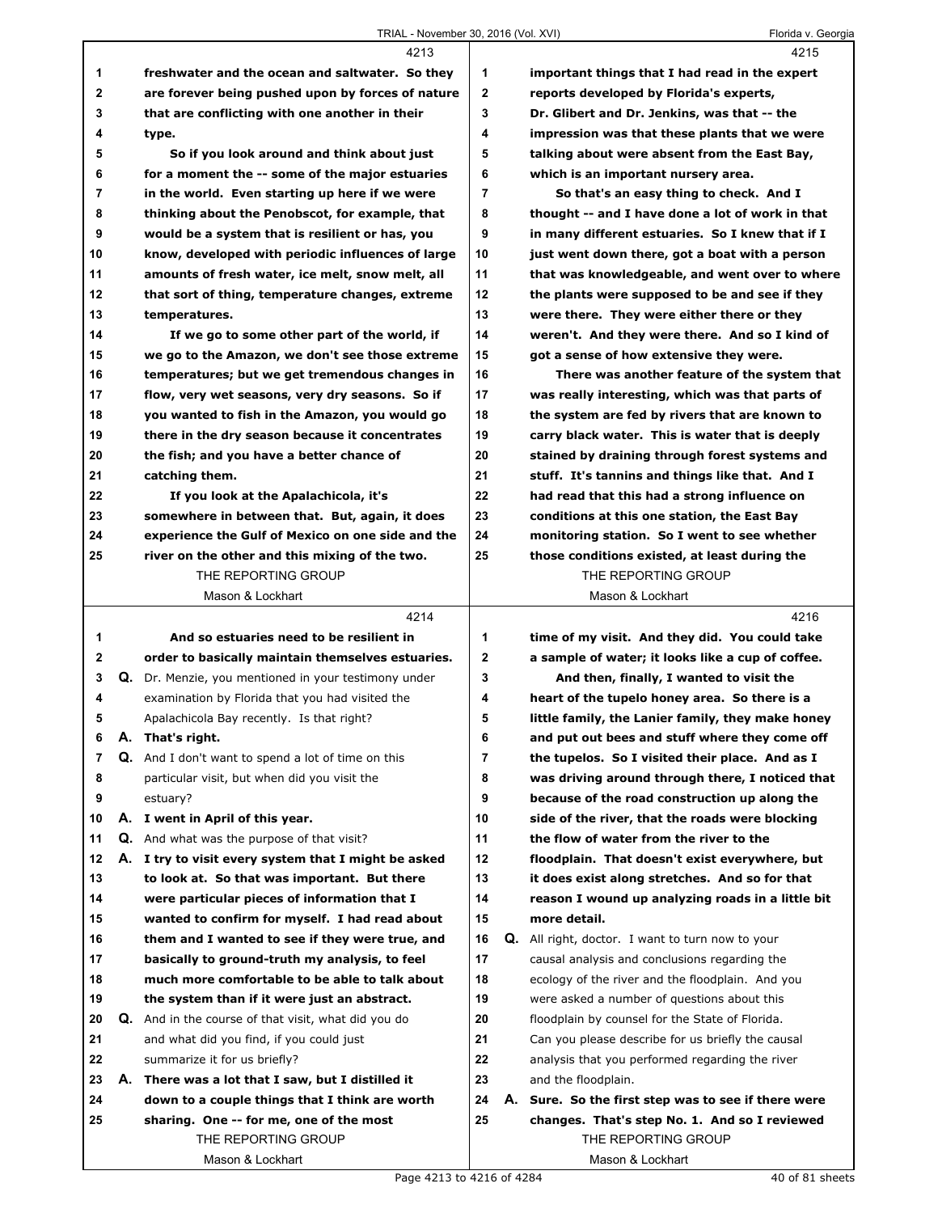|    |    | 4213                                                       |                |    | 4215                                                    |
|----|----|------------------------------------------------------------|----------------|----|---------------------------------------------------------|
| 1  |    | freshwater and the ocean and saltwater. So they            | 1              |    | important things that I had read in the expert          |
| 2  |    | are forever being pushed upon by forces of nature          | $\mathbf{2}$   |    | reports developed by Florida's experts,                 |
| 3  |    | that are conflicting with one another in their             | 3              |    | Dr. Glibert and Dr. Jenkins, was that -- the            |
| 4  |    | type.                                                      | 4              |    | impression was that these plants that we were           |
| 5  |    | So if you look around and think about just                 | 5              |    | talking about were absent from the East Bay,            |
| 6  |    | for a moment the -- some of the major estuaries            | 6              |    | which is an important nursery area.                     |
| 7  |    | in the world. Even starting up here if we were             | $\overline{7}$ |    | So that's an easy thing to check. And I                 |
| 8  |    | thinking about the Penobscot, for example, that            | 8              |    | thought -- and I have done a lot of work in that        |
| 9  |    | would be a system that is resilient or has, you            | 9              |    | in many different estuaries. So I knew that if I        |
| 10 |    | know, developed with periodic influences of large          | 10             |    | just went down there, got a boat with a person          |
| 11 |    | amounts of fresh water, ice melt, snow melt, all           | 11             |    | that was knowledgeable, and went over to where          |
| 12 |    | that sort of thing, temperature changes, extreme           | 12             |    | the plants were supposed to be and see if they          |
| 13 |    | temperatures.                                              | 13             |    | were there. They were either there or they              |
| 14 |    | If we go to some other part of the world, if               | 14             |    | weren't. And they were there. And so I kind of          |
| 15 |    | we go to the Amazon, we don't see those extreme            | 15             |    | got a sense of how extensive they were.                 |
| 16 |    | temperatures; but we get tremendous changes in             | 16             |    | There was another feature of the system that            |
| 17 |    | flow, very wet seasons, very dry seasons. So if            | 17             |    | was really interesting, which was that parts of         |
| 18 |    | you wanted to fish in the Amazon, you would go             | 18             |    | the system are fed by rivers that are known to          |
| 19 |    | there in the dry season because it concentrates            | 19             |    | carry black water. This is water that is deeply         |
| 20 |    | the fish; and you have a better chance of                  | 20             |    | stained by draining through forest systems and          |
| 21 |    | catching them.                                             | 21             |    | stuff. It's tannins and things like that. And I         |
| 22 |    | If you look at the Apalachicola, it's                      | 22             |    | had read that this had a strong influence on            |
| 23 |    | somewhere in between that. But, again, it does             | 23             |    | conditions at this one station, the East Bay            |
| 24 |    | experience the Gulf of Mexico on one side and the          | 24             |    | monitoring station. So I went to see whether            |
| 25 |    | river on the other and this mixing of the two.             | 25             |    | those conditions existed, at least during the           |
|    |    | THE REPORTING GROUP                                        |                |    | THE REPORTING GROUP                                     |
|    |    | Mason & Lockhart                                           |                |    | Mason & Lockhart                                        |
|    |    |                                                            |                |    |                                                         |
|    |    | 4214                                                       |                |    | 4216                                                    |
| 1  |    | And so estuaries need to be resilient in                   | 1              |    | time of my visit. And they did. You could take          |
| 2  |    | order to basically maintain themselves estuaries.          | $\mathbf 2$    |    | a sample of water; it looks like a cup of coffee.       |
| 3  |    | Q. Dr. Menzie, you mentioned in your testimony under       | 3              |    | And then, finally, I wanted to visit the                |
| 4  |    | examination by Florida that you had visited the            | 4              |    | heart of the tupelo honey area. So there is a           |
| 5  |    | Apalachicola Bay recently. Is that right?                  | 5              |    | little family, the Lanier family, they make honey       |
| 6  | Α. | That's right.                                              | 6              |    | and put out bees and stuff where they come off          |
| 7  |    | Q. And I don't want to spend a lot of time on this         | 7              |    | the tupelos. So I visited their place. And as I         |
| 8  |    | particular visit, but when did you visit the               | 8              |    | was driving around through there, I noticed that        |
| 9  |    | estuary?                                                   | 9              |    | because of the road construction up along the           |
| 10 |    | A. I went in April of this year.                           | 10             |    | side of the river, that the roads were blocking         |
| 11 |    | <b>Q.</b> And what was the purpose of that visit?          | 11             |    | the flow of water from the river to the                 |
| 12 | А. | I try to visit every system that I might be asked          | 12             |    | floodplain. That doesn't exist everywhere, but          |
| 13 |    | to look at. So that was important. But there               | 13             |    | it does exist along stretches. And so for that          |
| 14 |    | were particular pieces of information that I               | 14             |    | reason I wound up analyzing roads in a little bit       |
| 15 |    | wanted to confirm for myself. I had read about             | 15             |    | more detail.                                            |
| 16 |    | them and I wanted to see if they were true, and            | 16             |    | <b>Q.</b> All right, doctor. I want to turn now to your |
| 17 |    | basically to ground-truth my analysis, to feel             | 17             |    | causal analysis and conclusions regarding the           |
| 18 |    | much more comfortable to be able to talk about             | 18             |    | ecology of the river and the floodplain. And you        |
| 19 |    | the system than if it were just an abstract.               | 19             |    | were asked a number of questions about this             |
| 20 |    | <b>Q.</b> And in the course of that visit, what did you do | 20             |    | floodplain by counsel for the State of Florida.         |
| 21 |    | and what did you find, if you could just                   | 21             |    | Can you please describe for us briefly the causal       |
| 22 |    | summarize it for us briefly?                               | 22             |    | analysis that you performed regarding the river         |
| 23 |    | A. There was a lot that I saw, but I distilled it          | 23             |    | and the floodplain.                                     |
| 24 |    | down to a couple things that I think are worth             | 24             | А. | Sure. So the first step was to see if there were        |
| 25 |    | sharing. One -- for me, one of the most                    | 25             |    | changes. That's step No. 1. And so I reviewed           |
|    |    | THE REPORTING GROUP                                        |                |    | THE REPORTING GROUP                                     |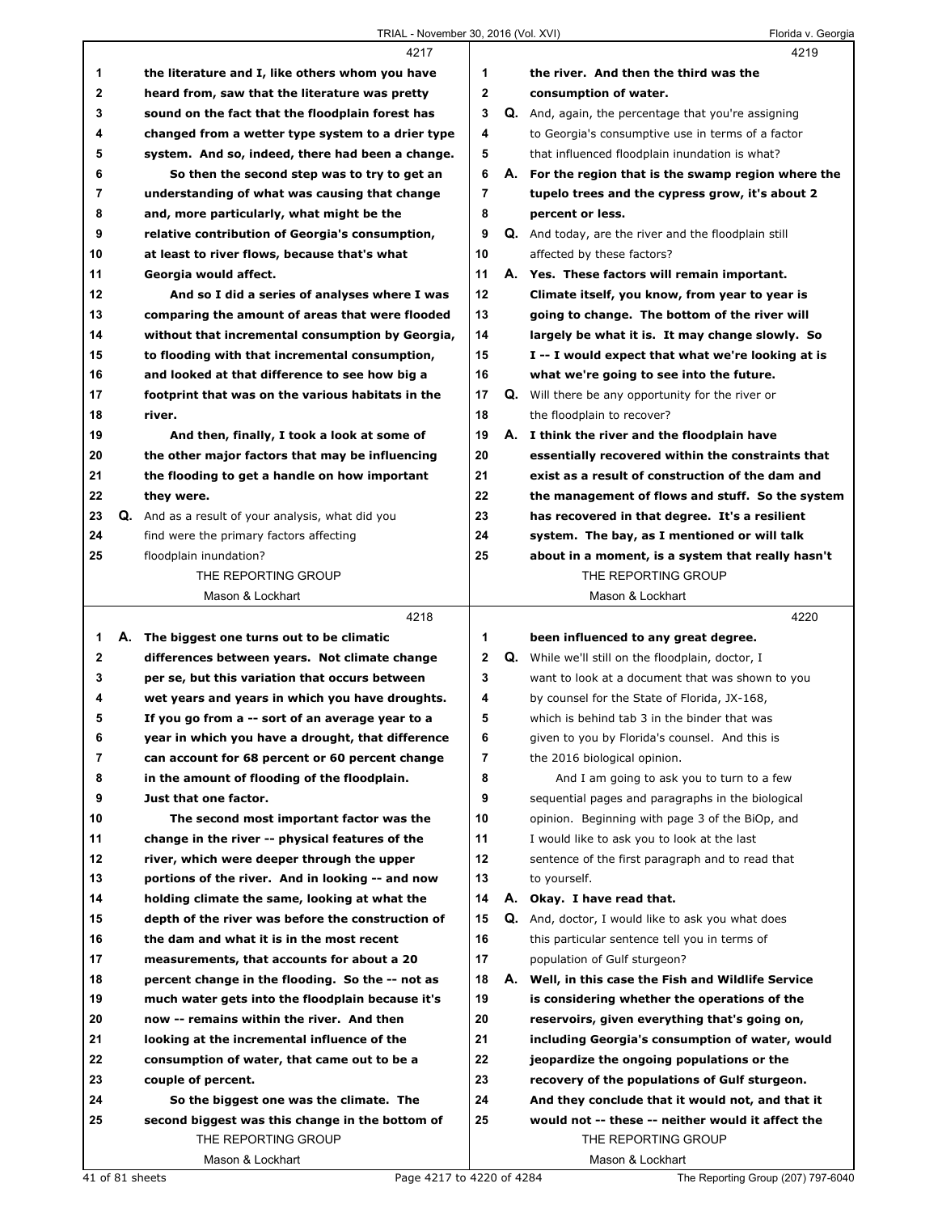## TRIAL - November 30, 2016 (Vol. XVI) Florida v. Georgia

|    | 4217                                                     |              |    | 4219                                                        |
|----|----------------------------------------------------------|--------------|----|-------------------------------------------------------------|
| 1  | the literature and I, like others whom you have          | 1            |    | the river. And then the third was the                       |
| 2  | heard from, saw that the literature was pretty           | $\mathbf{2}$ |    | consumption of water.                                       |
| 3  | sound on the fact that the floodplain forest has         | 3            |    | Q. And, again, the percentage that you're assigning         |
| 4  | changed from a wetter type system to a drier type        | 4            |    | to Georgia's consumptive use in terms of a factor           |
| 5  | system. And so, indeed, there had been a change.         | 5            |    | that influenced floodplain inundation is what?              |
| 6  | So then the second step was to try to get an             | 6            |    | A. For the region that is the swamp region where the        |
| 7  | understanding of what was causing that change            | 7            |    | tupelo trees and the cypress grow, it's about 2             |
| 8  | and, more particularly, what might be the                | 8            |    | percent or less.                                            |
| 9  | relative contribution of Georgia's consumption,          | 9            |    | <b>Q.</b> And today, are the river and the floodplain still |
| 10 | at least to river flows, because that's what             | 10           |    | affected by these factors?                                  |
| 11 | Georgia would affect.                                    | 11           |    | A. Yes. These factors will remain important.                |
| 12 | And so I did a series of analyses where I was            | 12           |    | Climate itself, you know, from year to year is              |
| 13 | comparing the amount of areas that were flooded          | 13           |    | going to change. The bottom of the river will               |
| 14 | without that incremental consumption by Georgia,         | 14           |    | largely be what it is. It may change slowly. So             |
| 15 | to flooding with that incremental consumption,           | 15           |    | I -- I would expect that what we're looking at is           |
| 16 | and looked at that difference to see how big a           | 16           |    | what we're going to see into the future.                    |
| 17 | footprint that was on the various habitats in the        | 17           |    | <b>Q.</b> Will there be any opportunity for the river or    |
| 18 | river.                                                   | 18           |    | the floodplain to recover?                                  |
| 19 | And then, finally, I took a look at some of              | 19           |    | A. I think the river and the floodplain have                |
| 20 | the other major factors that may be influencing          | 20           |    | essentially recovered within the constraints that           |
| 21 | the flooding to get a handle on how important            | 21           |    | exist as a result of construction of the dam and            |
| 22 | they were.                                               | 22           |    | the management of flows and stuff. So the system            |
| 23 | <b>Q.</b> And as a result of your analysis, what did you | 23           |    | has recovered in that degree. It's a resilient              |
| 24 | find were the primary factors affecting                  | 24           |    | system. The bay, as I mentioned or will talk                |
| 25 | floodplain inundation?                                   | 25           |    | about in a moment, is a system that really hasn't           |
|    | THE REPORTING GROUP                                      |              |    | THE REPORTING GROUP                                         |
|    | Mason & Lockhart                                         |              |    | Mason & Lockhart                                            |
|    |                                                          |              |    |                                                             |
|    |                                                          |              |    |                                                             |
|    | 4218                                                     |              |    | 4220                                                        |
| 1  | A. The biggest one turns out to be climatic              | 1            |    | been influenced to any great degree.                        |
| 2  | differences between years. Not climate change            | $\mathbf{2}$ |    | <b>Q.</b> While we'll still on the floodplain, doctor, I    |
| 3  | per se, but this variation that occurs between           | 3            |    | want to look at a document that was shown to you            |
| 4  | wet years and years in which you have droughts.          | 4            |    | by counsel for the State of Florida, JX-168,                |
| 5  | If you go from a -- sort of an average year to a         | 5            |    | which is behind tab 3 in the binder that was                |
| 6  | year in which you have a drought, that difference        | 6            |    | given to you by Florida's counsel. And this is              |
| 7  | can account for 68 percent or 60 percent change          | 7            |    | the 2016 biological opinion.                                |
| 8  | in the amount of flooding of the floodplain.             | 8            |    | And I am going to ask you to turn to a few                  |
| 9  | Just that one factor.                                    | 9            |    | sequential pages and paragraphs in the biological           |
| 10 | The second most important factor was the                 | 10           |    | opinion. Beginning with page 3 of the BiOp, and             |
| 11 | change in the river -- physical features of the          | 11           |    | I would like to ask you to look at the last                 |
| 12 | river, which were deeper through the upper               | 12           |    | sentence of the first paragraph and to read that            |
| 13 | portions of the river. And in looking -- and now         | 13           |    | to yourself.                                                |
| 14 | holding climate the same, looking at what the            | 14           | А. | Okay. I have read that.                                     |
| 15 | depth of the river was before the construction of        | 15           | Q. | And, doctor, I would like to ask you what does              |
| 16 | the dam and what it is in the most recent                | 16           |    | this particular sentence tell you in terms of               |
| 17 | measurements, that accounts for about a 20               | 17           |    | population of Gulf sturgeon?                                |
| 18 | percent change in the flooding. So the -- not as         | 18           |    | A. Well, in this case the Fish and Wildlife Service         |
| 19 | much water gets into the floodplain because it's         | 19           |    | is considering whether the operations of the                |
| 20 | now -- remains within the river. And then                | 20           |    | reservoirs, given everything that's going on,               |
| 21 | looking at the incremental influence of the              | 21           |    | including Georgia's consumption of water, would             |
| 22 | consumption of water, that came out to be a              | 22           |    | jeopardize the ongoing populations or the                   |
| 23 | couple of percent.                                       | 23           |    | recovery of the populations of Gulf sturgeon.               |
| 24 | So the biggest one was the climate. The                  | 24           |    | And they conclude that it would not, and that it            |
| 25 | second biggest was this change in the bottom of          | 25           |    | would not -- these -- neither would it affect the           |
|    | THE REPORTING GROUP<br>Mason & Lockhart                  |              |    | THE REPORTING GROUP<br>Mason & Lockhart                     |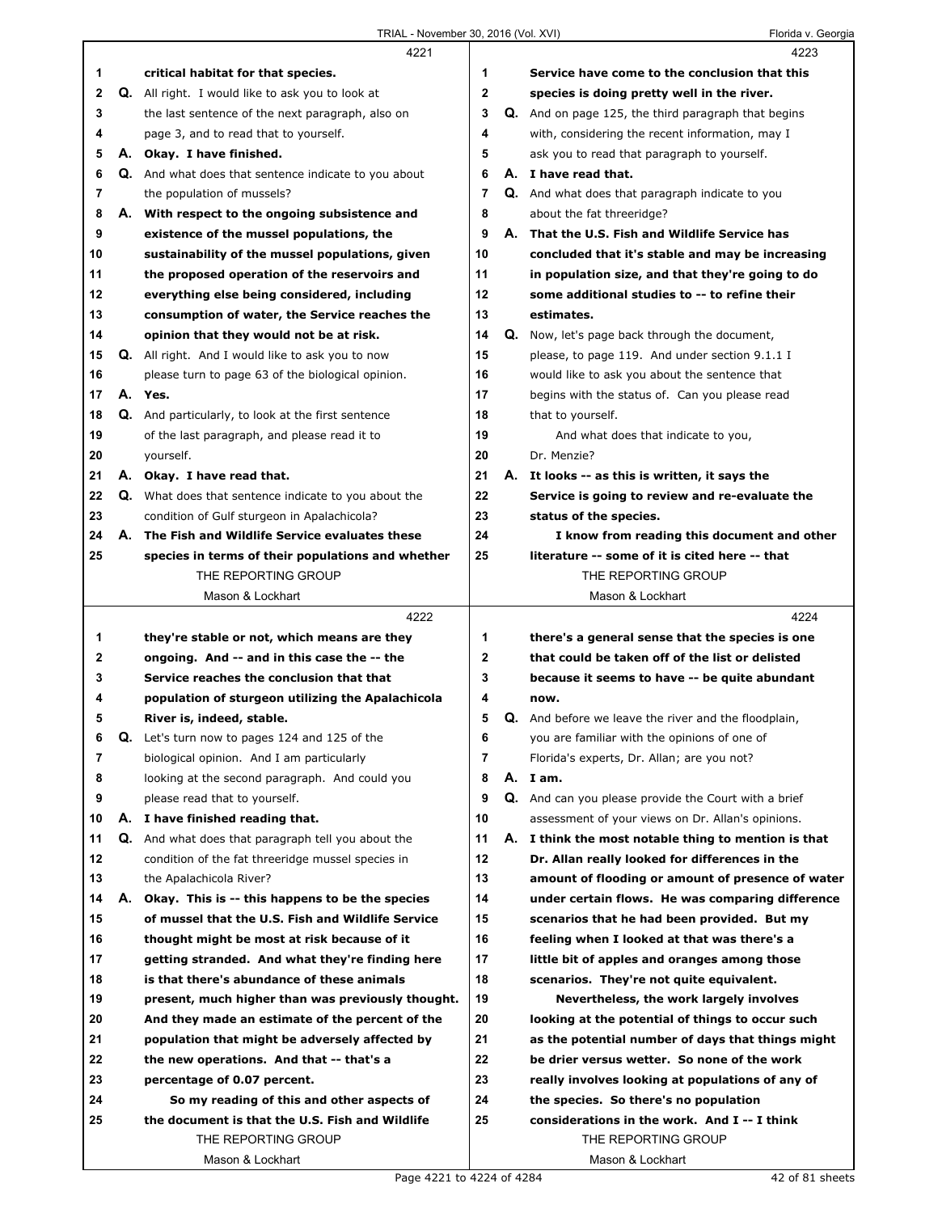|    |    | 4221                                                      |                | 4223                                                        |
|----|----|-----------------------------------------------------------|----------------|-------------------------------------------------------------|
| 1  |    | critical habitat for that species.                        | 1              | Service have come to the conclusion that this               |
| 2  |    | Q. All right. I would like to ask you to look at          | $\mathbf{2}$   | species is doing pretty well in the river.                  |
| 3  |    | the last sentence of the next paragraph, also on          | 3              | Q. And on page 125, the third paragraph that begins         |
| 4  |    | page 3, and to read that to yourself.                     | 4              | with, considering the recent information, may I             |
| 5  |    | A. Okay. I have finished.                                 | 5              | ask you to read that paragraph to yourself.                 |
| 6  |    | Q. And what does that sentence indicate to you about      | 6              | A. I have read that.                                        |
| 7  |    | the population of mussels?                                | $\overline{7}$ | <b>Q.</b> And what does that paragraph indicate to you      |
| 8  |    | A. With respect to the ongoing subsistence and            | 8              | about the fat threeridge?                                   |
| 9  |    | existence of the mussel populations, the                  | 9              | A. That the U.S. Fish and Wildlife Service has              |
| 10 |    | sustainability of the mussel populations, given           | 10             | concluded that it's stable and may be increasing            |
| 11 |    | the proposed operation of the reservoirs and              | 11             | in population size, and that they're going to do            |
| 12 |    | everything else being considered, including               | 12             | some additional studies to -- to refine their               |
| 13 |    | consumption of water, the Service reaches the             | 13             | estimates.                                                  |
| 14 |    | opinion that they would not be at risk.                   | 14             | <b>Q.</b> Now, let's page back through the document,        |
| 15 |    | <b>Q.</b> All right. And I would like to ask you to now   | 15             | please, to page 119. And under section 9.1.1 I              |
| 16 |    | please turn to page 63 of the biological opinion.         | 16             | would like to ask you about the sentence that               |
| 17 |    | A. Yes.                                                   | 17             | begins with the status of. Can you please read              |
| 18 |    | <b>Q.</b> And particularly, to look at the first sentence | 18             | that to yourself.                                           |
| 19 |    | of the last paragraph, and please read it to              | 19             | And what does that indicate to you,                         |
| 20 |    | yourself.                                                 | 20             | Dr. Menzie?                                                 |
| 21 |    | A. Okay. I have read that.                                | 21             | A. It looks -- as this is written, it says the              |
| 22 |    | Q. What does that sentence indicate to you about the      | 22             | Service is going to review and re-evaluate the              |
| 23 |    | condition of Gulf sturgeon in Apalachicola?               | 23             | status of the species.                                      |
| 24 | А. | The Fish and Wildlife Service evaluates these             | 24             | I know from reading this document and other                 |
| 25 |    | species in terms of their populations and whether         | 25             | literature -- some of it is cited here -- that              |
|    |    | THE REPORTING GROUP                                       |                | THE REPORTING GROUP                                         |
|    |    | Mason & Lockhart                                          |                | Mason & Lockhart                                            |
|    |    |                                                           |                |                                                             |
|    |    | 4222                                                      |                | 4224                                                        |
| 1  |    | they're stable or not, which means are they               | 1              | there's a general sense that the species is one             |
| 2  |    | ongoing. And -- and in this case the -- the               | $\mathbf 2$    | that could be taken off of the list or delisted             |
| 3  |    | Service reaches the conclusion that that                  | 3              | because it seems to have -- be quite abundant               |
| 4  |    | population of sturgeon utilizing the Apalachicola         | 4              | now.                                                        |
| 5  |    | River is, indeed, stable.                                 | 5              | <b>Q.</b> And before we leave the river and the floodplain, |
| 6  |    | <b>Q.</b> Let's turn now to pages 124 and 125 of the      | 6              | you are familiar with the opinions of one of                |
| 7  |    | biological opinion. And I am particularly                 | $\overline{7}$ | Florida's experts, Dr. Allan; are you not?                  |
| 8  |    | looking at the second paragraph. And could you            | 8              | A. I am.                                                    |
| 9  |    | please read that to yourself.                             | 9              | Q. And can you please provide the Court with a brief        |
| 10 |    | A. I have finished reading that.                          | 10             | assessment of your views on Dr. Allan's opinions.           |
| 11 | Q. | And what does that paragraph tell you about the           | 11             | A. I think the most notable thing to mention is that        |
| 12 |    | condition of the fat threeridge mussel species in         | 12             | Dr. Allan really looked for differences in the              |
| 13 |    | the Apalachicola River?                                   | 13             | amount of flooding or amount of presence of water           |
| 14 | А. | Okay. This is -- this happens to be the species           | 14             | under certain flows. He was comparing difference            |
| 15 |    | of mussel that the U.S. Fish and Wildlife Service         | 15             | scenarios that he had been provided. But my                 |
| 16 |    | thought might be most at risk because of it               | 16             | feeling when I looked at that was there's a                 |
| 17 |    | getting stranded. And what they're finding here           | 17             | little bit of apples and oranges among those                |
| 18 |    | is that there's abundance of these animals                | 18             | scenarios. They're not quite equivalent.                    |
| 19 |    | present, much higher than was previously thought.         | 19             | Nevertheless, the work largely involves                     |
| 20 |    | And they made an estimate of the percent of the           | 20             | looking at the potential of things to occur such            |
| 21 |    | population that might be adversely affected by            | 21             | as the potential number of days that things might           |
| 22 |    | the new operations. And that -- that's a                  | 22             | be drier versus wetter. So none of the work                 |
| 23 |    | percentage of 0.07 percent.                               | 23             | really involves looking at populations of any of            |
| 24 |    | So my reading of this and other aspects of                | 24             | the species. So there's no population                       |
| 25 |    | the document is that the U.S. Fish and Wildlife           | 25             | considerations in the work. And I -- I think                |
|    |    | THE REPORTING GROUP                                       |                | THE REPORTING GROUP                                         |

ı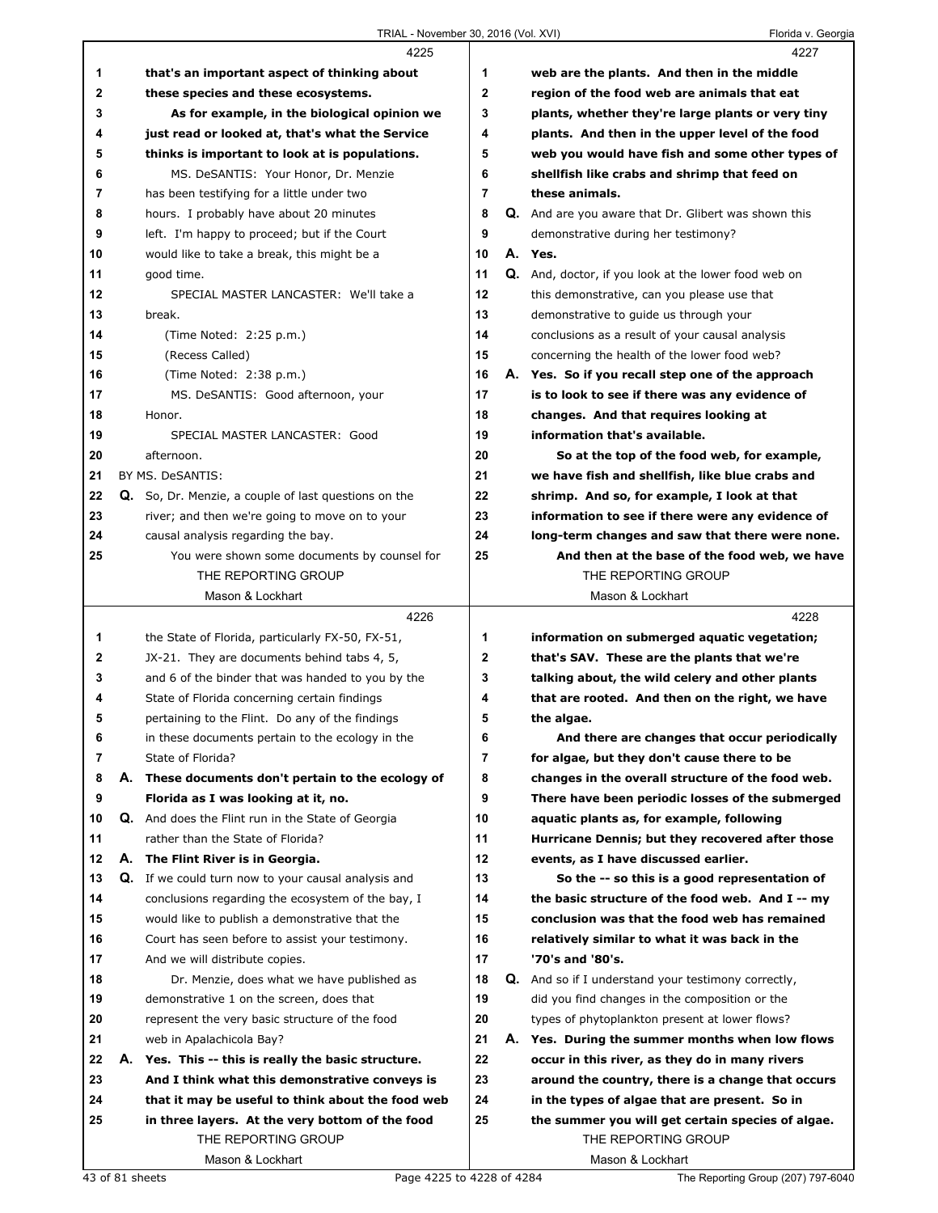## TRIAL - November 30, 2016 (Vol. XVI) Florida v. Georgia

|              | 4225                                                 |                | 4227                                                       |
|--------------|------------------------------------------------------|----------------|------------------------------------------------------------|
| 1            | that's an important aspect of thinking about         | 1              | web are the plants. And then in the middle                 |
| $\mathbf{2}$ | these species and these ecosystems.                  | $\mathbf{2}$   | region of the food web are animals that eat                |
| 3            | As for example, in the biological opinion we         | 3              | plants, whether they're large plants or very tiny          |
| 4            | just read or looked at, that's what the Service      | 4              | plants. And then in the upper level of the food            |
| 5            | thinks is important to look at is populations.       | 5              | web you would have fish and some other types of            |
| 6            | MS. DeSANTIS: Your Honor, Dr. Menzie                 | 6              | shellfish like crabs and shrimp that feed on               |
| 7            | has been testifying for a little under two           | $\overline{7}$ | these animals.                                             |
| 8            | hours. I probably have about 20 minutes              | 8              | Q. And are you aware that Dr. Glibert was shown this       |
| 9            | left. I'm happy to proceed; but if the Court         | 9              | demonstrative during her testimony?                        |
| 10           | would like to take a break, this might be a          | 10             | A. Yes.                                                    |
| 11           | good time.                                           | 11             | Q. And, doctor, if you look at the lower food web on       |
| 12           | SPECIAL MASTER LANCASTER: We'll take a               | 12             | this demonstrative, can you please use that                |
| 13           | break.                                               | 13             | demonstrative to quide us through your                     |
| 14           | (Time Noted: 2:25 p.m.)                              | 14             | conclusions as a result of your causal analysis            |
| 15           | (Recess Called)                                      | 15             | concerning the health of the lower food web?               |
| 16           | (Time Noted: 2:38 p.m.)                              | 16             | A. Yes. So if you recall step one of the approach          |
| 17           | MS. DeSANTIS: Good afternoon, your                   | 17             | is to look to see if there was any evidence of             |
| 18           | Honor.                                               | 18             | changes. And that requires looking at                      |
| 19           | SPECIAL MASTER LANCASTER: Good                       | 19             | information that's available.                              |
| 20           | afternoon.                                           | 20             | So at the top of the food web, for example,                |
| 21           | BY MS. DeSANTIS:                                     | 21             | we have fish and shellfish, like blue crabs and            |
| 22           | Q. So, Dr. Menzie, a couple of last questions on the | 22             | shrimp. And so, for example, I look at that                |
| 23           | river; and then we're going to move on to your       | 23             | information to see if there were any evidence of           |
| 24           | causal analysis regarding the bay.                   | 24             | long-term changes and saw that there were none.            |
| 25           | You were shown some documents by counsel for         | 25             | And then at the base of the food web, we have              |
|              | THE REPORTING GROUP                                  |                | THE REPORTING GROUP                                        |
|              | Mason & Lockhart                                     |                | Mason & Lockhart                                           |
|              |                                                      |                |                                                            |
|              | 4226                                                 |                | 4228                                                       |
| 1            | the State of Florida, particularly FX-50, FX-51,     | 1              | information on submerged aquatic vegetation;               |
| 2            | JX-21. They are documents behind tabs 4, 5,          | $\mathbf 2$    | that's SAV. These are the plants that we're                |
| 3            | and 6 of the binder that was handed to you by the    | 3              | talking about, the wild celery and other plants            |
| 4            | State of Florida concerning certain findings         | 4              | that are rooted. And then on the right, we have            |
| 5            | pertaining to the Flint. Do any of the findings      | 5              | the algae.                                                 |
| 6            | in these documents pertain to the ecology in the     | 6              | And there are changes that occur periodically              |
| 7            | State of Florida?                                    | 7              | for algae, but they don't cause there to be                |
| 8            | A. These documents don't pertain to the ecology of   | 8              | changes in the overall structure of the food web.          |
| 9            | Florida as I was looking at it, no.                  | 9              | There have been periodic losses of the submerged           |
| 10           | Q. And does the Flint run in the State of Georgia    | 10             | aquatic plants as, for example, following                  |
| 11           | rather than the State of Florida?                    | 11             | Hurricane Dennis; but they recovered after those           |
| 12           | А.<br>The Flint River is in Georgia.                 | 12             | events, as I have discussed earlier.                       |
| 13           | Q. If we could turn now to your causal analysis and  | 13             | So the -- so this is a good representation of              |
| 14           | conclusions regarding the ecosystem of the bay, I    | 14             | the basic structure of the food web. And I -- my           |
| 15           | would like to publish a demonstrative that the       | 15             | conclusion was that the food web has remained              |
| 16           | Court has seen before to assist your testimony.      | 16             | relatively similar to what it was back in the              |
| 17           | And we will distribute copies.                       | 17             | '70's and '80's.                                           |
| 18           | Dr. Menzie, does what we have published as           | 18             | <b>Q.</b> And so if I understand your testimony correctly, |
| 19           | demonstrative 1 on the screen, does that             | 19             | did you find changes in the composition or the             |
| 20           | represent the very basic structure of the food       | 20             | types of phytoplankton present at lower flows?             |
| 21           | web in Apalachicola Bay?                             | 21             | A. Yes. During the summer months when low flows            |
| 22           | A. Yes. This -- this is really the basic structure.  | 22             | occur in this river, as they do in many rivers             |
| 23           | And I think what this demonstrative conveys is       | 23             | around the country, there is a change that occurs          |
| 24           | that it may be useful to think about the food web    | 24             | in the types of algae that are present. So in              |
| 25           | in three layers. At the very bottom of the food      | 25             | the summer you will get certain species of algae.          |
|              | THE REPORTING GROUP                                  |                | THE REPORTING GROUP                                        |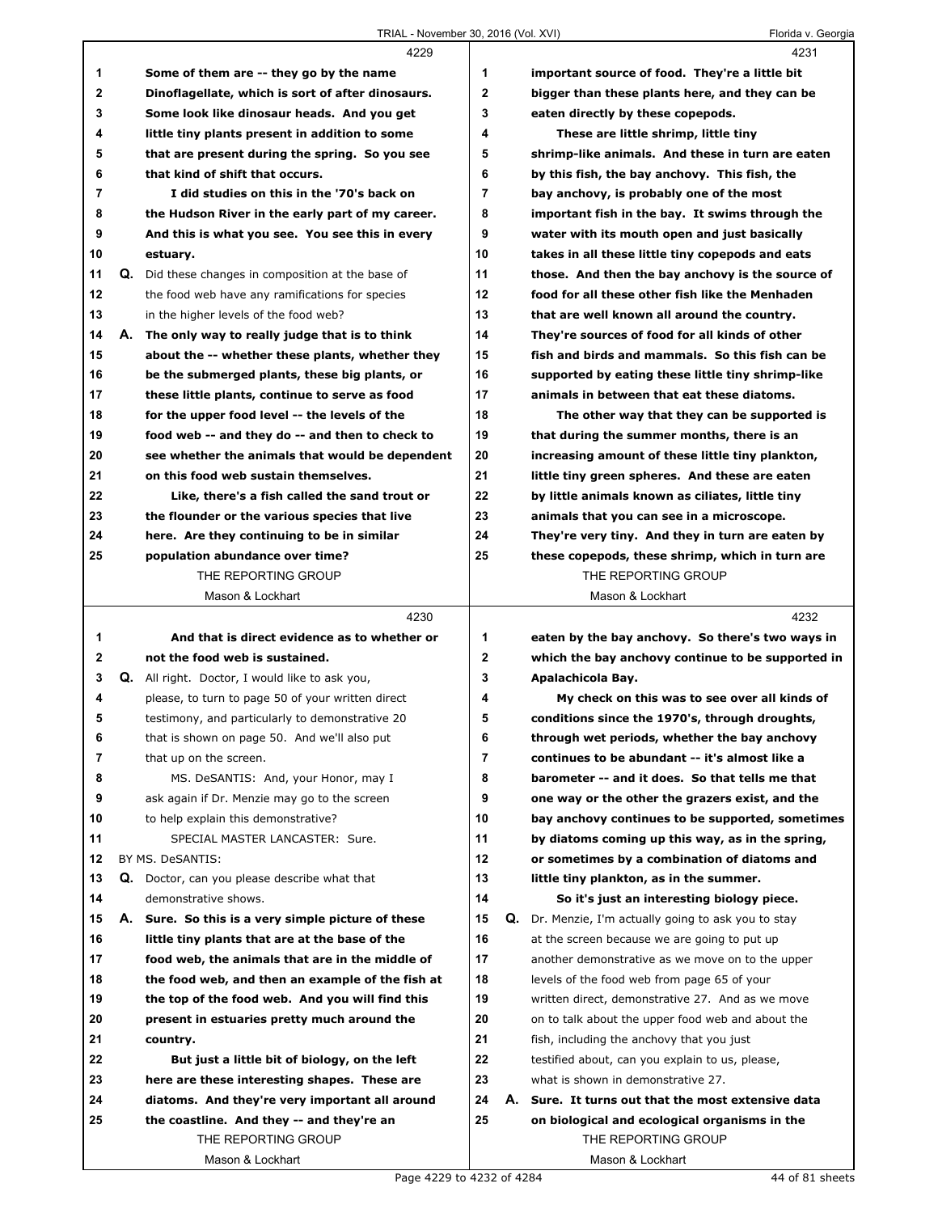|                |    | 4229                                                  |                | 4231                                                 |
|----------------|----|-------------------------------------------------------|----------------|------------------------------------------------------|
| 1              |    | Some of them are -- they go by the name               | 1              | important source of food. They're a little bit       |
| $\mathbf{2}$   |    | Dinoflagellate, which is sort of after dinosaurs.     | $\mathbf{2}$   | bigger than these plants here, and they can be       |
| 3              |    | Some look like dinosaur heads. And you get            | 3              | eaten directly by these copepods.                    |
| 4              |    | little tiny plants present in addition to some        | 4              | These are little shrimp, little tiny                 |
| 5              |    | that are present during the spring. So you see        | 5              | shrimp-like animals. And these in turn are eaten     |
| 6              |    | that kind of shift that occurs.                       | 6              | by this fish, the bay anchovy. This fish, the        |
| $\overline{7}$ |    | I did studies on this in the '70's back on            | $\overline{7}$ | bay anchovy, is probably one of the most             |
| 8              |    | the Hudson River in the early part of my career.      | 8              | important fish in the bay. It swims through the      |
| 9              |    | And this is what you see. You see this in every       | 9              | water with its mouth open and just basically         |
| 10             |    | estuary.                                              | 10             | takes in all these little tiny copepods and eats     |
| 11             |    | Q. Did these changes in composition at the base of    | 11             | those. And then the bay anchovy is the source of     |
| 12             |    | the food web have any ramifications for species       | 12             | food for all these other fish like the Menhaden      |
| 13             |    | in the higher levels of the food web?                 | 13             | that are well known all around the country.          |
| 14             |    | A. The only way to really judge that is to think      | 14             | They're sources of food for all kinds of other       |
| 15             |    | about the -- whether these plants, whether they       | 15             | fish and birds and mammals. So this fish can be      |
| 16             |    | be the submerged plants, these big plants, or         | 16             | supported by eating these little tiny shrimp-like    |
| 17             |    | these little plants, continue to serve as food        | 17             | animals in between that eat these diatoms.           |
| 18             |    | for the upper food level -- the levels of the         | 18             | The other way that they can be supported is          |
| 19             |    | food web -- and they do -- and then to check to       | 19             | that during the summer months, there is an           |
| 20             |    | see whether the animals that would be dependent       | 20             | increasing amount of these little tiny plankton,     |
| 21             |    | on this food web sustain themselves.                  | 21             | little tiny green spheres. And these are eaten       |
| 22             |    | Like, there's a fish called the sand trout or         | 22             | by little animals known as ciliates, little tiny     |
| 23             |    | the flounder or the various species that live         | 23             | animals that you can see in a microscope.            |
| 24             |    | here. Are they continuing to be in similar            | 24             | They're very tiny. And they in turn are eaten by     |
| 25             |    | population abundance over time?                       | 25             | these copepods, these shrimp, which in turn are      |
|                |    | THE REPORTING GROUP                                   |                | THE REPORTING GROUP                                  |
|                |    | Mason & Lockhart                                      |                | Mason & Lockhart                                     |
|                |    |                                                       |                |                                                      |
|                |    | 4230                                                  |                | 4232                                                 |
| 1              |    | And that is direct evidence as to whether or          | 1              | eaten by the bay anchovy. So there's two ways in     |
| 2              |    | not the food web is sustained.                        | $\mathbf{2}$   | which the bay anchovy continue to be supported in    |
| 3              |    | <b>Q.</b> All right. Doctor, I would like to ask you, | 3              | Apalachicola Bay.                                    |
| 4              |    | please, to turn to page 50 of your written direct     | 4              | My check on this was to see over all kinds of        |
| 5              |    | testimony, and particularly to demonstrative 20       | 5              | conditions since the 1970's, through droughts,       |
| 6              |    | that is shown on page 50. And we'll also put          | 6              | through wet periods, whether the bay anchovy         |
| 7              |    | that up on the screen.                                | 7              | continues to be abundant -- it's almost like a       |
| 8              |    | MS. DeSANTIS: And, your Honor, may I                  | 8              | barometer -- and it does. So that tells me that      |
| 9              |    | ask again if Dr. Menzie may go to the screen          | 9              | one way or the other the grazers exist, and the      |
| 10             |    | to help explain this demonstrative?                   | 10             | bay anchovy continues to be supported, sometimes     |
| 11             |    | SPECIAL MASTER LANCASTER: Sure.                       | 11             | by diatoms coming up this way, as in the spring,     |
| 12             |    | BY MS. DeSANTIS:                                      | 12             | or sometimes by a combination of diatoms and         |
| 13             | Q. | Doctor, can you please describe what that             | 13             | little tiny plankton, as in the summer.              |
| 14             |    | demonstrative shows.                                  | 14             | So it's just an interesting biology piece.           |
| 15             |    | A. Sure. So this is a very simple picture of these    | 15             | Q. Dr. Menzie, I'm actually going to ask you to stay |
| 16             |    | little tiny plants that are at the base of the        | 16             | at the screen because we are going to put up         |
| 17             |    | food web, the animals that are in the middle of       | 17             | another demonstrative as we move on to the upper     |
| 18             |    | the food web, and then an example of the fish at      | 18             | levels of the food web from page 65 of your          |
| 19             |    | the top of the food web. And you will find this       | 19             | written direct, demonstrative 27. And as we move     |
| 20             |    | present in estuaries pretty much around the           | 20             | on to talk about the upper food web and about the    |
| 21             |    | country.                                              | 21             | fish, including the anchovy that you just            |
| 22             |    | But just a little bit of biology, on the left         | 22             | testified about, can you explain to us, please,      |
| 23             |    | here are these interesting shapes. These are          | 23             | what is shown in demonstrative 27.                   |
| 24             |    | diatoms. And they're very important all around        | 24             | A. Sure. It turns out that the most extensive data   |
| 25             |    | the coastline. And they -- and they're an             | 25             | on biological and ecological organisms in the        |
|                |    | THE REPORTING GROUP                                   |                | THE REPORTING GROUP                                  |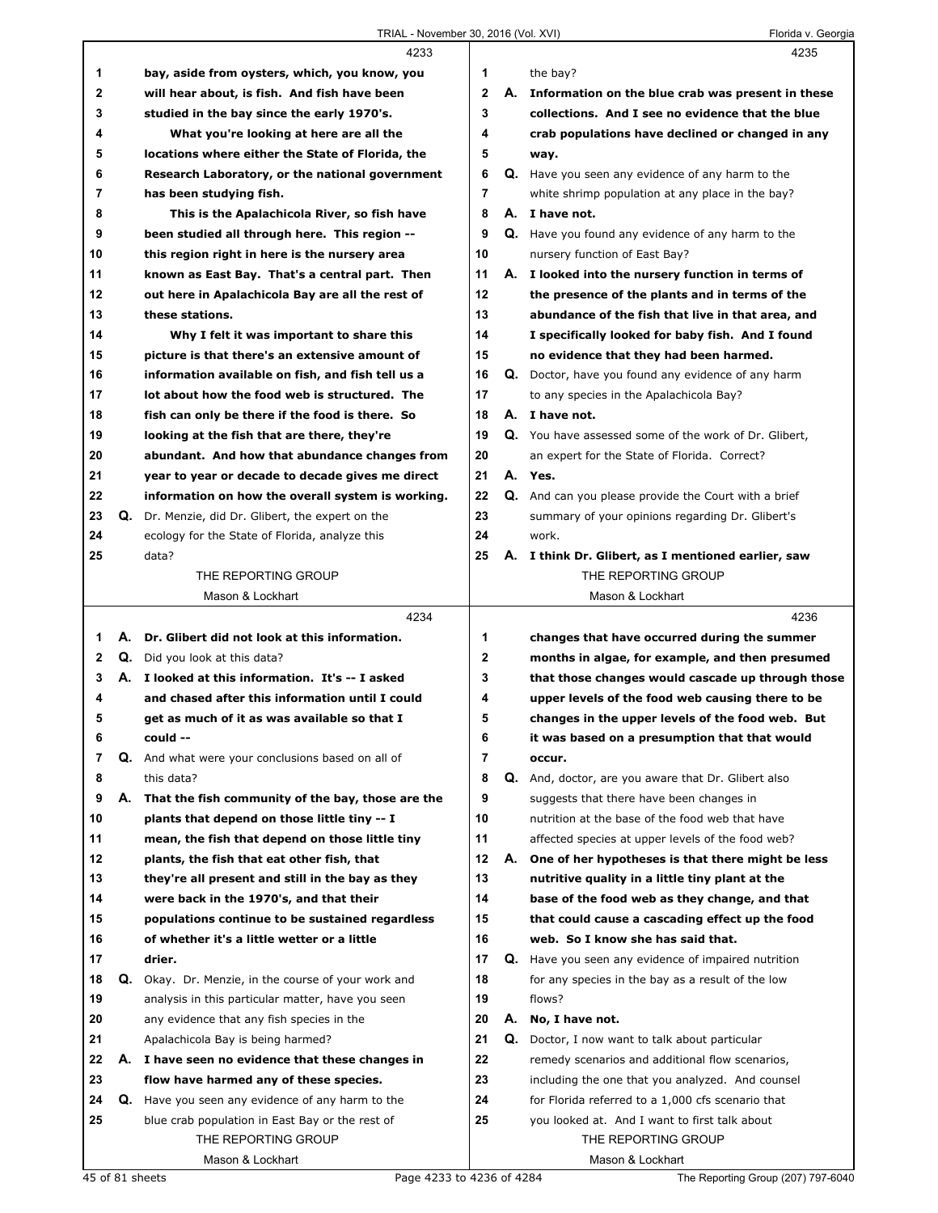|              |    | 4233                                                                                               |                |    | 4235                                                        |
|--------------|----|----------------------------------------------------------------------------------------------------|----------------|----|-------------------------------------------------------------|
| 1            |    | bay, aside from oysters, which, you know, you                                                      | 1              |    | the bay?                                                    |
| $\mathbf{2}$ |    | will hear about, is fish. And fish have been                                                       | $\mathbf{2}$   |    | A. Information on the blue crab was present in these        |
| 3            |    | studied in the bay since the early 1970's.                                                         | 3              |    | collections. And I see no evidence that the blue            |
| 4            |    | What you're looking at here are all the                                                            | 4              |    | crab populations have declined or changed in any            |
| 5            |    | locations where either the State of Florida, the                                                   | 5              |    | way.                                                        |
| 6            |    | Research Laboratory, or the national government                                                    | 6              |    | Q. Have you seen any evidence of any harm to the            |
| 7            |    | has been studying fish.                                                                            | $\overline{7}$ |    | white shrimp population at any place in the bay?            |
| 8            |    | This is the Apalachicola River, so fish have                                                       | 8              |    | A. I have not.                                              |
| 9            |    | been studied all through here. This region --                                                      | 9              |    | Q. Have you found any evidence of any harm to the           |
| 10           |    | this region right in here is the nursery area                                                      | 10             |    | nursery function of East Bay?                               |
| 11           |    | known as East Bay. That's a central part. Then                                                     | 11             |    | A. I looked into the nursery function in terms of           |
| 12           |    | out here in Apalachicola Bay are all the rest of                                                   | 12             |    | the presence of the plants and in terms of the              |
| 13           |    | these stations.                                                                                    | 13             |    | abundance of the fish that live in that area, and           |
| 14           |    | Why I felt it was important to share this                                                          | 14             |    | I specifically looked for baby fish. And I found            |
| 15           |    | picture is that there's an extensive amount of                                                     | 15             |    | no evidence that they had been harmed.                      |
|              |    |                                                                                                    | 16             |    |                                                             |
| 16           |    | information available on fish, and fish tell us a<br>lot about how the food web is structured. The |                |    | <b>Q.</b> Doctor, have you found any evidence of any harm   |
| 17           |    |                                                                                                    | 17             |    | to any species in the Apalachicola Bay?                     |
| 18           |    | fish can only be there if the food is there. So                                                    | 18             |    | A. I have not.                                              |
| 19           |    | looking at the fish that are there, they're                                                        | 19             |    | Q. You have assessed some of the work of Dr. Glibert,       |
| 20           |    | abundant. And how that abundance changes from                                                      | 20             |    | an expert for the State of Florida. Correct?                |
| 21           |    | year to year or decade to decade gives me direct                                                   | 21             |    | A. Yes.                                                     |
| 22           |    | information on how the overall system is working.                                                  | 22             |    | <b>Q.</b> And can you please provide the Court with a brief |
| 23           |    | Q. Dr. Menzie, did Dr. Glibert, the expert on the                                                  | 23             |    | summary of your opinions regarding Dr. Glibert's            |
| 24           |    | ecology for the State of Florida, analyze this                                                     | 24             |    | work.                                                       |
| 25           |    | data?                                                                                              | 25             |    | A. I think Dr. Glibert, as I mentioned earlier, saw         |
|              |    | THE REPORTING GROUP                                                                                |                |    | THE REPORTING GROUP                                         |
|              |    | Mason & Lockhart                                                                                   |                |    | Mason & Lockhart                                            |
|              |    |                                                                                                    |                |    |                                                             |
|              |    | 4234                                                                                               |                |    | 4236                                                        |
| 1            | А. | Dr. Glibert did not look at this information.                                                      | 1              |    | changes that have occurred during the summer                |
| $\mathbf{2}$ |    | <b>Q.</b> Did you look at this data?                                                               | 2              |    | months in algae, for example, and then presumed             |
| 3            |    | A. I looked at this information. It's -- I asked                                                   | 3              |    | that those changes would cascade up through those           |
| 4            |    | and chased after this information until I could                                                    | 4              |    | upper levels of the food web causing there to be            |
| 5            |    | get as much of it as was available so that I                                                       | 5              |    | changes in the upper levels of the food web. But            |
| 6            |    | could --                                                                                           | b              |    | it was based on a presumption that that would               |
| 7            | Q. | And what were your conclusions based on all of                                                     | 7              |    | occur.                                                      |
| 8            |    | this data?                                                                                         | 8              | Q. | And, doctor, are you aware that Dr. Glibert also            |
| 9            | А. | That the fish community of the bay, those are the                                                  | 9              |    | suggests that there have been changes in                    |
| 10           |    | plants that depend on those little tiny -- I                                                       | 10             |    | nutrition at the base of the food web that have             |
| 11           |    | mean, the fish that depend on those little tiny                                                    | 11             |    | affected species at upper levels of the food web?           |
| 12           |    | plants, the fish that eat other fish, that                                                         | 12             | А. | One of her hypotheses is that there might be less           |
| 13           |    | they're all present and still in the bay as they                                                   | 13             |    | nutritive quality in a little tiny plant at the             |
| 14           |    | were back in the 1970's, and that their                                                            | 14             |    | base of the food web as they change, and that               |
| 15           |    | populations continue to be sustained regardless                                                    | 15             |    | that could cause a cascading effect up the food             |
| 16           |    | of whether it's a little wetter or a little                                                        | 16             |    | web. So I know she has said that.                           |
| 17           |    | drier.                                                                                             | 17             |    | Q. Have you seen any evidence of impaired nutrition         |
| 18           | Q. | Okay. Dr. Menzie, in the course of your work and                                                   | 18             |    | for any species in the bay as a result of the low           |
| 19           |    | analysis in this particular matter, have you seen                                                  | 19             |    | flows?                                                      |
| 20           |    | any evidence that any fish species in the                                                          | 20             | А. | No, I have not.                                             |
| 21           |    | Apalachicola Bay is being harmed?                                                                  | 21             | Q. | Doctor, I now want to talk about particular                 |
| 22           |    | A. I have seen no evidence that these changes in                                                   | 22             |    | remedy scenarios and additional flow scenarios,             |
| 23           |    | flow have harmed any of these species.                                                             | 23             |    | including the one that you analyzed. And counsel            |
| 24           | Q. | Have you seen any evidence of any harm to the                                                      | 24             |    | for Florida referred to a 1,000 cfs scenario that           |
| 25           |    | blue crab population in East Bay or the rest of                                                    | 25             |    | you looked at. And I want to first talk about               |
|              |    | THE REPORTING GROUP                                                                                |                |    | THE REPORTING GROUP                                         |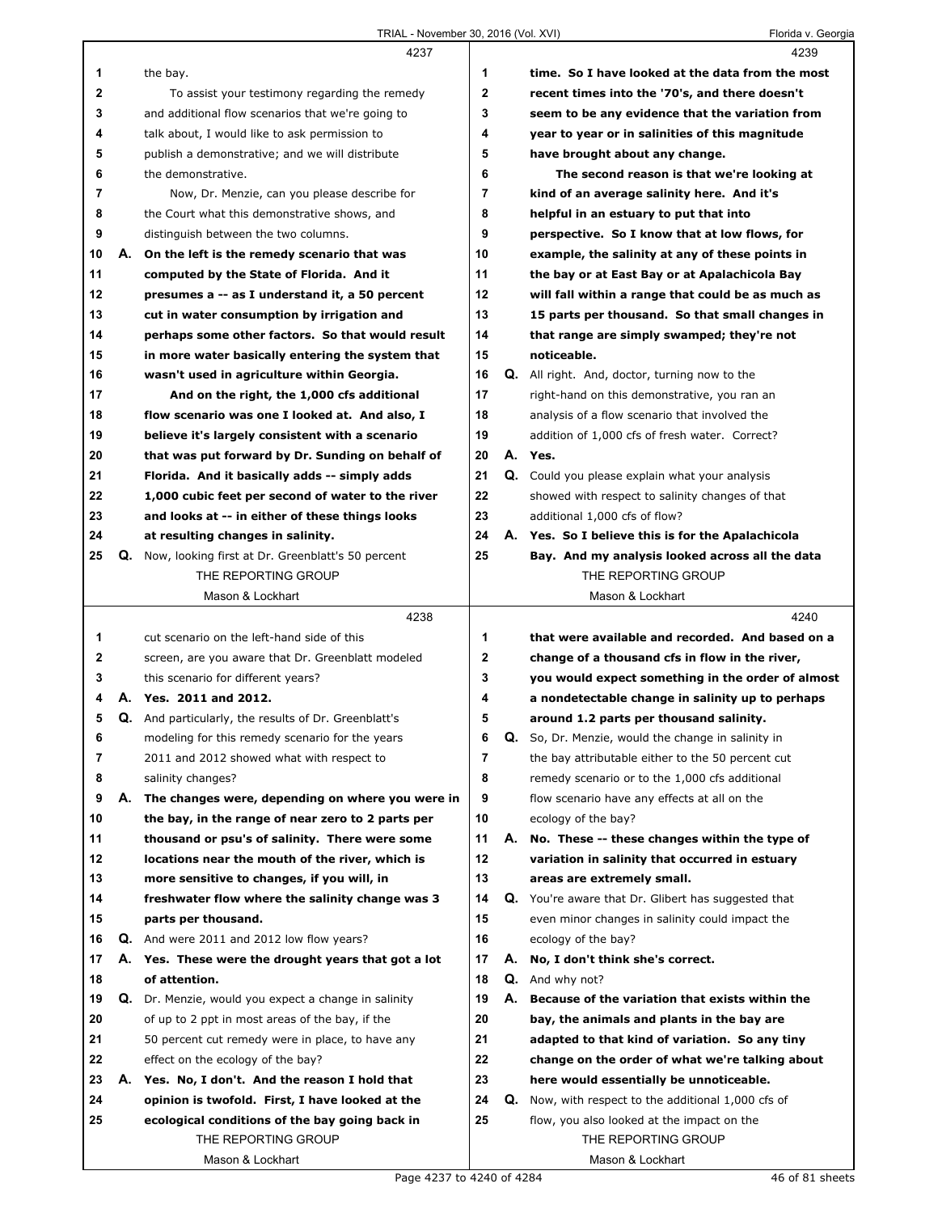|    |    | 4237                                                        |              |    | 4239                                                |
|----|----|-------------------------------------------------------------|--------------|----|-----------------------------------------------------|
| 1  |    | the bay.                                                    | 1            |    | time. So I have looked at the data from the most    |
| 2  |    | To assist your testimony regarding the remedy               | $\mathbf 2$  |    | recent times into the '70's, and there doesn't      |
| 3  |    | and additional flow scenarios that we're going to           | 3            |    | seem to be any evidence that the variation from     |
| 4  |    | talk about, I would like to ask permission to               | 4            |    | year to year or in salinities of this magnitude     |
| 5  |    | publish a demonstrative; and we will distribute             | 5            |    | have brought about any change.                      |
| 6  |    | the demonstrative.                                          | 6            |    | The second reason is that we're looking at          |
| 7  |    | Now, Dr. Menzie, can you please describe for                | 7            |    | kind of an average salinity here. And it's          |
| 8  |    | the Court what this demonstrative shows, and                | 8            |    | helpful in an estuary to put that into              |
| 9  |    | distinguish between the two columns.                        | 9            |    | perspective. So I know that at low flows, for       |
| 10 | А. | On the left is the remedy scenario that was                 | 10           |    | example, the salinity at any of these points in     |
| 11 |    | computed by the State of Florida. And it                    | 11           |    | the bay or at East Bay or at Apalachicola Bay       |
| 12 |    | presumes a -- as I understand it, a 50 percent              | 12           |    | will fall within a range that could be as much as   |
| 13 |    | cut in water consumption by irrigation and                  | 13           |    | 15 parts per thousand. So that small changes in     |
|    |    |                                                             | 14           |    |                                                     |
| 14 |    | perhaps some other factors. So that would result            |              |    | that range are simply swamped; they're not          |
| 15 |    | in more water basically entering the system that            | 15           |    | noticeable.                                         |
| 16 |    | wasn't used in agriculture within Georgia.                  | 16           | Q. | All right. And, doctor, turning now to the          |
| 17 |    | And on the right, the 1,000 cfs additional                  | 17           |    | right-hand on this demonstrative, you ran an        |
| 18 |    | flow scenario was one I looked at. And also, I              | 18           |    | analysis of a flow scenario that involved the       |
| 19 |    | believe it's largely consistent with a scenario             | 19           |    | addition of 1,000 cfs of fresh water. Correct?      |
| 20 |    | that was put forward by Dr. Sunding on behalf of            | 20           |    | A. Yes.                                             |
| 21 |    | Florida. And it basically adds -- simply adds               | 21           |    | Q. Could you please explain what your analysis      |
| 22 |    | 1,000 cubic feet per second of water to the river           | 22           |    | showed with respect to salinity changes of that     |
| 23 |    | and looks at -- in either of these things looks             | 23           |    | additional 1,000 cfs of flow?                       |
| 24 |    | at resulting changes in salinity.                           | 24           |    | A. Yes. So I believe this is for the Apalachicola   |
| 25 | Q. | Now, looking first at Dr. Greenblatt's 50 percent           | 25           |    | Bay. And my analysis looked across all the data     |
|    |    | THE REPORTING GROUP                                         |              |    | THE REPORTING GROUP                                 |
|    |    | Mason & Lockhart                                            |              |    | Mason & Lockhart                                    |
|    |    |                                                             |              |    |                                                     |
|    |    | 4238                                                        |              |    | 4240                                                |
| 1  |    | cut scenario on the left-hand side of this                  | 1            |    | that were available and recorded. And based on a    |
| 2  |    | screen, are you aware that Dr. Greenblatt modeled           | $\mathbf{2}$ |    | change of a thousand cfs in flow in the river,      |
| 3  |    | this scenario for different years?                          | 3            |    | you would expect something in the order of almost   |
| 4  |    | A. Yes. 2011 and 2012.                                      | 4            |    | a nondetectable change in salinity up to perhaps    |
| 5  |    | <b>Q.</b> And particularly, the results of Dr. Greenblatt's | 5            |    | around 1.2 parts per thousand salinity.             |
| 6  |    | modeling for this remedy scenario for the years             | 6            | Q. | So, Dr. Menzie, would the change in salinity in     |
| 7  |    | 2011 and 2012 showed what with respect to                   | 7            |    | the bay attributable either to the 50 percent cut   |
| 8  |    | salinity changes?                                           | 8            |    | remedy scenario or to the 1,000 cfs additional      |
| 9  | А. |                                                             | 9            |    | flow scenario have any effects at all on the        |
| 10 |    | The changes were, depending on where you were in            | 10           |    |                                                     |
|    |    | the bay, in the range of near zero to 2 parts per           |              | А. | ecology of the bay?                                 |
| 11 |    | thousand or psu's of salinity. There were some              | 11           |    | No. These -- these changes within the type of       |
| 12 |    | locations near the mouth of the river, which is             | 12           |    | variation in salinity that occurred in estuary      |
| 13 |    | more sensitive to changes, if you will, in                  | 13           |    | areas are extremely small.                          |
| 14 |    | freshwater flow where the salinity change was 3             | 14           |    | Q. You're aware that Dr. Glibert has suggested that |
| 15 |    | parts per thousand.                                         | 15           |    | even minor changes in salinity could impact the     |
| 16 |    | <b>Q.</b> And were 2011 and 2012 low flow years?            | 16           |    | ecology of the bay?                                 |
| 17 |    | A. Yes. These were the drought years that got a lot         | 17           | А. | No, I don't think she's correct.                    |
| 18 |    | of attention.                                               | 18           | Q. | And why not?                                        |
| 19 |    | Q. Dr. Menzie, would you expect a change in salinity        | 19           | А. | Because of the variation that exists within the     |
| 20 |    | of up to 2 ppt in most areas of the bay, if the             | 20           |    | bay, the animals and plants in the bay are          |
| 21 |    | 50 percent cut remedy were in place, to have any            | 21           |    | adapted to that kind of variation. So any tiny      |
| 22 |    | effect on the ecology of the bay?                           | 22           |    | change on the order of what we're talking about     |
| 23 |    | A. Yes. No, I don't. And the reason I hold that             | 23           |    | here would essentially be unnoticeable.             |
| 24 |    | opinion is twofold. First, I have looked at the             | 24           | Q. | Now, with respect to the additional 1,000 cfs of    |
| 25 |    | ecological conditions of the bay going back in              | 25           |    | flow, you also looked at the impact on the          |
|    |    | THE REPORTING GROUP<br>Mason & Lockhart                     |              |    | THE REPORTING GROUP<br>Mason & Lockhart             |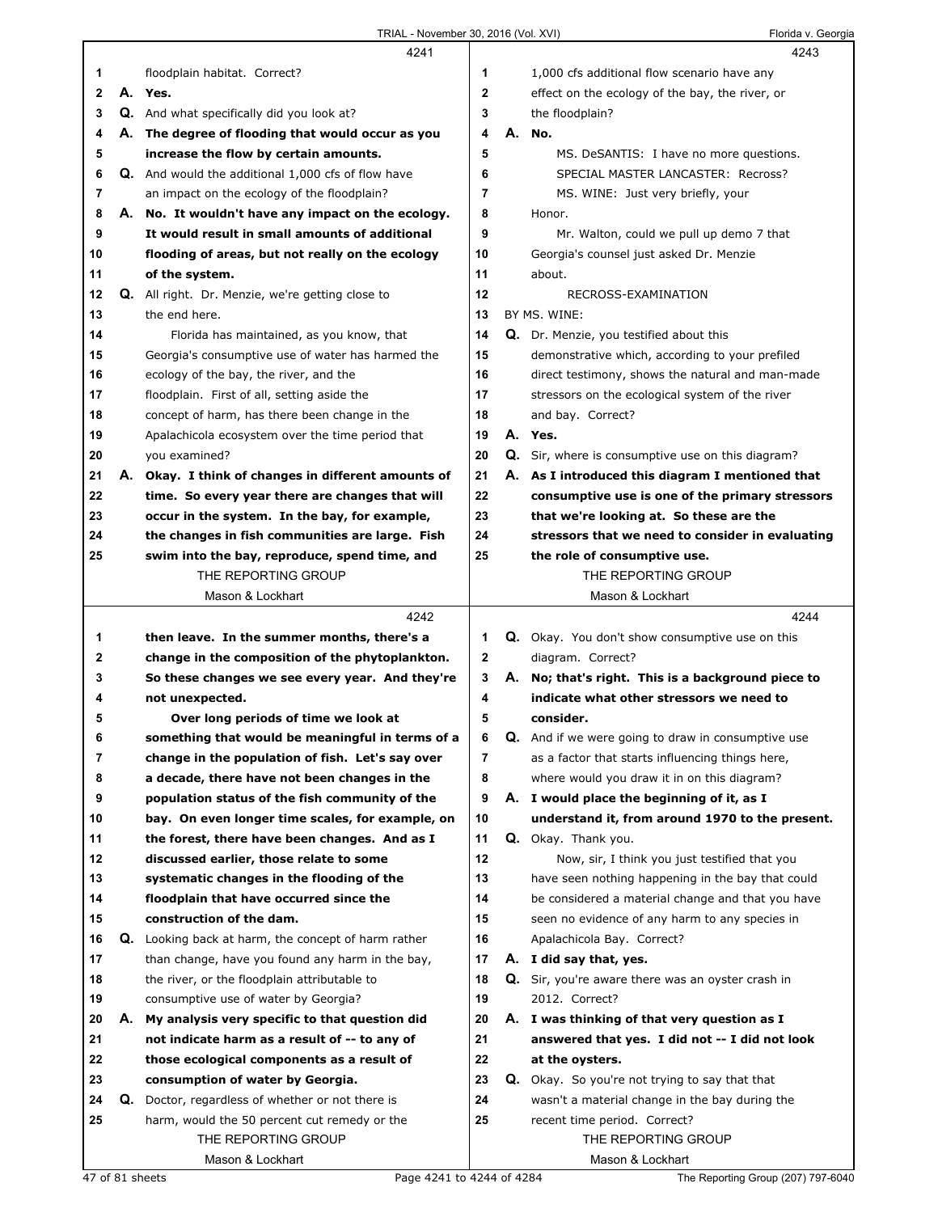|              |    | 4241                                                      |              |    | 4243                                                      |
|--------------|----|-----------------------------------------------------------|--------------|----|-----------------------------------------------------------|
| 1            |    | floodplain habitat. Correct?                              | 1            |    | 1,000 cfs additional flow scenario have any               |
| $\mathbf{2}$ |    | A. Yes.                                                   | $\mathbf{2}$ |    | effect on the ecology of the bay, the river, or           |
| 3            |    | <b>Q.</b> And what specifically did you look at?          | 3            |    | the floodplain?                                           |
| 4            |    | A. The degree of flooding that would occur as you         | 4            |    | A. No.                                                    |
| 5            |    | increase the flow by certain amounts.                     | 5            |    | MS. DeSANTIS: I have no more questions.                   |
| 6            |    | <b>Q.</b> And would the additional 1,000 cfs of flow have | 6            |    | SPECIAL MASTER LANCASTER: Recross?                        |
| 7            |    | an impact on the ecology of the floodplain?               | 7            |    | MS. WINE: Just very briefly, your                         |
| 8            |    | A. No. It wouldn't have any impact on the ecology.        | 8            |    | Honor.                                                    |
| 9            |    | It would result in small amounts of additional            | 9            |    |                                                           |
|              |    |                                                           |              |    | Mr. Walton, could we pull up demo 7 that                  |
| 10           |    | flooding of areas, but not really on the ecology          | 10           |    | Georgia's counsel just asked Dr. Menzie                   |
| 11           |    | of the system.                                            | 11           |    | about.                                                    |
| 12           |    | Q. All right. Dr. Menzie, we're getting close to          | 12           |    | RECROSS-EXAMINATION                                       |
| 13           |    | the end here.                                             | 13           |    | BY MS. WINE:                                              |
| 14           |    | Florida has maintained, as you know, that                 | 14           |    | Q. Dr. Menzie, you testified about this                   |
| 15           |    | Georgia's consumptive use of water has harmed the         | 15           |    | demonstrative which, according to your prefiled           |
| 16           |    | ecology of the bay, the river, and the                    | 16           |    | direct testimony, shows the natural and man-made          |
| 17           |    | floodplain. First of all, setting aside the               | 17           |    | stressors on the ecological system of the river           |
| 18           |    | concept of harm, has there been change in the             | 18           |    | and bay. Correct?                                         |
| 19           |    | Apalachicola ecosystem over the time period that          | 19           |    | A. Yes.                                                   |
| 20           |    | you examined?                                             | 20           |    | Q. Sir, where is consumptive use on this diagram?         |
| 21           |    | A. Okay. I think of changes in different amounts of       | 21           |    | A. As I introduced this diagram I mentioned that          |
| 22           |    | time. So every year there are changes that will           | 22           |    | consumptive use is one of the primary stressors           |
| 23           |    | occur in the system. In the bay, for example,             | 23           |    | that we're looking at. So these are the                   |
| 24           |    | the changes in fish communities are large. Fish           | 24           |    | stressors that we need to consider in evaluating          |
| 25           |    | swim into the bay, reproduce, spend time, and             | 25           |    | the role of consumptive use.                              |
|              |    | THE REPORTING GROUP                                       |              |    | THE REPORTING GROUP                                       |
|              |    | Mason & Lockhart                                          |              |    | Mason & Lockhart                                          |
|              |    |                                                           |              |    |                                                           |
|              |    |                                                           |              |    |                                                           |
|              |    | 4242                                                      |              |    | 4244                                                      |
| 1            |    | then leave. In the summer months, there's a               | 1            |    | Q. Okay. You don't show consumptive use on this           |
| 2            |    | change in the composition of the phytoplankton.           | $\mathbf{2}$ |    | diagram. Correct?                                         |
| 3            |    | So these changes we see every year. And they're           | 3            |    | A. No; that's right. This is a background piece to        |
| 4            |    | not unexpected.                                           | 4            |    | indicate what other stressors we need to                  |
| 5            |    | Over long periods of time we look at                      | 5            |    | consider.                                                 |
| 6            |    | something that would be meaningful in terms of a          | 6            |    | <b>Q.</b> And if we were going to draw in consumptive use |
| 7            |    | change in the population of fish. Let's say over          | 7            |    | as a factor that starts influencing things here,          |
| 8            |    | a decade, there have not been changes in the              | 8            |    | where would you draw it in on this diagram?               |
| 9            |    | population status of the fish community of the            | 9            |    | A. I would place the beginning of it, as I                |
| 10           |    | bay. On even longer time scales, for example, on          | 10           |    | understand it, from around 1970 to the present.           |
| 11           |    | the forest, there have been changes. And as I             | 11           |    | Q. Okay. Thank you.                                       |
| 12           |    | discussed earlier, those relate to some                   | 12           |    | Now, sir, I think you just testified that you             |
| 13           |    | systematic changes in the flooding of the                 | 13           |    | have seen nothing happening in the bay that could         |
| 14           |    | floodplain that have occurred since the                   | 14           |    | be considered a material change and that you have         |
| 15           |    | construction of the dam.                                  | 15           |    | seen no evidence of any harm to any species in            |
| 16           |    |                                                           | 16           |    |                                                           |
|              |    | Q. Looking back at harm, the concept of harm rather       |              |    | Apalachicola Bay. Correct?                                |
| 17           |    | than change, have you found any harm in the bay,          | 17           |    | A. I did say that, yes.                                   |
| 18           |    | the river, or the floodplain attributable to              | 18           | Q. | Sir, you're aware there was an oyster crash in            |
| 19           |    | consumptive use of water by Georgia?                      | 19           |    | 2012. Correct?                                            |
| 20           | А. | My analysis very specific to that question did            | 20           |    | A. I was thinking of that very question as I              |
| 21           |    | not indicate harm as a result of -- to any of             | 21           |    | answered that yes. I did not -- I did not look            |
| 22           |    | those ecological components as a result of                | 22           |    | at the oysters.                                           |
| 23           |    | consumption of water by Georgia.                          | 23           |    | <b>Q.</b> Okay. So you're not trying to say that that     |
| 24           |    | <b>Q.</b> Doctor, regardless of whether or not there is   | 24           |    | wasn't a material change in the bay during the            |
| 25           |    | harm, would the 50 percent cut remedy or the              | 25           |    | recent time period. Correct?                              |
|              |    | THE REPORTING GROUP<br>Mason & Lockhart                   |              |    | THE REPORTING GROUP<br>Mason & Lockhart                   |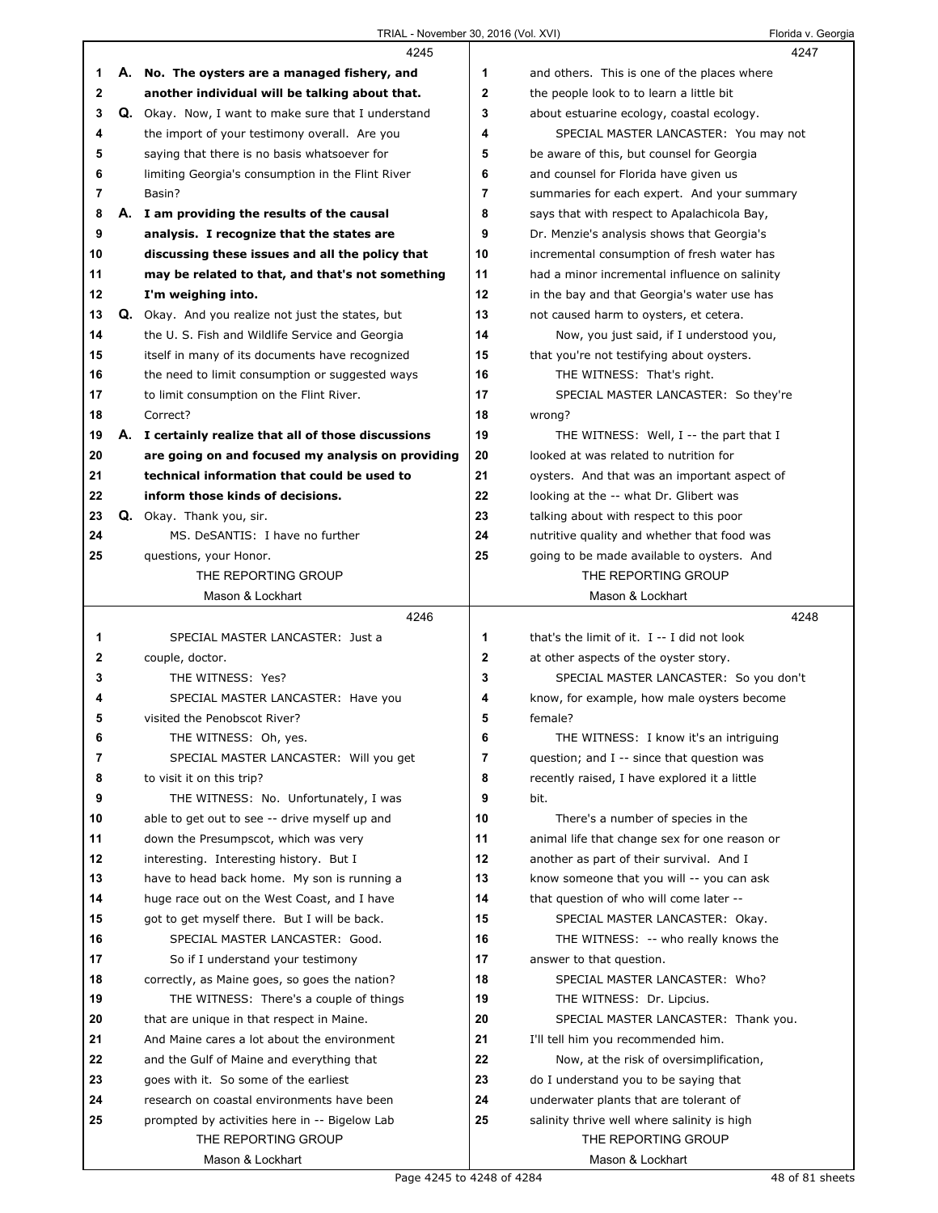|    | 4245                                                 |    | 4247                                          |  |
|----|------------------------------------------------------|----|-----------------------------------------------|--|
| 1  | A. No. The oysters are a managed fishery, and        | 1  | and others. This is one of the places where   |  |
| 2  | another individual will be talking about that.       | 2  | the people look to to learn a little bit      |  |
| 3  | Q. Okay. Now, I want to make sure that I understand  | 3  | about estuarine ecology, coastal ecology.     |  |
| 4  | the import of your testimony overall. Are you        | 4  | SPECIAL MASTER LANCASTER: You may not         |  |
| 5  | saying that there is no basis whatsoever for         | 5  | be aware of this, but counsel for Georgia     |  |
| 6  | limiting Georgia's consumption in the Flint River    | 6  | and counsel for Florida have given us         |  |
| 7  | Basin?                                               | 7  | summaries for each expert. And your summary   |  |
| 8  | A. I am providing the results of the causal          | 8  | says that with respect to Apalachicola Bay,   |  |
| 9  | analysis. I recognize that the states are            | 9  | Dr. Menzie's analysis shows that Georgia's    |  |
| 10 | discussing these issues and all the policy that      | 10 | incremental consumption of fresh water has    |  |
| 11 | may be related to that, and that's not something     | 11 | had a minor incremental influence on salinity |  |
| 12 | I'm weighing into.                                   | 12 | in the bay and that Georgia's water use has   |  |
| 13 | Q. Okay. And you realize not just the states, but    | 13 | not caused harm to oysters, et cetera.        |  |
| 14 | the U.S. Fish and Wildlife Service and Georgia       | 14 | Now, you just said, if I understood you,      |  |
| 15 | itself in many of its documents have recognized      | 15 | that you're not testifying about oysters.     |  |
| 16 | the need to limit consumption or suggested ways      | 16 | THE WITNESS: That's right.                    |  |
| 17 | to limit consumption on the Flint River.             | 17 | SPECIAL MASTER LANCASTER: So they're          |  |
| 18 | Correct?                                             | 18 | wrong?                                        |  |
| 19 | A. I certainly realize that all of those discussions | 19 | THE WITNESS: Well, I -- the part that I       |  |
| 20 | are going on and focused my analysis on providing    | 20 | looked at was related to nutrition for        |  |
| 21 | technical information that could be used to          | 21 |                                               |  |
| 22 | inform those kinds of decisions.                     | 22 | oysters. And that was an important aspect of  |  |
|    |                                                      |    | looking at the -- what Dr. Glibert was        |  |
| 23 | Q. Okay. Thank you, sir.                             | 23 | talking about with respect to this poor       |  |
| 24 | MS. DeSANTIS: I have no further                      | 24 | nutritive quality and whether that food was   |  |
| 25 | questions, your Honor.                               | 25 | going to be made available to oysters. And    |  |
|    | THE REPORTING GROUP                                  |    | THE REPORTING GROUP                           |  |
|    | Mason & Lockhart                                     |    | Mason & Lockhart                              |  |
|    |                                                      |    |                                               |  |
|    | 4246                                                 |    | 4248                                          |  |
| 1  | SPECIAL MASTER LANCASTER: Just a                     | 1  | that's the limit of it. I -- I did not look   |  |
| 2  | couple, doctor.                                      | 2  | at other aspects of the oyster story.         |  |
| 3  | THE WITNESS: Yes?                                    | 3  | SPECIAL MASTER LANCASTER: So you don't        |  |
| 4  | SPECIAL MASTER LANCASTER: Have you                   | 4  | know, for example, how male oysters become    |  |
| 5  | visited the Penobscot River?                         | 5  | female?                                       |  |
| 6  | THE WITNESS: Oh, yes.                                | 6  | THE WITNESS: I know it's an intriguing        |  |
| 7  | SPECIAL MASTER LANCASTER: Will you get               | 7  | question; and I -- since that question was    |  |
| 8  | to visit it on this trip?                            | 8  | recently raised, I have explored it a little  |  |
| 9  | THE WITNESS: No. Unfortunately, I was                | 9  | bit.                                          |  |
| 10 | able to get out to see -- drive myself up and        | 10 | There's a number of species in the            |  |
| 11 | down the Presumpscot, which was very                 | 11 | animal life that change sex for one reason or |  |
| 12 | interesting. Interesting history. But I              | 12 | another as part of their survival. And I      |  |
| 13 | have to head back home. My son is running a          | 13 | know someone that you will -- you can ask     |  |
| 14 | huge race out on the West Coast, and I have          | 14 | that question of who will come later --       |  |
| 15 | got to get myself there. But I will be back.         | 15 | SPECIAL MASTER LANCASTER: Okay.               |  |
| 16 | SPECIAL MASTER LANCASTER: Good.                      | 16 | THE WITNESS: -- who really knows the          |  |
| 17 | So if I understand your testimony                    | 17 | answer to that question.                      |  |
| 18 | correctly, as Maine goes, so goes the nation?        | 18 | SPECIAL MASTER LANCASTER: Who?                |  |
| 19 | THE WITNESS: There's a couple of things              | 19 | THE WITNESS: Dr. Lipcius.                     |  |
| 20 | that are unique in that respect in Maine.            | 20 | SPECIAL MASTER LANCASTER: Thank you.          |  |
| 21 | And Maine cares a lot about the environment          | 21 | I'll tell him you recommended him.            |  |
| 22 | and the Gulf of Maine and everything that            | 22 | Now, at the risk of oversimplification,       |  |
| 23 | goes with it. So some of the earliest                | 23 | do I understand you to be saying that         |  |
| 24 | research on coastal environments have been           | 24 | underwater plants that are tolerant of        |  |
| 25 | prompted by activities here in -- Bigelow Lab        | 25 | salinity thrive well where salinity is high   |  |
|    | THE REPORTING GROUP                                  |    | THE REPORTING GROUP                           |  |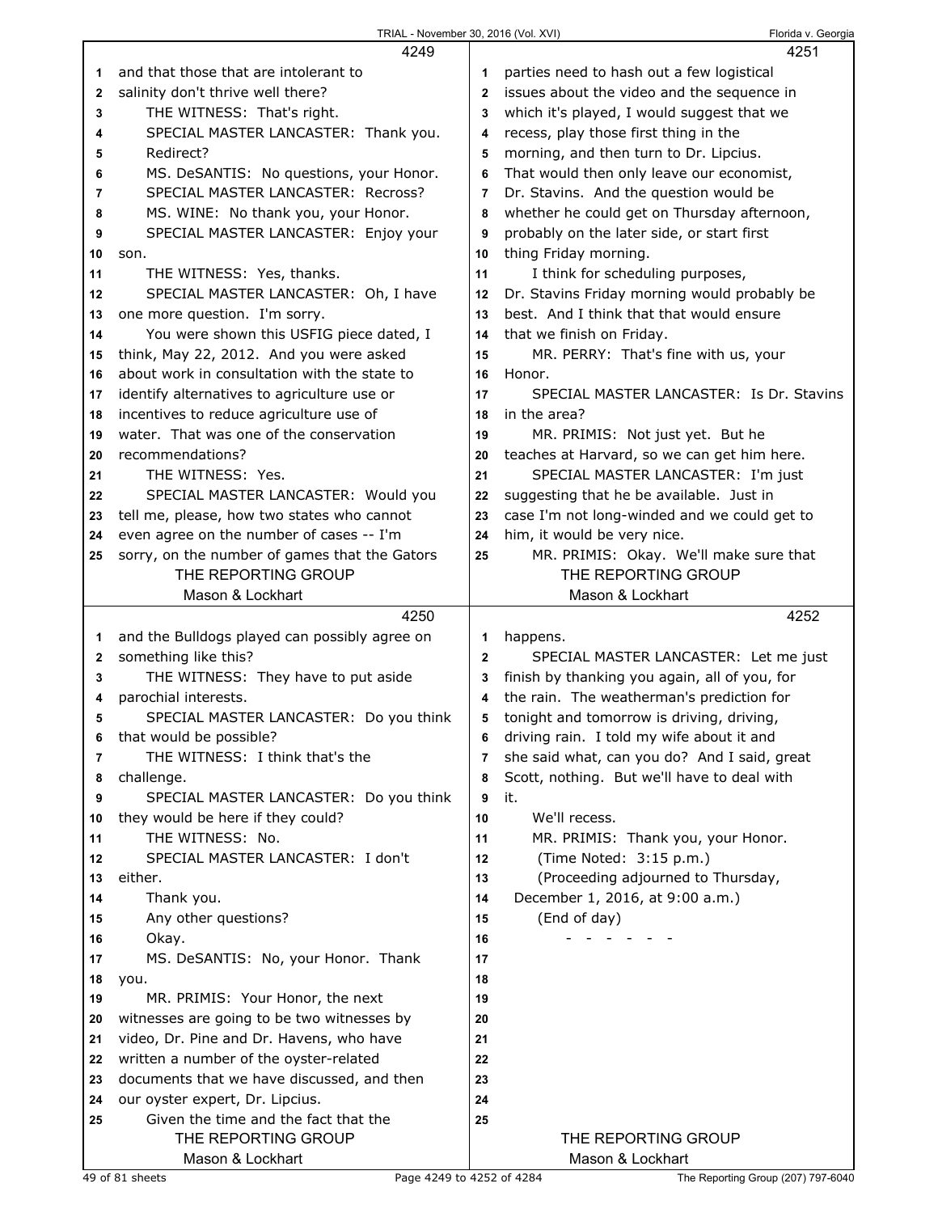|              | 4249                                                        |              | 4251                                          |
|--------------|-------------------------------------------------------------|--------------|-----------------------------------------------|
| 1            | and that those that are intolerant to                       | 1            | parties need to hash out a few logistical     |
| $\mathbf{2}$ | salinity don't thrive well there?                           | $\mathbf{2}$ | issues about the video and the sequence in    |
| 3            | THE WITNESS: That's right.                                  | 3            | which it's played, I would suggest that we    |
| 4            | SPECIAL MASTER LANCASTER: Thank you.                        | 4            | recess, play those first thing in the         |
| 5            | Redirect?                                                   | 5            | morning, and then turn to Dr. Lipcius.        |
| 6            | MS. DeSANTIS: No questions, your Honor.                     | 6            | That would then only leave our economist,     |
| 7            | SPECIAL MASTER LANCASTER: Recross?                          | 7            | Dr. Stavins. And the question would be        |
| 8            | MS. WINE: No thank you, your Honor.                         | 8            | whether he could get on Thursday afternoon,   |
| 9            | SPECIAL MASTER LANCASTER: Enjoy your                        | 9            | probably on the later side, or start first    |
| 10           | son.                                                        | 10           | thing Friday morning.                         |
| 11           | THE WITNESS: Yes, thanks.                                   | 11           | I think for scheduling purposes,              |
| 12           | SPECIAL MASTER LANCASTER: Oh, I have                        | 12           | Dr. Stavins Friday morning would probably be  |
| 13           | one more question. I'm sorry.                               | 13           | best. And I think that that would ensure      |
| 14           | You were shown this USFIG piece dated, I                    | 14           | that we finish on Friday.                     |
| 15           | think, May 22, 2012. And you were asked                     | 15           | MR. PERRY: That's fine with us, your          |
| 16           | about work in consultation with the state to                | 16           | Honor.                                        |
| 17           | identify alternatives to agriculture use or                 | 17           | SPECIAL MASTER LANCASTER: Is Dr. Stavins      |
| 18           | incentives to reduce agriculture use of                     | 18           | in the area?                                  |
| 19           | water. That was one of the conservation                     | 19           | MR. PRIMIS: Not just yet. But he              |
| 20           | recommendations?                                            | 20           | teaches at Harvard, so we can get him here.   |
| 21           | THE WITNESS: Yes.                                           | 21           | SPECIAL MASTER LANCASTER: I'm just            |
| 22           | SPECIAL MASTER LANCASTER: Would you                         | 22           | suggesting that he be available. Just in      |
| 23           | tell me, please, how two states who cannot                  | 23           | case I'm not long-winded and we could get to  |
| 24           | even agree on the number of cases -- I'm                    | 24           | him, it would be very nice.                   |
| 25           | sorry, on the number of games that the Gators               | 25           | MR. PRIMIS: Okay. We'll make sure that        |
|              | THE REPORTING GROUP                                         |              | THE REPORTING GROUP                           |
|              | Mason & Lockhart                                            |              | Mason & Lockhart                              |
|              |                                                             |              |                                               |
|              | 4250                                                        |              | 4252                                          |
| 1            | and the Bulldogs played can possibly agree on               | 1            | happens.                                      |
| $\mathbf{2}$ | something like this?                                        | $\mathbf{2}$ | SPECIAL MASTER LANCASTER: Let me just         |
| 3            | THE WITNESS: They have to put aside                         | 3            | finish by thanking you again, all of you, for |
| 4            | parochial interests.                                        | 4            | the rain. The weatherman's prediction for     |
| 5            | SPECIAL MASTER LANCASTER: Do you think                      | 5            | tonight and tomorrow is driving, driving,     |
| 6            | that would be possible?                                     | 6            | driving rain. I told my wife about it and     |
| 7            | THE WITNESS: I think that's the                             | 7            | she said what, can you do? And I said, great  |
| 8            | challenge.                                                  | 8            | Scott, nothing. But we'll have to deal with   |
| 9            | SPECIAL MASTER LANCASTER: Do you think                      | 9            | it.                                           |
| 10           | they would be here if they could?                           | 10           | We'll recess.                                 |
| 11           | THE WITNESS: No.                                            | 11           | MR. PRIMIS: Thank you, your Honor.            |
| 12           | SPECIAL MASTER LANCASTER: I don't                           | 12           | (Time Noted: 3:15 p.m.)                       |
| 13           | either.                                                     | 13           | (Proceeding adjourned to Thursday,            |
| 14           | Thank you.                                                  | 14           | December 1, 2016, at 9:00 a.m.)               |
| 15           | Any other questions?                                        | 15           | (End of day)                                  |
| 16           | Okay.                                                       | 16           |                                               |
| 17           | MS. DeSANTIS: No, your Honor. Thank                         | 17           |                                               |
| 18           | you.                                                        | 18           |                                               |
| 19           | MR. PRIMIS: Your Honor, the next                            | 19           |                                               |
| 20           | witnesses are going to be two witnesses by                  | 20           |                                               |
| 21           | video, Dr. Pine and Dr. Havens, who have                    | 21           |                                               |
| 22           | written a number of the oyster-related                      | 22           |                                               |
| 23           | documents that we have discussed, and then                  | 23           |                                               |
| 24           | our oyster expert, Dr. Lipcius.                             | 24           |                                               |
| 25           | Given the time and the fact that the<br>THE REPORTING GROUP | 25           | THE REPORTING GROUP                           |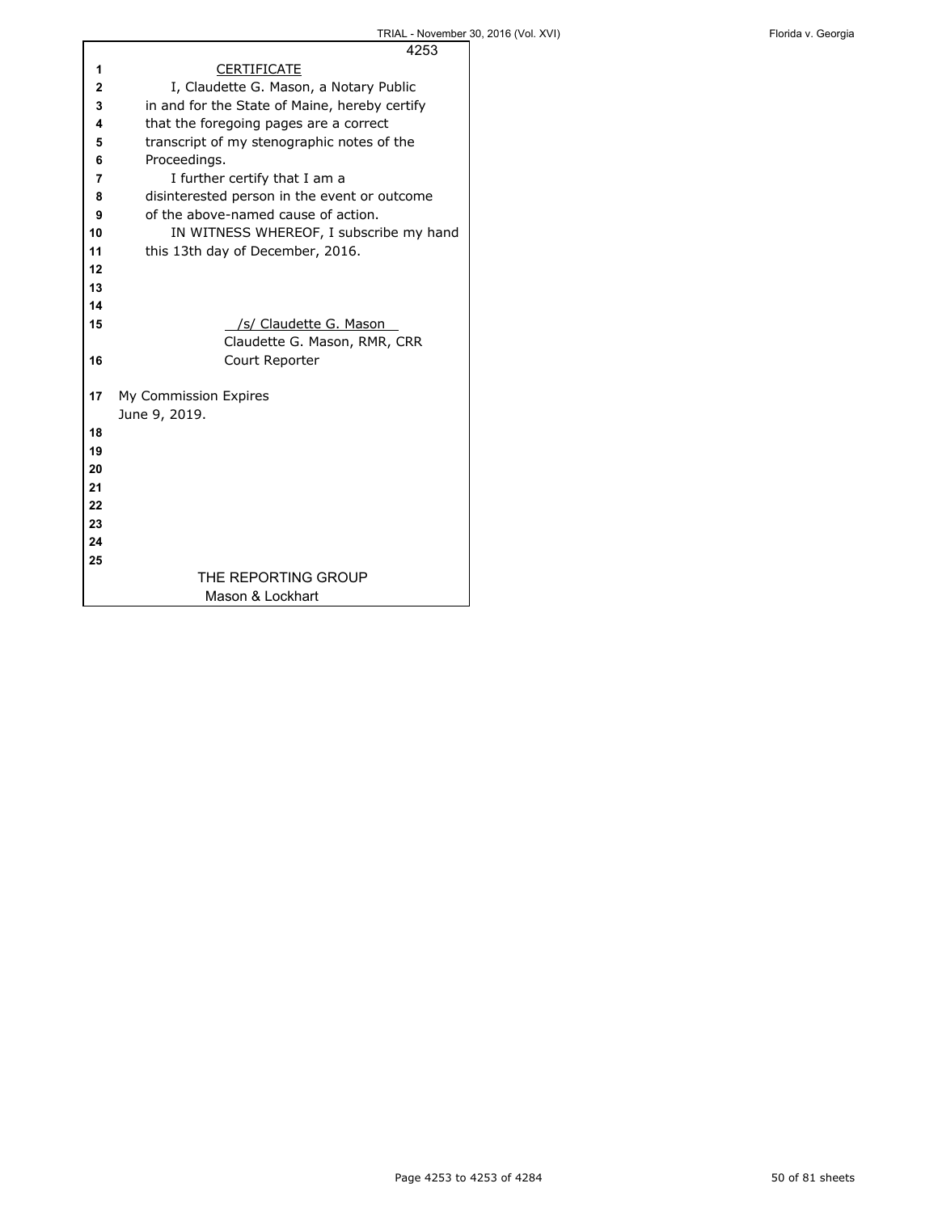|    | 4253                                          |
|----|-----------------------------------------------|
| 1  | <b>CERTIFICATE</b>                            |
| 2  | I, Claudette G. Mason, a Notary Public        |
| 3  | in and for the State of Maine, hereby certify |
| 4  | that the foregoing pages are a correct        |
| 5  | transcript of my stenographic notes of the    |
| 6  | Proceedings.                                  |
| 7  | I further certify that I am a                 |
| 8  | disinterested person in the event or outcome  |
| 9  | of the above-named cause of action.           |
| 10 | IN WITNESS WHEREOF, I subscribe my hand       |
| 11 | this 13th day of December, 2016.              |
| 12 |                                               |
| 13 |                                               |
| 14 |                                               |
| 15 | /s/ Claudette G. Mason                        |
|    | Claudette G. Mason, RMR, CRR                  |
| 16 | Court Reporter                                |
|    |                                               |
| 17 | My Commission Expires                         |
|    | June 9, 2019.                                 |
| 18 |                                               |
| 19 |                                               |
| 20 |                                               |
| 21 |                                               |
| 22 |                                               |
| 23 |                                               |
| 24 |                                               |
| 25 |                                               |
|    | THE REPORTING GROUP                           |
|    | Mason & Lockhart                              |
|    |                                               |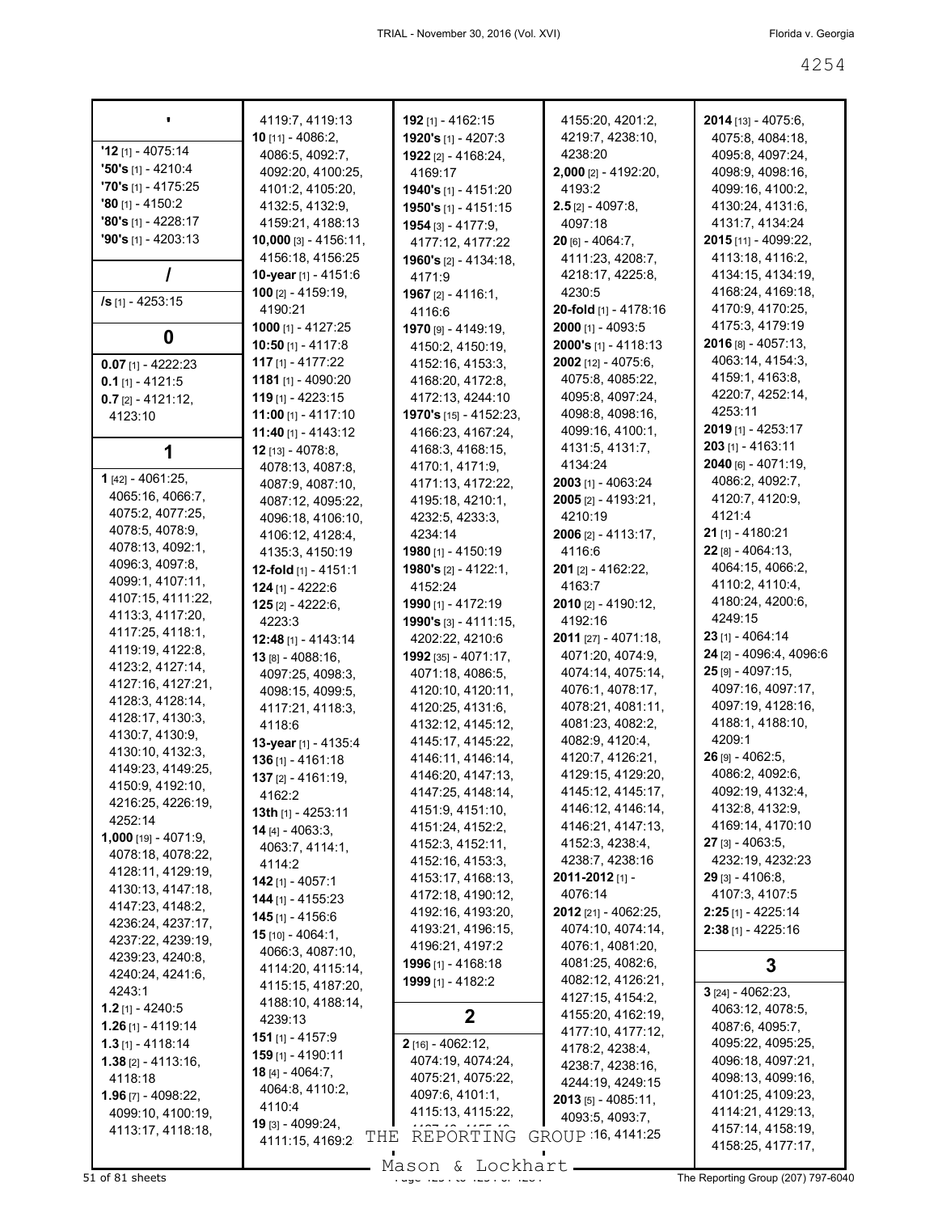|                                        | 4119:7, 4119:13                              | 192 [1] - 4162:15             | 4155:20, 4201:2,            | $2014$ [13] - 4075:6,   |
|----------------------------------------|----------------------------------------------|-------------------------------|-----------------------------|-------------------------|
|                                        | 10 [11] - 4086:2,                            | 1920's [1] - 4207:3           | 4219:7, 4238:10,            | 4075:8, 4084:18,        |
| $'12$ [1] - 4075:14                    | 4086:5, 4092:7,                              | <b>1922</b> [2] - 4168:24,    | 4238:20                     | 4095:8, 4097:24,        |
| $"50's$ [1] - 4210:4                   | 4092:20, 4100:25,                            | 4169:17                       | 2,000 [2] - 4192:20,        | 4098:9, 4098:16,        |
| $'70's$ [1] - 4175:25                  | 4101:2, 4105:20,                             | <b>1940's</b> [1] - 4151:20   | 4193:2                      | 4099:16, 4100:2,        |
| $'80$ [1] - 4150:2                     | 4132:5, 4132:9,                              | 1950's [1] - 4151:15          | $2.5$ [2] - 4097:8,         | 4130:24, 4131:6,        |
| $'80's$ [1] - 4228:17                  | 4159:21, 4188:13                             | 1954 [3] - 4177:9,            | 4097:18                     | 4131:7, 4134:24         |
| $90's$ [1] - 4203:13                   | 10,000 [3] - 4156:11,                        | 4177:12, 4177:22              | $20$ [6] - 4064:7,          | 2015 [11] - 4099:22,    |
|                                        | 4156:18, 4156:25                             |                               | 4111:23, 4208:7,            | 4113:18, 4116:2,        |
|                                        | 10-year [1] - 4151:6                         | <b>1960's</b> $[2] - 4134:18$ | 4218:17, 4225:8,            | 4134:15, 4134:19,       |
|                                        |                                              | 4171:9                        | 4230:5                      | 4168:24, 4169:18,       |
| /s [1] - 4253:15                       | $100$ [2] - 4159:19,                         | 1967 [2] - 4116:1,            |                             | 4170:9, 4170:25,        |
|                                        | 4190:21                                      | 4116:6                        | 20-fold [1] - 4178:16       |                         |
| 0                                      | 1000 [1] - 4127:25                           | 1970 [9] - 4149:19,           | 2000 [1] - 4093:5           | 4175:3, 4179:19         |
|                                        | 10:50 [1] - 4117:8                           | 4150:2, 4150:19,              | 2000's [1] - 4118:13        | $2016$ [8] - 4057:13,   |
| $0.07$ [1] - 4222:23                   | 117 [1] - 4177:22                            | 4152:16, 4153:3,              | 2002 [12] - 4075:6,         | 4063:14, 4154:3,        |
| $0.1$ [1] - 4121:5                     | 1181 [1] - 4090:20                           | 4168:20, 4172:8,              | 4075:8, 4085:22,            | 4159:1, 4163:8,         |
| $0.7$ [2] - 4121:12,                   | $119$ [1] - 4223:15                          | 4172:13, 4244:10              | 4095:8, 4097:24,            | 4220:7, 4252:14,        |
| 4123:10                                | $11:00$ [1] - 4117:10                        | 1970's [15] - 4152:23,        | 4098:8, 4098:16,            | 4253:11                 |
|                                        | 11:40 [1] - 4143:12                          | 4166:23, 4167:24,             | 4099:16, 4100:1,            | 2019 [1] - 4253:17      |
|                                        | 12 [13] - 4078:8,                            | 4168:3, 4168:15,              | 4131:5, 4131:7,             | 203 [1] - 4163:11       |
|                                        | 4078:13, 4087:8,                             | 4170:1, 4171:9,               | 4134:24                     | 2040 [6] - 4071:19,     |
| 1 [42] - 4061:25,                      | 4087:9, 4087:10,                             | 4171:13, 4172:22,             | 2003 [1] - 4063:24          | 4086:2, 4092:7,         |
| 4065:16, 4066:7,                       | 4087:12, 4095:22,                            | 4195:18, 4210:1,              | 2005 [2] - 4193:21,         | 4120:7, 4120:9,         |
| 4075:2, 4077:25,                       | 4096:18, 4106:10,                            | 4232:5, 4233:3,               | 4210:19                     | 4121:4                  |
| 4078:5, 4078:9,                        | 4106:12, 4128:4,                             | 4234:14                       | 2006 [2] - 4113:17,         | 21 [1] - 4180:21        |
| 4078:13, 4092:1,                       | 4135:3, 4150:19                              | 1980 [1] - 4150:19            | 4116:6                      | $22$ [8] - 4064:13,     |
| 4096:3, 4097:8,                        | 12-fold [1] - 4151:1                         | <b>1980's</b> $[2] - 4122:1$  | 201 [2] - 4162:22,          | 4064:15, 4066:2,        |
| 4099:1, 4107:11,                       | $124$ [1] - 4222:6                           | 4152:24                       | 4163:7                      | 4110:2, 4110:4,         |
| 4107:15, 4111:22,                      | 125 [2] - 4222:6,                            | 1990 [1] - 4172:19            | 2010 [2] - 4190:12,         | 4180:24, 4200:6,        |
| 4113:3, 4117:20,                       | 4223:3                                       | 1990's [3] - 4111:15,         | 4192:16                     | 4249:15                 |
| 4117:25, 4118:1,                       |                                              | 4202:22, 4210:6               | <b>2011</b> [27] - 4071:18, | 23 [1] - 4064:14        |
| 4119:19, 4122:8,                       | 12:48 [1] - 4143:14                          | 1992 [35] - 4071:17,          | 4071:20, 4074:9,            | 24 [2] - 4096:4, 4096:6 |
| 4123:2, 4127:14,                       | 13 [8] - 4088:16,                            |                               | 4074:14, 4075:14,           | $25$ [9] - 4097:15,     |
| 4127:16, 4127:21,                      | 4097:25, 4098:3,                             | 4071:18, 4086:5,              | 4076:1, 4078:17,            | 4097:16, 4097:17,       |
| 4128:3, 4128:14,                       | 4098:15, 4099:5,                             | 4120:10, 4120:11,             |                             | 4097:19, 4128:16,       |
| 4128:17, 4130:3,                       | 4117:21, 4118:3,                             | 4120:25, 4131:6,              | 4078:21, 4081:11,           | 4188:1, 4188:10,        |
| 4130:7, 4130:9,                        | 4118:6                                       | 4132:12, 4145:12,             | 4081:23, 4082:2,            |                         |
| 4130:10, 4132:3,                       | 13-year [1] - 4135:4                         | 4145:17, 4145:22,             | 4082:9, 4120:4,             | 4209:1                  |
| 4149:23, 4149:25,                      | $136$ [1] - 4161:18                          | 4146:11, 4146:14,             | 4120:7, 4126:21,            | $26$ [9] - 4062:5,      |
| 4150:9, 4192:10,                       | $137$ [2] - 4161:19,                         | 4146:20, 4147:13,             | 4129:15, 4129:20,           | 4086:2, 4092:6,         |
| 4216:25, 4226:19,                      | 4162:2                                       | 4147:25, 4148:14,             | 4145:12, 4145:17,           | 4092:19, 4132:4,        |
| 4252:14                                | 13th $[1]$ - 4253:11                         | 4151:9, 4151:10,              | 4146:12, 4146:14,           | 4132:8, 4132:9,         |
| $1,000$ [19] - 4071:9,                 | $14$ [4] - 4063:3.                           | 4151:24, 4152:2,              | 4146:21, 4147:13,           | 4169:14, 4170:10        |
| 4078:18, 4078:22,                      | 4063:7, 4114:1,                              | 4152:3, 4152:11,              | 4152:3, 4238:4,             | <b>27</b> [3] - 4063:5, |
|                                        | 4114:2                                       | 4152:16, 4153:3,              | 4238:7, 4238:16             | 4232:19, 4232:23        |
| 4128:11, 4129:19,<br>4130:13, 4147:18, | 142 [1] - 4057:1                             | 4153:17, 4168:13,             | 2011-2012 [1] -             | <b>29</b> [3] - 4106:8, |
|                                        | $144$ [1] - 4155:23                          | 4172:18, 4190:12,             | 4076:14                     | 4107:3, 4107:5          |
| 4147:23, 4148:2,                       | 145 [1] - 4156:6                             | 4192:16, 4193:20,             | 2012 [21] - 4062:25,        | $2:25$ [1] - 4225:14    |
| 4236:24, 4237:17,                      | $15$ [10] - 4064:1,                          | 4193:21, 4196:15,             | 4074:10, 4074:14,           | $2:38$ [1] - 4225:16    |
| 4237:22, 4239:19,                      | 4066:3, 4087:10,                             | 4196:21, 4197:2               | 4076:1, 4081:20,            |                         |
| 4239:23, 4240:8,                       | 4114:20, 4115:14,                            | 1996 [1] - 4168:18            | 4081:25, 4082:6,            | 3                       |
| 4240:24, 4241:6,                       | 4115:15, 4187:20,                            | 1999 [1] - 4182:2             | 4082:12, 4126:21,           |                         |
| 4243:1                                 | 4188:10, 4188:14,                            |                               | 4127:15, 4154:2,            | $3$ [24] - 4062:23,     |
| $1.2$ [1] - 4240:5                     | 4239:13                                      | $\mathbf 2$                   | 4155:20, 4162:19,           | 4063:12, 4078:5,        |
| $1.26$ [1] - 4119:14                   |                                              |                               | 4177:10, 4177:12,           | 4087:6, 4095:7,         |
| $1.3$ [1] - 4118:14                    | 151 [1] - 4157:9<br><b>159</b> [1] - 4190:11 | 2 [16] - 4062:12,             | 4178:2, 4238:4,             | 4095:22, 4095:25,       |
| $1.38$ [2] - 4113:16,                  |                                              | 4074:19, 4074:24,             | 4238:7, 4238:16,            | 4096:18, 4097:21,       |
| 4118:18                                | <b>18</b> [4] - 4064:7,                      | 4075:21, 4075:22,             | 4244:19, 4249:15            | 4098:13, 4099:16,       |
| <b>1.96</b> [7] - 4098:22,             | 4064:8, 4110:2,                              | 4097:6, 4101:1,               | $2013$ [5] - 4085:11,       | 4101:25, 4109:23,       |
| 4099:10, 4100:19,                      | 4110:4                                       | 4115:13, 4115:22,             | 4093:5, 4093:7,             | 4114:21, 4129:13,       |
| 4113:17, 4118:18,                      | 19 [3] - 4099:24,<br>THE                     | REPORTING                     | GROUP 16, 4141:25           | 4157:14, 4158:19,       |
|                                        | 4111:15, 4169:2                              |                               |                             | 4158:25, 4177:17,       |
|                                        |                                              |                               |                             |                         |

Mason & Lockhart **Page 4264 of 81 sheets** Page 4207) 797-6040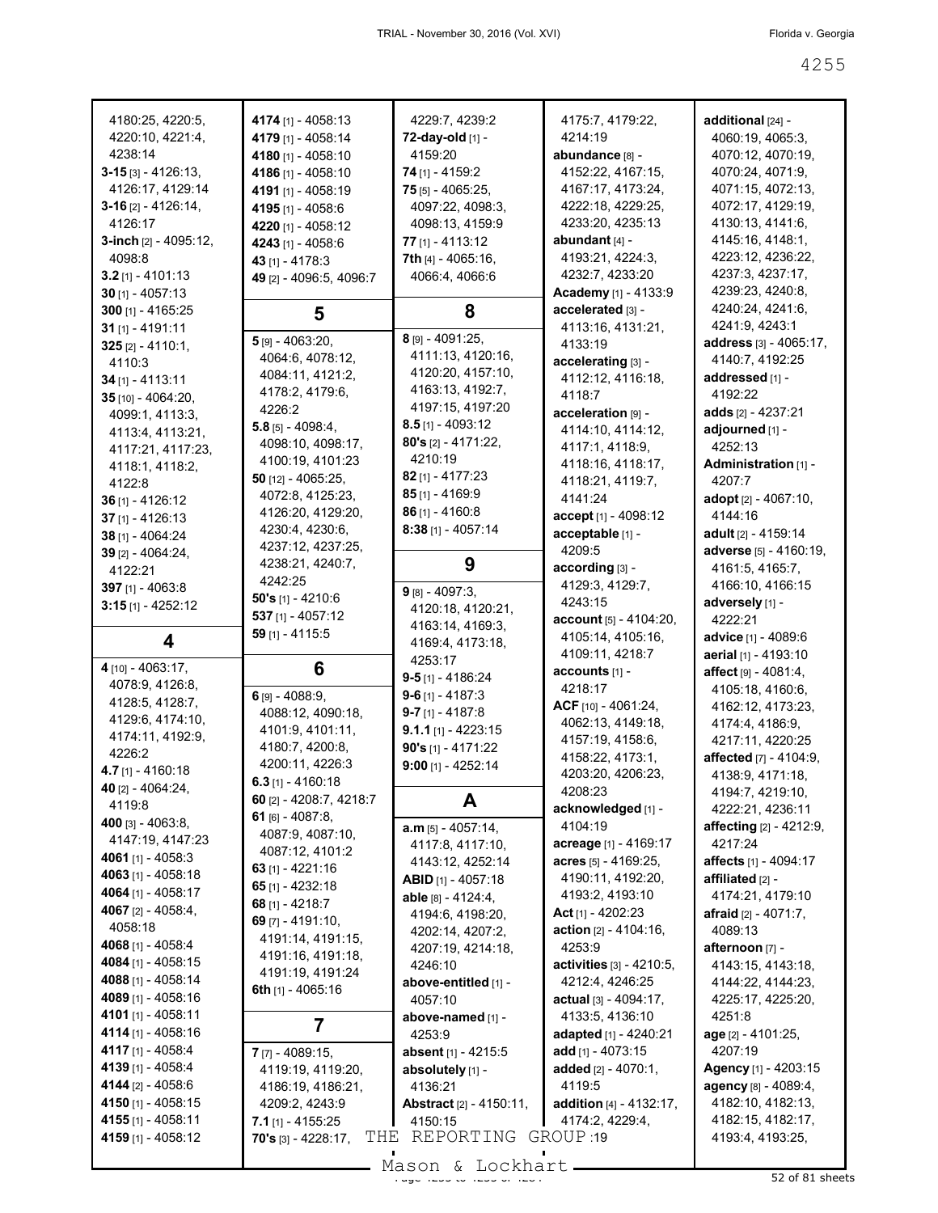| 4180:25, 4220:5,         | 4174 [1] - 4058:13                  | 4229:7, 4239:2                    | 4175:7, 4179:22,                | additional [24] -           |
|--------------------------|-------------------------------------|-----------------------------------|---------------------------------|-----------------------------|
| 4220:10, 4221:4,         | 4179 [1] - 4058:14                  | 72-day-old [1] -                  | 4214:19                         | 4060:19, 4065:3,            |
| 4238:14                  | 4180 [1] - 4058:10                  | 4159:20                           | abundance [8] -                 | 4070:12, 4070:19,           |
| $3 - 15$ [3] - 4126:13,  | 4186 [1] - 4058:10                  | 74 [1] - 4159:2                   | 4152:22, 4167:15,               | 4070:24, 4071:9,            |
| 4126:17, 4129:14         | 4191 [1] - 4058:19                  | $75$ [5] - 4065:25,               | 4167:17, 4173:24,               | 4071:15, 4072:13,           |
| $3-16$ [2] - 4126:14,    | 4195 [1] - 4058:6                   | 4097:22, 4098:3,                  | 4222:18, 4229:25,               | 4072:17, 4129:19,           |
| 4126:17                  | 4220 [1] - 4058:12                  | 4098:13, 4159:9                   | 4233:20, 4235:13                | 4130:13, 4141:6,            |
| 3-inch $[2] - 4095:12$ , | 4243 [1] - 4058:6                   | 77 [1] - 4113:12                  | abundant [4] -                  | 4145:16, 4148:1,            |
| 4098:8                   | 43 [1] - 4178:3                     | 7th [4] - 4065:16,                | 4193:21, 4224:3,                | 4223:12, 4236:22,           |
| $3.2$ [1] - 4101:13      | 49 [2] - 4096:5, 4096:7             | 4066:4, 4066:6                    | 4232:7, 4233:20                 | 4237:3, 4237:17,            |
| $30$ [1] - 4057:13       |                                     |                                   | Academy [1] - 4133:9            | 4239:23, 4240:8,            |
| $300$ [1] - 4165:25      | 5                                   | 8                                 | accelerated [3] -               | 4240:24, 4241:6,            |
| $31$ [1] - 4191:11       |                                     |                                   | 4113:16, 4131:21,               | 4241:9, 4243:1              |
| $325$ [2] - 4110:1,      | 5 [9] - 4063:20,                    | 8 [9] - 4091:25,                  | 4133:19                         | address [3] - 4065:17,      |
| 4110:3                   | 4064:6, 4078:12,                    | 4111:13, 4120:16,                 | accelerating [3] -              | 4140:7, 4192:25             |
| $34$ [1] - 4113:11       | 4084:11, 4121:2,                    | 4120:20, 4157:10,                 | 4112:12, 4116:18,               | addressed [1] -             |
| 35 [10] - 4064:20,       | 4178:2, 4179:6,                     | 4163:13, 4192:7,                  | 4118:7                          | 4192:22                     |
| 4099:1, 4113:3,          | 4226:2                              | 4197:15, 4197:20                  | acceleration [9] -              | adds [2] - 4237:21          |
| 4113:4, 4113:21,         | $5.8$ [5] - 4098:4,                 | $8.5$ [1] - 4093:12               | 4114:10, 4114:12,               | adjourned [1] -             |
| 4117:21, 4117:23,        | 4098:10, 4098:17,                   | $80's$ [2] - 4171:22,             | 4117:1, 4118:9,                 | 4252:13                     |
| 4118:1, 4118:2,          | 4100:19, 4101:23                    | 4210:19                           | 4118:16, 4118:17,               | Administration [1] -        |
| 4122:8                   | 50 [12] - 4065:25,                  | 82 [1] - 4177:23                  | 4118:21, 4119:7,                | 4207:7                      |
| $36$ [1] - 4126:12       | 4072:8, 4125:23,                    | $85$ [1] - 4169:9                 | 4141:24                         | adopt [2] - 4067:10,        |
| $37$ [1] - 4126:13       | 4126:20, 4129:20,                   | $86$ [1] - 4160:8                 | accept [1] - 4098:12            | 4144:16                     |
| 38 [1] - 4064:24         | 4230:4, 4230:6,                     | $8:38$ [1] - 4057:14              | acceptable [1] -                | adult $[2] - 4159:14$       |
| $39$ [2] - 4064:24,      | 4237:12, 4237:25,                   |                                   | 4209:5                          | adverse [5] - 4160:19,      |
| 4122:21                  | 4238:21, 4240:7,                    | 9                                 | according [3] -                 | 4161:5, 4165:7,             |
| 397 [1] - 4063:8         | 4242:25                             | $9$ [8] - 4097:3,                 | 4129:3, 4129:7,                 | 4166:10, 4166:15            |
| $3:15$ [1] - 4252:12     | 50's $[1] - 4210:6$                 | 4120:18, 4120:21,                 | 4243:15                         | adversely [1] -             |
|                          | $537$ [1] - 4057:12                 | 4163:14, 4169:3,                  | account [5] - 4104:20,          | 4222:21                     |
| 4                        | 59 [1] - 4115:5                     | 4169:4, 4173:18,                  | 4105:14, 4105:16,               | <b>advice</b> [1] - 4089:6  |
|                          |                                     | 4253:17                           | 4109:11, 4218:7                 | aerial [1] - 4193:10        |
|                          |                                     |                                   |                                 |                             |
| 4 [10] - 4063:17,        | 6                                   |                                   | accounts [1] -                  | affect $[9] - 4081:4$ ,     |
| 4078:9, 4126:8,          |                                     | $9 - 5$ [1] - 4186:24             | 4218:17                         | 4105:18, 4160:6,            |
| 4128:5, 4128:7,          | 6 [9] - 4088:9,                     | $9 - 6$ [1] - 4187:3              | ACF $[10] - 4061:24$ ,          | 4162:12, 4173:23,           |
| 4129:6, 4174:10,         | 4088:12, 4090:18,                   | $9-7$ [1] - 4187:8                | 4062:13, 4149:18,               | 4174:4, 4186:9,             |
| 4174:11, 4192:9,         | 4101:9, 4101:11,                    | <b>9.1.1</b> [1] - 4223:15        | 4157:19, 4158:6,                | 4217:11, 4220:25            |
| 4226:2                   | 4180:7, 4200:8,                     | 90's $[1] - 4171:22$              | 4158:22, 4173:1,                | affected [7] - 4104:9,      |
| $4.7$ [1] - 4160:18      | 4200:11, 4226:3                     | $9:00$ [1] - 4252:14              | 4203:20, 4206:23,               | 4138:9, 4171:18,            |
| 40 [2] - 4064:24,        | $6.3$ [1] - 4160:18                 |                                   | 4208:23                         | 4194:7, 4219:10,            |
| 4119:8                   | 60 [2] - 4208:7, 4218:7             | A                                 | acknowledged [1] -              | 4222:21, 4236:11            |
| 400 [3] - 4063:8,        | 61 $[6] - 4087:8$                   | $a.m$ [5] - 4057:14,              | 4104:19                         | affecting [2] - 4212:9,     |
| 4147:19, 4147:23         | 4087:9, 4087:10,                    | 4117:8, 4117:10,                  | acreage [1] - 4169:17           | 4217:24                     |
| 4061 [1] - 4058:3        | 4087:12, 4101:2<br>63 [1] - 4221:16 | 4143:12, 4252:14                  | acres $[5] - 4169:25$ ,         | affects [1] - 4094:17       |
| 4063 [1] - 4058:18       | 65 $[1] - 4232:18$                  | <b>ABID</b> [1] - 4057:18         | 4190:11, 4192:20,               | affiliated [2] -            |
| 4064 [1] - 4058:17       | 68 $[1] - 4218.7$                   | able [8] - 4124:4,                | 4193:2, 4193:10                 | 4174:21, 4179:10            |
| 4067 [2] - 4058:4,       | 69 $[7] - 4191:10,$                 | 4194:6, 4198:20,                  | Act $[1] - 4202:23$             | afraid $[2] - 4071:7$ ,     |
| 4058:18                  | 4191:14, 4191:15,                   | 4202:14, 4207:2,                  | action $[2] - 4104:16$ ,        | 4089:13                     |
| 4068 [1] - 4058:4        | 4191:16, 4191:18,                   | 4207:19, 4214:18,                 | 4253:9                          | afternoon [7] -             |
| 4084 [1] - 4058:15       | 4191:19, 4191:24                    | 4246:10                           | activities [3] - 4210:5,        | 4143:15, 4143:18,           |
| 4088 [1] - 4058:14       | 6th $[1] - 4065:16$                 | above-entitled [1] -              | 4212:4, 4246:25                 | 4144:22, 4144:23,           |
| 4089 [1] - 4058:16       |                                     | 4057:10                           | <b>actual</b> $[3] - 4094:17$ , | 4225:17, 4225:20,           |
| 4101 [1] - 4058:11       | 7                                   | above-named [1] -                 | 4133:5, 4136:10                 | 4251:8                      |
| 4114 [1] - 4058:16       |                                     | 4253:9                            | <b>adapted</b> [1] - 4240:21    | age [2] - 4101:25,          |
| 4117 [1] - 4058:4        | $7$ [7] - 4089:15,                  | absent [1] - 4215:5               | add $[1] - 4073:15$             | 4207:19                     |
| 4139 [1] - 4058:4        | 4119:19, 4119:20,                   | absolutely [1] -                  | added $[2] - 4070:1$ ,          | <b>Agency</b> [1] - 4203:15 |
| 4144 [2] - 4058:6        | 4186:19, 4186:21,                   | 4136:21                           | 4119:5                          | <b>agency</b> [8] - 4089:4, |
| 4150 [1] - 4058:15       | 4209:2, 4243:9                      | <b>Abstract</b> $[2] - 4150:11$ , | addition $[4] - 4132:17$ ,      | 4182:10, 4182:13,           |
| 4155 [1] - 4058:11       | 7.1 $[1] - 4155:25$                 | 4150:15                           | 4174:2, 4229:4,                 | 4182:15, 4182:17,           |
| 4159 [1] - 4058:12       | THE<br>70's $[3] - 4228:17$ ,       | REPORTING GROUP 19                |                                 | 4193:4, 4193:25,            |
|                          |                                     | Mason & Lockhart                  |                                 | 52 of 81 sheets             |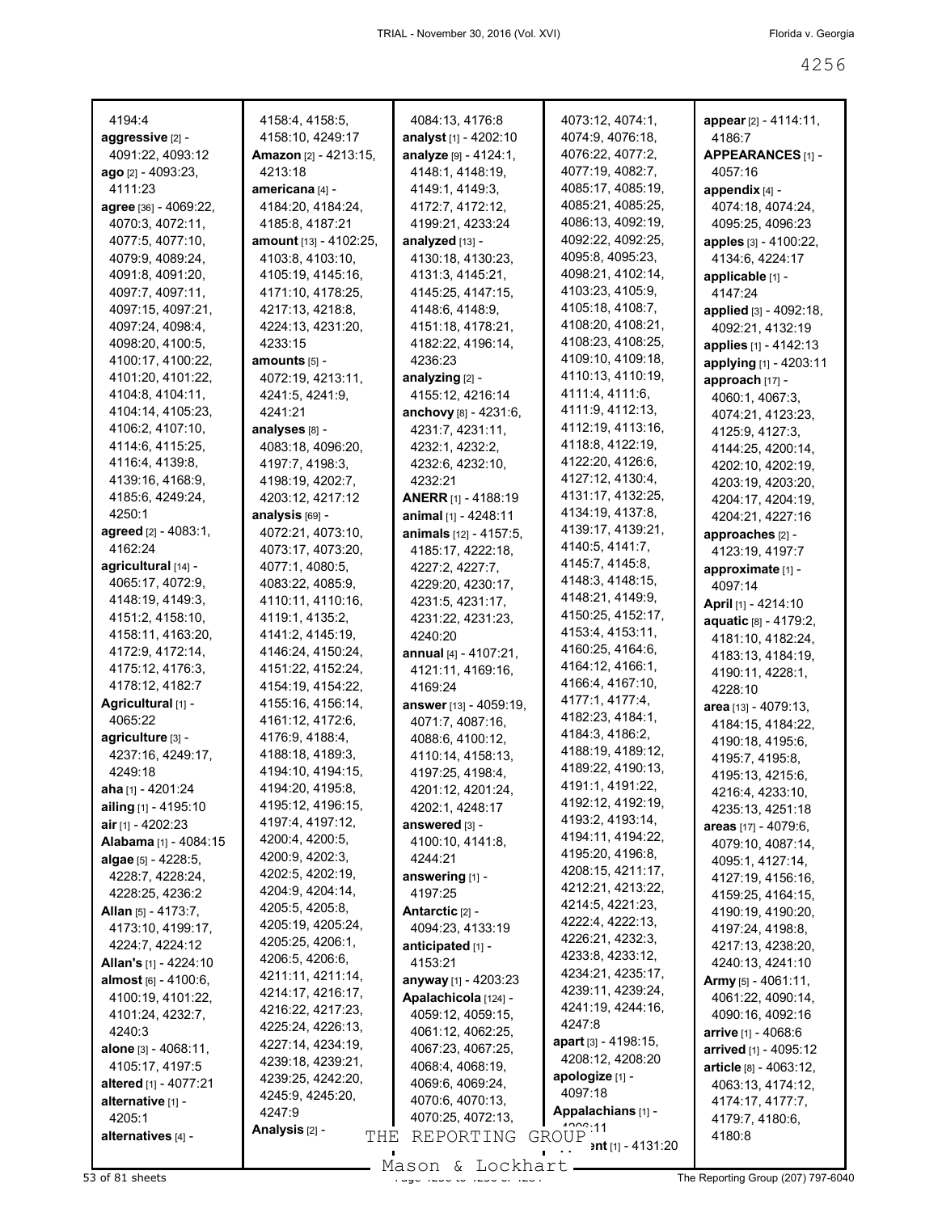| 4194:4                              | 4158:4, 4158:5,                        | 4084:13, 4176:8                                   | 4073:12, 4074:1,                       | appear [2] - 4114:11,               |
|-------------------------------------|----------------------------------------|---------------------------------------------------|----------------------------------------|-------------------------------------|
| aggressive [2] -                    | 4158:10, 4249:17                       | <b>analyst</b> [1] - 4202:10                      | 4074:9, 4076:18,                       | 4186:7                              |
| 4091:22, 4093:12                    | <b>Amazon</b> [2] - 4213:15,           | analyze [9] - 4124:1,                             | 4076:22, 4077:2,                       | APPEARANCES [1] -                   |
| <b>ago</b> [2] - 4093:23,           | 4213:18                                | 4148:1, 4148:19,                                  | 4077:19, 4082:7,                       | 4057:16                             |
| 4111:23                             | americana [4] -                        | 4149:1, 4149:3,                                   | 4085:17, 4085:19,                      | appendix $[4]$ -                    |
| agree [36] - 4069:22,               | 4184:20, 4184:24,                      | 4172:7, 4172:12,                                  | 4085:21, 4085:25,                      | 4074:18, 4074:24,                   |
| 4070:3, 4072:11,                    | 4185:8, 4187:21                        | 4199:21, 4233:24                                  | 4086:13, 4092:19,                      | 4095:25, 4096:23                    |
| 4077:5, 4077:10,                    | <b>amount</b> [13] - 4102:25,          | analyzed [13] -                                   | 4092:22, 4092:25,                      | <b>apples</b> [3] - 4100:22,        |
| 4079:9, 4089:24,                    | 4103:8, 4103:10,                       | 4130:18, 4130:23,                                 | 4095:8, 4095:23,                       | 4134:6, 4224:17                     |
| 4091:8, 4091:20,                    | 4105:19, 4145:16,                      | 4131:3, 4145:21,                                  | 4098:21, 4102:14,                      | applicable [1] -                    |
| 4097:7, 4097:11,                    | 4171:10, 4178:25,                      | 4145:25, 4147:15,                                 | 4103:23, 4105:9,                       | 4147:24                             |
| 4097:15, 4097:21,                   | 4217:13, 4218:8,                       | 4148:6, 4148:9,                                   | 4105:18, 4108:7,                       | <b>applied</b> [3] - 4092:18,       |
| 4097:24, 4098:4,                    | 4224:13, 4231:20,                      | 4151:18, 4178:21,                                 | 4108:20, 4108:21,                      | 4092:21, 4132:19                    |
| 4098:20, 4100:5,                    | 4233:15                                | 4182:22, 4196:14,                                 | 4108:23, 4108:25,                      | <b>applies</b> [1] - 4142:13        |
| 4100:17, 4100:22,                   | amounts [5] -                          | 4236:23                                           | 4109:10, 4109:18,                      | applying [1] - 4203:11              |
| 4101:20, 4101:22,                   | 4072:19, 4213:11,                      | analyzing [2] -                                   | 4110:13, 4110:19,                      | approach [17] -                     |
| 4104:8, 4104:11,                    | 4241:5, 4241:9,                        | 4155:12, 4216:14                                  | 4111:4, 4111:6,                        | 4060:1, 4067:3,                     |
| 4104:14, 4105:23,                   | 4241:21                                | anchovy $[8] - 4231:6,$                           | 4111:9, 4112:13,                       | 4074:21, 4123:23,                   |
| 4106:2, 4107:10,                    | analyses [8] -                         | 4231:7, 4231:11,                                  | 4112:19, 4113:16,                      | 4125:9, 4127:3,                     |
| 4114:6, 4115:25,                    | 4083:18, 4096:20,                      | 4232:1, 4232:2,                                   | 4118:8, 4122:19,                       | 4144:25, 4200:14,                   |
| 4116:4, 4139:8,                     | 4197:7, 4198:3,                        | 4232:6, 4232:10,                                  | 4122:20, 4126:6,                       | 4202:10, 4202:19,                   |
| 4139:16, 4168:9,                    | 4198:19, 4202:7,                       | 4232:21                                           | 4127:12, 4130:4,                       | 4203:19, 4203:20,                   |
| 4185:6, 4249:24,                    | 4203:12, 4217:12                       | <b>ANERR</b> [1] - 4188:19                        | 4131:17, 4132:25,                      | 4204:17, 4204:19,                   |
| 4250:1                              | analysis [69] -                        | <b>animal</b> $[1]$ - 4248:11                     | 4134:19, 4137:8,                       | 4204:21, 4227:16                    |
| <b>agreed</b> [2] - 4083:1,         | 4072:21, 4073:10,                      | animals [12] - 4157:5,                            | 4139:17, 4139:21,                      | approaches [2] -                    |
| 4162:24                             | 4073:17, 4073:20,                      | 4185:17, 4222:18,                                 | 4140:5, 4141:7,                        | 4123:19, 4197:7                     |
| agricultural [14] -                 | 4077:1, 4080:5,                        | 4227:2, 4227:7,                                   | 4145 7, 4145 8,                        | approximate [1] -                   |
| 4065:17, 4072:9,                    | 4083:22, 4085:9,                       | 4229:20, 4230:17,                                 | 4148:3, 4148:15,                       | 4097:14                             |
| 4148:19, 4149:3,                    | 4110:11, 4110:16,                      | 4231:5, 4231:17,                                  | 4148:21, 4149:9,                       | <b>April</b> [1] - 4214:10          |
| 4151:2, 4158:10,                    | 4119:1, 4135:2,                        | 4231:22, 4231:23,                                 | 4150:25, 4152:17,                      | aquatic [8] - 4179:2,               |
| 4158:11, 4163:20,                   | 4141:2, 4145:19,                       | 4240:20                                           | 4153:4, 4153:11,<br>4160:25, 4164:6,   | 4181:10, 4182:24,                   |
| 4172:9, 4172:14,                    | 4146:24, 4150:24,                      | <b>annual</b> [4] - 4107:21,                      | 4164:12, 4166:1,                       | 4183:13, 4184:19,                   |
| 4175:12, 4176:3,<br>4178:12, 4182:7 | 4151:22, 4152:24,                      | 4121:11, 4169:16,                                 | 4166:4, 4167:10,                       | 4190:11, 4228:1,                    |
| Agricultural [1] -                  | 4154:19, 4154:22,<br>4155:16, 4156:14, | 4169:24                                           | 4177:1, 4177:4,                        | 4228:10                             |
| 4065:22                             | 4161:12, 4172:6,                       | <b>answer</b> [13] - 4059:19,<br>4071:7, 4087:16, | 4182:23, 4184:1,                       | area [13] - 4079:13,                |
| agriculture [3] -                   | 4176:9, 4188:4,                        | 4088:6, 4100:12,                                  | 4184:3, 4186:2,                        | 4184:15, 4184:22,                   |
| 4237:16, 4249:17,                   | 4188:18, 4189:3,                       | 4110:14, 4158:13,                                 | 4188:19, 4189:12,                      | 4190:18, 4195:6,                    |
| 4249:18                             | 4194:10, 4194:15,                      | 4197:25, 4198:4,                                  | 4189:22, 4190:13,                      | 4195:7, 4195:8,<br>4195:13, 4215:6, |
| aha [1] - 4201:24                   | 4194:20, 4195:8,                       | 4201:12, 4201:24,                                 | 4191:1, 4191:22,                       | 4216:4, 4233:10,                    |
| ailing [1] - 4195:10                | 4195:12, 4196:15,                      | 4202:1, 4248:17                                   | 4192:12, 4192:19,                      | 4235:13, 4251:18                    |
| air [1] - 4202:23                   | 4197:4, 4197:12,                       | answered [3] -                                    | 4193:2, 4193:14,                       | areas [17] - 4079:6,                |
| Alabama [1] - 4084:15               | 4200:4, 4200:5,                        | 4100:10, 4141:8,                                  | 4194:11, 4194:22,                      | 4079:10, 4087:14,                   |
| algae $[5] - 4228:5$ ,              | 4200:9, 4202:3,                        | 4244:21                                           | 4195:20, 4196:8,                       | 4095:1, 4127:14,                    |
| 4228:7, 4228:24,                    | 4202:5, 4202:19,                       | answering [1] -                                   | 4208:15, 4211:17,                      | 4127:19, 4156:16,                   |
| 4228:25, 4236:2                     | 4204:9, 4204:14,                       | 4197:25                                           | 4212:21, 4213:22,                      | 4159:25, 4164:15,                   |
| <b>Allan</b> [5] - 4173:7,          | 4205:5, 4205:8,                        | Antarctic [2] -                                   | 4214:5, 4221:23,                       | 4190:19, 4190:20,                   |
| 4173:10, 4199:17,                   | 4205:19, 4205:24,                      | 4094:23, 4133:19                                  | 4222:4, 4222:13,                       | 4197:24, 4198:8,                    |
| 4224:7, 4224:12                     | 4205:25, 4206:1,                       | anticipated [1] -                                 | 4226:21, 4232:3,                       | 4217:13, 4238:20,                   |
| <b>Allan's [1] - 4224:10</b>        | 4206:5, 4206:6,                        | 4153:21                                           | 4233:8, 4233:12,                       | 4240:13, 4241:10                    |
| almost [6] - 4100:6,                | 4211:11, 4211:14,                      | anyway [1] - 4203:23                              | 4234:21, 4235:17,                      | Army [5] - 4061:11,                 |
| 4100:19, 4101:22,                   | 4214:17, 4216:17,                      | Apalachicola [124] -                              | 4239:11, 4239:24,<br>4241:19, 4244:16, | 4061:22, 4090:14,                   |
| 4101:24, 4232:7,                    | 4216:22, 4217:23,                      | 4059:12, 4059:15,                                 | 4247:8                                 | 4090:16, 4092:16                    |
| 4240:3                              | 4225:24, 4226:13,                      | 4061:12, 4062:25,                                 | apart $[3] - 4198:15$ ,                | <b>arrive</b> $[1] - 4068.6$        |
| alone [3] - 4068:11,                | 4227:14, 4234:19,<br>4239:18, 4239:21, | 4067:23, 4067:25,                                 | 4208:12, 4208:20                       | arrived [1] - 4095:12               |
| 4105:17, 4197:5                     | 4239:25, 4242:20,                      | 4068:4, 4068:19,                                  | apologize [1] -                        | article [8] - 4063:12,              |
| altered [1] - 4077:21               | 4245:9, 4245:20,                       | 4069:6, 4069:24,                                  | 4097:18                                | 4063:13, 4174:12,                   |
| alternative [1] -                   | 4247:9                                 | 4070:6, 4070:13,                                  | Appalachians [1] -                     | 4174:17, 4177:7,                    |
| 4205:1                              | Analysis [2] -                         | 4070:25, 4072:13,                                 | 1222.11                                | 4179:7, 4180:6,                     |
| alternatives [4] -                  | THE                                    | REPORTING                                         | GROUP<br><b>ent</b> [1] - 4131:20      | 4180:8                              |
|                                     |                                        |                                                   |                                        |                                     |

Mason & Lockhart **Page 426 of 81 sheets** Assembly Mason & Lockhart **Container and Apple 1207) 797-6040**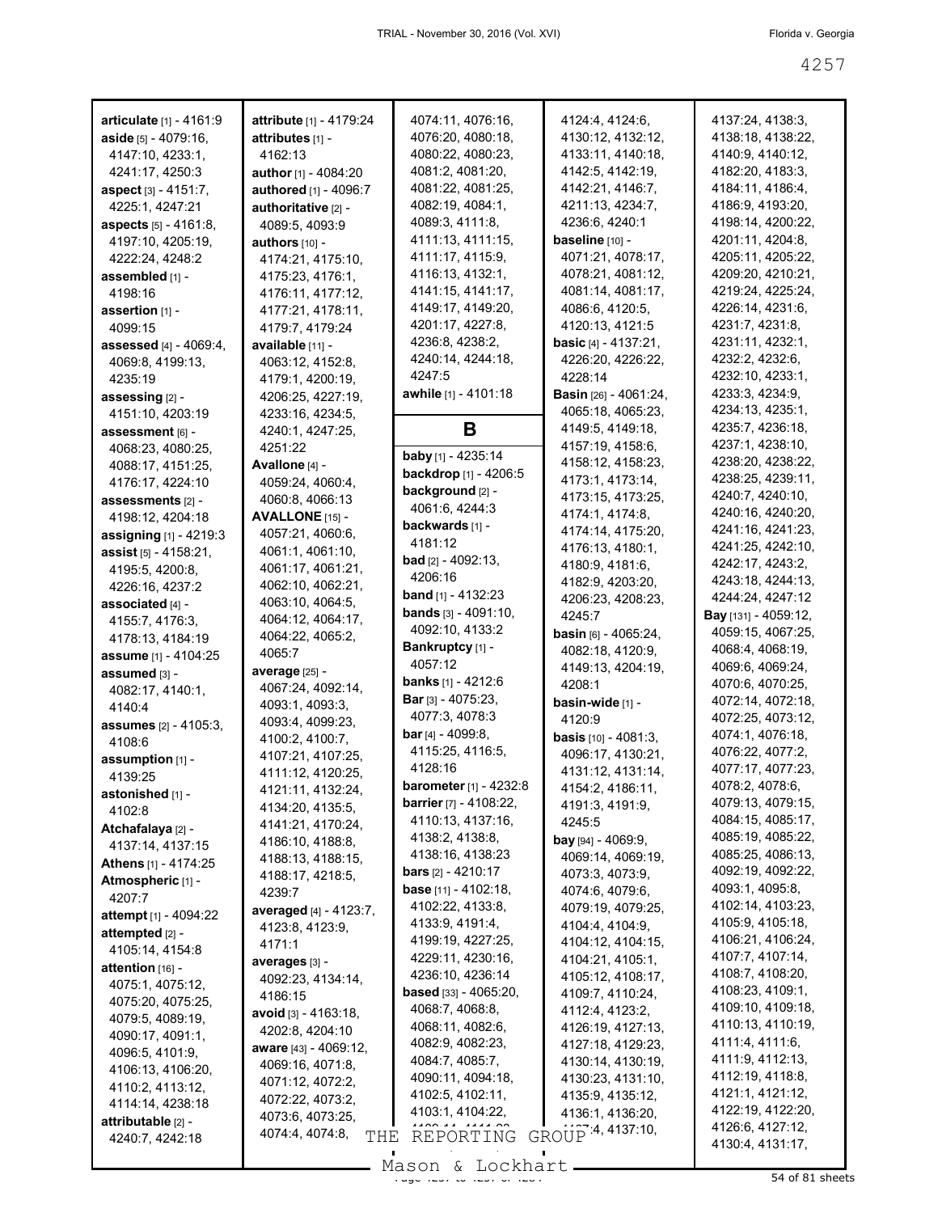| <b>articulate</b> [1] - 4161:9        | <b>attribute</b> [1] - 4179:24 | 4074:11, 4076:16,                    | 4124:4, 4124:6,                                | 4137:24, 4138:3,            |
|---------------------------------------|--------------------------------|--------------------------------------|------------------------------------------------|-----------------------------|
| aside [5] - 4079:16,                  | attributes [1] -               | 4076:20, 4080:18,                    | 4130:12, 4132:12,                              | 4138:18, 4138:22,           |
| 4147:10, 4233:1,                      | 4162:13                        | 4080:22, 4080:23,                    | 4133:11, 4140:18,                              | 4140:9, 4140:12,            |
| 4241:17, 4250:3                       | author [1] - 4084:20           | 4081:2, 4081:20,                     | 4142:5, 4142:19,                               | 4182:20, 4183:3,            |
| <b>aspect</b> [3] - 4151:7,           | authored [1] - 4096:7          | 4081:22, 4081:25,                    | 4142:21, 4146:7,                               | 4184:11, 4186:4,            |
| 4225:1, 4247:21                       | authoritative [2] -            | 4082:19, 4084:1,                     | 4211:13, 4234:7,                               | 4186:9, 4193:20,            |
| <b>aspects</b> [5] - 4161:8,          | 4089:5, 4093:9                 | 4089:3, 4111:8,                      | 4236:6, 4240:1                                 | 4198:14, 4200:22,           |
| 4197:10, 4205:19,                     | <b>authors</b> $[10] -$        | 4111:13, 4111:15,                    | <b>baseline</b> [10] -                         | 4201:11, 4204:8,            |
| 4222:24, 4248:2                       | 4174:21, 4175:10,              | 4111:17, 4115:9,                     | 4071:21, 4078:17,                              | 4205:11, 4205:22,           |
| assembled [1] -                       | 4175:23, 4176:1,               | 4116:13, 4132:1,                     | 4078:21, 4081:12,                              | 4209:20, 4210:21,           |
| 4198:16                               | 4176:11, 4177:12,              | 4141:15, 4141:17,                    | 4081:14, 4081:17,                              | 4219:24, 4225:24,           |
| assertion $[1]$ -                     | 4177:21, 4178:11,              | 4149:17, 4149:20,                    | 4086:6, 4120:5,                                | 4226:14, 4231:6,            |
| 4099:15                               | 4179:7, 4179:24                | 4201:17, 4227:8,                     | 4120:13, 4121:5                                | 4231:7, 4231:8,             |
| <b>assessed</b> $[4] - 4069:4$ ,      | available [11] -               | 4236:8, 4238:2,                      | <b>basic</b> [4] - 4137:21,                    | 4231:11, 4232:1,            |
| 4069:8, 4199:13,                      | 4063:12, 4152:8,               | 4240:14, 4244:18,                    | 4226:20, 4226:22,                              | 4232:2, 4232:6,             |
| 4235:19                               | 4179:1, 4200:19,               | 4247:5                               | 4228:14                                        | 4232:10, 4233:1,            |
| assessing <sub>[2]</sub> -            | 4206:25, 4227:19,              | <b>awhile</b> [1] - 4101:18          | <b>Basin</b> [26] - 4061:24,                   | 4233:3, 4234:9,             |
| 4151:10, 4203:19                      | 4233:16, 4234:5,               |                                      | 4065:18, 4065:23,                              | 4234:13, 4235:1,            |
|                                       | 4240:1, 4247:25,               | В                                    | 4149:5, 4149:18,                               | 4235:7, 4236:18,            |
| assessment [6] -<br>4068:23, 4080:25, | 4251:22                        |                                      | 4157:19, 4158:6,                               | 4237:1, 4238:10,            |
|                                       | Avallone $[4]$ -               | <b>baby</b> [1] - 4235:14            | 4158:12, 4158:23,                              | 4238:20, 4238:22,           |
| 4088:17, 4151:25,                     |                                | backdrop [1] - 4206:5                | 4173:1, 4173:14,                               | 4238:25, 4239:11,           |
| 4176:17, 4224:10                      | 4059:24, 4060:4,               | background [2] -                     | 4173:15, 4173:25,                              | 4240:7, 4240:10,            |
| assessments [2] -                     | 4060:8, 4066:13                | 4061:6, 4244:3                       | 4174:1, 4174:8,                                | 4240:16, 4240:20,           |
| 4198:12, 4204:18                      | <b>AVALLONE</b> [15] -         | backwards און -                      | 4174:14, 4175:20,                              | 4241:16, 4241:23,           |
| <b>assigning</b> [1] - 4219:3         | 4057:21, 4060:6,               | 4181:12                              | 4176:13, 4180:1,                               | 4241:25, 4242:10,           |
| <b>assist</b> [5] - 4158:21,          | 4061:1, 4061:10,               | <b>bad</b> [2] - 4092:13,            | 4180:9, 4181:6,                                | 4242:17, 4243:2,            |
| 4195:5, 4200:8,                       | 4061:17, 4061:21,              | 4206:16                              | 4182:9, 4203:20,                               | 4243:18, 4244:13,           |
| 4226:16, 4237:2                       | 4062:10, 4062:21,              | <b>band</b> [1] - 4132:23            | 4206:23, 4208:23,                              | 4244:24, 4247:12            |
| associated [4] -                      | 4063:10, 4064:5,               | <b>bands</b> $[3]$ - 4091:10,        | 4245:7                                         | <b>Bay</b> [131] - 4059:12, |
| 4155:7, 4176:3,                       | 4064:12, 4064:17,              | 4092:10, 4133:2                      | <b>basin</b> $[6] - 4065:24$ ,                 | 4059:15, 4067:25,           |
| 4178:13, 4184:19                      | 4064:22, 4065:2,               | Bankruptcy [1] -                     | 4082:18, 4120:9,                               | 4068:4, 4068:19,            |
| <b>assume</b> [1] - 4104:25           | 4065:7                         | 4057:12                              | 4149:13, 4204:19,                              | 4069:6, 4069:24,            |
| assumed [3] -                         | <b>average</b> [25] -          | <b>banks</b> [1] - 4212:6            | 4208:1                                         | 4070:6, 4070:25,            |
| 4082:17, 4140:1,                      | 4067:24, 4092:14,              | <b>Bar</b> [3] - 4075:23,            | basin-wide [1] -                               | 4072:14, 4072:18,           |
| 4140:4                                | 4093:1, 4093:3,                | 4077:3, 4078:3                       | 4120.9                                         | 4072:25, 4073:12,           |
| <b>assumes</b> [2] - 4105:3,          | 4093:4, 4099:23,               | <b>bar</b> [4] - 4099:8,             |                                                | 4074:1, 4076:18,            |
| 4108:6                                | 4100:2, 4100:7,                | 4115:25, 4116:5,                     | <b>basis</b> $[10] - 4081:3$ ,                 | 4076:22, 4077:2,            |
| assumption $[1]$ -                    | 4107:21, 4107:25,              | 4128:16                              | 4096:17, 4130:21,                              | 4077:17, 4077:23,           |
| 4139:25                               | 4111:12, 4120:25,              | <b>barometer</b> [1] - 4232:8        | 4131:12, 4131:14,                              | 4078:2, 4078:6,             |
| astonished [1] -                      | 4121:11, 4132:24,              | <b>barrier</b> [7] - 4108:22,        | 4154:2, 4186:11,                               | 4079:13, 4079:15,           |
| 4102:8                                | 4134:20, 4135:5,               | 4110:13, 4137:16,                    | 4191:3, 4191:9,                                | 4084:15, 4085:17,           |
| <b>Atchafalaya</b> [2] -              | 4141:21, 4170:24,              | 4138:2, 4138:8,                      | 4245:5                                         | 4085:19, 4085:22,           |
| 4137:14, 4137:15                      | 4186:10, 4188:8,               | 4138:16, 4138:23                     | <b>bay</b> [94] - 4069:9,<br>4069:14, 4069:19, | 4085:25, 4086:13,           |
| <b>Athens</b> [1] - 4174:25           | 4188:13, 4188:15,              | <b>bars</b> [2] - 4210:17            |                                                | 4092:19, 4092:22,           |
| <b>Atmospheric [1] -</b>              | 4188:17, 4218:5,               | <b>base</b> $[11] - 4102:18$ ,       | 4073:3, 4073:9,                                | 4093:1, 4095:8,             |
| 4207:7                                | 4239:7                         | 4102:22, 4133:8,                     | 4074:6, 4079:6,                                | 4102:14, 4103:23,           |
| attempt [1] - 4094:22                 | averaged [4] - 4123:7,         | 4133:9, 4191:4,                      | 4079:19, 4079:25,                              | 4105:9, 4105:18,            |
| attempted [2] -                       | 4123:8, 4123:9,                | 4199:19, 4227:25,                    | 4104:4, 4104:9,                                | 4106:21, 4106:24,           |
| 4105:14, 4154:8                       | 4171:1                         | 4229:11, 4230:16,                    | 4104:12, 4104:15,<br>4104:21, 4105:1,          | 4107:7, 4107:14,            |
| attention [16] -                      | averages [3] -                 | 4236:10, 4236:14                     |                                                | 4108:7, 4108:20,            |
| 4075:1, 4075:12,                      | 4092:23, 4134:14,              | <b>based</b> [33] - $4065:20$ ,      | 4105:12, 4108:17,                              | 4108:23, 4109:1,            |
| 4075:20, 4075:25,                     | 4186:15                        | 4068:7, 4068:8,                      | 4109:7, 4110:24,                               | 4109:10, 4109:18,           |
| 4079:5, 4089:19,                      | avoid [3] - 4163:18,           | 4068:11, 4082:6,                     | 4112:4, 4123:2,                                | 4110:13, 4110:19,           |
| 4090:17, 4091:1,                      | 4202:8, 4204:10                | 4082:9, 4082:23,                     | 4126:19, 4127:13,                              | 4111:4, 4111:6,             |
| 4096:5, 4101:9,                       | aware [43] - 4069:12,          |                                      | 4127:18, 4129:23,                              | 4111:9, 4112:13,            |
| 4106:13, 4106:20,                     | 4069:16, 4071:8,               | 4084:7, 4085:7,<br>4090:11, 4094:18, | 4130:14, 4130:19,                              | 4112:19, 4118:8,            |
| 4110:2, 4113:12,                      | 4071:12, 4072:2,               |                                      | 4130:23, 4131:10,                              | 4121:1, 4121:12,            |
| 4114:14, 4238:18                      | 4072:22, 4073:2,               | 4102:5, 4102:11,                     | 4135:9, 4135:12,                               | 4122:19, 4122:20,           |
| attributable [2] -                    | 4073:6, 4073:25,               | 4103:1, 4104:22,                     | 4136:1, 4136:20,                               | 4126:6, 4127:12,            |
| 4240:7, 4242:18                       | 4074:4, 4074:8,<br>THE         | REPORTING                            | GROUP <sup>4, 4137:10,</sup>                   | 4130:4, 4131:17,            |
|                                       |                                | Mason & Lockhart                     |                                                |                             |
|                                       |                                |                                      |                                                |                             |

Mason & Lockhart 11, 1998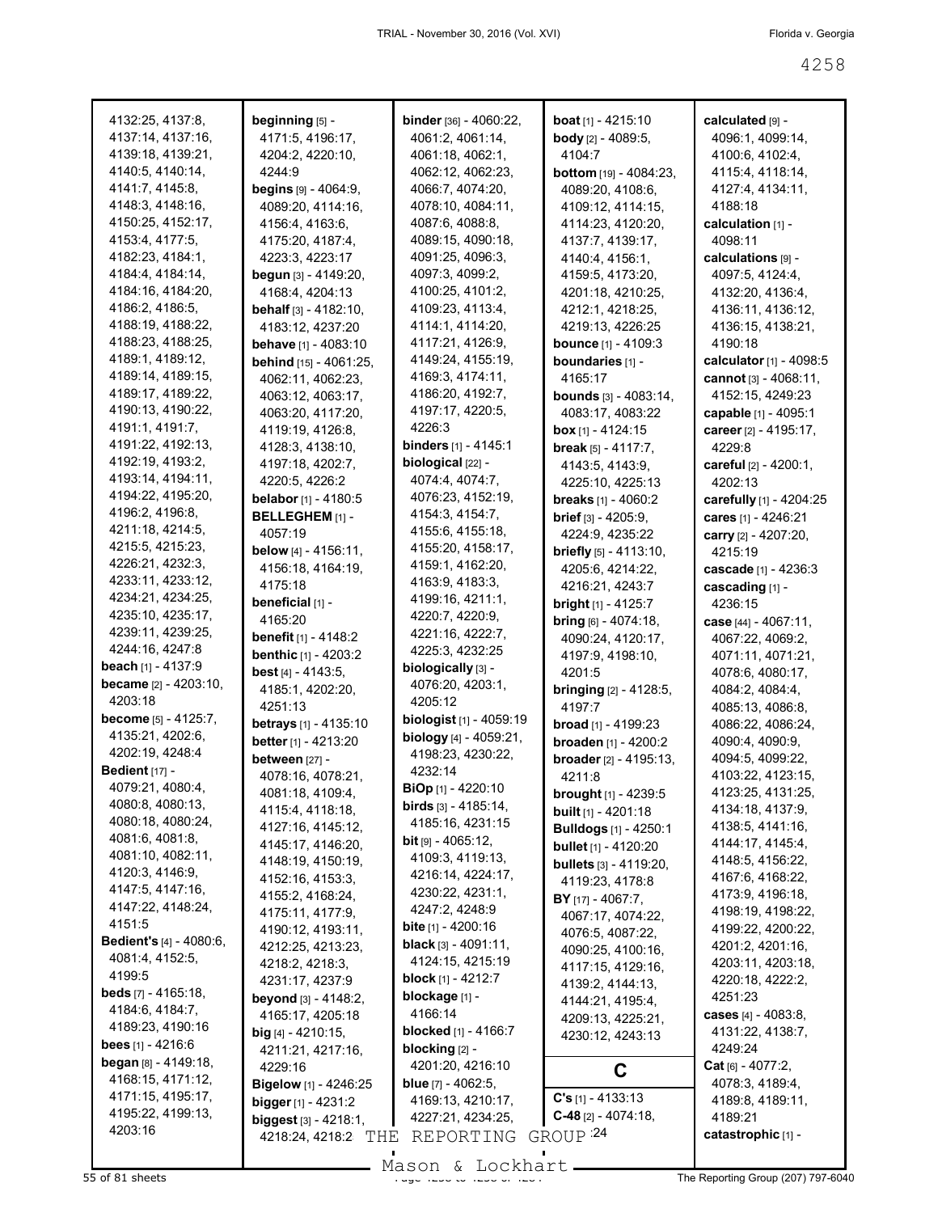| 4132:25, 4137:8,                | beginning [5] -                 | <b>binder</b> [36] - 4060:22,  | <b>boat</b> $[1]$ - 4215:10      | calculated [9] -         |
|---------------------------------|---------------------------------|--------------------------------|----------------------------------|--------------------------|
| 4137:14, 4137:16,               | 4171:5, 4196:17,                | 4061:2, 4061:14,               | <b>body</b> [2] - 4089:5,        | 4096:1, 4099:14,         |
| 4139:18, 4139:21,               | 4204:2, 4220:10,                | 4061:18, 4062:1,               | 4104.7                           | 4100:6, 4102:4,          |
| 4140:5, 4140:14,                | 4244:9                          | 4062:12, 4062:23,              | <b>bottom</b> [19] - 4084:23,    | 4115:4, 4118:14,         |
| 4141:7, 4145:8,                 | <b>begins</b> $[9] - 4064:9$ ,  | 4066:7, 4074:20,               | 4089:20, 4108:6,                 | 4127:4, 4134:11,         |
| 4148:3, 4148:16,                | 4089:20, 4114:16,               | 4078:10, 4084:11,              | 4109:12, 4114:15,                | 4188:18                  |
| 4150:25, 4152:17,               | 4156:4, 4163:6,                 | 4087:6, 4088:8,                |                                  | calculation [1] -        |
|                                 |                                 |                                | 4114:23, 4120:20,                |                          |
| 4153:4, 4177:5,                 | 4175:20, 4187:4,                | 4089:15, 4090:18,              | 4137:7, 4139:17,                 | 4098:11                  |
| 4182:23, 4184:1,                | 4223:3, 4223:17                 | 4091:25, 4096:3,               | 4140:4, 4156:1,                  | calculations [9] -       |
| 4184:4, 4184:14,                | begun [3] - 4149:20,            | 4097:3, 4099:2,                | 4159:5, 4173:20,                 | 4097:5, 4124:4,          |
| 4184:16, 4184:20,               | 4168:4, 4204:13                 | 4100:25, 4101:2,               | 4201:18, 4210:25,                | 4132:20, 4136:4,         |
| 4186:2, 4186:5,                 | <b>behalf</b> $[3] - 4182:10$ , | 4109:23, 4113:4,               | 4212:1, 4218:25,                 | 4136:11, 4136:12,        |
| 4188:19, 4188:22,               | 4183:12, 4237:20                | 4114:1, 4114:20,               | 4219:13, 4226:25                 | 4136:15, 4138:21,        |
| 4188:23, 4188:25,               | behave [1] - 4083:10            | 4117:21, 4126:9,               | <b>bounce</b> [1] - 4109:3       | 4190:18                  |
| 4189:1, 4189:12,                | behind [15] - 4061:25,          | 4149:24, 4155:19,              | boundaries [1] -                 | calculator [1] - 4098:5  |
| 4189:14, 4189:15,               | 4062:11, 4062:23,               | 4169:3, 4174:11,               | 4165:17                          | cannot $[3] - 4068:11$ , |
| 4189:17, 4189:22,               | 4063:12, 4063:17,               | 4186:20, 4192:7,               | <b>bounds</b> $[3] - 4083:14$ ,  | 4152:15, 4249:23         |
| 4190:13, 4190:22,               | 4063:20, 4117:20,               | 4197:17, 4220:5,               | 4083:17, 4083:22                 | capable [1] - 4095:1     |
| 4191:1, 4191:7,                 | 4119:19, 4126:8,                | 4226:3                         | box $[1] - 4124:15$              | career [2] - 4195:17,    |
| 4191:22, 4192:13,               | 4128:3, 4138:10,                | <b>binders</b> [1] - 4145:1    | break $[5] - 4117:7,$            | 4229:8                   |
| 4192:19, 4193:2,                | 4197:18, 4202:7,                | biological [22] -              | 4143.5, 4143.9,                  | careful [2] - 4200:1,    |
| 4193:14, 4194:11,               | 4220:5, 4226:2                  | 4074:4, 4074:7,                | 4225:10, 4225:13                 | 4202:13                  |
| 4194:22, 4195:20,               | belabor [1] - 4180:5            | 4076:23, 4152:19,              |                                  |                          |
| 4196:2, 4196:8,                 |                                 | 4154:3, 4154:7,                | <b>breaks</b> $[1] - 4060:2$     | carefully [1] - 4204:25  |
| 4211:18, 4214:5,                | BELLEGHEM [1] -                 | 4155:6, 4155:18,               | <b>brief</b> $[3] - 4205:9$ ,    | cares [1] - 4246:21      |
| 4215:5, 4215:23,                | 4057:19                         |                                | 4224:9, 4235:22                  | carry [2] - 4207:20,     |
|                                 | below [4] - 4156:11,            | 4155:20, 4158:17,              | <b>briefly</b> $[5] - 4113:10$ , | 4215:19                  |
| 4226:21, 4232:3,                | 4156:18, 4164:19,               | 4159:1, 4162:20,               | 4205:6, 4214:22,                 | cascade [1] - 4236:3     |
| 4233:11, 4233:12,               | 4175:18                         | 4163:9, 4183:3,                | 4216:21, 4243:7                  | cascading [1] -          |
| 4234:21, 4234:25,               | beneficial [1] -                | 4199:16, 4211:1,               | <b>bright</b> $[1] - 4125:7$     | 4236:15                  |
| 4235:10, 4235:17,               | 4165:20                         | 4220:7, 4220:9,                | bring $[6] - 4074:18$ ,          | case [44] - 4067:11,     |
| 4239:11, 4239:25,               | <b>benefit</b> [1] - 4148:2     | 4221:16, 4222:7,               | 4090:24, 4120:17,                | 4067:22, 4069:2,         |
| 4244:16, 4247:8                 | <b>benthic</b> [1] - 4203:2     | 4225:3, 4232:25                | 4197:9, 4198:10,                 | 4071:11, 4071:21,        |
| <b>beach</b> $[1] - 4137:9$     | <b>best</b> [4] $- 4143:5,$     | biologically [3] -             | 4201:5                           | 4078:6, 4080:17,         |
| <b>became</b> $[2] - 4203:10$ , | 4185:1, 4202:20,                | 4076:20, 4203:1,               | <b>bringing</b> $[2] - 4128:5$ , | 4084:2, 4084:4,          |
| 4203:18                         | 4251:13                         | 4205:12                        | 4197.7                           | 4085:13, 4086:8,         |
| <b>become</b> $[5] - 4125:7$ ,  | <b>betrays</b> [1] - 4135:10    | biologist [1] - 4059:19        | <b>broad</b> $[1] - 4199:23$     | 4086:22, 4086:24,        |
| 4135:21, 4202:6,                | better [1] - 4213:20            | biology [4] - 4059:21,         | broaden [1] - 4200:2             | 4090:4, 4090:9,          |
| 4202:19, 4248:4                 | between [27] -                  | 4198:23, 4230:22,              | broader [2] - 4195:13,           | 4094:5, 4099:22,         |
| <b>Bedient</b> [17] -           | 4078:16, 4078:21,               | 4232:14                        | 4211:8                           | 4103:22, 4123:15,        |
| 4079:21, 4080:4,                |                                 | BiOp [1] - 4220:10             |                                  |                          |
| 4080:8, 4080:13,                | 4081:18, 4109:4,                | <b>birds</b> $[3] - 4185:14$ , | <b>brought</b> $[1] - 4239:5$    | 4123:25, 4131:25,        |
| 4080:18, 4080:24,               | 4115:4, 4118:18.                | 4185:16, 4231:15               | built [1] - 4201:18              | 4134:18, 4137:9,         |
| 4081:6, 4081:8,                 | 4127:16, 4145:12,               | <b>bit</b> [9] $-$ 4065:12,    | <b>Bulldogs</b> [1] - 4250:1     | 4138:5, 4141:16,         |
| 4081:10, 4082:11,               | 4145:17, 4146:20,               | 4109:3, 4119:13,               | bullet [1] - 4120:20             | 4144:17, 4145:4,         |
| 4120:3, 4146:9,                 | 4148:19, 4150:19,               | 4216:14, 4224:17,              | <b>bullets</b> [3] - 4119:20,    | 4148:5, 4156:22,         |
| 4147:5, 4147:16,                | 4152:16, 4153:3,                |                                | 4119:23, 4178:8                  | 4167:6, 4168:22,         |
| 4147:22, 4148:24,               | 4155:2, 4168:24,                | 4230:22, 4231:1,               | BY [17] - 4067:7,                | 4173:9, 4196:18,         |
| 4151:5                          | 4175:11, 4177:9,                | 4247:2, 4248:9                 | 4067:17, 4074:22,                | 4198:19, 4198:22,        |
| <b>Bedient's [4] - 4080:6,</b>  | 4190:12, 4193:11,               | bite [1] - 4200:16             | 4076:5, 4087:22,                 | 4199:22, 4200:22,        |
|                                 | 4212:25, 4213:23,               | <b>black</b> $[3] - 4091:11$ , | 4090:25, 4100:16,                | 4201:2, 4201:16,         |
| 4081:4, 4152:5,                 | 4218:2, 4218:3,                 | 4124:15, 4215:19               | 4117:15, 4129:16,                | 4203:11, 4203:18,        |
| 4199:5                          | 4231:17, 4237:9                 | <b>block</b> [1] - 4212:7      | 4139:2, 4144:13,                 | 4220:18, 4222:2,         |
| <b>beds</b> $[7] - 4165:18$ ,   | beyond [3] - 4148:2,            | blockage [1] -                 | 4144:21, 4195:4,                 | 4251:23                  |
| 4184:6, 4184:7,                 | 4165:17, 4205:18                | 4166:14                        | 4209:13, 4225:21,                | cases [4] - 4083:8,      |
| 4189:23, 4190:16                | $big$ [4] - 4210:15,            | <b>blocked</b> [1] - 4166:7    | 4230:12, 4243:13                 | 4131:22, 4138:7,         |
| bees $[1] - 4216.6$             | 4211:21, 4217:16,               | blocking [2] -                 |                                  | 4249:24                  |
| began [8] - 4149:18,            | 4229:16                         | 4201:20, 4216:10               | C                                | $Cat_{[6]} - 4077:2,$    |
| 4168:15, 4171:12,               | Bigelow [1] - 4246:25           | <b>blue</b> $[7] - 4062:5$ ,   |                                  | 4078:3, 4189:4,          |
| 4171:15, 4195:17,               | bigger $[1] - 4231:2$           | 4169:13, 4210:17,              | $C's$ [1] - 4133:13              | 4189:8, 4189:11,         |
| 4195:22, 4199:13,               | biggest [3] - 4218:1,           | 4227:21, 4234:25,              | $C-48$ [2] - 4074:18,            | 4189:21                  |
| 4203:16                         | 4218:24, 4218:2 THE             | REPORTING                      | GROUP <sup>24</sup>              | catastrophic [1] -       |
|                                 |                                 |                                |                                  |                          |
|                                 |                                 |                                |                                  |                          |

Mason & Lockhart **Page 4268 of 81 sheets** Assembly Mason & Lockhart **Page 4267 of 81 sheets** of 4207) 797-6040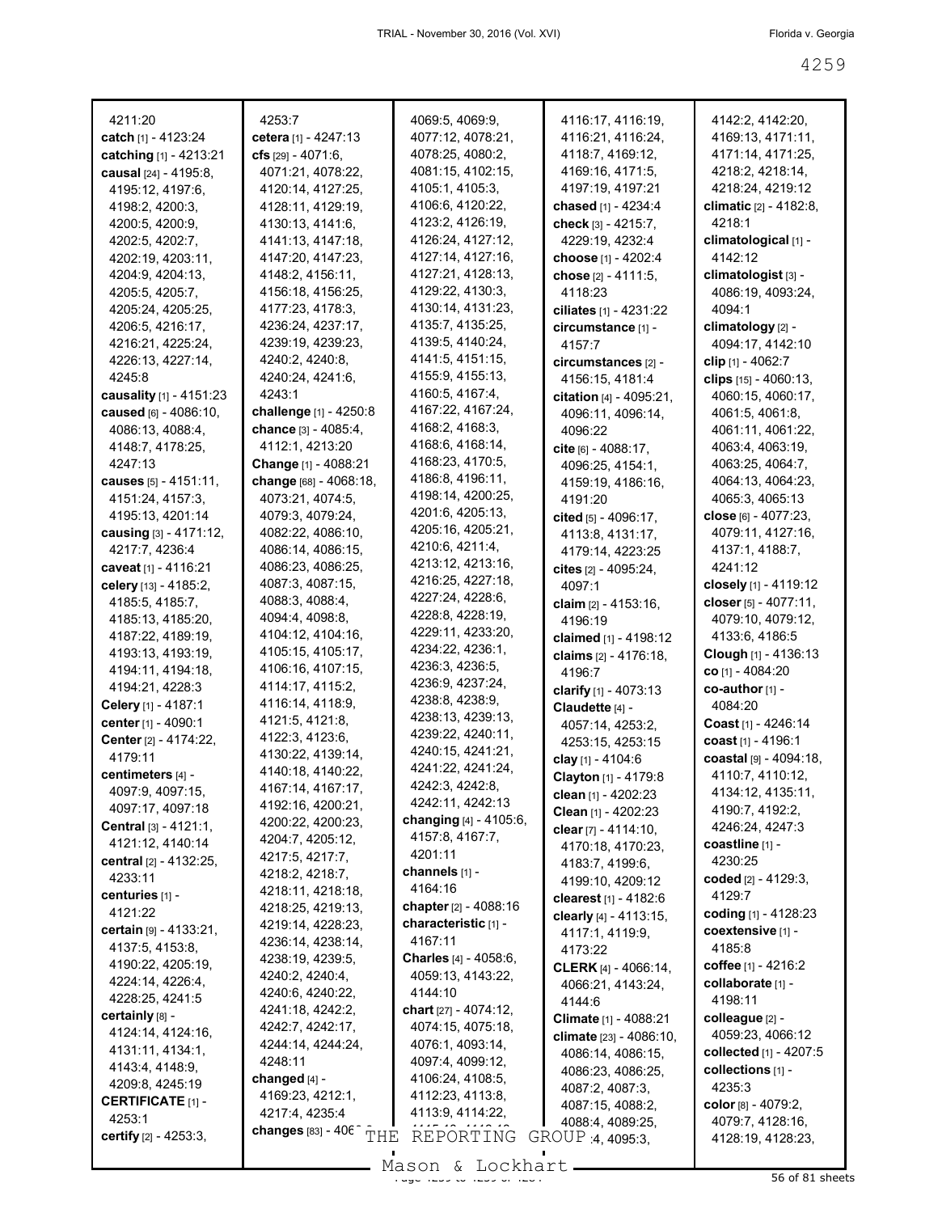| 4211:20                                   | 4253:7                                | 4069:5, 4069:9,                        | 4116:17, 4116:19,                         | 4142:2, 4142:20,                     |
|-------------------------------------------|---------------------------------------|----------------------------------------|-------------------------------------------|--------------------------------------|
| <b>catch</b> [1] - 4123:24                | cetera [1] - $4247:13$                | 4077:12, 4078:21,                      | 4116:21, 4116:24,                         | 4169:13, 4171:11,                    |
| catching [1] - 4213:21                    | <b>cfs</b> $[29] - 4071:6$ ,          | 4078:25, 4080:2,                       | 4118:7, 4169:12,                          | 4171:14, 4171:25,                    |
| causal [24] - 4195:8,                     | 4071:21, 4078:22,                     | 4081:15, 4102:15,                      | 4169:16, 4171:5,                          | 4218:2, 4218:14,                     |
| 4195:12, 4197:6,                          | 4120:14, 4127:25,                     | 4105:1, 4105:3,                        | 4197:19, 4197:21                          | 4218:24, 4219:12                     |
| 4198:2, 4200:3,                           | 4128:11, 4129:19,                     | 4106:6, 4120:22,                       | <b>chased</b> [1] - 4234:4                | <b>climatic</b> [2] - 4182:8,        |
| 4200:5, 4200:9,                           | 4130:13, 4141:6,                      | 4123:2, 4126:19,                       | check $[3] - 4215.7$ ,                    | 4218:1                               |
| 4202:5, 4202:7,                           | 4141:13, 4147:18,                     | 4126:24, 4127:12,                      | 4229:19, 4232:4                           | climatological [1] -                 |
| 4202:19, 4203:11,                         | 4147:20, 4147:23,                     | 4127:14, 4127:16,<br>4127:21, 4128:13, | choose [1] - 4202:4                       | 4142:12                              |
| 4204:9, 4204:13,                          | 4148:2, 4156:11,                      | 4129:22, 4130:3,                       | <b>chose</b> [2] - 4111:5,                | climatologist [3] -                  |
| 4205:5, 4205:7,                           | 4156:18, 4156:25,                     | 4130:14, 4131:23,                      | 4118:23                                   | 4086:19, 4093:24,                    |
| 4205:24, 4205:25,                         | 4177:23, 4178:3,                      | 4135:7, 4135:25,                       | ciliates $[1] - 4231:22$                  | 4094:1                               |
| 4206:5, 4216:17,                          | 4236:24, 4237:17,                     | 4139:5, 4140:24,                       | circumstance [1] -                        | climatology [2] -                    |
| 4216:21, 4225:24,                         | 4239:19, 4239:23,<br>4240:2, 4240:8,  | 4141:5, 4151:15,                       | 4157:7                                    | 4094:17, 4142:10                     |
| 4226:13, 4227:14,<br>4245:8               | 4240:24, 4241:6,                      | 4155:9, 4155:13,                       | circumstances [2] -                       | clip $[1]$ - 4062:7                  |
|                                           | 4243:1                                | 4160:5, 4167:4,                        | 4156:15, 4181:4                           | clips [15] - 4060:13,                |
| causality [1] - 4151:23                   | challenge [1] - 4250:8                | 4167:22, 4167:24,                      |                                           | 4060:15, 4060:17,                    |
| caused [6] - 4086:10,<br>4086:13, 4088:4, | chance $[3] - 4085:4$                 | 4168:2, 4168:3,                        | 4096:11, 4096:14,                         | 4061:5, 4061:8,                      |
| 4148:7, 4178:25,                          | 4112:1, 4213:20                       | 4168:6, 4168:14,                       | 4096:22                                   | 4061:11, 4061:22,                    |
| 4247:13                                   | Change [1] - 4088:21                  | 4168:23, 4170:5,                       | cite $[6] - 4088:17$ ,                    | 4063:4, 4063:19,                     |
| causes [5] - 4151:11,                     | change [68] - 4068:18,                | 4186:8, 4196:11,                       | 4096:25, 4154:1,                          | 4063:25, 4064:7,                     |
| 4151:24, 4157:3,                          | 4073:21, 4074:5,                      | 4198:14, 4200:25,                      | 4159:19, 4186:16,<br>4191:20              | 4064:13, 4064:23,<br>4065:3, 4065:13 |
| 4195:13, 4201:14                          | 4079:3, 4079:24,                      | 4201:6, 4205:13,                       |                                           | close <sub>[6]</sub> - 4077:23,      |
| causing [3] - 4171:12,                    | 4082:22, 4086:10,                     | 4205:16, 4205:21,                      | cited $[5] - 4096:17$ ,                   | 4079:11, 4127:16,                    |
| 4217:7, 4236:4                            | 4086:14, 4086:15,                     | 4210:6, 4211:4,                        | 4113:8, 4131:17,<br>4179:14, 4223:25      | 4137:1, 4188:7,                      |
| caveat [1] - 4116:21                      | 4086:23, 4086:25,                     | 4213:12, 4213:16,                      |                                           | 4241:12                              |
| celery [13] - 4185:2,                     | 4087:3, 4087:15,                      | 4216:25, 4227:18,                      | <b>cites</b> [2] - 4095:24,<br>4097:1     | closely [1] - 4119:12                |
| 4185:5, 4185:7,                           | 4088:3, 4088:4,                       | 4227:24, 4228:6,                       |                                           | closer [5] - 4077:11,                |
| 4185:13, 4185:20,                         | 4094:4, 4098:8,                       | 4228:8, 4228:19,                       | <b>claim</b> $[2] - 4153:16$ ,<br>4196:19 | 4079:10, 4079:12,                    |
| 4187:22, 4189:19,                         | 4104:12, 4104:16,                     | 4229:11, 4233:20,                      | claimed [1] - 4198:12                     | 4133:6, 4186:5                       |
| 4193:13, 4193:19,                         | 4105:15, 4105:17,                     | 4234:22, 4236:1,                       | claims [2] - 4176:18,                     | <b>Clough</b> [1] - 4136:13          |
| 4194:11, 4194:18,                         | 4106:16, 4107:15,                     | 4236:3, 4236:5,                        | 4196:7                                    | <b>co</b> [1] - 4084:20              |
| 4194:21, 4228:3                           | 4114:17, 4115:2,                      | 4236:9, 4237:24,                       | clarify $[1] - 4073:13$                   | $co$ -author $[1]$ -                 |
| Celery [1] - 4187:1                       | 4116:14, 4118:9,                      | 4238:8, 4238:9,                        | Claudette [4] -                           | 4084:20                              |
| center [1] - 4090:1                       | 4121:5, 4121:8,                       | 4238:13, 4239:13,                      | 4057:14, 4253:2,                          | Coast [1] - 4246:14                  |
| <b>Center</b> [2] - 4174:22,              | 4122:3, 4123:6,                       | 4239:22, 4240:11,                      | 4253:15, 4253:15                          | coast $[1] - 4196:1$                 |
| 4179:11                                   | 4130:22, 4139:14,                     | 4240:15, 4241:21,                      | clay [1] - 4104:6                         | coastal [9] - 4094:18,               |
| centimeters [4] -                         | 4140:18, 4140:22,                     | 4241:22, 4241:24,                      | Clayton [1] - 4179:8                      | 4110:7, 4110:12,                     |
| 4097:9, 4097:15,                          | 4167:14, 4167:17,                     | 4242:3, 4242:8,                        | clean [1] - 4202:23                       | 4134:12, 4135:11,                    |
| 4097:17, 4097:18                          | 4192:16, 4200:21,                     | 4242:11, 4242:13                       | Clean $[1] - 4202:23$                     | 4190:7, 4192:2,                      |
| Central [3] - 4121:1,                     | 4200:22, 4200:23,                     | changing $[4] - 4105.6$ ,              | clear $[7] - 4114:10$ ,                   | 4246:24, 4247:3                      |
| 4121:12, 4140:14                          | 4204:7, 4205:12,                      | 4157:8, 4167:7,                        | 4170:18, 4170:23,                         | coastline [1] -                      |
| central [2] - 4132:25,                    | 4217:5, 4217:7,                       | 4201:11                                | 4183:7, 4199:6,                           | 4230:25                              |
| 4233:11                                   | 4218:2, 4218:7,                       | channels [1] -                         | 4199:10, 4209:12                          | coded $[2] - 4129:3,$                |
| centuries [1] -                           | 4218:11, 4218:18,                     | 4164:16                                | clearest [1] - 4182:6                     | 4129:7                               |
| 4121:22                                   | 4218:25, 4219:13,                     | chapter [2] - 4088:16                  | clearly [4] - 4113:15,                    | coding [1] - 4128:23                 |
| certain [9] - 4133:21,                    | 4219:14, 4228:23,                     | characteristic [1] -                   | 4117:1, 4119:9,                           | coextensive [1] -                    |
| 4137:5, 4153:8,                           | 4236:14, 4238:14,                     | 4167:11                                | 4173:22                                   | 4185:8                               |
| 4190:22, 4205:19,                         | 4238:19, 4239:5,                      | <b>Charles</b> $[4] - 4058:6,$         | <b>CLERK</b> [4] - 4066:14,               | coffee $[1] - 4216:2$                |
| 4224:14, 4226:4,                          | 4240:2, 4240:4,                       | 4059:13, 4143:22,                      | 4066:21, 4143:24,                         | collaborate [1] -                    |
| 4228:25, 4241:5                           | 4240:6, 4240:22,                      | 4144:10                                | 4144:6                                    | 4198:11                              |
| certainly [8] -                           | 4241:18, 4242:2,                      | chart [27] - 4074:12,                  | Climate [1] - 4088:21                     | colleague [2] -                      |
| 4124:14, 4124:16,                         | 4242:7, 4242:17,                      | 4074:15, 4075:18,                      | climate [23] - 4086:10,                   | 4059:23, 4066:12                     |
| 4131:11, 4134:1,                          | 4244:14, 4244:24,                     | 4076:1, 4093:14,                       | 4086:14, 4086:15,                         | collected [1] - 4207:5               |
| 4143:4, 4148:9,                           | 4248:11                               | 4097:4, 4099:12,                       | 4086:23, 4086:25,                         | collections [1] -                    |
| 4209:8, 4245:19                           | changed [4] -                         | 4106:24, 4108:5,                       | 4087:2, 4087:3,                           | 4235:3                               |
| <b>CERTIFICATE [1] -</b>                  | 4169:23, 4212:1,                      | 4112:23, 4113:8,                       | 4087:15, 4088:2,                          | color $[8] - 4079:2,$                |
| 4253:1                                    | 4217:4, 4235:4                        | 4113:9, 4114:22,                       | 4088:4, 4089:25,                          | 4079:7, 4128:16,                     |
| certify [2] - 4253:3,                     | changes $[83] - 406^\circ \text{THE}$ | REPORTING                              | GROUP 4, 4095:3,                          | 4128:19, 4128:23,                    |
|                                           |                                       | $Mogon$ $Iodrbost$                     |                                           |                                      |

Mason & Lockhart <u>external and the 4259 of 81 sheets</u>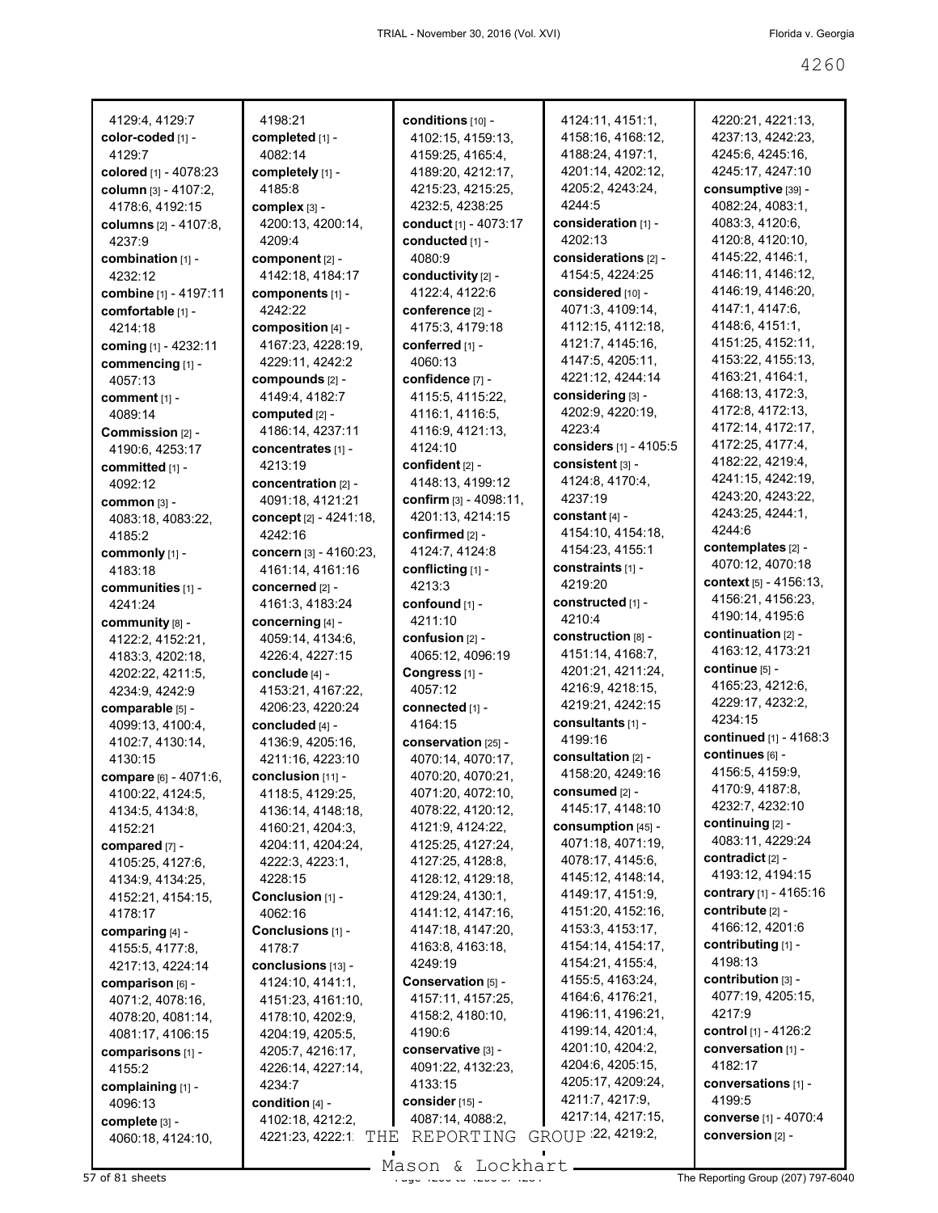| 4129:4, 4129:7                      |
|-------------------------------------|
| color-coded [1] -                   |
| 4129:7                              |
| colored [1] - 4078:23               |
| column [3] - 4107:2,                |
| 4178:6, 4192:15                     |
| columns [2] - 4107:8,               |
| 4237:9                              |
| combination [1] -<br>4232:12        |
| <b>combine</b> [1] - 4197:11        |
| comfortable [1] -                   |
| 4214:18                             |
| <b>coming</b> [1] - 4232:11         |
| commencing [1] -                    |
| 4057:13                             |
| comment [1] -                       |
| 4089:14                             |
| Commission [2] -                    |
| 4190:6, 4253:17                     |
| committed [1] -                     |
| 4092:12                             |
| <b>common</b> [3] -                 |
| 4083:18, 4083:22,                   |
| 4185:2<br>commonly [1] -            |
| 4183:18                             |
| communities [1] -                   |
| 4241:24                             |
| community [8] -                     |
| 4122:2, 4152:21,                    |
| 4183:3, 4202:18,                    |
| 4202:22, 4211:5,                    |
| 4234:9, 4242:9                      |
| comparable [5] -                    |
| 4099:13, 4100:4,                    |
| 4102:7, 4130:14,                    |
| 4130:15                             |
| compare [6] - 4071:6,               |
| 4100:22, 4124:5,<br>4134:5, 4134:8, |
| 4152:21                             |
| compared [7] -                      |
| 4105:25, 4127:6,                    |
| 4134:9, 4134:25,                    |
| 4152:21, 4154:15,                   |
| 4178:17                             |
| comparing [4] -                     |
| 4155:5, 4177:8,                     |
| 4217:13, 4224:14                    |
| comparison [6] -                    |
| 4071:2, 4078:16,                    |
| 4078:20, 4081:14,                   |
| 4081:17, 4106:15                    |
| comparisons [1] -                   |
| 4155:2                              |
| complaining [1] -<br>4096:13        |
| complete [3] -                      |
| 4060:18, 4124:10,                   |
|                                     |

4198:21 **completed** [1] -4082:14 **completely** [1] - 4185:8 **complex** [3] - 4200:13, 4200:14, 4209:4 **component** [2] - 4142:18, 4184:17 **components** [1] - 4242:22 **composition** [4] - 4167:23, 4228:19, 4229:11, 4242:2 **compounds** [2] - 4149:4, 4182:7 **computed** [2] - 4186:14, 4237:11 **concentrates** [1] - 4213:19 **concentration** [2] - 4091:18, 4121:21 **concept** [2] - 4241:18, 4242:16 **concern** [3] - 4160:23, 4161:14, 4161:16 **concerned** [2] - 4161:3, 4183:24 **concerning** [4] - 4059:14, 4134:6, 4226:4, 4227:15 **conclude** [4] - 4153:21, 4167:22, 4206:23, 4220:24 **concluded** [4] - 4136:9, 4205:16, 4211:16, 4223:10 **conclusion** [11] - 4118:5, 4129:25, 4136:14, 4148:18, 4160:21, 4204:3, 4204:11, 4204:24, 4222:3, 4223:1, 4228:15 **Conclusion** [1] - 4062:16 **Conclusions** [1] - 4178:7 **conclusions** [13] - 4124:10, 4141:1, 4151:23, 4161:10, 4178:10, 4202:9, 4204:19, 4205:5, 4205:7, 4216:17, 4226:14, 4227:14, 4234:7 **condition** [4] - 4102:18, 4212:2, 4221:23, 4222:1 THE REPORTING GROUP <sup>:22, 4219:2,</sup>

**conditions** [10] - 4102:15, 4159:13, 4159:25, 4165:4, 4189:20, 4212:17, 4215:23, 4215:25, 4232:5, 4238:25 **conduct** [1] - 4073:17 **conducted** [1] - 4080:9 **conductivity** [2] - 4122:4, 4122:6 **conference** [2] - 4175:3, 4179:18 **conferred** [1] - 4060:13 **confidence** [7] - 4115:5, 4115:22, 4116:1, 4116:5, 4116:9, 4121:13, 4124:10 **confident** [2] - 4148:13, 4199:12 **confirm** [3] - 4098:11, 4201:13, 4214:15 **confirmed** [2] - 4124:7, 4124:8 **conflicting** [1] - 4213:3 **confound** [1] - 4211:10 **confusion** [2] - 4065:12, 4096:19 **Congress** [1] - 4057:12 **connected** [1] - 4164:15 **conservation** [25] - 4070:14, 4070:17, 4070:20, 4070:21, 4071:20, 4072:10, 4078:22, 4120:12, 4121:9, 4124:22, 4125:25, 4127:24, 4127:25, 4128:8, 4128:12, 4129:18, 4129:24, 4130:1, 4141:12, 4147:16, 4147:18, 4147:20, 4163:8, 4163:18, 4249:19 **Conservation** [5] - 4157:11, 4157:25, 4158:2, 4180:10, 4190:6 **conservative** [3] - 4091:22, 4132:23, 4133:15 **consider** [15] - 4087:14, 4088:2,

4124:11, 4151:1, 4158:16, 4168:12, 4188:24, 4197:1, 4201:14, 4202:12, 4205:2, 4243:24, 4244:5 **consideration** [1] - 4202:13 **considerations** [2] - 4154:5, 4224:25 **considered** [10] -4071:3, 4109:14, 4112:15, 4112:18, 4121:7, 4145:16, 4147:5, 4205:11, 4221:12, 4244:14 **considering** [3] - 4202:9, 4220:19, 4223:4 **considers** [1] - 4105:5 **consistent** [3] - 4124:8, 4170:4, 4237:19 **constant** [4] - 4154:10, 4154:18, 4154:23, 4155:1 **constraints** [1] - 4219:20 **constructed** [1] - 4210:4 **construction** [8] - 4151:14, 4168:7, 4201:21, 4211:24, 4216:9, 4218:15, 4219:21, 4242:15 **consultants** [1] - 4199:16 **consultation** [2] - 4158:20, 4249:16 **consumed** [2] - 4145:17, 4148:10 **consumption** [45] - 4071:18, 4071:19, 4078:17, 4145:6, 4145:12, 4148:14, 4149:17, 4151:9, 4151:20, 4152:16, 4153:3, 4153:17, 4154:14, 4154:17, 4154:21, 4155:4, 4155:5, 4163:24, 4164:6, 4176:21, 4196:11, 4196:21, 4199:14, 4201:4, 4201:10, 4204:2, 4204:6, 4205:15, 4205:17, 4209:24, 4211:7, 4217:9, 4217:14, 4217:15,

4220:21, 4221:13, 4237:13, 4242:23, 4245:6, 4245:16, 4245:17, 4247:10 **consumptive** [39] - 4082:24, 4083:1, 4083:3, 4120:6, 4120:8, 4120:10, 4145:22, 4146:1, 4146:11, 4146:12, 4146:19, 4146:20, 4147:1, 4147:6, 4148:6, 4151:1, 4151:25, 4152:11, 4153:22, 4155:13, 4163:21, 4164:1, 4168:13, 4172:3, 4172:8, 4172:13, 4172:14, 4172:17, 4172:25, 4177:4, 4182:22, 4219:4, 4241:15, 4242:19, 4243:20, 4243:22, 4243:25, 4244:1, 4244:6 **contemplates** [2] - 4070:12, 4070:18 **context** [5] - 4156:13, 4156:21, 4156:23, 4190:14, 4195:6 **continuation** [2] - 4163:12, 4173:21 **continue** [5] - 4165:23, 4212:6, 4229:17, 4232:2, 4234:15 **continued** [1] - 4168:3 **continues** [6] - 4156:5, 4159:9, 4170:9, 4187:8, 4232:7, 4232:10 **continuing** [2] - 4083:11, 4229:24 **contradict** [2] - 4193:12, 4194:15 **contrary** [1] - 4165:16 **contribute** [2] - 4166:12, 4201:6 **contributing** [1] - 4198:13 **contribution** [3] - 4077:19, 4205:15, 4217:9 **control** [1] - 4126:2 **conversation** [1] - 4182:17 **conversations** [1] - 4199:5 **converse** [1] - 4070:4 **conversion** [2] -

57 of 81 sheets **Page 4260 of 4260 to 4260 of 4260 to 4260 of 4260 corporation** The Reporting Group (207) 797-6040 Mason & Lockhart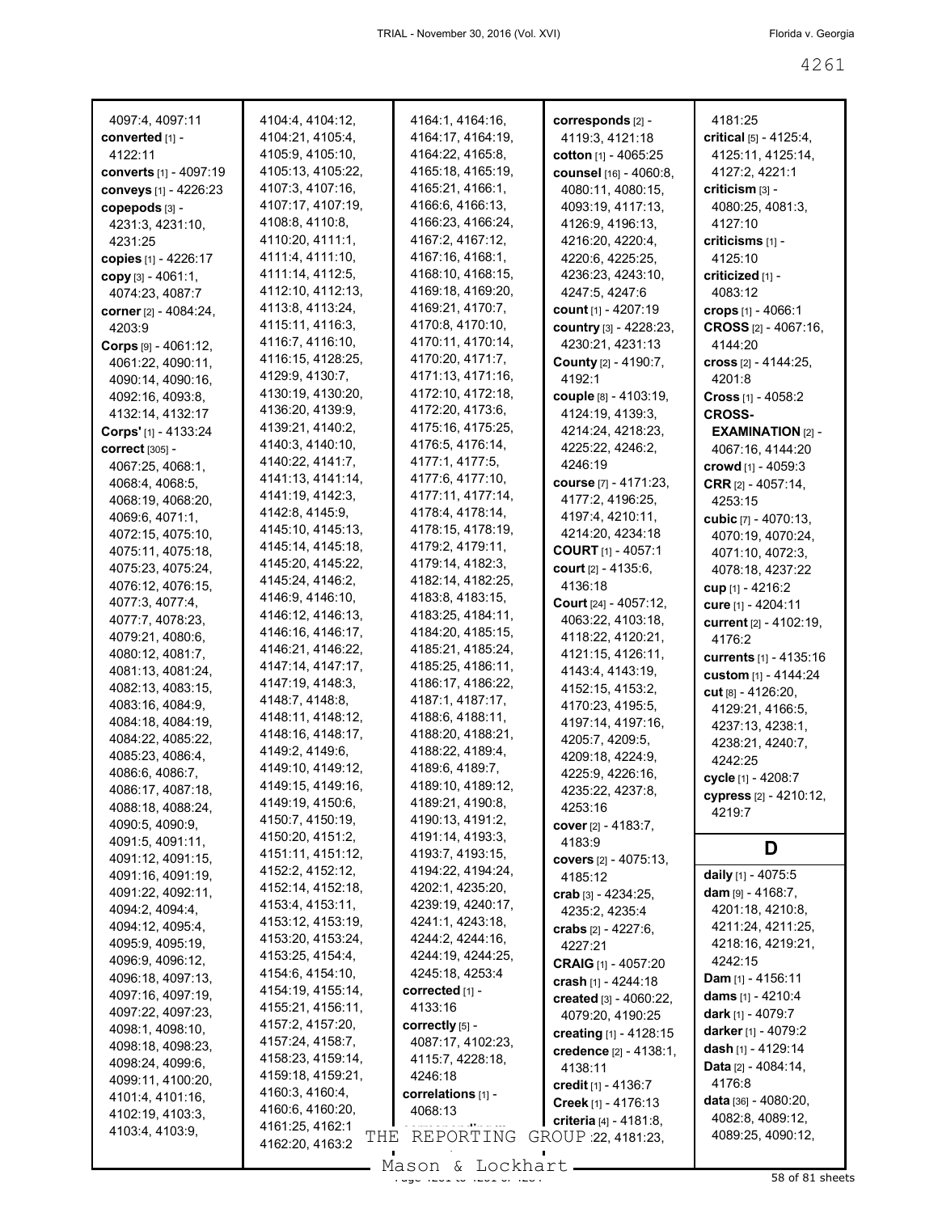| 4097:4, 4097:11                       | 4104:4, 4104:12,                       | 4164:1, 4164:16,                       | corresponds [2] -                     | 4181:25                              |
|---------------------------------------|----------------------------------------|----------------------------------------|---------------------------------------|--------------------------------------|
| converted [1] -                       | 4104:21, 4105:4,                       | 4164:17, 4164:19,                      | 4119:3, 4121:18                       | critical $[5] - 4125:4,$             |
| 4122:11                               | 4105:9, 4105:10,                       | 4164:22, 4165:8,                       | cotton [1] - 4065:25                  | 4125:11, 4125:14,                    |
| converts [1] - 4097:19                | 4105:13, 4105:22,                      | 4165:18, 4165:19,                      | counsel [16] - 4060:8,                | 4127:2, 4221:1                       |
| conveys [1] - 4226:23                 | 4107:3, 4107:16,                       | 4165:21, 4166:1,                       | 4080:11, 4080:15,                     | criticism [3] -                      |
| copepods [3] -                        | 4107:17, 4107:19,                      | 4166:6, 4166:13,                       | 4093:19, 4117:13,                     | 4080:25, 4081:3,                     |
| 4231:3, 4231:10,                      | 4108:8, 4110:8,                        | 4166:23, 4166:24,                      | 4126:9, 4196:13,                      | 4127:10                              |
| 4231:25                               | 4110:20, 4111:1,                       | 4167:2, 4167:12,                       | 4216:20, 4220:4,                      | $criticisms$ [1] -                   |
| copies [1] - 4226:17                  | 4111:4, 4111:10,                       | 4167:16, 4168:1,                       | 4220:6, 4225:25,                      | 4125:10                              |
| copy [3] - 4061:1,                    | 4111:14, 4112:5,                       | 4168:10, 4168:15,                      | 4236:23, 4243:10,                     | criticized [1] -                     |
| 4074:23, 4087:7                       | 4112:10, 4112:13,                      | 4169:18, 4169:20,                      | 4247:5, 4247:6                        | 4083:12                              |
| corner [2] - 4084:24,                 | 4113:8, 4113:24,                       | 4169:21, 4170:7,                       | count [1] - 4207:19                   | crops $[1] - 4066:1$                 |
| 4203:9                                | 4115:11, 4116:3,                       | 4170:8, 4170:10,                       | country [3] - 4228:23,                | CROSS [2] - 4067:16,                 |
| Corps $[9] - 4061:12$ ,               | 4116:7, 4116:10,                       | 4170:11, 4170:14,                      | 4230:21, 4231:13                      | 4144:20                              |
| 4061:22, 4090:11,                     | 4116:15, 4128:25,                      | 4170:20, 4171:7,                       | County [2] - 4190:7,                  | cross $[2] - 4144:25$ ,              |
| 4090:14, 4090:16,                     | 4129:9, 4130:7,                        | 4171:13, 4171:16,                      | 4192:1                                | 4201:8                               |
| 4092:16, 4093:8,                      | 4130:19, 4130:20,                      | 4172:10, 4172:18,                      | couple [8] - 4103:19,                 | <b>Cross</b> $[1] - 4058:2$          |
| 4132:14, 4132:17                      | 4136:20, 4139:9,                       | 4172:20, 4173:6,                       | 4124:19, 4139:3,                      | <b>CROSS-</b>                        |
| Corps' [1] - 4133:24                  | 4139:21, 4140:2,                       | 4175:16, 4175:25,                      | 4214:24, 4218:23,                     | <b>EXAMINATION</b> $[2]$ -           |
| <b>correct</b> [305] -                | 4140:3, 4140:10,                       | 4176:5, 4176:14,                       | 4225:22, 4246:2,                      | 4067:16, 4144:20                     |
| 4067:25, 4068:1,                      | 4140:22, 4141:7,                       | 4177:1, 4177:5,                        | 4246:19                               | crowd [1] - 4059:3                   |
| 4068:4, 4068:5,                       | 4141:13, 4141:14,                      | 4177:6, 4177:10,                       | course [7] - 4171:23,                 | <b>CRR</b> <sub>[2]</sub> - 4057:14, |
| 4068:19, 4068:20,                     | 4141:19, 4142:3,                       | 4177:11, 4177:14,                      | 4177:2, 4196:25,                      | 4253:15                              |
| 4069:6, 4071:1,                       | 4142:8, 4145:9,                        | 4178:4, 4178:14,                       | 4197:4, 4210:11,                      | cubic $[7] - 4070:13$ ,              |
| 4072:15, 4075:10,                     | 4145:10, 4145:13,                      | 4178:15, 4178:19,                      | 4214:20, 4234:18                      | 4070:19, 4070:24,                    |
| 4075:11, 4075:18,                     | 4145:14, 4145:18,                      | 4179:2, 4179:11,                       | <b>COURT</b> $[1] - 4057:1$           | 4071:10, 4072:3,                     |
| 4075:23, 4075:24,                     | 4145:20, 4145:22,                      | 4179:14, 4182:3,                       | <b>court</b> $[2] - 4135:6$ ,         | 4078:18, 4237:22                     |
| 4076:12, 4076:15,                     | 4145:24, 4146:2,                       | 4182:14, 4182:25,                      | 4136:18                               | cup [1] - 4216:2                     |
| 4077:3, 4077:4,                       | 4146:9, 4146:10,                       | 4183:8, 4183:15,                       | <b>Court</b> $[24] - 4057:12$ ,       | cure [1] - 4204:11                   |
| 4077:7, 4078:23,                      | 4146:12, 4146:13,<br>4146:16, 4146:17, | 4183:25, 4184:11,<br>4184:20, 4185:15, | 4063:22, 4103:18,                     | current [2] - 4102:19,               |
| 4079:21, 4080:6,                      | 4146:21, 4146:22,                      | 4185:21, 4185:24,                      | 4118:22, 4120:21,                     | 4176:2                               |
| 4080:12, 4081:7,                      | 4147:14, 4147:17,                      | 4185:25, 4186:11,                      | 4121:15, 4126:11,                     | <b>currents</b> [1] - 4135:16        |
| 4081:13, 4081:24,                     | 4147:19, 4148:3,                       | 4186:17, 4186:22,                      | 4143:4, 4143:19,                      | custom [1] - 4144:24                 |
| 4082:13, 4083:15,                     | 4148:7, 4148:8,                        | 4187:1, 4187:17,                       | 4152:15, 4153:2,                      | cut [8] - 4126:20,                   |
| 4083:16, 4084:9,<br>4084:18, 4084:19, | 4148:11, 4148:12,                      | 4188:6, 4188:11,                       | 4170:23, 4195:5,<br>4197:14, 4197:16, | 4129:21, 4166:5,                     |
| 4084:22, 4085:22,                     | 4148:16, 4148:17,                      | 4188:20, 4188:21,                      | 4205:7, 4209:5,                       | 4237:13, 4238:1,                     |
| 4085:23, 4086:4,                      | 4149:2, 4149:6,                        | 4188:22, 4189:4,                       | 4209:18, 4224:9,                      | 4238:21, 4240:7,                     |
| 4086:6, 4086:7,                       | 4149:10, 4149:12,                      | 4189:6, 4189:7,                        | 4225:9, 4226:16,                      | 4242:25                              |
| 4086:17, 4087:18,                     | 4149:15, 4149:16,                      | 4189:10, 4189:12,                      | 4235:22, 4237:8,                      | cycle [1] - 4208:7                   |
| 4088:18, 4088:24,                     | 4149:19, 4150:6,                       | 4189:21, 4190:8,                       | 4253:16                               | cypress [2] - 4210:12,               |
| 4090:5, 4090:9,                       | 4150:7, 4150:19,                       | 4190:13, 4191:2,                       | cover [2] - 4183:7,                   | 4219:7                               |
| 4091:5, 4091:11,                      | 4150:20, 4151:2,                       | 4191:14, 4193:3,                       | 4183:9                                | D                                    |
| 4091:12, 4091:15,                     | 4151:11, 4151:12,                      | 4193:7, 4193:15,                       | covers [2] - 4075:13,                 |                                      |
| 4091:16, 4091:19,                     | 4152:2, 4152:12,                       | 4194:22, 4194:24,                      | 4185:12                               | daily [1] - 4075:5                   |
| 4091:22, 4092:11,                     | 4152:14, 4152:18,                      | 4202:1, 4235:20,                       | crab $[3] - 4234:25$ ,                | <b>dam</b> $[9] - 4168:7$ ,          |
| 4094:2, 4094:4,                       | 4153:4, 4153:11,                       | 4239:19, 4240:17,                      | 4235:2, 4235:4                        | 4201:18, 4210:8,                     |
| 4094:12, 4095:4,                      | 4153:12, 4153:19,                      | 4241:1, 4243:18,                       | crabs $[2] - 4227:6$ ,                | 4211:24, 4211:25,                    |
| 4095:9, 4095:19,                      | 4153:20, 4153:24,                      | 4244:2, 4244:16,                       | 4227:21                               | 4218:16, 4219:21,                    |
| 4096:9, 4096:12,                      | 4153:25, 4154:4,                       | 4244:19, 4244:25,                      | <b>CRAIG</b> [1] - 4057:20            | 4242:15                              |
| 4096:18, 4097:13,                     | 4154:6, 4154:10,<br>4154:19, 4155:14,  | 4245:18, 4253:4<br>corrected [1] -     | crash [1] - 4244:18                   | <b>Dam</b> [1] - 4156:11             |
| 4097:16, 4097:19,                     | 4155:21, 4156:11,                      | 4133:16                                | created [3] - 4060:22,                | dams $[1] - 4210:4$                  |
| 4097:22, 4097:23,                     | 4157:2, 4157:20,                       | correctly [5] -                        | 4079:20, 4190:25                      | <b>dark</b> [1] - 4079:7             |
| 4098:1, 4098:10,                      | 4157:24, 4158:7,                       | 4087:17, 4102:23,                      | creating [1] - 4128:15                | darker [1] - 4079:2                  |
| 4098:18, 4098:23,                     | 4158:23, 4159:14,                      | 4115:7, 4228:18,                       | credence [2] - 4138:1,                | dash [1] - 4129:14                   |
| 4098:24, 4099:6,                      | 4159:18, 4159:21,                      | 4246:18                                | 4138:11                               | <b>Data</b> $[2] - 4084:14$ ,        |
| 4099:11, 4100:20,<br>4101:4, 4101:16, | 4160:3, 4160:4,                        | correlations [1] -                     | credit $[1] - 4136:7$                 | 4176:8                               |
| 4102:19, 4103:3,                      | 4160:6, 4160:20,                       | 4068:13                                | Creek [1] - 4176:13                   | <b>data</b> [36] - $4080:20$ ,       |
| 4103:4, 4103:9,                       | 4161:25, 4162:1                        |                                        | criteria [4] - 4181:8,                | 4082:8, 4089:12,                     |
|                                       | THE<br>4162:20, 4163:2                 | REPORTING                              | GROUP 22, 4181:23,                    | 4089:25, 4090:12,                    |
|                                       |                                        | Mason & Lockhart                       |                                       |                                      |

Mason & Lockhart 11, 1998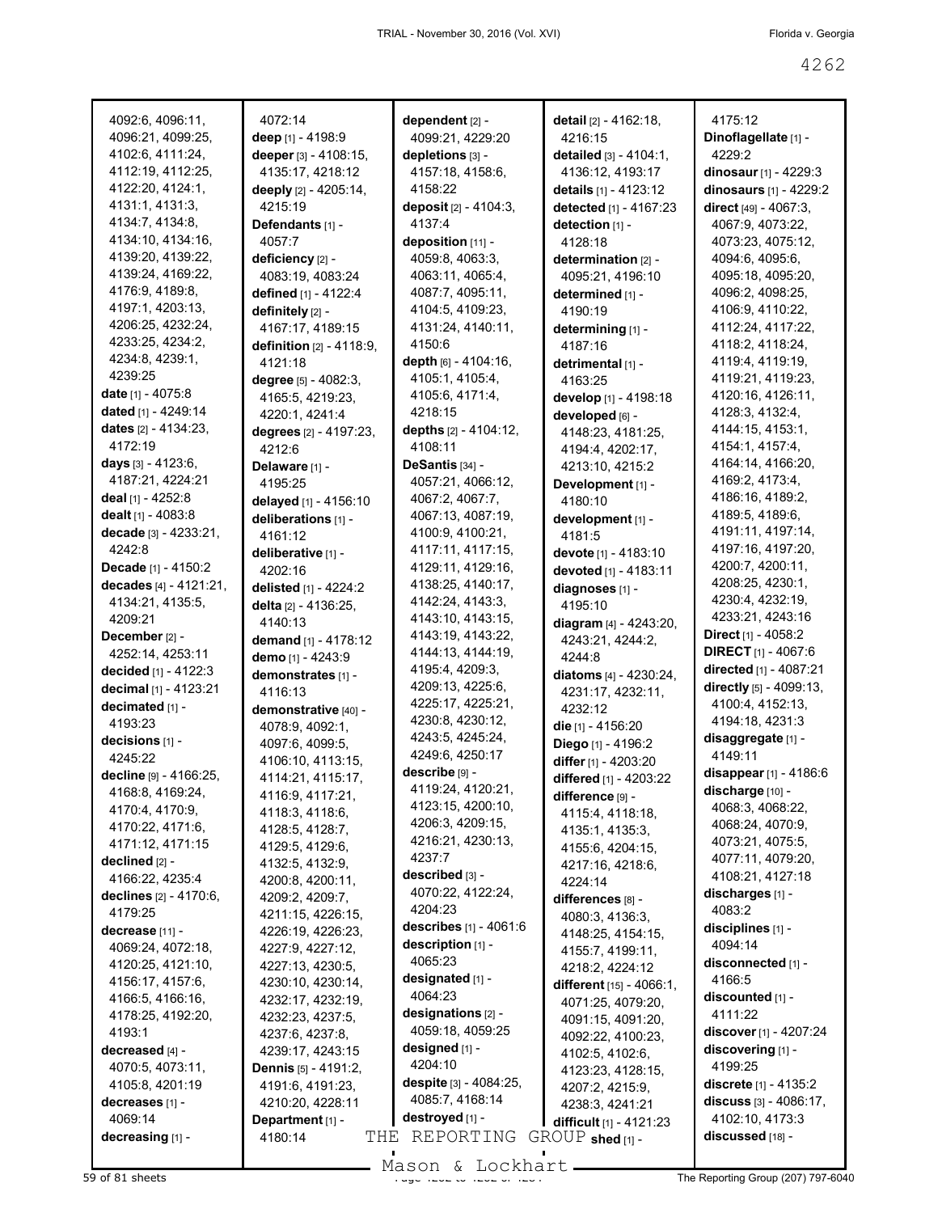4175:12 **Dinoflagellate** [1] -

4229:2

**dinosaur** [1] - 4229:3 **dinosaurs** [1] - 4229:2 **direct** [49] - 4067:3, 4067:9, 4073:22, 4073:23, 4075:12, 4094:6, 4095:6, 4095:18, 4095:20, 4096:2, 4098:25, 4106:9, 4110:22, 4112:24, 4117:22, 4118:2, 4118:24, 4119:4, 4119:19, 4119:21, 4119:23, 4120:16, 4126:11, 4128:3, 4132:4, 4144:15, 4153:1, 4154:1, 4157:4, 4164:14, 4166:20, 4169:2, 4173:4, 4186:16, 4189:2, 4189:5, 4189:6, 4191:11, 4197:14, 4197:16, 4197:20, 4200:7, 4200:11, 4208:25, 4230:1, 4230:4, 4232:19, 4233:21, 4243:16 **Direct** [1] - 4058:2 **DIRECT** [1] - 4067:6 **directed** [1] - 4087:21 **directly** [5] - 4099:13, 4100:4, 4152:13, 4194:18, 4231:3 **disaggregate** [1] - 4149:11

4262

| 4092:6, 4096:11,            | 4072:14                            | dependent [2] -        | detail [2] - 4162:18,                           |
|-----------------------------|------------------------------------|------------------------|-------------------------------------------------|
| 4096:21, 4099:25,           | deep [1] - 4198:9                  | 4099:21, 4229:20       | 4216:15                                         |
| 4102:6, 4111:24,            | deeper [3] - 4108:15,              | depletions [3] -       | detailed [3] - 4104:1,                          |
| 4112:19, 4112:25,           | 4135:17, 4218:12                   | 4157:18, 4158:6,       | 4136:12, 4193:17                                |
| 4122:20, 4124:1,            | deeply [2] - 4205:14,              | 4158:22                | details [1] - 4123:12                           |
| 4131:1, 4131:3,             | 4215:19                            |                        |                                                 |
|                             |                                    | deposit [2] - 4104:3,  | detected [1] - 4167:23                          |
| 4134:7, 4134:8,             | Defendants [1] -                   | 4137:4                 | detection [1] -                                 |
| 4134:10, 4134:16,           | 4057:7                             | deposition [11] -      | 4128:18                                         |
| 4139:20, 4139:22,           | deficiency [2] -                   | 4059:8, 4063:3,        | determination [2] -                             |
| 4139:24, 4169:22,           | 4083:19, 4083:24                   | 4063:11, 4065:4,       | 4095:21, 4196:10                                |
| 4176:9, 4189:8,             | defined [1] - 4122:4               | 4087:7, 4095:11,       | determined [1] -                                |
| 4197:1, 4203:13,            | definitely [2] -                   | 4104:5, 4109:23,       | 4190:19                                         |
| 4206:25, 4232:24,           | 4167:17, 4189:15                   | 4131:24, 4140:11,      | determining [1] -                               |
| 4233:25, 4234:2,            | definition [2] - 4118:9,           | 4150:6                 | 4187:16                                         |
| 4234:8, 4239:1,             | 4121:18                            | depth [6] - 4104:16,   |                                                 |
| 4239:25                     |                                    | 4105:1, 4105:4,        | detrimental [1] -                               |
| <b>date</b> $[1] - 4075.8$  | degree $[5] - 4082:3$ ,            |                        | 4163:25                                         |
|                             | 4165:5, 4219:23,                   | 4105:6, 4171:4,        | develop [1] - 4198:18                           |
| dated [1] - 4249:14         | 4220:1, 4241:4                     | 4218:15                | developed [6] -                                 |
| dates $[2] - 4134:23$ ,     | degrees [2] - 4197:23,             | depths [2] - 4104:12,  | 4148:23, 4181:25,                               |
| 4172:19                     | 4212:6                             | 4108:11                | 4194:4, 4202:17,                                |
| days [3] - 4123:6,          | Delaware [1] -                     | DeSantis [34] -        | 4213:10, 4215:2                                 |
| 4187:21, 4224:21            | 4195:25                            | 4057:21, 4066:12,      | Development [1] -                               |
| deal [1] - 4252:8           | delayed [1] - 4156:10              | 4067:2, 4067:7,        | 4180:10                                         |
| dealt [1] - 4083:8          | deliberations [1] -                | 4067:13, 4087:19,      | development [1] -                               |
| decade [3] - 4233:21,       | 4161:12                            | 4100:9, 4100:21,       | 4181:5                                          |
| 4242:8                      |                                    | 4117:11, 4117:15,      |                                                 |
|                             | deliberative [1] -                 |                        | devote [1] - 4183:10                            |
| Decade [1] - 4150:2         | 4202:16                            | 4129:11, 4129:16,      | devoted [1] - 4183:11                           |
| decades [4] - 4121:21,      | delisted [1] - 4224:2              | 4138:25, 4140:17,      | diagnoses [1] -                                 |
| 4134:21, 4135:5,            | delta [2] - 4136:25,               | 4142:24, 4143:3,       | 4195:10                                         |
| 4209:21                     | 4140:13                            | 4143:10, 4143:15,      | diagram [4] - 4243:20,                          |
| December [2] -              | demand [1] - 4178:12               | 4143:19, 4143:22,      | 4243:21, 4244:2,                                |
|                             |                                    |                        |                                                 |
| 4252:14, 4253:11            |                                    | 4144:13, 4144:19,      |                                                 |
|                             | demo [1] - 4243:9                  | 4195:4, 4209:3,        | 4244:8                                          |
| decided [1] - 4122:3        | demonstrates [1] -                 | 4209:13, 4225:6,       | diatoms [4] - 4230:24,                          |
| decimal [1] - 4123:21       | 4116:13                            |                        | 4231:17, 4232:11,                               |
| decimated [1] -             | demonstrative [40] -               | 4225:17, 4225:21,      | 4232:12                                         |
| 4193:23                     | 4078:9, 4092:1,                    | 4230:8, 4230:12,       | die [1] - 4156:20                               |
| decisions [1] -             | 4097:6, 4099:5,                    | 4243:5, 4245:24,       | Diego [1] - 4196:2                              |
| 4245:22                     | 4106:10, 4113:15,                  | 4249:6, 4250:17        | differ [1] - 4203:20                            |
| decline [9] - 4166:25,      | 4114:21, 4115:17,                  | describe [9] -         | differed [1] - 4203:22                          |
| 4168:8, 4169:24,            | 4116:9, 4117:21,                   | 4119:24, 4120:21,      | difference [9] -                                |
| 4170:4, 4170:9,             | 4118:3, 4118:6,                    | 4123:15, 4200:10,      | 4115:4, 4118:18,                                |
| 4170:22, 4171:6,            | 4128:5, 4128:7,                    | 4206:3, 4209:15,       |                                                 |
| 4171:12, 4171:15            | 4129:5, 4129:6,                    | 4216:21, 4230:13,      | 4135:1, 4135:3,<br>4155:6, 4204:15,             |
| declined [2] -              |                                    | 4237:7                 |                                                 |
| 4166:22, 4235:4             | 4132:5, 4132:9,                    | described [3] -        | 4217:16, 4218:6,                                |
|                             | 4200:8, 4200:11,                   | 4070:22, 4122:24,      | 4224:14                                         |
| declines [2] - 4170:6,      | 4209:2, 4209:7,                    | 4204:23                | differences [8] -                               |
| 4179:25                     | 4211:15, 4226:15,                  | describes [1] - 4061:6 | 4080:3, 4136:3,                                 |
| decrease [11] -             | 4226:19, 4226:23,                  |                        | 4148:25, 4154:15,                               |
| 4069:24, 4072:18,           | 4227:9, 4227:12,                   | description [1] -      | 4155:7, 4199:11,                                |
| 4120:25, 4121:10,           | 4227:13, 4230:5,                   | 4065:23                | 4218:2, 4224:12                                 |
| 4156:17, 4157:6,            | 4230:10, 4230:14,                  | designated [1] -       | different [15] - 4066:1,                        |
| 4166:5, 4166:16,            | 4232:17, 4232:19,                  | 4064:23                | 4071:25, 4079:20,                               |
| 4178:25, 4192:20,           | 4232:23, 4237:5,                   | designations [2] -     | 4091:15, 4091:20,                               |
| 4193:1                      | 4237:6, 4237:8,                    | 4059:18, 4059:25       | 4092:22, 4100:23,                               |
| decreased [4] -             | 4239:17, 4243:15                   | designed [1] -         | 4102:5, 4102:6,                                 |
| 4070:5, 4073:11,            | <b>Dennis</b> $[5] - 4191:2$       | 4204:10                |                                                 |
| 4105:8, 4201:19             | 4191:6, 4191:23,                   | despite [3] - 4084:25, | 4123:23, 4128:15,                               |
| decreases [1] -             |                                    | 4085:7, 4168:14        | 4207:2, 4215:9,                                 |
|                             | 4210:20, 4228:11                   | destroyed [1] -        | 4238:3, 4241:21                                 |
| 4069:14<br>decreasing [1] - | Department [1] -<br>4180:14<br>THE | REPORTING              | difficult [1] - 4121:23<br>$GROUP$ shed $[1]$ - |

**discuss** [3] - 4086:17, 4102:10, 4173:3 **discussed** [18] -

Mason & Lockhart

**discover** [1] - 4207:24 **discovering** [1] - 4199:25

**discrete** [1] - 4135:2

**disappear** [1] - 4186:6 **discharge** [10] - 4068:3, 4068:22, 4068:24, 4070:9, 4073:21, 4075:5, 4077:11, 4079:20, 4108:21, 4127:18 **discharges** [1] - 4083:2 **disciplines** [1] - 4094:14 **disconnected** [1] - 4166:5 **discounted** [1] - 4111:22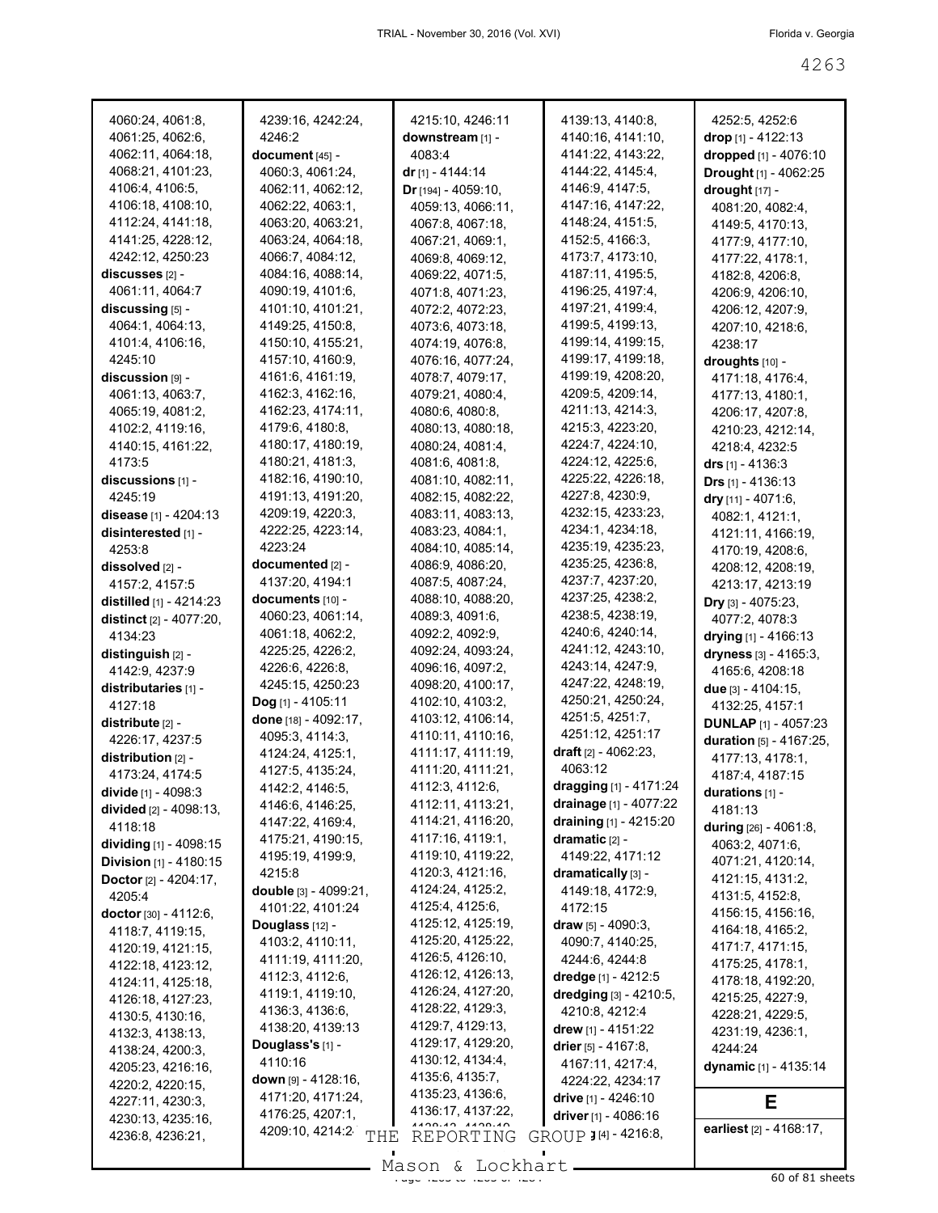| 4060:24, 4061:8,                       | 4239:16, 4242:24,     | 4215:10, 4246:11      | 4139:13, 4140:8,               | 4252:5, 4252:6                    |
|----------------------------------------|-----------------------|-----------------------|--------------------------------|-----------------------------------|
| 4061:25, 4062:6,                       | 4246:2                | downstream [1] -      | 4140:16, 4141:10,              | <b>drop</b> [1] - 4122:13         |
| 4062:11, 4064:18,                      | $document_{[45]}$ -   | 4083:4                | 4141:22, 4143:22,              | <b>dropped</b> [1] - 4076:10      |
| 4068:21, 4101:23,                      | 4060:3, 4061:24,      | dr [1] - 4144:14      | 4144:22, 4145:4,               | Drought [1] - 4062:25             |
| 4106:4, 4106:5,                        | 4062:11, 4062:12,     | $Dr$ [194] - 4059:10, | 4146.9, 4147.5,                | drought [17] -                    |
| 4106:18, 4108:10,                      | 4062:22, 4063:1,      | 4059:13, 4066:11,     | 4147:16, 4147:22,              | 4081:20, 4082:4,                  |
| 4112:24, 4141:18,                      | 4063:20, 4063:21,     | 4067:8, 4067:18,      | 4148:24, 4151:5,               | 4149:5, 4170:13,                  |
| 4141:25, 4228:12,                      | 4063:24, 4064:18,     | 4067:21, 4069:1,      | 4152:5, 4166:3,                | 4177:9, 4177:10,                  |
| 4242:12, 4250:23                       | 4066:7, 4084:12,      | 4069:8, 4069:12,      | 4173:7, 4173:10,               | 4177:22, 4178:1,                  |
| $discusses_{[2]}$ -                    | 4084:16, 4088:14,     | 4069:22, 4071:5,      | 4187:11, 4195:5,               | 4182:8, 4206:8,                   |
| 4061:11, 4064:7                        | 4090:19, 4101:6,      | 4071:8, 4071:23,      | 4196:25, 4197:4,               | 4206:9, 4206:10,                  |
| discussing [5] -                       | 4101:10, 4101:21,     | 4072:2, 4072:23,      | 4197:21, 4199:4,               | 4206:12, 4207:9,                  |
| 4064:1, 4064:13,                       | 4149:25, 4150:8,      | 4073:6, 4073:18,      | 4199:5, 4199:13,               | 4207:10, 4218:6,                  |
| 4101:4, 4106:16,                       | 4150:10, 4155:21,     | 4074:19, 4076:8,      | 4199:14, 4199:15,              | 4238:17                           |
| 4245:10                                | 4157:10, 4160:9,      | 4076:16, 4077:24,     | 4199:17, 4199:18,              | droughts [10] -                   |
| $disclusion$ [9] -                     | 4161:6, 4161:19,      | 4078:7, 4079:17,      | 4199:19, 4208:20,              |                                   |
| 4061:13, 4063:7,                       | 4162:3, 4162:16,      | 4079:21, 4080:4,      | 4209:5, 4209:14,               | 4171:18, 4176:4,                  |
|                                        | 4162:23, 4174:11,     |                       | 4211:13, 4214:3,               | 4177:13, 4180:1,                  |
| 4065:19, 4081:2,                       | 4179:6, 4180:8,       | 4080:6, 4080:8,       | 4215:3, 4223:20,               | 4206:17, 4207:8,                  |
| 4102:2, 4119:16,                       | 4180:17, 4180:19,     | 4080:13, 4080:18,     | 4224:7, 4224:10,               | 4210:23, 4212:14,                 |
| 4140:15, 4161:22,                      |                       | 4080:24, 4081:4,      | 4224:12, 4225:6,               | 4218:4, 4232:5                    |
| 4173:5                                 | 4180:21, 4181:3,      | 4081:6, 4081:8,       |                                | <b>drs</b> [1] - 4136:3           |
| $discussions$ [1] -                    | 4182:16, 4190:10,     | 4081:10, 4082:11,     | 4225:22, 4226:18,              | <b>Drs</b> $[1] - 4136:13$        |
| 4245:19                                | 4191:13, 4191:20,     | 4082:15, 4082:22,     | 4227:8, 4230:9,                | dry [11] - 4071:6,                |
| disease [1] - 4204:13                  | 4209:19, 4220:3,      | 4083:11, 4083:13,     | 4232:15, 4233:23,              | 4082:1, 4121:1,                   |
| disinterested [1] -                    | 4222:25, 4223:14,     | 4083:23, 4084:1,      | 4234:1, 4234:18,               | 4121:11, 4166:19,                 |
| 4253:8                                 | 4223:24               | 4084:10, 4085:14,     | 4235:19, 4235:23,              | 4170:19, 4208:6,                  |
| dissolved [2] -                        | documented [2] -      | 4086:9, 4086:20,      | 4235:25, 4236:8,               | 4208:12, 4208:19,                 |
| 4157:2, 4157:5                         | 4137:20, 4194:1       | 4087:5, 4087:24,      | 4237:7, 4237:20,               | 4213:17, 4213:19                  |
| distilled $[1]$ - 4214:23              | $documents$ [10] -    | 4088:10, 4088:20,     | 4237:25, 4238:2,               | <b>Dry</b> [3] - 4075:23,         |
| <b>distinct</b> $[2] - 4077:20$        | 4060:23, 4061:14,     | 4089:3, 4091:6,       | 4238:5, 4238:19,               | 4077:2, 4078:3                    |
| 4134:23                                | 4061:18, 4062:2,      | 4092:2, 4092:9,       | 4240:6, 4240:14,               | drying $[1]$ - 4166:13            |
| distinguish $[2]$ -                    | 4225:25, 4226:2,      | 4092:24, 4093:24,     | 4241:12, 4243:10,              | dryness [3] - 4165:3,             |
| 4142:9, 4237:9                         | 4226:6, 4226:8,       | 4096:16, 4097:2,      | 4243:14, 4247:9,               | 4165:6, 4208:18                   |
| distributaries [1] -                   | 4245:15, 4250:23      | 4098:20, 4100:17,     | 4247:22, 4248:19,              | <b>due</b> $[3] - 4104:15$ ,      |
| 4127:18                                | Dog [1] - 4105:11     | 4102:10, 4103:2,      | 4250:21, 4250:24,              | 4132:25, 4157:1                   |
| $distribute[2] -$                      | done [18] - 4092:17,  | 4103:12, 4106:14,     | 4251:5, 4251:7,                | <b>DUNLAP</b> [1] - 4057:23       |
| 4226:17, 4237:5                        | 4095:3, 4114:3,       | 4110:11, 4110:16,     | 4251:12, 4251:17               | <b>duration</b> $[5] - 4167:25$ , |
| $distribution$ [2] -                   | 4124:24, 4125:1,      | 4111:17, 4111:19,     | <b>draft</b> $[2] - 4062:23$ , | 4177:13, 4178:1,                  |
| 4173:24, 4174:5                        | 4127:5, 4135:24,      | 4111:20, 4111:21,     | 4063:12                        | 4187:4, 4187:15                   |
| divide [1] - 4098:3                    | 4142:2, 4146:5,       | 4112:3, 4112:6,       | <b>dragging</b> [1] - 4171:24  | durations $[1]$ -                 |
| divided [2] - 4098:13,                 | 4146:6, 4146:25,      | 4112:11, 4113:21,     | <b>drainage</b> [1] - 4077:22  | 4181:13                           |
| 4118:18                                | 4147:22, 4169:4,      | 4114:21, 4116:20,     | draining [1] - 4215:20         | during [26] - 4061:8,             |
| dividing [1] - 4098:15                 | 4175:21, 4190:15,     | 4117:16, 4119:1,      | dramatic $[2]$ -               | 4063:2, 4071:6,                   |
| Division [1] - 4180:15                 | 4195:19, 4199:9,      | 4119:10, 4119:22,     | 4149:22, 4171:12               | 4071:21, 4120:14,                 |
| <b>Doctor</b> $[2] - 4204:17$ ,        | 4215:8                | 4120:3, 4121:16,      | dramatically [3] -             | 4121:15, 4131:2,                  |
| 4205:4                                 | double [3] - 4099:21, | 4124:24, 4125:2,      | 4149:18, 4172:9,               | 4131:5, 4152:8,                   |
| doctor $[30] - 4112:6$ ,               | 4101:22, 4101:24      | 4125:4, 4125:6,       | 4172:15                        | 4156:15, 4156:16,                 |
|                                        | Douglass [12] -       | 4125:12, 4125:19,     | draw $[5] - 4090:3$ ,          | 4164:18, 4165:2,                  |
| 4118:7, 4119:15,                       | 4103:2, 4110:11,      | 4125:20, 4125:22,     | 4090:7, 4140:25,               | 4171:7, 4171:15,                  |
| 4120:19, 4121:15,<br>4122:18, 4123:12, | 4111:19, 4111:20,     | 4126:5, 4126:10,      | 4244:6, 4244:8                 | 4175:25, 4178:1,                  |
|                                        | 4112:3, 4112:6,       | 4126:12, 4126:13,     | dredge [1] - 4212:5            | 4178:18, 4192:20,                 |
| 4124:11, 4125:18,                      | 4119:1, 4119:10,      | 4126:24, 4127:20,     | dredging [3] - 4210:5,         | 4215:25, 4227:9,                  |
| 4126:18, 4127:23,                      | 4136:3, 4136:6,       | 4128:22, 4129:3,      | 4210:8, 4212:4                 |                                   |
| 4130:5, 4130:16,                       | 4138:20, 4139:13      | 4129:7, 4129:13,      | drew $[1] - 4151:22$           | 4228:21, 4229:5,                  |
| 4132:3, 4138:13,                       | Douglass's [1] -      | 4129:17, 4129:20,     | drier $[5] - 4167.8$ ,         | 4231:19, 4236:1,                  |
| 4138:24, 4200:3,                       | 4110:16               | 4130:12, 4134:4,      | 4167:11, 4217:4,               | 4244:24                           |
| 4205:23, 4216:16,                      | down [9] - 4128:16,   | 4135:6, 4135:7,       | 4224:22, 4234:17               | dynamic [1] - 4135:14             |
| 4220:2, 4220:15,                       | 4171:20, 4171:24,     | 4135:23, 4136:6,      | drive $[1] - 4246:10$          |                                   |
| 4227:11, 4230:3,                       | 4176:25, 4207:1,      | 4136:17, 4137:22,     | driver $[1] - 4086:16$         | E                                 |
| 4230:13, 4235:16,                      | 4209:10, 4214:2       | AAOOMA ONOOMA         |                                | earliest [2] - 4168:17,           |
| 4236:8, 4236:21,                       | THE                   | REPORTING             | GROUP J [4] - 4216:8,          |                                   |
|                                        |                       |                       |                                |                                   |

 $\frac{200011}{400011}$  at  $\frac{2000111}{4000}$  of 81 sheets Mason & Lockhart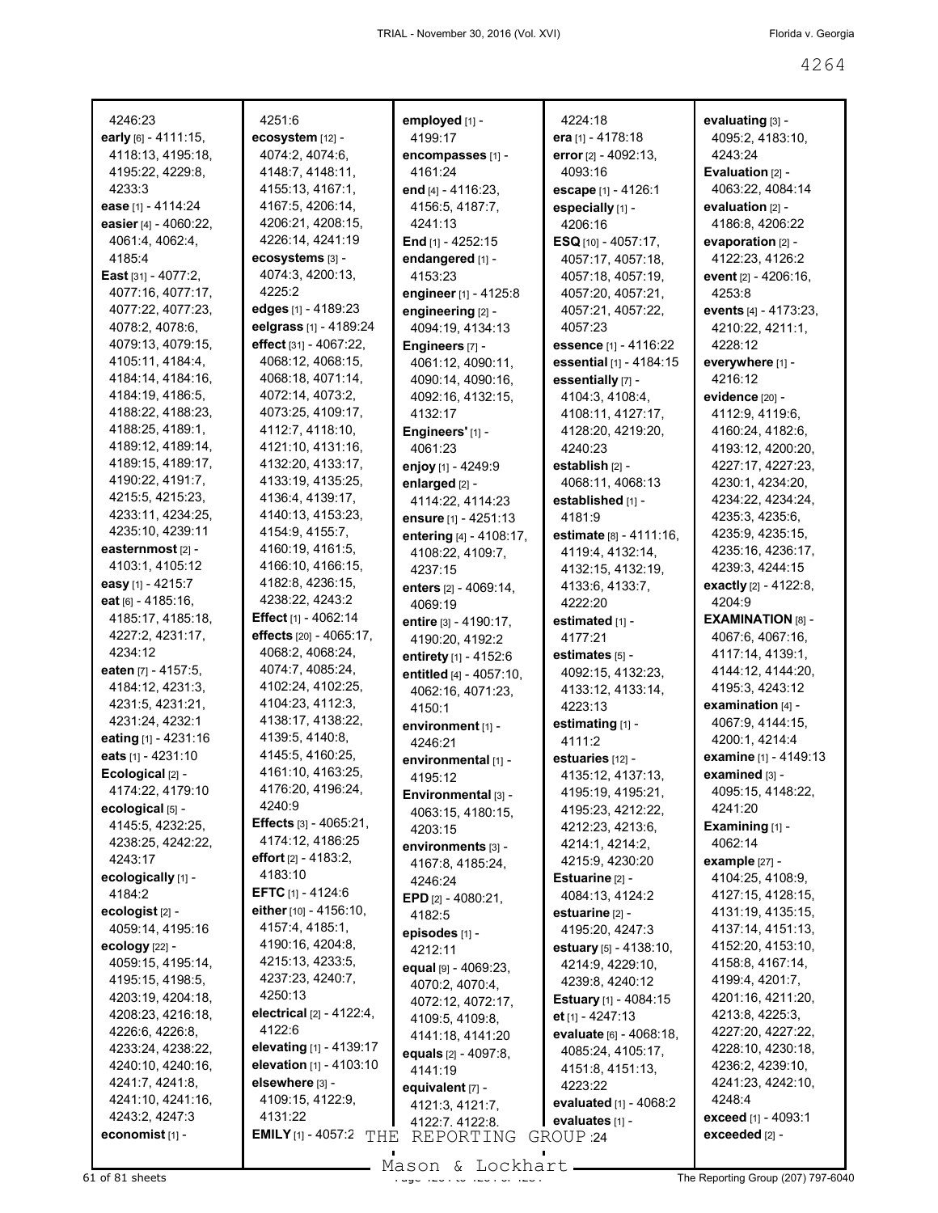| 4246:23                                 |
|-----------------------------------------|
| early [6] - 4111:15,                    |
| 4118:13, 4195:18,                       |
| 4195:22, 4229:8,                        |
| 4233:3                                  |
| <b>ease</b> [1] - 4114:24               |
| easier [4] - 4060:22,                   |
| 4061:4, 4062:4,                         |
| 4185:4                                  |
| <b>East</b> [31] - 4077:2,              |
| 4077:16, 4077:17,                       |
| 4077:22, 4077:23,                       |
| 4078:2, 4078:6,                         |
| 4079:13, 4079:15,                       |
| 4105:11, 4184:4,                        |
| 4184:14, 4184:16,                       |
| 4184:19, 4186:5,                        |
| 4188:22, 4188:23,                       |
| 4188:25, 4189:1,                        |
| 4189:12, 4189:14,                       |
| 4189:15, 4189:17,                       |
| 4190:22, 4191:7,                        |
| 4215:5, 4215:23,                        |
| 4233:11, 4234:25,                       |
| 4235:10, 4239:11                        |
| easternmost [2] -                       |
| 4103:1, 4105:12                         |
| easy [1] - 4215:7                       |
| eat [6] - 4185:16,                      |
| 4185:17, 4185:18,                       |
| 4227:2, 4231:17,<br>4234:12             |
|                                         |
| eaten [7] - 4157:5,<br>4184:12, 4231:3, |
| 4231:5, 4231:21,                        |
| 4231:24, 4232:1                         |
| eating [1] - 4231:16                    |
| eats [1] - 4231:10                      |
| Ecological [2] -                        |
| 4174:22, 4179:10                        |
| ecological [5] -                        |
| 4145:5, 4232:25,                        |
| 4238:25, 4242:22,                       |
| 4243:17                                 |
| ecologically [1] -                      |
| 4184:2                                  |
| ecologist <sub>[2]</sub> -              |
| 4059:14, 4195:16                        |
| ecology [22] -                          |
| 4059:15, 4195:14,                       |
| 4195:15, 4198:5,                        |
| 4203:19, 4204:18,                       |
| 4208:23, 4216:18,                       |
|                                         |
|                                         |
| 4226:6, 4226:8,                         |
| 4233:24, 4238:22,                       |
| 4240:10, 4240:16,                       |
| 4241:7, 4241:8,                         |
| 4241:10, 4241:16,                       |
| 4243:2, 4247:3<br>economist [1] -       |

4251:6 **ecosystem** [12] - 4074:2, 4074:6, 4148:7, 4148:11, 4155:13, 4167:1, 4167:5, 4206:14, 4206:21, 4208:15, 4226:14, 4241:19 **ecosystems** [3] - 4074:3, 4200:13, 4225:2 **edges** [1] - 4189:23 **eelgrass** [1] - 4189:24 **effect** [31] - 4067:22, 4068:12, 4068:15, 4068:18, 4071:14, 4072:14, 4073:2, 4073:25, 4109:17, 4112:7, 4118:10, 4121:10, 4131:16, 4132:20, 4133:17, 4133:19, 4135:25, 4136:4, 4139:17, 4140:13, 4153:23, 4154:9, 4155:7, 4160:19, 4161:5, 4166:10, 4166:15, 4182:8, 4236:15, 4238:22, 4243:2 **Effect** [1] - 4062:14 **effects** [20] - 4065:17, 4068:2, 4068:24, 4074:7, 4085:24, 4102:24, 4102:25, 4104:23, 4112:3, 4138:17, 4138:22, 4139:5, 4140:8, 4145:5, 4160:25, 4161:10, 4163:25, 4176:20, 4196:24, 4240:9 **Effects** [3] - 4065:21, 4174:12, 4186:25 **effort** [2] - 4183:2, 4183:10 **EFTC** [1] - 4124:6 **either** [10] - 4156:10, 4157:4, 4185:1, 4190:16, 4204:8, 4215:13, 4233:5, 4237:23, 4240:7, 4250:13 **electrical** [2] - 4122:4, 4122:6 **elevating** [1] - 4139:17 **elevation** [1] - 4103:10 **elsewhere** [3] - 4109:15, 4122:9, 4131:22 **EMILY** [1] - 4057:2 THE REPORTING GROUP 24

**employed** [1] - 4199:17 **encompasses** [1] - 4161:24 **end** [4] - 4116:23, 4156:5, 4187:7, 4241:13 **End** [1] - 4252:15 **endangered** [1] - 4153:23 **engineer** [1] - 4125:8 **engineering** [2] - 4094:19, 4134:13 **Engineers** [7] - 4061:12, 4090:11, 4090:14, 4090:16, 4092:16, 4132:15, 4132:17 **Engineers'** [1] - 4061:23 **enjoy** [1] - 4249:9 **enlarged** [2] - 4114:22, 4114:23 **ensure** [1] - 4251:13 **entering** [4] - 4108:17, 4108:22, 4109:7, 4237:15 **enters** [2] - 4069:14, 4069:19 **entire** [3] - 4190:17, 4190:20, 4192:2 **entirety** [1] - 4152:6 **entitled** [4] - 4057:10, 4062:16, 4071:23, 4150:1 **environment** [1] - 4246:21 **environmental** [1] - 4195:12 **Environmental** [3] - 4063:15, 4180:15, 4203:15 **environments** [3] - 4167:8, 4185:24, 4246:24 **EPD** [2] - 4080:21, 4182:5 **episodes** [1] - 4212:11 **equal** [9] - 4069:23, 4070:2, 4070:4, 4072:12, 4072:17, 4109:5, 4109:8, 4141:18, 4141:20 **equals** [2] - 4097:8, 4141:19 **equivalent** [7] - 4121:3, 4121:7, 4122:7, 4122:8,

4224:18 **era** [1] - 4178:18 **error** [2] - 4092:13, 4093:16 **escape** [1] - 4126:1 **especially** [1] - 4206:16 **ESQ** [10] - 4057:17, 4057:17, 4057:18, 4057:18, 4057:19, 4057:20, 4057:21, 4057:21, 4057:22, 4057:23 **essence** [1] - 4116:22 **essential** [1] - 4184:15 **essentially** [7] - 4104:3, 4108:4, 4108:11, 4127:17, 4128:20, 4219:20, 4240:23 **establish** [2] - 4068:11, 4068:13 **established** [1] - 4181:9 **estimate** [8] - 4111:16, 4119:4, 4132:14, 4132:15, 4132:19, 4133:6, 4133:7, 4222:20 **estimated** [1] - 4177:21 **estimates** [5] - 4092:15, 4132:23, 4133:12, 4133:14, 4223:13 **estimating** [1] - 4111:2 **estuaries** [12] - 4135:12, 4137:13, 4195:19, 4195:21, 4195:23, 4212:22, 4212:23, 4213:6, 4214:1, 4214:2, 4215:9, 4230:20 **Estuarine** [2] - 4084:13, 4124:2 **estuarine** [2] - 4195:20, 4247:3 **estuary** [5] - 4138:10, 4214:9, 4229:10, 4239:8, 4240:12 **Estuary** [1] - 4084:15 **et** [1] - 4247:13 **evaluate** [6] - 4068:18, 4085:24, 4105:17, 4151:8, 4151:13, 4223:22 **evaluated** [1] - 4068:2 **evaluates**  $[1]$  -

**evaluating** [3] - 4095:2, 4183:10, 4243:24 **Evaluation** [2] - 4063:22, 4084:14 **evaluation** [2] - 4186:8, 4206:22 **evaporation** [2] - 4122:23, 4126:2 **event** [2] - 4206:16, 4253:8 **events** [4] - 4173:23, 4210:22, 4211:1, 4228:12 **everywhere** [1] - 4216:12 **evidence** [20] - 4112:9, 4119:6, 4160:24, 4182:6, 4193:12, 4200:20, 4227:17, 4227:23, 4230:1, 4234:20, 4234:22, 4234:24, 4235:3, 4235:6, 4235:9, 4235:15, 4235:16, 4236:17, 4239:3, 4244:15 **exactly** [2] - 4122:8, 4204:9 **EXAMINATION** [8] -4067:6, 4067:16, 4117:14, 4139:1, 4144:12, 4144:20, 4195:3, 4243:12 **examination** [4] - 4067:9, 4144:15, 4200:1, 4214:4 **examine** [1] - 4149:13 **examined** [3] - 4095:15, 4148:22, 4241:20 **Examining** [1] - 4062:14 **example** [27] - 4104:25, 4108:9, 4127:15, 4128:15, 4131:19, 4135:15, 4137:14, 4151:13, 4152:20, 4153:10, 4158:8, 4167:14, 4199:4, 4201:7, 4201:16, 4211:20, 4213:8, 4225:3, 4227:20, 4227:22, 4228:10, 4230:18, 4236:2, 4239:10, 4241:23, 4242:10, 4248:4 **exceed** [1] - 4093:1 **exceeded** [2] -

61 of 81 sheets Page 4264 to 4264 of 4284 The Reporting Group (207) 797-6040 Mason & Lockhart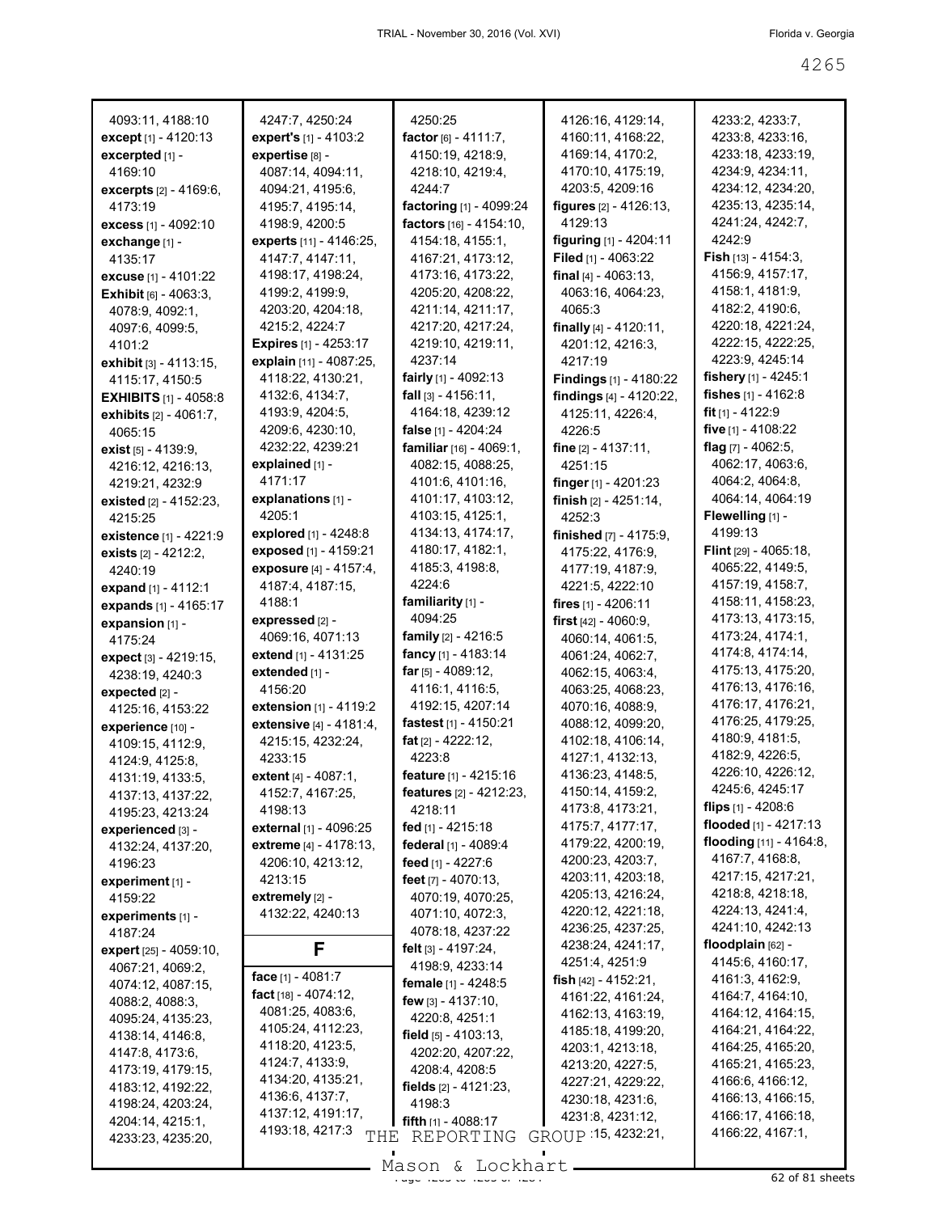| 4093:11, 4188:10                | 4247:7, 4250:24              | 4250:25                          | 4126:16, 4129:14,         | 4233:2, 4233:7,            |
|---------------------------------|------------------------------|----------------------------------|---------------------------|----------------------------|
| except [1] - 4120:13            | expert's [1] - 4103:2        | factor $[6] - 4111:7$ ,          | 4160:11, 4168:22,         | 4233:8, 4233:16,           |
| excerpted [1] -                 | expertise [8] -              | 4150:19, 4218:9,                 | 4169:14, 4170:2,          | 4233:18, 4233:19,          |
| 4169:10                         | 4087:14, 4094:11,            | 4218:10, 4219:4,                 | 4170:10, 4175:19,         | 4234:9, 4234:11,           |
| excerpts [2] - 4169:6,          | 4094:21, 4195:6,             | 4244:7                           | 4203:5, 4209:16           | 4234:12, 4234:20,          |
| 4173:19                         | 4195:7, 4195:14,             | factoring [1] - 4099:24          | figures [2] - 4126:13,    | 4235:13, 4235:14,          |
| <b>excess</b> [1] - 4092:10     | 4198:9, 4200:5               | factors [16] - 4154:10,          | 4129:13                   | 4241:24, 4242:7,           |
| exchange [1] -                  | experts [11] - 4146:25,      | 4154:18, 4155:1,                 | figuring [1] - 4204:11    | 4242:9                     |
| 4135:17                         | 4147:7, 4147:11,             | 4167:21, 4173:12,                | Filed [1] - 4063:22       | Fish $[13] - 4154:3$ ,     |
| excuse [1] - 4101:22            | 4198:17, 4198:24,            | 4173:16, 4173:22,                | final $[4] - 4063:13$ ,   | 4156:9, 4157:17,           |
| <b>Exhibit</b> $[6] - 4063.3$ , | 4199:2, 4199:9,              | 4205:20, 4208:22,                | 4063:16, 4064:23,         | 4158:1, 4181:9,            |
| 4078:9, 4092:1,                 | 4203:20, 4204:18,            | 4211:14, 4211:17,                | 4065:3                    | 4182:2, 4190:6,            |
| 4097:6, 4099:5,                 | 4215:2, 4224:7               | 4217:20, 4217:24,                | finally $[4] - 4120:11$ , | 4220:18, 4221:24,          |
| 4101:2                          | <b>Expires</b> [1] - 4253:17 | 4219:10, 4219:11,                | 4201:12, 4216:3,          | 4222:15, 4222:25,          |
| exhibit [3] - 4113:15,          | explain [11] - 4087:25,      | 4237:14                          | 4217:19                   | 4223:9, 4245:14            |
| 4115:17, 4150:5                 | 4118:22, 4130:21,            | fairly $[1] - 4092:13$           | Findings [1] - 4180:22    | fishery $[1]$ - 4245:1     |
| <b>EXHIBITS</b> $[1] - 4058:8$  | 4132:6, 4134:7,              | fall $[3] - 4156:11$ ,           | findings [4] - 4120:22,   | fishes $[1] - 4162:8$      |
| exhibits $[2] - 4061:7$ ,       | 4193:9, 4204:5,              | 4164:18, 4239:12                 | 4125:11, 4226:4,          | fit $[1]$ - 4122:9         |
| 4065:15                         | 4209:6, 4230:10,             | false [1] - 4204:24              | 4226:5                    | five $[1] - 4108:22$       |
| exist [5] - 4139:9,             | 4232:22, 4239:21             | familiar [16] - 4069:1.          | fine $[2] - 4137:11$ ,    | flag $[7] - 4062:5$ ,      |
| 4216:12, 4216:13,               | explained [1] -              | 4082:15, 4088:25,                | 4251:15                   | 4062:17, 4063:6,           |
| 4219:21, 4232:9                 | 4171:17                      | 4101:6, 4101:16,                 | finger $[1]$ - 4201:23    | 4064:2, 4064:8,            |
| existed [2] - 4152:23.          | explanations [1] -           | 4101:17, 4103:12,                | finish $[2] - 4251:14$ ,  | 4064:14, 4064:19           |
| 4215:25                         | 4205:1                       | 4103:15, 4125:1,                 | 4252:3                    | Flewelling [1] -           |
| existence [1] - 4221:9          | explored [1] - 4248:8        | 4134:13, 4174:17,                | finished [7] - 4175:9,    | 4199:13                    |
| exists [2] - 4212:2,            | exposed [1] - 4159:21        | 4180:17, 4182:1,                 | 4175:22, 4176:9,          | Flint [29] - 4065:18,      |
| 4240:19                         | exposure [4] - 4157:4,       | 4185:3, 4198:8,                  | 4177:19, 4187:9,          | 4065:22, 4149:5,           |
| expand [1] - 4112:1             | 4187:4, 4187:15,             | 4224:6                           | 4221:5, 4222:10           | 4157:19, 4158:7,           |
| expands [1] - 4165:17           | 4188:1                       | familiarity [1] -                | fires [1] - 4206:11       | 4158:11, 4158:23,          |
| expansion [1] -                 | expressed [2] -              | 4094:25                          | first $[42] - 4060.9$ ,   | 4173:13, 4173:15,          |
| 4175:24                         | 4069:16, 4071:13             | family [2] - 4216:5              | 4060:14, 4061:5,          | 4173:24, 4174:1,           |
| expect [3] - 4219:15,           | extend [1] - 4131:25         | fancy [1] - 4183:14              | 4061:24, 4062:7,          | 4174:8, 4174:14,           |
| 4238:19, 4240:3                 | extended [1] -               | far $[5] - 4089:12$ ,            | 4062:15, 4063:4,          | 4175:13, 4175:20,          |
| expected [2] -                  | 4156:20                      | 4116:1, 4116:5,                  | 4063:25, 4068:23,         | 4176:13, 4176:16,          |
| 4125:16, 4153:22                | extension [1] - 4119:2       | 4192:15, 4207:14                 | 4070:16, 4088:9,          | 4176:17, 4176:21,          |
| experience [10] -               | extensive [4] - 4181:4,      | fastest <sub>[1]</sub> - 4150:21 | 4088:12, 4099:20,         | 4176:25, 4179:25,          |
| 4109:15, 4112:9,                | 4215:15, 4232:24,            | fat $[2] - 4222:12$ ,            | 4102:18, 4106:14,         | 4180:9, 4181:5,            |
| 4124:9, 4125:8,                 | 4233:15                      | 4223:8                           | 4127:1, 4132:13,          | 4182:9, 4226:5,            |
| 4131:19, 4133:5,                | extent [4] - 4087:1,         | feature [1] - 4215:16            | 4136:23, 4148:5,          | 4226:10, 4226:12,          |
| 4137:13, 4137:22,               | 4152:7, 4167:25,             | features [2] - 4212:23,          | 4150:14, 4159:2,          | 4245:6, 4245:17            |
| 4195:23, 4213:24                | 4198:13                      | 4218:11                          | 4173:8, 4173:21,          | flips [1] - 4208:6         |
| experienced [3] -               | external [1] - 4096:25       | fed [1] - 4215:18                | 4175:7, 4177:17,          | flooded [1] - 4217:13      |
| 4132:24, 4137:20,               | extreme [4] - 4178:13,       | federal [1] - 4089:4             | 4179:22, 4200:19,         | flooding $[11] - 4164.8$ , |
| 4196:23                         | 4206:10, 4213:12,            | feed [1] - 4227:6                | 4200:23, 4203:7,          | 4167:7, 4168:8,            |
| experiment $[1]$ -              | 4213:15                      | feet $[7] - 4070:13$ ,           | 4203:11, 4203:18,         | 4217:15, 4217:21,          |
| 4159:22                         | extremely [2] -              | 4070:19, 4070:25,                | 4205:13, 4216:24,         | 4218:8, 4218:18,           |
| experiments [1] -               | 4132:22, 4240:13             | 4071:10, 4072:3,                 | 4220:12, 4221:18,         | 4224:13, 4241:4,           |
| 4187:24                         |                              | 4078:18, 4237:22                 | 4236:25, 4237:25,         | 4241:10, 4242:13           |
| expert [25] - 4059:10,          | F                            | felt [3] - 4197:24,              | 4238:24, 4241:17,         | floodplain [62] -          |
| 4067:21, 4069:2,                |                              | 4198:9, 4233:14                  | 4251:4, 4251:9            | 4145:6, 4160:17,           |
| 4074:12, 4087:15,               | face [1] - 4081:7            | female [1] - 4248:5              | fish $[42] - 4152:21$ ,   | 4161:3, 4162:9,            |
| 4088:2, 4088:3,                 | fact $[18] - 4074:12$ ,      | few [3] - 4137:10,               | 4161:22, 4161:24,         | 4164:7, 4164:10,           |
| 4095:24, 4135:23,               | 4081:25, 4083:6,             | 4220:8, 4251:1                   | 4162:13, 4163:19,         | 4164:12, 4164:15,          |
| 4138:14, 4146:8,                | 4105:24, 4112:23,            | field $[5] - 4103:13$ ,          | 4185:18, 4199:20,         | 4164:21, 4164:22,          |
| 4147:8, 4173:6,                 | 4118:20, 4123:5,             | 4202:20, 4207:22,                | 4203:1, 4213:18,          | 4164:25, 4165:20,          |
| 4173:19, 4179:15,               | 4124:7, 4133:9,              | 4208:4, 4208:5                   | 4213:20, 4227:5,          | 4165:21, 4165:23,          |
| 4183:12, 4192:22,               | 4134:20, 4135:21,            | fields $[2] - 4121:23$ ,         | 4227:21, 4229:22,         | 4166:6, 4166:12,           |
| 4198:24, 4203:24,               | 4136:6, 4137:7,              | 4198:3                           | 4230:18, 4231:6,          | 4166:13, 4166:15,          |
| 4204:14, 4215:1,                | 4137:12, 4191:17,            |                                  | 4231:8, 4231:12,          | 4166:17, 4166:18,          |
|                                 |                              | fifth [1] - 4088:17              |                           |                            |
| 4233:23, 4235:20,               | 4193:18, 4217:3<br>THE       | REPORTING                        | GROUP 15, 4232:21,        | 4166:22, 4167:1,           |

 $\frac{265}{31}$  of 81 sheets of  $\frac{265}{31}$  of 81 sheets Mason & Lockhart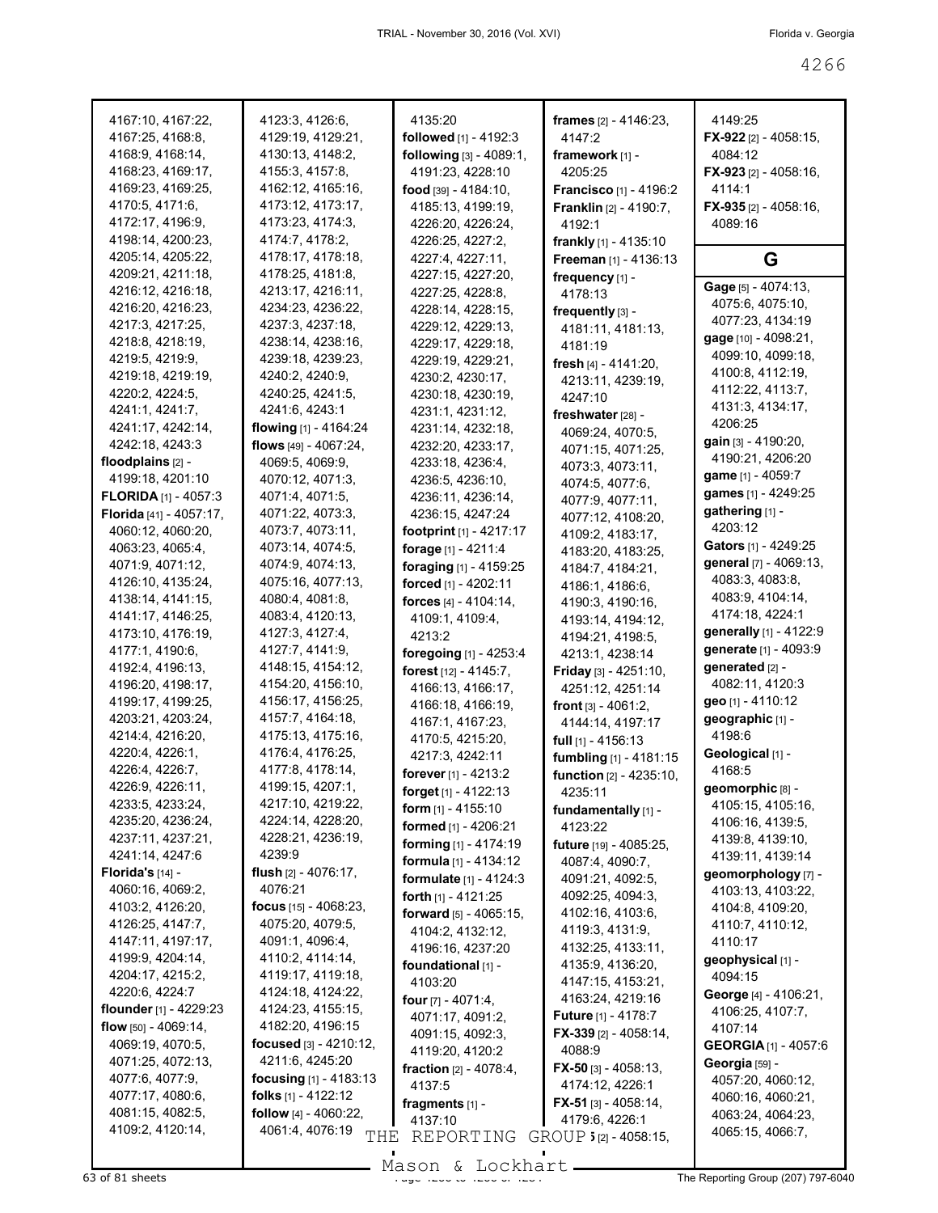| 4167:10, 4167:22,                      | 4123:3, 4126:6,                        | 4135:20                          | frames [2] - 4146:23,            | 4149:25                               |
|----------------------------------------|----------------------------------------|----------------------------------|----------------------------------|---------------------------------------|
| 4167:25, 4168:8,                       | 4129:19, 4129:21,                      | followed [1] - 4192:3            | 4147:2                           | <b>FX-922</b> [2] - 4058:15,          |
| 4168:9, 4168:14,                       | 4130:13, 4148:2,                       | following [3] - 4089:1,          | framework $[1]$ -                | 4084:12                               |
| 4168:23, 4169:17,                      | 4155:3, 4157:8,                        | 4191:23, 4228:10                 | 4205:25                          | <b>FX-923</b> [2] - 4058:16,          |
| 4169:23, 4169:25,                      | 4162:12, 4165:16,                      | food $[39] - 4184:10$ ,          | <b>Francisco</b> [1] - 4196:2    | 4114:1                                |
| 4170:5, 4171:6,                        | 4173:12, 4173:17,                      | 4185:13, 4199:19,                | <b>Franklin</b> $[2] - 4190:7$ , | $FX-935$ [2] - 4058:16,               |
| 4172:17, 4196:9,                       | 4173:23, 4174:3,                       | 4226:20, 4226:24,                | 4192:1                           | 4089:16                               |
| 4198:14, 4200:23,                      | 4174:7, 4178:2,                        | 4226:25, 4227:2,                 | frankly [1] - 4135:10            |                                       |
| 4205:14, 4205:22,<br>4209:21, 4211:18, | 4178:17, 4178:18,<br>4178:25, 4181:8,  | 4227:4, 4227:11,                 | Freeman [1] - 4136:13            | G                                     |
| 4216:12, 4216:18,                      | 4213:17, 4216:11,                      | 4227:15, 4227:20,                | frequency [1] -                  | Gage [5] - 4074:13,                   |
| 4216:20, 4216:23,                      | 4234:23, 4236:22,                      | 4227:25, 4228:8,                 | 4178:13                          | 4075:6, 4075:10,                      |
| 4217:3, 4217:25,                       | 4237:3, 4237:18,                       | 4228:14, 4228:15,                | frequently [3] -                 | 4077:23, 4134:19                      |
| 4218:8, 4218:19,                       | 4238:14, 4238:16,                      | 4229:12, 4229:13,                | 4181:11, 4181:13,                | gage [10] - 4098:21,                  |
| 4219:5, 4219:9,                        | 4239:18, 4239:23,                      | 4229:17, 4229:18,                | 4181:19                          | 4099:10, 4099:18,                     |
| 4219:18, 4219:19,                      | 4240:2, 4240:9,                        | 4229:19, 4229:21,                | fresh $[4] - 4141:20$ ,          | 4100:8, 4112:19,                      |
| 4220:2, 4224:5,                        | 4240:25, 4241:5,                       | 4230:2, 4230:17,                 | 4213:11, 4239:19,                | 4112:22, 4113:7,                      |
| 4241:1, 4241:7,                        | 4241:6, 4243:1                         | 4230:18, 4230:19,                | 4247:10                          | 4131:3, 4134:17,                      |
| 4241:17, 4242:14,                      | flowing $[1] - 4164:24$                | 4231:1, 4231:12,                 | freshwater [28] -                | 4206:25                               |
| 4242:18, 4243:3                        | flows [49] - 4067:24,                  | 4231:14, 4232:18,                | 4069:24, 4070:5,                 | gain [3] - 4190:20,                   |
|                                        |                                        | 4232:20, 4233:17,                | 4071:15, 4071:25,                | 4190:21, 4206:20                      |
| floodplains [2] -                      | 4069:5, 4069:9,                        | 4233:18, 4236:4,                 | 4073:3, 4073:11,                 | game [1] - 4059:7                     |
| 4199:18, 4201:10                       | 4070:12, 4071:3,                       | 4236:5, 4236:10,                 | 4074:5, 4077:6,                  | games [1] - 4249:25                   |
| <b>FLORIDA</b> [1] - 4057:3            | 4071:4, 4071:5,                        | 4236:11, 4236:14,                | 4077:9, 4077:11,                 | gathering [1] -                       |
| Florida [41] - 4057:17,                | 4071:22, 4073:3,                       | 4236:15, 4247:24                 | 4077:12, 4108:20,                | 4203:12                               |
| 4060:12, 4060:20,                      | 4073:7, 4073:11,                       | <b>footprint</b> $[1] - 4217:17$ | 4109:2, 4183:17,                 | Gators [1] - 4249:25                  |
| 4063:23, 4065:4,                       | 4073:14, 4074:5,                       | forage [1] - 4211:4              | 4183:20, 4183:25,                | general [7] - 4069:13,                |
| 4071:9, 4071:12,                       | 4074:9, 4074:13,                       | foraging [1] - 4159:25           | 4184:7, 4184:21,                 | 4083:3, 4083:8,                       |
| 4126:10, 4135:24,                      | 4075:16, 4077:13,                      | forced [1] - 4202:11             | 4186:1, 4186:6,                  | 4083:9, 4104:14,                      |
| 4138:14, 4141:15,                      | 4080:4, 4081:8,                        | forces [4] - 4104:14,            | 4190:3, 4190:16,                 | 4174:18, 4224:1                       |
| 4141:17, 4146:25,                      | 4083:4, 4120:13,                       | 4109:1, 4109:4,                  | 4193:14, 4194:12,                | generally [1] - 4122:9                |
| 4173:10, 4176:19,                      | 4127:3, 4127:4,                        | 4213:2                           | 4194:21, 4198:5,                 | generate [1] - 4093:9                 |
| 4177:1, 4190:6,                        | 4127:7, 4141:9,                        | foregoing [1] - 4253:4           | 4213:1, 4238:14                  | generated [2] -                       |
| 4192:4, 4196:13,                       | 4148:15, 4154:12,<br>4154:20, 4156:10, | forest [12] - 4145:7,            | Friday [3] - 4251:10,            | 4082:11, 4120:3                       |
| 4196:20, 4198:17,                      | 4156:17, 4156:25,                      | 4166:13, 4166:17,                | 4251:12, 4251:14                 | geo [1] - 4110:12                     |
| 4199:17, 4199:25,<br>4203:21, 4203:24, | 4157:7, 4164:18,                       | 4166:18, 4166:19,                | <b>front</b> $[3] - 4061:2$ ,    | geographic [1] -                      |
| 4214:4, 4216:20,                       | 4175:13, 4175:16,                      | 4167:1, 4167:23,                 | 4144:14, 4197:17                 | 4198:6                                |
| 4220:4, 4226:1,                        | 4176:4, 4176:25,                       | 4170:5, 4215:20,                 | full $[1]$ - 4156:13             | Geological [1] -                      |
| 4226:4, 4226:7,                        | 4177:8, 4178:14,                       | 4217:3, 4242:11                  | fumbling [1] - 4181:15           | 4168:5                                |
| 4226:9, 4226:11,                       | 4199:15, 4207:1,                       | forever [1] - 4213:2             | function [2] - 4235:10,          |                                       |
| 4233:5, 4233:24,                       | 4217:10, 4219:22,                      | <b>forget</b> $[1] - 4122:13$    | 4235:11                          | geomorphic [8] -<br>4105:15, 4105:16, |
| 4235:20, 4236:24,                      | 4224:14, 4228:20,                      | <b>form</b> $[1] - 4155:10$      | fundamentally [1] -              |                                       |
| 4237:11, 4237:21,                      | 4228:21, 4236:19,                      | formed [1] - 4206:21             | 4123:22                          | 4106:16, 4139:5,<br>4139:8, 4139:10,  |
| 4241:14, 4247:6                        | 4239:9                                 | forming [1] - 4174:19            | future [19] - 4085:25,           | 4139:11, 4139:14                      |
| Florida's $[14]$ -                     | flush $[2] - 4076:17$ ,                | formula [1] - 4134:12            | 4087:4, 4090:7,                  | geomorphology [7] -                   |
| 4060:16, 4069:2,                       | 4076:21                                | formulate [1] - 4124:3           | 4091:21, 4092:5,                 | 4103:13, 4103:22,                     |
| 4103:2, 4126:20,                       | focus $[15] - 4068:23$ ,               | <b>forth</b> $[1] - 4121:25$     | 4092:25, 4094:3,                 | 4104:8, 4109:20,                      |
| 4126:25, 4147:7,                       | 4075:20, 4079:5,                       | forward [5] - 4065:15,           | 4102:16, 4103:6,                 | 4110:7, 4110:12,                      |
| 4147:11, 4197:17,                      | 4091:1, 4096:4,                        | 4104:2, 4132:12,                 | 4119:3, 4131:9,                  | 4110:17                               |
| 4199:9, 4204:14,                       | 4110:2, 4114:14,                       | 4196:16, 4237:20                 | 4132:25, 4133:11,                | geophysical [1] -                     |
| 4204:17, 4215:2,                       | 4119:17, 4119:18,                      | foundational [1] -               | 4135:9, 4136:20,                 | 4094:15                               |
| 4220:6, 4224:7                         | 4124:18, 4124:22,                      | 4103:20                          | 4147:15, 4153:21,                | George [4] - 4106:21,                 |
| flounder $[1]$ - 4229:23               | 4124:23, 4155:15,                      | four [7] - 4071:4,               | 4163:24, 4219:16                 | 4106:25, 4107:7,                      |
| flow $[50] - 4069:14$ ,                | 4182:20, 4196:15                       | 4071:17, 4091:2,                 | <b>Future</b> $[1] - 4178:7$     | 4107:14                               |
| 4069:19, 4070:5,                       | focused [3] - 4210:12,                 | 4091:15, 4092:3,                 | <b>FX-339</b> [2] - 4058:14,     | <b>GEORGIA</b> [1] - 4057:6           |
| 4071:25, 4072:13,                      | 4211:6, 4245:20                        | 4119:20, 4120:2                  | 4088:9                           | Georgia [59] -                        |
| 4077:6, 4077:9,                        | <b>focusing</b> $[1] - 4183:13$        | <b>fraction</b> $[2] - 4078:4$ , | <b>FX-50</b> [3] - 4058:13,      | 4057:20, 4060:12,                     |
| 4077:17, 4080:6,                       | folks $[1] - 4122:12$                  | 4137:5                           | 4174:12, 4226:1                  | 4060:16, 4060:21,                     |
| 4081:15, 4082:5,                       | <b>follow</b> $[4] - 4060:22$ ,        | fragments [1] -                  | FX-51 $[3] - 4058:14,$           | 4063:24, 4064:23,                     |
| 4109:2, 4120:14,                       | 4061:4, 4076:19                        | 4137:10                          | 4179:6, 4226:1                   | 4065:15, 4066:7,                      |
|                                        | THE                                    | REPORTING                        | $GROUP$ 5 [2] - 4058:15,         |                                       |

Mason & Lockhart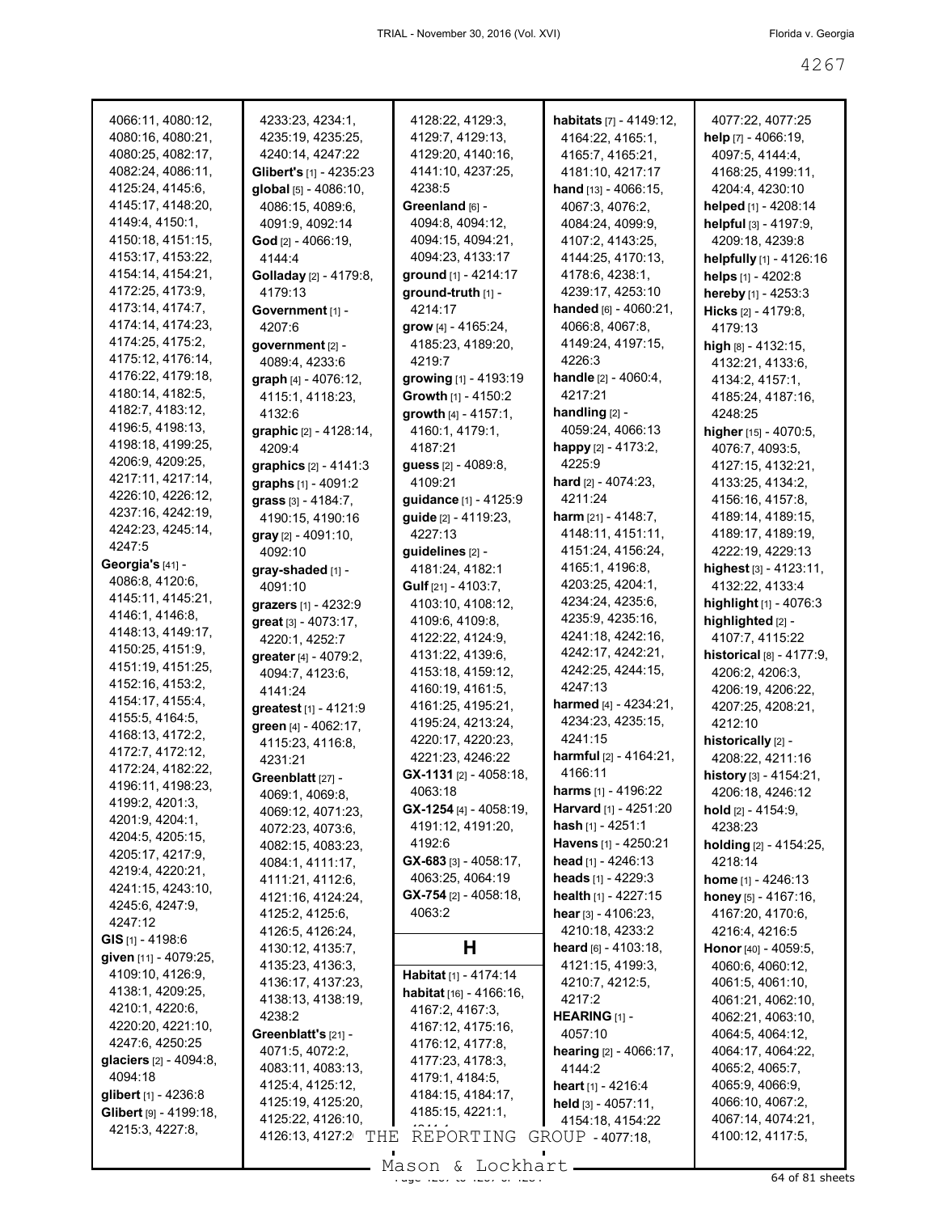| 4066:11, 4080:12,             | 4233:23, 4234:1,              | 4128:22, 4129:3,               | habitats [7] - 4149:12,          | 4077:22, 4077:25            |
|-------------------------------|-------------------------------|--------------------------------|----------------------------------|-----------------------------|
| 4080:16, 4080:21,             | 4235:19, 4235:25,             | 4129:7, 4129:13,               | 4164:22, 4165:1,                 | help [7] - 4066:19,         |
| 4080:25, 4082:17,             | 4240:14, 4247:22              | 4129:20, 4140:16,              | 4165:7, 4165:21,                 | 4097:5, 4144:4,             |
| 4082:24, 4086:11,             | Glibert's [1] - 4235:23       | 4141:10, 4237:25,              | 4181:10, 4217:17                 | 4168:25, 4199:11,           |
|                               |                               | 4238:5                         |                                  |                             |
| 4125:24, 4145:6,              | global [5] - 4086:10,         |                                | hand [13] - 4066:15,             | 4204:4, 4230:10             |
| 4145:17, 4148:20,             | 4086:15, 4089:6,              | Greenland [6] -                | 4067:3, 4076:2,                  | helped [1] - 4208:14        |
| 4149:4, 4150:1,               | 4091:9, 4092:14               | 4094:8, 4094:12,               | 4084:24, 4099:9,                 | helpful [3] - 4197:9,       |
| 4150:18, 4151:15,             | God $[2] - 4066:19$ ,         | 4094:15, 4094:21,              | 4107:2, 4143:25,                 | 4209:18, 4239:8             |
| 4153:17, 4153:22,             | 4144:4                        | 4094:23, 4133:17               | 4144:25, 4170:13,                | helpfully [1] - 4126:16     |
| 4154:14, 4154:21,             | <b>Golladay</b> [2] - 4179:8, | ground [1] - 4214:17           | 4178:6, 4238:1,                  | helps [1] - 4202:8          |
| 4172:25, 4173:9,              | 4179:13                       | ground-truth [1] -             | 4239:17, 4253:10                 | hereby [1] - 4253:3         |
| 4173:14, 4174:7,              |                               | 4214:17                        | handed $[6] - 4060:21$ ,         |                             |
| 4174:14, 4174:23,             | Government [1] -              |                                |                                  | Hicks [2] - 4179:8,         |
|                               | 4207:6                        | grow [4] - 4165:24,            | 4066:8, 4067:8,                  | 4179:13                     |
| 4174:25, 4175:2,              | government [2] -              | 4185:23, 4189:20,              | 4149:24, 4197:15,                | high $[8] - 4132:15$ ,      |
| 4175:12, 4176:14,             | 4089:4, 4233:6                | 4219:7                         | 4226:3                           | 4132:21, 4133:6,            |
| 4176:22, 4179:18,             | graph [4] - 4076:12,          | growing [1] - 4193:19          | handle [2] - 4060:4,             | 4134:2, 4157:1,             |
| 4180:14, 4182:5,              | 4115:1, 4118:23,              | Growth [1] - 4150:2            | 4217:21                          | 4185:24, 4187:16,           |
| 4182:7, 4183:12,              | 4132:6                        | growth [4] - 4157:1,           | handling [2] -                   | 4248:25                     |
| 4196:5, 4198:13,              | graphic [2] - 4128:14,        | 4160:1, 4179:1,                | 4059:24, 4066:13                 | higher [15] - 4070:5,       |
| 4198:18, 4199:25,             |                               |                                | happy $[2] - 4173:2$ ,           |                             |
| 4206:9, 4209:25,              | 4209:4                        | 4187:21                        |                                  | 4076:7, 4093:5,             |
|                               | graphics $[2] - 4141:3$       | guess [2] - 4089:8,            | 4225:9                           | 4127:15, 4132:21,           |
| 4217:11, 4217:14,             | graphs [1] - 4091:2           | 4109:21                        | hard $[2] - 4074:23$ ,           | 4133:25, 4134:2,            |
| 4226:10, 4226:12,             | grass [3] - 4184:7,           | guidance [1] - 4125:9          | 4211:24                          | 4156:16, 4157:8,            |
| 4237:16, 4242:19,             | 4190:15, 4190:16              | guide [2] - 4119:23,           | harm $[21] - 4148:7$ ,           | 4189:14, 4189:15,           |
| 4242:23, 4245:14,             | $gray$ [2] - 4091:10,         | 4227:13                        | 4148:11, 4151:11,                | 4189:17, 4189:19,           |
| 4247:5                        | 4092:10                       | guidelines [2] -               | 4151:24, 4156:24,                | 4222:19, 4229:13            |
| Georgia's [41] -              |                               | 4181:24, 4182:1                | 4165:1, 4196:8,                  |                             |
| 4086:8, 4120:6,               | gray-shaded [1] -             |                                |                                  | highest [3] - 4123:11,      |
| 4145:11, 4145:21,             | 4091:10                       | Gulf [21] - 4103:7,            | 4203:25, 4204:1,                 | 4132:22, 4133:4             |
|                               | grazers [1] - 4232:9          | 4103:10, 4108:12,              | 4234:24, 4235:6,                 | highlight [1] - 4076:3      |
| 4146:1, 4146:8,               | great [3] - 4073:17,          | 4109:6, 4109:8,                | 4235:9, 4235:16,                 | highlighted [2] -           |
| 4148:13, 4149:17,             | 4220:1, 4252:7                | 4122:22, 4124:9,               | 4241:18, 4242:16,                | 4107:7, 4115:22             |
| 4150:25, 4151:9,              | greater [4] - 4079:2,         | 4131:22, 4139:6,               | 4242:17, 4242:21,                | historical [8] - 4177:9,    |
| 4151:19, 4151:25,             | 4094:7, 4123:6,               | 4153:18, 4159:12,              | 4242:25, 4244:15,                | 4206:2, 4206:3,             |
| 4152:16, 4153:2,              | 4141:24                       | 4160:19, 4161:5,               | 4247:13                          | 4206:19, 4206:22,           |
| 4154:17, 4155:4,              |                               | 4161:25, 4195:21,              | harmed [4] - 4234:21,            | 4207:25, 4208:21,           |
| 4155:5, 4164:5,               | greatest [1] - 4121:9         |                                | 4234:23, 4235:15,                |                             |
| 4168:13, 4172:2,              | green [4] - 4062:17,          | 4195:24, 4213:24,              |                                  | 4212:10                     |
| 4172:7, 4172:12,              | 4115:23, 4116:8,              | 4220:17, 4220:23,              | 4241:15                          | historically [2] -          |
|                               | 4231:21                       | 4221:23, 4246:22               | harmful $[2] - 4164:21$ ,        | 4208:22, 4211:16            |
| 4172:24, 4182:22,             | Greenblatt [27] -             | GX-1131 [2] - 4058:18,         | 4166:11                          | history [3] - 4154:21,      |
| 4196:11, 4198:23,             | 4069:1, 4069:8,               | 4063:18                        | <b>harms</b> $[1] - 4196:22$     | 4206:18, 4246:12            |
| 4199:2, 4201:3,               | 4069:12, 4071:23,             | $GX-1254$ [4] - 4058:19,       | Harvard [1] - 4251:20            | hold [2] - 4154:9.          |
| 4201:9, 4204:1,               | 4072:23, 4073:6,              | 4191:12, 4191:20,              | hash $[1] - 4251:1$              | 4238:23                     |
| 4204:5, 4205:15,              | 4082:15, 4083:23,             | 4192:6                         | Havens [1] - 4250:21             | holding [2] - 4154:25,      |
| 4205:17, 4217:9,              |                               | $GX-683$ [3] - 4058:17,        | head $[1] - 4246:13$             |                             |
| 4219:4, 4220:21,              | 4084:1, 4111:17,              |                                |                                  | 4218:14                     |
| 4241:15, 4243:10,             | 4111:21, 4112:6,              | 4063:25, 4064:19               | <b>heads</b> $[1] - 4229:3$      | <b>home</b> $[1] - 4246:13$ |
| 4245:6, 4247:9,               | 4121:16, 4124:24,             | $GX-754$ [2] - 4058:18,        | health $[1] - 4227:15$           | honey $[5] - 4167:16$ ,     |
| 4247:12                       | 4125:2, 4125:6,               | 4063:2                         | <b>hear</b> $[3] - 4106:23$ ,    | 4167:20, 4170:6,            |
|                               | 4126:5, 4126:24,              |                                | 4210:18, 4233:2                  | 4216:4, 4216:5              |
| <b>GIS</b> [1] - 4198:6       | 4130:12, 4135:7,              | H                              | heard $[6] - 4103:18$ ,          | Honor [40] - 4059:5,        |
| given [11] - 4079:25,         | 4135:23, 4136:3,              |                                | 4121:15, 4199:3,                 | 4060:6, 4060:12,            |
| 4109:10, 4126:9,              | 4136:17, 4137:23,             | Habitat [1] - 4174:14          | 4210:7, 4212:5,                  | 4061:5, 4061:10,            |
| 4138:1, 4209:25,              | 4138:13, 4138:19,             | <b>habitat</b> [16] - 4166:16, | 4217:2                           | 4061:21, 4062:10,           |
| 4210:1, 4220:6,               | 4238:2                        | 4167:2, 4167:3,                |                                  |                             |
| 4220:20, 4221:10,             |                               | 4167:12, 4175:16,              | <b>HEARING</b> $[1]$ -           | 4062:21, 4063:10,           |
| 4247:6, 4250:25               | Greenblatt's $[21]$ -         | 4176:12, 4177:8,               | 4057:10                          | 4064:5, 4064:12,            |
| glaciers [2] - 4094:8,        | 4071:5, 4072:2,               | 4177:23, 4178:3,               | <b>hearing</b> $[2] - 4066:17$ , | 4064:17, 4064:22,           |
| 4094:18                       | 4083:11, 4083:13,             |                                | 4144:2                           | 4065:2, 4065:7,             |
|                               | 4125:4, 4125:12,              | 4179:1, 4184:5,                | heart $[1] - 4216:4$             | 4065:9, 4066:9,             |
| <b>glibert</b> $[1]$ - 4236:8 | 4125:19, 4125:20,             | 4184:15, 4184:17,              | held $[3] - 4057:11$ ,           | 4066:10, 4067:2,            |
| Glibert [9] - 4199:18,        | 4125:22, 4126:10,             | 4185:15, 4221:1,               | 4154:18, 4154:22                 | 4067:14, 4074:21,           |
| 4215:3, 4227:8,               | 4126:13, 4127:2 THE           | REPORTING                      | GROUP - 4077:18,                 | 4100:12, 4117:5,            |
|                               |                               |                                |                                  |                             |
|                               |                               | $M2$ con f. Iochbart           |                                  |                             |

Mason & Lockhart 11, 1998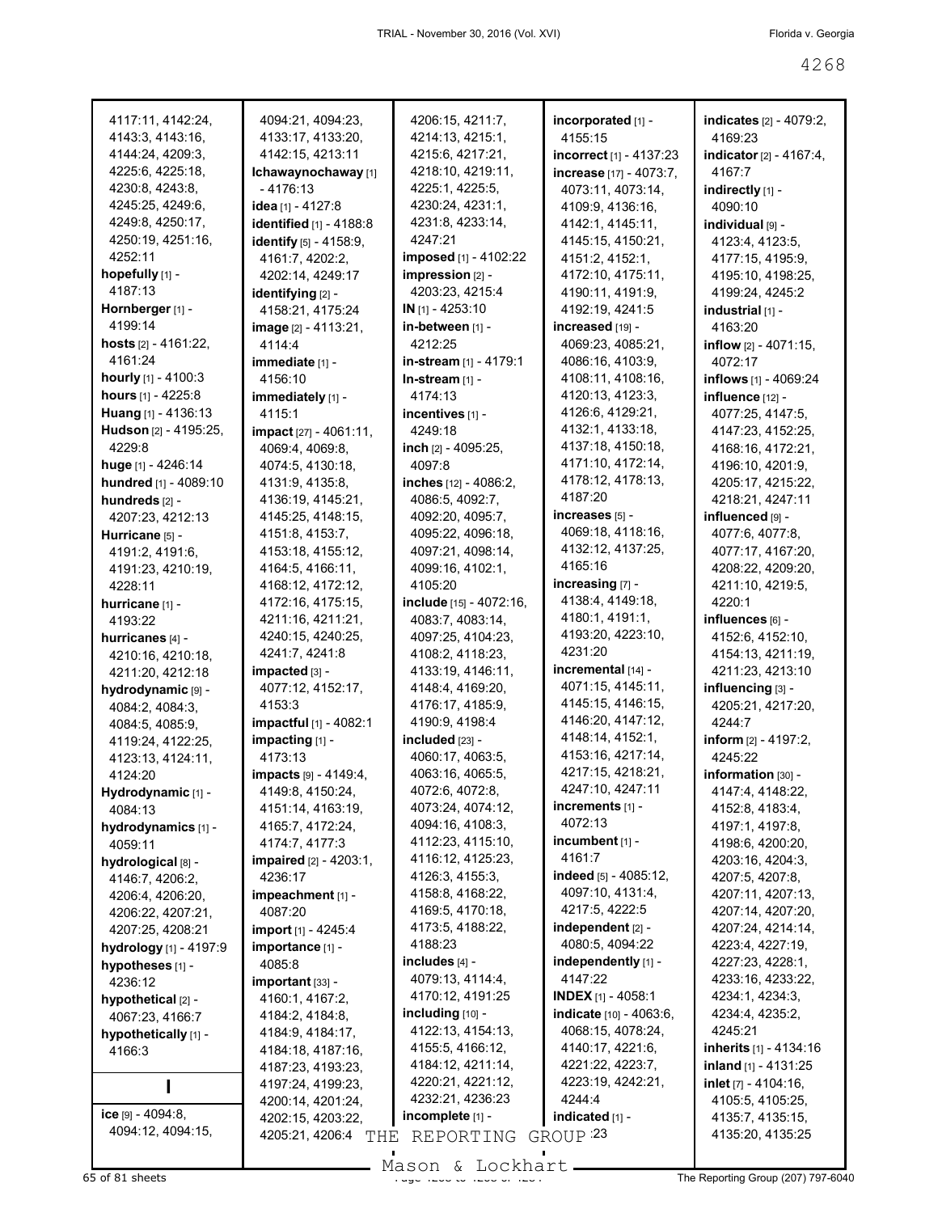| 4117:11, 4142:24,            | 4094:21, 4094:23,          | 4206:15, 4211:7,        | incorporated [1] -             | indicates [2] - 4079:2,         |
|------------------------------|----------------------------|-------------------------|--------------------------------|---------------------------------|
| 4143:3, 4143:16,             | 4133:17, 4133:20,          | 4214:13, 4215:1,        | 4155:15                        | 4169:23                         |
| 4144:24, 4209:3,             | 4142:15, 4213:11           | 4215:6, 4217:21,        | incorrect [1] - 4137:23        | indicator [2] - 4167:4,         |
| 4225:6, 4225:18,             | Ichawaynochaway [1]        | 4218:10, 4219:11,       | increase [17] - 4073:7,        | 4167:7                          |
| 4230:8, 4243:8,              | - 4176:13                  | 4225:1, 4225:5,         | 4073:11, 4073:14,              | indirectly [1] -                |
| 4245:25, 4249:6,             | idea [1] - 4127:8          | 4230:24, 4231:1,        | 4109:9, 4136:16,               | 4090:10                         |
| 4249:8, 4250:17,             | identified [1] - 4188:8    | 4231:8, 4233:14,        | 4142:1, 4145:11,               | individual [9] -                |
| 4250:19, 4251:16,            | identify [5] - 4158:9,     | 4247:21                 | 4145:15, 4150:21,              | 4123:4, 4123:5,                 |
| 4252:11                      | 4161:7, 4202:2,            | imposed [1] - 4102:22   | 4151:2, 4152:1,                | 4177:15, 4195:9,                |
| hopefully [1] -              | 4202:14, 4249:17           | impression [2] -        | 4172:10, 4175:11,              | 4195:10, 4198:25,               |
| 4187:13                      | identifying [2] -          | 4203:23, 4215:4         | 4190:11, 4191:9,               | 4199:24, 4245:2                 |
| Hornberger [1] -             | 4158:21, 4175:24           | IN [1] - 4253:10        | 4192:19, 4241:5                | industrial [1] -                |
| 4199:14                      | image [2] - 4113:21,       | in-between [1] -        | increased [19] -               | 4163:20                         |
| hosts $[2] - 4161:22$ ,      | 4114:4                     | 4212:25                 | 4069:23, 4085:21,              | <b>inflow</b> $[2] - 4071:15$ , |
| 4161:24                      | immediate [1] -            | in-stream [1] - 4179:1  | 4086:16, 4103:9,               | 4072:17                         |
| <b>hourly</b> $[1] - 4100:3$ | 4156:10                    | In-stream [1] -         | 4108:11, 4108:16,              | inflows [1] - 4069:24           |
| hours [1] - 4225:8           | immediately [1] -          | 4174:13                 | 4120:13, 4123:3,               | influence [12] -                |
| <b>Huang</b> $[1] - 4136:13$ | 4115:1                     | incentives [1] -        | 4126:6, 4129:21,               | 4077:25, 4147:5,                |
| Hudson [2] - 4195:25,        | impact [27] - 4061:11,     | 4249:18                 | 4132:1, 4133:18,               | 4147:23, 4152:25,               |
| 4229:8                       | 4069:4, 4069:8,            | inch [2] - 4095:25,     | 4137:18, 4150:18,              | 4168:16, 4172:21,               |
| huge [1] - 4246:14           | 4074:5, 4130:18,           | 4097:8                  | 4171:10, 4172:14,              | 4196:10, 4201:9,                |
| hundred [1] - 4089:10        | 4131:9, 4135:8,            | inches [12] - 4086:2,   | 4178:12, 4178:13,              | 4205:17, 4215:22,               |
| hundreds [2] -               | 4136:19, 4145:21,          | 4086:5, 4092:7,         | 4187:20                        | 4218:21, 4247:11                |
| 4207:23, 4212:13             | 4145:25, 4148:15,          | 4092:20, 4095:7,        | increases [5] -                | influenced [9] -                |
| Hurricane [5] -              | 4151:8, 4153:7,            | 4095:22, 4096:18,       | 4069:18, 4118:16,              | 4077:6, 4077:8,                 |
| 4191:2, 4191:6,              | 4153:18, 4155:12,          | 4097:21, 4098:14,       | 4132:12, 4137:25,              | 4077:17, 4167:20,               |
| 4191:23, 4210:19,            | 4164:5, 4166:11,           | 4099:16, 4102:1,        | 4165:16                        | 4208:22, 4209:20,               |
| 4228:11                      | 4168:12, 4172:12,          | 4105:20                 | increasing [7] -               | 4211:10, 4219:5,                |
| hurricane [1] -              | 4172:16, 4175:15,          | include [15] - 4072:16, | 4138:4, 4149:18,               | 4220:1                          |
| 4193:22                      | 4211:16, 4211:21,          | 4083:7, 4083:14,        | 4180:1, 4191:1,                | influences [6] -                |
| hurricanes [4] -             | 4240:15, 4240:25,          | 4097:25, 4104:23,       | 4193:20, 4223:10,              | 4152:6, 4152:10,                |
| 4210:16, 4210:18,            | 4241:7, 4241:8             | 4108:2, 4118:23,        | 4231:20                        | 4154:13, 4211:19,               |
| 4211:20, 4212:18             | impacted [3] -             | 4133:19, 4146:11,       | incremental [14] -             | 4211:23, 4213:10                |
| hydrodynamic [9] -           | 4077:12, 4152:17,          | 4148:4, 4169:20,        | 4071:15, 4145:11,              | influencing [3] -               |
| 4084:2, 4084:3,              | 4153:3                     | 4176:17, 4185:9,        | 4145:15, 4146:15,              | 4205:21, 4217:20,               |
| 4084:5, 4085:9,              | impactful [1] - 4082:1     | 4190:9, 4198:4          | 4146:20, 4147:12,              | 4244.7                          |
| 4119:24, 4122:25,            | impacting [1] -            | included [23] -         | 4148:14, 4152:1,               | inform $[2] - 4197:2$ ,         |
| 4123:13, 4124:11,            | 4173:13                    | 4060:17, 4063:5,        | 4153:16, 4217:14,              | 4245:22                         |
| 4124:20                      | impacts [9] - 4149:4,      | 4063:16, 4065:5,        | 4217:15, 4218:21,              | information [30] -              |
| Hydrodynamic [1] -           | 4149:8, 4150:24,           | 4072:6, 4072:8,         | 4247:10, 4247:11               | 4147:4, 4148:22,                |
| 4084:13                      | 4151:14, 4163:19,          | 4073:24, 4074:12,       | increments $[1]$ -             | 4152:8, 4183:4,                 |
| hydrodynamics [1] -          | 4165:7, 4172:24,           | 4094:16, 4108:3,        | 4072:13                        | 4197:1, 4197:8,                 |
| 4059:11                      | 4174:7, 4177:3             | 4112:23, 4115:10,       | $incumbent$ $[1]$ -            | 4198:6, 4200:20,                |
| hydrological [8] -           | impaired [2] - 4203:1,     | 4116:12, 4125:23,       | 4161:7                         | 4203:16, 4204:3,                |
| 4146:7, 4206:2,              | 4236:17                    | 4126:3, 4155:3,         | indeed [5] - 4085:12,          | 4207:5, 4207:8,                 |
| 4206:4, 4206:20,             | impeachment [1] -          | 4158:8, 4168:22,        | 4097:10, 4131:4,               | 4207:11, 4207:13,               |
| 4206:22, 4207:21,            | 4087:20                    | 4169:5, 4170:18,        | 4217:5, 4222:5                 | 4207:14, 4207:20,               |
| 4207:25, 4208:21             | <b>import</b> [1] - 4245:4 | 4173:5, 4188:22,        | independent [2] -              | 4207:24, 4214:14,               |
| hydrology [1] - 4197:9       | importance [1] -           | 4188:23                 | 4080:5, 4094:22                | 4223:4, 4227:19,                |
| hypotheses [1] -             | 4085:8                     | includes $[4]$ -        | independently [1] -            | 4227:23, 4228:1,                |
| 4236:12                      | important [33] -           | 4079:13, 4114:4,        | 4147:22                        | 4233:16, 4233:22,               |
| hypothetical [2] -           | 4160:1, 4167:2,            | 4170:12, 4191:25        | <b>INDEX</b> $[1]$ - 4058:1    | 4234:1, 4234:3,                 |
| 4067:23, 4166:7              | 4184:2, 4184:8,            | including $[10]$ -      | <b>indicate</b> [10] - 4063:6, | 4234:4, 4235:2,                 |
| hypothetically [1] -         | 4184:9, 4184:17,           | 4122:13, 4154:13,       | 4068:15, 4078:24,              | 4245:21                         |
| 4166:3                       | 4184:18, 4187:16,          | 4155:5, 4166:12,        | 4140:17, 4221:6,               | inherits [1] - 4134:16          |
|                              | 4187:23, 4193:23,          | 4184:12, 4211:14,       | 4221:22, 4223:7,               | inland $[1] - 4131:25$          |
|                              | 4197:24, 4199:23,          | 4220:21, 4221:12,       | 4223:19, 4242:21,              | inlet $[7] - 4104:16$ ,         |
|                              | 4200:14, 4201:24,          | 4232:21, 4236:23        | 4244:4                         | 4105:5, 4105:25,                |
| ice $[9] - 4094:8$ ,         | 4202:15, 4203:22,          | incomplete [1] -        | indicated [1] -                | 4135:7, 4135:15,                |
| 4094:12, 4094:15,            | 4205:21, 4206:4<br>THE     | REPORTING               | GROUP <sup>23</sup>            | 4135:20, 4135:25                |
|                              |                            |                         |                                |                                 |

Mason & Lockhart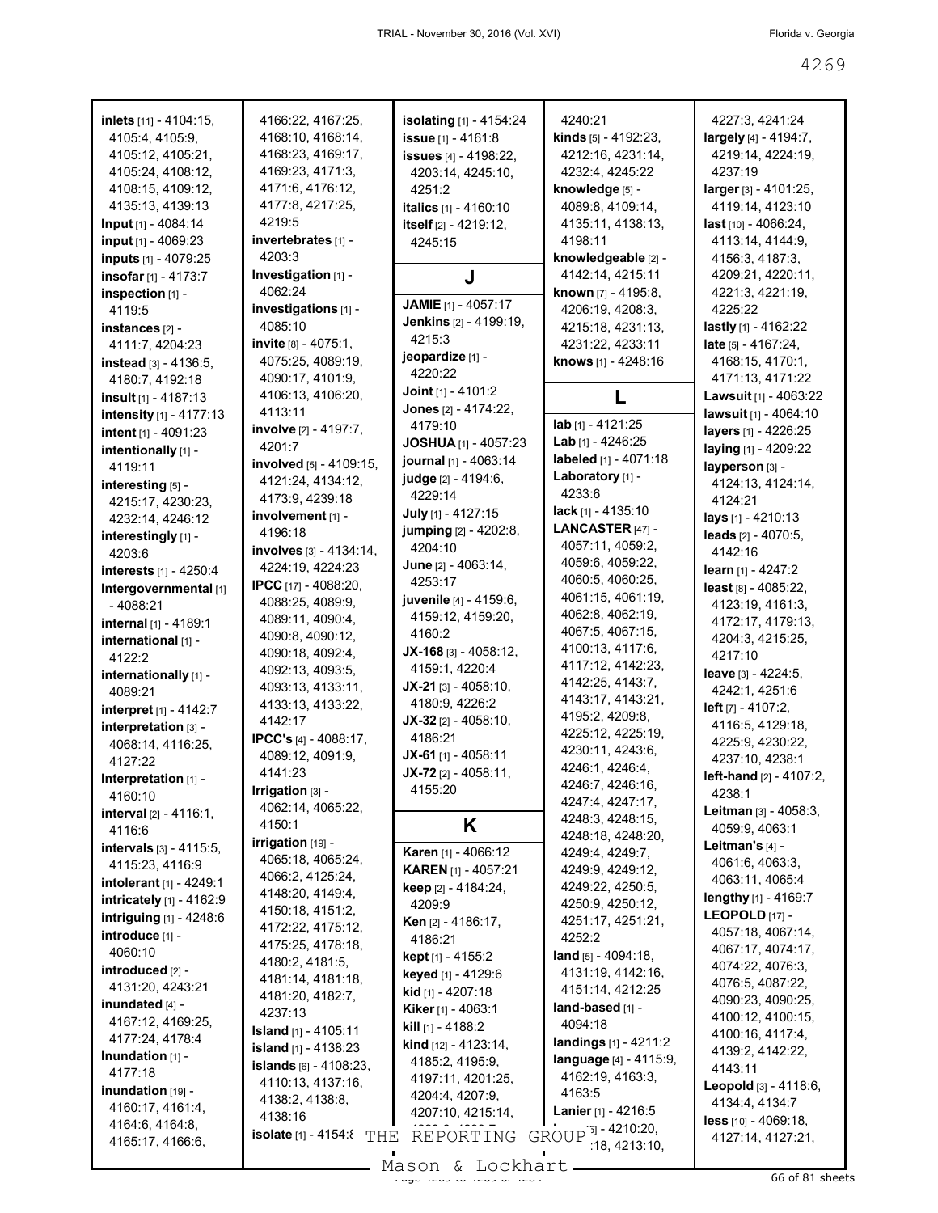| inlets [11] - 4104:15,           |                                  |                                |                                  |                                 |
|----------------------------------|----------------------------------|--------------------------------|----------------------------------|---------------------------------|
|                                  | 4166:22, 4167:25,                | isolating [1] - 4154:24        | 4240:21                          | 4227:3, 4241:24                 |
| 4105:4, 4105:9,                  | 4168:10, 4168:14,                | issue [1] - 4161:8             | kinds [5] - 4192:23,             | largely [4] - 4194:7,           |
| 4105:12, 4105:21,                | 4168:23, 4169:17,                | <b>issues</b> [4] - 4198:22,   | 4212:16, 4231:14,                | 4219:14, 4224:19,               |
| 4105:24, 4108:12,                | 4169:23, 4171:3,                 | 4203:14, 4245:10,              | 4232:4, 4245:22                  | 4237:19                         |
| 4108:15, 4109:12,                | 4171:6, 4176:12,                 | 4251:2                         | knowledge [5] -                  | larger [3] - 4101:25,           |
| 4135:13, 4139:13                 | 4177:8, 4217:25,                 | italics [1] - 4160:10          | 4089:8, 4109:14,                 | 4119:14, 4123:10                |
| Input [1] - 4084:14              | 4219:5                           | itself [2] - 4219:12,          | 4135:11, 4138:13,                | last [10] - 4066:24,            |
|                                  | invertebrates [1] -              |                                | 4198:11                          |                                 |
| input [1] - 4069:23              | 4203:3                           | 4245:15                        |                                  | 4113:14, 4144:9,                |
| inputs [1] - 4079:25             |                                  |                                | knowledgeable [2] -              | 4156:3, 4187:3,                 |
| insofar [1] - 4173:7             | Investigation [1] -              | J                              | 4142:14, 4215:11                 | 4209:21, 4220:11,               |
| inspection [1] -                 | 4062:24                          | <b>JAMIE</b> [1] - 4057:17     | known [7] - 4195:8,              | 4221:3, 4221:19,                |
| 4119:5                           | investigations [1] -             |                                | 4206:19, 4208:3,                 | 4225:22                         |
| instances [2] -                  | 4085:10                          | <b>Jenkins</b> [2] - 4199:19,  | 4215:18, 4231:13,                | lastly [1] - 4162:22            |
| 4111:7, 4204:23                  | invite [8] - 4075:1,             | 4215:3                         | 4231:22, 4233:11                 | late [5] - 4167:24,             |
| instead $[3] - 4136.5$ ,         | 4075:25, 4089:19,                | jeopardize [1] -               | knows [1] - 4248:16              | 4168:15, 4170:1,                |
| 4180:7, 4192:18                  | 4090:17, 4101:9,                 | 4220:22                        |                                  | 4171:13, 4171:22                |
| insult [1] - 4187:13             | 4106:13, 4106:20,                | <b>Joint</b> [1] - 4101:2      | L                                | Lawsuit [1] - 4063:22           |
| intensity [1] - 4177:13          | 4113:11                          | Jones [2] - 4174:22,           |                                  | lawsuit [1] - 4064:10           |
| intent [1] - 4091:23             | involve [2] - 4197:7,            | 4179:10                        | lab [1] - 4121:25                | layers [1] - 4226:25            |
|                                  | 4201:7                           | <b>JOSHUA</b> [1] - 4057:23    | Lab [1] - $4246:25$              | laying [1] - 4209:22            |
| intentionally [1] -              | involved [5] - 4109:15,          | journal [1] - 4063:14          | labeled [1] - 4071:18            |                                 |
| 4119:11                          |                                  | judge [2] - 4194:6,            | Laboratory [1] -                 | layperson [3] -                 |
| interesting [5] -                | 4121:24, 4134:12,                | 4229:14                        | 4233.6                           | 4124:13, 4124:14,               |
| 4215:17, 4230:23,                | 4173:9, 4239:18                  |                                | lack [1] - 4135:10               | 4124:21                         |
| 4232:14, 4246:12                 | involvement [1] -                | July [1] - 4127:15             |                                  | lays [1] - 4210:13              |
| interestingly [1] -              | 4196:18                          | jumping [2] - 4202:8,          | LANCASTER [47] -                 | leads [2] - 4070:5,             |
| 4203:6                           | involves $[3] - 4134:14$ ,       | 4204:10                        | 4057:11, 4059:2,                 | 4142:16                         |
| interests [1] - 4250:4           | 4224:19, 4224:23                 | June [2] - 4063:14,            | 4059:6, 4059:22,                 | learn $[1] - 4247:2$            |
| Intergovernmental [1]            | <b>IPCC</b> [17] - 4088:20,      | 4253:17                        | 4060:5, 4060:25,                 | least $[8] - 4085:22$ ,         |
| $-4088:21$                       | 4088:25, 4089:9,                 | juvenile [4] - 4159:6,         | 4061:15, 4061:19,                | 4123:19, 4161:3,                |
| internal [1] - 4189:1            | 4089:11, 4090:4,                 | 4159:12, 4159:20,              | 4062:8, 4062:19,                 | 4172:17, 4179:13,               |
|                                  | 4090:8, 4090:12,                 | 4160:2                         | 4067:5, 4067:15,                 | 4204:3, 4215:25,                |
| international [1] -              | 4090:18, 4092:4,                 | $JX-168$ [3] - 4058:12,        | 4100:13, 4117:6,                 | 4217:10                         |
| 4122:2                           |                                  |                                |                                  |                                 |
|                                  |                                  |                                | 4117:12, 4142:23,                |                                 |
| internationally [1] -            | 4092:13, 4093:5,                 | 4159:1, 4220:4                 | 4142:25, 4143:7,                 | leave [3] - 4224:5,             |
| 4089:21                          | 4093:13, 4133:11,                | $JX-21$ [3] - 4058:10,         |                                  | 4242:1, 4251:6                  |
| interpret [1] - 4142:7           | 4133:13, 4133:22,                | 4180:9, 4226:2                 | 4143:17, 4143:21,                | left $[7] - 4107:2$ ,           |
| interpretation [3] -             | 4142:17                          | JX-32 [2] - 4058:10,           | 4195:2, 4209:8,                  | 4116:5, 4129:18,                |
| 4068:14, 4116:25,                | IPCC's [4] - 4088:17,            | 4186:21                        | 4225:12, 4225:19,                | 4225:9, 4230:22,                |
| 4127:22                          | 4089:12, 4091:9,                 | JX-61 $[1]$ - 4058:11          | 4230:11, 4243:6,                 | 4237:10, 4238:1                 |
| Interpretation [1] -             | 4141:23                          | $JX-72$ [2] - 4058:11,         | 4246:1, 4246:4,                  | left-hand [2] - 4107:2,         |
|                                  | Irrigation [3] -                 | 4155:20                        | 4246:7, 4246:16,                 | 4238:1                          |
| 4160:10                          | 4062:14, 4065:22,                |                                | 4247:4, 4247:17,                 |                                 |
| <b>interval</b> $[2] - 4116:1$ , | 4150:1                           |                                | 4248:3, 4248:15,                 | Leitman [3] - 4058:3,           |
| 4116:6                           | irrigation [19] -                | K.                             | 4248:18, 4248:20,                | 4059:9, 4063:1                  |
| intervals [3] - 4115:5,          |                                  | Karen [1] - 4066:12            | 4249:4, 4249:7,                  | Leitman's $[4]$ -               |
| 4115:23, 4116:9                  | 4065:18, 4065:24,                | <b>KAREN [1] - 4057:21</b>     | 4249:9, 4249:12,                 | 4061:6, 4063:3,                 |
| <b>intolerant</b> $[1] - 4249:1$ | 4066:2, 4125:24,                 | keep [2] - 4184:24,            | 4249:22, 4250:5,                 | 4063:11, 4065:4                 |
| intricately [1] - 4162:9         | 4148:20, 4149:4,                 | 4209:9                         | 4250:9, 4250:12,                 | <b>lengthy</b> [1] - 4169:7     |
| intriguing [1] - 4248:6          | 4150:18, 4151:2,                 | <b>Ken</b> [2] - 4186:17,      | 4251:17, 4251:21,                | LEOPOLD $[17]$ -                |
| $introduce [1] -$                | 4172:22, 4175:12,                | 4186:21                        | 4252:2                           | 4057:18, 4067:14,               |
| 4060:10                          | 4175:25, 4178:18,                |                                | $land_{[5]} - 4094:18,$          | 4067:17, 4074:17,               |
| $introduced$ [2] -               | 4180:2, 4181:5,                  | kept [1] - 4155:2              |                                  | 4074:22, 4076:3,                |
| 4131:20, 4243:21                 | 4181:14, 4181:18,                | keyed [1] - 4129:6             | 4131:19, 4142:16,                | 4076:5, 4087:22,                |
| inundated $[4]$ -                | 4181:20, 4182:7,                 | kid [1] - 4207:18              | 4151:14, 4212:25                 | 4090:23, 4090:25,               |
|                                  | 4237:13                          | Kiker [1] - 4063:1             | land-based [1] -                 | 4100:12, 4100:15,               |
| 4167:12, 4169:25,                | <b>Island</b> $[1] - 4105:11$    | <b>kill</b> $[1]$ - 4188:2     | 4094:18                          | 4100:16, 4117:4,                |
| 4177:24, 4178:4                  | island $[1]$ - 4138:23           | <b>kind</b> $[12] - 4123:14$ , | landings $[1] - 4211.2$          | 4139:2, 4142:22,                |
| Inundation $[1]$ -               | <b>islands</b> $[6] - 4108:23$ , | 4185:2, 4195:9,                | language [4] - 4115:9,           | 4143:11                         |
| 4177:18                          | 4110:13, 4137:16,                | 4197:11, 4201:25,              | 4162:19, 4163:3,                 | <b>Leopold</b> $[3] - 4118:6$ , |
| inundation [19] -                | 4138:2, 4138:8,                  | 4204:4, 4207:9,                | 4163:5                           |                                 |
| 4160:17, 4161:4,                 | 4138:16                          | 4207:10, 4215:14,              | Lanier [1] - 4216:5              | 4134:4, 4134:7                  |
| 4164:6, 4164:8,                  |                                  |                                |                                  | <b>less</b> $[10] - 4069:18$ ,  |
| 4165:17, 4166:6,                 | <b>isolate</b> [1] - 4154:8      | THE REPORTING                  | GROUP 31-4210:20,<br>18,4213.10, | 4127:14, 4127:21,               |

Mason & Lockhart 11, 1998 of 81 sheets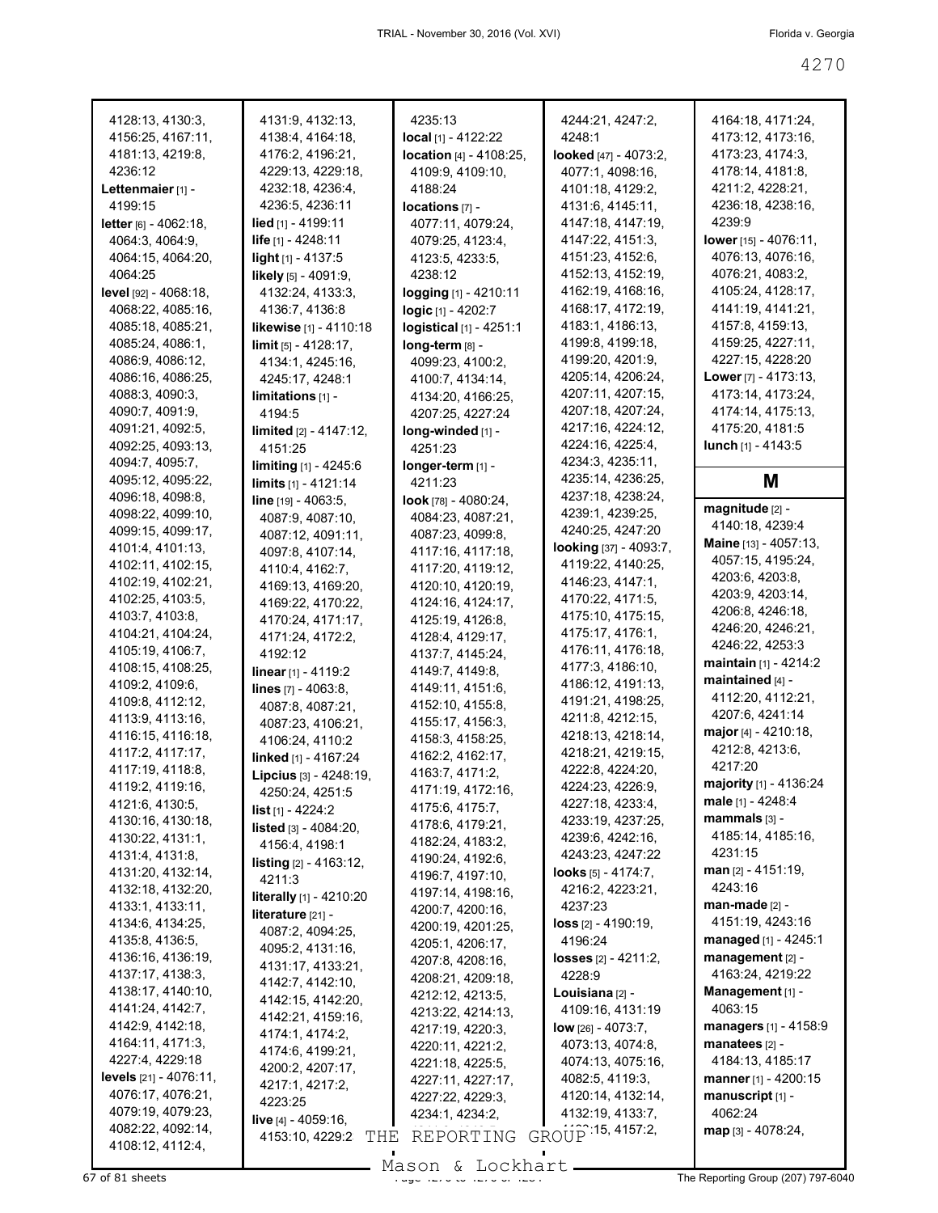| 4128:13, 4130:3,                      | 4131:9, 4132:13,                 | 4235:13                      | 4244:21, 4247:2,                     | 4164:18, 4171:24,                        |
|---------------------------------------|----------------------------------|------------------------------|--------------------------------------|------------------------------------------|
| 4156:25, 4167:11,                     | 4138:4, 4164:18,                 | $local$ [1] - 4122:22        | 4248:1                               | 4173:12, 4173:16,                        |
| 4181:13, 4219:8,                      | 4176:2, 4196:21,                 | location [4] - 4108:25,      | looked [47] - 4073:2,                | 4173:23, 4174:3,                         |
| 4236:12                               | 4229:13, 4229:18,                | 4109:9, 4109:10,             | 4077:1, 4098:16,                     | 4178:14, 4181:8,                         |
| Lettenmaier $[1]$ -                   | 4232:18, 4236:4,                 | 4188:24                      | 4101:18, 4129:2,                     | 4211:2, 4228:21,                         |
| 4199:15                               | 4236:5, 4236:11                  | locations [7] -              | 4131:6, 4145:11,                     | 4236:18, 4238:16,                        |
| <b>letter</b> $[6] - 4062:18$ ,       | <b>lied</b> [1] - 4199:11        | 4077:11, 4079:24,            | 4147:18, 4147:19,                    | 4239:9                                   |
| 4064:3, 4064:9,                       | life $[1] - 4248:11$             | 4079:25, 4123:4,             | 4147:22, 4151:3,                     | lower $[15] - 4076:11$ ,                 |
| 4064:15, 4064:20,                     | light $[1]$ - 4137:5             | 4123:5, 4233:5,              | 4151:23, 4152:6,                     | 4076:13, 4076:16,                        |
| 4064:25                               | likely [5] - 4091:9,             | 4238:12                      | 4152:13, 4152:19,                    | 4076:21, 4083:2,                         |
| level [92] - 4068:18,                 | 4132:24, 4133:3,                 | <b>logging</b> [1] - 4210:11 | 4162:19, 4168:16,                    | 4105:24, 4128:17,                        |
| 4068:22, 4085:16,                     | 4136:7, 4136:8                   | logic [1] - 4202:7           | 4168:17, 4172:19,                    | 4141:19, 4141:21,                        |
| 4085:18, 4085:21,                     | likewise [1] - 4110:18           | logistical [1] - 4251:1      | 4183:1, 4186:13,                     | 4157:8, 4159:13,                         |
| 4085:24, 4086:1,                      | $\lim$ it [5] - 4128:17,         | long-term [8] -              | 4199:8, 4199:18,                     | 4159:25, 4227:11,                        |
| 4086:9, 4086:12,                      | 4134:1, 4245:16,                 | 4099:23, 4100:2,             | 4199:20, 4201:9,                     | 4227:15, 4228:20                         |
| 4086:16, 4086:25,                     | 4245:17, 4248:1                  | 4100:7, 4134:14,             | 4205:14, 4206:24,                    | <b>Lower</b> $[7] - 4173:13$ ,           |
| 4088:3, 4090:3,                       | $limitations 11 -$               | 4134:20, 4166:25,            | 4207:11, 4207:15,                    | 4173:14, 4173:24,                        |
| 4090:7, 4091:9,                       | 4194:5                           | 4207:25, 4227:24             | 4207:18, 4207:24,                    | 4174:14, 4175:13,                        |
| 4091:21, 4092:5,                      | $limited$ $[2] - 4147:12$ ,      | long-winded [1] -            | 4217:16, 4224:12,                    | 4175:20, 4181:5                          |
| 4092:25, 4093:13,                     | 4151:25                          | 4251:23                      | 4224:16, 4225:4,                     | lunch $[1] - 4143.5$                     |
| 4094:7, 4095:7,                       | <b>limiting</b> $[1] - 4245:6$   | longer-term [1] -            | 4234:3, 4235:11,                     |                                          |
| 4095:12, 4095:22,                     | limits [1] - 4121:14             | 4211:23                      | 4235:14, 4236:25,                    | M                                        |
| 4096:18, 4098:8,                      | line [19] - 4063:5,              | look [78] - $4080:24$ ,      | 4237:18, 4238:24,                    |                                          |
| 4098:22, 4099:10,                     | 4087:9, 4087:10,                 | 4084:23, 4087:21,            | 4239:1, 4239:25,                     | magnitude [2] -                          |
| 4099:15, 4099:17,                     |                                  | 4087:23, 4099:8,             | 4240:25, 4247:20                     | 4140:18, 4239:4                          |
| 4101:4, 4101:13,                      | 4087:12, 4091:11,                |                              | looking [37] - 4093:7,               | Maine [13] - 4057:13,                    |
| 4102:11, 4102:15,                     | 4097:8, 4107:14,                 | 4117:16, 4117:18,            | 4119:22, 4140:25,                    | 4057:15, 4195:24,                        |
| 4102:19, 4102:21,                     | 4110:4, 4162:7,                  | 4117:20, 4119:12,            | 4146:23, 4147:1,                     | 4203:6, 4203:8,                          |
| 4102:25, 4103:5,                      | 4169:13, 4169:20,                | 4120:10, 4120:19,            | 4170:22, 4171:5,                     | 4203:9, 4203:14,                         |
| 4103:7, 4103:8,                       | 4169:22, 4170:22,                | 4124:16, 4124:17,            | 4175:10, 4175:15,                    | 4206:8, 4246:18,                         |
| 4104:21, 4104:24,                     | 4170:24, 4171:17,                | 4125:19, 4126:8,             | 4175:17, 4176:1,                     | 4246:20, 4246:21,                        |
| 4105:19, 4106:7,                      | 4171:24, 4172:2,                 | 4128:4, 4129:17,             | 4176:11, 4176:18,                    | 4246:22, 4253:3                          |
| 4108:15, 4108:25,                     | 4192:12                          | 4137:7, 4145:24,             | 4177:3, 4186:10,                     | <b>maintain</b> $[1]$ - 4214:2           |
| 4109:2, 4109:6,                       | linear [1] - 4119:2              | 4149:7, 4149:8,              | 4186:12, 4191:13,                    | maintained [4] -                         |
| 4109:8, 4112:12,                      | lines [7] - 4063:8,              | 4149:11, 4151:6,             | 4191:21, 4198:25,                    | 4112:20, 4112:21,                        |
| 4113:9, 4113:16,                      | 4087:8, 4087:21,                 | 4152:10, 4155:8,             | 4211:8, 4212:15,                     | 4207:6, 4241:14                          |
|                                       | 4087:23, 4106:21,                | 4155:17, 4156:3,             | 4218:13, 4218:14,                    | major [4] - 4210:18,                     |
| 4116:15, 4116:18,<br>4117:2, 4117:17, | 4106:24, 4110:2                  | 4158:3, 4158:25,             | 4218:21, 4219:15,                    | 4212:8, 4213:6,                          |
| 4117:19, 4118:8,                      | linked [1] - 4167:24             | 4162:2, 4162:17,             |                                      | 4217:20                                  |
|                                       | Lipcius [3] - 4248:19,           | 4163:7, 4171:2,              | 4222:8, 4224:20,<br>4224:23, 4226:9, | majority [1] - 4136:24                   |
| 4119:2, 4119:16,                      | 4250:24, 4251:5                  | 4171:19, 4172:16,            | 4227:18, 4233:4,                     | male [1] - 4248:4                        |
| 4121:6, 4130:5,                       | $list_{[1]} - 4224:2$            | 4175:6, 4175:7,              |                                      | mammals [3] -                            |
| 4130:16, 4130:18,                     | listed [3] - 4084:20,            | 4178:6, 4179:21,             | 4233:19, 4237:25,                    | 4185:14, 4185:16,                        |
| 4130:22, 4131:1,                      | 4156:4, 4198:1                   | 4182:24, 4183:2,             | 4239:6, 4242:16,                     | 4231:15                                  |
| 4131:4, 4131:8,                       | <b>listing</b> $[2] - 4163:12$ , | 4190:24, 4192:6,             | 4243:23, 4247:22                     | man [2] - 4151:19,                       |
| 4131:20, 4132:14,                     | 4211:3                           | 4196:7, 4197:10,             | <b>looks</b> $[5] - 4174:7$ ,        | 4243:16                                  |
| 4132:18, 4132:20,                     | literally [1] - 4210:20          | 4197:14, 4198:16,            | 4216:2, 4223:21,                     | $man$ -made $[2]$ -                      |
| 4133:1, 4133:11,                      | literature [21] -                | 4200:7, 4200:16,             | 4237:23                              | 4151:19, 4243:16                         |
| 4134:6, 4134:25,                      | 4087:2, 4094:25,                 | 4200:19, 4201:25,            | $loss$ [2] - 4190:19,                |                                          |
| 4135:8, 4136:5,                       | 4095:2, 4131:16,                 | 4205:1, 4206:17,             | 4196:24                              | managed [1] - 4245:1<br>management [2] - |
| 4136:16, 4136:19,                     | 4131:17, 4133:21,                | 4207:8, 4208:16,             | losses [2] - 4211:2,                 |                                          |
| 4137:17, 4138:3,                      | 4142:7, 4142:10,                 | 4208:21, 4209:18,            | 4228:9                               | 4163:24, 4219:22                         |
| 4138:17, 4140:10,                     | 4142:15, 4142:20,                | 4212:12, 4213:5,             | Louisiana [2] -                      | Management [1] -                         |
| 4141:24, 4142:7,                      | 4142:21, 4159:16,                | 4213:22, 4214:13,            | 4109:16, 4131:19                     | 4063:15                                  |
| 4142:9, 4142:18,                      | 4174:1, 4174:2,                  | 4217:19, 4220:3,             | low [26] - 4073:7,                   | managers [1] - 4158:9                    |
| 4164:11, 4171:3,                      | 4174:6, 4199:21,                 | 4220:11, 4221:2,             | 4073:13, 4074:8,                     | manatees $[2]$ -                         |
| 4227:4, 4229:18                       | 4200:2, 4207:17,                 | 4221:18, 4225:5,             | 4074:13, 4075:16,                    | 4184:13, 4185:17                         |
| <b>levels</b> $[21] - 4076:11$ ,      | 4217:1, 4217:2,                  | 4227:11, 4227:17,            | 4082:5, 4119:3,                      | manner [1] - 4200:15                     |
| 4076:17, 4076:21,                     | 4223:25                          | 4227:22, 4229:3,             | 4120:14, 4132:14,                    | manuscript [1] -                         |
| 4079:19, 4079:23,                     | live [4] - 4059:16,              | 4234:1, 4234:2,              | 4132:19, 4133:7,                     | 4062:24                                  |
| 4082:22, 4092:14,                     | 4153:10, 4229:2<br>THE           | REPORTING                    | GROUP 15, 4157:2,                    | map [3] - 4078:24,                       |
| 4108:12, 4112:4,                      |                                  |                              |                                      |                                          |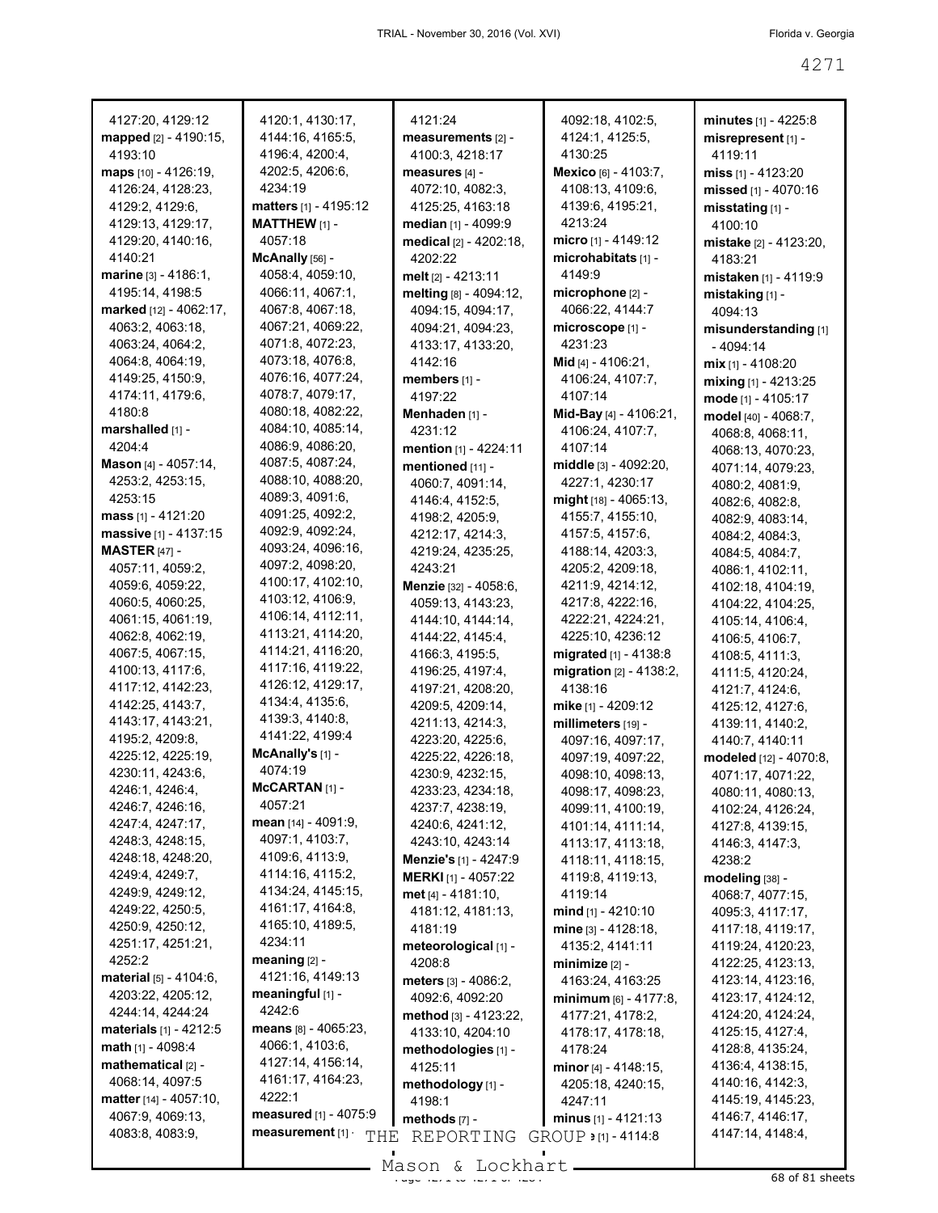| 4127:20, 4129:12                              | 4120:1, 4130:17,                      | 4121:24                        | 4092:18, 4102:5,                    | minutes $[1] - 4225:8$                 |
|-----------------------------------------------|---------------------------------------|--------------------------------|-------------------------------------|----------------------------------------|
| mapped [2] - 4190:15,                         | 4144:16, 4165:5,                      | measurements [2] -             | 4124:1, 4125:5,                     | misrepresent [1] -                     |
| 4193:10                                       | 4196:4, 4200:4,                       | 4100:3, 4218:17                | 4130:25                             | 4119:11                                |
| maps [10] - 4126:19,                          | 4202:5, 4206:6,                       | measures [4] -                 | Mexico [6] - 4103:7,                | miss $[1] - 4123:20$                   |
| 4126:24, 4128:23,                             | 4234:19                               | 4072:10, 4082:3,               | 4108:13, 4109:6,                    | missed [1] - 4070:16                   |
| 4129:2, 4129:6,                               | <b>matters</b> $[1] - 4195:12$        | 4125:25, 4163:18               | 4139:6, 4195:21,                    | misstating $[1]$ -                     |
| 4129:13, 4129:17,                             | <b>MATTHEW</b> $[1]$ -                | median [1] - 4099:9            | 4213:24                             | 4100:10                                |
| 4129:20, 4140:16,                             | 4057:18                               | medical [2] - 4202:18,         | micro $[1] - 4149:12$               | <b>mistake</b> [2] - 4123:20,          |
| 4140:21                                       | McAnally [56] -                       | 4202:22                        | microhabitats [1] -                 | 4183:21                                |
| marine [3] - 4186:1,                          | 4058:4, 4059:10,                      | melt [2] - 4213:11             | 4149.9                              | <b>mistaken</b> [1] - 4119:9           |
| 4195:14, 4198:5                               | 4066:11, 4067:1,                      | melting [8] - 4094:12,         | microphone $[2]$ -                  | mistaking [1] -                        |
| marked [12] - 4062:17,                        | 4067:8, 4067:18,                      | 4094:15, 4094:17,              | 4066:22, 4144:7                     | 4094:13                                |
| 4063:2, 4063:18,                              | 4067:21, 4069:22,                     | 4094:21, 4094:23,              | microscope [1] -                    | misunderstanding [1]                   |
| 4063:24, 4064:2,                              | 4071:8, 4072:23,                      | 4133:17, 4133:20,              | 4231:23                             | - 4094:14                              |
| 4064:8, 4064:19,                              | 4073:18, 4076:8,                      | 4142:16                        | <b>Mid</b> [4] - 4106:21,           | $mix$ [1] - 4108:20                    |
| 4149:25, 4150:9,                              | 4076:16, 4077:24,                     | members [1] -                  | 4106:24, 4107:7,                    | mixing [1] - 4213:25                   |
| 4174:11, 4179:6,                              | 4078:7, 4079:17,                      | 4197:22                        | 4107:14                             | mode $[1] - 4105:17$                   |
| 4180:8                                        | 4080:18, 4082:22,                     | Menhaden [1] -                 | Mid-Bay [4] - 4106:21,              | model [40] - 4068:7,                   |
| marshalled [1] -                              | 4084:10, 4085:14,                     | 4231:12                        | 4106:24, 4107:7,                    | 4068:8, 4068:11,                       |
| 4204:4                                        | 4086:9, 4086:20,                      | mention [1] - 4224:11          | 4107:14                             | 4068:13, 4070:23,                      |
| Mason [4] - 4057:14,                          | 4087:5, 4087:24,<br>4088:10, 4088:20, | mentioned [11] -               | middle [3] - 4092:20,               | 4071:14, 4079:23,                      |
| 4253:2, 4253:15,<br>4253:15                   | 4089:3, 4091:6,                       | 4060:7, 4091:14,               | 4227:1, 4230:17                     | 4080:2, 4081:9,                        |
|                                               | 4091:25, 4092:2,                      | 4146:4, 4152:5,                | $mid$ [18] - 4065:13,               | 4082:6, 4082:8,                        |
| mass $[1] - 4121:20$<br>massive [1] - 4137:15 | 4092:9, 4092:24,                      | 4198:2, 4205:9,                | 4155:7, 4155:10,<br>4157:5, 4157:6, | 4082:9, 4083:14,                       |
| <b>MASTER [47] -</b>                          | 4093:24, 4096:16,                     | 4212:17, 4214:3,               | 4188:14, 4203:3,                    | 4084:2, 4084:3,                        |
| 4057:11, 4059:2,                              | 4097:2, 4098:20,                      | 4219:24, 4235:25,<br>4243:21   | 4205:2, 4209:18,                    | 4084:5, 4084:7,                        |
| 4059:6, 4059:22,                              | 4100:17, 4102:10,                     | Menzie [32] - 4058:6,          | 4211:9, 4214:12,                    | 4086:1, 4102:11,                       |
| 4060:5, 4060:25,                              | 4103:12, 4106:9,                      | 4059:13, 4143:23,              | 4217:8, 4222:16,                    | 4102:18, 4104:19,<br>4104:22, 4104:25, |
| 4061:15, 4061:19,                             | 4106:14, 4112:11,                     | 4144:10, 4144:14,              | 4222:21, 4224:21,                   | 4105:14, 4106:4,                       |
| 4062:8, 4062:19,                              | 4113:21, 4114:20,                     | 4144:22, 4145:4,               | 4225:10, 4236:12                    | 4106:5, 4106:7,                        |
| 4067:5, 4067:15,                              | 4114:21, 4116:20,                     | 4166:3, 4195:5,                | migrated [1] - 4138:8               | 4108:5, 4111:3,                        |
| 4100:13, 4117:6,                              | 4117:16, 4119:22,                     | 4196:25, 4197:4,               | migration $[2] - 4138:2$ ,          | 4111:5, 4120:24,                       |
| 4117:12, 4142:23,                             | 4126:12, 4129:17,                     | 4197:21, 4208:20,              | 4138:16                             | 4121:7, 4124:6,                        |
| 4142:25, 4143:7,                              | 4134:4, 4135:6,                       | 4209:5, 4209:14,               | mike [1] - 4209:12                  | 4125:12, 4127:6,                       |
| 4143:17, 4143:21,                             | 4139:3, 4140:8,                       | 4211:13, 4214:3,               | millimeters [19] -                  | 4139:11, 4140:2,                       |
| 4195:2, 4209:8,                               | 4141:22, 4199:4                       | 4223:20, 4225:6,               | 4097:16, 4097:17,                   | 4140:7, 4140:11                        |
| 4225:12, 4225:19,                             | McAnally's [1] -                      | 4225:22, 4226:18,              | 4097:19, 4097:22,                   | modeled [12] - 4070:8,                 |
| 4230:11, 4243:6,                              | 4074:19                               | 4230:9, 4232:15,               | 4098:10, 4098:13,                   | 4071:17, 4071:22,                      |
| 4246:1, 4246:4,                               | McCARTAN [1] -                        | 4233:23, 4234:18,              | 4098:17, 4098:23,                   | 4080:11, 4080:13,                      |
| 4246:7, 4246:16,                              | 4057:21                               | 4237:7, 4238:19,               | 4099:11, 4100:19,                   | 4102:24, 4126:24,                      |
| 4247:4, 4247:17,                              | mean [14] - 4091:9,                   | 4240:6, 4241:12,               | 4101:14, 4111:14,                   | 4127:8, 4139:15,                       |
| 4248:3, 4248:15,                              | 4097:1, 4103:7,                       | 4243:10, 4243:14               | 4113:17, 4113:18,                   | 4146:3, 4147:3,                        |
| 4248:18, 4248:20,                             | 4109:6, 4113:9,                       | Menzie's [1] - 4247:9          | 4118:11, 4118:15,                   | 4238:2                                 |
| 4249:4, 4249:7,                               | 4114:16, 4115:2,                      | <b>MERKI</b> [1] - 4057:22     | 4119:8, 4119:13,                    | modeling [38] -                        |
| 4249:9, 4249:12,                              | 4134:24, 4145:15,<br>4161:17, 4164:8, | met $[4] - 4181:10$ ,          | 4119:14                             | 4068:7, 4077:15,                       |
| 4249:22, 4250:5,                              | 4165:10, 4189:5,                      | 4181:12, 4181:13,              | mind $[1]$ - 4210:10                | 4095:3, 4117:17,                       |
| 4250:9, 4250:12,<br>4251:17, 4251:21,         | 4234:11                               | 4181:19                        | mine [3] - 4128:18,                 | 4117:18, 4119:17,                      |
| 4252:2                                        | meaning $[2]$ -                       | meteorological [1] -           | 4135:2, 4141:11                     | 4119:24, 4120:23,                      |
| material [5] - 4104:6,                        | 4121:16, 4149:13                      | 4208:8                         | minimize $[2]$ -                    | 4122:25, 4123:13,                      |
| 4203:22, 4205:12,                             | meaningful [1] -                      | meters [3] - 4086:2.           | 4163:24, 4163:25                    | 4123:14, 4123:16,                      |
| 4244:14, 4244:24                              | 4242:6                                | 4092:6, 4092:20                | minimum $[6] - 4177.8$ ,            | 4123:17, 4124:12,<br>4124:20, 4124:24, |
| materials [1] - 4212:5                        | <b>means</b> $[8] - 4065:23$          | method [3] - 4123:22,          | 4177:21, 4178:2,                    | 4125:15, 4127:4,                       |
| <b>math</b> $[1]$ - 4098:4                    | 4066:1, 4103:6,                       | 4133:10, 4204:10               | 4178:17, 4178:18,                   | 4128:8, 4135:24,                       |
| mathematical [2] -                            | 4127:14, 4156:14,                     | methodologies [1] -<br>4125:11 | 4178:24<br>minor [4] - 4148:15,     | 4136:4, 4138:15,                       |
| 4068:14, 4097:5                               | 4161:17, 4164:23,                     | methodology [1] -              | 4205:18, 4240:15,                   | 4140:16, 4142:3,                       |
| matter $[14] - 4057:10$ ,                     | 4222:1                                | 4198:1                         | 4247:11                             | 4145:19, 4145:23,                      |
| 4067:9, 4069:13,                              | measured [1] - 4075:9                 | methods [7] -                  | minus $[1] - 4121:13$               | 4146:7, 4146:17,                       |
| 4083:8, 4083:9,                               | measurement [1]<br>THE                | REPORTING                      | GROUP $\bullet$ [1] - 4114:8        | 4147:14, 4148:4,                       |
|                                               |                                       |                                |                                     |                                        |
|                                               |                                       | $Mason$ , Lockhart             |                                     |                                        |

Mason & Lockhart (2008) 68 of 81 sheets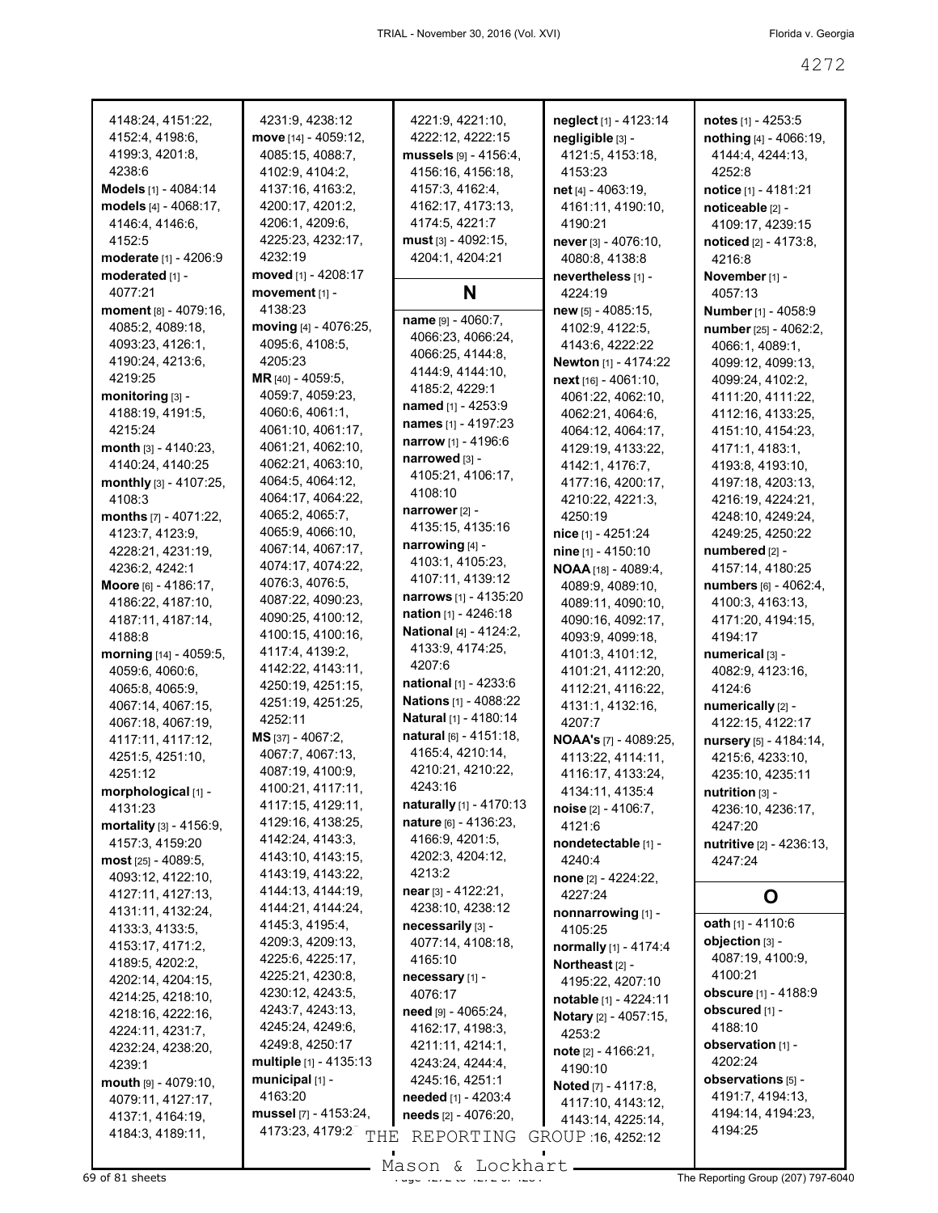| 4148:24, 4151:22,       | 4231:9, 4238:12                  | 4221:9, 4221:10,               | neglect [1] - 4123:14                  | notes [1] - 4253:5          |
|-------------------------|----------------------------------|--------------------------------|----------------------------------------|-----------------------------|
| 4152:4, 4198:6,         | move [14] - 4059:12,             | 4222:12, 4222:15               | negligible [3] -                       | nothing [4] - 4066:19,      |
| 4199:3, 4201:8,         | 4085:15, 4088:7,                 | mussels $[9] - 4156:4,$        | 4121:5, 4153:18,                       | 4144:4, 4244:13,            |
| 4238:6                  | 4102:9, 4104:2,                  | 4156:16, 4156:18,              | 4153:23                                | 4252:8                      |
| Models [1] - 4084:14    | 4137:16, 4163:2,                 | 4157:3, 4162:4,                | net [4] - 4063:19,                     | <b>notice</b> [1] - 4181:21 |
| models [4] - 4068:17,   | 4200:17, 4201:2,                 | 4162:17, 4173:13,              | 4161:11, 4190:10,                      | noticeable [2] -            |
| 4146:4, 4146:6,         | 4206:1, 4209:6,                  | 4174:5, 4221:7                 | 4190:21                                | 4109:17, 4239:15            |
| 4152:5                  | 4225:23, 4232:17,                | $must$ [3] - 4092:15,          | never $[3] - 4076:10,$                 | noticed [2] - 4173:8,       |
| moderate [1] - 4206:9   | 4232:19                          | 4204:1, 4204:21                | 4080:8, 4138:8                         | 4216:8                      |
| moderated [1] -         | moved $[1] - 4208:17$            |                                | nevertheless [1] -                     | November [1] -              |
| 4077:21                 | movement [1] -                   | N                              | 4224:19                                | 4057:13                     |
| moment [8] - 4079:16,   | 4138:23                          |                                | new [5] - 4085:15,                     | Number [1] - 4058:9         |
| 4085:2, 4089:18,        | moving [4] - 4076:25,            | name [9] - 4060:7,             | 4102:9, 4122:5,                        | number [25] - 4062:2,       |
| 4093:23, 4126:1,        | 4095:6, 4108:5,                  | 4066:23, 4066:24,              | 4143.6, 4222:22                        | 4066:1, 4089:1,             |
| 4190:24, 4213:6,        | 4205:23                          | 4066:25, 4144:8,               | <b>Newton</b> [1] - 4174:22            | 4099:12, 4099:13,           |
| 4219:25                 | MR [40] - 4059:5,                | 4144:9, 4144:10,               |                                        |                             |
|                         | 4059:7, 4059:23,                 | 4185:2, 4229:1                 | $next$ [16] - 4061:10,                 | 4099:24, 4102:2,            |
| monitoring [3] -        |                                  | named [1] - 4253:9             | 4061:22, 4062:10,                      | 4111:20, 4111:22,           |
| 4188:19, 4191:5,        | 4060:6, 4061:1,                  | names [1] - 4197:23            | 4062:21, 4064:6,                       | 4112:16, 4133:25,           |
| 4215:24                 | 4061:10, 4061:17,                | narrow [1] - 4196:6            | 4064:12, 4064:17,                      | 4151:10, 4154:23,           |
| month $[3] - 4140:23$ , | 4061:21, 4062:10,                | narrowed $[3]$ -               | 4129:19, 4133:22,                      | 4171:1, 4183:1,             |
| 4140:24, 4140:25        | 4062:21, 4063:10,                | 4105:21, 4106:17,              | 4142:1, 4176:7,                        | 4193:8, 4193:10,            |
| monthly [3] - 4107:25,  | 4064:5, 4064:12,                 | 4108:10                        | 4177:16, 4200:17,                      | 4197:18, 4203:13,           |
| 4108:3                  | 4064:17, 4064:22,                |                                | 4210:22, 4221:3,                       | 4216:19, 4224:21,           |
| months [7] - 4071:22,   | 4065:2, 4065:7,                  | narrower [2] -                 | 4250:19                                | 4248:10, 4249:24,           |
| 4123:7, 4123:9,         | 4065:9, 4066:10,                 | 4135:15, 4135:16               | nice [1] - 4251:24                     | 4249:25, 4250:22            |
| 4228:21, 4231:19,       | 4067:14, 4067:17,                | narrowing [4] -                | nine [1] - 4150:10                     | numbered [2] -              |
| 4236:2, 4242:1          | 4074:17, 4074:22,                | 4103:1, 4105:23,               | <b>NOAA</b> [18] - 4089:4,             | 4157:14, 4180:25            |
| Moore [6] - 4186:17,    | 4076:3, 4076:5,                  | 4107:11, 4139:12               | 4089:9, 4089:10,                       | numbers [6] - 4062:4,       |
| 4186:22, 4187:10,       | 4087:22, 4090:23,                | narrows [1] - 4135:20          | 4089:11, 4090:10,                      | 4100:3, 4163:13,            |
| 4187:11, 4187:14,       | 4090:25, 4100:12,                | <b>nation</b> $[1] - 4246:18$  | 4090:16, 4092:17,                      | 4171:20, 4194:15,           |
| 4188:8                  | 4100:15, 4100:16,                | <b>National</b> [4] - 4124:2,  | 4093:9, 4099:18,                       | 4194:17                     |
| morning [14] - 4059:5,  | 4117:4, 4139:2,                  | 4133:9, 4174:25,               | 4101:3, 4101:12,                       | numerical [3] -             |
| 4059:6, 4060:6,         | 4142:22, 4143:11,                | 4207:6                         | 4101:21, 4112:20,                      | 4082:9, 4123:16,            |
| 4065:8, 4065:9,         | 4250:19, 4251:15,                | <b>national</b> $[1] - 4233.6$ | 4112:21, 4116:22,                      | 4124:6                      |
| 4067:14, 4067:15,       | 4251:19, 4251:25,                | <b>Nations</b> [1] - 4088:22   | 4131:1, 4132:16,                       | numerically [2] -           |
| 4067:18, 4067:19,       | 4252:11                          | Natural [1] - 4180:14          | 4207:7                                 | 4122:15, 4122:17            |
| 4117:11, 4117:12,       | $MS$ [37] - 4067:2,              | natural [6] - 4151:18,         | <b>NOAA's</b> [7] - 4089:25,           | nursery [5] - 4184:14,      |
| 4251:5, 4251:10,        | 4067:7, 4067:13,                 | 4165:4, 4210:14,               | 4113:22, 4114:11,                      | 4215:6, 4233:10,            |
| 4251:12                 | 4087:19, 4100:9,                 | 4210:21, 4210:22,              | 4116:17, 4133:24,                      | 4235:10, 4235:11            |
| morphological [1] -     | 4100:21, 4117:11,                | 4243:16                        | 4134:11, 4135:4                        | nutrition $[3]$ -           |
| 4131:23                 | 4117:15, 4129:11,                | naturally [1] - 4170:13        | noise [2] - 4106:7.                    | 4236:10, 4236:17,           |
| mortality [3] - 4156:9, | 4129:16, 4138:25,                | nature [6] - 4136:23,          | 4121:6                                 | 4247:20                     |
| 4157:3, 4159:20         | 4142:24, 4143:3,                 | 4166:9, 4201:5,                | nondetectable [1] -                    | nutritive [2] - 4236:13,    |
| $most$ [25] - 4089:5,   | 4143:10, 4143:15,                | 4202:3, 4204:12,               | 4240:4                                 |                             |
|                         | 4143:19, 4143:22,                | 4213:2                         |                                        | 4247:24                     |
| 4093:12, 4122:10,       | 4144:13, 4144:19,                | $near$ [3] - 4122:21,          | none [2] - 4224:22,                    |                             |
| 4127:11, 4127:13,       |                                  |                                | 4227:24                                | O                           |
| 4131:11, 4132:24,       |                                  |                                |                                        |                             |
| 4133:3, 4133:5,         | 4144:21, 4144:24,                | 4238:10, 4238:12               | nonnarrowing [1] -                     |                             |
|                         | 4145:3, 4195:4,                  | necessarily [3] -              | 4105:25                                | oath $[1] - 4110:6$         |
| 4153:17, 4171:2,        | 4209:3, 4209:13,                 | 4077:14, 4108:18,              | normally [1] - 4174:4                  | objection [3] -             |
| 4189:5, 4202:2,         | 4225:6, 4225:17,                 | 4165:10                        | Northeast <sub>[2]</sub> -             | 4087:19, 4100:9,            |
| 4202:14, 4204:15,       | 4225:21, 4230:8,                 | necessary [1] -                | 4195:22, 4207:10                       | 4100:21                     |
| 4214:25, 4218:10,       | 4230:12, 4243:5,                 | 4076:17                        | notable [1] - 4224:11                  | obscure [1] - 4188:9        |
| 4218:16, 4222:16,       | 4243:7, 4243:13,                 | need [9] - 4065:24,            | Notary [2] - 4057:15,                  | obscured [1] -              |
| 4224:11, 4231:7,        | 4245:24, 4249:6,                 | 4162:17, 4198:3,               | 4253:2                                 | 4188:10                     |
| 4232:24, 4238:20,       | 4249:8, 4250:17                  | 4211:11, 4214:1,               | note $[2] - 4166:21$ ,                 | observation [1] -           |
| 4239:1                  | multiple [1] - 4135:13           | 4243:24, 4244:4,               | 4190:10                                | 4202:24                     |
| mouth [9] - 4079:10,    | municipal [1] -                  | 4245:16, 4251:1                |                                        | observations [5] -          |
| 4079:11, 4127:17,       | 4163:20                          | needed [1] - 4203:4            | <b>Noted</b> [7] - 4117:8,             | 4191:7, 4194:13,            |
| 4137:1, 4164:19,        | mussel [7] - 4153:24,            | needs [2] - 4076:20,           | 4117:10, 4143:12,                      | 4194:14, 4194:23,           |
| 4184:3, 4189:11,        | 4173:23, 4179:2 <sup>-</sup> THE | REPORTING                      | 4143:14, 4225:14,<br>GROUP 16, 4252:12 | 4194:25                     |

Mason & Lockhart **Page 4207 of 81 sheets** Page 4207) 797-6040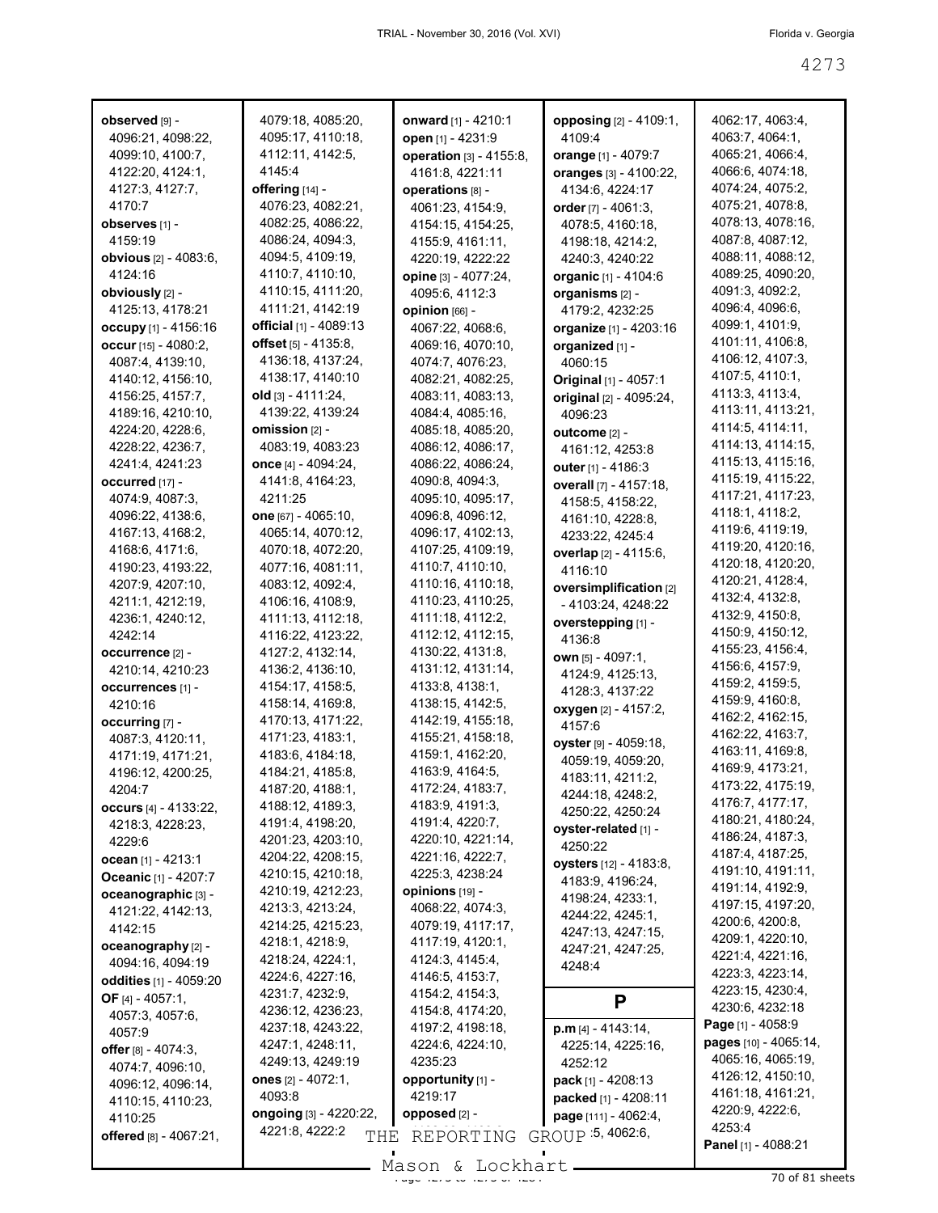| observed [9] -                        | 4079:18, 4085:20,                             | <b>onward</b> [1] - 4210:1             | opposing [2] - 4109:1,      | 4062:17, 4063:4,                      |
|---------------------------------------|-----------------------------------------------|----------------------------------------|-----------------------------|---------------------------------------|
| 4096:21, 4098:22,                     | 4095:17, 4110:18,                             | open [1] - 4231:9                      | 4109:4                      | 4063:7, 4064:1,                       |
| 4099:10, 4100:7,                      | 4112:11, 4142:5,                              | operation [3] - 4155:8,                | orange [1] - 4079:7         | 4065:21, 4066:4,                      |
| 4122:20, 4124:1,                      | 4145:4                                        | 4161:8, 4221:11                        | oranges [3] - 4100:22,      | 4066:6, 4074:18,                      |
| 4127:3, 4127:7,                       | offering [14] -                               | operations [8] -                       | 4134:6, 4224:17             | 4074:24, 4075:2,                      |
| 4170:7                                | 4076:23, 4082:21,                             | 4061:23, 4154:9,                       | order $[7] - 4061:3$ ,      | 4075:21, 4078:8,                      |
| observes [1] -                        | 4082:25, 4086:22,                             | 4154:15, 4154:25,                      | 4078:5, 4160:18,            | 4078:13, 4078:16,                     |
| 4159:19                               | 4086:24, 4094:3,<br>4094:5, 4109:19,          | 4155:9, 4161:11,                       | 4198:18, 4214:2,            | 4087:8, 4087:12,<br>4088:11, 4088:12, |
| <b>obvious</b> [2] - 4083:6,          |                                               | 4220:19, 4222:22                       | 4240:3, 4240:22             | 4089:25, 4090:20,                     |
| 4124:16                               | 4110:7, 4110:10,                              | opine [3] - 4077:24,                   | <b>organic</b> [1] - 4104:6 | 4091:3, 4092:2,                       |
| obviously [2] -                       | 4110:15, 4111:20,<br>4111:21, 4142:19         | 4095:6, 4112:3                         | organisms [2] -             | 4096:4, 4096:6,                       |
| 4125:13, 4178:21                      | official [1] - 4089:13                        | opinion [66] -                         | 4179:2, 4232:25             | 4099:1, 4101:9,                       |
| occupy [1] - 4156:16                  |                                               | 4067:22, 4068:6,                       | organize [1] - 4203:16      | 4101:11, 4106:8,                      |
| occur [15] - 4080:2,                  | offset [5] - 4135:8,<br>4136:18, 4137:24,     | 4069:16, 4070:10,                      | organized [1] -             | 4106:12, 4107:3,                      |
| 4087:4, 4139:10,                      |                                               | 4074:7, 4076:23,                       | 4060:15                     | 4107:5, 4110:1,                       |
| 4140:12, 4156:10,                     | 4138:17, 4140:10                              | 4082:21, 4082:25,                      | Original [1] - 4057:1       | 4113:3, 4113:4,                       |
| 4156:25, 4157:7,                      | <b>old</b> [3] - 4111:24,<br>4139:22, 4139:24 | 4083:11, 4083:13,<br>4084:4, 4085:16,  | original [2] - 4095:24,     | 4113:11, 4113:21,                     |
| 4189:16, 4210:10,<br>4224:20, 4228:6, | omission [2] -                                |                                        | 4096:23                     | 4114:5, 4114:11,                      |
| 4228:22, 4236:7,                      | 4083:19, 4083:23                              | 4085:18, 4085:20,                      | outcome [2] -               | 4114:13, 4114:15,                     |
|                                       | once [4] - 4094:24,                           | 4086:12, 4086:17,<br>4086:22, 4086:24, | 4161:12, 4253:8             | 4115:13, 4115:16,                     |
| 4241:4, 4241:23<br>occurred [17] -    | 4141:8, 4164:23,                              | 4090:8, 4094:3,                        | outer [1] - 4186:3          | 4115:19, 4115:22,                     |
|                                       | 4211:25                                       |                                        | overall [7] - 4157:18,      | 4117:21, 4117:23,                     |
| 4074:9, 4087:3,                       |                                               | 4095:10, 4095:17,<br>4096:8, 4096:12,  | 4158:5, 4158:22,            | 4118:1, 4118:2,                       |
| 4096:22, 4138:6,<br>4167:13, 4168:2,  | one [67] - 4065:10,<br>4065:14, 4070:12,      | 4096:17, 4102:13,                      | 4161:10, 4228:8,            | 4119:6, 4119:19,                      |
|                                       |                                               | 4107:25, 4109:19,                      | 4233:22, 4245:4             | 4119:20, 4120:16,                     |
| 4168:6, 4171:6,<br>4190:23, 4193:22,  | 4070:18, 4072:20,<br>4077:16, 4081:11,        | 4110:7, 4110:10,                       | overlap [2] - 4115:6,       | 4120:18, 4120:20,                     |
| 4207:9, 4207:10,                      | 4083:12, 4092:4,                              | 4110:16, 4110:18,                      | 4116:10                     | 4120:21, 4128:4,                      |
| 4211:1, 4212:19,                      | 4106:16, 4108:9,                              | 4110:23, 4110:25,                      | oversimplification [2]      | 4132:4, 4132:8,                       |
| 4236:1, 4240:12,                      | 4111:13, 4112:18,                             | 4111:18, 4112:2,                       | - 4103:24, 4248:22          | 4132:9, 4150:8,                       |
| 4242:14                               | 4116:22, 4123:22,                             | 4112:12, 4112:15,                      | overstepping [1] -          | 4150:9, 4150:12,                      |
|                                       | 4127:2, 4132:14,                              | 4130:22, 4131:8,                       | 4136:8                      | 4155:23, 4156:4,                      |
| occurrence [2] -<br>4210:14, 4210:23  | 4136:2, 4136:10,                              | 4131:12, 4131:14,                      | own [5] - 4097:1,           | 4156:6, 4157:9,                       |
| occurrences [1] -                     | 4154:17, 4158:5,                              | 4133:8, 4138:1,                        | 4124:9, 4125:13,            | 4159:2, 4159:5,                       |
| 4210:16                               | 4158:14, 4169:8,                              | 4138:15, 4142:5,                       | 4128:3, 4137:22             | 4159.9, 4160.8,                       |
| occurring [7] -                       | 4170:13, 4171:22,                             | 4142:19, 4155:18,                      | oxygen [2] - 4157:2,        | 4162:2, 4162:15,                      |
| 4087:3, 4120:11,                      | 4171:23, 4183:1,                              | 4155:21, 4158:18,                      | 4157:6                      | 4162:22, 4163:7,                      |
| 4171:19, 4171:21,                     | 4183:6, 4184:18,                              | 4159:1, 4162:20,                       | oyster [9] - 4059:18,       | 4163:11, 4169:8,                      |
| 4196:12, 4200:25,                     | 4184:21, 4185:8,                              | 4163:9, 4164:5,                        | 4059:19, 4059:20,           | 4169:9, 4173:21,                      |
| 4204:7                                | 4187:20, 4188:1,                              | 4172:24, 4183:7,                       | 4183:11, 4211:2,            | 4173:22, 4175:19,                     |
| occurs $[4] - 4133:22$ ,              | 4188:12, 4189:3,                              | 4183:9, 4191:3,                        | 4244:18, 4248:2,            | 4176:7, 4177:17,                      |
| 4218:3, 4228:23,                      | 4191:4, 4198:20,                              | 4191:4, 4220:7,                        | 4250:22, 4250:24            | 4180:21, 4180:24,                     |
| 4229:6                                | 4201:23, 4203:10,                             | 4220:10, 4221:14,                      | oyster-related [1] -        | 4186:24, 4187:3,                      |
| ocean $[1] - 4213:1$                  | 4204:22, 4208:15,                             | 4221:16, 4222:7,                       | 4250:22                     | 4187:4, 4187:25,                      |
| Oceanic [1] - 4207:7                  | 4210:15, 4210:18,                             | 4225:3, 4238:24                        | oysters [12] - 4183:8,      | 4191:10, 4191:11,                     |
| oceanographic [3] -                   | 4210:19, 4212:23,                             | opinions [19] -                        | 4183:9, 4196:24,            | 4191:14, 4192:9,                      |
| 4121:22, 4142:13,                     | 4213:3, 4213:24,                              | 4068:22, 4074:3,                       | 4198:24, 4233:1,            | 4197:15, 4197:20,                     |
| 4142:15                               | 4214:25, 4215:23,                             | 4079:19, 4117:17,                      | 4244:22, 4245:1,            | 4200:6, 4200:8,                       |
| oceanography [2] -                    | 4218:1, 4218:9,                               | 4117:19, 4120:1,                       | 4247:13, 4247:15,           | 4209:1, 4220:10,                      |
| 4094:16, 4094:19                      | 4218:24, 4224:1,                              | 4124:3, 4145:4,                        | 4247:21, 4247:25,           | 4221:4, 4221:16,                      |
| oddities [1] - 4059:20                | 4224:6, 4227:16,                              | 4146:5, 4153:7,                        | 4248:4                      | 4223:3, 4223:14,                      |
| OF $[4] - 4057:1$ ,                   | 4231:7, 4232:9,                               | 4154:2, 4154:3,                        |                             | 4223:15, 4230:4,                      |
| 4057:3, 4057:6,                       | 4236:12, 4236:23,                             | 4154:8, 4174:20,                       | P                           | 4230:6, 4232:18                       |
| 4057:9                                | 4237:18, 4243:22,                             | 4197:2, 4198:18,                       | $p.m$ [4] - 4143:14,        | Page [1] - 4058:9                     |
| offer $[8] - 4074:3$ ,                | 4247:1, 4248:11,                              | 4224:6, 4224:10,                       | 4225:14, 4225:16,           | pages [10] - 4065:14,                 |
| 4074:7, 4096:10,                      | 4249:13, 4249:19                              | 4235:23                                | 4252:12                     | 4065:16, 4065:19,                     |
| 4096:12, 4096:14,                     | ones [2] - 4072:1,                            | opportunity [1] -                      | pack [1] - 4208:13          | 4126:12, 4150:10,                     |
| 4110:15, 4110:23,                     | 4093:8                                        | 4219:17                                | packed [1] - 4208:11        | 4161:18, 4161:21,                     |
| 4110:25                               | <b>ongoing</b> [3] - 4220:22,                 | opposed $[2]$ -                        | page [111] - 4062:4,        | 4220:9, 4222:6,                       |
| offered [8] - 4067:21,                | 4221:8, 4222:2<br>THE                         | REPORTING                              | GROUP 5, 4062:6,            | 4253:4                                |
|                                       |                                               |                                        |                             | Panel [1] - 4088:21                   |

Mason & Lockhart 11 1273 10 of 81 sheets

 $\mathbf{r}$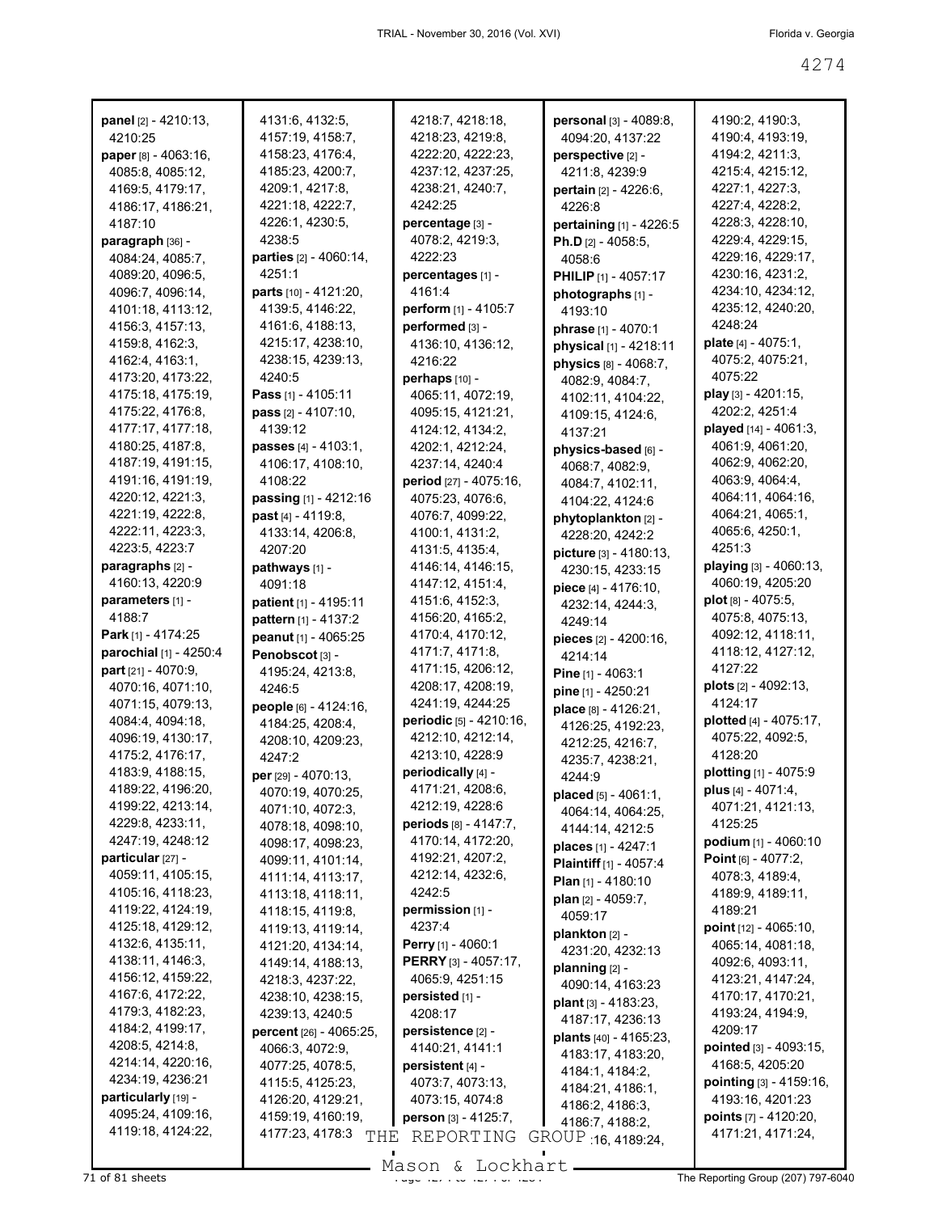| panel [2] - 4210:13,      | 4131:6, 4132:5,         | 4218:7, 4218:18,          | personal [3] - 4089:8,        | 4190:2, 4190:3,                 |
|---------------------------|-------------------------|---------------------------|-------------------------------|---------------------------------|
| 4210:25                   | 4157:19, 4158:7,        | 4218:23, 4219:8,          | 4094:20, 4137:22              | 4190:4, 4193:19,                |
| paper [8] - 4063:16,      | 4158:23, 4176:4,        | 4222:20, 4222:23,         | perspective [2] -             | 4194:2, 4211:3,                 |
| 4085:8, 4085:12,          | 4185:23, 4200:7,        | 4237:12, 4237:25,         | 4211:8, 4239:9                | 4215:4, 4215:12,                |
| 4169:5, 4179:17,          | 4209:1, 4217:8,         | 4238:21, 4240:7,          | pertain [2] - 4226:6,         | 4227:1, 4227:3,                 |
| 4186:17, 4186:21,         | 4221:18, 4222:7,        | 4242:25                   | 4226:8                        | 4227:4, 4228:2,                 |
| 4187:10                   | 4226:1, 4230:5,         | percentage [3] -          | pertaining [1] - 4226:5       | 4228:3, 4228:10,                |
| paragraph [36] -          | 4238:5                  | 4078:2, 4219:3,           | Ph.D $[2] - 4058:5,$          | 4229:4, 4229:15,                |
| 4084:24, 4085:7,          | parties [2] - 4060:14,  | 4222:23                   | 4058:6                        | 4229:16, 4229:17,               |
| 4089:20, 4096:5,          | 4251:1                  | percentages [1] -         | <b>PHILIP</b> [1] - 4057:17   | 4230:16, 4231:2,                |
| 4096:7, 4096:14,          | parts [10] - 4121:20,   | 4161:4                    | photographs [1] -             | 4234:10, 4234:12,               |
| 4101:18, 4113:12,         | 4139:5, 4146:22,        | perform [1] - 4105:7      | 4193:10                       | 4235:12, 4240:20,               |
| 4156:3, 4157:13,          | 4161:6, 4188:13,        | performed [3] -           | phrase [1] - 4070:1           | 4248:24                         |
| 4159:8, 4162:3,           | 4215:17, 4238:10,       | 4136:10, 4136:12,         | physical [1] - 4218:11        | plate $[4] - 4075:1$ ,          |
| 4162:4, 4163:1,           | 4238:15, 4239:13,       | 4216:22                   | physics [8] - 4068:7,         | 4075:2, 4075:21,                |
| 4173:20, 4173:22,         | 4240:5                  | perhaps [10] -            | 4082:9, 4084:7,               | 4075:22                         |
| 4175:18, 4175:19,         | Pass [1] - 4105:11      | 4065:11, 4072:19,         | 4102:11, 4104:22,             | play [3] - 4201:15,             |
| 4175:22, 4176:8,          | pass [2] - 4107:10,     | 4095:15, 4121:21,         | 4109:15, 4124:6,              | 4202:2, 4251:4                  |
| 4177:17, 4177:18,         | 4139:12                 | 4124:12, 4134:2,          | 4137:21                       | played [14] - 4061:3,           |
| 4180:25, 4187:8,          | passes [4] - 4103:1,    | 4202:1, 4212:24,          |                               | 4061:9, 4061:20,                |
| 4187:19, 4191:15,         | 4106:17, 4108:10,       | 4237:14, 4240:4           | physics-based [6] -           | 4062:9, 4062:20,                |
| 4191:16, 4191:19,         | 4108:22                 | period [27] - 4075:16,    | 4068:7, 4082:9,               | 4063:9, 4064:4,                 |
| 4220:12, 4221:3,          |                         |                           | 4084:7, 4102:11,              | 4064:11, 4064:16,               |
| 4221:19, 4222:8,          | passing [1] - 4212:16   | 4075:23, 4076:6,          | 4104:22, 4124:6               | 4064:21, 4065:1,                |
| 4222:11, 4223:3,          | past [4] - 4119:8,      | 4076:7, 4099:22,          | phytoplankton [2] -           |                                 |
| 4223:5, 4223:7            | 4133:14, 4206:8,        | 4100:1, 4131:2,           | 4228:20, 4242:2               | 4065:6, 4250:1,<br>4251:3       |
|                           | 4207:20                 | 4131:5, 4135:4,           | picture [3] - 4180:13,        |                                 |
| paragraphs [2] -          | pathways [1] -          | 4146:14, 4146:15,         | 4230:15, 4233:15              | playing [3] - 4060:13,          |
| 4160:13, 4220:9           | 4091:18                 | 4147:12, 4151:4,          | piece [4] - 4176:10,          | 4060:19, 4205:20                |
| parameters [1] -          | patient [1] - 4195:11   | 4151:6, 4152:3,           | 4232:14, 4244:3,              | plot $[8] - 4075:5$ ,           |
| 4188:7                    | pattern [1] - 4137:2    | 4156:20, 4165:2,          | 4249:14                       | 4075:8, 4075:13,                |
| <b>Park</b> [1] - 4174:25 | peanut [1] - 4065:25    | 4170:4, 4170:12,          | pieces [2] - 4200:16,         | 4092:12, 4118:11,               |
| parochial [1] - 4250:4    | Penobscot [3] -         | 4171:7, 4171:8,           | 4214:14                       | 4118:12, 4127:12,               |
| part [21] - 4070:9,       | 4195:24, 4213:8,        | 4171:15, 4206:12,         | Pine $[1] - 4063.1$           | 4127:22                         |
| 4070:16, 4071:10,         | 4246:5                  | 4208:17, 4208:19,         | pine [1] - 4250:21            | plots [2] - 4092:13,            |
| 4071:15, 4079:13,         | people [6] - 4124:16,   | 4241:19, 4244:25          | place [8] - 4126:21,          | 4124:17                         |
| 4084:4, 4094:18,          | 4184:25, 4208:4,        | periodic [5] - 4210:16,   | 4126:25, 4192:23,             | plotted [4] - 4075:17,          |
| 4096:19, 4130:17,         | 4208:10, 4209:23,       | 4212:10, 4212:14,         | 4212:25, 4216:7,              | 4075:22, 4092:5,                |
| 4175:2, 4176:17,          | 4247:2                  | 4213:10, 4228:9           | 4235:7, 4238:21,              | 4128:20                         |
| 4183:9, 4188:15,          | per [29] - 4070:13,     | periodically [4] -        | 4244:9                        | plotting [1] - 4075:9           |
| 4189:22, 4196:20,         | 4070:19, 4070:25,       | 4171:21, 4208:6,          | placed [5] - 4061:1,          | plus [4] - 4071:4,              |
| 4199:22, 4213:14,         | 4071:10, 4072:3,        | 4212:19, 4228:6           | 4064:14, 4064:25,             | 4071:21, 4121:13,               |
| 4229:8, 4233:11,          | 4078:18, 4098:10,       | periods [8] - 4147:7,     | 4144:14, 4212:5               | 4125:25                         |
| 4247:19, 4248:12          | 4098:17, 4098:23,       | 4170:14, 4172:20,         | places [1] - 4247:1           | podium [1] - 4060:10            |
| particular [27] -         | 4099:11, 4101:14,       | 4192:21, 4207:2,          | <b>Plaintiff</b> [1] - 4057:4 | Point $[6] - 4077:2$ ,          |
| 4059:11, 4105:15,         | 4111:14, 4113:17,       | 4212:14, 4232:6,          | Plan $[1]$ - 4180:10          | 4078:3, 4189:4,                 |
| 4105:16, 4118:23,         | 4113:18, 4118:11,       | 4242:5                    | plan [2] - 4059:7,            | 4189:9, 4189:11,                |
| 4119:22, 4124:19,         | 4118:15, 4119:8,        | permission [1] -          | 4059:17                       | 4189:21                         |
| 4125:18, 4129:12,         | 4119:13, 4119:14,       | 4237:4                    | plankton [2] -                | point [12] - 4065:10,           |
| 4132:6, 4135:11,          | 4121:20, 4134:14,       | <b>Perry</b> [1] - 4060:1 |                               | 4065:14, 4081:18,               |
| 4138:11, 4146:3,          | 4149:14, 4188:13,       | PERRY [3] - 4057:17,      | 4231:20, 4232:13              | 4092:6, 4093:11,                |
| 4156:12, 4159:22,         | 4218:3, 4237:22,        | 4065:9, 4251:15           | planning $[2]$ -              | 4123:21, 4147:24,               |
| 4167:6, 4172:22,          | 4238:10, 4238:15,       | persisted [1] -           | 4090:14, 4163:23              | 4170:17, 4170:21,               |
| 4179:3, 4182:23,          | 4239:13, 4240:5         | 4208:17                   | plant $[3] - 4183:23$ ,       | 4193:24, 4194:9,                |
| 4184:2, 4199:17,          | percent [26] - 4065:25, | persistence [2] -         | 4187:17, 4236:13              | 4209:17                         |
| 4208:5, 4214:8,           | 4066:3, 4072:9,         | 4140:21, 4141:1           | plants [40] - 4165:23,        | pointed [3] - 4093:15,          |
| 4214:14, 4220:16,         | 4077:25, 4078:5,        | persistent [4] -          | 4183:17, 4183:20,             | 4168:5, 4205:20                 |
| 4234:19, 4236:21          | 4115:5, 4125:23,        | 4073:7, 4073:13,          | 4184:1, 4184:2,               | pointing [3] - 4159:16,         |
| particularly [19] -       | 4126:20, 4129:21,       | 4073:15, 4074:8           | 4184:21, 4186:1,              | 4193:16, 4201:23                |
| 4095:24, 4109:16,         | 4159:19, 4160:19,       | person [3] - 4125:7,      | 4186:2, 4186:3,               | <b>points</b> $[7] - 4120:20$ , |
| 4119:18, 4124:22,         | 4177:23, 4178:3         |                           | 4186:7, 4188:2,               | 4171:21, 4171:24,               |
|                           | THE                     | REPORTING                 | GROUP 16, 4189:24,            |                                 |

 $\overline{71}$  of 81 sheets  $\overline{274}$  of  $\overline{274}$  to  $\overline{274}$  or  $\overline{274}$  or  $\overline{274}$  The Reporting Group (207) 797-6040 Mason & Lockhart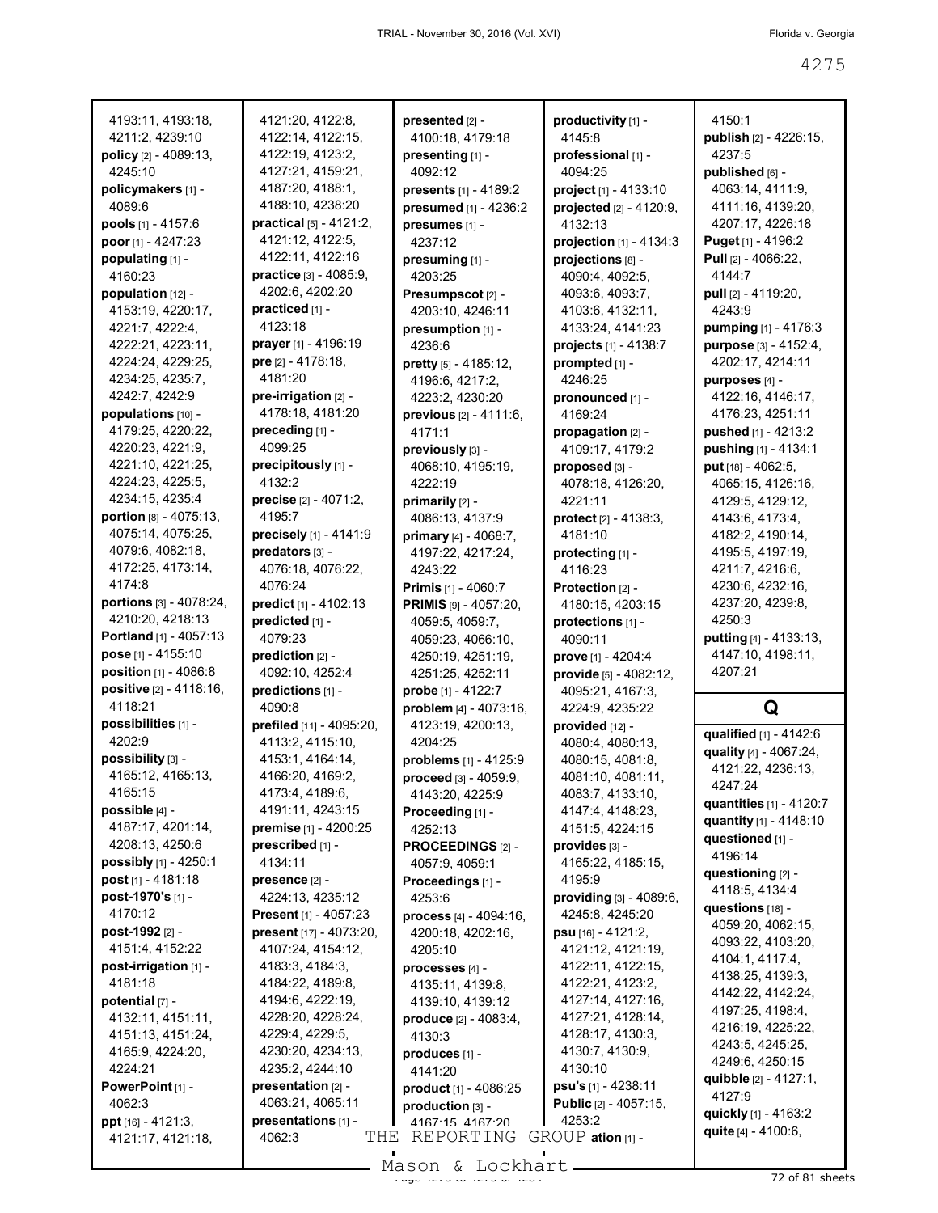| 4193:11, 4193:18,                       | 4121:20, 4122:8,                     | presented [2] -              | productivity [1] -              | 4150:1                                |
|-----------------------------------------|--------------------------------------|------------------------------|---------------------------------|---------------------------------------|
| 4211:2, 4239:10                         | 4122:14, 4122:15,                    | 4100:18, 4179:18             | 4145:8                          | publish [2] - 4226:15,                |
| policy [2] - 4089:13,                   | 4122:19, 4123:2,                     | presenting [1] -             | professional [1] -              | 4237:5                                |
| 4245:10                                 | 4127:21, 4159:21,                    | 4092:12                      | 4094:25                         | published [6] -                       |
| policymakers [1] -                      | 4187:20, 4188:1,                     | presents [1] - 4189:2        | project [1] - 4133:10           | 4063:14, 4111:9,                      |
| 4089:6                                  | 4188:10, 4238:20                     | presumed [1] - 4236:2        | projected [2] - 4120:9,         | 4111:16, 4139:20,                     |
| pools [1] - 4157:6                      | practical [5] - 4121:2,              | presumes [1] -               | 4132:13                         | 4207:17, 4226:18                      |
| poor [1] - 4247:23                      | 4121:12, 4122:5,                     | 4237:12                      | projection [1] - 4134:3         | Puget [1] - 4196:2                    |
| populating [1] -                        | 4122:11, 4122:16                     | presuming [1] -              | projections [8] -               | Pull [2] - 4066:22,                   |
| 4160:23                                 | practice [3] - 4085:9,               | 4203:25                      | 4090:4, 4092:5,                 | 4144:7                                |
| population $[12]$ -                     | 4202:6, 4202:20                      | Presumpscot <sub>[2]</sub> - | 4093:6, 4093:7,                 | pull [2] - 4119:20,                   |
| 4153:19, 4220:17,                       | practiced [1] -                      | 4203:10, 4246:11             | 4103:6, 4132:11,                | 4243:9                                |
| 4221:7, 4222:4,                         | 4123:18                              | presumption [1] -            | 4133:24, 4141:23                | pumping [1] - 4176:3                  |
| 4222:21, 4223:11,                       | prayer [1] - 4196:19                 | 4236:6                       | projects [1] - 4138:7           | purpose [3] - 4152:4,                 |
| 4224:24, 4229:25,                       | pre [2] - 4178:18,                   | pretty [5] - 4185:12,        | prompted [1] -                  | 4202:17, 4214:11                      |
| 4234:25, 4235:7,                        | 4181:20                              | 4196:6, 4217:2,              | 4246:25                         | purposes [4] -                        |
| 4242:7, 4242:9                          | pre-irrigation [2] -                 | 4223:2, 4230:20              | pronounced [1] -                | 4122:16, 4146:17,                     |
| populations [10] -                      | 4178:18, 4181:20                     | previous [2] - 4111:6,       | 4169:24                         | 4176:23, 4251:11                      |
| 4179:25, 4220:22,                       | preceding [1] -                      | 4171:1                       | propagation [2] -               | pushed [1] - 4213:2                   |
| 4220:23, 4221:9,                        | 4099:25                              | previously [3] -             | 4109:17, 4179:2                 | pushing [1] - 4134:1                  |
| 4221:10, 4221:25,                       | precipitously [1] -                  | 4068:10, 4195:19,            | proposed [3] -                  | put [18] - 4062:5,                    |
| 4224:23, 4225:5,                        | 4132:2                               | 4222:19                      | 4078:18, 4126:20,               | 4065:15, 4126:16,                     |
| 4234:15, 4235:4                         | <b>precise</b> $[2] - 4071:2$        | primarily [2] -              | 4221:11                         | 4129:5, 4129:12,                      |
| portion [8] - 4075:13,                  | 4195:7                               | 4086:13, 4137:9              | protect [2] - 4138:3,           | 4143.6, 4173.4,                       |
| 4075:14, 4075:25,                       | precisely [1] - 4141:9               | primary [4] - 4068:7,        | 4181:10                         | 4182:2, 4190:14,                      |
| 4079:6, 4082:18,                        | predators [3] -                      | 4197:22, 4217:24,            | protecting [1] -                | 4195:5, 4197:19,                      |
| 4172:25, 4173:14,                       | 4076:18, 4076:22,                    | 4243:22                      | 4116:23                         | 4211:7, 4216:6,                       |
| 4174:8                                  | 4076:24                              | <b>Primis</b> [1] - 4060:7   | Protection [2] -                | 4230:6, 4232:16,                      |
| portions [3] - 4078:24,                 | predict [1] - 4102:13                | PRIMIS [9] - 4057:20,        | 4180:15, 4203:15                | 4237:20, 4239:8,                      |
| 4210:20, 4218:13                        | predicted [1] -                      | 4059:5, 4059:7,              | protections [1] -               | 4250:3                                |
|                                         |                                      |                              |                                 |                                       |
| Portland [1] - 4057:13                  | 4079:23                              | 4059:23, 4066:10,            | 4090:11                         | putting [4] - 4133:13,                |
| pose $[1] - 4155:10$                    | prediction [2] -                     | 4250:19, 4251:19,            | prove [1] - 4204:4              | 4147:10, 4198:11,                     |
| position [1] - 4086:8                   | 4092:10, 4252:4                      | 4251:25, 4252:11             | provide [5] - 4082:12,          | 4207:21                               |
| positive [2] - 4118:16,                 | predictions [1] -                    | probe [1] - 4122:7           | 4095:21, 4167:3,                |                                       |
| 4118:21                                 | 4090:8                               | problem [4] - 4073:16,       | 4224:9, 4235:22                 | Q                                     |
| possibilities [1] -                     | prefiled [11] - 4095:20,             | 4123:19, 4200:13,            | provided [12] -                 |                                       |
| 4202:9                                  | 4113:2, 4115:10,                     | 4204:25                      | 4080:4, 4080:13,                | qualified [1] - 4142:6                |
| possibility [3] -                       | 4153:1, 4164:14,                     | problems [1] - 4125:9        | 4080:15, 4081:8,                | quality [4] - 4067:24,                |
| 4165:12, 4165:13,                       | 4166:20, 4169:2,                     | proceed [3] - 4059:9,        | 4081:10, 4081:11,               | 4121:22, 4236:13,                     |
| 4165:15                                 | 4173:4, 4189:6,                      | 4143:20, 4225:9              | 4083:7, 4133:10,                | 4247:24                               |
| possible [4] -                          | 4191:11, 4243:15                     | Proceeding [1] -             | 4147:4, 4148:23,                | quantities $[1]$ - 4120:7             |
| 4187:17, 4201:14,                       | premise [1] - 4200:25                | 4252:13                      | 4151:5, 4224:15                 | quantity [1] - 4148:10                |
| 4208:13, 4250:6                         | prescribed [1] -                     | PROCEEDINGS [2] -            | provides [3] -                  | questioned [1] -                      |
| possibly [1] - 4250:1                   | 4134:11                              | 4057:9, 4059:1               | 4165:22, 4185:15,               | 4196:14                               |
| post $[1] - 4181:18$                    | presence [2] -                       | Proceedings [1] -            | 4195.9                          | questioning [2] -                     |
| post-1970's [1] -                       | 4224:13, 4235:12                     | 4253:6                       | providing [3] - 4089:6,         | 4118:5, 4134:4                        |
| 4170:12                                 | <b>Present</b> [1] - 4057:23         | process [4] - 4094:16,       | 4245:8, 4245:20                 | questions [18] -                      |
| post-1992 [2] -                         | present [17] - 4073:20,              | 4200:18, 4202:16,            | $psu$ [16] - 4121:2,            | 4059:20, 4062:15,                     |
| 4151:4, 4152:22                         | 4107:24, 4154:12,                    | 4205:10                      | 4121:12, 4121:19,               | 4093:22, 4103:20,                     |
| post-irrigation [1] -                   | 4183:3, 4184:3,                      | processes [4] -              | 4122:11, 4122:15,               | 4104:1, 4117:4,                       |
| 4181:18                                 | 4184:22, 4189:8,                     | 4135:11, 4139:8,             | 4122:21, 4123:2,                | 4138:25, 4139:3,                      |
| potential [7] -                         | 4194:6, 4222:19,                     | 4139:10, 4139:12             | 4127:14, 4127:16,               | 4142:22, 4142:24,                     |
| 4132:11, 4151:11,                       | 4228:20, 4228:24,                    | produce $[2] - 4083:4$ ,     | 4127:21, 4128:14,               | 4197:25, 4198:4,                      |
| 4151:13, 4151:24,                       | 4229:4, 4229:5,                      | 4130:3                       | 4128:17, 4130:3,                | 4216:19, 4225:22,<br>4243:5, 4245:25, |
| 4165:9, 4224:20,                        | 4230:20, 4234:13,                    | produces [1] -               | 4130:7, 4130:9,                 | 4249:6, 4250:15                       |
| 4224:21                                 | 4235:2, 4244:10                      | 4141:20                      | 4130:10                         | quibble [2] - 4127:1,                 |
| PowerPoint [1] -                        | presentation [2] -                   | product [1] - 4086:25        | psu's [1] - 4238:11             | 4127:9                                |
| 4062:3                                  | 4063:21, 4065:11                     | production [3] -             | <b>Public</b> $[2] - 4057:15$   | quickly [1] - 4163:2                  |
| ppt [16] - 4121:3,<br>4121:17, 4121:18, | presentations [1] -<br>THE<br>4062:3 | 4167:15 4167:20<br>REPORTING | 4253:2<br>$GROUP$ ation $[1]$ - | quite [4] - 4100:6,                   |

 $\frac{200011}{x}$  and  $\frac{200111}{x}$  of  $\frac{200011}{x}$  of 81 sheets Mason & Lockhart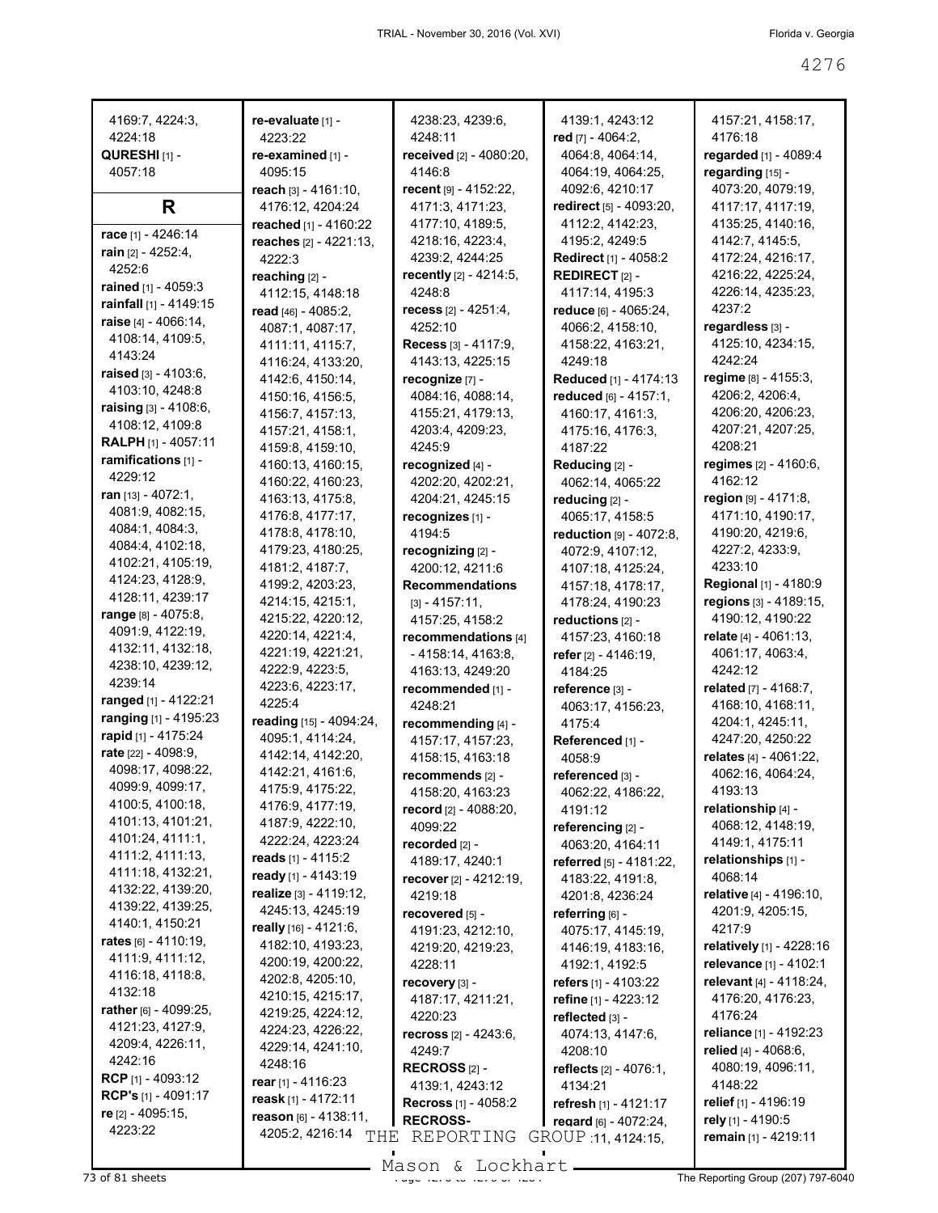| 4169:7, 4224:3,                               | re-evaluate [1] -                      | 4238:23, 4239:6,                             | 4139:1, 4243:12                             | 4157:21, 4158:17,                         |
|-----------------------------------------------|----------------------------------------|----------------------------------------------|---------------------------------------------|-------------------------------------------|
| 4224:18                                       | 4223:22                                | 4248:11                                      | red [7] - 4064:2,                           | 4176:18                                   |
| <b>QURESHI</b> [1] -                          | re-examined [1] -                      | received [2] - 4080:20,                      | 4064:8, 4064:14,                            | regarded [1] - 4089:4                     |
| 4057:18                                       | 4095:15                                | 4146:8                                       | 4064:19, 4064:25,                           | regarding [15] -                          |
|                                               | reach [3] - 4161:10,                   | recent [9] - 4152:22,                        | 4092:6, 4210:17                             | 4073:20, 4079:19,                         |
| R                                             | 4176:12, 4204:24                       | 4171:3, 4171:23,                             | <b>redirect</b> [5] - 4093:20,              | 4117:17, 4117:19,                         |
|                                               | reached [1] - 4160:22                  | 4177:10, 4189:5,                             | 4112:2, 4142:23,                            | 4135:25, 4140:16,                         |
| race [1] - 4246:14                            | reaches [2] - 4221:13,                 | 4218:16, 4223:4,                             | 4195:2, 4249:5                              | 4142:7, 4145:5,                           |
| rain $[2] - 4252:4$ ,                         | 4222:3                                 | 4239:2, 4244:25                              | <b>Redirect</b> [1] - 4058:2                | 4172:24, 4216:17,                         |
| 4252:6                                        | reaching [2] -                         | recently [2] - 4214:5,                       | <b>REDIRECT</b> $[2]$ -                     | 4216:22, 4225:24,                         |
| <b>rained</b> $[1] - 4059:3$                  | 4112:15, 4148:18                       | 4248:8                                       | 4117:14, 4195:3                             | 4226:14, 4235:23,                         |
| rainfall $[1] - 4149:15$                      | read [46] - 4085:2,                    | <b>recess</b> [2] - 4251:4,                  | reduce [6] - 4065:24,                       | 4237:2                                    |
| raise [4] - 4066:14,                          | 4087:1, 4087:17,                       | 4252:10                                      | 4066:2, 4158:10,                            | regardless [3] -                          |
| 4108:14, 4109:5,<br>4143:24                   | 4111:11, 4115:7,                       | <b>Recess</b> $[3] - 4117:9$ ,               | 4158:22, 4163:21,                           | 4125:10, 4234:15,                         |
| raised $[3] - 4103.6$ ,                       | 4116:24, 4133:20,                      | 4143:13, 4225:15                             | 4249:18                                     | 4242:24                                   |
| 4103:10, 4248:8                               | 4142:6, 4150:14,                       | recognize [7] -                              | Reduced [1] - 4174:13                       | regime $[8] - 4155:3$ ,                   |
| raising [3] - 4108:6,                         | 4150:16, 4156:5,                       | 4084:16, 4088:14,                            | reduced $[6] - 4157:1$ ,                    | 4206:2, 4206:4,                           |
| 4108:12, 4109:8                               | 4156:7, 4157:13,                       | 4155:21, 4179:13,                            | 4160:17, 4161:3,                            | 4206:20, 4206:23,                         |
| <b>RALPH</b> [1] - 4057:11                    | 4157:21, 4158:1,                       | 4203:4, 4209:23,                             | 4175:16, 4176:3,                            | 4207:21, 4207:25,<br>4208:21              |
| ramifications [1] -                           | 4159:8, 4159:10,                       | 4245:9                                       | 4187:22                                     | regimes [2] - 4160:6,                     |
| 4229:12                                       | 4160:13, 4160:15,<br>4160:22, 4160:23, | recognized [4] -<br>4202:20, 4202:21,        | Reducing [2] -<br>4062:14, 4065:22          | 4162:12                                   |
| ran $[13] - 4072:1$ ,                         | 4163:13, 4175:8,                       | 4204:21, 4245:15                             | reducing [2] -                              | region $[9] - 4171:8$ ,                   |
| 4081:9, 4082:15,                              | 4176:8, 4177:17,                       | recognizes [1] -                             | 4065:17, 4158:5                             | 4171:10, 4190:17,                         |
| 4084:1, 4084:3,                               | 4178:8, 4178:10,                       | 4194:5                                       | reduction $[9] - 4072:8$ ,                  | 4190:20, 4219:6,                          |
| 4084:4, 4102:18,                              | 4179:23, 4180:25,                      | recognizing [2] -                            | 4072:9, 4107:12,                            | 4227:2, 4233:9,                           |
| 4102:21, 4105:19,                             | 4181:2, 4187:7,                        | 4200:12, 4211:6                              | 4107:18, 4125:24,                           | 4233:10                                   |
| 4124:23, 4128:9,                              | 4199:2, 4203:23,                       | <b>Recommendations</b>                       | 4157:18, 4178:17,                           | <b>Regional</b> [1] - 4180:9              |
| 4128:11, 4239:17                              | 4214:15, 4215:1,                       | $[3] - 4157:11,$                             | 4178:24, 4190:23                            | regions [3] - 4189:15,                    |
| range $[8] - 4075:8$ ,                        | 4215:22, 4220:12,                      | 4157:25, 4158:2                              | reductions [2] -                            | 4190:12, 4190:22                          |
| 4091:9, 4122:19,                              | 4220:14, 4221:4,                       | recommendations [4]                          | 4157:23, 4160:18                            | relate $[4] - 4061:13$ ,                  |
| 4132:11, 4132:18,                             | 4221:19, 4221:21,                      | $-4158:14, 4163:8,$                          | refer $[2] - 4146.19$ ,                     | 4061:17, 4063:4,                          |
| 4238:10, 4239:12,                             | 4222:9, 4223:5,                        | 4163:13, 4249:20                             | 4184:25                                     | 4242:12                                   |
| 4239:14                                       | 4223:6, 4223:17,                       | recommended [1] -                            | reference [3] -                             | <b>related</b> $[7] - 4168:7$ ,           |
| ranged [1] - 4122:21<br>ranging [1] - 4195:23 | 4225:4                                 | 4248:21                                      | 4063:17, 4156:23,                           | 4168:10, 4168:11,                         |
| rapid [1] - 4175:24                           | reading [15] - 4094:24,                | recommending [4] -                           | 4175:4                                      | 4204:1, 4245:11,                          |
| rate [22] - 4098:9,                           | 4095:1, 4114:24,<br>4142:14, 4142:20,  | 4157:17, 4157:23,                            | Referenced [1] -                            | 4247:20, 4250:22                          |
| 4098:17, 4098:22,                             | 4142:21, 4161:6,                       | 4158:15, 4163:18                             | 4058:9                                      | relates [4] - 4061:22,                    |
| 4099:9, 4099:17,                              | 4175:9, 4175:22,                       | recommends [2] -                             | referenced [3] -                            | 4062:16, 4064:24,<br>4193:13              |
| 4100:5, 4100:18,                              | 4176:9, 4177:19,                       | 4158:20, 4163:23<br>record $[2] - 4088:20$ , | 4062:22, 4186:22,<br>4191:12                | relationship [4] -                        |
| 4101:13, 4101:21,                             | 4187:9, 4222:10,                       | 4099:22                                      | referencing [2] -                           | 4068:12, 4148:19,                         |
| 4101:24, 4111:1,                              | 4222:24, 4223:24                       | recorded [2] -                               | 4063:20, 4164:11                            | 4149:1, 4175:11                           |
| 4111:2, 4111:13,                              | reads $[1] - 4115:2$                   | 4189:17, 4240:1                              | referred [5] - 4181:22,                     | relationships [1] -                       |
| 4111:18, 4132:21,                             | ready [1] - 4143:19                    | recover [2] - 4212:19,                       | 4183:22, 4191:8,                            | 4068:14                                   |
| 4132:22, 4139:20,                             | realize [3] - 4119:12,                 | 4219:18                                      | 4201:8, 4236:24                             | relative [4] - 4196:10,                   |
| 4139:22, 4139:25,                             | 4245:13, 4245:19                       | recovered [5] -                              | referring $[6]$ -                           | 4201:9, 4205:15,                          |
| 4140:1, 4150:21                               | really [16] - 4121:6,                  | 4191:23, 4212:10,                            | 4075:17, 4145:19,                           | 4217:9                                    |
| rates [6] - 4110:19,                          | 4182:10, 4193:23,                      | 4219:20, 4219:23,                            | 4146:19, 4183:16,                           | relatively [1] - 4228:16                  |
| 4111:9, 4111:12,                              | 4200:19, 4200:22,                      | 4228:11                                      | 4192:1, 4192:5                              | relevance [1] - 4102:1                    |
| 4116:18, 4118:8,<br>4132:18                   | 4202:8, 4205:10,                       | recovery [3] -                               | refers [1] - 4103:22                        | relevant [4] - 4118:24,                   |
| rather [6] - 4099:25,                         | 4210:15, 4215:17,                      | 4187:17, 4211:21,                            | refine $[1] - 4223:12$                      | 4176:20, 4176:23,                         |
| 4121:23, 4127:9,                              | 4219:25, 4224:12,                      | 4220:23                                      | reflected [3] -                             | 4176:24                                   |
| 4209:4, 4226:11,                              | 4224:23, 4226:22,                      | recross [2] - 4243:6,                        | 4074:13, 4147:6,                            | reliance [1] - 4192:23                    |
| 4242:16                                       | 4229:14, 4241:10,<br>4248:16           | 4249:7                                       | 4208:10                                     | relied [4] - 4068:6,                      |
| RCP [1] - 4093:12                             | rear $[1] - 4116:23$                   | RECROSS $[2]$ -                              | reflects $[2] - 4076:1$ ,                   | 4080:19, 4096:11,                         |
| <b>RCP's</b> $[1] - 4091:17$                  | reask $[1] - 4172:11$                  | 4139:1, 4243:12                              | 4134:21                                     | 4148:22                                   |
| re [2] - 4095:15,                             | reason [6] - 4138:11,                  | <b>Recross</b> $[1]$ - 4058:2                | refresh [1] - 4121:17                       | relief [1] - 4196:19<br>rely [1] - 4190:5 |
| 4223:22                                       | 4205:2, 4216:14<br>THE                 | <b>RECROSS-</b><br>REPORTING                 | regard [6] - 4072:24,<br>GROUP 11, 4124:15, | remain [1] - 4219:11                      |
|                                               |                                        |                                              |                                             |                                           |

Mason & Lockhart **Page 4207 of 81 sheets** Page 4207) 797-6040<br>The Reporting Group (207) 797-6040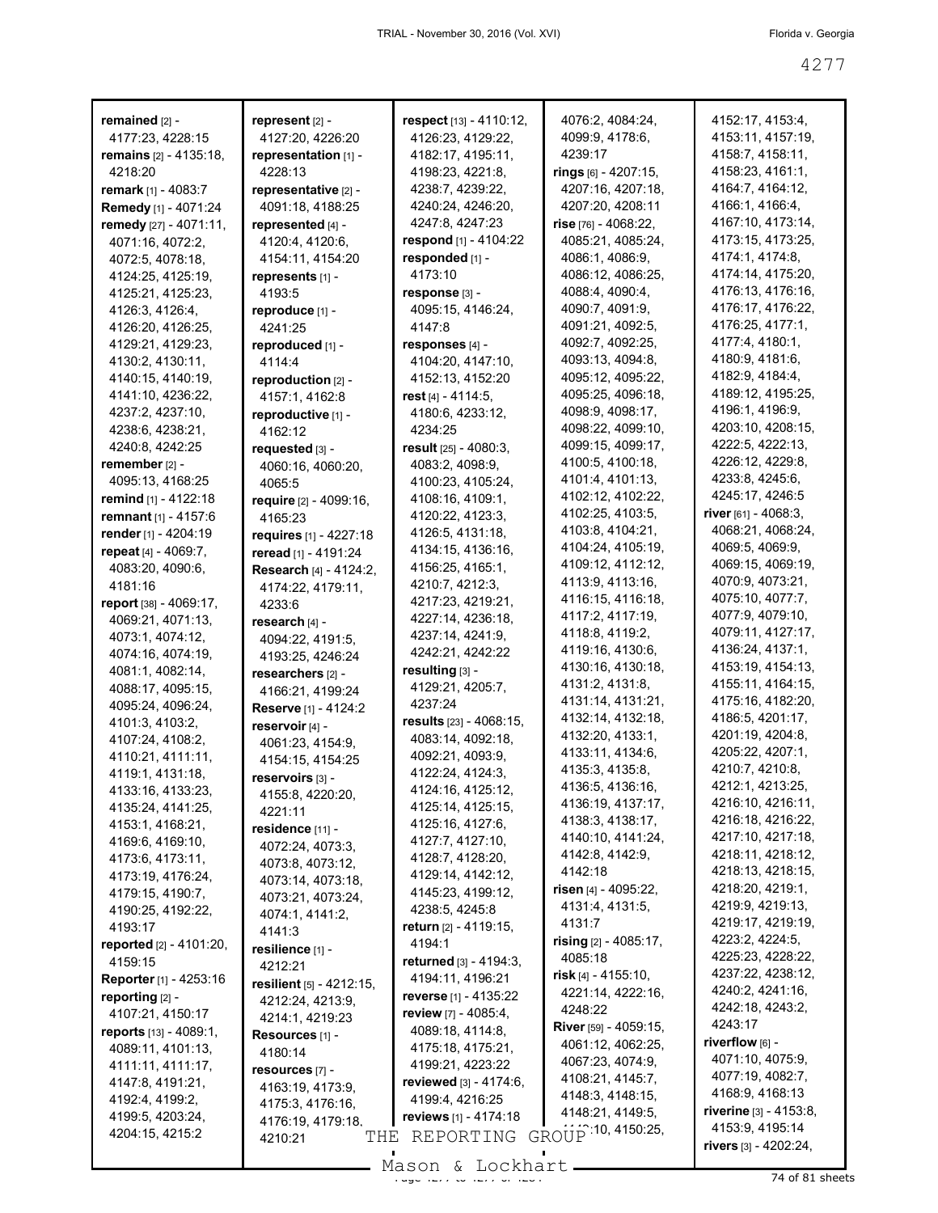| remained [2] -                   | represent [2] -          | respect [13] - 4110:12,     | 4076:2, 4084:24,       | 4152:17, 4153:4,       |
|----------------------------------|--------------------------|-----------------------------|------------------------|------------------------|
| 4177:23, 4228:15                 | 4127:20, 4226:20         | 4126:23, 4129:22,           | 4099:9, 4178:6,        | 4153:11, 4157:19,      |
| remains [2] - 4135:18,           | representation [1] -     | 4182:17, 4195:11,           | 4239:17                | 4158:7, 4158:11,       |
| 4218:20                          | 4228:13                  | 4198:23, 4221:8,            | rings [6] - 4207:15,   | 4158:23, 4161:1,       |
| <b>remark</b> $[1] - 4083$ :7    | representative [2] -     | 4238:7, 4239:22,            | 4207:16, 4207:18,      | 4164:7, 4164:12,       |
| Remedy [1] - 4071:24             | 4091:18, 4188:25         | 4240:24, 4246:20,           | 4207:20, 4208:11       | 4166:1, 4166:4,        |
| remedy [27] - 4071:11,           | represented [4] -        | 4247:8, 4247:23             | $rise$ [76] - 4068:22, | 4167:10, 4173:14,      |
| 4071:16, 4072:2,                 | 4120:4, 4120:6,          | respond [1] - 4104:22       | 4085:21, 4085:24,      | 4173:15, 4173:25,      |
| 4072:5, 4078:18,                 | 4154:11, 4154:20         | responded [1] -             | 4086:1, 4086:9,        | 4174:1, 4174:8,        |
| 4124:25, 4125:19,                | represents [1] -         | 4173:10                     | 4086:12, 4086:25.      | 4174:14, 4175:20,      |
| 4125:21, 4125:23,                | 4193:5                   | response [3] -              | 4088:4, 4090:4,        | 4176:13, 4176:16,      |
|                                  |                          |                             | 4090:7, 4091:9,        | 4176:17, 4176:22,      |
| 4126:3, 4126:4,                  | reproduce [1] -          | 4095:15, 4146:24,<br>4147:8 | 4091:21, 4092:5,       | 4176:25, 4177:1,       |
| 4126:20, 4126:25,                | 4241:25                  |                             | 4092:7, 4092:25,       | 4177:4, 4180:1,        |
| 4129:21, 4129:23,                | reproduced [1] -         | responses [4] -             |                        | 4180:9, 4181:6,        |
| 4130:2, 4130:11,                 | 4114:4                   | 4104:20, 4147:10,           | 4093:13, 4094:8,       |                        |
| 4140:15, 4140:19,                | reproduction [2] -       | 4152:13, 4152:20            | 4095:12, 4095:22,      | 4182:9, 4184:4,        |
| 4141:10, 4236:22,                | 4157:1, 4162:8           | rest $[4] - 4114.5$ ,       | 4095:25, 4096:18,      | 4189:12, 4195:25,      |
| 4237:2, 4237:10,                 | reproductive [1] -       | 4180:6, 4233:12,            | 4098:9, 4098:17,       | 4196:1, 4196:9,        |
| 4238:6, 4238:21,                 | 4162:12                  | 4234:25                     | 4098:22, 4099:10,      | 4203:10, 4208:15,      |
| 4240:8, 4242:25                  | requested [3] -          | result $[25] - 4080:3$ ,    | 4099:15, 4099:17,      | 4222:5, 4222:13,       |
| remember [2] -                   | 4060:16, 4060:20,        | 4083:2, 4098:9,             | 4100:5, 4100:18,       | 4226:12, 4229:8,       |
| 4095:13, 4168:25                 | 4065:5                   | 4100:23, 4105:24,           | 4101:4, 4101:13,       | 4233:8, 4245:6,        |
| <b>remind</b> [1] - 4122:18      | require [2] - 4099:16,   | 4108:16, 4109:1,            | 4102:12, 4102:22,      | 4245 17, 4246 5        |
| remnant [1] - 4157:6             | 4165:23                  | 4120:22, 4123:3,            | 4102:25, 4103:5,       | river [61] - 4068:3,   |
| render [1] - 4204:19             | requires [1] - 4227:18   | 4126:5, 4131:18,            | 4103:8, 4104:21,       | 4068:21, 4068:24,      |
| repeat [4] - 4069:7,             | reread [1] - 4191:24     | 4134:15, 4136:16,           | 4104:24, 4105:19,      | 4069:5, 4069:9,        |
| 4083:20, 4090:6,                 | Research [4] - 4124:2,   | 4156:25, 4165:1,            | 4109:12, 4112:12,      | 4069:15, 4069:19,      |
| 4181:16                          | 4174:22, 4179:11,        | 4210:7, 4212:3,             | 4113:9, 4113:16,       | 4070:9, 4073:21,       |
| report [38] - 4069:17,           | 4233:6                   | 4217:23, 4219:21,           | 4116:15, 4116:18,      | 4075:10, 4077:7,       |
| 4069:21, 4071:13,                | research [4] -           | 4227:14, 4236:18,           | 4117:2, 4117:19,       | 4077:9, 4079:10,       |
| 4073:1, 4074:12,                 | 4094:22, 4191:5,         | 4237:14, 4241:9,            | 4118:8, 4119:2,        | 4079:11, 4127:17,      |
| 4074:16, 4074:19,                | 4193:25, 4246:24         | 4242:21, 4242:22            | 4119:16, 4130:6,       | 4136:24, 4137:1,       |
| 4081:1, 4082:14,                 | researchers [2] -        | resulting [3] -             | 4130:16, 4130:18,      | 4153:19, 4154:13,      |
| 4088:17, 4095:15,                | 4166:21, 4199:24         | 4129:21, 4205:7,            | 4131:2, 4131:8,        | 4155:11, 4164:15,      |
| 4095:24, 4096:24,                | Reserve [1] - 4124:2     | 4237:24                     | 4131:14, 4131:21,      | 4175:16, 4182:20,      |
| 4101:3, 4103:2,                  | reservoir [4] -          | results [23] - 4068:15,     | 4132:14, 4132:18,      | 4186:5, 4201:17,       |
| 4107:24, 4108:2,                 | 4061:23, 4154:9,         | 4083:14, 4092:18,           | 4132:20, 4133:1,       | 4201:19, 4204:8,       |
| 4110:21, 4111:11,                | 4154:15, 4154:25         | 4092:21, 4093:9,            | 4133:11, 4134:6,       | 4205:22, 4207:1,       |
| 4119:1, 4131:18,                 | reservoirs [3] -         | 4122:24, 4124:3,            | 4135:3, 4135:8,        | 4210:7, 4210:8,        |
| 4133:16, 4133:23,                | 4155:8, 4220:20,         | 4124:16, 4125:12,           | 4136:5, 4136:16,       | 4212:1, 4213:25,       |
| 4135:24, 4141:25,                | 4221:11                  | 4125:14, 4125:15,           | 4136:19, 4137:17,      | 4216:10, 4216:11,      |
| 4153:1, 4168:21,                 | residence [11] -         | 4125:16, 4127:6,            | 4138:3, 4138:17,       | 4216:18, 4216:22,      |
| 4169:6, 4169:10,                 |                          | 4127:7, 4127:10,            | 4140:10, 4141:24,      | 4217:10, 4217:18,      |
| 4173:6, 4173:11,                 | 4072:24, 4073:3,         | 4128:7, 4128:20,            | 4142:8, 4142:9,        | 4218:11, 4218:12,      |
| 4173:19, 4176:24,                | 4073:8, 4073:12,         | 4129:14, 4142:12,           | 4142:18                | 4218:13, 4218:15,      |
| 4179:15, 4190:7,                 | 4073:14, 4073:18,        | 4145:23, 4199:12,           | risen [4] - 4095:22,   | 4218:20, 4219:1,       |
| 4190:25, 4192:22,                | 4073:21, 4073:24,        | 4238:5, 4245:8              | 4131:4, 4131:5,        | 4219:9, 4219:13,       |
| 4193:17                          | 4074:1, 4141:2,          | return [2] - 4119:15,       | 4131:7                 | 4219:17, 4219:19,      |
| reported [2] - 4101:20,          | 4141:3                   | 4194:1                      | rising [2] - 4085:17,  | 4223:2, 4224:5,        |
| 4159:15                          | resilience [1] -         | returned [3] - 4194:3,      | 4085:18                | 4225:23, 4228:22,      |
| Reporter [1] - 4253:16           | 4212:21                  | 4194:11, 4196:21            | risk $[4]$ - 4155:10,  | 4237:22, 4238:12,      |
| reporting [2] -                  | resilient [5] - 4212:15. | reverse [1] - 4135:22       | 4221:14, 4222:16,      | 4240:2, 4241:16,       |
| 4107:21, 4150:17                 | 4212:24, 4213:9,         | review $[7] - 4085:4,$      | 4248:22                | 4242:18, 4243:2,       |
|                                  | 4214:1, 4219:23          | 4089:18, 4114:8,            | River [59] - 4059:15,  | 4243:17                |
| <b>reports</b> $[13] - 4089:1$ , | Resources [1] -          | 4175:18, 4175:21,           | 4061:12, 4062:25,      | riverflow [6] -        |
| 4089:11, 4101:13,                | 4180:14                  | 4199:21, 4223:22            | 4067:23, 4074:9,       | 4071:10, 4075:9,       |
| 4111:11, 4111:17,                | resources [7] -          |                             | 4108:21, 4145:7,       | 4077:19, 4082:7,       |
| 4147:8, 4191:21,                 | 4163:19, 4173:9,         | reviewed [3] - 4174:6,      | 4148:3, 4148:15,       | 4168:9, 4168:13        |
| 4192:4, 4199:2,                  | 4175:3, 4176:16,         | 4199:4, 4216:25             | 4148:21, 4149:5,       | riverine [3] - 4153:8, |
| 4199:5, 4203:24,                 | 4176:19, 4179:18,        | reviews [1] - 4174:18       | GROUP 10, 4150:25,     | 4153:9, 4195:14        |
| 4204:15, 4215:2                  | THE<br>4210:21           | REPORTING                   |                        | rivers [3] - 4202:24,  |
|                                  |                          |                             |                        |                        |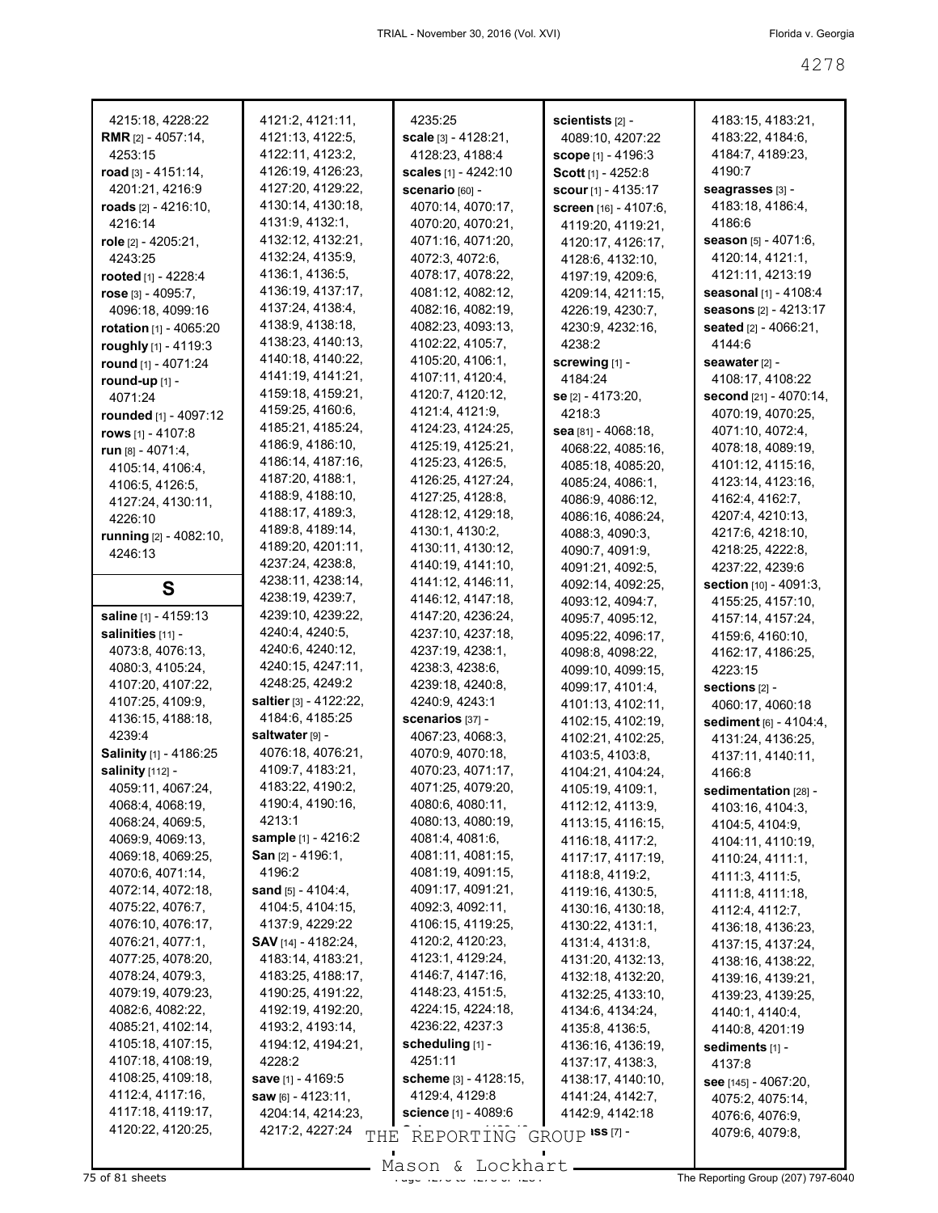| 4215:18, 4228:22                              | 4121:2, 4121:11,                     | 4235:25                            | scientists <sub>[2]</sub> -  | 4183:15, 4183:21,              |
|-----------------------------------------------|--------------------------------------|------------------------------------|------------------------------|--------------------------------|
| <b>RMR</b> [2] - 4057:14,                     | 4121:13, 4122:5,                     | <b>scale</b> [3] - 4128:21,        | 4089:10, 4207:22             | 4183:22, 4184:6,               |
| 4253:15                                       | 4122:11, 4123:2,                     | 4128:23, 4188:4                    | <b>scope</b> [1] - 4196:3    | 4184:7, 4189:23,               |
| road $[3] - 4151:14$ ,                        | 4126:19, 4126:23,                    | <b>scales</b> [1] - 4242:10        | <b>Scott</b> [1] - 4252:8    | 4190:7                         |
| 4201:21, 4216:9                               | 4127:20, 4129:22,                    | <b>scenario</b> [60] -             | <b>scour</b> $[1] - 4135:17$ | seagrasses [3] -               |
| roads $[2] - 4216:10,$                        | 4130:14, 4130:18,                    | 4070:14, 4070:17,                  | screen [16] - 4107:6,        | 4183:18, 4186:4,               |
| 4216:14                                       | 4131:9, 4132:1,                      | 4070:20, 4070:21,                  | 4119:20, 4119:21,            | 4186:6                         |
| <b>role</b> [2] - 4205:21,                    | 4132:12, 4132:21,                    | 4071:16, 4071:20,                  | 4120:17, 4126:17,            | <b>season</b> [5] - 4071:6,    |
| 4243:25                                       | 4132:24, 4135:9,                     | 4072:3, 4072:6,                    | 4128:6, 4132:10,             | 4120:14, 4121:1,               |
| rooted $[1] - 4228:4$                         | 4136:1, 4136:5,                      | 4078:17, 4078:22,                  | 4197:19, 4209:6,             | 4121:11, 4213:19               |
| rose $[3] - 4095:7$ ,                         | 4136:19, 4137:17,                    | 4081:12, 4082:12,                  | 4209:14, 4211:15,            | <b>seasonal</b> [1] - 4108:4   |
| 4096:18, 4099:16                              | 4137:24, 4138:4,                     | 4082:16, 4082:19,                  | 4226:19, 4230:7,             | seasons [2] - 4213:17          |
| rotation [1] - 4065:20                        | 4138:9, 4138:18,                     | 4082:23, 4093:13,                  | 4230:9, 4232:16,             | seated [2] - 4066:21,          |
| roughly [1] - 4119:3                          | 4138:23, 4140:13,                    | 4102:22, 4105:7,                   | 4238:2                       | 4144:6                         |
| round [1] - 4071:24                           | 4140:18, 4140:22,                    | 4105:20, 4106:1,                   | screwing [1] -               | seawater [2] -                 |
| round-up $[1]$ -                              | 4141:19, 4141:21,                    | 4107:11, 4120:4,                   | 4184:24                      | 4108:17, 4108:22               |
| 4071:24                                       | 4159:18, 4159:21,                    | 4120:7, 4120:12,                   | <b>se</b> [2] - 4173:20,     | <b>second</b> [21] - 4070:14,  |
| <b>rounded</b> [1] - 4097:12                  | 4159:25, 4160:6,                     | 4121:4, 4121:9,                    | 4218:3                       | 4070:19, 4070:25,              |
| rows [1] - 4107:8                             | 4185:21, 4185:24,                    | 4124:23, 4124:25,                  | $\text{sea}$ [81] - 4068:18, | 4071:10, 4072:4,               |
|                                               | 4186:9, 4186:10,                     | 4125:19, 4125:21,                  | 4068:22, 4085:16,            | 4078:18, 4089:19,              |
| <b>run</b> $[8] - 4071:4$<br>4105:14, 4106:4, | 4186:14, 4187:16,                    | 4125:23, 4126:5,                   | 4085:18, 4085:20,            | 4101:12, 4115:16,              |
|                                               | 4187:20, 4188:1,                     | 4126:25, 4127:24,                  | 4085:24, 4086:1,             | 4123:14, 4123:16,              |
| 4106:5, 4126:5,                               | 4188:9, 4188:10,                     | 4127:25, 4128:8,                   | 4086:9, 4086:12,             | 4162:4, 4162:7,                |
| 4127:24, 4130:11,                             | 4188:17, 4189:3,                     | 4128:12, 4129:18,                  | 4086:16, 4086:24,            | 4207:4, 4210:13,               |
| 4226:10                                       | 4189:8, 4189:14,                     | 4130:1, 4130:2,                    | 4088:3, 4090:3,              | 4217:6, 4218:10,               |
| running [2] - 4082:10,                        | 4189:20, 4201:11,                    | 4130:11, 4130:12,                  |                              | 4218:25, 4222:8,               |
| 4246:13                                       | 4237:24, 4238:8,                     | 4140:19, 4141:10,                  | 4090:7, 4091:9,              |                                |
|                                               | 4238:11, 4238:14,                    | 4141:12, 4146:11,                  | 4091:21, 4092:5,             | 4237:22, 4239:6                |
| S                                             | 4238:19, 4239:7,                     | 4146:12, 4147:18,                  | 4092:14, 4092:25,            | <b>section</b> $[10] - 4091:3$ |
| <b>saline</b> [1] - 4159:13                   | 4239:10, 4239:22,                    | 4147:20, 4236:24,                  | 4093:12, 4094:7,             | 4155:25, 4157:10,              |
| salinities [11] -                             | 4240:4, 4240:5,                      | 4237:10, 4237:18,                  | 4095:7, 4095:12,             | 4157:14, 4157:24,              |
| 4073:8, 4076:13,                              | 4240:6, 4240:12,                     | 4237:19, 4238:1,                   | 4095:22, 4096:17,            | 4159:6, 4160:10,               |
| 4080:3, 4105:24,                              | 4240:15, 4247:11,                    | 4238:3, 4238:6,                    | 4098:8, 4098:22,             | 4162:17, 4186:25,              |
| 4107:20, 4107:22,                             | 4248:25, 4249:2                      | 4239:18, 4240:8,                   | 4099:10, 4099:15,            | 4223:15                        |
| 4107:25, 4109:9,                              | <b>saltier</b> [3] - 4122:22,        | 4240:9, 4243:1                     | 4099:17, 4101:4,             | <b>sections</b> $[2]$ -        |
| 4136:15, 4188:18,                             | 4184:6, 4185:25                      | scenarios [37] -                   | 4101:13, 4102:11,            | 4060:17, 4060:18               |
| 4239:4                                        | saltwater [9] -                      | 4067:23, 4068:3,                   | 4102:15, 4102:19,            | <b>sediment</b> [6] - 4104:4,  |
| Salinity [1] - 4186:25                        | 4076:18, 4076:21,                    |                                    | 4102:21, 4102:25,            | 4131:24, 4136:25,              |
|                                               |                                      | 4070:9, 4070:18,                   | 4103:5, 4103:8,              | 4137:11, 4140:11,              |
| salinity [112] -                              | 4109:7, 4183:21,<br>4183:22, 4190:2, | 4070:23, 4071:17,                  | 4104:21, 4104:24,            | 4166:8                         |
| 4059:11, 4067:24,                             |                                      | 4071:25, 4079:20,                  | 4105:19, 4109:1,             | sedimentation [28] -           |
| 4068:4, 4068:19,                              | 4190:4, 4190:16,                     | 4080:6, 4080:11,                   | 4112:12, 4113:9,             | 4103:16, 4104:3,               |
| 4068:24, 4069:5,                              | 4213:1                               | 4080:13, 4080:19,                  | 4113:15, 4116:15,            | 4104:5, 4104:9,                |
| 4069:9, 4069:13,                              | <b>sample</b> [1] - 4216:2           | 4081:4, 4081:6,                    | 4116:18, 4117:2,             | 4104:11, 4110:19,              |
| 4069:18, 4069:25,                             | <b>San</b> [2] - 4196:1,             | 4081:11, 4081:15,                  | 4117:17, 4117:19,            | 4110:24, 4111:1,               |
| 4070:6, 4071:14,                              | 4196:2                               | 4081:19, 4091:15,                  | 4118:8, 4119:2,              | 4111:3, 4111:5,                |
| 4072:14, 4072:18,                             | sand [5] - 4104:4,                   | 4091:17, 4091:21,                  | 4119:16, 4130:5,             | 4111:8, 4111:18,               |
| 4075:22, 4076:7,                              | 4104:5, 4104:15,                     | 4092:3, 4092:11,                   | 4130:16, 4130:18,            | 4112:4, 4112:7,                |
| 4076:10, 4076:17,                             | 4137:9, 4229:22                      | 4106:15, 4119:25,                  | 4130:22, 4131:1,             | 4136:18, 4136:23,              |
| 4076:21, 4077:1,                              | SAV [14] - 4182:24,                  | 4120:2, 4120:23,                   | 4131:4, 4131:8,              | 4137:15, 4137:24,              |
| 4077:25, 4078:20,                             | 4183:14, 4183:21,                    | 4123:1, 4129:24,                   | 4131:20, 4132:13,            | 4138:16, 4138:22,              |
| 4078:24, 4079:3,                              | 4183:25, 4188:17,                    | 4146:7, 4147:16,                   | 4132:18, 4132:20,            | 4139:16, 4139:21,              |
| 4079:19, 4079:23,                             | 4190:25, 4191:22,                    | 4148:23, 4151:5,                   | 4132:25, 4133:10,            | 4139:23, 4139:25,              |
| 4082:6, 4082:22,                              | 4192:19, 4192:20,                    | 4224:15, 4224:18,                  | 4134:6, 4134:24,             | 4140:1, 4140:4,                |
| 4085:21, 4102:14,                             | 4193:2, 4193:14,                     | 4236:22, 4237:3                    | 4135:8, 4136:5,              | 4140:8, 4201:19                |
| 4105:18, 4107:15,                             | 4194:12, 4194:21,                    | scheduling [1] -                   | 4136:16, 4136:19,            | sediments [1] -                |
| 4107:18, 4108:19,                             | 4228:2                               | 4251:11                            | 4137:17, 4138:3,             | 4137:8                         |
| 4108:25, 4109:18,                             | save [1] - 4169:5                    | scheme [3] - 4128:15,              | 4138:17, 4140:10,            | see [145] - 4067:20,           |
| 4112:4, 4117:16,                              | saw $[6] - 4123:11$ ,                | 4129:4, 4129:8                     | 4141:24, 4142:7,             | 4075:2, 4075:14,               |
| 4117:18, 4119:17,                             | 4204:14, 4214:23,                    | <b>science</b> $[1] - 4089.6$      | 4142:9, 4142:18              | 4076:6, 4076:9,                |
| 4120:22, 4120:25,                             | 4217:2, 4227:24<br>THE               | REPORTING GROUP <sup>1SS[7]-</sup> |                              | 4079:6, 4079:8,                |
|                                               |                                      |                                    |                              |                                |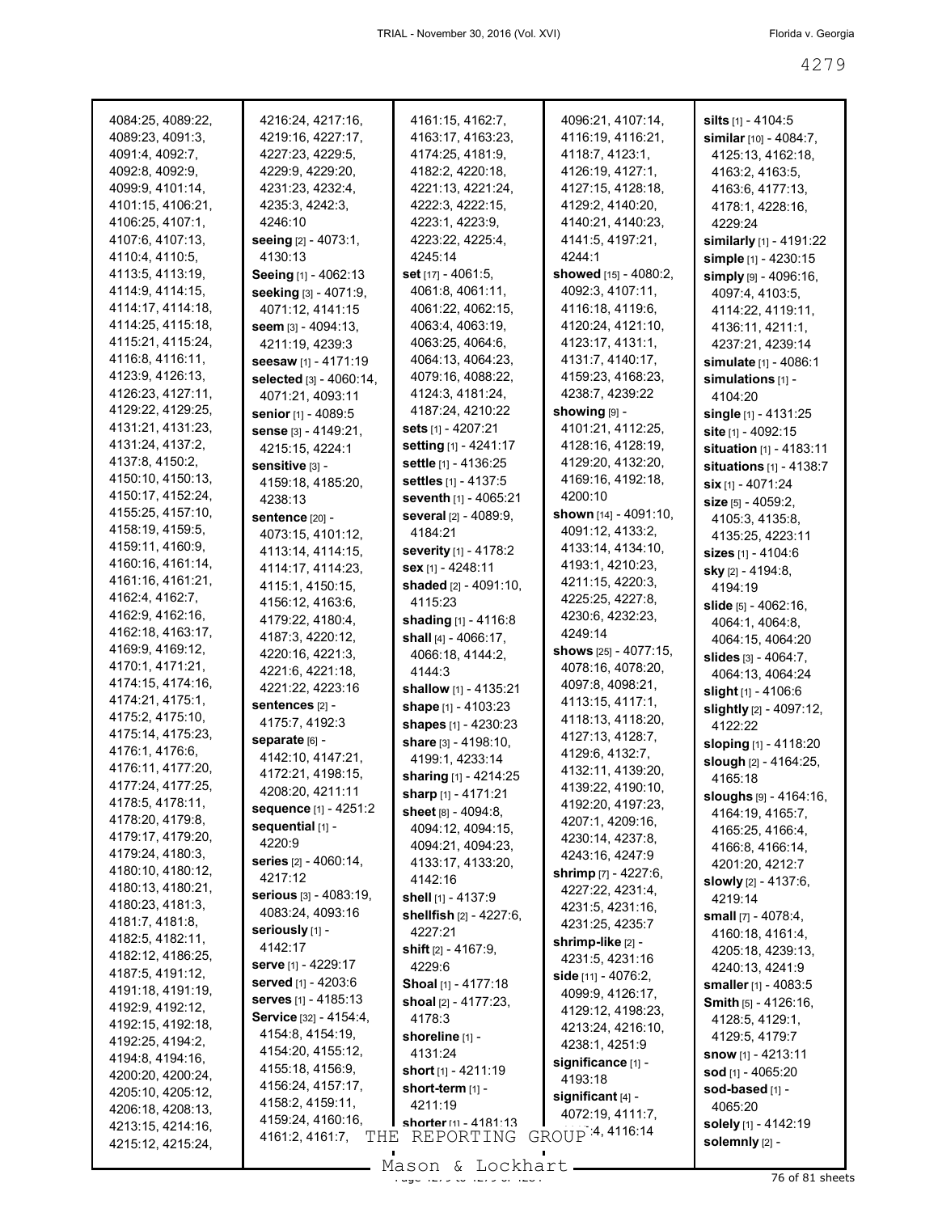| 4084:25, 4089:22, | 4216:24, 4217:16,               | 4161:15, 4162:7,               | 4096:21, 4107:14,            | <b>silts</b> $[1] - 4104.5$      |
|-------------------|---------------------------------|--------------------------------|------------------------------|----------------------------------|
| 4089:23, 4091:3,  | 4219:16, 4227:17,               | 4163:17, 4163:23,              | 4116:19, 4116:21,            | <b>similar</b> [10] - 4084:7,    |
| 4091:4, 4092:7,   | 4227:23, 4229:5,                | 4174:25, 4181:9,               | 4118:7, 4123:1,              | 4125:13, 4162:18,                |
| 4092:8, 4092:9,   | 4229:9, 4229:20,                | 4182:2, 4220:18,               | 4126:19, 4127:1,             | 4163:2, 4163:5,                  |
| 4099:9, 4101:14,  | 4231:23, 4232:4,                | 4221:13, 4221:24,              | 4127:15, 4128:18,            | 4163:6, 4177:13,                 |
| 4101:15, 4106:21, | 4235:3, 4242:3,                 | 4222:3, 4222:15,               | 4129:2, 4140:20,             | 4178:1, 4228:16,                 |
| 4106:25, 4107:1,  | 4246:10                         | 4223:1, 4223:9,                | 4140:21, 4140:23,            | 4229:24                          |
| 4107:6, 4107:13,  | <b>seeing</b> [2] - 4073:1,     | 4223:22, 4225:4,               | 4141:5, 4197:21,             | similarly $[1]$ - 4191:22        |
| 4110:4, 4110:5,   | 4130:13                         | 4245:14                        | 4244:1                       | simple [1] - 4230:15             |
| 4113:5, 4113:19,  | Seeing [1] - 4062:13            | <b>set</b> [17] - 4061:5,      | <b>showed</b> [15] - 4080:2, |                                  |
| 4114:9, 4114:15,  | seeking [3] - 4071:9,           | 4061:8, 4061:11,               | 4092:3, 4107:11,             | simply [9] - 4096:16,            |
| 4114:17, 4114:18, |                                 |                                |                              | 4097:4, 4103:5,                  |
|                   | 4071:12, 4141:15                | 4061:22, 4062:15,              | 4116:18, 4119:6,             | 4114:22, 4119:11,                |
| 4114:25, 4115:18, | seem [3] - 4094:13,             | 4063:4, 4063:19,               | 4120:24, 4121:10,            | 4136:11, 4211:1,                 |
| 4115:21, 4115:24, | 4211:19, 4239:3                 | 4063:25, 4064:6,               | 4123:17, 4131:1,             | 4237:21, 4239:14                 |
| 4116:8, 4116:11,  | seesaw [1] - 4171:19            | 4064:13, 4064:23,              | 4131:7, 4140:17,             | <b>simulate</b> [1] - 4086:1     |
| 4123:9, 4126:13,  | selected $[3] - 4060:14$ ,      | 4079:16, 4088:22,              | 4159:23, 4168:23,            | simulations $[1]$ -              |
| 4126:23, 4127:11, | 4071:21, 4093:11                | 4124:3, 4181:24,               | 4238:7, 4239:22              | 4104:20                          |
| 4129:22, 4129:25, | senior [1] - 4089:5             | 4187:24, 4210:22               | showing [9] -                | single [1] - 4131:25             |
| 4131:21, 4131:23, | sense [3] - 4149:21,            | <b>sets</b> [1] - 4207:21      | 4101:21, 4112:25,            | site [1] - 4092:15               |
| 4131:24, 4137:2,  | 4215:15, 4224:1                 | <b>setting</b> [1] - 4241:17   | 4128:16, 4128:19,            | <b>situation</b> $[1] - 4183:11$ |
| 4137:8, 4150:2,   | sensitive [3] -                 | settle [1] - 4136:25           | 4129:20, 4132:20,            | situations $[1] - 4138.7$        |
| 4150:10, 4150:13, | 4159:18, 4185:20,               | <b>settles</b> [1] - 4137:5    | 4169:16, 4192:18,            | Six [1] - 4071:24                |
| 4150:17, 4152:24, | 4238:13                         | <b>seventh</b> $[1] - 4065:21$ | 4200:10                      | size [5] - 4059:2.               |
| 4155:25, 4157:10, | sentence [20] -                 | <b>several</b> [2] - 4089:9,   | shown $[14] - 4091:10$ ,     | 4105:3, 4135:8,                  |
| 4158:19, 4159:5,  | 4073:15, 4101:12,               | 4184:21                        | 4091:12, 4133:2,             |                                  |
| 4159:11, 4160:9,  | 4113:14, 4114:15,               | <b>severity</b> [1] - 4178:2   | 4133:14, 4134:10,            | 4135:25, 4223:11                 |
| 4160:16, 4161:14, |                                 | sex [1] - 4248:11              | 4193:1, 4210:23,             | <b>sizes</b> $[1] - 4104:6$      |
| 4161:16, 4161:21, | 4114:17, 4114:23,               |                                | 4211:15, 4220:3,             | <b>sky</b> [2] - 4194:8,         |
| 4162:4, 4162:7,   | 4115:1, 4150:15,                | shaded [2] - 4091:10,          | 4225:25, 4227:8,             | 4194:19                          |
| 4162:9, 4162:16,  | 4156:12, 4163:6,                | 4115:23                        | 4230:6, 4232:23,             | <b>slide</b> $[5] - 4062:16$ ,   |
| 4162:18, 4163:17, | 4179:22, 4180:4,                | shading [1] - 4116:8           |                              | 4064:1, 4064:8,                  |
| 4169:9, 4169:12,  | 4187:3, 4220:12,                | shall $[4] - 4066:17$ ,        | 4249:14                      | 4064:15, 4064:20                 |
|                   | 4220:16, 4221:3,                | 4066:18, 4144:2,               | shows $[25] - 4077:15$ ,     | <b>slides</b> $[3] - 4064$ : 7,  |
| 4170:1, 4171:21,  | 4221:6, 4221:18,                | 4144:3                         | 4078:16, 4078:20,            | 4064:13, 4064:24                 |
| 4174:15, 4174:16, | 4221:22, 4223:16                | shallow $[1] - 4135:21$        | 4097:8, 4098:21,             | slight [1] - 4106:6              |
| 4174:21, 4175:1,  | sentences [2] -                 | shape [1] - 4103:23            | 4113:15, 4117:1,             | <b>slightly</b> [2] - 4097:12,   |
| 4175:2, 4175:10,  | 4175:7, 4192:3                  | shapes [1] - 4230:23           | 4118:13, 4118:20,            | 4122:22                          |
| 4175:14, 4175:23, | separate [6] -                  | share $[3] - 4198:10$ ,        | 4127:13, 4128:7,             | sloping [1] - 4118:20            |
| 4176:1, 4176:6,   | 4142:10, 4147:21,               | 4199:1, 4233:14                | 4129.6, 4132:7,              | <b>slough</b> [2] - 4164:25,     |
| 4176:11, 4177:20, | 4172:21, 4198:15,               | <b>sharing</b> [1] - 4214:25   | 4132:11, 4139:20,            | 4165:18                          |
| 4177:24, 4177:25, | 4208:20, 4211:11                | sharp [1] - 4171:21            | 4139:22, 4190:10,            | sloughs [9] - 4164:16,           |
| 4178:5, 4178:11,  | sequence [1] - 4251:2           | sheet [8] - 4094:8,            | 4192:20, 4197:23,            | 4164:19, 4165:7,                 |
| 4178:20, 4179:8,  | sequential [1] -                | 4094:12, 4094:15,              | 4207:1, 4209:16,             | 4165:25, 4166:4,                 |
| 4179:17, 4179:20, | 4220:9                          | 4094:21, 4094:23,              | 4230:14, 4237:8,             | 4166:8, 4166:14,                 |
| 4179:24, 4180:3,  | <b>series</b> $[2] - 4060:14$ , | 4133:17, 4133:20,              | 4243:16, 4247:9              | 4201:20, 4212:7                  |
| 4180:10, 4180:12, | 4217:12                         | 4142:16                        | shrimp [7] - 4227:6,         | slowly [2] - 4137:6,             |
| 4180:13, 4180:21, | serious [3] - 4083:19,          | shell [1] - 4137:9             | 4227:22, 4231:4,             | 4219:14                          |
| 4180:23, 4181:3,  | 4083:24, 4093:16                |                                | 4231:5, 4231:16,             |                                  |
| 4181:7, 4181:8,   | seriously [1] -                 | shellfish [2] - 4227:6,        | 4231:25, 4235:7              | small [7] - 4078:4,              |
| 4182:5, 4182:11,  | 4142:17                         | 4227:21                        | shrimp-like [2] -            | 4160:18, 4161:4,                 |
| 4182:12, 4186:25, |                                 | shift $[2] - 4167.9$ ,         | 4231:5, 4231:16              | 4205:18, 4239:13,                |
| 4187:5, 4191:12,  | serve [1] - 4229:17             | 4229:6                         | side [11] - 4076:2,          | 4240:13, 4241:9                  |
| 4191:18, 4191:19, | served [1] - 4203:6             | Shoal [1] - 4177:18            | 4099:9, 4126:17,             | smaller [1] - 4083:5             |
| 4192:9, 4192:12,  | serves [1] - 4185:13            | shoal [2] - 4177:23,           | 4129:12, 4198:23,            | Smith [5] - 4126:16,             |
| 4192:15, 4192:18, | Service [32] - 4154:4,          | 4178:3                         | 4213:24, 4216:10,            | 4128:5, 4129:1,                  |
| 4192:25, 4194:2,  | 4154:8, 4154:19,                | shoreline [1] -                |                              | 4129:5, 4179:7                   |
| 4194:8, 4194:16,  | 4154:20, 4155:12,               | 4131:24                        | 4238:1, 4251:9               | <b>snow</b> [1] - 4213:11        |
| 4200:20, 4200:24, | 4155:18, 4156:9,                | short [1] - 4211:19            | significance [1] -           | sod [1] - 4065:20                |
| 4205:10, 4205:12, | 4156:24, 4157:17,               | short-term [1] -               | 4193:18                      | sod-based [1] -                  |
| 4206:18, 4208:13, | 4158:2, 4159:11,                | 4211:19                        | significant [4] -            | 4065:20                          |
| 4213:15, 4214:16, | 4159:24, 4160:16,               | shorter [1] - 4181:13          | 4072:19, 4111:7,             | solely [1] - 4142:19             |
| 4215:12, 4215:24, | 4161:2, 4161:7,<br>THE          | REPORTING                      | GROUP 4, 4116:14             | solemnly [2] -                   |
|                   |                                 | Macon f. Tockhart              |                              |                                  |
|                   |                                 |                                |                              |                                  |

Mason & Lockhart 11 1284 76 of 81 sheets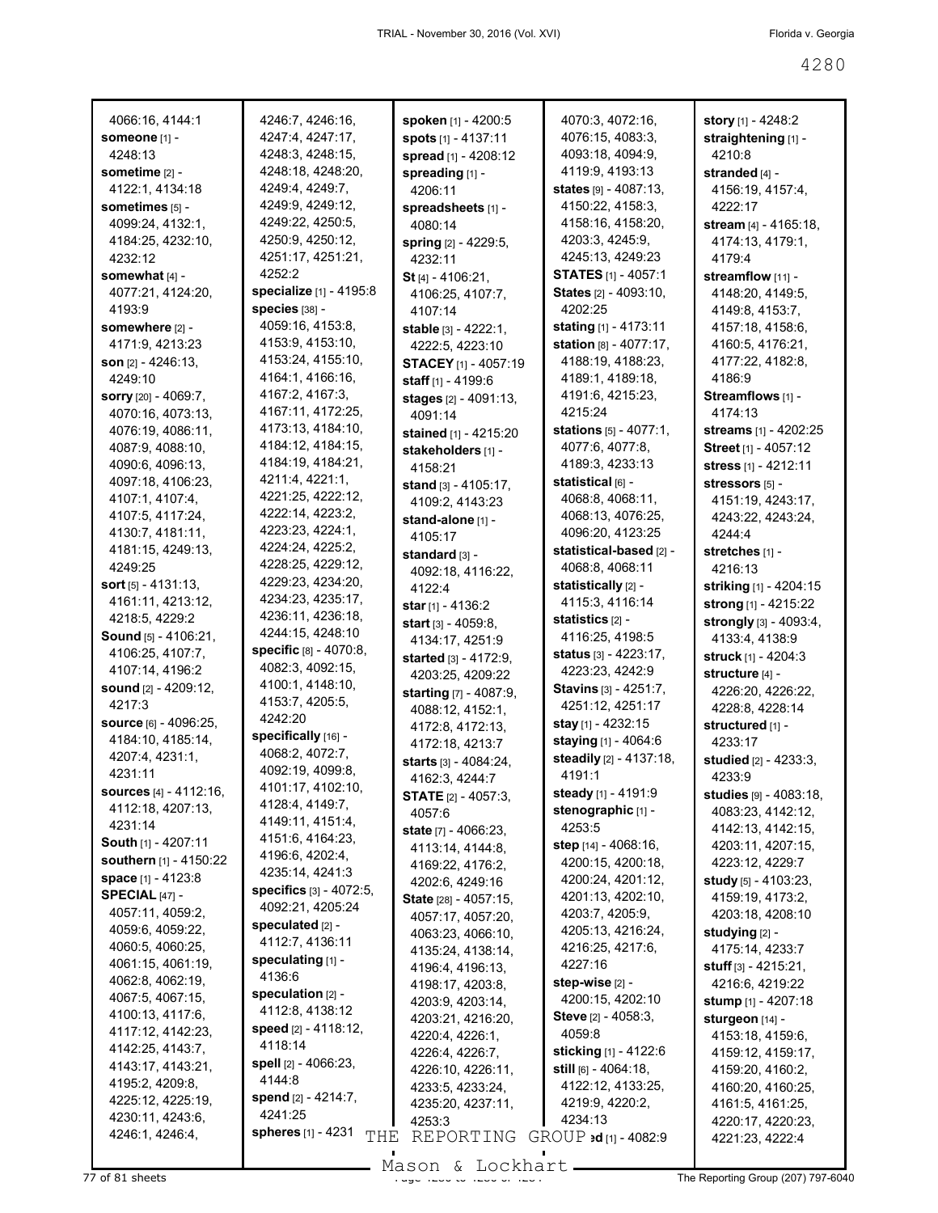| 4066:16, 4144:1                      | 4246:7, 4246:16,                 | spoken [1] - 4200:5             | 4070:3, 4072:16,                | story [1] - 4248:2              |
|--------------------------------------|----------------------------------|---------------------------------|---------------------------------|---------------------------------|
| <b>someone</b> [1] -                 | 4247:4, 4247:17,                 | <b>spots</b> $[1] - 4137:11$    | 4076:15, 4083:3,                | straightening [1] -             |
| 4248:13                              | 4248:3, 4248:15,                 | spread [1] - 4208:12            | 4093:18, 4094:9,                | 4210:8                          |
| sometime $[2]$ -                     | 4248:18, 4248:20,                | spreading [1] -                 | 4119:9, 4193:13                 | stranded $[4]$ -                |
| 4122:1, 4134:18                      | 4249:4, 4249:7,                  | 4206:11                         | <b>states</b> [9] - 4087:13,    | 4156:19, 4157:4,                |
| sometimes [5] -                      | 4249:9, 4249:12,                 | spreadsheets [1] -              | 4150:22, 4158:3,                | 4222:17                         |
| 4099:24, 4132:1,                     | 4249:22, 4250:5,                 | 4080:14                         | 4158:16, 4158:20,               | stream $[4] - 4165:18$ ,        |
| 4184:25, 4232:10,                    | 4250:9, 4250:12,                 |                                 | 4203:3, 4245:9,                 | 4174:13, 4179:1,                |
| 4232:12                              | 4251:17, 4251:21,                | <b>spring</b> [2] - 4229:5,     | 4245:13, 4249:23                | 4179:4                          |
|                                      | 4252:2                           | 4232:11                         |                                 |                                 |
| somewhat [4] -                       | specialize [1] - 4195:8          | St [4] - 4106:21.               | <b>STATES</b> [1] - 4057:1      | streamflow [11] -               |
| 4077:21, 4124:20,                    |                                  | 4106:25, 4107:7,                | <b>States</b> [2] - 4093:10,    | 4148:20, 4149:5,                |
| 4193:9                               | species [38] -                   | 4107:14                         | 4202:25                         | 4149:8, 4153:7,                 |
| somewhere [2] -                      | 4059:16, 4153:8,                 | <b>stable</b> $[3] - 4222:1$ ,  | stating $[1] - 4173:11$         | 4157:18, 4158:6,                |
| 4171:9, 4213:23                      | 4153:9, 4153:10,                 | 4222:5, 4223:10                 | <b>station</b> $[8]$ - 4077:17, | 4160:5, 4176:21,                |
| <b>son</b> <sub>[2]</sub> - 4246:13, | 4153:24, 4155:10,                | <b>STACEY</b> [1] - 4057:19     | 4188:19, 4188:23,               | 4177:22, 4182:8,                |
| 4249:10                              | 4164:1, 4166:16,                 | staff $[1] - 4199:6$            | 4189:1, 4189:18,                | 4186:9                          |
| sorry [20] - 4069:7,                 | 4167:2, 4167:3,                  | <b>stages</b> [2] - 4091:13,    | 4191:6, 4215:23,                | <b>Streamflows</b> $[1]$ -      |
| 4070:16, 4073:13,                    | 4167:11, 4172:25,                | 4091:14                         | 4215:24                         | 4174:13                         |
| 4076:19, 4086:11,                    | 4173:13, 4184:10,                | stained [1] - 4215:20           | <b>stations</b> $[5] - 4077:1$  | <b>streams</b> [1] - 4202:25    |
| 4087:9, 4088:10,                     | 4184:12, 4184:15,                | stakeholders [1] -              | 4077:6, 4077:8,                 | <b>Street</b> [1] - 4057:12     |
| 4090:6, 4096:13,                     | 4184:19, 4184:21,                | 4158:21                         | 4189:3, 4233:13                 | stress $[1]$ - 4212:11          |
| 4097:18, 4106:23,                    | 4211:4, 4221:1,                  | <b>stand</b> $[3] - 4105:17$ ,  | statistical թթ -                | stressors [5] -                 |
| 4107:1, 4107:4,                      | 4221:25, 4222:12,                | 4109:2, 4143:23                 | 4068:8, 4068:11,                | 4151:19, 4243:17,               |
| 4107:5, 4117:24,                     | 4222:14, 4223:2,                 | stand-alone [1] -               | 4068:13, 4076:25,               | 4243:22, 4243:24,               |
| 4130:7, 4181:11,                     | 4223:23, 4224:1,                 | 4105:17                         | 4096:20, 4123:25                | 4244:4                          |
| 4181:15, 4249:13,                    | 4224:24, 4225:2,                 | standard א -                    | statistical-based [2] -         | stretches $[1]$ -               |
| 4249:25                              | 4228:25, 4229:12,                | 4092:18, 4116:22,               | 4068:8, 4068:11                 | 4216:13                         |
| <b>sort</b> ស - 4131:13,             | 4229:23, 4234:20,                | 4122:4                          | statistically [2] -             | <b>striking</b> [1] - 4204:15   |
| 4161:11, 4213:12,                    | 4234:23, 4235:17,                | <b>star</b> [1] - 4136:2        | 4115:3, 4116:14                 | strong $[1] - 4215:22$          |
| 4218:5, 4229:2                       | 4236:11, 4236:18,                | <b>start</b> [3] - $4059:8$ ,   | statistics <sub>[2]</sub> -     | <b>strongly</b> $[3] - 4093:4,$ |
| <b>Sound</b> [5] - 4106:21,          | 4244:15, 4248:10                 |                                 | 4116:25, 4198:5                 | 4133:4, 4138:9                  |
| 4106:25, 4107:7,                     | <b>specific</b> $[8] - 4070:8$ , | 4134:17, 4251:9                 | <b>status</b> [3] - 4223:17,    | <b>struck</b> [1] - 4204:3      |
| 4107:14, 4196:2                      | 4082:3, 4092:15,                 | <b>started</b> $[3] - 4172:9$ , | 4223:23, 4242:9                 |                                 |
| sound [2] - 4209:12,                 | 4100:1, 4148:10,                 | 4203:25, 4209:22                | <b>Stavins</b> [3] - 4251:7,    | structure [4] -                 |
| 4217:3                               | 4153:7, 4205:5,                  | starting [7] - 4087:9,          | 4251:12, 4251:17                | 4226:20, 4226:22,               |
| <b>source</b> [6] - 4096:25,         | 4242:20                          | 4088:12, 4152:1,                |                                 | 4228:8, 4228:14                 |
| 4184:10, 4185:14,                    | specifically [16] -              | 4172:8, 4172:13,                | <b>stay</b> [1] - 4232:15       | structured [1] -                |
| 4207:4, 4231:1,                      | 4068:2, 4072:7,                  | 4172:18, 4213:7                 | staying [1] - 4064:6            | 4233:17                         |
| 4231:11                              | 4092:19, 4099:8,                 | <b>starts</b> $[3] - 4084:24,$  | <b>steadily</b> [2] - 4137:18,  | <b>studied</b> $[2] - 4233:3,$  |
|                                      | 4101:17, 4102:10,                | 4162:3, 4244:7                  | 4191:1                          | 4233:9                          |
| sources [4] - 4112:16,               | 4128:4, 4149:7,                  | <b>STATE</b> [2] - 4057:3,      | <b>steady</b> [1] - 4191:9      | studies [9] - 4083:18,          |
| 4112:18, 4207:13,                    | 4149:11, 4151:4,                 | 4057:6                          | stenographic [1] -              | 4083:23, 4142:12,               |
| 4231:14                              | 4151:6, 4164:23,                 | state [7] - 4066:23,            | 4253:5                          | 4142:13, 4142:15,               |
| South [1] - 4207:11                  | 4196:6, 4202:4,                  | 4113:14, 4144:8,                | step $[14] - 4068:16$ ,         | 4203:11, 4207:15,               |
| southern [1] - 4150:22               | 4235:14, 4241:3                  | 4169:22, 4176:2,                | 4200:15, 4200:18,               | 4223:12, 4229:7                 |
| space [1] - 4123:8                   | specifics [3] - 4072:5,          | 4202:6, 4249:16                 | 4200:24, 4201:12,               | study [5] - 4103:23,            |
| SPECIAL $[47]$ -                     | 4092:21, 4205:24                 | State [28] - 4057:15,           | 4201:13, 4202:10,               | 4159:19, 4173:2,                |
| 4057:11, 4059:2,                     | speculated [2] -                 | 4057:17, 4057:20,               | 4203:7, 4205:9,                 | 4203:18, 4208:10                |
| 4059:6, 4059:22,                     | 4112:7, 4136:11                  | 4063:23, 4066:10,               | 4205:13, 4216:24,               | studying [2] -                  |
| 4060:5, 4060:25,                     |                                  | 4135:24, 4138:14,               | 4216:25, 4217:6,                | 4175:14, 4233:7                 |
| 4061:15, 4061:19,                    | speculating [1] -                | 4196:4, 4196:13,                | 4227:16                         | <b>stuff</b> $[3] - 4215:21$ ,  |
| 4062:8, 4062:19,                     | 4136:6                           | 4198:17, 4203:8,                | step-wise $[2]$ -               | 4216:6, 4219:22                 |
| 4067:5, 4067:15,                     | speculation $[2]$ -              | 4203:9, 4203:14,                | 4200:15, 4202:10                | stump [1] - 4207:18             |
| 4100:13, 4117:6,                     | 4112:8, 4138:12                  | 4203:21, 4216:20,               | <b>Steve</b> $[2] - 4058:3$ ,   | sturgeon [14] -                 |
| 4117:12, 4142:23,                    | speed $[2] - 4118:12$ ,          | 4220:4, 4226:1,                 | 4059:8                          | 4153:18, 4159:6,                |
| 4142:25, 4143:7,                     | 4118:14                          | 4226:4, 4226:7,                 | <b>sticking</b> [1] - 4122:6    | 4159:12, 4159:17,               |
| 4143:17, 4143:21,                    | spell [2] - 4066:23,             | 4226:10, 4226:11,               | still <sub>[6]</sub> - 4064:18, | 4159:20, 4160:2,                |
| 4195:2, 4209:8,                      | 4144:8                           | 4233:5, 4233:24,                | 4122:12, 4133:25,               | 4160:20, 4160:25,               |
| 4225:12, 4225:19,                    | <b>spend</b> [2] - 4214:7,       | 4235:20, 4237:11,               | 4219:9, 4220:2,                 | 4161:5, 4161:25,                |
| 4230:11, 4243:6,                     | 4241:25                          | 4253:3                          | 4234:13                         | 4220:17, 4220:23,               |
| 4246:1, 4246:4,                      | spheres [1] - 4231<br>THE        | REPORTING                       | $GROUP$ ad [1] - 4082:9         | 4221:23, 4222:4                 |
|                                      |                                  |                                 |                                 |                                 |

Mason & Lockhart **Page 4281 Sheets** Mason & Lockhart **Page 4284 The Reporting Group (207) 797-6040**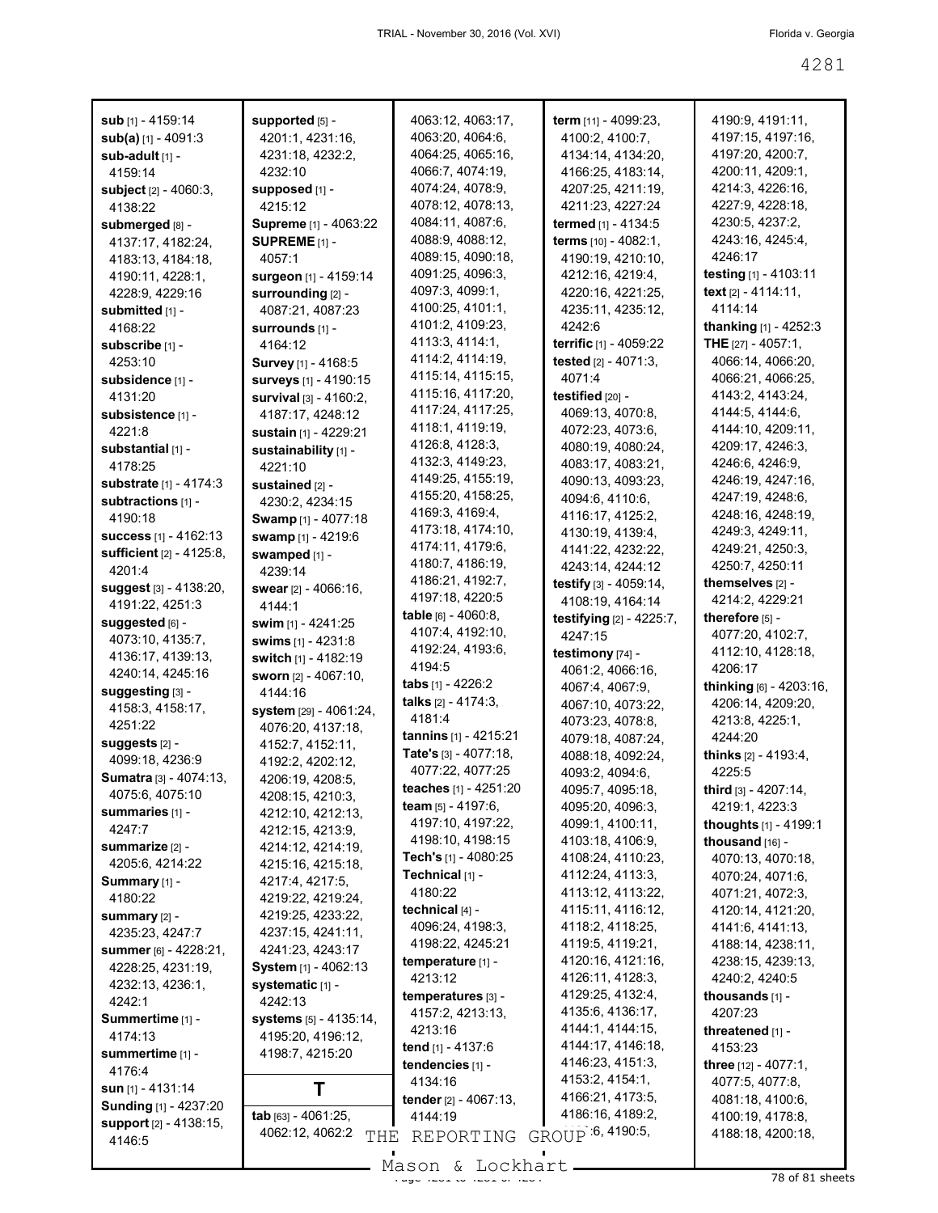| sub [1] - 4159:14                                   | supported [5] -<br>4201:1, 4231:16,    | 4063:12, 4063:17,<br>4063:20, 4064:6,      | term [11] - 4099:23,<br>4100:2, 4100:7, | 4190:9, 4191:11,<br>4197:15, 4197:16,     |
|-----------------------------------------------------|----------------------------------------|--------------------------------------------|-----------------------------------------|-------------------------------------------|
| $sub(a)$ [1] - 4091:3<br>sub-adult [1] -            | 4231:18, 4232:2,                       | 4064:25, 4065:16,                          | 4134:14, 4134:20,                       | 4197:20, 4200:7,                          |
| 4159:14                                             | 4232:10                                | 4066:7, 4074:19,                           | 4166:25, 4183:14,                       | 4200:11, 4209:1,                          |
| <b>subject</b> $[2] - 4060.3$ ,                     | supposed [1] -                         | 4074:24, 4078:9,                           | 4207:25, 4211:19,                       | 4214:3, 4226:16,                          |
| 4138:22                                             | 4215:12                                | 4078:12, 4078:13,                          | 4211:23, 4227:24                        | 4227:9, 4228:18,                          |
| submerged [8] -                                     | Supreme [1] - 4063:22                  | 4084:11, 4087:6,                           | termed [1] - 4134:5                     | 4230:5, 4237:2,                           |
| 4137:17, 4182:24,                                   | SUPREME $[1]$ -                        | 4088:9, 4088:12,                           | terms [10] - 4082:1,                    | 4243:16, 4245:4,                          |
| 4183:13, 4184:18,                                   | 4057:1                                 | 4089:15, 4090:18,                          | 4190:19, 4210:10,                       | 4246:17                                   |
| 4190:11, 4228:1,                                    | <b>surgeon</b> [1] - 4159:14           | 4091:25, 4096:3,                           | 4212:16, 4219:4,                        | testing [1] - 4103:11                     |
| 4228:9, 4229:16                                     | surrounding [2] -                      | 4097:3, 4099:1,                            | 4220:16, 4221:25,                       | text [2] - 4114:11,                       |
| submitted [1] -                                     | 4087:21, 4087:23                       | 4100:25, 4101:1,                           | 4235:11, 4235:12,                       | 4114:14                                   |
| 4168:22                                             | surrounds [1] -                        | 4101:2, 4109:23,                           | 4242:6                                  | <b>thanking</b> $[1] - 4252:3$            |
| subscribe [1] -                                     | 4164:12                                | 4113:3, 4114:1,                            | terrific [1] - 4059:22                  | THE $[27] - 4057:1$ ,                     |
| 4253:10                                             | Survey [1] - 4168:5                    | 4114:2, 4114:19,                           | tested [2] - 4071:3,                    | 4066:14, 4066:20,                         |
| subsidence [1] -                                    | surveys [1] - 4190:15                  | 4115:14, 4115:15,                          | 4071:4                                  | 4066:21, 4066:25,                         |
| 4131:20                                             | survival [3] - 4160:2,                 | 4115:16, 4117:20,<br>4117:24, 4117:25,     | testified [20] -                        | 4143:2, 4143:24,                          |
| subsistence [1] -                                   | 4187:17, 4248:12                       | 4118:1, 4119:19,                           | 4069:13, 4070:8,                        | 4144:5, 4144:6,                           |
| 4221:8                                              | sustain [1] - 4229:21                  | 4126:8, 4128:3,                            | 4072:23, 4073:6,<br>4080:19, 4080:24,   | 4144:10, 4209:11,<br>4209:17, 4246:3,     |
| substantial [1] -                                   | sustainability [1] -                   | 4132:3, 4149:23,                           | 4083:17, 4083:21,                       | 4246 6, 4246 9,                           |
| 4178:25                                             | 4221:10                                | 4149:25, 4155:19,                          | 4090:13, 4093:23,                       | 4246:19, 4247:16,                         |
| <b>substrate</b> [1] - 4174:3<br>subtractions [1] - | sustained [2] -                        | 4155:20, 4158:25,                          | 4094:6, 4110:6,                         | 4247:19, 4248:6,                          |
| 4190:18                                             | 4230:2, 4234:15<br>Swamp [1] - 4077:18 | 4169:3, 4169:4,                            | 4116:17, 4125:2,                        | 4248:16, 4248:19,                         |
| <b>success</b> [1] - 4162:13                        | swamp [1] - 4219:6                     | 4173:18, 4174:10,                          | 4130:19, 4139:4,                        | 4249:3, 4249:11,                          |
| <b>sufficient</b> [2] - 4125:8,                     | swamped [1] -                          | 4174:11, 4179:6,                           | 4141:22, 4232:22,                       | 4249:21, 4250:3,                          |
| 4201:4                                              | 4239:14                                | 4180:7, 4186:19,                           | 4243:14, 4244:12                        | 4250:7, 4250:11                           |
| suggest [3] - 4138:20,                              | <b>swear</b> <sub>[2]</sub> - 4066:16, | 4186:21, 4192:7,                           | testify [3] - 4059:14,                  | themselves [2] -                          |
| 4191:22, 4251:3                                     | 4144:1                                 | 4197:18, 4220:5                            | 4108:19, 4164:14                        | 4214:2, 4229:21                           |
| suggested [6] -                                     | swim [1] - 4241:25                     | table $[6] - 4060.8$ ,                     | testifying [2] - 4225:7,                | therefore [5] -                           |
| 4073:10, 4135:7,                                    | swims [1] - 4231:8                     | 4107:4, 4192:10,                           | 4247:15                                 | 4077:20, 4102:7,                          |
| 4136:17, 4139:13,                                   | switch [1] - 4182:19                   | 4192:24, 4193:6,                           | testimony [74] -                        | 4112:10, 4128:18,                         |
| 4240:14, 4245:16                                    | sworn [2] - 4067:10,                   | 4194:5                                     | 4061:2, 4066:16,                        | 4206:17                                   |
| suggesting [3] -                                    | 4144:16                                | tabs $[1] - 4226:2$<br>talks [2] - 4174:3. | 4067:4, 4067:9,                         | thinking [6] - 4203:16,                   |
| 4158:3, 4158:17,                                    | system [29] - 4061:24,                 | 4181:4                                     | 4067:10, 4073:22,                       | 4206:14, 4209:20,                         |
| 4251:22                                             | 4076:20, 4137:18,                      | tannins [1] - 4215:21                      | 4073:23, 4078:8,                        | 4213:8, 4225:1,                           |
| suggests [2] -                                      | 4152:7, 4152:11,                       | Tate's [3] - 4077:18,                      | 4079:18, 4087:24,                       | 4244:20<br><b>thinks</b> $[2] - 4193.4$ , |
| 4099:18, 4236:9                                     | 4192:2, 4202:12,                       | 4077:22, 4077:25                           | 4088:18, 4092:24,<br>4093:2, 4094:6,    | 4225:5                                    |
| <b>Sumatra</b> [3] - 4074:13,                       | 4206:19, 4208:5,                       | teaches $[1]$ - 4251:20                    | 4095:7, 4095:18,                        | third $[3] - 4207:14$ ,                   |
| 4075:6, 4075:10                                     | 4208:15, 4210:3,                       | team [5] - 4197:6,                         | 4095:20, 4096:3,                        | 4219:1, 4223:3                            |
| summaries [1] -                                     | 4212:10, 4212:13,                      | 4197:10, 4197:22,                          | 4099:1, 4100:11,                        | thoughts [1] - 4199:1                     |
| 4247:7                                              | 4212:15, 4213:9,                       | 4198:10, 4198:15                           | 4103:18, 4106:9,                        | thousand [16] -                           |
| <b>summarize [2] -</b><br>4205:6, 4214:22           | 4214:12, 4214:19,<br>4215:16, 4215:18, | Tech's $[1] - 4080:25$                     | 4108:24, 4110:23,                       | 4070:13, 4070:18,                         |
| Summary [1] -                                       | 4217:4, 4217:5,                        | Technical [1] -                            | 4112:24, 4113:3,                        | 4070:24, 4071:6,                          |
| 4180:22                                             | 4219:22, 4219:24,                      | 4180:22                                    | 4113:12, 4113:22,                       | 4071:21, 4072:3,                          |
| summary $[2]$ -                                     | 4219:25, 4233:22,                      | technical [4] -                            | 4115:11, 4116:12,                       | 4120:14, 4121:20,                         |
| 4235:23, 4247:7                                     | 4237:15, 4241:11,                      | 4096:24, 4198:3,                           | 4118:2, 4118:25,                        | 4141:6, 4141:13,                          |
| <b>summer</b> [6] - 4228:21,                        | 4241:23, 4243:17                       | 4198:22, 4245:21                           | 4119:5, 4119:21,                        | 4188:14, 4238:11,                         |
| 4228:25, 4231:19,                                   | System [1] - 4062:13                   | temperature [1] -                          | 4120:16, 4121:16,                       | 4238:15, 4239:13,                         |
| 4232:13, 4236:1,                                    | systematic [1] -                       | 4213:12                                    | 4126:11, 4128:3,                        | 4240:2, 4240:5                            |
| 4242:1                                              | 4242:13                                | temperatures [3] -                         | 4129:25, 4132:4,                        | thousands [1] -                           |
| Summertime [1] -                                    | systems [5] - 4135:14,                 | 4157:2, 4213:13,                           | 4135.6, 4136:17,<br>4144:1, 4144:15,    | 4207:23                                   |
| 4174:13                                             | 4195:20, 4196:12,                      | 4213:16                                    | 4144:17, 4146:18,                       | threatened [1] -                          |
| summertime [1] -                                    | 4198:7, 4215:20                        | tend [1] - 4137:6<br>tendencies [1] -      | 4146:23, 4151:3,                        | 4153:23<br><b>three</b> $[12] - 4077:1$ , |
| 4176:4                                              |                                        | 4134:16                                    | 4153:2, 4154:1,                         | 4077:5, 4077:8,                           |
| sun [1] - 4131:14                                   | Τ                                      | <b>tender</b> $[2] - 4067:13$ ,            | 4166:21, 4173:5,                        | 4081:18, 4100:6,                          |
| <b>Sunding</b> [1] - 4237:20                        | tab [63] - 4061:25,                    | 4144:19                                    | 4186:16, 4189:2,                        | 4100:19, 4178:8,                          |
| support [2] - 4138:15,                              | 4062:12, 4062:2<br>THE                 | REPORTING                                  | GROUP 6, 4190:5,                        | 4188:18, 4200:18,                         |
| 4146:5                                              |                                        |                                            |                                         |                                           |
|                                                     |                                        | $Mason$ & Lockhart                         |                                         |                                           |

Mason & Lockhart 11, 1998 1201 1201 1202 121 122 123 of 81 sheets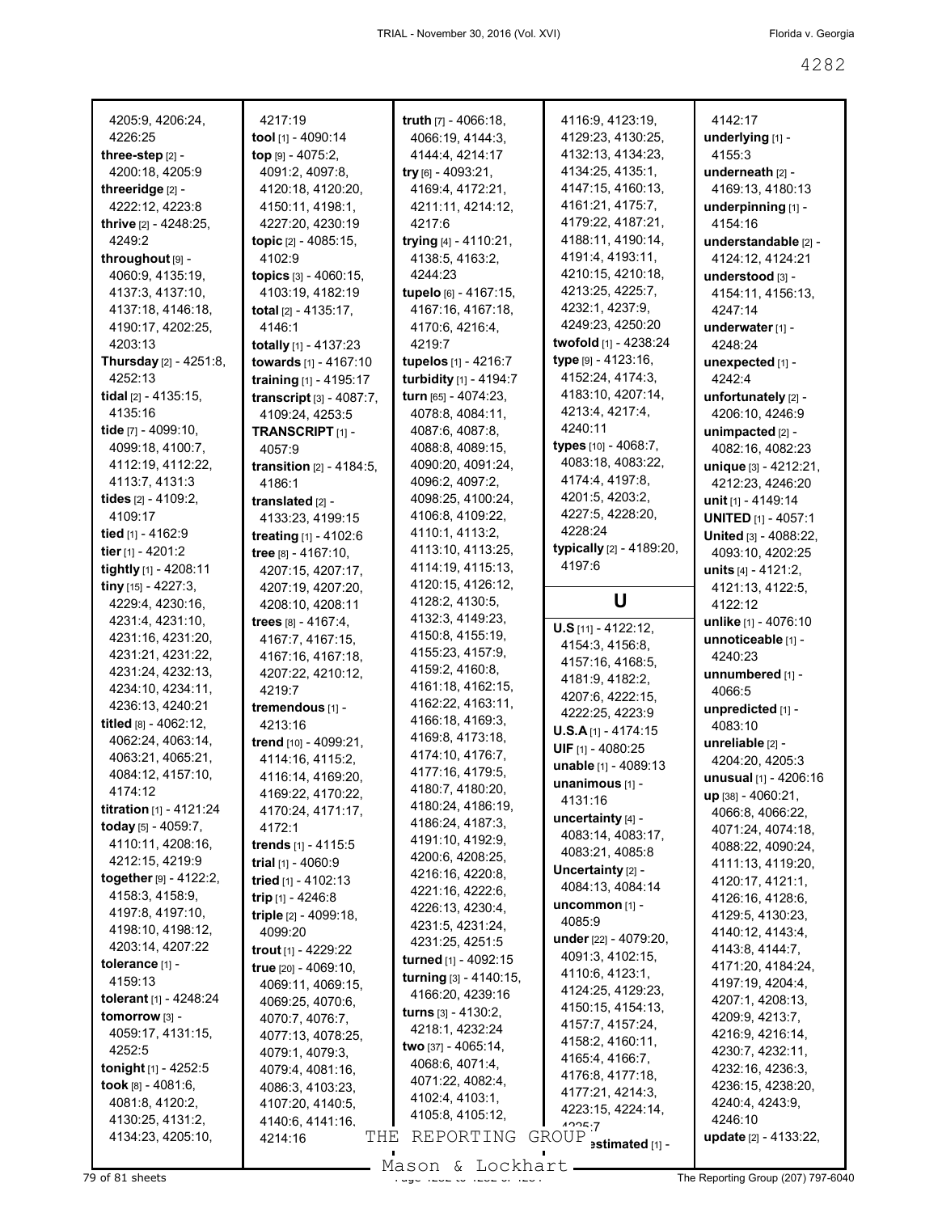| 4205:9, 4206:24,                 | 4217:19                            | truth $[7] - 4066:18$ ,     | 4116:9, 4123:19,            | 4142:17                    |
|----------------------------------|------------------------------------|-----------------------------|-----------------------------|----------------------------|
| 4226:25                          | tool [1] - 4090:14                 | 4066:19, 4144:3,            | 4129:23, 4130:25,           | underlying [1] -           |
| three-step [2] -                 | top [9] - 4075:2,                  | 4144:4, 4214:17             | 4132:13, 4134:23,           | 4155:3                     |
| 4200:18, 4205:9                  | 4091:2, 4097:8,                    | try [6] - 4093:21,          | 4134:25, 4135:1,            | underneath [2] -           |
| threeridge [2] -                 | 4120:18, 4120:20,                  | 4169:4, 4172:21,            | 4147:15, 4160:13,           | 4169:13, 4180:13           |
| 4222:12, 4223:8                  | 4150:11, 4198:1,                   | 4211:11, 4214:12,           | 4161:21, 4175:7,            | underpinning [1] -         |
| thrive [2] - 4248:25,            | 4227:20, 4230:19                   | 4217:6                      | 4179:22, 4187:21,           | 4154:16                    |
| 4249:2                           | topic [2] - 4085:15,               | trying [4] - 4110:21,       | 4188:11, 4190:14,           | understandable [2] -       |
| throughout [9] -                 | 4102:9                             | 4138:5, 4163:2,             | 4191:4, 4193:11,            | 4124:12, 4124:21           |
| 4060:9, 4135:19,                 | topics [3] - 4060:15,              | 4244:23                     | 4210:15, 4210:18,           | understood [3] -           |
| 4137:3, 4137:10,                 | 4103:19, 4182:19                   | tupelo [6] - 4167:15,       | 4213:25, 4225:7,            | 4154:11, 4156:13,          |
| 4137:18, 4146:18,                | total [2] - 4135:17,               | 4167:16, 4167:18,           | 4232:1, 4237:9,             | 4247:14                    |
| 4190:17, 4202:25,                | 4146:1                             | 4170:6, 4216:4,             | 4249:23, 4250:20            | underwater [1] -           |
| 4203:13                          | totally [1] - 4137:23              | 4219:7                      | twofold [1] - 4238:24       | 4248:24                    |
| <b>Thursday</b> [2] - 4251:8,    | towards [1] - 4167:10              | tupelos [1] - 4216:7        | type [9] - 4123:16,         | unexpected [1] -           |
| 4252:13                          | training [1] - 4195:17             | turbidity [1] - 4194:7      | 4152:24, 4174:3,            | 4242:4                     |
| tidal $[2] - 4135:15$ ,          |                                    | turn [65] - 4074:23,        | 4183:10, 4207:14,           |                            |
| 4135:16                          | transcript [3] - 4087:7,           | 4078:8, 4084:11,            | 4213:4, 4217:4,             | unfortunately [2] -        |
|                                  | 4109:24, 4253:5                    |                             | 4240:11                     | 4206:10, 4246:9            |
| tide [7] - 4099:10,              | TRANSCRIPT <sub>[1]</sub> -        | 4087:6, 4087:8,             | types [10] - 4068:7,        | unimpacted [2] -           |
| 4099:18, 4100:7,                 | 4057:9                             | 4088:8, 4089:15,            | 4083:18, 4083:22,           | 4082:16, 4082:23           |
| 4112:19, 4112:22,                | <b>transition</b> $[2] - 4184:5$ , | 4090:20, 4091:24,           | 4174:4, 4197:8,             | unique [3] - 4212:21,      |
| 4113:7, 4131:3                   | 4186:1                             | 4096:2, 4097:2,             | 4201:5, 4203:2,             | 4212:23, 4246:20           |
| tides [2] - 4109:2,              | translated [2] -                   | 4098:25, 4100:24,           |                             | unit [1] - 4149:14         |
| 4109:17                          | 4133:23, 4199:15                   | 4106:8, 4109:22,            | 4227:5, 4228:20,<br>4228:24 | <b>UNITED</b> [1] - 4057:1 |
| tied [1] - 4162:9                | treating [1] - 4102:6              | 4110:1, 4113:2,             |                             | United [3] - 4088:22,      |
| tier [1] - 4201:2                | tree [8] - 4167:10,                | 4113:10, 4113:25,           | typically [2] - 4189:20,    | 4093:10, 4202:25           |
| tightly [1] - 4208:11            | 4207:15, 4207:17,                  | 4114:19, 4115:13,           | 4197:6                      | units $[4] - 4121:2,$      |
| tiny $[15] - 4227:3,$            | 4207:19, 4207:20,                  | 4120:15, 4126:12,           |                             | 4121:13, 4122:5,           |
| 4229:4, 4230:16,                 | 4208:10, 4208:11                   | 4128:2, 4130:5,             | U                           | 4122:12                    |
| 4231:4, 4231:10,                 | trees [8] - 4167:4,                | 4132:3, 4149:23,            | $U.S$ [11] - 4122:12,       | unlike [1] - 4076:10       |
| 4231:16, 4231:20,                | 4167:7, 4167:15,                   | 4150:8, 4155:19,            | 4154:3, 4156:8,             | unnoticeable [1] -         |
| 4231:21, 4231:22,                | 4167:16, 4167:18,                  | 4155:23, 4157:9,            | 4157:16, 4168:5,            | 4240:23                    |
| 4231:24, 4232:13,                | 4207:22, 4210:12,                  | 4159:2, 4160:8,             | 4181:9, 4182:2,             | unnumbered [1] -           |
| 4234:10, 4234:11,                | 4219:7                             | 4161:18, 4162:15,           | 4207:6, 4222:15,            | 4066:5                     |
| 4236:13, 4240:21                 | tremendous [1] -                   | 4162:22, 4163:11,           | 4222:25, 4223:9             | unpredicted [1] -          |
| titled [8] - 4062:12,            | 4213:16                            | 4166:18, 4169:3,            | $U.S.A$ [1] - 4174:15       | 4083:10                    |
| 4062:24, 4063:14,                | trend [10] - 4099:21,              | 4169:8, 4173:18,            | UIF [1] - 4080:25           | unreliable [2] -           |
| 4063:21, 4065:21,                | 4114:16, 4115:2,                   | 4174:10, 4176:7,            | unable [1] - 4089:13        | 4204:20, 4205:3            |
| 4084:12, 4157:10,                | 4116:14, 4169:20,                  | 4177:16, 4179:5,            | unanimous [1] -             | unusual [1] - 4206:16      |
| 4174:12                          | 4169:22, 4170:22,                  | 4180:7, 4180:20,            | 4131:16                     | up [38] - 4060:21,         |
| <b>titration</b> $[1] - 4121:24$ | 4170:24, 4171:17,                  | 4180:24, 4186:19,           | uncertainty $[4]$ -         | 4066:8, 4066:22,           |
| today [5] - 4059:7,              | 4172:1                             | 4186:24, 4187:3,            | 4083:14, 4083:17,           | 4071:24, 4074:18,          |
| 4110:11, 4208:16,                | trends [1] - 4115:5                | 4191:10, 4192:9,            | 4083:21, 4085:8             | 4088:22, 4090:24,          |
| 4212:15, 4219:9                  | trial [1] - 4060:9                 | 4200:6, 4208:25,            |                             | 4111:13, 4119:20,          |
| together [9] - 4122:2,           | tried [1] - 4102:13                | 4216:16, 4220:8,            | Uncertainty [2] -           | 4120:17, 4121:1,           |
| 4158:3, 4158:9,                  | trip [1] - 4246:8                  | 4221:16, 4222:6,            | 4084:13, 4084:14            | 4126:16, 4128:6,           |
| 4197:8, 4197:10,                 | triple [2] - 4099:18,              | 4226:13, 4230:4,            | uncommon [1] -              | 4129:5, 4130:23,           |
| 4198:10, 4198:12,                | 4099:20                            | 4231:5, 4231:24,            | 4085:9                      | 4140:12, 4143:4,           |
| 4203:14, 4207:22                 | trout [1] - 4229:22                | 4231:25, 4251:5             | under [22] - 4079:20,       | 4143:8, 4144:7,            |
| tolerance [1] -                  | true [20] - 4069:10,               | turned [1] - 4092:15        | 4091:3, 4102:15,            | 4171:20, 4184:24,          |
| 4159:13                          | 4069:11, 4069:15,                  | turning [3] - 4140:15,      | 4110:6, 4123:1,             | 4197:19, 4204:4,           |
| tolerant [1] - 4248:24           | 4069:25, 4070:6,                   | 4166:20, 4239:16            | 4124:25, 4129:23,           | 4207:1, 4208:13,           |
| tomorrow [3] -                   | 4070:7, 4076:7,                    | <b>turns</b> $[3] - 4130:2$ | 4150:15, 4154:13,           | 4209:9, 4213:7,            |
| 4059:17, 4131:15,                | 4077:13, 4078:25,                  | 4218:1, 4232:24             | 4157:7, 4157:24,            | 4216:9, 4216:14,           |
| 4252:5                           | 4079:1, 4079:3,                    | two [37] - 4065:14,         | 4158:2, 4160:11,            | 4230:7, 4232:11,           |
| <b>tonight</b> $[1]$ - 4252:5    | 4079:4, 4081:16,                   | 4068:6, 4071:4,             | 4165:4, 4166:7,             | 4232:16, 4236:3,           |
| took $[8] - 4081:6$ ,            | 4086:3, 4103:23,                   | 4071:22, 4082:4,            | 4176:8, 4177:18,            | 4236:15, 4238:20,          |
| 4081:8, 4120:2,                  | 4107:20, 4140:5,                   | 4102:4, 4103:1,             | 4177:21, 4214:3,            | 4240:4, 4243:9,            |
| 4130:25, 4131:2,                 | 4140:6, 4141:16,                   | 4105:8, 4105:12,            | 4223:15, 4224:14,<br>1225.7 | 4246:10                    |
| 4134:23, 4205:10,                | THE<br>4214:16                     | REPORTING                   | GROUP                       | update [2] - 4133:22,      |
|                                  |                                    |                             | estimated [1] -             |                            |

Mason & Lockhart **Page 4282 of 81 sheets** Page 4207) 797-6040

H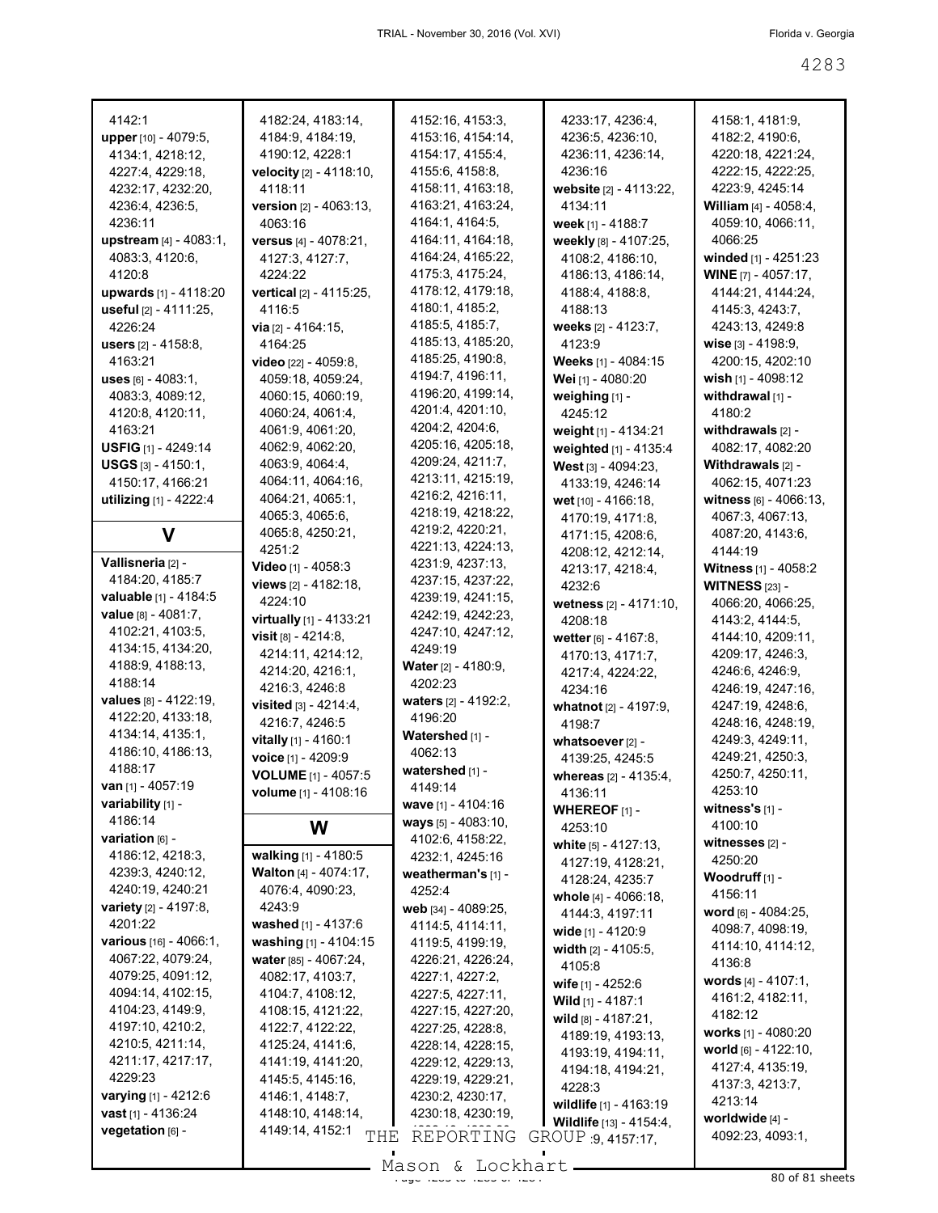| 4142:1<br>upper [10] - 4079:5,<br>4134:1, 4218:12, | 4182:24, 4183:14,<br>4184:9, 4184:19,<br>4190:12, 4228:1 | 4152:16, 4153:3,<br>4153:16, 4154:14,<br>4154:17, 4155:4, | 4233:17, 4236:4,<br>4236:5, 4236:10,<br>4236:11, 4236:14, | 4158:1, 4181:9,<br>4182:2, 4190:6,<br>4220:18, 4221:24, |
|----------------------------------------------------|----------------------------------------------------------|-----------------------------------------------------------|-----------------------------------------------------------|---------------------------------------------------------|
| 4227:4, 4229:18,<br>4232:17, 4232:20,              | velocity [2] - 4118:10,<br>4118:11                       | 4155:6, 4158:8,<br>4158:11, 4163:18,                      | 4236:16<br>website [2] - 4113:22,                         | 4222:15, 4222:25,<br>4223:9, 4245:14                    |
| 4236:4, 4236:5,<br>4236:11                         | <b>version</b> $[2] - 4063:13$ ,<br>4063:16              | 4163:21, 4163:24,<br>4164:1, 4164:5,                      | 4134:11<br>week [1] - 4188:7                              | William [4] - 4058:4,<br>4059:10, 4066:11,              |
| upstream [4] - 4083:1,<br>4083:3, 4120:6,          | versus [4] - 4078:21,<br>4127:3, 4127:7,                 | 4164:11, 4164:18,<br>4164:24, 4165:22,                    | weekly [8] - 4107:25,<br>4108:2, 4186:10,                 | 4066:25<br>winded [1] - 4251:23                         |
| 4120:8<br>upwards [1] - 4118:20                    | 4224:22<br>vertical [2] - 4115:25,                       | 4175:3, 4175:24,<br>4178:12, 4179:18,                     | 4186:13, 4186:14,<br>4188:4, 4188:8,                      | <b>WINE</b> [7] - 4057:17,<br>4144:21, 4144:24,         |
| useful [2] - 4111:25,                              | 4116:5                                                   | 4180:1, 4185:2,                                           | 4188:13                                                   | 4145:3, 4243:7,                                         |
| 4226:24<br>users [2] - 4158:8,                     | <b>via</b> $[2] - 4164:15$ ,<br>4164:25                  | 4185:5, 4185:7,<br>4185:13, 4185:20,                      | weeks [2] - 4123:7,<br>4123:9                             | 4243:13, 4249:8<br>wise $[3] - 4198.9$ ,                |
| 4163:21                                            | <b>video</b> $[22] - 4059.8$                             | 4185:25, 4190:8,                                          | Weeks [1] - 4084:15                                       | 4200:15, 4202:10                                        |
| uses $[6] - 4083.1$ ,                              | 4059:18, 4059:24,                                        | 4194:7, 4196:11,                                          | Wei [1] - 4080:20                                         | wish $[1] - 4098:12$                                    |
| 4083:3, 4089:12,                                   | 4060:15, 4060:19,                                        | 4196:20, 4199:14,<br>4201:4, 4201:10,                     | weighing [1] -                                            | withdrawal $[1]$ -<br>4180:2                            |
| 4120:8, 4120:11,<br>4163:21                        | 4060:24, 4061:4,<br>4061:9, 4061:20,                     | 4204:2, 4204:6,                                           | 4245:12<br>weight [1] - 4134:21                           | withdrawals $[2]$ -                                     |
| USFIG [1] - 4249:14                                | 4062:9, 4062:20,                                         | 4205:16, 4205:18,                                         | weighted [1] - 4135:4                                     | 4082:17, 4082:20                                        |
| <b>USGS</b> $[3] - 4150:1$ ,                       | 4063:9, 4064:4,                                          | 4209:24, 4211:7,                                          | West [3] - 4094:23,                                       | Withdrawals [2] -                                       |
| 4150:17, 4166:21                                   | 4064:11, 4064:16,                                        | 4213:11, 4215:19,                                         | 4133:19, 4246:14                                          | 4062:15, 4071:23                                        |
| utilizing [1] - 4222:4                             | 4064:21, 4065:1,                                         | 4216:2, 4216:11,<br>4218:19, 4218:22,                     | wet [10] - 4166:18,                                       | witness [6] - 4066:13,                                  |
|                                                    | 4065:3, 4065:6,<br>4065:8, 4250:21,                      | 4219:2, 4220:21,                                          | 4170:19, 4171:8,                                          | 4067:3, 4067:13,                                        |
| V                                                  | 4251:2                                                   | 4221:13, 4224:13,                                         | 4171:15, 4208:6,<br>4208:12, 4212:14,                     | 4087:20, 4143:6,<br>4144:19                             |
| Vallisneria [2] -                                  | Video [1] - 4058:3                                       | 4231:9, 4237:13,                                          | 4213:17, 4218:4,                                          | Witness [1] - 4058:2                                    |
| 4184:20, 4185:7                                    | views [2] - 4182:18,                                     | 4237:15, 4237:22,                                         | 4232:6                                                    | <b>WITNESS [23] -</b>                                   |
| valuable [1] - 4184:5                              | 4224:10                                                  | 4239:19, 4241:15,                                         | wetness [2] - 4171:10,                                    | 4066:20, 4066:25,                                       |
| <b>value</b> $[8] - 4081:7$ ,                      | virtually [1] - 4133:21                                  | 4242:19, 4242:23,                                         | 4208:18                                                   | 4143:2, 4144:5,                                         |
| 4102:21, 4103:5,<br>4134:15, 4134:20,              | visit $[8] - 4214.8$ ,                                   | 4247:10, 4247:12,<br>4249:19                              | wetter [6] - 4167:8,                                      | 4144:10, 4209:11,                                       |
| 4188:9, 4188:13,                                   | 4214:11, 4214:12,                                        | <b>Water</b> [2] - 4180:9,                                | 4170:13, 4171:7,                                          | 4209:17, 4246:3,                                        |
| 4188:14                                            | 4214:20, 4216:1,<br>4216:3, 4246:8                       | 4202:23                                                   | 4217:4, 4224:22,                                          | 4246:6, 4246:9,                                         |
| values [8] - 4122:19,                              | visited $[3] - 4214:4$ ,                                 | waters [2] - 4192:2,                                      | 4234:16<br>whatnot [2] - 4197:9,                          | 4246:19, 4247:16,<br>4247:19, 4248:6,                   |
| 4122:20, 4133:18,                                  | 4216:7, 4246:5                                           | 4196:20                                                   | 4198.7                                                    | 4248:16, 4248:19,                                       |
| 4134:14, 4135:1,                                   | vitally [1] - 4160:1                                     | Watershed [1] -                                           | whatsoever [2] -                                          | 4249:3, 4249:11,                                        |
| 4186:10, 4186:13,                                  | voice [1] - 4209:9                                       | 4062:13                                                   | 4139:25, 4245:5                                           | 4249:21, 4250:3,                                        |
| 4188:17                                            | <b>VOLUME</b> [1] - 4057:5                               | watershed [1] -                                           | whereas [2] - 4135:4,                                     | 4250:7, 4250:11,                                        |
| <b>van</b> [1] - 4057:19<br>variability [1] -      | <b>volume</b> $[1] - 4108:16$                            | 4149:14                                                   | 4136:11                                                   | 4253:10                                                 |
| 4186:14                                            |                                                          | wave $[1] - 4104:16$<br>ways [5] - 4083:10,               | WHEREOF $[1]$ -                                           | witness's [1] -                                         |
| variation [6] -                                    | W                                                        | 4102:6, 4158:22,                                          | 4253:10                                                   | 4100:10<br>witnesses [2] -                              |
| 4186:12, 4218:3,                                   | walking [1] - 4180:5                                     | 4232:1, 4245:16                                           | white $[5] - 4127:13$ ,<br>4127:19, 4128:21,              | 4250:20                                                 |
| 4239:3, 4240:12,                                   | Walton [4] - 4074:17,                                    | weatherman's [1] -                                        | 4128:24, 4235:7                                           | Woodruff <sub>[1]</sub> -                               |
| 4240:19, 4240:21                                   | 4076:4, 4090:23,                                         | 4252:4                                                    | whole [4] - 4066:18,                                      | 4156:11                                                 |
| variety [2] - 4197:8,                              | 4243:9                                                   | web [34] - 4089:25,                                       | 4144:3, 4197:11                                           | word [6] - 4084:25,                                     |
| 4201:22                                            | washed [1] - 4137:6                                      | 4114:5, 4114:11,                                          | wide [1] - 4120:9                                         | 4098:7, 4098:19,                                        |
| various [16] - 4066:1,<br>4067:22, 4079:24,        | washing [1] - 4104:15<br>water $[85] - 4067:24$ ,        | 4119:5, 4199:19,                                          | width $[2] - 4105:5$ ,                                    | 4114:10, 4114:12,                                       |
| 4079:25, 4091:12,                                  | 4082:17, 4103:7,                                         | 4226:21, 4226:24,<br>4227:1, 4227:2,                      | 4105:8                                                    | 4136:8                                                  |
| 4094:14, 4102:15,                                  | 4104:7, 4108:12,                                         | 4227:5, 4227:11,                                          | wife [1] - 4252:6                                         | words [4] - 4107:1,<br>4161:2, 4182:11,                 |
| 4104:23, 4149:9,                                   | 4108:15, 4121:22,                                        | 4227:15, 4227:20,                                         | Wild [1] - 4187:1                                         | 4182:12                                                 |
| 4197:10, 4210:2,                                   | 4122:7, 4122:22,                                         | 4227:25, 4228:8,                                          | wild [8] - 4187:21,<br>4189:19, 4193:13,                  | works [1] - 4080:20                                     |
| 4210:5, 4211:14,                                   | 4125:24, 4141:6,                                         | 4228:14, 4228:15,                                         | 4193:19, 4194:11,                                         | world [6] - 4122:10,                                    |
| 4211:17, 4217:17,                                  | 4141:19, 4141:20,                                        | 4229:12, 4229:13,                                         | 4194:18, 4194:21,                                         | 4127:4, 4135:19,                                        |
| 4229:23                                            | 4145:5, 4145:16,                                         | 4229:19, 4229:21,                                         | 4228:3                                                    | 4137:3, 4213:7,                                         |
| varying [1] - 4212:6<br>vast [1] - 4136:24         | 4146:1, 4148:7,<br>4148:10, 4148:14,                     | 4230:2, 4230:17,                                          | wildlife [1] - 4163:19                                    | 4213:14                                                 |
| vegetation [6] -                                   | 4149:14, 4152:1                                          | 4230:18, 4230:19,                                         | Wildlife [13] - 4154:4,                                   | worldwide [4] -                                         |
|                                                    | THE                                                      | REPORTING                                                 | GROUP 9, 4157:17,                                         | 4092:23, 4093:1,                                        |
|                                                    |                                                          | Mason & Lockhart                                          |                                                           |                                                         |

Mason & Lockhart 11 80 of 81 sheets